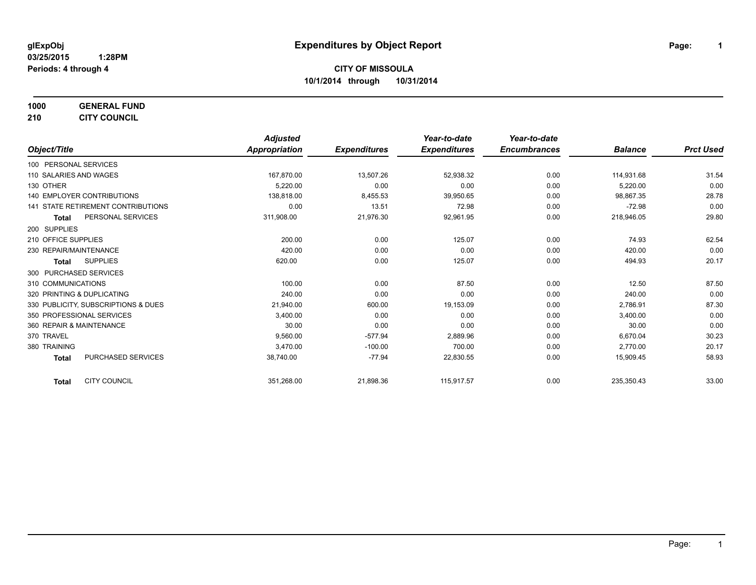**1000 GENERAL FUND 210 CITY COUNCIL**

|                                     | <b>Adjusted</b> |                     | Year-to-date        | Year-to-date        |                |                  |
|-------------------------------------|-----------------|---------------------|---------------------|---------------------|----------------|------------------|
| Object/Title                        | Appropriation   | <b>Expenditures</b> | <b>Expenditures</b> | <b>Encumbrances</b> | <b>Balance</b> | <b>Prct Used</b> |
| 100 PERSONAL SERVICES               |                 |                     |                     |                     |                |                  |
| 110 SALARIES AND WAGES              | 167,870.00      | 13,507.26           | 52,938.32           | 0.00                | 114,931.68     | 31.54            |
| 130 OTHER                           | 5,220.00        | 0.00                | 0.00                | 0.00                | 5,220.00       | 0.00             |
| 140 EMPLOYER CONTRIBUTIONS          | 138,818.00      | 8,455.53            | 39,950.65           | 0.00                | 98,867.35      | 28.78            |
| 141 STATE RETIREMENT CONTRIBUTIONS  | 0.00            | 13.51               | 72.98               | 0.00                | $-72.98$       | 0.00             |
| PERSONAL SERVICES<br><b>Total</b>   | 311,908.00      | 21,976.30           | 92,961.95           | 0.00                | 218,946.05     | 29.80            |
| 200 SUPPLIES                        |                 |                     |                     |                     |                |                  |
| 210 OFFICE SUPPLIES                 | 200.00          | 0.00                | 125.07              | 0.00                | 74.93          | 62.54            |
| 230 REPAIR/MAINTENANCE              | 420.00          | 0.00                | 0.00                | 0.00                | 420.00         | 0.00             |
| <b>SUPPLIES</b><br><b>Total</b>     | 620.00          | 0.00                | 125.07              | 0.00                | 494.93         | 20.17            |
| 300 PURCHASED SERVICES              |                 |                     |                     |                     |                |                  |
| 310 COMMUNICATIONS                  | 100.00          | 0.00                | 87.50               | 0.00                | 12.50          | 87.50            |
| 320 PRINTING & DUPLICATING          | 240.00          | 0.00                | 0.00                | 0.00                | 240.00         | 0.00             |
| 330 PUBLICITY, SUBSCRIPTIONS & DUES | 21,940.00       | 600.00              | 19,153.09           | 0.00                | 2,786.91       | 87.30            |
| 350 PROFESSIONAL SERVICES           | 3,400.00        | 0.00                | 0.00                | 0.00                | 3,400.00       | 0.00             |
| 360 REPAIR & MAINTENANCE            | 30.00           | 0.00                | 0.00                | 0.00                | 30.00          | 0.00             |
| 370 TRAVEL                          | 9,560.00        | $-577.94$           | 2,889.96            | 0.00                | 6,670.04       | 30.23            |
| 380 TRAINING                        | 3,470.00        | $-100.00$           | 700.00              | 0.00                | 2,770.00       | 20.17            |
| PURCHASED SERVICES<br><b>Total</b>  | 38,740.00       | $-77.94$            | 22,830.55           | 0.00                | 15,909.45      | 58.93            |
| <b>CITY COUNCIL</b><br><b>Total</b> | 351,268.00      | 21,898.36           | 115,917.57          | 0.00                | 235,350.43     | 33.00            |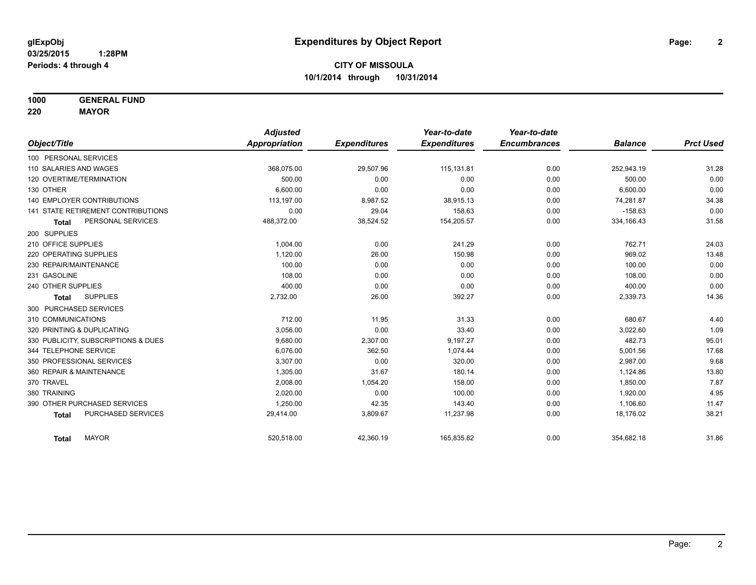**1000 GENERAL FUND**

**220 MAYOR**

|                                     | <b>Adjusted</b>      |                     | Year-to-date        | Year-to-date        |                |                  |
|-------------------------------------|----------------------|---------------------|---------------------|---------------------|----------------|------------------|
| Object/Title                        | <b>Appropriation</b> | <b>Expenditures</b> | <b>Expenditures</b> | <b>Encumbrances</b> | <b>Balance</b> | <b>Prct Used</b> |
| 100 PERSONAL SERVICES               |                      |                     |                     |                     |                |                  |
| 110 SALARIES AND WAGES              | 368,075.00           | 29,507.96           | 115,131.81          | 0.00                | 252,943.19     | 31.28            |
| 120 OVERTIME/TERMINATION            | 500.00               | 0.00                | 0.00                | 0.00                | 500.00         | 0.00             |
| 130 OTHER                           | 6.600.00             | 0.00                | 0.00                | 0.00                | 6,600.00       | 0.00             |
| <b>140 EMPLOYER CONTRIBUTIONS</b>   | 113,197.00           | 8,987.52            | 38,915.13           | 0.00                | 74,281.87      | 34.38            |
| 141 STATE RETIREMENT CONTRIBUTIONS  | 0.00                 | 29.04               | 158.63              | 0.00                | $-158.63$      | 0.00             |
| PERSONAL SERVICES<br><b>Total</b>   | 488,372.00           | 38,524.52           | 154,205.57          | 0.00                | 334,166.43     | 31.58            |
| 200 SUPPLIES                        |                      |                     |                     |                     |                |                  |
| 210 OFFICE SUPPLIES                 | 1.004.00             | 0.00                | 241.29              | 0.00                | 762.71         | 24.03            |
| 220 OPERATING SUPPLIES              | 1,120.00             | 26.00               | 150.98              | 0.00                | 969.02         | 13.48            |
| 230 REPAIR/MAINTENANCE              | 100.00               | 0.00                | 0.00                | 0.00                | 100.00         | 0.00             |
| 231 GASOLINE                        | 108.00               | 0.00                | 0.00                | 0.00                | 108.00         | 0.00             |
| 240 OTHER SUPPLIES                  | 400.00               | 0.00                | 0.00                | 0.00                | 400.00         | 0.00             |
| <b>SUPPLIES</b><br><b>Total</b>     | 2,732.00             | 26.00               | 392.27              | 0.00                | 2,339.73       | 14.36            |
| 300 PURCHASED SERVICES              |                      |                     |                     |                     |                |                  |
| 310 COMMUNICATIONS                  | 712.00               | 11.95               | 31.33               | 0.00                | 680.67         | 4.40             |
| 320 PRINTING & DUPLICATING          | 3,056.00             | 0.00                | 33.40               | 0.00                | 3,022.60       | 1.09             |
| 330 PUBLICITY, SUBSCRIPTIONS & DUES | 9,680.00             | 2,307.00            | 9,197.27            | 0.00                | 482.73         | 95.01            |
| 344 TELEPHONE SERVICE               | 6.076.00             | 362.50              | 1.074.44            | 0.00                | 5,001.56       | 17.68            |
| 350 PROFESSIONAL SERVICES           | 3,307.00             | 0.00                | 320.00              | 0.00                | 2,987.00       | 9.68             |
| 360 REPAIR & MAINTENANCE            | 1,305.00             | 31.67               | 180.14              | 0.00                | 1,124.86       | 13.80            |
| 370 TRAVEL                          | 2,008.00             | 1,054.20            | 158.00              | 0.00                | 1,850.00       | 7.87             |
| 380 TRAINING                        | 2,020.00             | 0.00                | 100.00              | 0.00                | 1,920.00       | 4.95             |
| 390 OTHER PURCHASED SERVICES        | 1,250.00             | 42.35               | 143.40              | 0.00                | 1,106.60       | 11.47            |
| PURCHASED SERVICES<br><b>Total</b>  | 29,414.00            | 3,809.67            | 11,237.98           | 0.00                | 18,176.02      | 38.21            |
| <b>MAYOR</b><br><b>Total</b>        | 520,518.00           | 42,360.19           | 165,835.82          | 0.00                | 354,682.18     | 31.86            |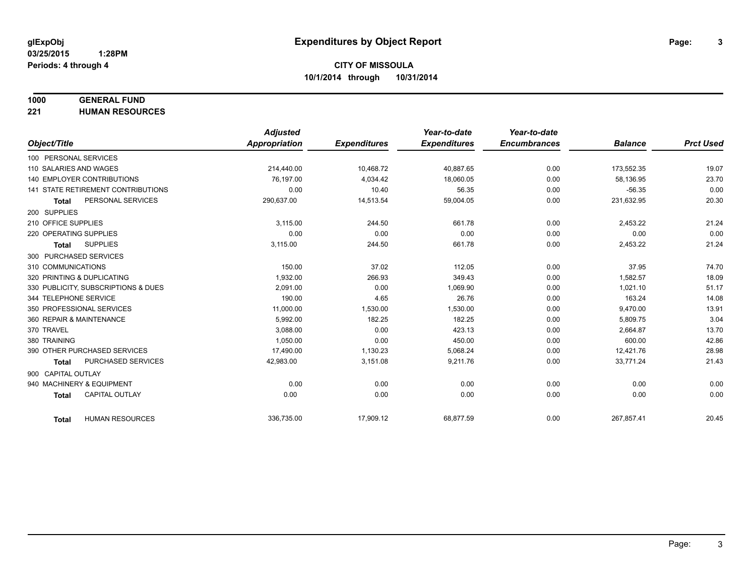# **1000 GENERAL FUND**

**221 HUMAN RESOURCES**

|                                           | <b>Adjusted</b>      |                     | Year-to-date        | Year-to-date        |                |                  |
|-------------------------------------------|----------------------|---------------------|---------------------|---------------------|----------------|------------------|
| Object/Title                              | <b>Appropriation</b> | <b>Expenditures</b> | <b>Expenditures</b> | <b>Encumbrances</b> | <b>Balance</b> | <b>Prct Used</b> |
| 100 PERSONAL SERVICES                     |                      |                     |                     |                     |                |                  |
| 110 SALARIES AND WAGES                    | 214,440.00           | 10,468.72           | 40,887.65           | 0.00                | 173,552.35     | 19.07            |
| 140 EMPLOYER CONTRIBUTIONS                | 76.197.00            | 4,034.42            | 18,060.05           | 0.00                | 58,136.95      | 23.70            |
| <b>141 STATE RETIREMENT CONTRIBUTIONS</b> | 0.00                 | 10.40               | 56.35               | 0.00                | $-56.35$       | 0.00             |
| PERSONAL SERVICES<br><b>Total</b>         | 290,637.00           | 14,513.54           | 59,004.05           | 0.00                | 231,632.95     | 20.30            |
| 200 SUPPLIES                              |                      |                     |                     |                     |                |                  |
| 210 OFFICE SUPPLIES                       | 3.115.00             | 244.50              | 661.78              | 0.00                | 2,453.22       | 21.24            |
| 220 OPERATING SUPPLIES                    | 0.00                 | 0.00                | 0.00                | 0.00                | 0.00           | 0.00             |
| <b>SUPPLIES</b><br>Total                  | 3,115.00             | 244.50              | 661.78              | 0.00                | 2,453.22       | 21.24            |
| 300 PURCHASED SERVICES                    |                      |                     |                     |                     |                |                  |
| 310 COMMUNICATIONS                        | 150.00               | 37.02               | 112.05              | 0.00                | 37.95          | 74.70            |
| 320 PRINTING & DUPLICATING                | 1.932.00             | 266.93              | 349.43              | 0.00                | 1,582.57       | 18.09            |
| 330 PUBLICITY, SUBSCRIPTIONS & DUES       | 2,091.00             | 0.00                | 1,069.90            | 0.00                | 1,021.10       | 51.17            |
| 344 TELEPHONE SERVICE                     | 190.00               | 4.65                | 26.76               | 0.00                | 163.24         | 14.08            |
| 350 PROFESSIONAL SERVICES                 | 11,000.00            | 1,530.00            | 1,530.00            | 0.00                | 9,470.00       | 13.91            |
| 360 REPAIR & MAINTENANCE                  | 5,992.00             | 182.25              | 182.25              | 0.00                | 5,809.75       | 3.04             |
| 370 TRAVEL                                | 3.088.00             | 0.00                | 423.13              | 0.00                | 2,664.87       | 13.70            |
| 380 TRAINING                              | 1,050.00             | 0.00                | 450.00              | 0.00                | 600.00         | 42.86            |
| 390 OTHER PURCHASED SERVICES              | 17,490.00            | 1,130.23            | 5,068.24            | 0.00                | 12,421.76      | 28.98            |
| PURCHASED SERVICES<br><b>Total</b>        | 42,983.00            | 3,151.08            | 9,211.76            | 0.00                | 33,771.24      | 21.43            |
| 900 CAPITAL OUTLAY                        |                      |                     |                     |                     |                |                  |
| 940 MACHINERY & EQUIPMENT                 | 0.00                 | 0.00                | 0.00                | 0.00                | 0.00           | 0.00             |
| <b>CAPITAL OUTLAY</b><br><b>Total</b>     | 0.00                 | 0.00                | 0.00                | 0.00                | 0.00           | 0.00             |
|                                           |                      |                     |                     |                     |                |                  |
| <b>HUMAN RESOURCES</b><br><b>Total</b>    | 336,735.00           | 17,909.12           | 68,877.59           | 0.00                | 267,857.41     | 20.45            |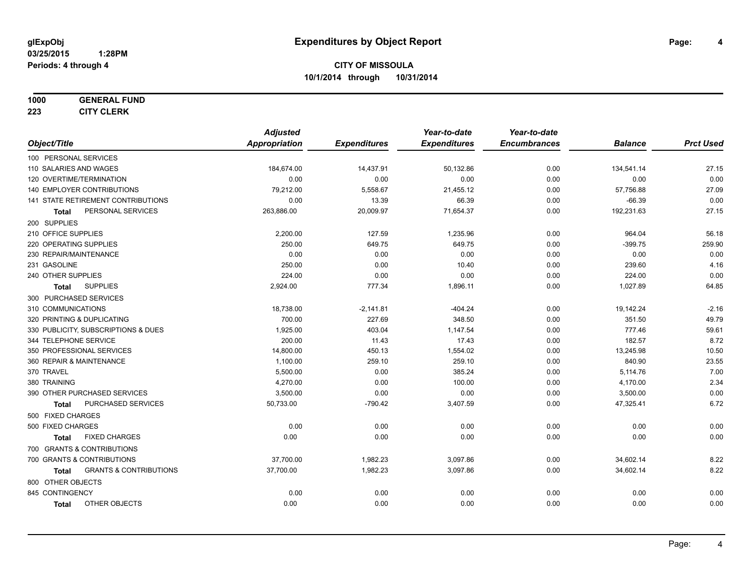#### **1000 GENERAL FUND**

**223 CITY CLERK**

|                                            | <b>Adjusted</b>      |                     | Year-to-date        | Year-to-date        |                |                  |
|--------------------------------------------|----------------------|---------------------|---------------------|---------------------|----------------|------------------|
| Object/Title                               | <b>Appropriation</b> | <b>Expenditures</b> | <b>Expenditures</b> | <b>Encumbrances</b> | <b>Balance</b> | <b>Prct Used</b> |
| 100 PERSONAL SERVICES                      |                      |                     |                     |                     |                |                  |
| 110 SALARIES AND WAGES                     | 184,674.00           | 14,437.91           | 50,132.86           | 0.00                | 134,541.14     | 27.15            |
| 120 OVERTIME/TERMINATION                   | 0.00                 | 0.00                | 0.00                | 0.00                | 0.00           | 0.00             |
| 140 EMPLOYER CONTRIBUTIONS                 | 79,212.00            | 5,558.67            | 21,455.12           | 0.00                | 57,756.88      | 27.09            |
| 141 STATE RETIREMENT CONTRIBUTIONS         | 0.00                 | 13.39               | 66.39               | 0.00                | $-66.39$       | 0.00             |
| PERSONAL SERVICES<br>Total                 | 263,886.00           | 20,009.97           | 71,654.37           | 0.00                | 192,231.63     | 27.15            |
| 200 SUPPLIES                               |                      |                     |                     |                     |                |                  |
| 210 OFFICE SUPPLIES                        | 2,200.00             | 127.59              | 1,235.96            | 0.00                | 964.04         | 56.18            |
| 220 OPERATING SUPPLIES                     | 250.00               | 649.75              | 649.75              | 0.00                | $-399.75$      | 259.90           |
| 230 REPAIR/MAINTENANCE                     | 0.00                 | 0.00                | 0.00                | 0.00                | 0.00           | 0.00             |
| 231 GASOLINE                               | 250.00               | 0.00                | 10.40               | 0.00                | 239.60         | 4.16             |
| 240 OTHER SUPPLIES                         | 224.00               | 0.00                | 0.00                | 0.00                | 224.00         | 0.00             |
| <b>SUPPLIES</b><br>Total                   | 2,924.00             | 777.34              | 1,896.11            | 0.00                | 1,027.89       | 64.85            |
| 300 PURCHASED SERVICES                     |                      |                     |                     |                     |                |                  |
| 310 COMMUNICATIONS                         | 18,738.00            | $-2,141.81$         | $-404.24$           | 0.00                | 19,142.24      | $-2.16$          |
| 320 PRINTING & DUPLICATING                 | 700.00               | 227.69              | 348.50              | 0.00                | 351.50         | 49.79            |
| 330 PUBLICITY, SUBSCRIPTIONS & DUES        | 1,925.00             | 403.04              | 1,147.54            | 0.00                | 777.46         | 59.61            |
| 344 TELEPHONE SERVICE                      | 200.00               | 11.43               | 17.43               | 0.00                | 182.57         | 8.72             |
| 350 PROFESSIONAL SERVICES                  | 14,800.00            | 450.13              | 1,554.02            | 0.00                | 13,245.98      | 10.50            |
| 360 REPAIR & MAINTENANCE                   | 1,100.00             | 259.10              | 259.10              | 0.00                | 840.90         | 23.55            |
| 370 TRAVEL                                 | 5,500.00             | 0.00                | 385.24              | 0.00                | 5,114.76       | 7.00             |
| 380 TRAINING                               | 4,270.00             | 0.00                | 100.00              | 0.00                | 4,170.00       | 2.34             |
| 390 OTHER PURCHASED SERVICES               | 3,500.00             | 0.00                | 0.00                | 0.00                | 3,500.00       | 0.00             |
| PURCHASED SERVICES<br><b>Total</b>         | 50,733.00            | $-790.42$           | 3,407.59            | 0.00                | 47,325.41      | 6.72             |
| 500 FIXED CHARGES                          |                      |                     |                     |                     |                |                  |
| 500 FIXED CHARGES                          | 0.00                 | 0.00                | 0.00                | 0.00                | 0.00           | 0.00             |
| <b>FIXED CHARGES</b><br>Total              | 0.00                 | 0.00                | 0.00                | 0.00                | 0.00           | 0.00             |
| 700 GRANTS & CONTRIBUTIONS                 |                      |                     |                     |                     |                |                  |
| 700 GRANTS & CONTRIBUTIONS                 | 37,700.00            | 1,982.23            | 3,097.86            | 0.00                | 34,602.14      | 8.22             |
| <b>GRANTS &amp; CONTRIBUTIONS</b><br>Total | 37,700.00            | 1,982.23            | 3,097.86            | 0.00                | 34,602.14      | 8.22             |
| 800 OTHER OBJECTS                          |                      |                     |                     |                     |                |                  |
| 845 CONTINGENCY                            | 0.00                 | 0.00                | 0.00                | 0.00                | 0.00           | 0.00             |
| OTHER OBJECTS<br><b>Total</b>              | 0.00                 | 0.00                | 0.00                | 0.00                | 0.00           | 0.00             |
|                                            |                      |                     |                     |                     |                |                  |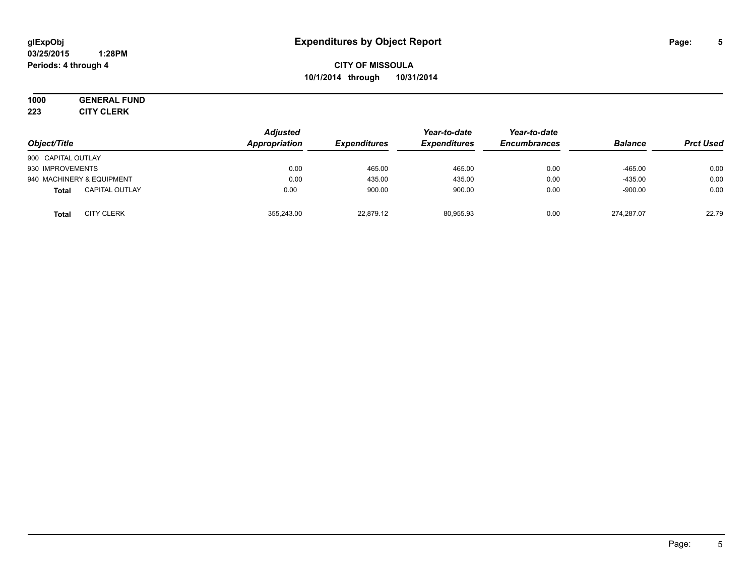#### **03/25/2015 1:28PM Periods: 4 through 4**

# **CITY OF MISSOULA 10/1/2014 through 10/31/2014**

# **1000 GENERAL FUND**

**223 CITY CLERK**

| Object/Title                          | <b>Adjusted</b><br>Appropriation | <b>Expenditures</b> | Year-to-date<br><b>Expenditures</b> | Year-to-date<br><b>Encumbrances</b> | <b>Balance</b> | <b>Prct Used</b> |
|---------------------------------------|----------------------------------|---------------------|-------------------------------------|-------------------------------------|----------------|------------------|
| 900 CAPITAL OUTLAY                    |                                  |                     |                                     |                                     |                |                  |
| 930 IMPROVEMENTS                      | 0.00                             | 465.00              | 465.00                              | 0.00                                | $-465.00$      | 0.00             |
| 940 MACHINERY & EQUIPMENT             | 0.00                             | 435.00              | 435.00                              | 0.00                                | $-435.00$      | 0.00             |
| <b>CAPITAL OUTLAY</b><br><b>Total</b> | 0.00                             | 900.00              | 900.00                              | 0.00                                | $-900.00$      | 0.00             |
| <b>CITY CLERK</b><br><b>Total</b>     | 355.243.00                       | 22.879.12           | 80.955.93                           | 0.00                                | 274.287.07     | 22.79            |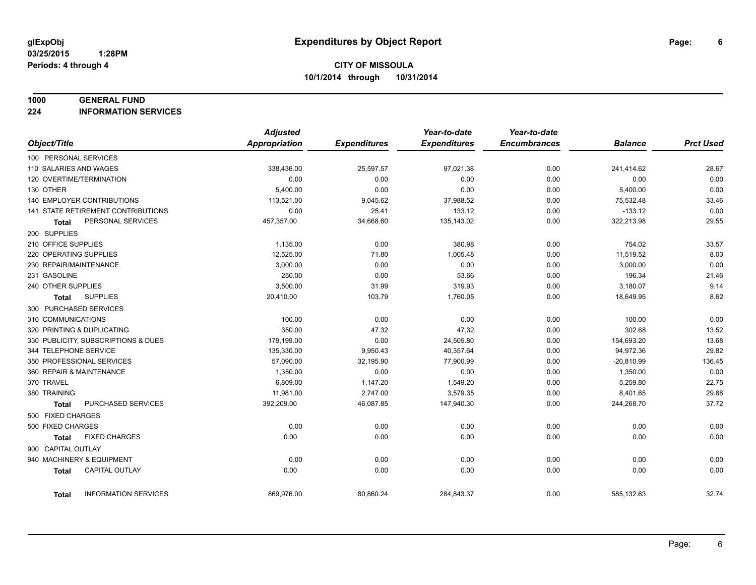#### **1000 GENERAL FUND**

**224 INFORMATION SERVICES**

|                          |                                     | <b>Adjusted</b>      |                     | Year-to-date        | Year-to-date        |                |                  |
|--------------------------|-------------------------------------|----------------------|---------------------|---------------------|---------------------|----------------|------------------|
| Object/Title             |                                     | <b>Appropriation</b> | <b>Expenditures</b> | <b>Expenditures</b> | <b>Encumbrances</b> | <b>Balance</b> | <b>Prct Used</b> |
| 100 PERSONAL SERVICES    |                                     |                      |                     |                     |                     |                |                  |
| 110 SALARIES AND WAGES   |                                     | 338,436.00           | 25,597.57           | 97,021.38           | 0.00                | 241,414.62     | 28.67            |
| 120 OVERTIME/TERMINATION |                                     | 0.00                 | 0.00                | 0.00                | 0.00                | 0.00           | 0.00             |
| 130 OTHER                |                                     | 5,400.00             | 0.00                | 0.00                | 0.00                | 5,400.00       | 0.00             |
|                          | <b>140 EMPLOYER CONTRIBUTIONS</b>   | 113,521.00           | 9,045.62            | 37,988.52           | 0.00                | 75,532.48      | 33.46            |
|                          | 141 STATE RETIREMENT CONTRIBUTIONS  | 0.00                 | 25.41               | 133.12              | 0.00                | $-133.12$      | 0.00             |
| <b>Total</b>             | PERSONAL SERVICES                   | 457,357.00           | 34,668.60           | 135,143.02          | 0.00                | 322,213.98     | 29.55            |
| 200 SUPPLIES             |                                     |                      |                     |                     |                     |                |                  |
| 210 OFFICE SUPPLIES      |                                     | 1,135.00             | 0.00                | 380.98              | 0.00                | 754.02         | 33.57            |
| 220 OPERATING SUPPLIES   |                                     | 12,525.00            | 71.80               | 1,005.48            | 0.00                | 11,519.52      | 8.03             |
| 230 REPAIR/MAINTENANCE   |                                     | 3.000.00             | 0.00                | 0.00                | 0.00                | 3,000.00       | 0.00             |
| 231 GASOLINE             |                                     | 250.00               | 0.00                | 53.66               | 0.00                | 196.34         | 21.46            |
| 240 OTHER SUPPLIES       |                                     | 3,500.00             | 31.99               | 319.93              | 0.00                | 3,180.07       | 9.14             |
| Total                    | <b>SUPPLIES</b>                     | 20,410.00            | 103.79              | 1,760.05            | 0.00                | 18,649.95      | 8.62             |
| 300 PURCHASED SERVICES   |                                     |                      |                     |                     |                     |                |                  |
| 310 COMMUNICATIONS       |                                     | 100.00               | 0.00                | 0.00                | 0.00                | 100.00         | 0.00             |
|                          | 320 PRINTING & DUPLICATING          | 350.00               | 47.32               | 47.32               | 0.00                | 302.68         | 13.52            |
|                          | 330 PUBLICITY, SUBSCRIPTIONS & DUES | 179,199.00           | 0.00                | 24,505.80           | 0.00                | 154,693.20     | 13.68            |
| 344 TELEPHONE SERVICE    |                                     | 135,330.00           | 9,950.43            | 40,357.64           | 0.00                | 94,972.36      | 29.82            |
|                          | 350 PROFESSIONAL SERVICES           | 57,090.00            | 32,195.90           | 77,900.99           | 0.00                | $-20,810.99$   | 136.45           |
| 360 REPAIR & MAINTENANCE |                                     | 1,350.00             | 0.00                | 0.00                | 0.00                | 1,350.00       | 0.00             |
| 370 TRAVEL               |                                     | 6,809.00             | 1,147.20            | 1,549.20            | 0.00                | 5,259.80       | 22.75            |
| 380 TRAINING             |                                     | 11,981.00            | 2,747.00            | 3,579.35            | 0.00                | 8,401.65       | 29.88            |
| <b>Total</b>             | PURCHASED SERVICES                  | 392,209.00           | 46,087.85           | 147,940.30          | 0.00                | 244,268.70     | 37.72            |
| 500 FIXED CHARGES        |                                     |                      |                     |                     |                     |                |                  |
| 500 FIXED CHARGES        |                                     | 0.00                 | 0.00                | 0.00                | 0.00                | 0.00           | 0.00             |
| <b>Total</b>             | <b>FIXED CHARGES</b>                | 0.00                 | 0.00                | 0.00                | 0.00                | 0.00           | 0.00             |
| 900 CAPITAL OUTLAY       |                                     |                      |                     |                     |                     |                |                  |
|                          | 940 MACHINERY & EQUIPMENT           | 0.00                 | 0.00                | 0.00                | 0.00                | 0.00           | 0.00             |
| <b>Total</b>             | <b>CAPITAL OUTLAY</b>               | 0.00                 | 0.00                | 0.00                | 0.00                | 0.00           | 0.00             |
| <b>Total</b>             | <b>INFORMATION SERVICES</b>         | 869,976.00           | 80,860.24           | 284,843.37          | 0.00                | 585,132.63     | 32.74            |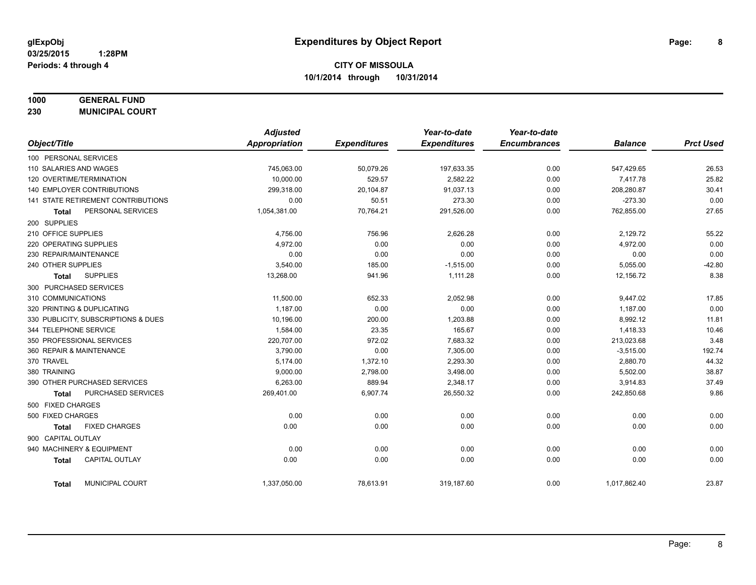# **1000 GENERAL FUND**

**230 MUNICIPAL COURT**

|                                           | <b>Adjusted</b> |                     | Year-to-date        | Year-to-date        |                |                  |
|-------------------------------------------|-----------------|---------------------|---------------------|---------------------|----------------|------------------|
| Object/Title                              | Appropriation   | <b>Expenditures</b> | <b>Expenditures</b> | <b>Encumbrances</b> | <b>Balance</b> | <b>Prct Used</b> |
| 100 PERSONAL SERVICES                     |                 |                     |                     |                     |                |                  |
| 110 SALARIES AND WAGES                    | 745,063.00      | 50,079.26           | 197,633.35          | 0.00                | 547,429.65     | 26.53            |
| 120 OVERTIME/TERMINATION                  | 10.000.00       | 529.57              | 2,582.22            | 0.00                | 7,417.78       | 25.82            |
| 140 EMPLOYER CONTRIBUTIONS                | 299,318.00      | 20,104.87           | 91,037.13           | 0.00                | 208,280.87     | 30.41            |
| 141 STATE RETIREMENT CONTRIBUTIONS        | 0.00            | 50.51               | 273.30              | 0.00                | $-273.30$      | 0.00             |
| PERSONAL SERVICES<br><b>Total</b>         | 1,054,381.00    | 70,764.21           | 291,526.00          | 0.00                | 762,855.00     | 27.65            |
| 200 SUPPLIES                              |                 |                     |                     |                     |                |                  |
| 210 OFFICE SUPPLIES                       | 4,756.00        | 756.96              | 2,626.28            | 0.00                | 2,129.72       | 55.22            |
| 220 OPERATING SUPPLIES                    | 4,972.00        | 0.00                | 0.00                | 0.00                | 4,972.00       | 0.00             |
| 230 REPAIR/MAINTENANCE                    | 0.00            | 0.00                | 0.00                | 0.00                | 0.00           | 0.00             |
| 240 OTHER SUPPLIES                        | 3,540.00        | 185.00              | $-1,515.00$         | 0.00                | 5,055.00       | $-42.80$         |
| <b>SUPPLIES</b><br><b>Total</b>           | 13,268.00       | 941.96              | 1,111.28            | 0.00                | 12,156.72      | 8.38             |
| 300 PURCHASED SERVICES                    |                 |                     |                     |                     |                |                  |
| 310 COMMUNICATIONS                        | 11,500.00       | 652.33              | 2,052.98            | 0.00                | 9,447.02       | 17.85            |
| 320 PRINTING & DUPLICATING                | 1,187.00        | 0.00                | 0.00                | 0.00                | 1,187.00       | 0.00             |
| 330 PUBLICITY, SUBSCRIPTIONS & DUES       | 10,196.00       | 200.00              | 1,203.88            | 0.00                | 8,992.12       | 11.81            |
| 344 TELEPHONE SERVICE                     | 1,584.00        | 23.35               | 165.67              | 0.00                | 1,418.33       | 10.46            |
| 350 PROFESSIONAL SERVICES                 | 220,707.00      | 972.02              | 7,683.32            | 0.00                | 213,023.68     | 3.48             |
| 360 REPAIR & MAINTENANCE                  | 3,790.00        | 0.00                | 7,305.00            | 0.00                | $-3,515.00$    | 192.74           |
| 370 TRAVEL                                | 5,174.00        | 1,372.10            | 2,293.30            | 0.00                | 2,880.70       | 44.32            |
| 380 TRAINING                              | 9,000.00        | 2,798.00            | 3,498.00            | 0.00                | 5,502.00       | 38.87            |
| 390 OTHER PURCHASED SERVICES              | 6,263.00        | 889.94              | 2,348.17            | 0.00                | 3,914.83       | 37.49            |
| <b>PURCHASED SERVICES</b><br><b>Total</b> | 269,401.00      | 6,907.74            | 26,550.32           | 0.00                | 242,850.68     | 9.86             |
| 500 FIXED CHARGES                         |                 |                     |                     |                     |                |                  |
| 500 FIXED CHARGES                         | 0.00            | 0.00                | 0.00                | 0.00                | 0.00           | 0.00             |
| <b>FIXED CHARGES</b><br><b>Total</b>      | 0.00            | 0.00                | 0.00                | 0.00                | 0.00           | 0.00             |
| 900 CAPITAL OUTLAY                        |                 |                     |                     |                     |                |                  |
| 940 MACHINERY & EQUIPMENT                 | 0.00            | 0.00                | 0.00                | 0.00                | 0.00           | 0.00             |
| <b>CAPITAL OUTLAY</b><br><b>Total</b>     | 0.00            | 0.00                | 0.00                | 0.00                | 0.00           | 0.00             |
| MUNICIPAL COURT<br><b>Total</b>           | 1,337,050.00    | 78,613.91           | 319,187.60          | 0.00                | 1,017,862.40   | 23.87            |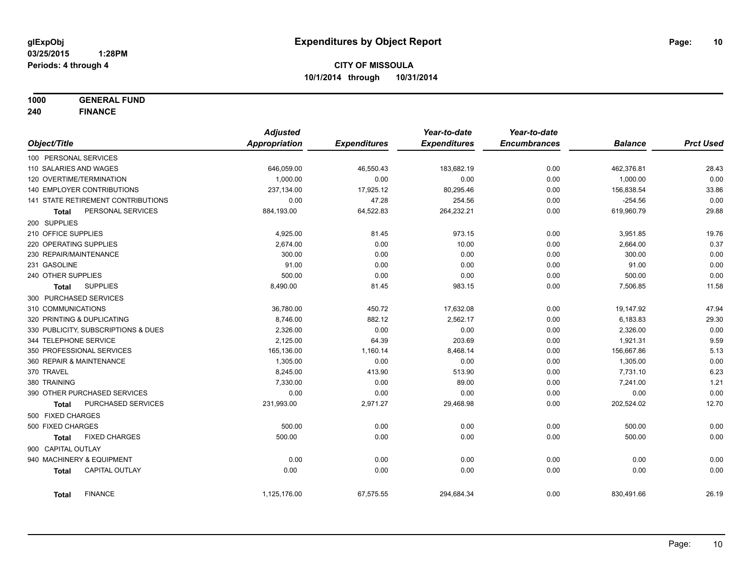**1000 GENERAL FUND**

**240 FINANCE**

|                        |                                     | <b>Adjusted</b>      |                     | Year-to-date        | Year-to-date        |                |                  |
|------------------------|-------------------------------------|----------------------|---------------------|---------------------|---------------------|----------------|------------------|
| Object/Title           |                                     | <b>Appropriation</b> | <b>Expenditures</b> | <b>Expenditures</b> | <b>Encumbrances</b> | <b>Balance</b> | <b>Prct Used</b> |
| 100 PERSONAL SERVICES  |                                     |                      |                     |                     |                     |                |                  |
| 110 SALARIES AND WAGES |                                     | 646,059.00           | 46,550.43           | 183,682.19          | 0.00                | 462,376.81     | 28.43            |
|                        | 120 OVERTIME/TERMINATION            | 1,000.00             | 0.00                | 0.00                | 0.00                | 1,000.00       | 0.00             |
|                        | 140 EMPLOYER CONTRIBUTIONS          | 237,134.00           | 17,925.12           | 80,295.46           | 0.00                | 156,838.54     | 33.86            |
|                        | 141 STATE RETIREMENT CONTRIBUTIONS  | 0.00                 | 47.28               | 254.56              | 0.00                | $-254.56$      | 0.00             |
| Total                  | PERSONAL SERVICES                   | 884,193.00           | 64,522.83           | 264,232.21          | 0.00                | 619,960.79     | 29.88            |
| 200 SUPPLIES           |                                     |                      |                     |                     |                     |                |                  |
| 210 OFFICE SUPPLIES    |                                     | 4,925.00             | 81.45               | 973.15              | 0.00                | 3,951.85       | 19.76            |
| 220 OPERATING SUPPLIES |                                     | 2,674.00             | 0.00                | 10.00               | 0.00                | 2,664.00       | 0.37             |
| 230 REPAIR/MAINTENANCE |                                     | 300.00               | 0.00                | 0.00                | 0.00                | 300.00         | 0.00             |
| 231 GASOLINE           |                                     | 91.00                | 0.00                | 0.00                | 0.00                | 91.00          | 0.00             |
| 240 OTHER SUPPLIES     |                                     | 500.00               | 0.00                | 0.00                | 0.00                | 500.00         | 0.00             |
| <b>Total</b>           | <b>SUPPLIES</b>                     | 8,490.00             | 81.45               | 983.15              | 0.00                | 7,506.85       | 11.58            |
|                        | 300 PURCHASED SERVICES              |                      |                     |                     |                     |                |                  |
| 310 COMMUNICATIONS     |                                     | 36,780.00            | 450.72              | 17,632.08           | 0.00                | 19,147.92      | 47.94            |
|                        | 320 PRINTING & DUPLICATING          | 8,746.00             | 882.12              | 2,562.17            | 0.00                | 6,183.83       | 29.30            |
|                        | 330 PUBLICITY, SUBSCRIPTIONS & DUES | 2,326.00             | 0.00                | 0.00                | 0.00                | 2,326.00       | 0.00             |
| 344 TELEPHONE SERVICE  |                                     | 2,125.00             | 64.39               | 203.69              | 0.00                | 1,921.31       | 9.59             |
|                        | 350 PROFESSIONAL SERVICES           | 165,136.00           | 1,160.14            | 8,468.14            | 0.00                | 156,667.86     | 5.13             |
|                        | 360 REPAIR & MAINTENANCE            | 1,305.00             | 0.00                | 0.00                | 0.00                | 1,305.00       | 0.00             |
| 370 TRAVEL             |                                     | 8,245.00             | 413.90              | 513.90              | 0.00                | 7,731.10       | 6.23             |
| 380 TRAINING           |                                     | 7,330.00             | 0.00                | 89.00               | 0.00                | 7,241.00       | 1.21             |
|                        | 390 OTHER PURCHASED SERVICES        | 0.00                 | 0.00                | 0.00                | 0.00                | 0.00           | 0.00             |
| Total                  | PURCHASED SERVICES                  | 231,993.00           | 2,971.27            | 29,468.98           | 0.00                | 202,524.02     | 12.70            |
| 500 FIXED CHARGES      |                                     |                      |                     |                     |                     |                |                  |
| 500 FIXED CHARGES      |                                     | 500.00               | 0.00                | 0.00                | 0.00                | 500.00         | 0.00             |
| Total                  | <b>FIXED CHARGES</b>                | 500.00               | 0.00                | 0.00                | 0.00                | 500.00         | 0.00             |
| 900 CAPITAL OUTLAY     |                                     |                      |                     |                     |                     |                |                  |
|                        | 940 MACHINERY & EQUIPMENT           | 0.00                 | 0.00                | 0.00                | 0.00                | 0.00           | 0.00             |
| <b>Total</b>           | <b>CAPITAL OUTLAY</b>               | 0.00                 | 0.00                | 0.00                | 0.00                | 0.00           | 0.00             |
| Total                  | <b>FINANCE</b>                      | 1,125,176.00         | 67,575.55           | 294,684.34          | 0.00                | 830,491.66     | 26.19            |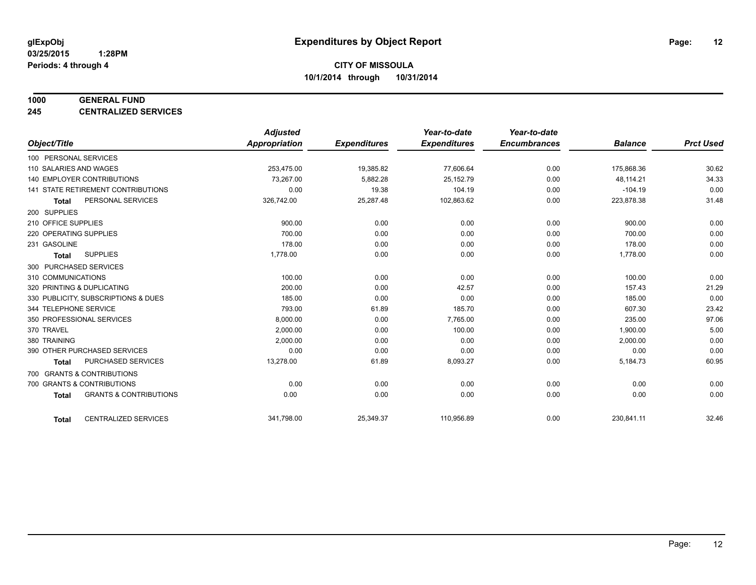#### **1000 GENERAL FUND**

**245 CENTRALIZED SERVICES**

|                                                   | <b>Adjusted</b>      |                     | Year-to-date        | Year-to-date        |                |                  |
|---------------------------------------------------|----------------------|---------------------|---------------------|---------------------|----------------|------------------|
| Object/Title                                      | <b>Appropriation</b> | <b>Expenditures</b> | <b>Expenditures</b> | <b>Encumbrances</b> | <b>Balance</b> | <b>Prct Used</b> |
| 100 PERSONAL SERVICES                             |                      |                     |                     |                     |                |                  |
| 110 SALARIES AND WAGES                            | 253,475.00           | 19,385.82           | 77,606.64           | 0.00                | 175,868.36     | 30.62            |
| <b>140 EMPLOYER CONTRIBUTIONS</b>                 | 73,267.00            | 5,882.28            | 25,152.79           | 0.00                | 48,114.21      | 34.33            |
| 141 STATE RETIREMENT CONTRIBUTIONS                | 0.00                 | 19.38               | 104.19              | 0.00                | $-104.19$      | 0.00             |
| PERSONAL SERVICES<br><b>Total</b>                 | 326,742.00           | 25,287.48           | 102,863.62          | 0.00                | 223,878.38     | 31.48            |
| 200 SUPPLIES                                      |                      |                     |                     |                     |                |                  |
| 210 OFFICE SUPPLIES                               | 900.00               | 0.00                | 0.00                | 0.00                | 900.00         | 0.00             |
| 220 OPERATING SUPPLIES                            | 700.00               | 0.00                | 0.00                | 0.00                | 700.00         | 0.00             |
| 231 GASOLINE                                      | 178.00               | 0.00                | 0.00                | 0.00                | 178.00         | 0.00             |
| <b>SUPPLIES</b><br><b>Total</b>                   | 1,778.00             | 0.00                | 0.00                | 0.00                | 1,778.00       | 0.00             |
| 300 PURCHASED SERVICES                            |                      |                     |                     |                     |                |                  |
| 310 COMMUNICATIONS                                | 100.00               | 0.00                | 0.00                | 0.00                | 100.00         | 0.00             |
| 320 PRINTING & DUPLICATING                        | 200.00               | 0.00                | 42.57               | 0.00                | 157.43         | 21.29            |
| 330 PUBLICITY, SUBSCRIPTIONS & DUES               | 185.00               | 0.00                | 0.00                | 0.00                | 185.00         | 0.00             |
| 344 TELEPHONE SERVICE                             | 793.00               | 61.89               | 185.70              | 0.00                | 607.30         | 23.42            |
| 350 PROFESSIONAL SERVICES                         | 8,000.00             | 0.00                | 7,765.00            | 0.00                | 235.00         | 97.06            |
| 370 TRAVEL                                        | 2,000.00             | 0.00                | 100.00              | 0.00                | 1,900.00       | 5.00             |
| 380 TRAINING                                      | 2,000.00             | 0.00                | 0.00                | 0.00                | 2,000.00       | 0.00             |
| 390 OTHER PURCHASED SERVICES                      | 0.00                 | 0.00                | 0.00                | 0.00                | 0.00           | 0.00             |
| <b>PURCHASED SERVICES</b><br><b>Total</b>         | 13,278.00            | 61.89               | 8,093.27            | 0.00                | 5,184.73       | 60.95            |
| 700 GRANTS & CONTRIBUTIONS                        |                      |                     |                     |                     |                |                  |
| 700 GRANTS & CONTRIBUTIONS                        | 0.00                 | 0.00                | 0.00                | 0.00                | 0.00           | 0.00             |
| <b>GRANTS &amp; CONTRIBUTIONS</b><br><b>Total</b> | 0.00                 | 0.00                | 0.00                | 0.00                | 0.00           | 0.00             |
|                                                   |                      |                     |                     |                     |                |                  |
| <b>CENTRALIZED SERVICES</b><br><b>Total</b>       | 341,798.00           | 25,349.37           | 110,956.89          | 0.00                | 230,841.11     | 32.46            |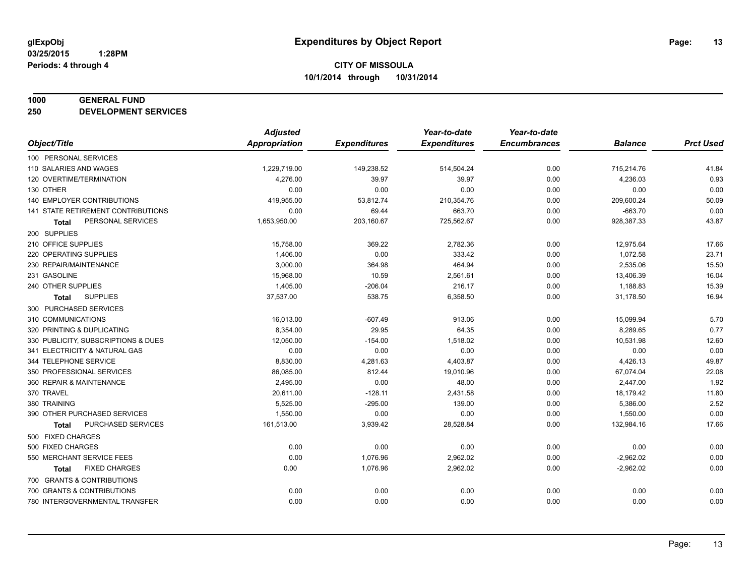#### **1000 GENERAL FUND**

**250 DEVELOPMENT SERVICES**

|                                     | <b>Adjusted</b>      |                     | Year-to-date        | Year-to-date        |                |                  |
|-------------------------------------|----------------------|---------------------|---------------------|---------------------|----------------|------------------|
| Object/Title                        | <b>Appropriation</b> | <b>Expenditures</b> | <b>Expenditures</b> | <b>Encumbrances</b> | <b>Balance</b> | <b>Prct Used</b> |
| 100 PERSONAL SERVICES               |                      |                     |                     |                     |                |                  |
| 110 SALARIES AND WAGES              | 1,229,719.00         | 149,238.52          | 514,504.24          | 0.00                | 715,214.76     | 41.84            |
| 120 OVERTIME/TERMINATION            | 4,276.00             | 39.97               | 39.97               | 0.00                | 4,236.03       | 0.93             |
| 130 OTHER                           | 0.00                 | 0.00                | 0.00                | 0.00                | 0.00           | 0.00             |
| 140 EMPLOYER CONTRIBUTIONS          | 419,955.00           | 53,812.74           | 210,354.76          | 0.00                | 209,600.24     | 50.09            |
| 141 STATE RETIREMENT CONTRIBUTIONS  | 0.00                 | 69.44               | 663.70              | 0.00                | $-663.70$      | 0.00             |
| PERSONAL SERVICES<br><b>Total</b>   | 1,653,950.00         | 203,160.67          | 725,562.67          | 0.00                | 928,387.33     | 43.87            |
| 200 SUPPLIES                        |                      |                     |                     |                     |                |                  |
| 210 OFFICE SUPPLIES                 | 15,758.00            | 369.22              | 2,782.36            | 0.00                | 12,975.64      | 17.66            |
| 220 OPERATING SUPPLIES              | 1,406.00             | 0.00                | 333.42              | 0.00                | 1,072.58       | 23.71            |
| 230 REPAIR/MAINTENANCE              | 3,000.00             | 364.98              | 464.94              | 0.00                | 2,535.06       | 15.50            |
| 231 GASOLINE                        | 15,968.00            | 10.59               | 2,561.61            | 0.00                | 13,406.39      | 16.04            |
| 240 OTHER SUPPLIES                  | 1,405.00             | $-206.04$           | 216.17              | 0.00                | 1,188.83       | 15.39            |
| <b>SUPPLIES</b><br>Total            | 37,537.00            | 538.75              | 6,358.50            | 0.00                | 31,178.50      | 16.94            |
| 300 PURCHASED SERVICES              |                      |                     |                     |                     |                |                  |
| 310 COMMUNICATIONS                  | 16,013.00            | $-607.49$           | 913.06              | 0.00                | 15,099.94      | 5.70             |
| 320 PRINTING & DUPLICATING          | 8,354.00             | 29.95               | 64.35               | 0.00                | 8,289.65       | 0.77             |
| 330 PUBLICITY, SUBSCRIPTIONS & DUES | 12,050.00            | $-154.00$           | 1,518.02            | 0.00                | 10,531.98      | 12.60            |
| 341 ELECTRICITY & NATURAL GAS       | 0.00                 | 0.00                | 0.00                | 0.00                | 0.00           | 0.00             |
| 344 TELEPHONE SERVICE               | 8,830.00             | 4,281.63            | 4,403.87            | 0.00                | 4,426.13       | 49.87            |
| 350 PROFESSIONAL SERVICES           | 86,085.00            | 812.44              | 19,010.96           | 0.00                | 67,074.04      | 22.08            |
| 360 REPAIR & MAINTENANCE            | 2,495.00             | 0.00                | 48.00               | 0.00                | 2,447.00       | 1.92             |
| 370 TRAVEL                          | 20,611.00            | $-128.11$           | 2,431.58            | 0.00                | 18,179.42      | 11.80            |
| 380 TRAINING                        | 5,525.00             | $-295.00$           | 139.00              | 0.00                | 5,386.00       | 2.52             |
| 390 OTHER PURCHASED SERVICES        | 1,550.00             | 0.00                | 0.00                | 0.00                | 1,550.00       | 0.00             |
| PURCHASED SERVICES<br><b>Total</b>  | 161,513.00           | 3,939.42            | 28,528.84           | 0.00                | 132,984.16     | 17.66            |
| 500 FIXED CHARGES                   |                      |                     |                     |                     |                |                  |
| 500 FIXED CHARGES                   | 0.00                 | 0.00                | 0.00                | 0.00                | 0.00           | 0.00             |
| 550 MERCHANT SERVICE FEES           | 0.00                 | 1,076.96            | 2,962.02            | 0.00                | $-2,962.02$    | 0.00             |
| <b>FIXED CHARGES</b><br>Total       | 0.00                 | 1,076.96            | 2,962.02            | 0.00                | $-2,962.02$    | 0.00             |
| 700 GRANTS & CONTRIBUTIONS          |                      |                     |                     |                     |                |                  |
| 700 GRANTS & CONTRIBUTIONS          | 0.00                 | 0.00                | 0.00                | 0.00                | 0.00           | 0.00             |
| 780 INTERGOVERNMENTAL TRANSFER      | 0.00                 | 0.00                | 0.00                | 0.00                | 0.00           | 0.00             |
|                                     |                      |                     |                     |                     |                |                  |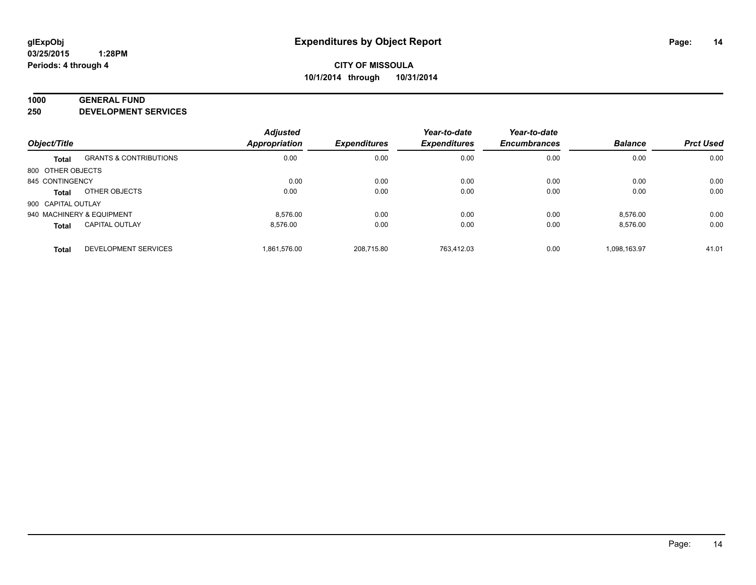#### **1000 GENERAL FUND**

**250 DEVELOPMENT SERVICES**

| Object/Title              |                                   | <b>Adjusted</b>      | <b>Expenditures</b> | Year-to-date<br><b>Expenditures</b> | Year-to-date<br><b>Encumbrances</b> |                |                  |
|---------------------------|-----------------------------------|----------------------|---------------------|-------------------------------------|-------------------------------------|----------------|------------------|
|                           |                                   | <b>Appropriation</b> |                     |                                     |                                     | <b>Balance</b> | <b>Prct Used</b> |
| <b>Total</b>              | <b>GRANTS &amp; CONTRIBUTIONS</b> | 0.00                 | 0.00                | 0.00                                | 0.00                                | 0.00           | 0.00             |
| 800 OTHER OBJECTS         |                                   |                      |                     |                                     |                                     |                |                  |
| 845 CONTINGENCY           |                                   | 0.00                 | 0.00                | 0.00                                | 0.00                                | 0.00           | 0.00             |
| Total                     | OTHER OBJECTS                     | 0.00                 | 0.00                | 0.00                                | 0.00                                | 0.00           | 0.00             |
| 900 CAPITAL OUTLAY        |                                   |                      |                     |                                     |                                     |                |                  |
| 940 MACHINERY & EQUIPMENT |                                   | 8.576.00             | 0.00                | 0.00                                | 0.00                                | 8,576.00       | 0.00             |
| <b>Total</b>              | <b>CAPITAL OUTLAY</b>             | 8.576.00             | 0.00                | 0.00                                | 0.00                                | 8.576.00       | 0.00             |
| <b>Total</b>              | <b>DEVELOPMENT SERVICES</b>       | 1.861.576.00         | 208.715.80          | 763.412.03                          | 0.00                                | 1.098.163.97   | 41.01            |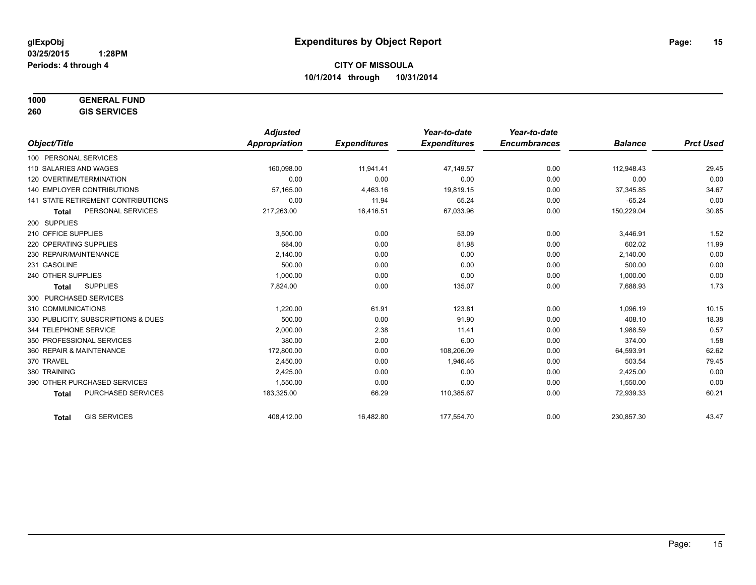# **1000 GENERAL FUND**

**260 GIS SERVICES**

|                                           | <b>Adjusted</b>      |                     | Year-to-date        | Year-to-date        |                |                  |
|-------------------------------------------|----------------------|---------------------|---------------------|---------------------|----------------|------------------|
| Object/Title                              | <b>Appropriation</b> | <b>Expenditures</b> | <b>Expenditures</b> | <b>Encumbrances</b> | <b>Balance</b> | <b>Prct Used</b> |
| 100 PERSONAL SERVICES                     |                      |                     |                     |                     |                |                  |
| 110 SALARIES AND WAGES                    | 160.098.00           | 11,941.41           | 47.149.57           | 0.00                | 112,948.43     | 29.45            |
| 120 OVERTIME/TERMINATION                  | 0.00                 | 0.00                | 0.00                | 0.00                | 0.00           | 0.00             |
| <b>140 EMPLOYER CONTRIBUTIONS</b>         | 57,165.00            | 4,463.16            | 19,819.15           | 0.00                | 37,345.85      | 34.67            |
| 141 STATE RETIREMENT CONTRIBUTIONS        | 0.00                 | 11.94               | 65.24               | 0.00                | $-65.24$       | 0.00             |
| PERSONAL SERVICES<br><b>Total</b>         | 217,263.00           | 16,416.51           | 67,033.96           | 0.00                | 150,229.04     | 30.85            |
| 200 SUPPLIES                              |                      |                     |                     |                     |                |                  |
| 210 OFFICE SUPPLIES                       | 3,500.00             | 0.00                | 53.09               | 0.00                | 3,446.91       | 1.52             |
| 220 OPERATING SUPPLIES                    | 684.00               | 0.00                | 81.98               | 0.00                | 602.02         | 11.99            |
| 230 REPAIR/MAINTENANCE                    | 2,140.00             | 0.00                | 0.00                | 0.00                | 2,140.00       | 0.00             |
| 231 GASOLINE                              | 500.00               | 0.00                | 0.00                | 0.00                | 500.00         | 0.00             |
| 240 OTHER SUPPLIES                        | 1,000.00             | 0.00                | 0.00                | 0.00                | 1,000.00       | 0.00             |
| <b>SUPPLIES</b><br><b>Total</b>           | 7,824.00             | 0.00                | 135.07              | 0.00                | 7,688.93       | 1.73             |
| 300 PURCHASED SERVICES                    |                      |                     |                     |                     |                |                  |
| 310 COMMUNICATIONS                        | 1.220.00             | 61.91               | 123.81              | 0.00                | 1,096.19       | 10.15            |
| 330 PUBLICITY, SUBSCRIPTIONS & DUES       | 500.00               | 0.00                | 91.90               | 0.00                | 408.10         | 18.38            |
| 344 TELEPHONE SERVICE                     | 2,000.00             | 2.38                | 11.41               | 0.00                | 1,988.59       | 0.57             |
| 350 PROFESSIONAL SERVICES                 | 380.00               | 2.00                | 6.00                | 0.00                | 374.00         | 1.58             |
| 360 REPAIR & MAINTENANCE                  | 172,800.00           | 0.00                | 108,206.09          | 0.00                | 64,593.91      | 62.62            |
| 370 TRAVEL                                | 2,450.00             | 0.00                | 1,946.46            | 0.00                | 503.54         | 79.45            |
| 380 TRAINING                              | 2,425.00             | 0.00                | 0.00                | 0.00                | 2,425.00       | 0.00             |
| 390 OTHER PURCHASED SERVICES              | 1,550.00             | 0.00                | 0.00                | 0.00                | 1,550.00       | 0.00             |
| <b>PURCHASED SERVICES</b><br><b>Total</b> | 183,325.00           | 66.29               | 110,385.67          | 0.00                | 72,939.33      | 60.21            |
| <b>GIS SERVICES</b><br><b>Total</b>       | 408,412.00           | 16,482.80           | 177,554.70          | 0.00                | 230,857.30     | 43.47            |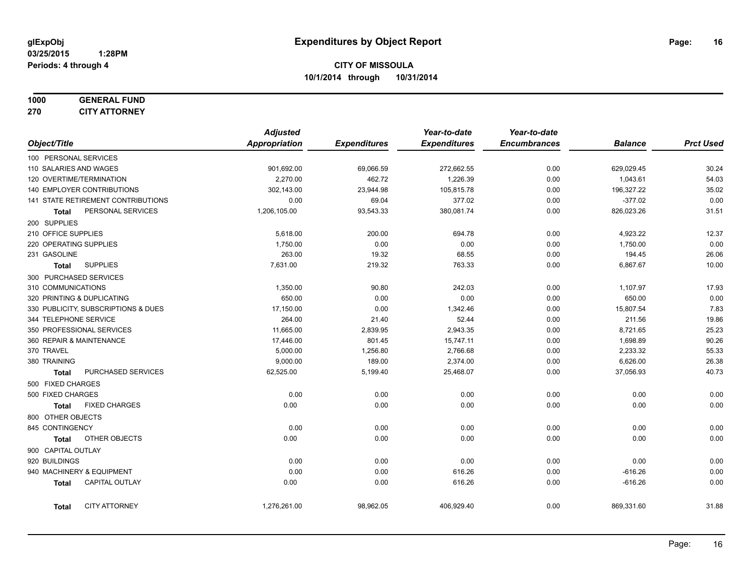#### **1000 GENERAL FUND 270 CITY ATTORNEY**

|                        |                                     | <b>Adjusted</b> |                     | Year-to-date        | Year-to-date        |                |                  |
|------------------------|-------------------------------------|-----------------|---------------------|---------------------|---------------------|----------------|------------------|
| Object/Title           |                                     | Appropriation   | <b>Expenditures</b> | <b>Expenditures</b> | <b>Encumbrances</b> | <b>Balance</b> | <b>Prct Used</b> |
| 100 PERSONAL SERVICES  |                                     |                 |                     |                     |                     |                |                  |
| 110 SALARIES AND WAGES |                                     | 901,692.00      | 69,066.59           | 272,662.55          | 0.00                | 629,029.45     | 30.24            |
|                        | 120 OVERTIME/TERMINATION            | 2,270.00        | 462.72              | 1,226.39            | 0.00                | 1,043.61       | 54.03            |
|                        | <b>140 EMPLOYER CONTRIBUTIONS</b>   | 302,143.00      | 23,944.98           | 105,815.78          | 0.00                | 196,327.22     | 35.02            |
|                        | 141 STATE RETIREMENT CONTRIBUTIONS  | 0.00            | 69.04               | 377.02              | 0.00                | $-377.02$      | 0.00             |
| <b>Total</b>           | PERSONAL SERVICES                   | 1,206,105.00    | 93,543.33           | 380,081.74          | 0.00                | 826,023.26     | 31.51            |
| 200 SUPPLIES           |                                     |                 |                     |                     |                     |                |                  |
| 210 OFFICE SUPPLIES    |                                     | 5,618.00        | 200.00              | 694.78              | 0.00                | 4,923.22       | 12.37            |
| 220 OPERATING SUPPLIES |                                     | 1,750.00        | 0.00                | 0.00                | 0.00                | 1,750.00       | 0.00             |
| 231 GASOLINE           |                                     | 263.00          | 19.32               | 68.55               | 0.00                | 194.45         | 26.06            |
| Total                  | <b>SUPPLIES</b>                     | 7,631.00        | 219.32              | 763.33              | 0.00                | 6,867.67       | 10.00            |
|                        | 300 PURCHASED SERVICES              |                 |                     |                     |                     |                |                  |
| 310 COMMUNICATIONS     |                                     | 1,350.00        | 90.80               | 242.03              | 0.00                | 1,107.97       | 17.93            |
|                        | 320 PRINTING & DUPLICATING          | 650.00          | 0.00                | 0.00                | 0.00                | 650.00         | 0.00             |
|                        | 330 PUBLICITY, SUBSCRIPTIONS & DUES | 17,150.00       | 0.00                | 1,342.46            | 0.00                | 15,807.54      | 7.83             |
| 344 TELEPHONE SERVICE  |                                     | 264.00          | 21.40               | 52.44               | 0.00                | 211.56         | 19.86            |
|                        | 350 PROFESSIONAL SERVICES           | 11,665.00       | 2,839.95            | 2,943.35            | 0.00                | 8,721.65       | 25.23            |
|                        | 360 REPAIR & MAINTENANCE            | 17,446.00       | 801.45              | 15,747.11           | 0.00                | 1,698.89       | 90.26            |
| 370 TRAVEL             |                                     | 5,000.00        | 1,256.80            | 2,766.68            | 0.00                | 2,233.32       | 55.33            |
| 380 TRAINING           |                                     | 9,000.00        | 189.00              | 2,374.00            | 0.00                | 6,626.00       | 26.38            |
| <b>Total</b>           | PURCHASED SERVICES                  | 62,525.00       | 5,199.40            | 25,468.07           | 0.00                | 37,056.93      | 40.73            |
| 500 FIXED CHARGES      |                                     |                 |                     |                     |                     |                |                  |
| 500 FIXED CHARGES      |                                     | 0.00            | 0.00                | 0.00                | 0.00                | 0.00           | 0.00             |
| Total                  | <b>FIXED CHARGES</b>                | 0.00            | 0.00                | 0.00                | 0.00                | 0.00           | 0.00             |
| 800 OTHER OBJECTS      |                                     |                 |                     |                     |                     |                |                  |
| 845 CONTINGENCY        |                                     | 0.00            | 0.00                | 0.00                | 0.00                | 0.00           | 0.00             |
| <b>Total</b>           | OTHER OBJECTS                       | 0.00            | 0.00                | 0.00                | 0.00                | 0.00           | 0.00             |
| 900 CAPITAL OUTLAY     |                                     |                 |                     |                     |                     |                |                  |
| 920 BUILDINGS          |                                     | 0.00            | 0.00                | 0.00                | 0.00                | 0.00           | 0.00             |
|                        | 940 MACHINERY & EQUIPMENT           | 0.00            | 0.00                | 616.26              | 0.00                | $-616.26$      | 0.00             |
| <b>Total</b>           | CAPITAL OUTLAY                      | 0.00            | 0.00                | 616.26              | 0.00                | $-616.26$      | 0.00             |
| Total                  | <b>CITY ATTORNEY</b>                | 1,276,261.00    | 98,962.05           | 406,929.40          | 0.00                | 869,331.60     | 31.88            |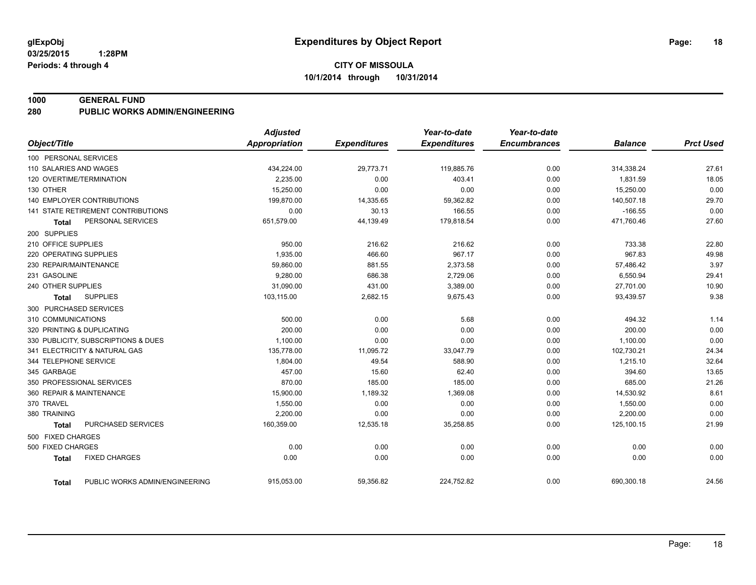#### **1000 GENERAL FUND**

**280 PUBLIC WORKS ADMIN/ENGINEERING**

|                                           | <b>Adjusted</b>      |                     | Year-to-date        | Year-to-date        |                |                  |
|-------------------------------------------|----------------------|---------------------|---------------------|---------------------|----------------|------------------|
| Object/Title                              | <b>Appropriation</b> | <b>Expenditures</b> | <b>Expenditures</b> | <b>Encumbrances</b> | <b>Balance</b> | <b>Prct Used</b> |
| 100 PERSONAL SERVICES                     |                      |                     |                     |                     |                |                  |
| 110 SALARIES AND WAGES                    | 434,224.00           | 29,773.71           | 119,885.76          | 0.00                | 314,338.24     | 27.61            |
| 120 OVERTIME/TERMINATION                  | 2,235.00             | 0.00                | 403.41              | 0.00                | 1,831.59       | 18.05            |
| 130 OTHER                                 | 15,250.00            | 0.00                | 0.00                | 0.00                | 15,250.00      | 0.00             |
| <b>140 EMPLOYER CONTRIBUTIONS</b>         | 199,870.00           | 14,335.65           | 59,362.82           | 0.00                | 140,507.18     | 29.70            |
| <b>141 STATE RETIREMENT CONTRIBUTIONS</b> | 0.00                 | 30.13               | 166.55              | 0.00                | $-166.55$      | 0.00             |
| PERSONAL SERVICES<br>Total                | 651,579.00           | 44,139.49           | 179,818.54          | 0.00                | 471,760.46     | 27.60            |
| 200 SUPPLIES                              |                      |                     |                     |                     |                |                  |
| 210 OFFICE SUPPLIES                       | 950.00               | 216.62              | 216.62              | 0.00                | 733.38         | 22.80            |
| 220 OPERATING SUPPLIES                    | 1,935.00             | 466.60              | 967.17              | 0.00                | 967.83         | 49.98            |
| 230 REPAIR/MAINTENANCE                    | 59,860.00            | 881.55              | 2,373.58            | 0.00                | 57,486.42      | 3.97             |
| 231 GASOLINE                              | 9,280.00             | 686.38              | 2,729.06            | 0.00                | 6,550.94       | 29.41            |
| 240 OTHER SUPPLIES                        | 31,090.00            | 431.00              | 3,389.00            | 0.00                | 27,701.00      | 10.90            |
| <b>SUPPLIES</b><br><b>Total</b>           | 103,115.00           | 2,682.15            | 9,675.43            | 0.00                | 93,439.57      | 9.38             |
| 300 PURCHASED SERVICES                    |                      |                     |                     |                     |                |                  |
| 310 COMMUNICATIONS                        | 500.00               | 0.00                | 5.68                | 0.00                | 494.32         | 1.14             |
| 320 PRINTING & DUPLICATING                | 200.00               | 0.00                | 0.00                | 0.00                | 200.00         | 0.00             |
| 330 PUBLICITY, SUBSCRIPTIONS & DUES       | 1,100.00             | 0.00                | 0.00                | 0.00                | 1,100.00       | 0.00             |
| 341 ELECTRICITY & NATURAL GAS             | 135,778.00           | 11,095.72           | 33,047.79           | 0.00                | 102,730.21     | 24.34            |
| 344 TELEPHONE SERVICE                     | 1,804.00             | 49.54               | 588.90              | 0.00                | 1,215.10       | 32.64            |
| 345 GARBAGE                               | 457.00               | 15.60               | 62.40               | 0.00                | 394.60         | 13.65            |
| 350 PROFESSIONAL SERVICES                 | 870.00               | 185.00              | 185.00              | 0.00                | 685.00         | 21.26            |
| 360 REPAIR & MAINTENANCE                  | 15,900.00            | 1,189.32            | 1,369.08            | 0.00                | 14,530.92      | 8.61             |
| 370 TRAVEL                                | 1,550.00             | 0.00                | 0.00                | 0.00                | 1,550.00       | 0.00             |
| 380 TRAINING                              | 2,200.00             | 0.00                | 0.00                | 0.00                | 2,200.00       | 0.00             |
| PURCHASED SERVICES<br><b>Total</b>        | 160,359.00           | 12,535.18           | 35,258.85           | 0.00                | 125,100.15     | 21.99            |
| 500 FIXED CHARGES                         |                      |                     |                     |                     |                |                  |
| 500 FIXED CHARGES                         | 0.00                 | 0.00                | 0.00                | 0.00                | 0.00           | 0.00             |
| <b>FIXED CHARGES</b><br><b>Total</b>      | 0.00                 | 0.00                | 0.00                | 0.00                | 0.00           | 0.00             |
| PUBLIC WORKS ADMIN/ENGINEERING<br>Total   | 915,053.00           | 59,356.82           | 224,752.82          | 0.00                | 690,300.18     | 24.56            |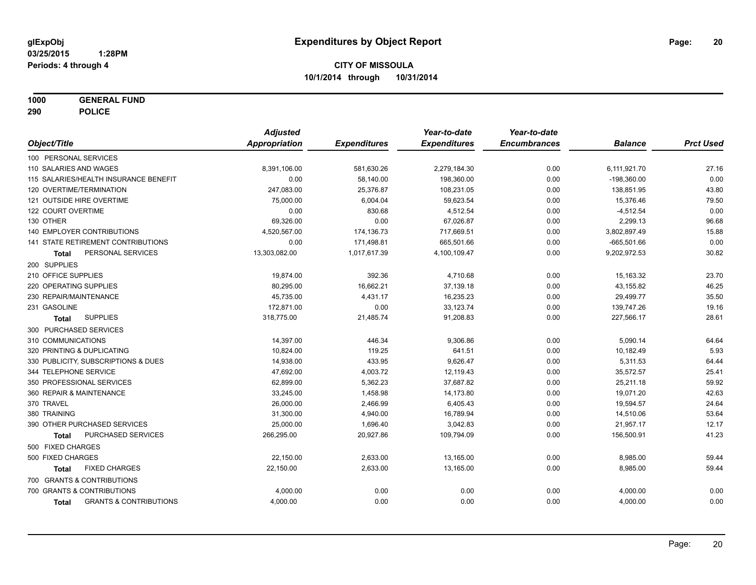**1000 GENERAL FUND**

**290 POLICE**

|                                                   | <b>Adjusted</b> |                     | Year-to-date        | Year-to-date        |                |                  |
|---------------------------------------------------|-----------------|---------------------|---------------------|---------------------|----------------|------------------|
| Object/Title                                      | Appropriation   | <b>Expenditures</b> | <b>Expenditures</b> | <b>Encumbrances</b> | <b>Balance</b> | <b>Prct Used</b> |
| 100 PERSONAL SERVICES                             |                 |                     |                     |                     |                |                  |
| 110 SALARIES AND WAGES                            | 8,391,106.00    | 581,630.26          | 2,279,184.30        | 0.00                | 6,111,921.70   | 27.16            |
| 115 SALARIES/HEALTH INSURANCE BENEFIT             | 0.00            | 58,140.00           | 198,360.00          | 0.00                | $-198,360.00$  | 0.00             |
| 120 OVERTIME/TERMINATION                          | 247,083.00      | 25,376.87           | 108,231.05          | 0.00                | 138,851.95     | 43.80            |
| 121 OUTSIDE HIRE OVERTIME                         | 75,000.00       | 6,004.04            | 59,623.54           | 0.00                | 15,376.46      | 79.50            |
| 122 COURT OVERTIME                                | 0.00            | 830.68              | 4,512.54            | 0.00                | $-4,512.54$    | 0.00             |
| 130 OTHER                                         | 69,326.00       | 0.00                | 67,026.87           | 0.00                | 2,299.13       | 96.68            |
| <b>140 EMPLOYER CONTRIBUTIONS</b>                 | 4,520,567.00    | 174,136.73          | 717,669.51          | 0.00                | 3,802,897.49   | 15.88            |
| 141 STATE RETIREMENT CONTRIBUTIONS                | 0.00            | 171,498.81          | 665,501.66          | 0.00                | $-665,501.66$  | 0.00             |
| PERSONAL SERVICES<br>Total                        | 13,303,082.00   | 1,017,617.39        | 4,100,109.47        | 0.00                | 9,202,972.53   | 30.82            |
| 200 SUPPLIES                                      |                 |                     |                     |                     |                |                  |
| 210 OFFICE SUPPLIES                               | 19,874.00       | 392.36              | 4,710.68            | 0.00                | 15,163.32      | 23.70            |
| 220 OPERATING SUPPLIES                            | 80,295.00       | 16,662.21           | 37,139.18           | 0.00                | 43,155.82      | 46.25            |
| 230 REPAIR/MAINTENANCE                            | 45,735.00       | 4,431.17            | 16,235.23           | 0.00                | 29,499.77      | 35.50            |
| 231 GASOLINE                                      | 172,871.00      | 0.00                | 33,123.74           | 0.00                | 139,747.26     | 19.16            |
| <b>SUPPLIES</b><br><b>Total</b>                   | 318,775.00      | 21,485.74           | 91,208.83           | 0.00                | 227,566.17     | 28.61            |
| 300 PURCHASED SERVICES                            |                 |                     |                     |                     |                |                  |
| 310 COMMUNICATIONS                                | 14,397.00       | 446.34              | 9,306.86            | 0.00                | 5,090.14       | 64.64            |
| 320 PRINTING & DUPLICATING                        | 10.824.00       | 119.25              | 641.51              | 0.00                | 10,182.49      | 5.93             |
| 330 PUBLICITY, SUBSCRIPTIONS & DUES               | 14,938.00       | 433.95              | 9,626.47            | 0.00                | 5,311.53       | 64.44            |
| 344 TELEPHONE SERVICE                             | 47,692.00       | 4,003.72            | 12,119.43           | 0.00                | 35,572.57      | 25.41            |
| 350 PROFESSIONAL SERVICES                         | 62,899.00       | 5,362.23            | 37,687.82           | 0.00                | 25,211.18      | 59.92            |
| 360 REPAIR & MAINTENANCE                          | 33,245.00       | 1,458.98            | 14,173.80           | 0.00                | 19,071.20      | 42.63            |
| 370 TRAVEL                                        | 26,000.00       | 2,466.99            | 6,405.43            | 0.00                | 19,594.57      | 24.64            |
| 380 TRAINING                                      | 31,300.00       | 4,940.00            | 16,789.94           | 0.00                | 14,510.06      | 53.64            |
| 390 OTHER PURCHASED SERVICES                      | 25,000.00       | 1,696.40            | 3,042.83            | 0.00                | 21,957.17      | 12.17            |
| PURCHASED SERVICES<br><b>Total</b>                | 266,295.00      | 20,927.86           | 109,794.09          | 0.00                | 156,500.91     | 41.23            |
| 500 FIXED CHARGES                                 |                 |                     |                     |                     |                |                  |
| 500 FIXED CHARGES                                 | 22,150.00       | 2,633.00            | 13,165.00           | 0.00                | 8,985.00       | 59.44            |
| <b>FIXED CHARGES</b><br><b>Total</b>              | 22,150.00       | 2,633.00            | 13,165.00           | 0.00                | 8,985.00       | 59.44            |
| 700 GRANTS & CONTRIBUTIONS                        |                 |                     |                     |                     |                |                  |
| 700 GRANTS & CONTRIBUTIONS                        | 4,000.00        | 0.00                | 0.00                | 0.00                | 4,000.00       | 0.00             |
| <b>GRANTS &amp; CONTRIBUTIONS</b><br><b>Total</b> | 4,000.00        | 0.00                | 0.00                | 0.00                | 4,000.00       | 0.00             |
|                                                   |                 |                     |                     |                     |                |                  |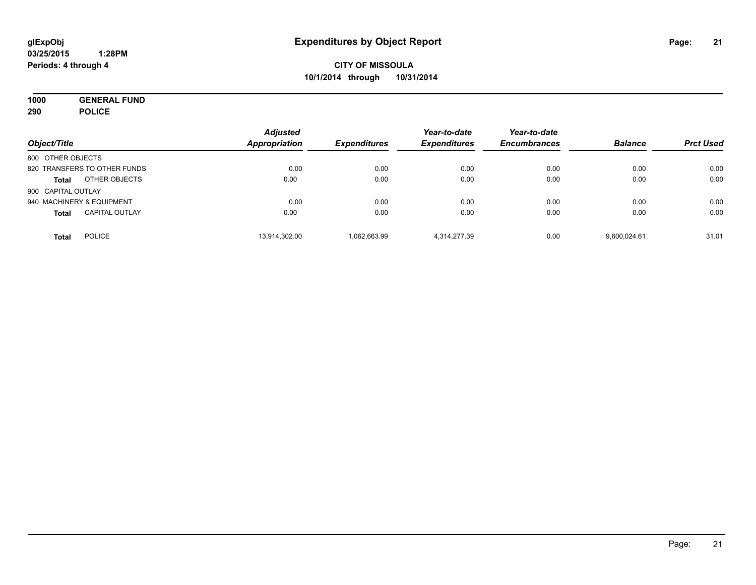**1000 GENERAL FUND 290 POLICE**

| Object/Title                          | <b>Adjusted</b><br>Appropriation | <b>Expenditures</b> | Year-to-date<br><b>Expenditures</b> | Year-to-date<br><b>Encumbrances</b> | <b>Balance</b> | <b>Prct Used</b> |
|---------------------------------------|----------------------------------|---------------------|-------------------------------------|-------------------------------------|----------------|------------------|
| 800 OTHER OBJECTS                     |                                  |                     |                                     |                                     |                |                  |
| 820 TRANSFERS TO OTHER FUNDS          | 0.00                             | 0.00                | 0.00                                | 0.00                                | 0.00           | 0.00             |
| OTHER OBJECTS<br><b>Total</b>         | 0.00                             | 0.00                | 0.00                                | 0.00                                | 0.00           | 0.00             |
| 900 CAPITAL OUTLAY                    |                                  |                     |                                     |                                     |                |                  |
| 940 MACHINERY & EQUIPMENT             | 0.00                             | 0.00                | 0.00                                | 0.00                                | 0.00           | 0.00             |
| <b>CAPITAL OUTLAY</b><br><b>Total</b> | 0.00                             | 0.00                | 0.00                                | 0.00                                | 0.00           | 0.00             |
| <b>POLICE</b><br><b>Total</b>         | 13,914,302.00                    | 1,062,663.99        | 4,314,277.39                        | 0.00                                | 9.600.024.61   | 31.01            |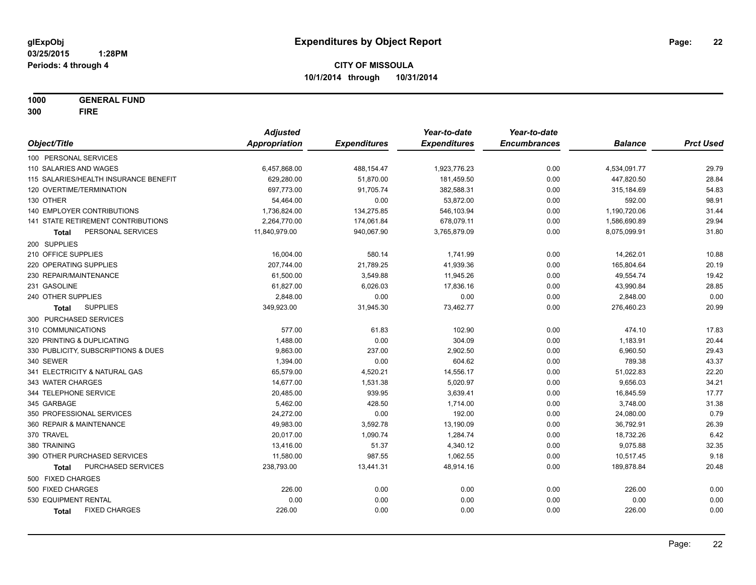**1000 GENERAL FUND 300 FIRE**

|                                           | <b>Adjusted</b> |                     | Year-to-date        | Year-to-date        |                |                  |
|-------------------------------------------|-----------------|---------------------|---------------------|---------------------|----------------|------------------|
| Object/Title                              | Appropriation   | <b>Expenditures</b> | <b>Expenditures</b> | <b>Encumbrances</b> | <b>Balance</b> | <b>Prct Used</b> |
| 100 PERSONAL SERVICES                     |                 |                     |                     |                     |                |                  |
| 110 SALARIES AND WAGES                    | 6,457,868.00    | 488, 154. 47        | 1,923,776.23        | 0.00                | 4,534,091.77   | 29.79            |
| 115 SALARIES/HEALTH INSURANCE BENEFIT     | 629,280.00      | 51,870.00           | 181,459.50          | 0.00                | 447,820.50     | 28.84            |
| 120 OVERTIME/TERMINATION                  | 697,773.00      | 91,705.74           | 382,588.31          | 0.00                | 315,184.69     | 54.83            |
| 130 OTHER                                 | 54,464.00       | 0.00                | 53,872.00           | 0.00                | 592.00         | 98.91            |
| 140 EMPLOYER CONTRIBUTIONS                | 1,736,824.00    | 134,275.85          | 546,103.94          | 0.00                | 1,190,720.06   | 31.44            |
| 141 STATE RETIREMENT CONTRIBUTIONS        | 2,264,770.00    | 174,061.84          | 678,079.11          | 0.00                | 1,586,690.89   | 29.94            |
| PERSONAL SERVICES<br>Total                | 11,840,979.00   | 940,067.90          | 3,765,879.09        | 0.00                | 8,075,099.91   | 31.80            |
| 200 SUPPLIES                              |                 |                     |                     |                     |                |                  |
| 210 OFFICE SUPPLIES                       | 16,004.00       | 580.14              | 1,741.99            | 0.00                | 14,262.01      | 10.88            |
| 220 OPERATING SUPPLIES                    | 207,744.00      | 21,789.25           | 41,939.36           | 0.00                | 165,804.64     | 20.19            |
| 230 REPAIR/MAINTENANCE                    | 61,500.00       | 3,549.88            | 11,945.26           | 0.00                | 49,554.74      | 19.42            |
| 231 GASOLINE                              | 61,827.00       | 6,026.03            | 17,836.16           | 0.00                | 43,990.84      | 28.85            |
| 240 OTHER SUPPLIES                        | 2,848.00        | 0.00                | 0.00                | 0.00                | 2,848.00       | 0.00             |
| <b>SUPPLIES</b><br>Total                  | 349,923.00      | 31,945.30           | 73,462.77           | 0.00                | 276,460.23     | 20.99            |
| 300 PURCHASED SERVICES                    |                 |                     |                     |                     |                |                  |
| 310 COMMUNICATIONS                        | 577.00          | 61.83               | 102.90              | 0.00                | 474.10         | 17.83            |
| 320 PRINTING & DUPLICATING                | 1,488.00        | 0.00                | 304.09              | 0.00                | 1,183.91       | 20.44            |
| 330 PUBLICITY, SUBSCRIPTIONS & DUES       | 9,863.00        | 237.00              | 2,902.50            | 0.00                | 6,960.50       | 29.43            |
| 340 SEWER                                 | 1,394.00        | 0.00                | 604.62              | 0.00                | 789.38         | 43.37            |
| 341 ELECTRICITY & NATURAL GAS             | 65,579.00       | 4,520.21            | 14,556.17           | 0.00                | 51,022.83      | 22.20            |
| 343 WATER CHARGES                         | 14,677.00       | 1,531.38            | 5,020.97            | 0.00                | 9,656.03       | 34.21            |
| 344 TELEPHONE SERVICE                     | 20,485.00       | 939.95              | 3,639.41            | 0.00                | 16,845.59      | 17.77            |
| 345 GARBAGE                               | 5,462.00        | 428.50              | 1,714.00            | 0.00                | 3,748.00       | 31.38            |
| 350 PROFESSIONAL SERVICES                 | 24,272.00       | 0.00                | 192.00              | 0.00                | 24,080.00      | 0.79             |
| 360 REPAIR & MAINTENANCE                  | 49,983.00       | 3,592.78            | 13,190.09           | 0.00                | 36,792.91      | 26.39            |
| 370 TRAVEL                                | 20,017.00       | 1,090.74            | 1,284.74            | 0.00                | 18,732.26      | 6.42             |
| 380 TRAINING                              | 13,416.00       | 51.37               | 4,340.12            | 0.00                | 9,075.88       | 32.35            |
| 390 OTHER PURCHASED SERVICES              | 11,580.00       | 987.55              | 1,062.55            | 0.00                | 10,517.45      | 9.18             |
| <b>PURCHASED SERVICES</b><br><b>Total</b> | 238,793.00      | 13,441.31           | 48,914.16           | 0.00                | 189,878.84     | 20.48            |
| 500 FIXED CHARGES                         |                 |                     |                     |                     |                |                  |
| 500 FIXED CHARGES                         | 226.00          | 0.00                | 0.00                | 0.00                | 226.00         | 0.00             |
| 530 EQUIPMENT RENTAL                      | 0.00            | 0.00                | 0.00                | 0.00                | 0.00           | 0.00             |
| <b>FIXED CHARGES</b><br>Total             | 226.00          | 0.00                | 0.00                | 0.00                | 226.00         | 0.00             |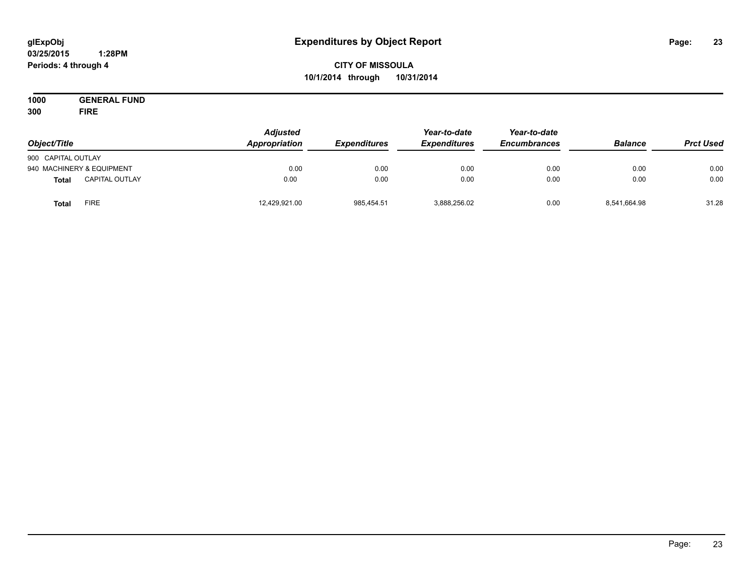#### **03/25/2015 1:28PM Periods: 4 through 4**

# **CITY OF MISSOULA 10/1/2014 through 10/31/2014**

**1000 GENERAL FUND 300 FIRE**

| Object/Title       |                           | <b>Adjusted</b><br>Appropriation | <b>Expenditures</b> | Year-to-date<br><b>Expenditures</b> | Year-to-date<br><b>Encumbrances</b> | <b>Balance</b> | <b>Prct Used</b> |
|--------------------|---------------------------|----------------------------------|---------------------|-------------------------------------|-------------------------------------|----------------|------------------|
| 900 CAPITAL OUTLAY |                           |                                  |                     |                                     |                                     |                |                  |
|                    | 940 MACHINERY & EQUIPMENT | 0.00                             | 0.00                | 0.00                                | 0.00                                | 0.00           | 0.00             |
| <b>Total</b>       | <b>CAPITAL OUTLAY</b>     | 0.00                             | 0.00                | 0.00                                | 0.00                                | 0.00           | 0.00             |
| Total              | <b>FIRE</b>               | 12,429,921.00                    | 985,454.51          | 3,888,256.02                        | 0.00                                | 8,541,664.98   | 31.28            |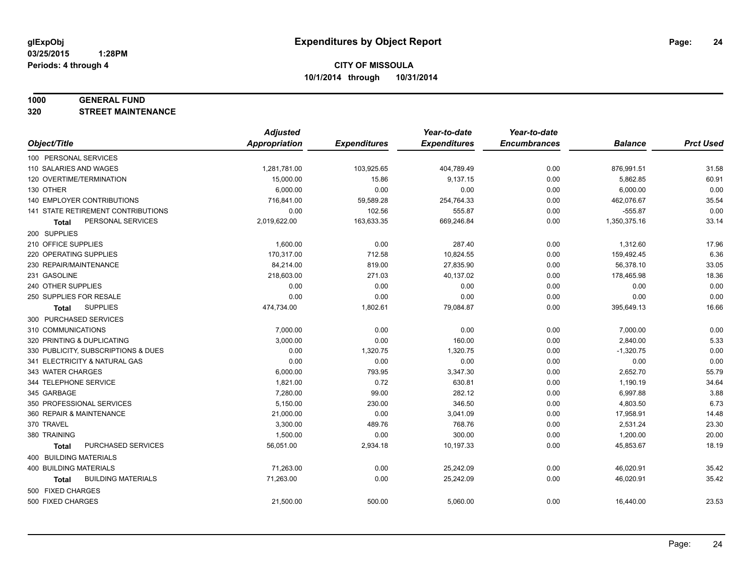#### **1000 GENERAL FUND**

**320 STREET MAINTENANCE**

|                                           | <b>Adjusted</b>      |                     | Year-to-date        | Year-to-date        |                |                  |
|-------------------------------------------|----------------------|---------------------|---------------------|---------------------|----------------|------------------|
| Object/Title                              | <b>Appropriation</b> | <b>Expenditures</b> | <b>Expenditures</b> | <b>Encumbrances</b> | <b>Balance</b> | <b>Prct Used</b> |
| 100 PERSONAL SERVICES                     |                      |                     |                     |                     |                |                  |
| 110 SALARIES AND WAGES                    | 1,281,781.00         | 103,925.65          | 404,789.49          | 0.00                | 876,991.51     | 31.58            |
| 120 OVERTIME/TERMINATION                  | 15,000.00            | 15.86               | 9,137.15            | 0.00                | 5,862.85       | 60.91            |
| 130 OTHER                                 | 6,000.00             | 0.00                | 0.00                | 0.00                | 6,000.00       | 0.00             |
| 140 EMPLOYER CONTRIBUTIONS                | 716,841.00           | 59,589.28           | 254,764.33          | 0.00                | 462,076.67     | 35.54            |
| 141 STATE RETIREMENT CONTRIBUTIONS        | 0.00                 | 102.56              | 555.87              | 0.00                | $-555.87$      | 0.00             |
| PERSONAL SERVICES<br><b>Total</b>         | 2,019,622.00         | 163,633.35          | 669,246.84          | 0.00                | 1,350,375.16   | 33.14            |
| 200 SUPPLIES                              |                      |                     |                     |                     |                |                  |
| 210 OFFICE SUPPLIES                       | 1,600.00             | 0.00                | 287.40              | 0.00                | 1,312.60       | 17.96            |
| 220 OPERATING SUPPLIES                    | 170,317.00           | 712.58              | 10,824.55           | 0.00                | 159,492.45     | 6.36             |
| 230 REPAIR/MAINTENANCE                    | 84,214.00            | 819.00              | 27,835.90           | 0.00                | 56,378.10      | 33.05            |
| 231 GASOLINE                              | 218,603.00           | 271.03              | 40,137.02           | 0.00                | 178,465.98     | 18.36            |
| 240 OTHER SUPPLIES                        | 0.00                 | 0.00                | 0.00                | 0.00                | 0.00           | 0.00             |
| 250 SUPPLIES FOR RESALE                   | 0.00                 | 0.00                | 0.00                | 0.00                | 0.00           | 0.00             |
| <b>SUPPLIES</b><br>Total                  | 474,734.00           | 1,802.61            | 79,084.87           | 0.00                | 395,649.13     | 16.66            |
| 300 PURCHASED SERVICES                    |                      |                     |                     |                     |                |                  |
| 310 COMMUNICATIONS                        | 7,000.00             | 0.00                | 0.00                | 0.00                | 7,000.00       | 0.00             |
| 320 PRINTING & DUPLICATING                | 3,000.00             | 0.00                | 160.00              | 0.00                | 2,840.00       | 5.33             |
| 330 PUBLICITY, SUBSCRIPTIONS & DUES       | 0.00                 | 1,320.75            | 1,320.75            | 0.00                | $-1,320.75$    | 0.00             |
| 341 ELECTRICITY & NATURAL GAS             | 0.00                 | 0.00                | 0.00                | 0.00                | 0.00           | 0.00             |
| 343 WATER CHARGES                         | 6,000.00             | 793.95              | 3,347.30            | 0.00                | 2,652.70       | 55.79            |
| 344 TELEPHONE SERVICE                     | 1.821.00             | 0.72                | 630.81              | 0.00                | 1,190.19       | 34.64            |
| 345 GARBAGE                               | 7,280.00             | 99.00               | 282.12              | 0.00                | 6,997.88       | 3.88             |
| 350 PROFESSIONAL SERVICES                 | 5,150.00             | 230.00              | 346.50              | 0.00                | 4,803.50       | 6.73             |
| 360 REPAIR & MAINTENANCE                  | 21,000.00            | 0.00                | 3,041.09            | 0.00                | 17,958.91      | 14.48            |
| 370 TRAVEL                                | 3,300.00             | 489.76              | 768.76              | 0.00                | 2,531.24       | 23.30            |
| 380 TRAINING                              | 1,500.00             | 0.00                | 300.00              | 0.00                | 1,200.00       | 20.00            |
| PURCHASED SERVICES<br><b>Total</b>        | 56,051.00            | 2,934.18            | 10,197.33           | 0.00                | 45,853.67      | 18.19            |
| 400 BUILDING MATERIALS                    |                      |                     |                     |                     |                |                  |
| 400 BUILDING MATERIALS                    | 71,263.00            | 0.00                | 25,242.09           | 0.00                | 46,020.91      | 35.42            |
| <b>BUILDING MATERIALS</b><br><b>Total</b> | 71,263.00            | 0.00                | 25,242.09           | 0.00                | 46,020.91      | 35.42            |
| 500 FIXED CHARGES                         |                      |                     |                     |                     |                |                  |
| 500 FIXED CHARGES                         | 21,500.00            | 500.00              | 5,060.00            | 0.00                | 16,440.00      | 23.53            |
|                                           |                      |                     |                     |                     |                |                  |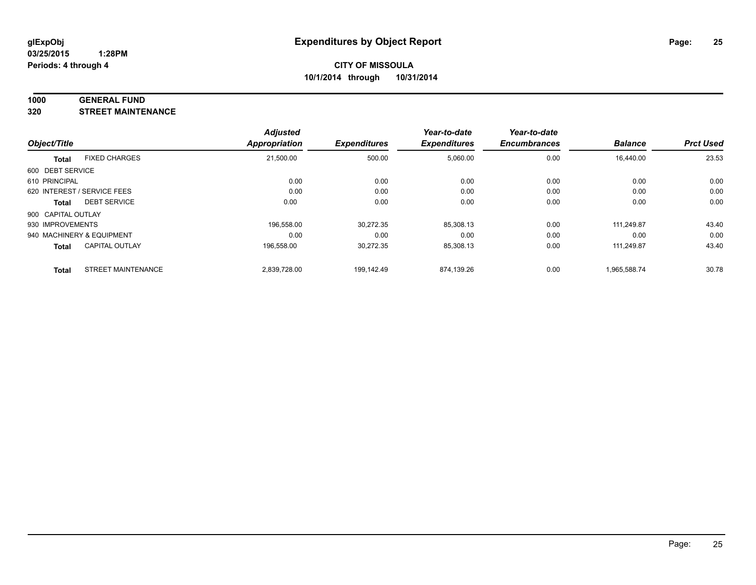#### **1000 GENERAL FUND**

**320 STREET MAINTENANCE**

|                    |                             | <b>Adjusted</b> |                     | Year-to-date        | Year-to-date        |                |                  |
|--------------------|-----------------------------|-----------------|---------------------|---------------------|---------------------|----------------|------------------|
| Object/Title       |                             | Appropriation   | <b>Expenditures</b> | <b>Expenditures</b> | <b>Encumbrances</b> | <b>Balance</b> | <b>Prct Used</b> |
| <b>Total</b>       | <b>FIXED CHARGES</b>        | 21,500.00       | 500.00              | 5,060.00            | 0.00                | 16,440.00      | 23.53            |
| 600 DEBT SERVICE   |                             |                 |                     |                     |                     |                |                  |
| 610 PRINCIPAL      |                             | 0.00            | 0.00                | 0.00                | 0.00                | 0.00           | 0.00             |
|                    | 620 INTEREST / SERVICE FEES | 0.00            | 0.00                | 0.00                | 0.00                | 0.00           | 0.00             |
| Total              | <b>DEBT SERVICE</b>         | 0.00            | 0.00                | 0.00                | 0.00                | 0.00           | 0.00             |
| 900 CAPITAL OUTLAY |                             |                 |                     |                     |                     |                |                  |
| 930 IMPROVEMENTS   |                             | 196.558.00      | 30,272.35           | 85,308.13           | 0.00                | 111.249.87     | 43.40            |
|                    | 940 MACHINERY & EQUIPMENT   | 0.00            | 0.00                | 0.00                | 0.00                | 0.00           | 0.00             |
| <b>Total</b>       | <b>CAPITAL OUTLAY</b>       | 196,558.00      | 30,272.35           | 85,308.13           | 0.00                | 111.249.87     | 43.40            |
| <b>Total</b>       | <b>STREET MAINTENANCE</b>   | 2.839.728.00    | 199.142.49          | 874.139.26          | 0.00                | 1.965.588.74   | 30.78            |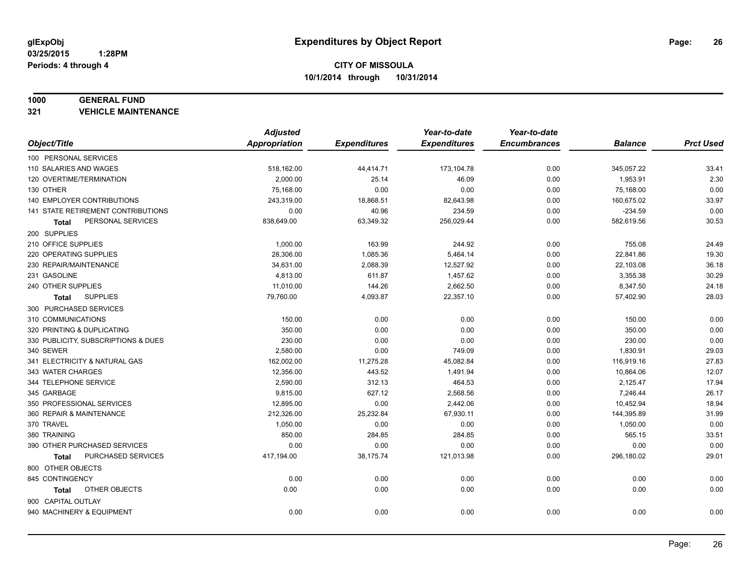#### **1000 GENERAL FUND**

**321 VEHICLE MAINTENANCE**

|                                           | <b>Adjusted</b> |                     | Year-to-date        | Year-to-date        |                |                  |
|-------------------------------------------|-----------------|---------------------|---------------------|---------------------|----------------|------------------|
| Object/Title                              | Appropriation   | <b>Expenditures</b> | <b>Expenditures</b> | <b>Encumbrances</b> | <b>Balance</b> | <b>Prct Used</b> |
| 100 PERSONAL SERVICES                     |                 |                     |                     |                     |                |                  |
| 110 SALARIES AND WAGES                    | 518,162.00      | 44,414.71           | 173,104.78          | 0.00                | 345,057.22     | 33.41            |
| 120 OVERTIME/TERMINATION                  | 2,000.00        | 25.14               | 46.09               | 0.00                | 1,953.91       | 2.30             |
| 130 OTHER                                 | 75,168.00       | 0.00                | 0.00                | 0.00                | 75,168.00      | 0.00             |
| 140 EMPLOYER CONTRIBUTIONS                | 243,319.00      | 18,868.51           | 82,643.98           | 0.00                | 160,675.02     | 33.97            |
| <b>141 STATE RETIREMENT CONTRIBUTIONS</b> | 0.00            | 40.96               | 234.59              | 0.00                | $-234.59$      | 0.00             |
| PERSONAL SERVICES<br>Total                | 838,649.00      | 63,349.32           | 256,029.44          | 0.00                | 582,619.56     | 30.53            |
| 200 SUPPLIES                              |                 |                     |                     |                     |                |                  |
| 210 OFFICE SUPPLIES                       | 1,000.00        | 163.99              | 244.92              | 0.00                | 755.08         | 24.49            |
| 220 OPERATING SUPPLIES                    | 28,306.00       | 1,085.36            | 5,464.14            | 0.00                | 22,841.86      | 19.30            |
| 230 REPAIR/MAINTENANCE                    | 34,631.00       | 2,088.39            | 12,527.92           | 0.00                | 22,103.08      | 36.18            |
| 231 GASOLINE                              | 4,813.00        | 611.87              | 1,457.62            | 0.00                | 3,355.38       | 30.29            |
| 240 OTHER SUPPLIES                        | 11,010.00       | 144.26              | 2,662.50            | 0.00                | 8,347.50       | 24.18            |
| <b>SUPPLIES</b><br>Total                  | 79,760.00       | 4,093.87            | 22,357.10           | 0.00                | 57,402.90      | 28.03            |
| 300 PURCHASED SERVICES                    |                 |                     |                     |                     |                |                  |
| 310 COMMUNICATIONS                        | 150.00          | 0.00                | 0.00                | 0.00                | 150.00         | 0.00             |
| 320 PRINTING & DUPLICATING                | 350.00          | 0.00                | 0.00                | 0.00                | 350.00         | 0.00             |
| 330 PUBLICITY, SUBSCRIPTIONS & DUES       | 230.00          | 0.00                | 0.00                | 0.00                | 230.00         | 0.00             |
| 340 SEWER                                 | 2,580.00        | 0.00                | 749.09              | 0.00                | 1,830.91       | 29.03            |
| 341 ELECTRICITY & NATURAL GAS             | 162,002.00      | 11,275.28           | 45,082.84           | 0.00                | 116,919.16     | 27.83            |
| 343 WATER CHARGES                         | 12,356.00       | 443.52              | 1,491.94            | 0.00                | 10,864.06      | 12.07            |
| 344 TELEPHONE SERVICE                     | 2,590.00        | 312.13              | 464.53              | 0.00                | 2,125.47       | 17.94            |
| 345 GARBAGE                               | 9,815.00        | 627.12              | 2,568.56            | 0.00                | 7,246.44       | 26.17            |
| 350 PROFESSIONAL SERVICES                 | 12,895.00       | 0.00                | 2,442.06            | 0.00                | 10,452.94      | 18.94            |
| 360 REPAIR & MAINTENANCE                  | 212,326.00      | 25,232.84           | 67,930.11           | 0.00                | 144,395.89     | 31.99            |
| 370 TRAVEL                                | 1,050.00        | 0.00                | 0.00                | 0.00                | 1,050.00       | 0.00             |
| 380 TRAINING                              | 850.00          | 284.85              | 284.85              | 0.00                | 565.15         | 33.51            |
| 390 OTHER PURCHASED SERVICES              | 0.00            | 0.00                | 0.00                | 0.00                | 0.00           | 0.00             |
| PURCHASED SERVICES<br><b>Total</b>        | 417,194.00      | 38,175.74           | 121,013.98          | 0.00                | 296,180.02     | 29.01            |
| 800 OTHER OBJECTS                         |                 |                     |                     |                     |                |                  |
| 845 CONTINGENCY                           | 0.00            | 0.00                | 0.00                | 0.00                | 0.00           | 0.00             |
| OTHER OBJECTS<br>Total                    | 0.00            | 0.00                | 0.00                | 0.00                | 0.00           | 0.00             |
| 900 CAPITAL OUTLAY                        |                 |                     |                     |                     |                |                  |
| 940 MACHINERY & EQUIPMENT                 | 0.00            | 0.00                | 0.00                | 0.00                | 0.00           | 0.00             |
|                                           |                 |                     |                     |                     |                |                  |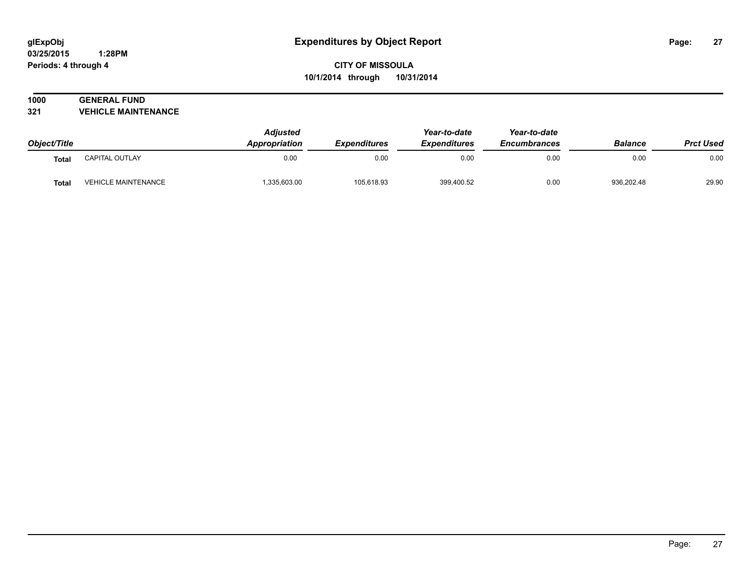# **1000 GENERAL FUND**

**321 VEHICLE MAINTENANCE**

|              |                            | <b>Adjusted</b> |                            | Year-to-date<br><b>Expenditures</b> | Year-to-date<br><b>Encumbrances</b> |                |                  |
|--------------|----------------------------|-----------------|----------------------------|-------------------------------------|-------------------------------------|----------------|------------------|
| Object/Title |                            | Appropriation   | <i><b>Expenditures</b></i> |                                     |                                     | <b>Balance</b> | <b>Prct Used</b> |
| <b>Total</b> | CAPITAL OUTLAY             | 0.00            | 0.00                       | 0.00                                | 0.00                                | 0.00           | 0.00             |
| <b>Total</b> | <b>VEHICLE MAINTENANCE</b> | .335,603.00     | 105,618.93                 | 399,400.52                          | 0.00                                | 936,202.48     | 29.90            |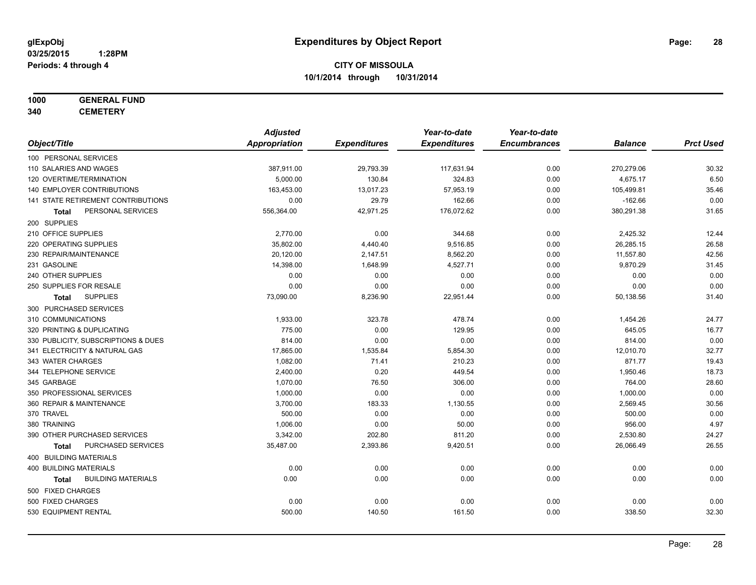# **1000 GENERAL FUND**

**340 CEMETERY**

|                                           | <b>Adjusted</b>      |                     | Year-to-date        | Year-to-date        |                |                  |
|-------------------------------------------|----------------------|---------------------|---------------------|---------------------|----------------|------------------|
| Object/Title                              | <b>Appropriation</b> | <b>Expenditures</b> | <b>Expenditures</b> | <b>Encumbrances</b> | <b>Balance</b> | <b>Prct Used</b> |
| 100 PERSONAL SERVICES                     |                      |                     |                     |                     |                |                  |
| 110 SALARIES AND WAGES                    | 387,911.00           | 29,793.39           | 117,631.94          | 0.00                | 270,279.06     | 30.32            |
| 120 OVERTIME/TERMINATION                  | 5,000.00             | 130.84              | 324.83              | 0.00                | 4,675.17       | 6.50             |
| <b>140 EMPLOYER CONTRIBUTIONS</b>         | 163,453.00           | 13,017.23           | 57,953.19           | 0.00                | 105,499.81     | 35.46            |
| 141 STATE RETIREMENT CONTRIBUTIONS        | 0.00                 | 29.79               | 162.66              | 0.00                | $-162.66$      | 0.00             |
| PERSONAL SERVICES<br>Total                | 556,364.00           | 42,971.25           | 176,072.62          | 0.00                | 380,291.38     | 31.65            |
| 200 SUPPLIES                              |                      |                     |                     |                     |                |                  |
| 210 OFFICE SUPPLIES                       | 2,770.00             | 0.00                | 344.68              | 0.00                | 2,425.32       | 12.44            |
| 220 OPERATING SUPPLIES                    | 35,802.00            | 4,440.40            | 9,516.85            | 0.00                | 26,285.15      | 26.58            |
| 230 REPAIR/MAINTENANCE                    | 20,120.00            | 2,147.51            | 8,562.20            | 0.00                | 11,557.80      | 42.56            |
| 231 GASOLINE                              | 14,398.00            | 1,648.99            | 4,527.71            | 0.00                | 9,870.29       | 31.45            |
| 240 OTHER SUPPLIES                        | 0.00                 | 0.00                | 0.00                | 0.00                | 0.00           | 0.00             |
| 250 SUPPLIES FOR RESALE                   | 0.00                 | 0.00                | 0.00                | 0.00                | 0.00           | 0.00             |
| <b>SUPPLIES</b><br>Total                  | 73,090.00            | 8,236.90            | 22,951.44           | 0.00                | 50,138.56      | 31.40            |
| 300 PURCHASED SERVICES                    |                      |                     |                     |                     |                |                  |
| 310 COMMUNICATIONS                        | 1,933.00             | 323.78              | 478.74              | 0.00                | 1,454.26       | 24.77            |
| 320 PRINTING & DUPLICATING                | 775.00               | 0.00                | 129.95              | 0.00                | 645.05         | 16.77            |
| 330 PUBLICITY, SUBSCRIPTIONS & DUES       | 814.00               | 0.00                | 0.00                | 0.00                | 814.00         | 0.00             |
| 341 ELECTRICITY & NATURAL GAS             | 17,865.00            | 1,535.84            | 5,854.30            | 0.00                | 12,010.70      | 32.77            |
| 343 WATER CHARGES                         | 1,082.00             | 71.41               | 210.23              | 0.00                | 871.77         | 19.43            |
| 344 TELEPHONE SERVICE                     | 2,400.00             | 0.20                | 449.54              | 0.00                | 1,950.46       | 18.73            |
| 345 GARBAGE                               | 1,070.00             | 76.50               | 306.00              | 0.00                | 764.00         | 28.60            |
| 350 PROFESSIONAL SERVICES                 | 1,000.00             | 0.00                | 0.00                | 0.00                | 1,000.00       | 0.00             |
| 360 REPAIR & MAINTENANCE                  | 3,700.00             | 183.33              | 1,130.55            | 0.00                | 2,569.45       | 30.56            |
| 370 TRAVEL                                | 500.00               | 0.00                | 0.00                | 0.00                | 500.00         | 0.00             |
| 380 TRAINING                              | 1,006.00             | 0.00                | 50.00               | 0.00                | 956.00         | 4.97             |
| 390 OTHER PURCHASED SERVICES              | 3,342.00             | 202.80              | 811.20              | 0.00                | 2,530.80       | 24.27            |
| PURCHASED SERVICES<br>Total               | 35,487.00            | 2,393.86            | 9,420.51            | 0.00                | 26,066.49      | 26.55            |
| 400 BUILDING MATERIALS                    |                      |                     |                     |                     |                |                  |
| <b>400 BUILDING MATERIALS</b>             | 0.00                 | 0.00                | 0.00                | 0.00                | 0.00           | 0.00             |
| <b>BUILDING MATERIALS</b><br><b>Total</b> | 0.00                 | 0.00                | 0.00                | 0.00                | 0.00           | 0.00             |
| 500 FIXED CHARGES                         |                      |                     |                     |                     |                |                  |
| 500 FIXED CHARGES                         | 0.00                 | 0.00                | 0.00                | 0.00                | 0.00           | 0.00             |
| 530 EQUIPMENT RENTAL                      | 500.00               | 140.50              | 161.50              | 0.00                | 338.50         | 32.30            |
|                                           |                      |                     |                     |                     |                |                  |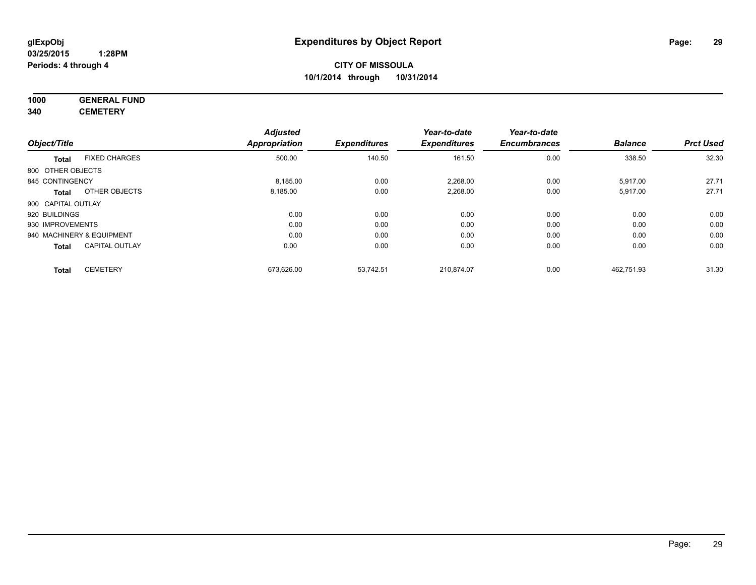# **1000 GENERAL FUND**

**340 CEMETERY**

|                    |                           | <b>Adjusted</b>      |                     | Year-to-date        | Year-to-date        |                |                  |
|--------------------|---------------------------|----------------------|---------------------|---------------------|---------------------|----------------|------------------|
| Object/Title       |                           | <b>Appropriation</b> | <b>Expenditures</b> | <b>Expenditures</b> | <b>Encumbrances</b> | <b>Balance</b> | <b>Prct Used</b> |
| Total              | <b>FIXED CHARGES</b>      | 500.00               | 140.50              | 161.50              | 0.00                | 338.50         | 32.30            |
| 800 OTHER OBJECTS  |                           |                      |                     |                     |                     |                |                  |
| 845 CONTINGENCY    |                           | 8,185.00             | 0.00                | 2,268.00            | 0.00                | 5,917.00       | 27.71            |
| Total              | OTHER OBJECTS             | 8,185.00             | 0.00                | 2,268.00            | 0.00                | 5,917.00       | 27.71            |
| 900 CAPITAL OUTLAY |                           |                      |                     |                     |                     |                |                  |
| 920 BUILDINGS      |                           | 0.00                 | 0.00                | 0.00                | 0.00                | 0.00           | 0.00             |
| 930 IMPROVEMENTS   |                           | 0.00                 | 0.00                | 0.00                | 0.00                | 0.00           | 0.00             |
|                    | 940 MACHINERY & EQUIPMENT | 0.00                 | 0.00                | 0.00                | 0.00                | 0.00           | 0.00             |
| Total              | <b>CAPITAL OUTLAY</b>     | 0.00                 | 0.00                | 0.00                | 0.00                | 0.00           | 0.00             |
| <b>Total</b>       | <b>CEMETERY</b>           | 673,626.00           | 53,742.51           | 210,874.07          | 0.00                | 462.751.93     | 31.30            |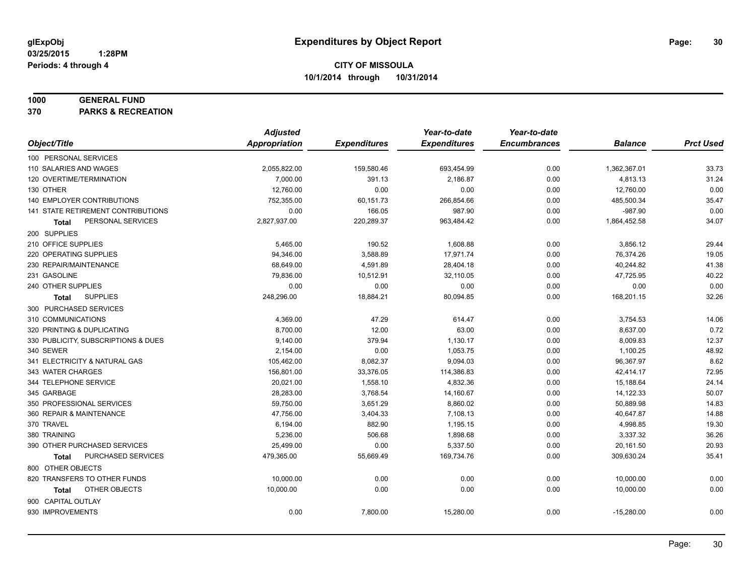#### **1000 GENERAL FUND**

**370 PARKS & RECREATION**

|                                           | <b>Adjusted</b> |                     | Year-to-date        | Year-to-date        |                |                  |
|-------------------------------------------|-----------------|---------------------|---------------------|---------------------|----------------|------------------|
| Object/Title                              | Appropriation   | <b>Expenditures</b> | <b>Expenditures</b> | <b>Encumbrances</b> | <b>Balance</b> | <b>Prct Used</b> |
| 100 PERSONAL SERVICES                     |                 |                     |                     |                     |                |                  |
| 110 SALARIES AND WAGES                    | 2,055,822.00    | 159,580.46          | 693,454.99          | 0.00                | 1,362,367.01   | 33.73            |
| 120 OVERTIME/TERMINATION                  | 7,000.00        | 391.13              | 2,186.87            | 0.00                | 4,813.13       | 31.24            |
| 130 OTHER                                 | 12,760.00       | 0.00                | 0.00                | 0.00                | 12,760.00      | 0.00             |
| 140 EMPLOYER CONTRIBUTIONS                | 752.355.00      | 60,151.73           | 266,854.66          | 0.00                | 485,500.34     | 35.47            |
| <b>141 STATE RETIREMENT CONTRIBUTIONS</b> | 0.00            | 166.05              | 987.90              | 0.00                | $-987.90$      | 0.00             |
| PERSONAL SERVICES<br>Total                | 2,827,937.00    | 220,289.37          | 963,484.42          | 0.00                | 1,864,452.58   | 34.07            |
| 200 SUPPLIES                              |                 |                     |                     |                     |                |                  |
| 210 OFFICE SUPPLIES                       | 5,465.00        | 190.52              | 1,608.88            | 0.00                | 3,856.12       | 29.44            |
| 220 OPERATING SUPPLIES                    | 94,346.00       | 3,588.89            | 17,971.74           | 0.00                | 76,374.26      | 19.05            |
| 230 REPAIR/MAINTENANCE                    | 68,649.00       | 4,591.89            | 28,404.18           | 0.00                | 40,244.82      | 41.38            |
| 231 GASOLINE                              | 79,836.00       | 10,512.91           | 32,110.05           | 0.00                | 47,725.95      | 40.22            |
| 240 OTHER SUPPLIES                        | 0.00            | 0.00                | 0.00                | 0.00                | 0.00           | 0.00             |
| <b>SUPPLIES</b><br>Total                  | 248,296.00      | 18,884.21           | 80,094.85           | 0.00                | 168,201.15     | 32.26            |
| 300 PURCHASED SERVICES                    |                 |                     |                     |                     |                |                  |
| 310 COMMUNICATIONS                        | 4,369.00        | 47.29               | 614.47              | 0.00                | 3,754.53       | 14.06            |
| 320 PRINTING & DUPLICATING                | 8,700.00        | 12.00               | 63.00               | 0.00                | 8,637.00       | 0.72             |
| 330 PUBLICITY, SUBSCRIPTIONS & DUES       | 9,140.00        | 379.94              | 1,130.17            | 0.00                | 8,009.83       | 12.37            |
| 340 SEWER                                 | 2,154.00        | 0.00                | 1,053.75            | 0.00                | 1,100.25       | 48.92            |
| 341 ELECTRICITY & NATURAL GAS             | 105,462.00      | 8,082.37            | 9,094.03            | 0.00                | 96,367.97      | 8.62             |
| 343 WATER CHARGES                         | 156,801.00      | 33,376.05           | 114,386.83          | 0.00                | 42,414.17      | 72.95            |
| 344 TELEPHONE SERVICE                     | 20,021.00       | 1,558.10            | 4,832.36            | 0.00                | 15,188.64      | 24.14            |
| 345 GARBAGE                               | 28,283.00       | 3,768.54            | 14,160.67           | 0.00                | 14,122.33      | 50.07            |
| 350 PROFESSIONAL SERVICES                 | 59,750.00       | 3,651.29            | 8,860.02            | 0.00                | 50,889.98      | 14.83            |
| 360 REPAIR & MAINTENANCE                  | 47,756.00       | 3,404.33            | 7,108.13            | 0.00                | 40,647.87      | 14.88            |
| 370 TRAVEL                                | 6,194.00        | 882.90              | 1,195.15            | 0.00                | 4,998.85       | 19.30            |
| 380 TRAINING                              | 5,236.00        | 506.68              | 1,898.68            | 0.00                | 3,337.32       | 36.26            |
| 390 OTHER PURCHASED SERVICES              | 25,499.00       | 0.00                | 5,337.50            | 0.00                | 20,161.50      | 20.93            |
| PURCHASED SERVICES<br><b>Total</b>        | 479,365.00      | 55,669.49           | 169,734.76          | 0.00                | 309,630.24     | 35.41            |
| 800 OTHER OBJECTS                         |                 |                     |                     |                     |                |                  |
| 820 TRANSFERS TO OTHER FUNDS              | 10,000.00       | 0.00                | 0.00                | 0.00                | 10,000.00      | 0.00             |
| OTHER OBJECTS<br>Total                    | 10,000.00       | 0.00                | 0.00                | 0.00                | 10,000.00      | 0.00             |
| 900 CAPITAL OUTLAY                        |                 |                     |                     |                     |                |                  |
| 930 IMPROVEMENTS                          | 0.00            | 7,800.00            | 15,280.00           | 0.00                | $-15,280.00$   | 0.00             |
|                                           |                 |                     |                     |                     |                |                  |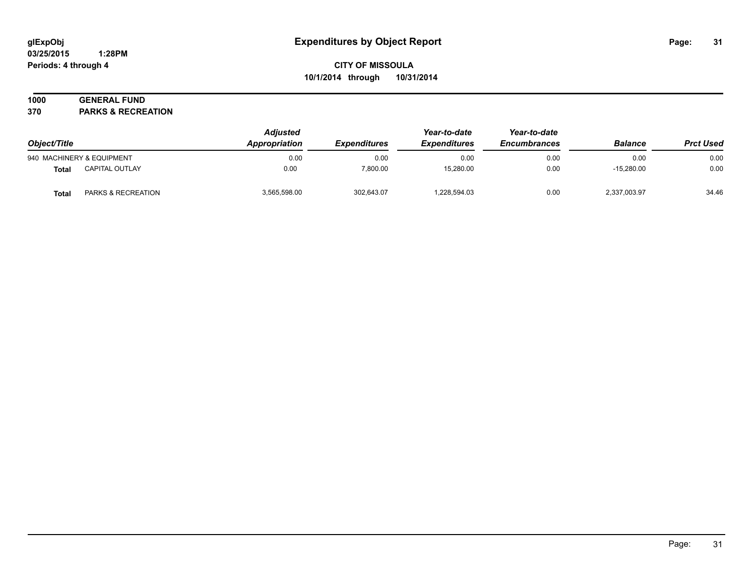#### **03/25/2015 1:28PM Periods: 4 through 4**

# **CITY OF MISSOULA 10/1/2014 through 10/31/2014**

# **1000 GENERAL FUND**

**370 PARKS & RECREATION**

| Object/Title |                               | <b>Adjusted</b><br>Appropriation | <i><b>Expenditures</b></i> | Year-to-date<br><b>Expenditures</b> | Year-to-date<br><b>Encumbrances</b> | <b>Balance</b> | <b>Prct Used</b> |
|--------------|-------------------------------|----------------------------------|----------------------------|-------------------------------------|-------------------------------------|----------------|------------------|
|              | 940 MACHINERY & EQUIPMENT     | 0.00                             | 0.00                       | 0.00                                | 0.00                                | 0.00           | 0.00             |
| <b>Total</b> | <b>CAPITAL OUTLAY</b>         | 0.00                             | 7.800.00                   | 15.280.00                           | 0.00                                | $-15.280.00$   | 0.00             |
| <b>Total</b> | <b>PARKS &amp; RECREATION</b> | 3,565,598.00                     | 302,643.07                 | 228,594.03                          | 0.00                                | 2,337,003.97   | 34.46            |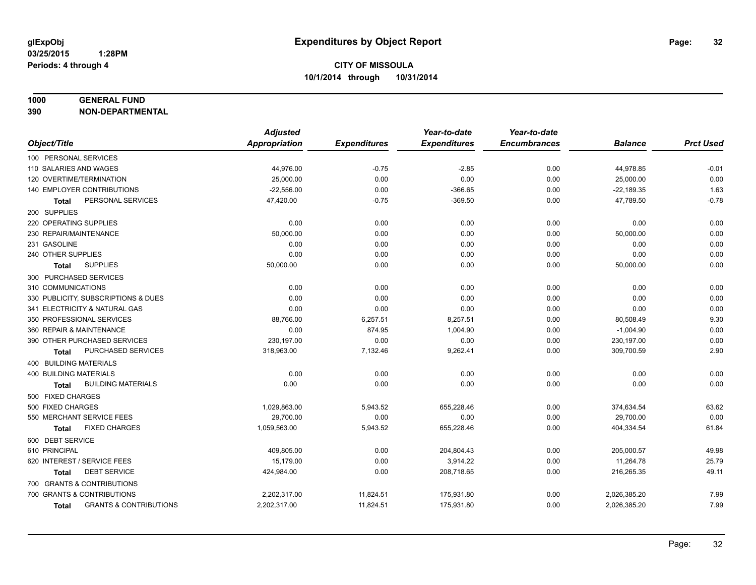#### **1000 GENERAL FUND**

**390 NON-DEPARTMENTAL**

|                                                   | <b>Adjusted</b> |                     | Year-to-date        | Year-to-date        |                |                  |
|---------------------------------------------------|-----------------|---------------------|---------------------|---------------------|----------------|------------------|
| Object/Title                                      | Appropriation   | <b>Expenditures</b> | <b>Expenditures</b> | <b>Encumbrances</b> | <b>Balance</b> | <b>Prct Used</b> |
| 100 PERSONAL SERVICES                             |                 |                     |                     |                     |                |                  |
| 110 SALARIES AND WAGES                            | 44,976.00       | $-0.75$             | $-2.85$             | 0.00                | 44,978.85      | $-0.01$          |
| 120 OVERTIME/TERMINATION                          | 25,000.00       | 0.00                | 0.00                | 0.00                | 25,000.00      | 0.00             |
| 140 EMPLOYER CONTRIBUTIONS                        | $-22,556.00$    | 0.00                | $-366.65$           | 0.00                | $-22,189.35$   | 1.63             |
| PERSONAL SERVICES<br>Total                        | 47,420.00       | $-0.75$             | $-369.50$           | 0.00                | 47,789.50      | $-0.78$          |
| 200 SUPPLIES                                      |                 |                     |                     |                     |                |                  |
| 220 OPERATING SUPPLIES                            | 0.00            | 0.00                | 0.00                | 0.00                | 0.00           | 0.00             |
| 230 REPAIR/MAINTENANCE                            | 50.000.00       | 0.00                | 0.00                | 0.00                | 50,000.00      | 0.00             |
| 231 GASOLINE                                      | 0.00            | 0.00                | 0.00                | 0.00                | 0.00           | 0.00             |
| 240 OTHER SUPPLIES                                | 0.00            | 0.00                | 0.00                | 0.00                | 0.00           | 0.00             |
| <b>SUPPLIES</b><br>Total                          | 50,000.00       | 0.00                | 0.00                | 0.00                | 50,000.00      | 0.00             |
| 300 PURCHASED SERVICES                            |                 |                     |                     |                     |                |                  |
| 310 COMMUNICATIONS                                | 0.00            | 0.00                | 0.00                | 0.00                | 0.00           | 0.00             |
| 330 PUBLICITY, SUBSCRIPTIONS & DUES               | 0.00            | 0.00                | 0.00                | 0.00                | 0.00           | 0.00             |
| 341 ELECTRICITY & NATURAL GAS                     | 0.00            | 0.00                | 0.00                | 0.00                | 0.00           | 0.00             |
| 350 PROFESSIONAL SERVICES                         | 88,766.00       | 6,257.51            | 8,257.51            | 0.00                | 80,508.49      | 9.30             |
| 360 REPAIR & MAINTENANCE                          | 0.00            | 874.95              | 1,004.90            | 0.00                | $-1,004.90$    | 0.00             |
| 390 OTHER PURCHASED SERVICES                      | 230,197.00      | 0.00                | 0.00                | 0.00                | 230,197.00     | 0.00             |
| PURCHASED SERVICES<br><b>Total</b>                | 318,963.00      | 7,132.46            | 9,262.41            | 0.00                | 309,700.59     | 2.90             |
| 400 BUILDING MATERIALS                            |                 |                     |                     |                     |                |                  |
| <b>400 BUILDING MATERIALS</b>                     | 0.00            | 0.00                | 0.00                | 0.00                | 0.00           | 0.00             |
| <b>BUILDING MATERIALS</b><br><b>Total</b>         | 0.00            | 0.00                | 0.00                | 0.00                | 0.00           | 0.00             |
| 500 FIXED CHARGES                                 |                 |                     |                     |                     |                |                  |
| 500 FIXED CHARGES                                 | 1,029,863.00    | 5,943.52            | 655,228.46          | 0.00                | 374,634.54     | 63.62            |
| 550 MERCHANT SERVICE FEES                         | 29,700.00       | 0.00                | 0.00                | 0.00                | 29,700.00      | 0.00             |
| <b>FIXED CHARGES</b><br><b>Total</b>              | 1,059,563.00    | 5,943.52            | 655,228.46          | 0.00                | 404,334.54     | 61.84            |
| 600 DEBT SERVICE                                  |                 |                     |                     |                     |                |                  |
| 610 PRINCIPAL                                     | 409,805.00      | 0.00                | 204,804.43          | 0.00                | 205,000.57     | 49.98            |
| 620 INTEREST / SERVICE FEES                       | 15,179.00       | 0.00                | 3,914.22            | 0.00                | 11,264.78      | 25.79            |
| <b>DEBT SERVICE</b><br><b>Total</b>               | 424,984.00      | 0.00                | 208,718.65          | 0.00                | 216,265.35     | 49.11            |
| 700 GRANTS & CONTRIBUTIONS                        |                 |                     |                     |                     |                |                  |
| 700 GRANTS & CONTRIBUTIONS                        | 2,202,317.00    | 11,824.51           | 175,931.80          | 0.00                | 2,026,385.20   | 7.99             |
| <b>GRANTS &amp; CONTRIBUTIONS</b><br><b>Total</b> | 2,202,317.00    | 11,824.51           | 175,931.80          | 0.00                | 2,026,385.20   | 7.99             |
|                                                   |                 |                     |                     |                     |                |                  |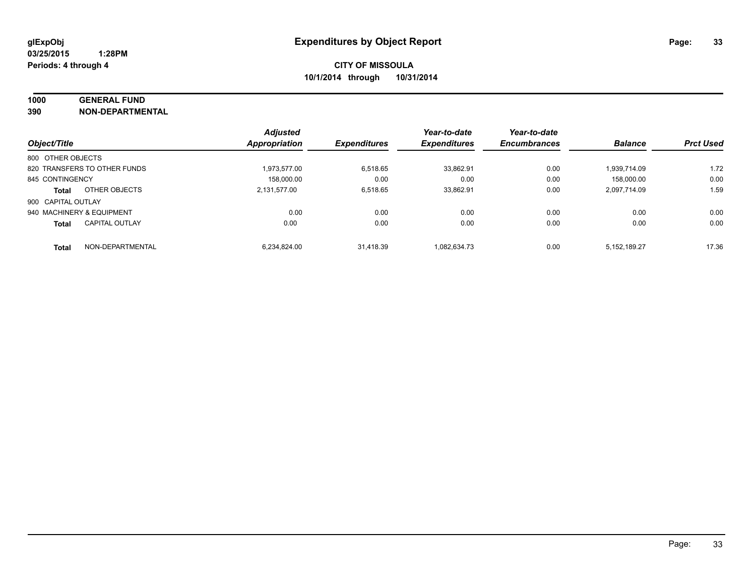# **1000 GENERAL FUND**

**390 NON-DEPARTMENTAL**

|                           |                              | <b>Adjusted</b>      |                     | Year-to-date        | Year-to-date        |                |                  |
|---------------------------|------------------------------|----------------------|---------------------|---------------------|---------------------|----------------|------------------|
| Object/Title              |                              | <b>Appropriation</b> | <b>Expenditures</b> | <b>Expenditures</b> | <b>Encumbrances</b> | <b>Balance</b> | <b>Prct Used</b> |
| 800 OTHER OBJECTS         |                              |                      |                     |                     |                     |                |                  |
|                           | 820 TRANSFERS TO OTHER FUNDS | 1.973.577.00         | 6.518.65            | 33.862.91           | 0.00                | 1.939.714.09   | 1.72             |
| 845 CONTINGENCY           |                              | 158.000.00           | 0.00                | 0.00                | 0.00                | 158.000.00     | 0.00             |
| Total                     | OTHER OBJECTS                | 2.131.577.00         | 6.518.65            | 33.862.91           | 0.00                | 2.097.714.09   | 1.59             |
| 900 CAPITAL OUTLAY        |                              |                      |                     |                     |                     |                |                  |
| 940 MACHINERY & EQUIPMENT |                              | 0.00                 | 0.00                | 0.00                | 0.00                | 0.00           | 0.00             |
| <b>Total</b>              | <b>CAPITAL OUTLAY</b>        | 0.00                 | 0.00                | 0.00                | 0.00                | 0.00           | 0.00             |
| <b>Total</b>              | NON-DEPARTMENTAL             | 6.234.824.00         | 31.418.39           | 1.082.634.73        | 0.00                | 5.152.189.27   | 17.36            |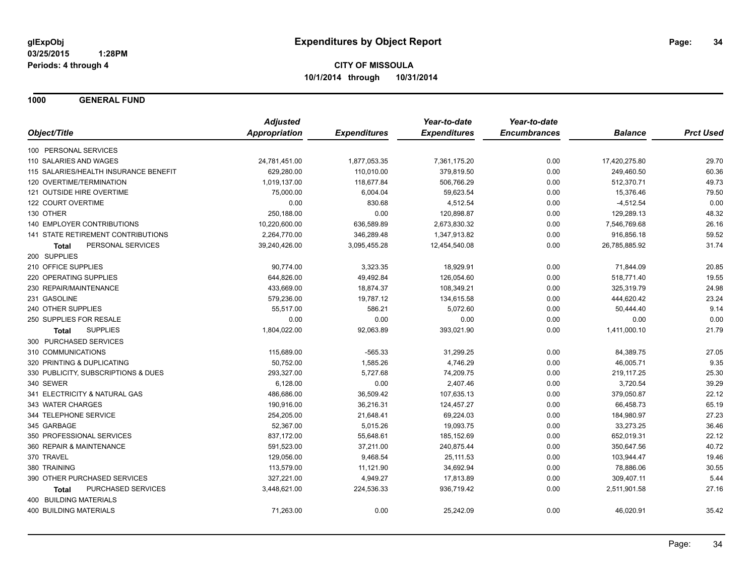**1000 GENERAL FUND**

|                                       | <b>Adjusted</b> |                     | Year-to-date        | Year-to-date        |                |                  |
|---------------------------------------|-----------------|---------------------|---------------------|---------------------|----------------|------------------|
| Object/Title                          | Appropriation   | <b>Expenditures</b> | <b>Expenditures</b> | <b>Encumbrances</b> | <b>Balance</b> | <b>Prct Used</b> |
| 100 PERSONAL SERVICES                 |                 |                     |                     |                     |                |                  |
| 110 SALARIES AND WAGES                | 24,781,451.00   | 1,877,053.35        | 7,361,175.20        | 0.00                | 17,420,275.80  | 29.70            |
| 115 SALARIES/HEALTH INSURANCE BENEFIT | 629,280.00      | 110,010.00          | 379,819.50          | 0.00                | 249,460.50     | 60.36            |
| 120 OVERTIME/TERMINATION              | 1,019,137.00    | 118,677.84          | 506,766.29          | 0.00                | 512,370.71     | 49.73            |
| 121 OUTSIDE HIRE OVERTIME             | 75,000.00       | 6,004.04            | 59,623.54           | 0.00                | 15,376.46      | 79.50            |
| 122 COURT OVERTIME                    | 0.00            | 830.68              | 4,512.54            | 0.00                | $-4,512.54$    | 0.00             |
| 130 OTHER                             | 250,188.00      | 0.00                | 120,898.87          | 0.00                | 129,289.13     | 48.32            |
| <b>140 EMPLOYER CONTRIBUTIONS</b>     | 10,220,600.00   | 636,589.89          | 2,673,830.32        | 0.00                | 7,546,769.68   | 26.16            |
| 141 STATE RETIREMENT CONTRIBUTIONS    | 2,264,770.00    | 346,289.48          | 1,347,913.82        | 0.00                | 916,856.18     | 59.52            |
| PERSONAL SERVICES<br>Total            | 39,240,426.00   | 3,095,455.28        | 12,454,540.08       | 0.00                | 26,785,885.92  | 31.74            |
| 200 SUPPLIES                          |                 |                     |                     |                     |                |                  |
| 210 OFFICE SUPPLIES                   | 90,774.00       | 3,323.35            | 18,929.91           | 0.00                | 71,844.09      | 20.85            |
| 220 OPERATING SUPPLIES                | 644,826.00      | 49,492.84           | 126,054.60          | 0.00                | 518,771.40     | 19.55            |
| 230 REPAIR/MAINTENANCE                | 433,669.00      | 18,874.37           | 108,349.21          | 0.00                | 325,319.79     | 24.98            |
| 231 GASOLINE                          | 579,236.00      | 19,787.12           | 134,615.58          | 0.00                | 444,620.42     | 23.24            |
| 240 OTHER SUPPLIES                    | 55,517.00       | 586.21              | 5,072.60            | 0.00                | 50,444.40      | 9.14             |
| 250 SUPPLIES FOR RESALE               | 0.00            | 0.00                | 0.00                | 0.00                | 0.00           | 0.00             |
| <b>SUPPLIES</b><br>Total              | 1,804,022.00    | 92,063.89           | 393,021.90          | 0.00                | 1,411,000.10   | 21.79            |
| 300 PURCHASED SERVICES                |                 |                     |                     |                     |                |                  |
| 310 COMMUNICATIONS                    | 115,689.00      | $-565.33$           | 31,299.25           | 0.00                | 84,389.75      | 27.05            |
| 320 PRINTING & DUPLICATING            | 50.752.00       | 1,585.26            | 4,746.29            | 0.00                | 46,005.71      | 9.35             |
| 330 PUBLICITY, SUBSCRIPTIONS & DUES   | 293,327.00      | 5,727.68            | 74,209.75           | 0.00                | 219,117.25     | 25.30            |
| 340 SEWER                             | 6,128.00        | 0.00                | 2,407.46            | 0.00                | 3,720.54       | 39.29            |
| 341 ELECTRICITY & NATURAL GAS         | 486,686.00      | 36,509.42           | 107,635.13          | 0.00                | 379,050.87     | 22.12            |
| 343 WATER CHARGES                     | 190,916.00      | 36,216.31           | 124,457.27          | 0.00                | 66,458.73      | 65.19            |
| 344 TELEPHONE SERVICE                 | 254,205.00      | 21,648.41           | 69,224.03           | 0.00                | 184,980.97     | 27.23            |
| 345 GARBAGE                           | 52,367.00       | 5,015.26            | 19,093.75           | 0.00                | 33,273.25      | 36.46            |
| 350 PROFESSIONAL SERVICES             | 837,172.00      | 55,648.61           | 185, 152.69         | 0.00                | 652,019.31     | 22.12            |
| 360 REPAIR & MAINTENANCE              | 591,523.00      | 37,211.00           | 240,875.44          | 0.00                | 350,647.56     | 40.72            |
| 370 TRAVEL                            | 129,056.00      | 9,468.54            | 25,111.53           | 0.00                | 103,944.47     | 19.46            |
| 380 TRAINING                          | 113,579.00      | 11,121.90           | 34,692.94           | 0.00                | 78,886.06      | 30.55            |
| 390 OTHER PURCHASED SERVICES          | 327,221.00      | 4,949.27            | 17,813.89           | 0.00                | 309,407.11     | 5.44             |
| PURCHASED SERVICES<br><b>Total</b>    | 3,448,621.00    | 224,536.33          | 936,719.42          | 0.00                | 2,511,901.58   | 27.16            |
| 400 BUILDING MATERIALS                |                 |                     |                     |                     |                |                  |
| <b>400 BUILDING MATERIALS</b>         | 71,263.00       | 0.00                | 25,242.09           | 0.00                | 46,020.91      | 35.42            |
|                                       |                 |                     |                     |                     |                |                  |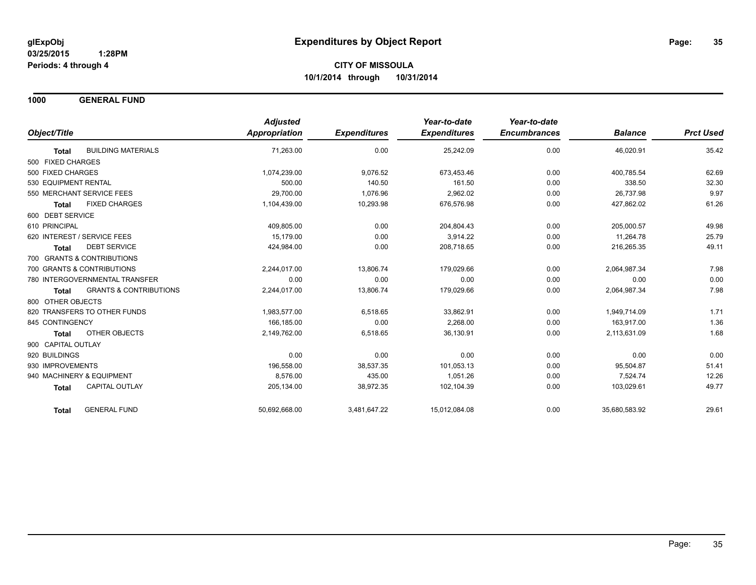**1000 GENERAL FUND**

|                                                   | <b>Adjusted</b>      |                     | Year-to-date        | Year-to-date        |                |                  |
|---------------------------------------------------|----------------------|---------------------|---------------------|---------------------|----------------|------------------|
| Object/Title                                      | <b>Appropriation</b> | <b>Expenditures</b> | <b>Expenditures</b> | <b>Encumbrances</b> | <b>Balance</b> | <b>Prct Used</b> |
| <b>BUILDING MATERIALS</b><br><b>Total</b>         | 71,263.00            | 0.00                | 25,242.09           | 0.00                | 46,020.91      | 35.42            |
| 500 FIXED CHARGES                                 |                      |                     |                     |                     |                |                  |
| 500 FIXED CHARGES                                 | 1,074,239.00         | 9,076.52            | 673,453.46          | 0.00                | 400,785.54     | 62.69            |
| 530 EQUIPMENT RENTAL                              | 500.00               | 140.50              | 161.50              | 0.00                | 338.50         | 32.30            |
| 550 MERCHANT SERVICE FEES                         | 29,700.00            | 1,076.96            | 2,962.02            | 0.00                | 26.737.98      | 9.97             |
| <b>FIXED CHARGES</b><br><b>Total</b>              | 1,104,439.00         | 10,293.98           | 676,576.98          | 0.00                | 427,862.02     | 61.26            |
| 600 DEBT SERVICE                                  |                      |                     |                     |                     |                |                  |
| 610 PRINCIPAL                                     | 409,805.00           | 0.00                | 204,804.43          | 0.00                | 205,000.57     | 49.98            |
| 620 INTEREST / SERVICE FEES                       | 15.179.00            | 0.00                | 3,914.22            | 0.00                | 11,264.78      | 25.79            |
| <b>DEBT SERVICE</b><br><b>Total</b>               | 424,984.00           | 0.00                | 208,718.65          | 0.00                | 216,265.35     | 49.11            |
| 700 GRANTS & CONTRIBUTIONS                        |                      |                     |                     |                     |                |                  |
| 700 GRANTS & CONTRIBUTIONS                        | 2,244,017.00         | 13,806.74           | 179,029.66          | 0.00                | 2,064,987.34   | 7.98             |
| 780 INTERGOVERNMENTAL TRANSFER                    | 0.00                 | 0.00                | 0.00                | 0.00                | 0.00           | 0.00             |
| <b>GRANTS &amp; CONTRIBUTIONS</b><br><b>Total</b> | 2,244,017.00         | 13,806.74           | 179,029.66          | 0.00                | 2,064,987.34   | 7.98             |
| 800 OTHER OBJECTS                                 |                      |                     |                     |                     |                |                  |
| 820 TRANSFERS TO OTHER FUNDS                      | 1,983,577.00         | 6,518.65            | 33,862.91           | 0.00                | 1,949,714.09   | 1.71             |
| 845 CONTINGENCY                                   | 166,185.00           | 0.00                | 2,268.00            | 0.00                | 163,917.00     | 1.36             |
| <b>OTHER OBJECTS</b><br><b>Total</b>              | 2,149,762.00         | 6,518.65            | 36,130.91           | 0.00                | 2,113,631.09   | 1.68             |
| 900 CAPITAL OUTLAY                                |                      |                     |                     |                     |                |                  |
| 920 BUILDINGS                                     | 0.00                 | 0.00                | 0.00                | 0.00                | 0.00           | 0.00             |
| 930 IMPROVEMENTS                                  | 196,558.00           | 38,537.35           | 101,053.13          | 0.00                | 95,504.87      | 51.41            |
| 940 MACHINERY & EQUIPMENT                         | 8.576.00             | 435.00              | 1.051.26            | 0.00                | 7.524.74       | 12.26            |
| CAPITAL OUTLAY<br><b>Total</b>                    | 205,134.00           | 38,972.35           | 102,104.39          | 0.00                | 103,029.61     | 49.77            |
| <b>GENERAL FUND</b><br><b>Total</b>               | 50,692,668.00        | 3,481,647.22        | 15,012,084.08       | 0.00                | 35,680,583.92  | 29.61            |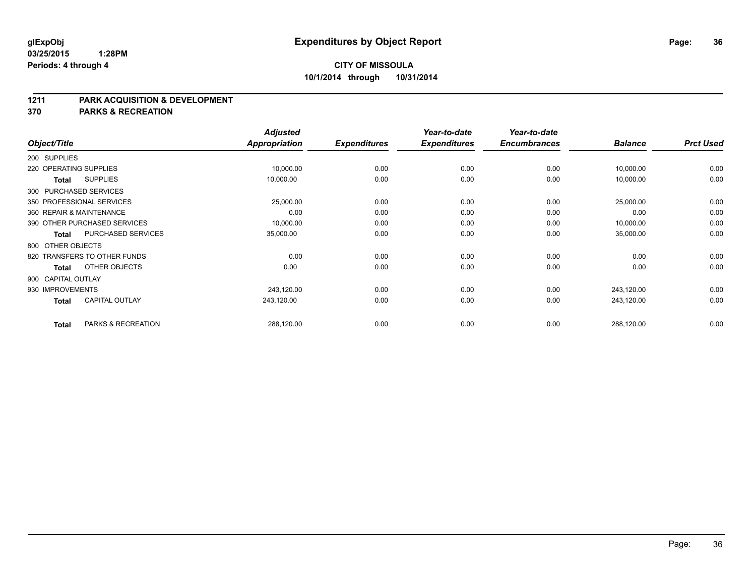#### **1211 PARK ACQUISITION & DEVELOPMENT**

**370 PARKS & RECREATION**

|                    |                              | <b>Adjusted</b>      |                     | Year-to-date        | Year-to-date        |                |                  |
|--------------------|------------------------------|----------------------|---------------------|---------------------|---------------------|----------------|------------------|
| Object/Title       |                              | <b>Appropriation</b> | <b>Expenditures</b> | <b>Expenditures</b> | <b>Encumbrances</b> | <b>Balance</b> | <b>Prct Used</b> |
| 200 SUPPLIES       |                              |                      |                     |                     |                     |                |                  |
|                    | 220 OPERATING SUPPLIES       | 10,000.00            | 0.00                | 0.00                | 0.00                | 10,000.00      | 0.00             |
| <b>Total</b>       | <b>SUPPLIES</b>              | 10,000.00            | 0.00                | 0.00                | 0.00                | 10,000.00      | 0.00             |
|                    | 300 PURCHASED SERVICES       |                      |                     |                     |                     |                |                  |
|                    | 350 PROFESSIONAL SERVICES    | 25,000.00            | 0.00                | 0.00                | 0.00                | 25,000.00      | 0.00             |
|                    | 360 REPAIR & MAINTENANCE     | 0.00                 | 0.00                | 0.00                | 0.00                | 0.00           | 0.00             |
|                    | 390 OTHER PURCHASED SERVICES | 10,000.00            | 0.00                | 0.00                | 0.00                | 10,000.00      | 0.00             |
| Total              | PURCHASED SERVICES           | 35,000.00            | 0.00                | 0.00                | 0.00                | 35,000.00      | 0.00             |
| 800 OTHER OBJECTS  |                              |                      |                     |                     |                     |                |                  |
|                    | 820 TRANSFERS TO OTHER FUNDS | 0.00                 | 0.00                | 0.00                | 0.00                | 0.00           | 0.00             |
| <b>Total</b>       | OTHER OBJECTS                | 0.00                 | 0.00                | 0.00                | 0.00                | 0.00           | 0.00             |
| 900 CAPITAL OUTLAY |                              |                      |                     |                     |                     |                |                  |
| 930 IMPROVEMENTS   |                              | 243,120.00           | 0.00                | 0.00                | 0.00                | 243,120.00     | 0.00             |
| <b>Total</b>       | <b>CAPITAL OUTLAY</b>        | 243,120.00           | 0.00                | 0.00                | 0.00                | 243,120.00     | 0.00             |
| <b>Total</b>       | PARKS & RECREATION           | 288,120.00           | 0.00                | 0.00                | 0.00                | 288,120.00     | 0.00             |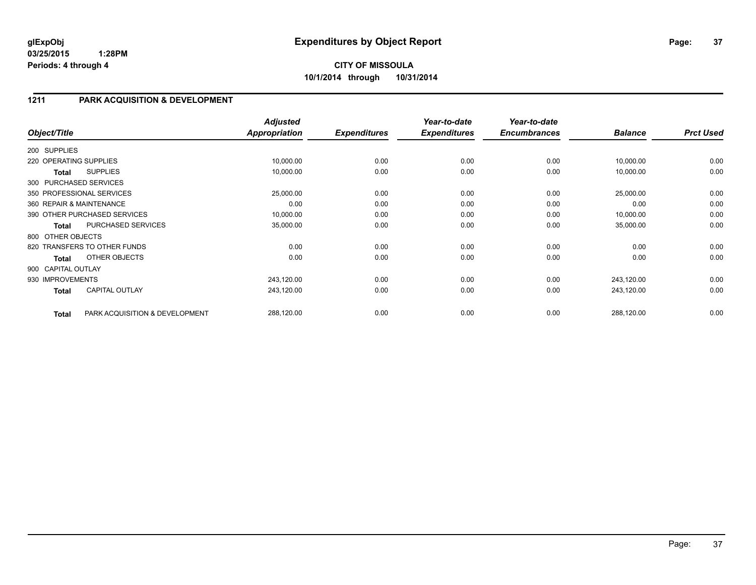**10/1/2014 through 10/31/2014**

# **1211 PARK ACQUISITION & DEVELOPMENT**

| Object/Title           |                                | <b>Adjusted</b><br><b>Appropriation</b> | <b>Expenditures</b> | Year-to-date<br><b>Expenditures</b> | Year-to-date<br><b>Encumbrances</b> | <b>Balance</b> | <b>Prct Used</b> |
|------------------------|--------------------------------|-----------------------------------------|---------------------|-------------------------------------|-------------------------------------|----------------|------------------|
| 200 SUPPLIES           |                                |                                         |                     |                                     |                                     |                |                  |
| 220 OPERATING SUPPLIES |                                | 10,000.00                               | 0.00                | 0.00                                | 0.00                                | 10,000.00      | 0.00             |
| Total                  | <b>SUPPLIES</b>                | 10,000.00                               | 0.00                | 0.00                                | 0.00                                | 10,000.00      | 0.00             |
|                        | 300 PURCHASED SERVICES         |                                         |                     |                                     |                                     |                |                  |
|                        | 350 PROFESSIONAL SERVICES      | 25,000.00                               | 0.00                | 0.00                                | 0.00                                | 25,000.00      | 0.00             |
|                        | 360 REPAIR & MAINTENANCE       | 0.00                                    | 0.00                | 0.00                                | 0.00                                | 0.00           | 0.00             |
|                        | 390 OTHER PURCHASED SERVICES   | 10,000.00                               | 0.00                | 0.00                                | 0.00                                | 10,000.00      | 0.00             |
| <b>Total</b>           | PURCHASED SERVICES             | 35,000.00                               | 0.00                | 0.00                                | 0.00                                | 35,000.00      | 0.00             |
| 800 OTHER OBJECTS      |                                |                                         |                     |                                     |                                     |                |                  |
|                        | 820 TRANSFERS TO OTHER FUNDS   | 0.00                                    | 0.00                | 0.00                                | 0.00                                | 0.00           | 0.00             |
| <b>Total</b>           | OTHER OBJECTS                  | 0.00                                    | 0.00                | 0.00                                | 0.00                                | 0.00           | 0.00             |
| 900 CAPITAL OUTLAY     |                                |                                         |                     |                                     |                                     |                |                  |
| 930 IMPROVEMENTS       |                                | 243,120.00                              | 0.00                | 0.00                                | 0.00                                | 243,120.00     | 0.00             |
| <b>Total</b>           | <b>CAPITAL OUTLAY</b>          | 243,120.00                              | 0.00                | 0.00                                | 0.00                                | 243,120.00     | 0.00             |
| <b>Total</b>           | PARK ACQUISITION & DEVELOPMENT | 288,120.00                              | 0.00                | 0.00                                | 0.00                                | 288,120.00     | 0.00             |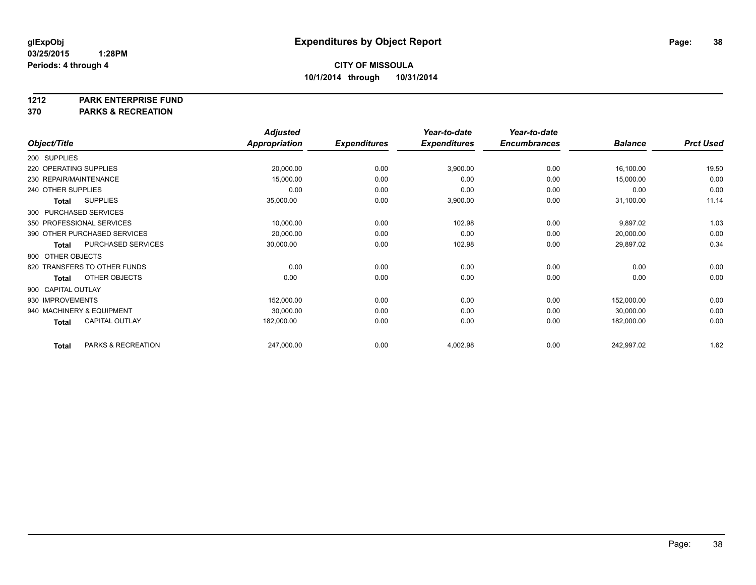**1212 PARK ENTERPRISE FUND**

**370 PARKS & RECREATION**

|                        |                              | <b>Adjusted</b> |                     | Year-to-date        | Year-to-date        |                |                  |
|------------------------|------------------------------|-----------------|---------------------|---------------------|---------------------|----------------|------------------|
| Object/Title           |                              | Appropriation   | <b>Expenditures</b> | <b>Expenditures</b> | <b>Encumbrances</b> | <b>Balance</b> | <b>Prct Used</b> |
| 200 SUPPLIES           |                              |                 |                     |                     |                     |                |                  |
| 220 OPERATING SUPPLIES |                              | 20,000.00       | 0.00                | 3,900.00            | 0.00                | 16,100.00      | 19.50            |
|                        | 230 REPAIR/MAINTENANCE       | 15,000.00       | 0.00                | 0.00                | 0.00                | 15,000.00      | 0.00             |
| 240 OTHER SUPPLIES     |                              | 0.00            | 0.00                | 0.00                | 0.00                | 0.00           | 0.00             |
| <b>Total</b>           | <b>SUPPLIES</b>              | 35,000.00       | 0.00                | 3,900.00            | 0.00                | 31,100.00      | 11.14            |
|                        | 300 PURCHASED SERVICES       |                 |                     |                     |                     |                |                  |
|                        | 350 PROFESSIONAL SERVICES    | 10,000.00       | 0.00                | 102.98              | 0.00                | 9,897.02       | 1.03             |
|                        | 390 OTHER PURCHASED SERVICES | 20,000.00       | 0.00                | 0.00                | 0.00                | 20,000.00      | 0.00             |
| <b>Total</b>           | PURCHASED SERVICES           | 30,000.00       | 0.00                | 102.98              | 0.00                | 29,897.02      | 0.34             |
| 800 OTHER OBJECTS      |                              |                 |                     |                     |                     |                |                  |
|                        | 820 TRANSFERS TO OTHER FUNDS | 0.00            | 0.00                | 0.00                | 0.00                | 0.00           | 0.00             |
| <b>Total</b>           | OTHER OBJECTS                | 0.00            | 0.00                | 0.00                | 0.00                | 0.00           | 0.00             |
| 900 CAPITAL OUTLAY     |                              |                 |                     |                     |                     |                |                  |
| 930 IMPROVEMENTS       |                              | 152,000.00      | 0.00                | 0.00                | 0.00                | 152,000.00     | 0.00             |
|                        | 940 MACHINERY & EQUIPMENT    | 30,000.00       | 0.00                | 0.00                | 0.00                | 30,000.00      | 0.00             |
| <b>Total</b>           | <b>CAPITAL OUTLAY</b>        | 182,000.00      | 0.00                | 0.00                | 0.00                | 182,000.00     | 0.00             |
| <b>Total</b>           | PARKS & RECREATION           | 247,000.00      | 0.00                | 4,002.98            | 0.00                | 242,997.02     | 1.62             |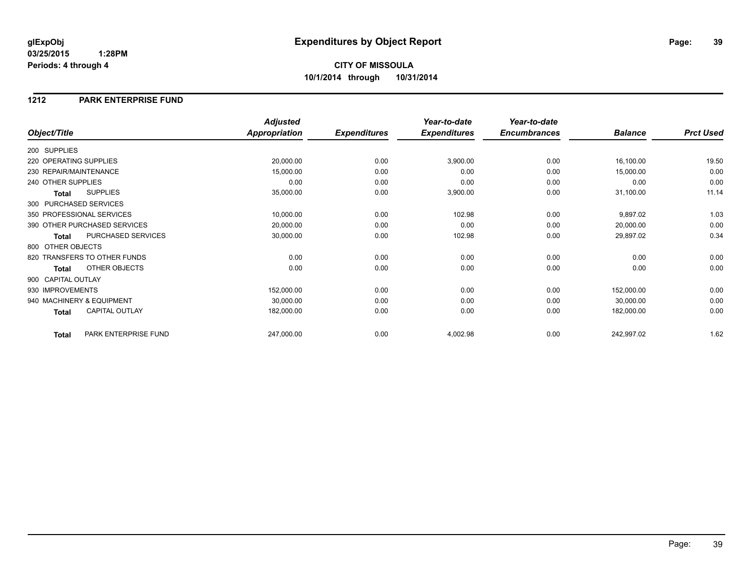## **1212 PARK ENTERPRISE FUND**

|                                      | <b>Adjusted</b>      |                     | Year-to-date        | Year-to-date        |                |                  |
|--------------------------------------|----------------------|---------------------|---------------------|---------------------|----------------|------------------|
| Object/Title                         | <b>Appropriation</b> | <b>Expenditures</b> | <b>Expenditures</b> | <b>Encumbrances</b> | <b>Balance</b> | <b>Prct Used</b> |
| 200 SUPPLIES                         |                      |                     |                     |                     |                |                  |
| 220 OPERATING SUPPLIES               | 20,000.00            | 0.00                | 3,900.00            | 0.00                | 16,100.00      | 19.50            |
| 230 REPAIR/MAINTENANCE               | 15,000.00            | 0.00                | 0.00                | 0.00                | 15,000.00      | 0.00             |
| 240 OTHER SUPPLIES                   | 0.00                 | 0.00                | 0.00                | 0.00                | 0.00           | 0.00             |
| <b>SUPPLIES</b><br>Total             | 35,000.00            | 0.00                | 3,900.00            | 0.00                | 31,100.00      | 11.14            |
| 300 PURCHASED SERVICES               |                      |                     |                     |                     |                |                  |
| 350 PROFESSIONAL SERVICES            | 10,000.00            | 0.00                | 102.98              | 0.00                | 9,897.02       | 1.03             |
| 390 OTHER PURCHASED SERVICES         | 20,000.00            | 0.00                | 0.00                | 0.00                | 20,000.00      | 0.00             |
| PURCHASED SERVICES<br>Total          | 30,000.00            | 0.00                | 102.98              | 0.00                | 29,897.02      | 0.34             |
| 800 OTHER OBJECTS                    |                      |                     |                     |                     |                |                  |
| 820 TRANSFERS TO OTHER FUNDS         | 0.00                 | 0.00                | 0.00                | 0.00                | 0.00           | 0.00             |
| OTHER OBJECTS<br>Total               | 0.00                 | 0.00                | 0.00                | 0.00                | 0.00           | 0.00             |
| 900 CAPITAL OUTLAY                   |                      |                     |                     |                     |                |                  |
| 930 IMPROVEMENTS                     | 152,000.00           | 0.00                | 0.00                | 0.00                | 152,000.00     | 0.00             |
| 940 MACHINERY & EQUIPMENT            | 30,000.00            | 0.00                | 0.00                | 0.00                | 30,000.00      | 0.00             |
| <b>CAPITAL OUTLAY</b><br>Total       | 182,000.00           | 0.00                | 0.00                | 0.00                | 182,000.00     | 0.00             |
| PARK ENTERPRISE FUND<br><b>Total</b> | 247,000.00           | 0.00                | 4,002.98            | 0.00                | 242,997.02     | 1.62             |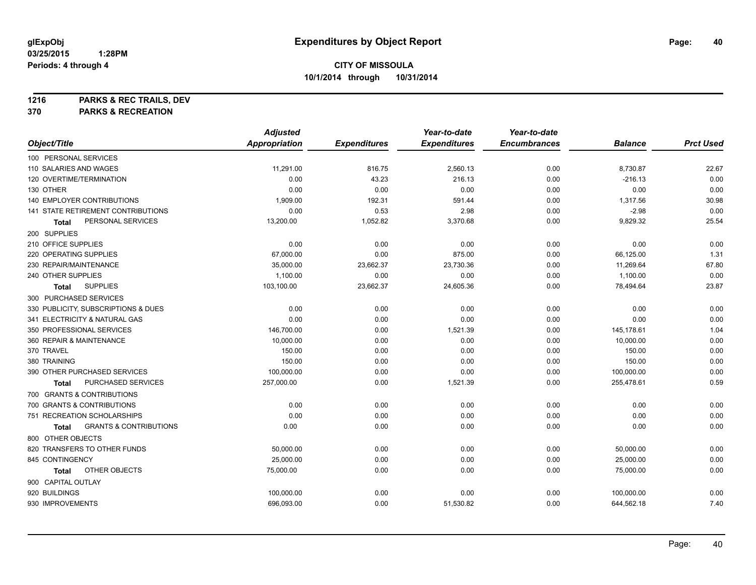**1216 PARKS & REC TRAILS, DEV**

**370 PARKS & RECREATION**

|                                            | <b>Adjusted</b>      |                     | Year-to-date        | Year-to-date        |                |                  |
|--------------------------------------------|----------------------|---------------------|---------------------|---------------------|----------------|------------------|
| Object/Title                               | <b>Appropriation</b> | <b>Expenditures</b> | <b>Expenditures</b> | <b>Encumbrances</b> | <b>Balance</b> | <b>Prct Used</b> |
| 100 PERSONAL SERVICES                      |                      |                     |                     |                     |                |                  |
| 110 SALARIES AND WAGES                     | 11,291.00            | 816.75              | 2,560.13            | 0.00                | 8,730.87       | 22.67            |
| 120 OVERTIME/TERMINATION                   | 0.00                 | 43.23               | 216.13              | 0.00                | $-216.13$      | 0.00             |
| 130 OTHER                                  | 0.00                 | 0.00                | 0.00                | 0.00                | 0.00           | 0.00             |
| <b>140 EMPLOYER CONTRIBUTIONS</b>          | 1,909.00             | 192.31              | 591.44              | 0.00                | 1,317.56       | 30.98            |
| 141 STATE RETIREMENT CONTRIBUTIONS         | 0.00                 | 0.53                | 2.98                | 0.00                | $-2.98$        | 0.00             |
| PERSONAL SERVICES<br>Total                 | 13,200.00            | 1,052.82            | 3,370.68            | 0.00                | 9,829.32       | 25.54            |
| 200 SUPPLIES                               |                      |                     |                     |                     |                |                  |
| 210 OFFICE SUPPLIES                        | 0.00                 | 0.00                | 0.00                | 0.00                | 0.00           | 0.00             |
| 220 OPERATING SUPPLIES                     | 67,000.00            | 0.00                | 875.00              | 0.00                | 66,125.00      | 1.31             |
| 230 REPAIR/MAINTENANCE                     | 35,000.00            | 23,662.37           | 23,730.36           | 0.00                | 11,269.64      | 67.80            |
| 240 OTHER SUPPLIES                         | 1,100.00             | 0.00                | 0.00                | 0.00                | 1,100.00       | 0.00             |
| <b>SUPPLIES</b><br>Total                   | 103,100.00           | 23,662.37           | 24,605.36           | 0.00                | 78,494.64      | 23.87            |
| 300 PURCHASED SERVICES                     |                      |                     |                     |                     |                |                  |
| 330 PUBLICITY, SUBSCRIPTIONS & DUES        | 0.00                 | 0.00                | 0.00                | 0.00                | 0.00           | 0.00             |
| 341 ELECTRICITY & NATURAL GAS              | 0.00                 | 0.00                | 0.00                | 0.00                | 0.00           | 0.00             |
| 350 PROFESSIONAL SERVICES                  | 146,700.00           | 0.00                | 1,521.39            | 0.00                | 145,178.61     | 1.04             |
| 360 REPAIR & MAINTENANCE                   | 10,000.00            | 0.00                | 0.00                | 0.00                | 10,000.00      | 0.00             |
| 370 TRAVEL                                 | 150.00               | 0.00                | 0.00                | 0.00                | 150.00         | 0.00             |
| 380 TRAINING                               | 150.00               | 0.00                | 0.00                | 0.00                | 150.00         | 0.00             |
| 390 OTHER PURCHASED SERVICES               | 100,000.00           | 0.00                | 0.00                | 0.00                | 100,000.00     | 0.00             |
| PURCHASED SERVICES<br>Total                | 257,000.00           | 0.00                | 1,521.39            | 0.00                | 255,478.61     | 0.59             |
| 700 GRANTS & CONTRIBUTIONS                 |                      |                     |                     |                     |                |                  |
| 700 GRANTS & CONTRIBUTIONS                 | 0.00                 | 0.00                | 0.00                | 0.00                | 0.00           | 0.00             |
| 751 RECREATION SCHOLARSHIPS                | 0.00                 | 0.00                | 0.00                | 0.00                | 0.00           | 0.00             |
| <b>GRANTS &amp; CONTRIBUTIONS</b><br>Total | 0.00                 | 0.00                | 0.00                | 0.00                | 0.00           | 0.00             |
| 800 OTHER OBJECTS                          |                      |                     |                     |                     |                |                  |
| 820 TRANSFERS TO OTHER FUNDS               | 50,000.00            | 0.00                | 0.00                | 0.00                | 50,000.00      | 0.00             |
| 845 CONTINGENCY                            | 25,000.00            | 0.00                | 0.00                | 0.00                | 25,000.00      | 0.00             |
| OTHER OBJECTS<br>Total                     | 75,000.00            | 0.00                | 0.00                | 0.00                | 75,000.00      | 0.00             |
| 900 CAPITAL OUTLAY                         |                      |                     |                     |                     |                |                  |
| 920 BUILDINGS                              | 100,000.00           | 0.00                | 0.00                | 0.00                | 100,000.00     | 0.00             |
| 930 IMPROVEMENTS                           | 696,093.00           | 0.00                | 51,530.82           | 0.00                | 644,562.18     | 7.40             |
|                                            |                      |                     |                     |                     |                |                  |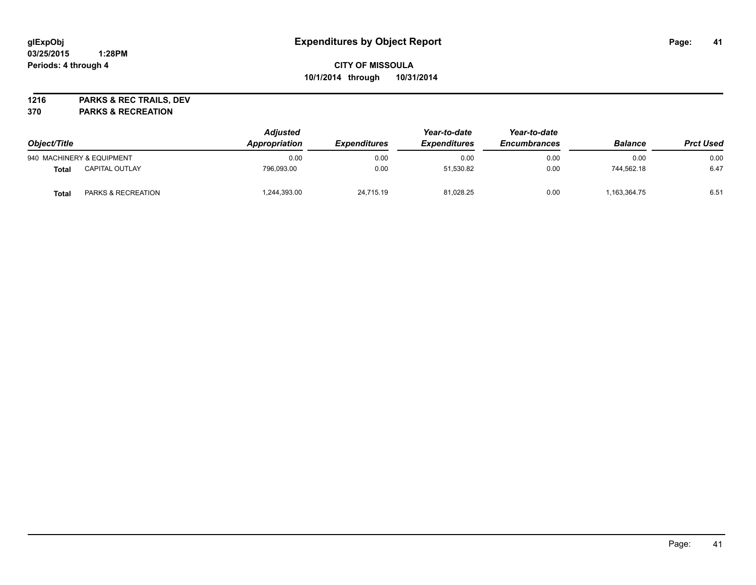**1216 PARKS & REC TRAILS, DEV**

**370 PARKS & RECREATION**

| Object/Title |                           | <b>Adjusted</b><br>Appropriation | <i><b>Expenditures</b></i> | Year-to-date<br><b>Expenditures</b> | Year-to-date<br><b>Encumbrances</b> | <b>Balance</b> | <b>Prct Used</b> |
|--------------|---------------------------|----------------------------------|----------------------------|-------------------------------------|-------------------------------------|----------------|------------------|
|              | 940 MACHINERY & EQUIPMENT | 0.00                             | 0.00                       | 0.00                                | 0.00                                | 0.00           | 0.00             |
| <b>Total</b> | CAPITAL OUTLAY            | 796,093.00                       | 0.00                       | 51,530.82                           | 0.00                                | 744.562.18     | 6.47             |
| Total        | PARKS & RECREATION        | ,244,393.00                      | 24,715.19                  | 81,028.25                           | 0.00                                | 1,163,364.75   | 6.51             |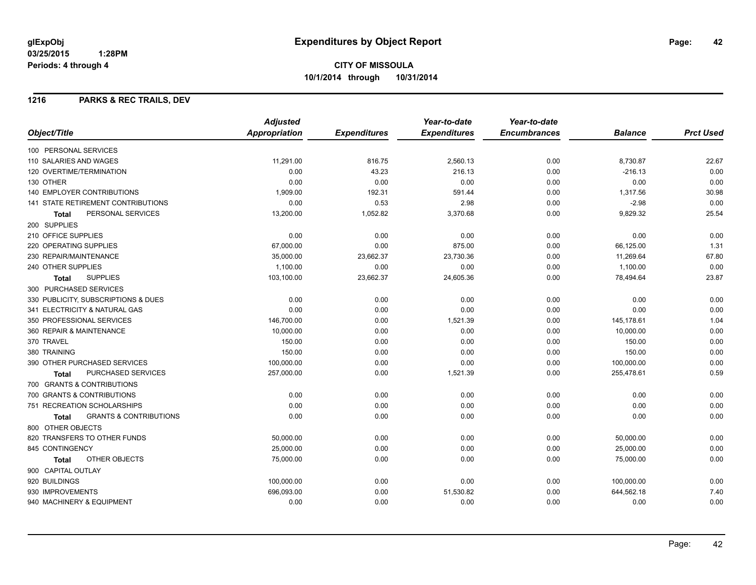# **CITY OF MISSOULA 10/1/2014 through 10/31/2014**

## **1216 PARKS & REC TRAILS, DEV**

|                                            | <b>Adjusted</b>      |                     | Year-to-date        | Year-to-date        |                |                  |
|--------------------------------------------|----------------------|---------------------|---------------------|---------------------|----------------|------------------|
| Object/Title                               | <b>Appropriation</b> | <b>Expenditures</b> | <b>Expenditures</b> | <b>Encumbrances</b> | <b>Balance</b> | <b>Prct Used</b> |
| 100 PERSONAL SERVICES                      |                      |                     |                     |                     |                |                  |
| 110 SALARIES AND WAGES                     | 11.291.00            | 816.75              | 2,560.13            | 0.00                | 8,730.87       | 22.67            |
| 120 OVERTIME/TERMINATION                   | 0.00                 | 43.23               | 216.13              | 0.00                | $-216.13$      | 0.00             |
| 130 OTHER                                  | 0.00                 | 0.00                | 0.00                | 0.00                | 0.00           | 0.00             |
| <b>140 EMPLOYER CONTRIBUTIONS</b>          | 1.909.00             | 192.31              | 591.44              | 0.00                | 1,317.56       | 30.98            |
| <b>141 STATE RETIREMENT CONTRIBUTIONS</b>  | 0.00                 | 0.53                | 2.98                | 0.00                | $-2.98$        | 0.00             |
| PERSONAL SERVICES<br><b>Total</b>          | 13,200.00            | 1,052.82            | 3,370.68            | 0.00                | 9,829.32       | 25.54            |
| 200 SUPPLIES                               |                      |                     |                     |                     |                |                  |
| 210 OFFICE SUPPLIES                        | 0.00                 | 0.00                | 0.00                | 0.00                | 0.00           | 0.00             |
| 220 OPERATING SUPPLIES                     | 67,000.00            | 0.00                | 875.00              | 0.00                | 66,125.00      | 1.31             |
| 230 REPAIR/MAINTENANCE                     | 35,000.00            | 23,662.37           | 23,730.36           | 0.00                | 11,269.64      | 67.80            |
| 240 OTHER SUPPLIES                         | 1,100.00             | 0.00                | 0.00                | 0.00                | 1,100.00       | 0.00             |
| <b>SUPPLIES</b><br><b>Total</b>            | 103,100.00           | 23,662.37           | 24,605.36           | 0.00                | 78,494.64      | 23.87            |
| 300 PURCHASED SERVICES                     |                      |                     |                     |                     |                |                  |
| 330 PUBLICITY, SUBSCRIPTIONS & DUES        | 0.00                 | 0.00                | 0.00                | 0.00                | 0.00           | 0.00             |
| 341 ELECTRICITY & NATURAL GAS              | 0.00                 | 0.00                | 0.00                | 0.00                | 0.00           | 0.00             |
| 350 PROFESSIONAL SERVICES                  | 146,700.00           | 0.00                | 1,521.39            | 0.00                | 145,178.61     | 1.04             |
| 360 REPAIR & MAINTENANCE                   | 10,000.00            | 0.00                | 0.00                | 0.00                | 10,000.00      | 0.00             |
| 370 TRAVEL                                 | 150.00               | 0.00                | 0.00                | 0.00                | 150.00         | 0.00             |
| 380 TRAINING                               | 150.00               | 0.00                | 0.00                | 0.00                | 150.00         | 0.00             |
| 390 OTHER PURCHASED SERVICES               | 100,000.00           | 0.00                | 0.00                | 0.00                | 100,000.00     | 0.00             |
| PURCHASED SERVICES<br>Total                | 257,000.00           | 0.00                | 1,521.39            | 0.00                | 255,478.61     | 0.59             |
| 700 GRANTS & CONTRIBUTIONS                 |                      |                     |                     |                     |                |                  |
| 700 GRANTS & CONTRIBUTIONS                 | 0.00                 | 0.00                | 0.00                | 0.00                | 0.00           | 0.00             |
| 751 RECREATION SCHOLARSHIPS                | 0.00                 | 0.00                | 0.00                | 0.00                | 0.00           | 0.00             |
| <b>GRANTS &amp; CONTRIBUTIONS</b><br>Total | 0.00                 | 0.00                | 0.00                | 0.00                | 0.00           | 0.00             |
| 800 OTHER OBJECTS                          |                      |                     |                     |                     |                |                  |
| 820 TRANSFERS TO OTHER FUNDS               | 50,000.00            | 0.00                | 0.00                | 0.00                | 50,000.00      | 0.00             |
| 845 CONTINGENCY                            | 25,000.00            | 0.00                | 0.00                | 0.00                | 25,000.00      | 0.00             |
| OTHER OBJECTS<br>Total                     | 75,000.00            | 0.00                | 0.00                | 0.00                | 75,000.00      | 0.00             |
| 900 CAPITAL OUTLAY                         |                      |                     |                     |                     |                |                  |
| 920 BUILDINGS                              | 100,000.00           | 0.00                | 0.00                | 0.00                | 100,000.00     | 0.00             |
| 930 IMPROVEMENTS                           | 696,093.00           | 0.00                | 51,530.82           | 0.00                | 644,562.18     | 7.40             |
| 940 MACHINERY & EQUIPMENT                  | 0.00                 | 0.00                | 0.00                | 0.00                | 0.00           | 0.00             |
|                                            |                      |                     |                     |                     |                |                  |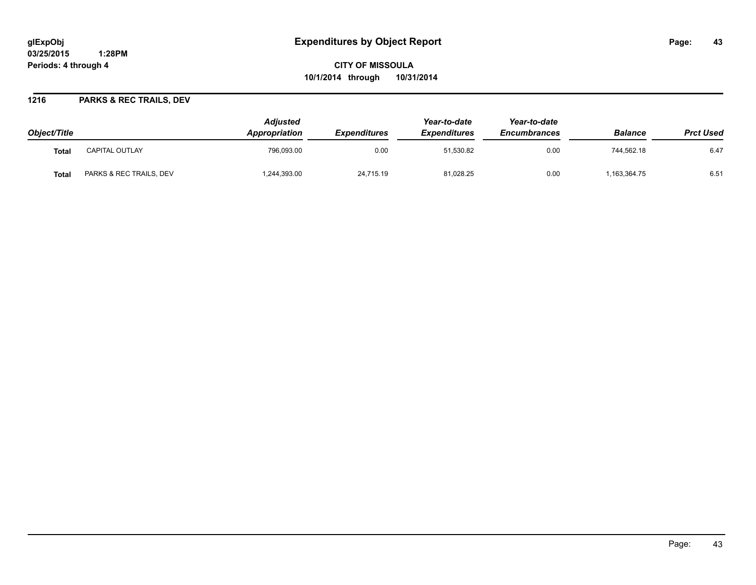# **glExpObj Expenditures by Object Report Page: 43**

**03/25/2015 1:28PM Periods: 4 through 4**

**CITY OF MISSOULA 10/1/2014 through 10/31/2014**

## **1216 PARKS & REC TRAILS, DEV**

| Object/Title |                         | <b>Adiusted</b><br><b>Appropriation</b> | <i><b>Expenditures</b></i> | Year-to-date<br><b>Expenditures</b> | Year-to-date<br><b>Encumbrances</b> | <b>Balance</b> | <b>Prct Used</b> |
|--------------|-------------------------|-----------------------------------------|----------------------------|-------------------------------------|-------------------------------------|----------------|------------------|
| Tota.        | <b>CAPITAL OUTLAY</b>   | 796,093.00                              | 0.00                       | 51,530.82                           | 0.00                                | 744,562.18     | 6.47             |
| Tota.        | PARKS & REC TRAILS, DEV | 1,244,393.00                            | 24,715.19                  | 81,028.25                           | 0.00                                | 1,163,364.75   | 6.51             |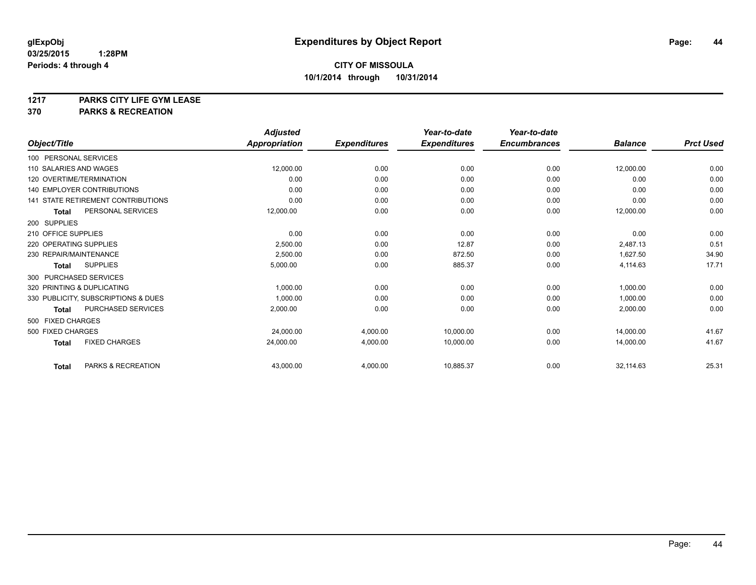**1217 PARKS CITY LIFE GYM LEASE**

**370 PARKS & RECREATION**

|                                           | <b>Adjusted</b>      |                     | Year-to-date        | Year-to-date        |                |                  |
|-------------------------------------------|----------------------|---------------------|---------------------|---------------------|----------------|------------------|
| Object/Title                              | <b>Appropriation</b> | <b>Expenditures</b> | <b>Expenditures</b> | <b>Encumbrances</b> | <b>Balance</b> | <b>Prct Used</b> |
| 100 PERSONAL SERVICES                     |                      |                     |                     |                     |                |                  |
| 110 SALARIES AND WAGES                    | 12,000.00            | 0.00                | 0.00                | 0.00                | 12,000.00      | 0.00             |
| 120 OVERTIME/TERMINATION                  | 0.00                 | 0.00                | 0.00                | 0.00                | 0.00           | 0.00             |
| <b>140 EMPLOYER CONTRIBUTIONS</b>         | 0.00                 | 0.00                | 0.00                | 0.00                | 0.00           | 0.00             |
| <b>141 STATE RETIREMENT CONTRIBUTIONS</b> | 0.00                 | 0.00                | 0.00                | 0.00                | 0.00           | 0.00             |
| PERSONAL SERVICES<br>Total                | 12,000.00            | 0.00                | 0.00                | 0.00                | 12,000.00      | 0.00             |
| 200 SUPPLIES                              |                      |                     |                     |                     |                |                  |
| 210 OFFICE SUPPLIES                       | 0.00                 | 0.00                | 0.00                | 0.00                | 0.00           | 0.00             |
| 220 OPERATING SUPPLIES                    | 2,500.00             | 0.00                | 12.87               | 0.00                | 2,487.13       | 0.51             |
| 230 REPAIR/MAINTENANCE                    | 2.500.00             | 0.00                | 872.50              | 0.00                | 1,627.50       | 34.90            |
| <b>SUPPLIES</b><br>Total                  | 5,000.00             | 0.00                | 885.37              | 0.00                | 4,114.63       | 17.71            |
| 300 PURCHASED SERVICES                    |                      |                     |                     |                     |                |                  |
| 320 PRINTING & DUPLICATING                | 1,000.00             | 0.00                | 0.00                | 0.00                | 1,000.00       | 0.00             |
| 330 PUBLICITY, SUBSCRIPTIONS & DUES       | 1,000.00             | 0.00                | 0.00                | 0.00                | 1,000.00       | 0.00             |
| PURCHASED SERVICES<br>Total               | 2,000.00             | 0.00                | 0.00                | 0.00                | 2,000.00       | 0.00             |
| 500 FIXED CHARGES                         |                      |                     |                     |                     |                |                  |
| 500 FIXED CHARGES                         | 24,000.00            | 4,000.00            | 10,000.00           | 0.00                | 14.000.00      | 41.67            |
| <b>FIXED CHARGES</b><br><b>Total</b>      | 24,000.00            | 4,000.00            | 10,000.00           | 0.00                | 14,000.00      | 41.67            |
| PARKS & RECREATION<br><b>Total</b>        | 43,000.00            | 4,000.00            | 10,885.37           | 0.00                | 32,114.63      | 25.31            |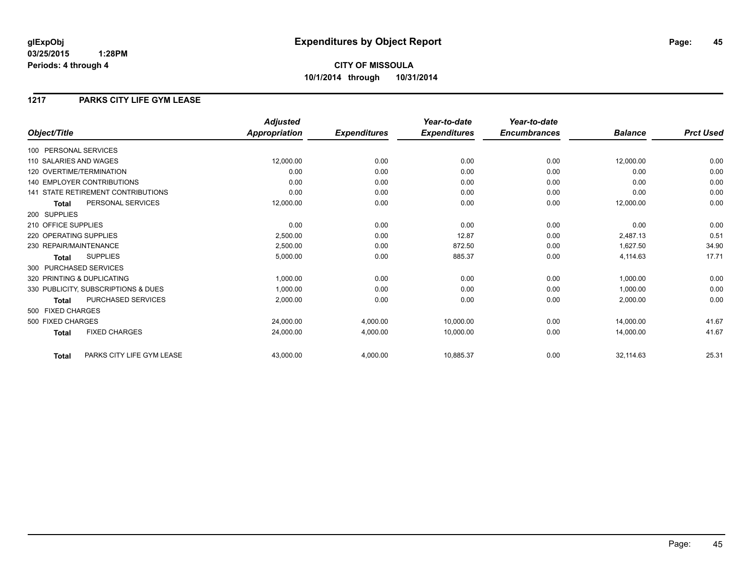# **CITY OF MISSOULA 10/1/2014 through 10/31/2014**

## **1217 PARKS CITY LIFE GYM LEASE**

|                                           | <b>Adjusted</b>      |                     | Year-to-date        | Year-to-date        |                |                  |
|-------------------------------------------|----------------------|---------------------|---------------------|---------------------|----------------|------------------|
| Object/Title                              | <b>Appropriation</b> | <b>Expenditures</b> | <b>Expenditures</b> | <b>Encumbrances</b> | <b>Balance</b> | <b>Prct Used</b> |
| 100 PERSONAL SERVICES                     |                      |                     |                     |                     |                |                  |
| 110 SALARIES AND WAGES                    | 12,000.00            | 0.00                | 0.00                | 0.00                | 12,000.00      | 0.00             |
| 120 OVERTIME/TERMINATION                  | 0.00                 | 0.00                | 0.00                | 0.00                | 0.00           | 0.00             |
| <b>140 EMPLOYER CONTRIBUTIONS</b>         | 0.00                 | 0.00                | 0.00                | 0.00                | 0.00           | 0.00             |
| 141 STATE RETIREMENT CONTRIBUTIONS        | 0.00                 | 0.00                | 0.00                | 0.00                | 0.00           | 0.00             |
| PERSONAL SERVICES<br><b>Total</b>         | 12,000.00            | 0.00                | 0.00                | 0.00                | 12,000.00      | 0.00             |
| 200 SUPPLIES                              |                      |                     |                     |                     |                |                  |
| 210 OFFICE SUPPLIES                       | 0.00                 | 0.00                | 0.00                | 0.00                | 0.00           | 0.00             |
| 220 OPERATING SUPPLIES                    | 2,500.00             | 0.00                | 12.87               | 0.00                | 2,487.13       | 0.51             |
| 230 REPAIR/MAINTENANCE                    | 2,500.00             | 0.00                | 872.50              | 0.00                | 1,627.50       | 34.90            |
| <b>SUPPLIES</b><br>Total                  | 5,000.00             | 0.00                | 885.37              | 0.00                | 4,114.63       | 17.71            |
| 300 PURCHASED SERVICES                    |                      |                     |                     |                     |                |                  |
| 320 PRINTING & DUPLICATING                | 1,000.00             | 0.00                | 0.00                | 0.00                | 1,000.00       | 0.00             |
| 330 PUBLICITY, SUBSCRIPTIONS & DUES       | 1,000.00             | 0.00                | 0.00                | 0.00                | 1,000.00       | 0.00             |
| <b>PURCHASED SERVICES</b><br><b>Total</b> | 2,000.00             | 0.00                | 0.00                | 0.00                | 2,000.00       | 0.00             |
| 500 FIXED CHARGES                         |                      |                     |                     |                     |                |                  |
| 500 FIXED CHARGES                         | 24,000.00            | 4,000.00            | 10,000.00           | 0.00                | 14.000.00      | 41.67            |
| <b>FIXED CHARGES</b><br><b>Total</b>      | 24,000.00            | 4,000.00            | 10,000.00           | 0.00                | 14,000.00      | 41.67            |
| PARKS CITY LIFE GYM LEASE<br><b>Total</b> | 43,000.00            | 4,000.00            | 10,885.37           | 0.00                | 32,114.63      | 25.31            |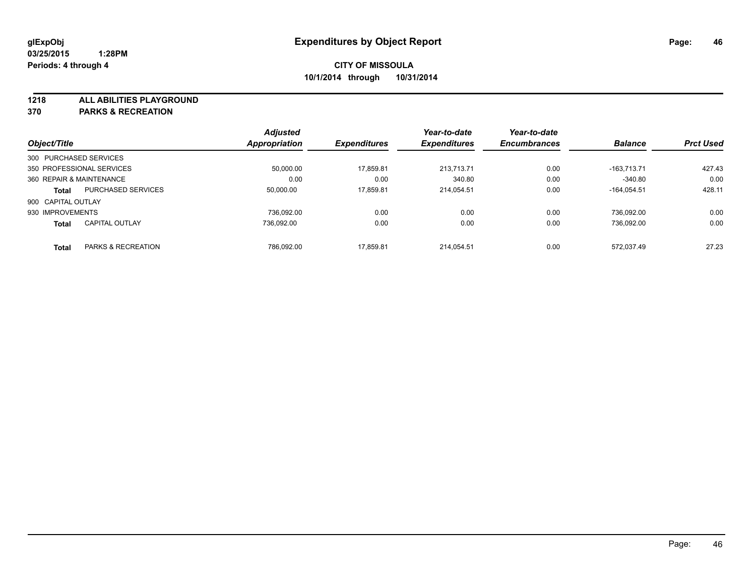**1218 ALL ABILITIES PLAYGROUND**

**370 PARKS & RECREATION**

|                          |                           | <b>Adjusted</b>      |                     | Year-to-date        | Year-to-date        |                |                  |
|--------------------------|---------------------------|----------------------|---------------------|---------------------|---------------------|----------------|------------------|
| Object/Title             |                           | <b>Appropriation</b> | <b>Expenditures</b> | <b>Expenditures</b> | <b>Encumbrances</b> | <b>Balance</b> | <b>Prct Used</b> |
| 300 PURCHASED SERVICES   |                           |                      |                     |                     |                     |                |                  |
|                          | 350 PROFESSIONAL SERVICES | 50.000.00            | 17.859.81           | 213.713.71          | 0.00                | $-163.713.71$  | 427.43           |
| 360 REPAIR & MAINTENANCE |                           | 0.00                 | 0.00                | 340.80              | 0.00                | $-340.80$      | 0.00             |
| <b>Total</b>             | <b>PURCHASED SERVICES</b> | 50,000.00            | 17.859.81           | 214.054.51          | 0.00                | $-164.054.51$  | 428.11           |
| 900 CAPITAL OUTLAY       |                           |                      |                     |                     |                     |                |                  |
| 930 IMPROVEMENTS         |                           | 736.092.00           | 0.00                | 0.00                | 0.00                | 736.092.00     | 0.00             |
| <b>Total</b>             | <b>CAPITAL OUTLAY</b>     | 736.092.00           | 0.00                | 0.00                | 0.00                | 736.092.00     | 0.00             |
| <b>Total</b>             | PARKS & RECREATION        | 786.092.00           | 17.859.81           | 214.054.51          | 0.00                | 572.037.49     | 27.23            |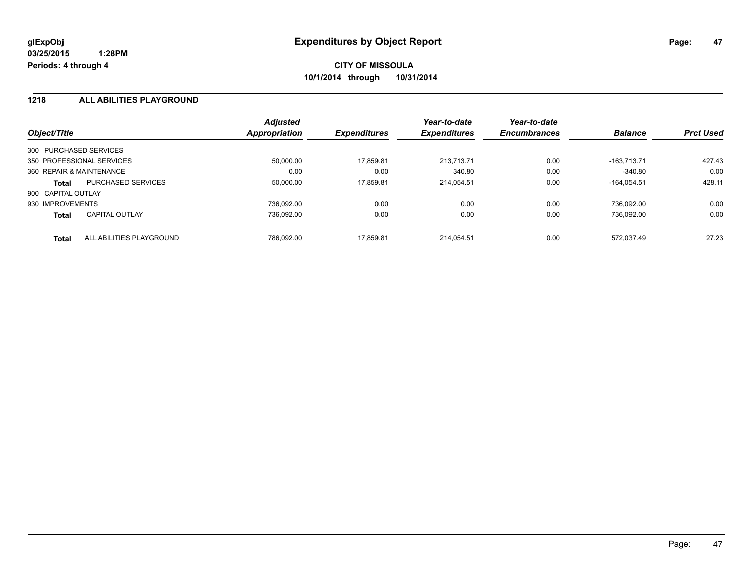## **1218 ALL ABILITIES PLAYGROUND**

| Object/Title             |                           | <b>Adjusted</b><br>Appropriation | <b>Expenditures</b> | Year-to-date<br><b>Expenditures</b> | Year-to-date<br><b>Encumbrances</b> | <b>Balance</b> | <b>Prct Used</b> |
|--------------------------|---------------------------|----------------------------------|---------------------|-------------------------------------|-------------------------------------|----------------|------------------|
| 300 PURCHASED SERVICES   |                           |                                  |                     |                                     |                                     |                |                  |
|                          | 350 PROFESSIONAL SERVICES | 50.000.00                        | 17,859.81           | 213.713.71                          | 0.00                                | $-163.713.71$  | 427.43           |
| 360 REPAIR & MAINTENANCE |                           | 0.00                             | 0.00                | 340.80                              | 0.00                                | $-340.80$      | 0.00             |
| Total                    | <b>PURCHASED SERVICES</b> | 50,000.00                        | 17,859.81           | 214.054.51                          | 0.00                                | $-164.054.51$  | 428.11           |
| 900 CAPITAL OUTLAY       |                           |                                  |                     |                                     |                                     |                |                  |
| 930 IMPROVEMENTS         |                           | 736.092.00                       | 0.00                | 0.00                                | 0.00                                | 736.092.00     | 0.00             |
| <b>Total</b>             | <b>CAPITAL OUTLAY</b>     | 736.092.00                       | 0.00                | 0.00                                | 0.00                                | 736.092.00     | 0.00             |
| <b>Total</b>             | ALL ABILITIES PLAYGROUND  | 786.092.00                       | 17.859.81           | 214.054.51                          | 0.00                                | 572.037.49     | 27.23            |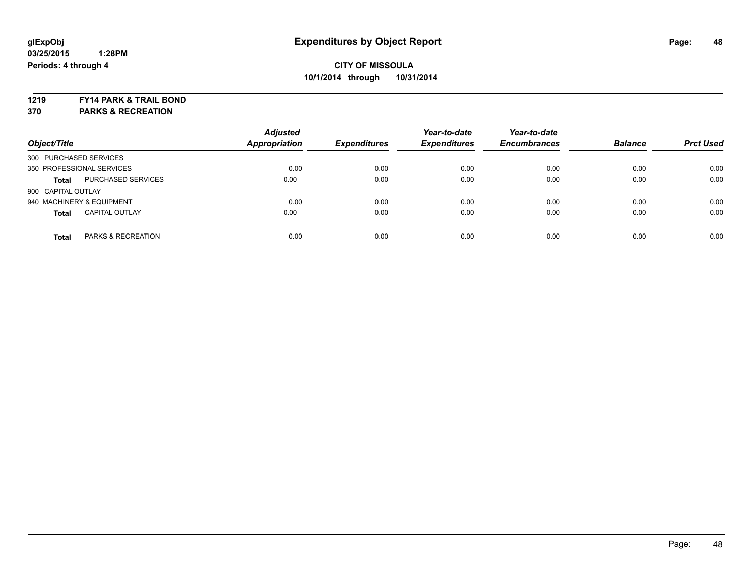**1219 FY14 PARK & TRAIL BOND**

**370 PARKS & RECREATION**

| Object/Title                              | <b>Adjusted</b><br>Appropriation | <b>Expenditures</b> | Year-to-date<br><b>Expenditures</b> | Year-to-date<br><b>Encumbrances</b> | <b>Balance</b> | <b>Prct Used</b> |
|-------------------------------------------|----------------------------------|---------------------|-------------------------------------|-------------------------------------|----------------|------------------|
| 300 PURCHASED SERVICES                    |                                  |                     |                                     |                                     |                |                  |
| 350 PROFESSIONAL SERVICES                 | 0.00                             | 0.00                | 0.00                                | 0.00                                | 0.00           | 0.00             |
| <b>PURCHASED SERVICES</b><br><b>Total</b> | 0.00                             | 0.00                | 0.00                                | 0.00                                | 0.00           | 0.00             |
| 900 CAPITAL OUTLAY                        |                                  |                     |                                     |                                     |                |                  |
| 940 MACHINERY & EQUIPMENT                 | 0.00                             | 0.00                | 0.00                                | 0.00                                | 0.00           | 0.00             |
| <b>CAPITAL OUTLAY</b><br><b>Total</b>     | 0.00                             | 0.00                | 0.00                                | 0.00                                | 0.00           | 0.00             |
| PARKS & RECREATION<br><b>Total</b>        | 0.00                             | 0.00                | 0.00                                | 0.00                                | 0.00           | 0.00             |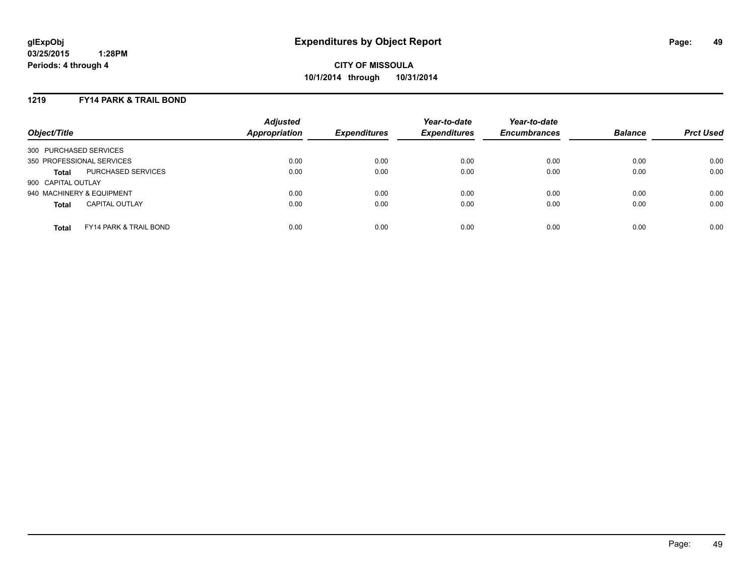## **1219 FY14 PARK & TRAIL BOND**

| Object/Title              |                                   | <b>Adjusted</b><br><b>Appropriation</b> | <b>Expenditures</b> | Year-to-date<br><b>Expenditures</b> | Year-to-date<br><b>Encumbrances</b> | <b>Balance</b> | <b>Prct Used</b> |
|---------------------------|-----------------------------------|-----------------------------------------|---------------------|-------------------------------------|-------------------------------------|----------------|------------------|
| 300 PURCHASED SERVICES    |                                   |                                         |                     |                                     |                                     |                |                  |
| 350 PROFESSIONAL SERVICES |                                   | 0.00                                    | 0.00                | 0.00                                | 0.00                                | 0.00           | 0.00             |
| <b>Total</b>              | PURCHASED SERVICES                | 0.00                                    | 0.00                | 0.00                                | 0.00                                | 0.00           | 0.00             |
| 900 CAPITAL OUTLAY        |                                   |                                         |                     |                                     |                                     |                |                  |
| 940 MACHINERY & EQUIPMENT |                                   | 0.00                                    | 0.00                | 0.00                                | 0.00                                | 0.00           | 0.00             |
| <b>Total</b>              | <b>CAPITAL OUTLAY</b>             | 0.00                                    | 0.00                | 0.00                                | 0.00                                | 0.00           | 0.00             |
| <b>Total</b>              | <b>FY14 PARK &amp; TRAIL BOND</b> | 0.00                                    | 0.00                | 0.00                                | 0.00                                | 0.00           | 0.00             |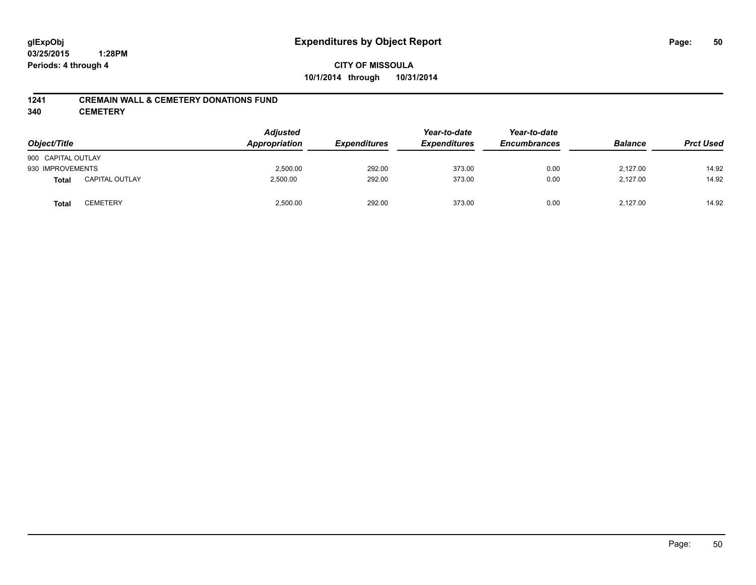**CITY OF MISSOULA 10/1/2014 through 10/31/2014**

## **1241 CREMAIN WALL & CEMETERY DONATIONS FUND**

**340 CEMETERY**

| Object/Title       |                       | <b>Adjusted</b><br>Appropriation | <b>Expenditures</b> | Year-to-date<br><b>Expenditures</b> | Year-to-date<br><b>Encumbrances</b> | <b>Balance</b> | <b>Prct Used</b> |
|--------------------|-----------------------|----------------------------------|---------------------|-------------------------------------|-------------------------------------|----------------|------------------|
| 900 CAPITAL OUTLAY |                       |                                  |                     |                                     |                                     |                |                  |
| 930 IMPROVEMENTS   |                       | 2,500.00                         | 292.00              | 373.00                              | 0.00                                | 2.127.00       | 14.92            |
| <b>Total</b>       | <b>CAPITAL OUTLAY</b> | 2,500.00                         | 292.00              | 373.00                              | 0.00                                | 2,127.00       | 14.92            |
| <b>Total</b>       | CEMETERY              | 2,500.00                         | 292.00              | 373.00                              | 0.00                                | 2,127.00       | 14.92            |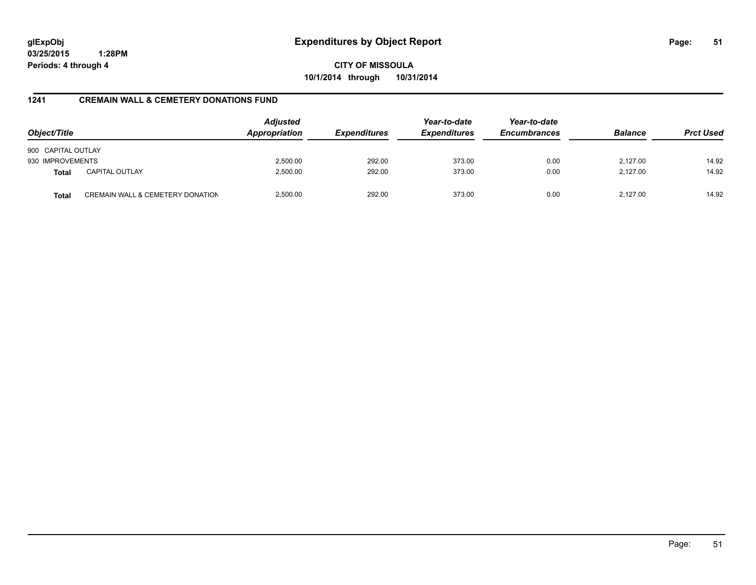**CITY OF MISSOULA 10/1/2014 through 10/31/2014**

## **1241 CREMAIN WALL & CEMETERY DONATIONS FUND**

| Object/Title       |                                  | Adjusted<br>Appropriation | <b>Expenditures</b> | Year-to-date<br><b>Expenditures</b> | Year-to-date<br><b>Encumbrances</b> | <b>Balance</b> | <b>Prct Used</b> |
|--------------------|----------------------------------|---------------------------|---------------------|-------------------------------------|-------------------------------------|----------------|------------------|
| 900 CAPITAL OUTLAY |                                  |                           |                     |                                     |                                     |                |                  |
| 930 IMPROVEMENTS   |                                  | 2,500.00                  | 292.00              | 373.00                              | 0.00                                | 2.127.00       | 14.92            |
| <b>Total</b>       | <b>CAPITAL OUTLAY</b>            | 2,500.00                  | 292.00              | 373.00                              | 0.00                                | 2.127.00       | 14.92            |
| <b>Total</b>       | CREMAIN WALL & CEMETERY DONATION | 2.500.00                  | 292.00              | 373.00                              | 0.00                                | 2.127.00       | 14.92            |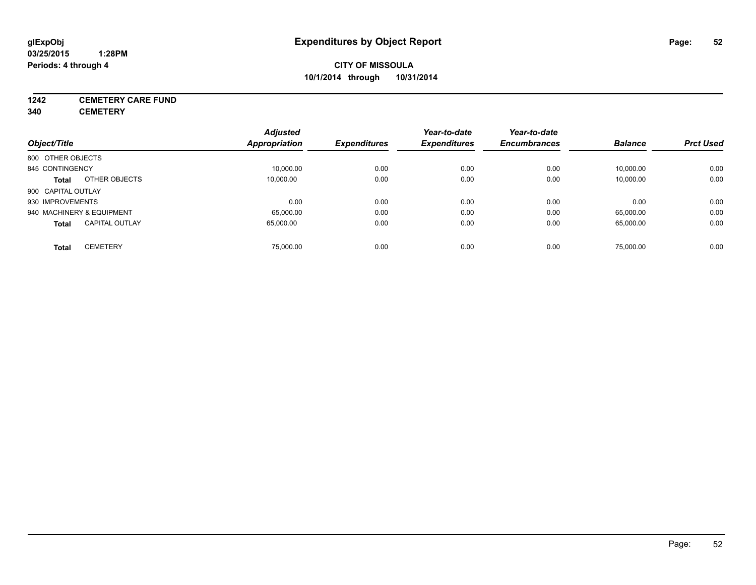# **1242 CEMETERY CARE FUND**

**340 CEMETERY**

|                                       | <b>Adjusted</b> |                     | Year-to-date        | Year-to-date        |                |                  |
|---------------------------------------|-----------------|---------------------|---------------------|---------------------|----------------|------------------|
| Object/Title                          | Appropriation   | <b>Expenditures</b> | <b>Expenditures</b> | <b>Encumbrances</b> | <b>Balance</b> | <b>Prct Used</b> |
| 800 OTHER OBJECTS                     |                 |                     |                     |                     |                |                  |
| 845 CONTINGENCY                       | 10,000.00       | 0.00                | 0.00                | 0.00                | 10,000.00      | 0.00             |
| OTHER OBJECTS<br><b>Total</b>         | 10.000.00       | 0.00                | 0.00                | 0.00                | 10,000.00      | 0.00             |
| 900 CAPITAL OUTLAY                    |                 |                     |                     |                     |                |                  |
| 930 IMPROVEMENTS                      | 0.00            | 0.00                | 0.00                | 0.00                | 0.00           | 0.00             |
| 940 MACHINERY & EQUIPMENT             | 65,000.00       | 0.00                | 0.00                | 0.00                | 65,000.00      | 0.00             |
| <b>CAPITAL OUTLAY</b><br><b>Total</b> | 65,000.00       | 0.00                | 0.00                | 0.00                | 65,000.00      | 0.00             |
| <b>CEMETERY</b><br><b>Total</b>       | 75.000.00       | 0.00                | 0.00                | 0.00                | 75.000.00      | 0.00             |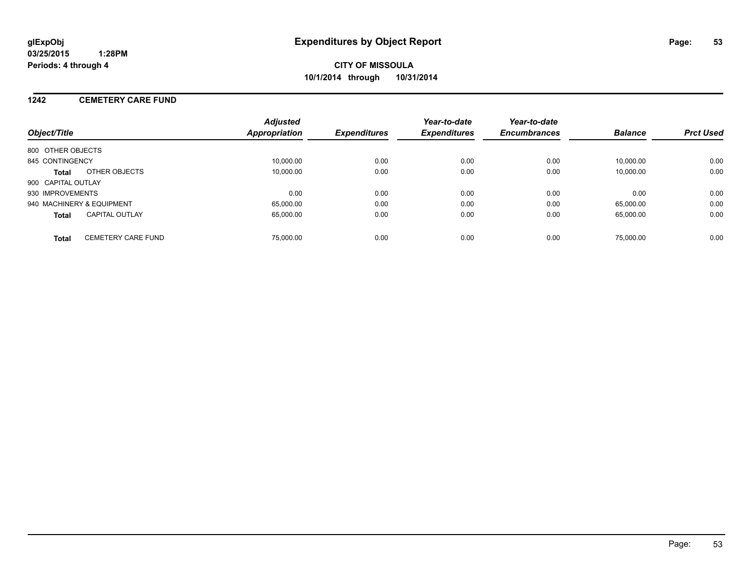## **1242 CEMETERY CARE FUND**

| Object/Title                              | <b>Adjusted</b><br>Appropriation | <b>Expenditures</b> | Year-to-date<br><b>Expenditures</b> | Year-to-date<br><b>Encumbrances</b> | <b>Balance</b> | <b>Prct Used</b> |
|-------------------------------------------|----------------------------------|---------------------|-------------------------------------|-------------------------------------|----------------|------------------|
| 800 OTHER OBJECTS                         |                                  |                     |                                     |                                     |                |                  |
| 845 CONTINGENCY                           | 10.000.00                        | 0.00                | 0.00                                | 0.00                                | 10.000.00      | 0.00             |
| OTHER OBJECTS<br><b>Total</b>             | 10.000.00                        | 0.00                | 0.00                                | 0.00                                | 10.000.00      | 0.00             |
| 900 CAPITAL OUTLAY                        |                                  |                     |                                     |                                     |                |                  |
| 930 IMPROVEMENTS                          | 0.00                             | 0.00                | 0.00                                | 0.00                                | 0.00           | 0.00             |
| 940 MACHINERY & EQUIPMENT                 | 65.000.00                        | 0.00                | 0.00                                | 0.00                                | 65.000.00      | 0.00             |
| <b>CAPITAL OUTLAY</b><br><b>Total</b>     | 65.000.00                        | 0.00                | 0.00                                | 0.00                                | 65.000.00      | 0.00             |
| <b>CEMETERY CARE FUND</b><br><b>Total</b> | 75,000.00                        | 0.00                | 0.00                                | 0.00                                | 75.000.00      | 0.00             |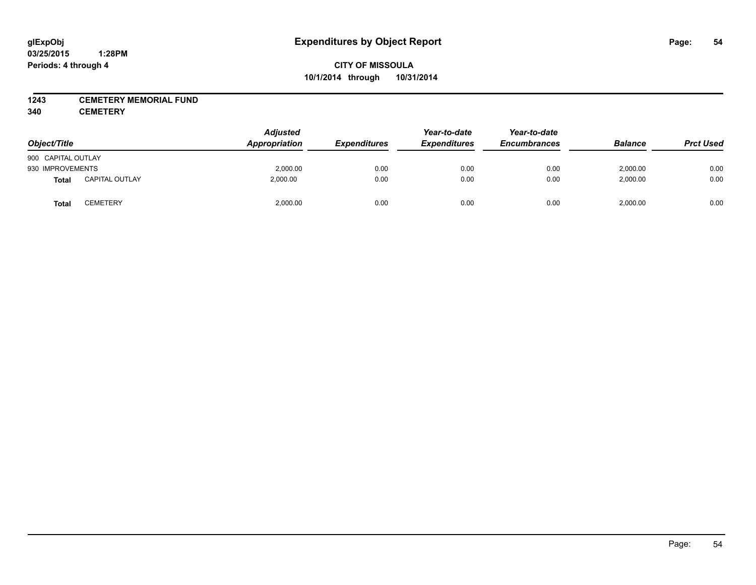## **1243 CEMETERY MEMORIAL FUND**

**340 CEMETERY**

| Object/Title       |                       | <b>Adjusted</b><br>Appropriation | <b>Expenditures</b> | Year-to-date<br><b>Expenditures</b> | Year-to-date<br><b>Encumbrances</b> | <b>Balance</b> | <b>Prct Used</b> |
|--------------------|-----------------------|----------------------------------|---------------------|-------------------------------------|-------------------------------------|----------------|------------------|
| 900 CAPITAL OUTLAY |                       |                                  |                     |                                     |                                     |                |                  |
| 930 IMPROVEMENTS   |                       | 2,000.00                         | 0.00                | 0.00                                | 0.00                                | 2,000.00       | 0.00             |
| <b>Total</b>       | <b>CAPITAL OUTLAY</b> | 2,000.00                         | 0.00                | 0.00                                | 0.00                                | 2,000.00       | 0.00             |
| Total              | CEMETERY              | 2,000.00                         | 0.00                | 0.00                                | 0.00                                | 2,000.00       | 0.00             |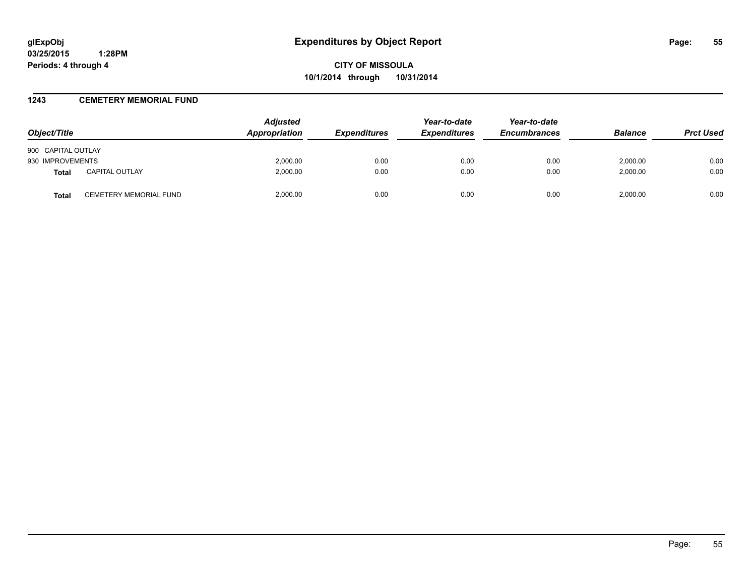**CITY OF MISSOULA 10/1/2014 through 10/31/2014**

## **1243 CEMETERY MEMORIAL FUND**

| Object/Title                          | <b>Adjusted</b><br>Appropriation | <b>Expenditures</b> | Year-to-date<br><b>Expenditures</b> | Year-to-date<br><b>Encumbrances</b> | <b>Balance</b> | <b>Prct Used</b> |
|---------------------------------------|----------------------------------|---------------------|-------------------------------------|-------------------------------------|----------------|------------------|
| 900 CAPITAL OUTLAY                    |                                  |                     |                                     |                                     |                |                  |
| 930 IMPROVEMENTS                      | 2,000.00                         | 0.00                | 0.00                                | 0.00                                | 2,000.00       | 0.00             |
| <b>CAPITAL OUTLAY</b><br><b>Total</b> | 2,000.00                         | 0.00                | 0.00                                | 0.00                                | 2,000.00       | 0.00             |
| CEMETERY MEMORIAL FUND<br>Total       | 2.000.00                         | 0.00                | 0.00                                | 0.00                                | 2.000.00       | 0.00             |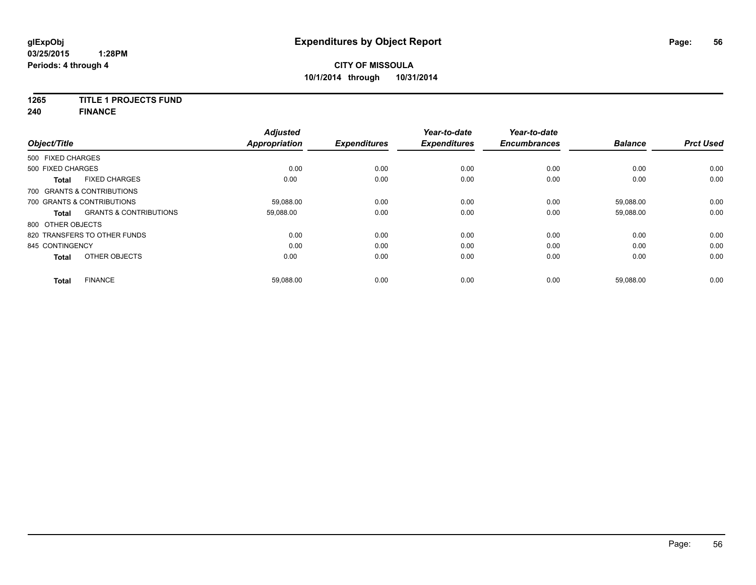# **1265 TITLE 1 PROJECTS FUND**

**240 FINANCE**

| Object/Title      |                                   | <b>Adjusted</b><br><b>Appropriation</b> | <b>Expenditures</b> | Year-to-date<br><b>Expenditures</b> | Year-to-date<br><b>Encumbrances</b> | <b>Balance</b> | <b>Prct Used</b> |
|-------------------|-----------------------------------|-----------------------------------------|---------------------|-------------------------------------|-------------------------------------|----------------|------------------|
| 500 FIXED CHARGES |                                   |                                         |                     |                                     |                                     |                |                  |
| 500 FIXED CHARGES |                                   | 0.00                                    | 0.00                | 0.00                                | 0.00                                | 0.00           | 0.00             |
| <b>Total</b>      | <b>FIXED CHARGES</b>              | 0.00                                    | 0.00                | 0.00                                | 0.00                                | 0.00           | 0.00             |
|                   | 700 GRANTS & CONTRIBUTIONS        |                                         |                     |                                     |                                     |                |                  |
|                   | 700 GRANTS & CONTRIBUTIONS        | 59,088.00                               | 0.00                | 0.00                                | 0.00                                | 59,088.00      | 0.00             |
| <b>Total</b>      | <b>GRANTS &amp; CONTRIBUTIONS</b> | 59,088.00                               | 0.00                | 0.00                                | 0.00                                | 59,088.00      | 0.00             |
| 800 OTHER OBJECTS |                                   |                                         |                     |                                     |                                     |                |                  |
|                   | 820 TRANSFERS TO OTHER FUNDS      | 0.00                                    | 0.00                | 0.00                                | 0.00                                | 0.00           | 0.00             |
| 845 CONTINGENCY   |                                   | 0.00                                    | 0.00                | 0.00                                | 0.00                                | 0.00           | 0.00             |
| <b>Total</b>      | OTHER OBJECTS                     | 0.00                                    | 0.00                | 0.00                                | 0.00                                | 0.00           | 0.00             |
| Total             | <b>FINANCE</b>                    | 59,088.00                               | 0.00                | 0.00                                | 0.00                                | 59,088.00      | 0.00             |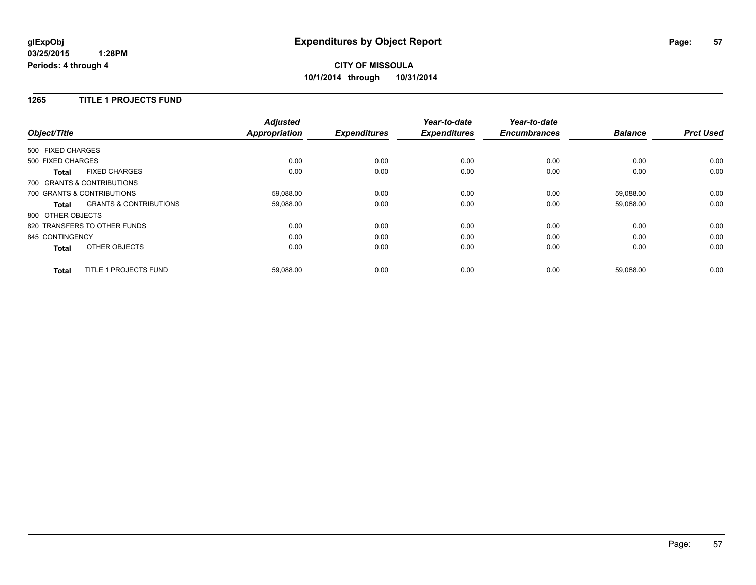# **CITY OF MISSOULA 10/1/2014 through 10/31/2014**

## **1265 TITLE 1 PROJECTS FUND**

| Object/Title      |                                   | <b>Adjusted</b><br><b>Appropriation</b> | <b>Expenditures</b> | Year-to-date<br><b>Expenditures</b> | Year-to-date<br><b>Encumbrances</b> | <b>Balance</b> | <b>Prct Used</b> |
|-------------------|-----------------------------------|-----------------------------------------|---------------------|-------------------------------------|-------------------------------------|----------------|------------------|
| 500 FIXED CHARGES |                                   |                                         |                     |                                     |                                     |                |                  |
| 500 FIXED CHARGES |                                   | 0.00                                    | 0.00                | 0.00                                | 0.00                                | 0.00           | 0.00             |
| <b>Total</b>      | <b>FIXED CHARGES</b>              | 0.00                                    | 0.00                | 0.00                                | 0.00                                | 0.00           | 0.00             |
|                   | 700 GRANTS & CONTRIBUTIONS        |                                         |                     |                                     |                                     |                |                  |
|                   | 700 GRANTS & CONTRIBUTIONS        | 59,088.00                               | 0.00                | 0.00                                | 0.00                                | 59,088.00      | 0.00             |
| Total             | <b>GRANTS &amp; CONTRIBUTIONS</b> | 59,088.00                               | 0.00                | 0.00                                | 0.00                                | 59,088.00      | 0.00             |
| 800 OTHER OBJECTS |                                   |                                         |                     |                                     |                                     |                |                  |
|                   | 820 TRANSFERS TO OTHER FUNDS      | 0.00                                    | 0.00                | 0.00                                | 0.00                                | 0.00           | 0.00             |
| 845 CONTINGENCY   |                                   | 0.00                                    | 0.00                | 0.00                                | 0.00                                | 0.00           | 0.00             |
| <b>Total</b>      | OTHER OBJECTS                     | 0.00                                    | 0.00                | 0.00                                | 0.00                                | 0.00           | 0.00             |
| <b>Total</b>      | <b>TITLE 1 PROJECTS FUND</b>      | 59,088.00                               | 0.00                | 0.00                                | 0.00                                | 59.088.00      | 0.00             |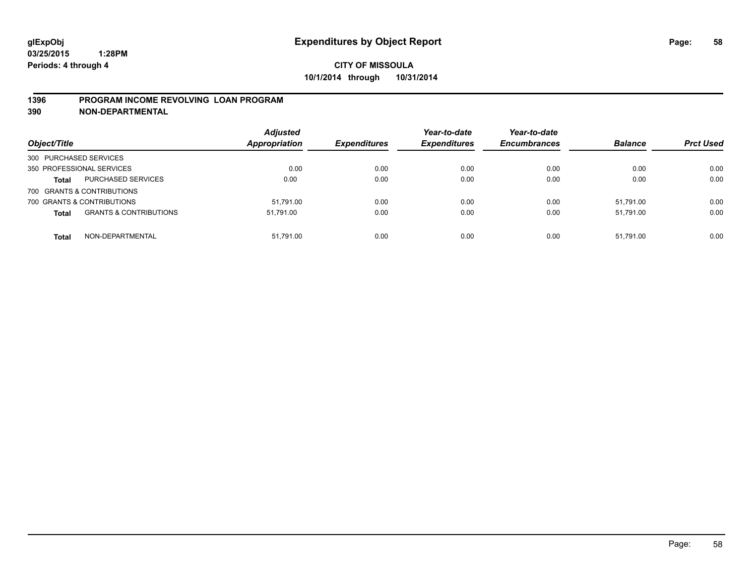## **1396 PROGRAM INCOME REVOLVING LOAN PROGRAM**

**390 NON-DEPARTMENTAL**

| Object/Title               |                                   | <b>Adjusted</b><br><b>Appropriation</b> | <b>Expenditures</b> | Year-to-date<br><b>Expenditures</b> | Year-to-date<br><b>Encumbrances</b> | <b>Balance</b> | <b>Prct Used</b> |
|----------------------------|-----------------------------------|-----------------------------------------|---------------------|-------------------------------------|-------------------------------------|----------------|------------------|
| 300 PURCHASED SERVICES     |                                   |                                         |                     |                                     |                                     |                |                  |
| 350 PROFESSIONAL SERVICES  |                                   | 0.00                                    | 0.00                | 0.00                                | 0.00                                | 0.00           | 0.00             |
| <b>Total</b>               | PURCHASED SERVICES                | 0.00                                    | 0.00                | 0.00                                | 0.00                                | 0.00           | 0.00             |
| 700 GRANTS & CONTRIBUTIONS |                                   |                                         |                     |                                     |                                     |                |                  |
| 700 GRANTS & CONTRIBUTIONS |                                   | 51.791.00                               | 0.00                | 0.00                                | 0.00                                | 51.791.00      | 0.00             |
| <b>Total</b>               | <b>GRANTS &amp; CONTRIBUTIONS</b> | 51.791.00                               | 0.00                | 0.00                                | 0.00                                | 51.791.00      | 0.00             |
| <b>Total</b>               | NON-DEPARTMENTAL                  | 51.791.00                               | 0.00                | 0.00                                | 0.00                                | 51.791.00      | 0.00             |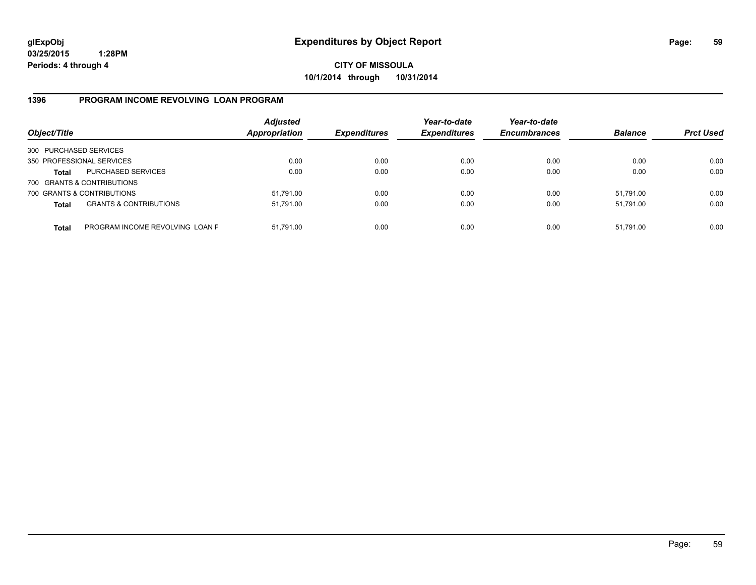**CITY OF MISSOULA 10/1/2014 through 10/31/2014**

## **1396 PROGRAM INCOME REVOLVING LOAN PROGRAM**

| Object/Title           |                                   | <b>Adjusted</b><br><b>Appropriation</b> | <b>Expenditures</b> | Year-to-date<br><b>Expenditures</b> | Year-to-date<br><b>Encumbrances</b> | <b>Balance</b> | <b>Prct Used</b> |
|------------------------|-----------------------------------|-----------------------------------------|---------------------|-------------------------------------|-------------------------------------|----------------|------------------|
| 300 PURCHASED SERVICES |                                   |                                         |                     |                                     |                                     |                |                  |
|                        | 350 PROFESSIONAL SERVICES         | 0.00                                    | 0.00                | 0.00                                | 0.00                                | 0.00           | 0.00             |
| Total                  | PURCHASED SERVICES                | 0.00                                    | 0.00                | 0.00                                | 0.00                                | 0.00           | 0.00             |
|                        | 700 GRANTS & CONTRIBUTIONS        |                                         |                     |                                     |                                     |                |                  |
|                        | 700 GRANTS & CONTRIBUTIONS        | 51,791.00                               | 0.00                | 0.00                                | 0.00                                | 51.791.00      | 0.00             |
| <b>Total</b>           | <b>GRANTS &amp; CONTRIBUTIONS</b> | 51,791.00                               | 0.00                | 0.00                                | 0.00                                | 51.791.00      | 0.00             |
| <b>Total</b>           | PROGRAM INCOME REVOLVING LOAN P   | 51,791.00                               | 0.00                | 0.00                                | 0.00                                | 51,791.00      | 0.00             |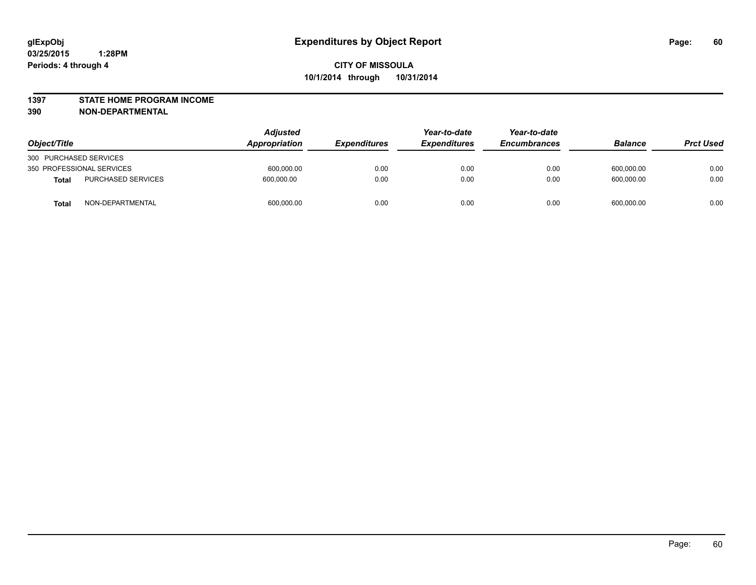### **1397 STATE HOME PROGRAM INCOME**

**390 NON-DEPARTMENTAL**

| Object/Title           |                           | <b>Adjusted</b><br>Appropriation | <b>Expenditures</b> | Year-to-date<br><b>Expenditures</b> | Year-to-date<br><b>Encumbrances</b> | <b>Balance</b> | <b>Prct Used</b> |
|------------------------|---------------------------|----------------------------------|---------------------|-------------------------------------|-------------------------------------|----------------|------------------|
| 300 PURCHASED SERVICES |                           |                                  |                     |                                     |                                     |                |                  |
|                        | 350 PROFESSIONAL SERVICES | 600,000.00                       | 0.00                | 0.00                                | 0.00                                | 600,000.00     | 0.00             |
| <b>Total</b>           | <b>PURCHASED SERVICES</b> | 600.000.00                       | 0.00                | 0.00                                | 0.00                                | 600.000.00     | 0.00             |
| Total                  | NON-DEPARTMENTAL          | 600,000.00                       | 0.00                | 0.00                                | 0.00                                | 600,000.00     | 0.00             |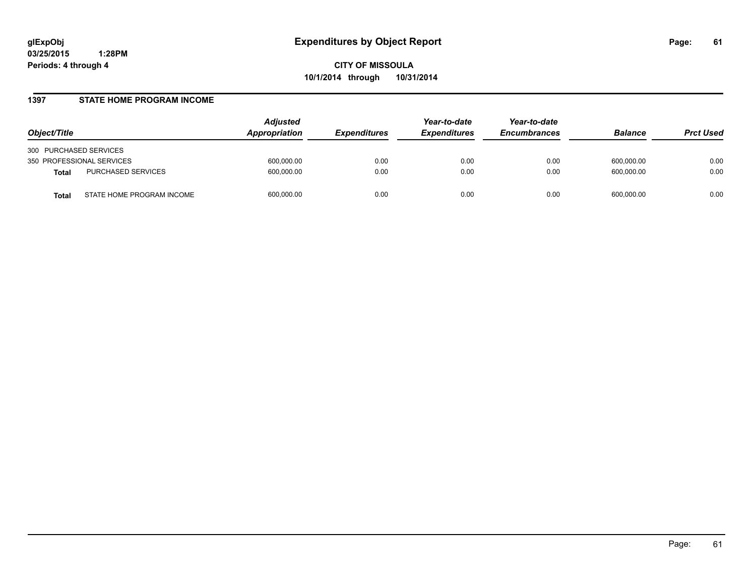### **1397 STATE HOME PROGRAM INCOME**

| Object/Title                              | <b>Adjusted</b><br>Appropriation | <i><b>Expenditures</b></i> | Year-to-date<br><b>Expenditures</b> | Year-to-date<br><b>Encumbrances</b> | <b>Balance</b> | <b>Prct Used</b> |
|-------------------------------------------|----------------------------------|----------------------------|-------------------------------------|-------------------------------------|----------------|------------------|
| 300 PURCHASED SERVICES                    |                                  |                            |                                     |                                     |                |                  |
| 350 PROFESSIONAL SERVICES                 | 600,000.00                       | 0.00                       | 0.00                                | 0.00                                | 600.000.00     | 0.00             |
| PURCHASED SERVICES<br><b>Total</b>        | 600,000.00                       | 0.00                       | 0.00                                | 0.00                                | 600.000.00     | 0.00             |
| STATE HOME PROGRAM INCOME<br><b>Total</b> | 600,000.00                       | 0.00                       | 0.00                                | 0.00                                | 600.000.00     | 0.00             |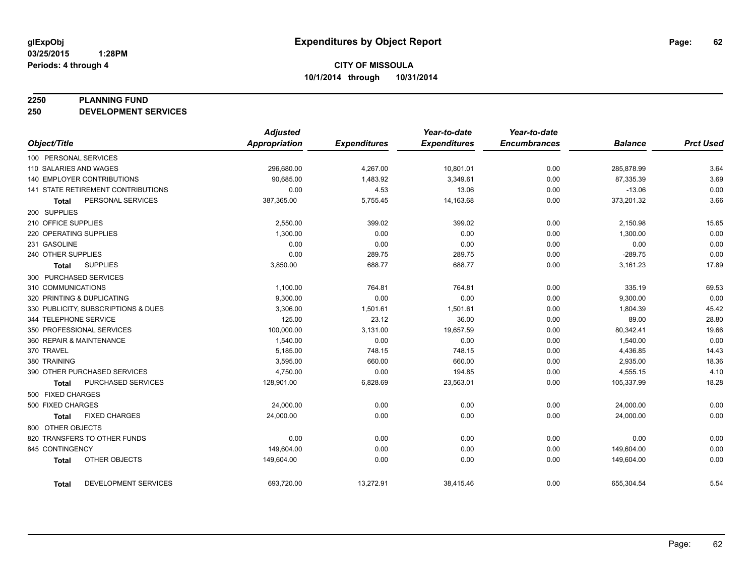### **2250 PLANNING FUND**

**250 DEVELOPMENT SERVICES**

|                                           | <b>Adjusted</b> |                     | Year-to-date        | Year-to-date        |                |                  |
|-------------------------------------------|-----------------|---------------------|---------------------|---------------------|----------------|------------------|
| Object/Title                              | Appropriation   | <b>Expenditures</b> | <b>Expenditures</b> | <b>Encumbrances</b> | <b>Balance</b> | <b>Prct Used</b> |
| 100 PERSONAL SERVICES                     |                 |                     |                     |                     |                |                  |
| 110 SALARIES AND WAGES                    | 296,680.00      | 4,267.00            | 10,801.01           | 0.00                | 285,878.99     | 3.64             |
| 140 EMPLOYER CONTRIBUTIONS                | 90,685.00       | 1,483.92            | 3,349.61            | 0.00                | 87,335.39      | 3.69             |
| 141 STATE RETIREMENT CONTRIBUTIONS        | 0.00            | 4.53                | 13.06               | 0.00                | $-13.06$       | 0.00             |
| PERSONAL SERVICES<br><b>Total</b>         | 387,365.00      | 5,755.45            | 14,163.68           | 0.00                | 373,201.32     | 3.66             |
| 200 SUPPLIES                              |                 |                     |                     |                     |                |                  |
| 210 OFFICE SUPPLIES                       | 2,550.00        | 399.02              | 399.02              | 0.00                | 2,150.98       | 15.65            |
| 220 OPERATING SUPPLIES                    | 1,300.00        | 0.00                | 0.00                | 0.00                | 1,300.00       | 0.00             |
| 231 GASOLINE                              | 0.00            | 0.00                | 0.00                | 0.00                | 0.00           | 0.00             |
| 240 OTHER SUPPLIES                        | 0.00            | 289.75              | 289.75              | 0.00                | $-289.75$      | 0.00             |
| <b>SUPPLIES</b><br><b>Total</b>           | 3,850.00        | 688.77              | 688.77              | 0.00                | 3,161.23       | 17.89            |
| 300 PURCHASED SERVICES                    |                 |                     |                     |                     |                |                  |
| 310 COMMUNICATIONS                        | 1,100.00        | 764.81              | 764.81              | 0.00                | 335.19         | 69.53            |
| 320 PRINTING & DUPLICATING                | 9,300.00        | 0.00                | 0.00                | 0.00                | 9,300.00       | 0.00             |
| 330 PUBLICITY, SUBSCRIPTIONS & DUES       | 3,306.00        | 1,501.61            | 1,501.61            | 0.00                | 1,804.39       | 45.42            |
| 344 TELEPHONE SERVICE                     | 125.00          | 23.12               | 36.00               | 0.00                | 89.00          | 28.80            |
| 350 PROFESSIONAL SERVICES                 | 100,000.00      | 3,131.00            | 19,657.59           | 0.00                | 80,342.41      | 19.66            |
| 360 REPAIR & MAINTENANCE                  | 1,540.00        | 0.00                | 0.00                | 0.00                | 1,540.00       | 0.00             |
| 370 TRAVEL                                | 5,185.00        | 748.15              | 748.15              | 0.00                | 4,436.85       | 14.43            |
| 380 TRAINING                              | 3,595.00        | 660.00              | 660.00              | 0.00                | 2,935.00       | 18.36            |
| 390 OTHER PURCHASED SERVICES              | 4,750.00        | 0.00                | 194.85              | 0.00                | 4,555.15       | 4.10             |
| <b>PURCHASED SERVICES</b><br><b>Total</b> | 128,901.00      | 6,828.69            | 23,563.01           | 0.00                | 105,337.99     | 18.28            |
| 500 FIXED CHARGES                         |                 |                     |                     |                     |                |                  |
| 500 FIXED CHARGES                         | 24,000.00       | 0.00                | 0.00                | 0.00                | 24,000.00      | 0.00             |
| <b>FIXED CHARGES</b><br><b>Total</b>      | 24,000.00       | 0.00                | 0.00                | 0.00                | 24,000.00      | 0.00             |
| 800 OTHER OBJECTS                         |                 |                     |                     |                     |                |                  |
| 820 TRANSFERS TO OTHER FUNDS              | 0.00            | 0.00                | 0.00                | 0.00                | 0.00           | 0.00             |
| 845 CONTINGENCY                           | 149,604.00      | 0.00                | 0.00                | 0.00                | 149,604.00     | 0.00             |
| OTHER OBJECTS<br><b>Total</b>             | 149,604.00      | 0.00                | 0.00                | 0.00                | 149,604.00     | 0.00             |
| <b>DEVELOPMENT SERVICES</b><br>Total      | 693,720.00      | 13,272.91           | 38,415.46           | 0.00                | 655,304.54     | 5.54             |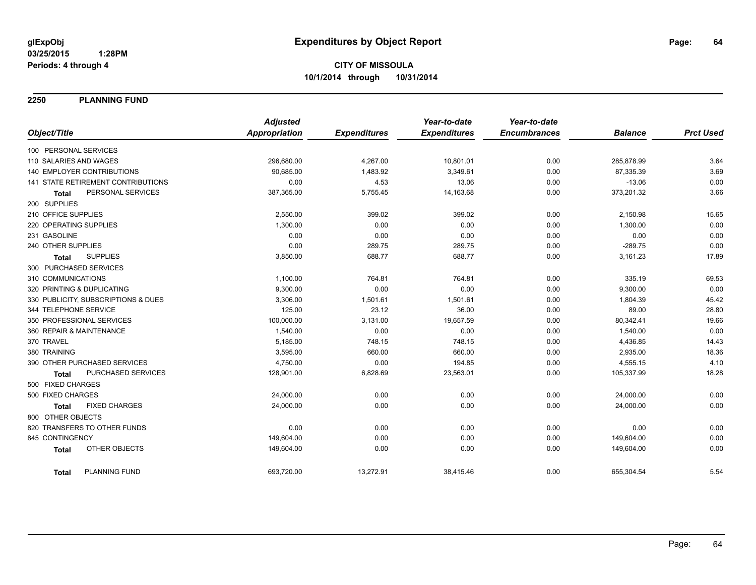**2250 PLANNING FUND**

|                                      | <b>Adjusted</b> |                     | Year-to-date        | Year-to-date        |                |                  |
|--------------------------------------|-----------------|---------------------|---------------------|---------------------|----------------|------------------|
| Object/Title                         | Appropriation   | <b>Expenditures</b> | <b>Expenditures</b> | <b>Encumbrances</b> | <b>Balance</b> | <b>Prct Used</b> |
| 100 PERSONAL SERVICES                |                 |                     |                     |                     |                |                  |
| 110 SALARIES AND WAGES               | 296,680.00      | 4,267.00            | 10,801.01           | 0.00                | 285,878.99     | 3.64             |
| <b>140 EMPLOYER CONTRIBUTIONS</b>    | 90,685.00       | 1,483.92            | 3,349.61            | 0.00                | 87,335.39      | 3.69             |
| 141 STATE RETIREMENT CONTRIBUTIONS   | 0.00            | 4.53                | 13.06               | 0.00                | $-13.06$       | 0.00             |
| PERSONAL SERVICES<br><b>Total</b>    | 387,365.00      | 5,755.45            | 14,163.68           | 0.00                | 373,201.32     | 3.66             |
| 200 SUPPLIES                         |                 |                     |                     |                     |                |                  |
| 210 OFFICE SUPPLIES                  | 2,550.00        | 399.02              | 399.02              | 0.00                | 2,150.98       | 15.65            |
| 220 OPERATING SUPPLIES               | 1,300.00        | 0.00                | 0.00                | 0.00                | 1,300.00       | 0.00             |
| 231 GASOLINE                         | 0.00            | 0.00                | 0.00                | 0.00                | 0.00           | 0.00             |
| 240 OTHER SUPPLIES                   | 0.00            | 289.75              | 289.75              | 0.00                | $-289.75$      | 0.00             |
| <b>SUPPLIES</b><br><b>Total</b>      | 3,850.00        | 688.77              | 688.77              | 0.00                | 3,161.23       | 17.89            |
| 300 PURCHASED SERVICES               |                 |                     |                     |                     |                |                  |
| 310 COMMUNICATIONS                   | 1,100.00        | 764.81              | 764.81              | 0.00                | 335.19         | 69.53            |
| 320 PRINTING & DUPLICATING           | 9,300.00        | 0.00                | 0.00                | 0.00                | 9,300.00       | 0.00             |
| 330 PUBLICITY, SUBSCRIPTIONS & DUES  | 3,306.00        | 1,501.61            | 1,501.61            | 0.00                | 1,804.39       | 45.42            |
| 344 TELEPHONE SERVICE                | 125.00          | 23.12               | 36.00               | 0.00                | 89.00          | 28.80            |
| 350 PROFESSIONAL SERVICES            | 100,000.00      | 3,131.00            | 19,657.59           | 0.00                | 80,342.41      | 19.66            |
| 360 REPAIR & MAINTENANCE             | 1,540.00        | 0.00                | 0.00                | 0.00                | 1,540.00       | 0.00             |
| 370 TRAVEL                           | 5,185.00        | 748.15              | 748.15              | 0.00                | 4,436.85       | 14.43            |
| 380 TRAINING                         | 3,595.00        | 660.00              | 660.00              | 0.00                | 2,935.00       | 18.36            |
| 390 OTHER PURCHASED SERVICES         | 4,750.00        | 0.00                | 194.85              | 0.00                | 4,555.15       | 4.10             |
| PURCHASED SERVICES<br><b>Total</b>   | 128,901.00      | 6,828.69            | 23,563.01           | 0.00                | 105,337.99     | 18.28            |
| 500 FIXED CHARGES                    |                 |                     |                     |                     |                |                  |
| 500 FIXED CHARGES                    | 24,000.00       | 0.00                | 0.00                | 0.00                | 24,000.00      | 0.00             |
| <b>FIXED CHARGES</b><br><b>Total</b> | 24,000.00       | 0.00                | 0.00                | 0.00                | 24,000.00      | 0.00             |
| 800 OTHER OBJECTS                    |                 |                     |                     |                     |                |                  |
| 820 TRANSFERS TO OTHER FUNDS         | 0.00            | 0.00                | 0.00                | 0.00                | 0.00           | 0.00             |
| 845 CONTINGENCY                      | 149,604.00      | 0.00                | 0.00                | 0.00                | 149,604.00     | 0.00             |
| OTHER OBJECTS<br><b>Total</b>        | 149,604.00      | 0.00                | 0.00                | 0.00                | 149,604.00     | 0.00             |
| PLANNING FUND<br><b>Total</b>        | 693,720.00      | 13,272.91           | 38,415.46           | 0.00                | 655,304.54     | 5.54             |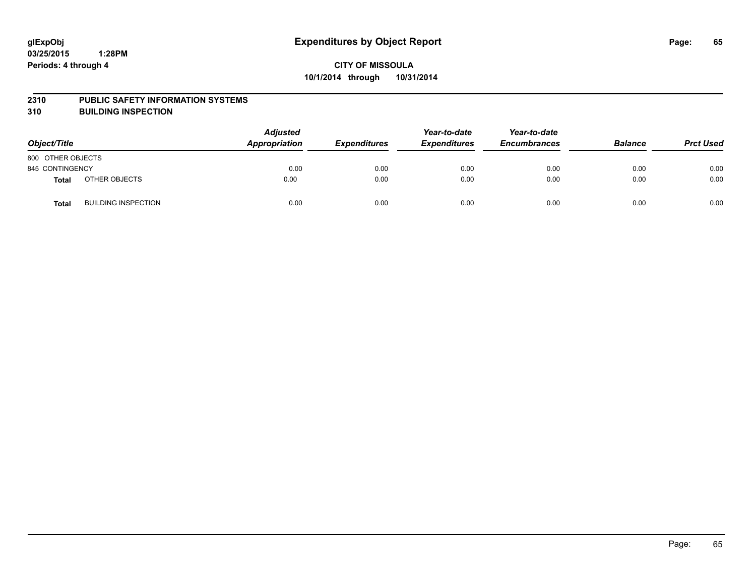### **2310 PUBLIC SAFETY INFORMATION SYSTEMS**

**310 BUILDING INSPECTION**

| Object/Title      |                            | <b>Adjusted</b><br>Appropriation | <b>Expenditures</b> | Year-to-date<br><b>Expenditures</b> | Year-to-date<br><b>Encumbrances</b> | <b>Balance</b> | <b>Prct Used</b> |
|-------------------|----------------------------|----------------------------------|---------------------|-------------------------------------|-------------------------------------|----------------|------------------|
| 800 OTHER OBJECTS |                            |                                  |                     |                                     |                                     |                |                  |
| 845 CONTINGENCY   |                            | 0.00                             | 0.00                | 0.00                                | 0.00                                | 0.00           | 0.00             |
| <b>Total</b>      | OTHER OBJECTS              | 0.00                             | 0.00                | 0.00                                | 0.00                                | 0.00           | 0.00             |
| <b>Total</b>      | <b>BUILDING INSPECTION</b> | 0.00                             | 0.00                | 0.00                                | 0.00                                | 0.00           | 0.00             |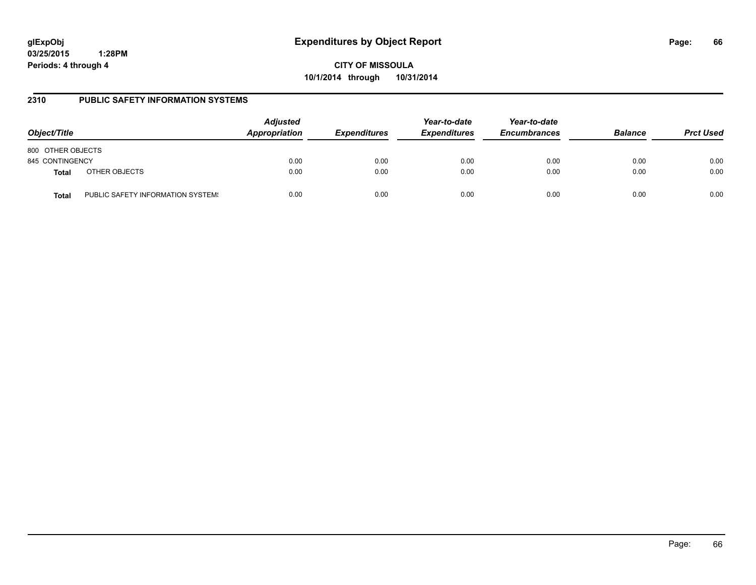**CITY OF MISSOULA 10/1/2014 through 10/31/2014**

## **2310 PUBLIC SAFETY INFORMATION SYSTEMS**

| Object/Title      |                                   | <b>Adjusted</b><br>Appropriation | <b>Expenditures</b> | Year-to-date<br><b>Expenditures</b> | Year-to-date<br><b>Encumbrances</b> | <b>Balance</b> | <b>Prct Used</b> |
|-------------------|-----------------------------------|----------------------------------|---------------------|-------------------------------------|-------------------------------------|----------------|------------------|
| 800 OTHER OBJECTS |                                   |                                  |                     |                                     |                                     |                |                  |
| 845 CONTINGENCY   |                                   | 0.00                             | 0.00                | 0.00                                | 0.00                                | 0.00           | 0.00             |
| <b>Total</b>      | OTHER OBJECTS                     | 0.00                             | 0.00                | 0.00                                | 0.00                                | 0.00           | 0.00             |
| Total             | PUBLIC SAFETY INFORMATION SYSTEM! | 0.00                             | 0.00                | 0.00                                | 0.00                                | 0.00           | 0.00             |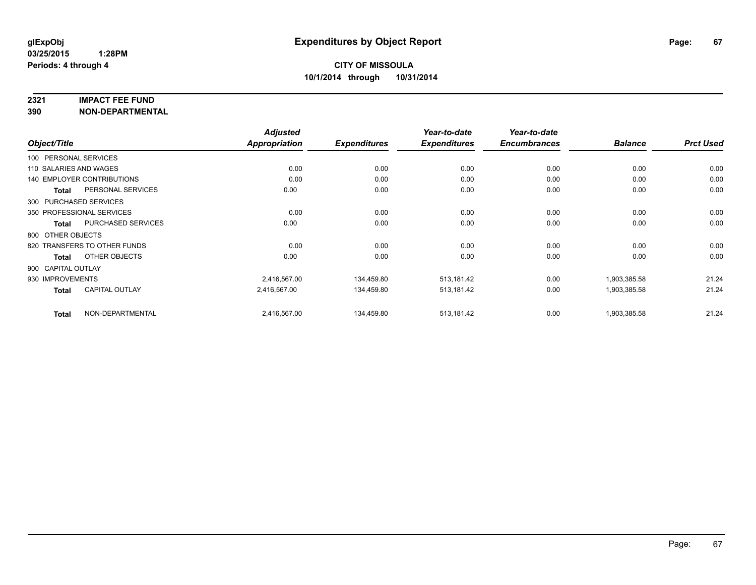### **2321 IMPACT FEE FUND**

**390 NON-DEPARTMENTAL**

|                        |                                   | <b>Adjusted</b> |                     | Year-to-date        | Year-to-date        |                |                  |
|------------------------|-----------------------------------|-----------------|---------------------|---------------------|---------------------|----------------|------------------|
| Object/Title           |                                   | Appropriation   | <b>Expenditures</b> | <b>Expenditures</b> | <b>Encumbrances</b> | <b>Balance</b> | <b>Prct Used</b> |
| 100 PERSONAL SERVICES  |                                   |                 |                     |                     |                     |                |                  |
| 110 SALARIES AND WAGES |                                   | 0.00            | 0.00                | 0.00                | 0.00                | 0.00           | 0.00             |
|                        | <b>140 EMPLOYER CONTRIBUTIONS</b> | 0.00            | 0.00                | 0.00                | 0.00                | 0.00           | 0.00             |
| <b>Total</b>           | PERSONAL SERVICES                 | 0.00            | 0.00                | 0.00                | 0.00                | 0.00           | 0.00             |
|                        | 300 PURCHASED SERVICES            |                 |                     |                     |                     |                |                  |
|                        | 350 PROFESSIONAL SERVICES         | 0.00            | 0.00                | 0.00                | 0.00                | 0.00           | 0.00             |
| Total                  | PURCHASED SERVICES                | 0.00            | 0.00                | 0.00                | 0.00                | 0.00           | 0.00             |
| 800 OTHER OBJECTS      |                                   |                 |                     |                     |                     |                |                  |
|                        | 820 TRANSFERS TO OTHER FUNDS      | 0.00            | 0.00                | 0.00                | 0.00                | 0.00           | 0.00             |
| <b>Total</b>           | OTHER OBJECTS                     | 0.00            | 0.00                | 0.00                | 0.00                | 0.00           | 0.00             |
| 900 CAPITAL OUTLAY     |                                   |                 |                     |                     |                     |                |                  |
| 930 IMPROVEMENTS       |                                   | 2,416,567.00    | 134,459.80          | 513,181.42          | 0.00                | 1,903,385.58   | 21.24            |
| <b>Total</b>           | <b>CAPITAL OUTLAY</b>             | 2.416.567.00    | 134.459.80          | 513,181.42          | 0.00                | 1,903,385.58   | 21.24            |
| <b>Total</b>           | NON-DEPARTMENTAL                  | 2,416,567.00    | 134,459.80          | 513,181.42          | 0.00                | 1,903,385.58   | 21.24            |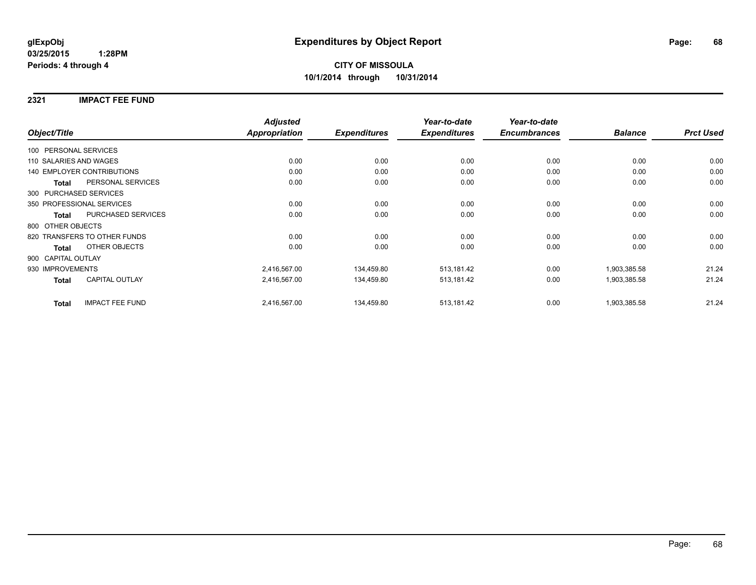## **2321 IMPACT FEE FUND**

|                                        |                    | <b>Adjusted</b>      |                     | Year-to-date        | Year-to-date        |                |                  |
|----------------------------------------|--------------------|----------------------|---------------------|---------------------|---------------------|----------------|------------------|
| Object/Title                           |                    | <b>Appropriation</b> | <b>Expenditures</b> | <b>Expenditures</b> | <b>Encumbrances</b> | <b>Balance</b> | <b>Prct Used</b> |
| 100 PERSONAL SERVICES                  |                    |                      |                     |                     |                     |                |                  |
| 110 SALARIES AND WAGES                 |                    | 0.00                 | 0.00                | 0.00                | 0.00                | 0.00           | 0.00             |
| <b>140 EMPLOYER CONTRIBUTIONS</b>      |                    | 0.00                 | 0.00                | 0.00                | 0.00                | 0.00           | 0.00             |
| <b>Total</b>                           | PERSONAL SERVICES  | 0.00                 | 0.00                | 0.00                | 0.00                | 0.00           | 0.00             |
| 300 PURCHASED SERVICES                 |                    |                      |                     |                     |                     |                |                  |
| 350 PROFESSIONAL SERVICES              |                    | 0.00                 | 0.00                | 0.00                | 0.00                | 0.00           | 0.00             |
| Total                                  | PURCHASED SERVICES | 0.00                 | 0.00                | 0.00                | 0.00                | 0.00           | 0.00             |
| 800 OTHER OBJECTS                      |                    |                      |                     |                     |                     |                |                  |
| 820 TRANSFERS TO OTHER FUNDS           |                    | 0.00                 | 0.00                | 0.00                | 0.00                | 0.00           | 0.00             |
| OTHER OBJECTS<br><b>Total</b>          |                    | 0.00                 | 0.00                | 0.00                | 0.00                | 0.00           | 0.00             |
| 900 CAPITAL OUTLAY                     |                    |                      |                     |                     |                     |                |                  |
| 930 IMPROVEMENTS                       |                    | 2,416,567.00         | 134,459.80          | 513,181.42          | 0.00                | 1,903,385.58   | 21.24            |
| <b>CAPITAL OUTLAY</b><br><b>Total</b>  |                    | 2,416,567.00         | 134,459.80          | 513,181.42          | 0.00                | 1,903,385.58   | 21.24            |
| <b>IMPACT FEE FUND</b><br><b>Total</b> |                    | 2,416,567.00         | 134,459.80          | 513,181.42          | 0.00                | 1,903,385.58   | 21.24            |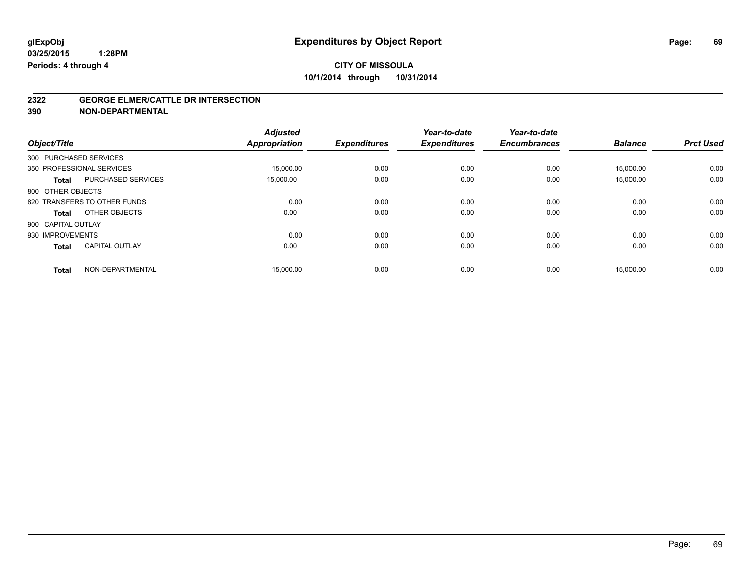### **2322 GEORGE ELMER/CATTLE DR INTERSECTION**

**390 NON-DEPARTMENTAL**

| Object/Title           |                              | <b>Adjusted</b><br><b>Appropriation</b> | <b>Expenditures</b> | Year-to-date<br><b>Expenditures</b> | Year-to-date<br><b>Encumbrances</b> | <b>Balance</b> | <b>Prct Used</b> |
|------------------------|------------------------------|-----------------------------------------|---------------------|-------------------------------------|-------------------------------------|----------------|------------------|
| 300 PURCHASED SERVICES |                              |                                         |                     |                                     |                                     |                |                  |
|                        | 350 PROFESSIONAL SERVICES    | 15.000.00                               | 0.00                | 0.00                                | 0.00                                | 15.000.00      | 0.00             |
| Total                  | <b>PURCHASED SERVICES</b>    | 15,000.00                               | 0.00                | 0.00                                | 0.00                                | 15,000.00      | 0.00             |
| 800 OTHER OBJECTS      |                              |                                         |                     |                                     |                                     |                |                  |
|                        | 820 TRANSFERS TO OTHER FUNDS | 0.00                                    | 0.00                | 0.00                                | 0.00                                | 0.00           | 0.00             |
| Total                  | OTHER OBJECTS                | 0.00                                    | 0.00                | 0.00                                | 0.00                                | 0.00           | 0.00             |
| 900 CAPITAL OUTLAY     |                              |                                         |                     |                                     |                                     |                |                  |
| 930 IMPROVEMENTS       |                              | 0.00                                    | 0.00                | 0.00                                | 0.00                                | 0.00           | 0.00             |
| <b>Total</b>           | <b>CAPITAL OUTLAY</b>        | 0.00                                    | 0.00                | 0.00                                | 0.00                                | 0.00           | 0.00             |
| <b>Total</b>           | NON-DEPARTMENTAL             | 15,000.00                               | 0.00                | 0.00                                | 0.00                                | 15,000.00      | 0.00             |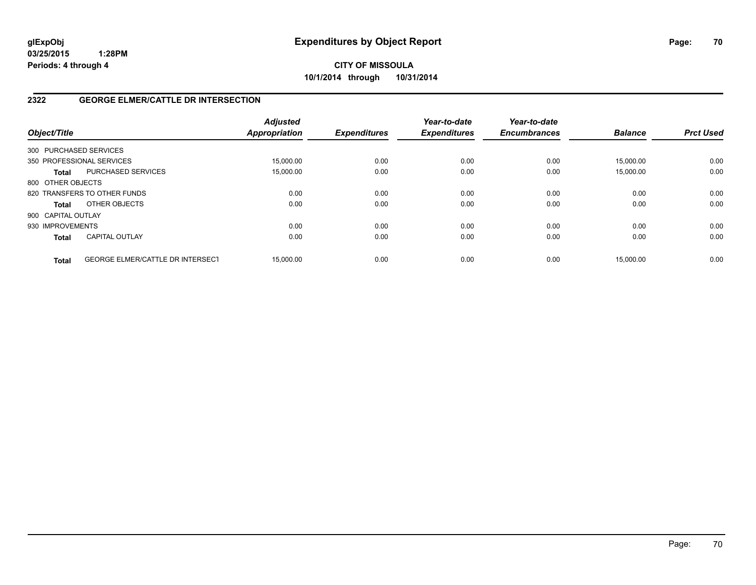# **CITY OF MISSOULA 10/1/2014 through 10/31/2014**

# **2322 GEORGE ELMER/CATTLE DR INTERSECTION**

| Object/Title       |                                         | <b>Adjusted</b><br><b>Appropriation</b> | <b>Expenditures</b> | Year-to-date<br><b>Expenditures</b> | Year-to-date<br><b>Encumbrances</b> | <b>Balance</b> | <b>Prct Used</b> |
|--------------------|-----------------------------------------|-----------------------------------------|---------------------|-------------------------------------|-------------------------------------|----------------|------------------|
|                    | 300 PURCHASED SERVICES                  |                                         |                     |                                     |                                     |                |                  |
|                    | 350 PROFESSIONAL SERVICES               | 15.000.00                               | 0.00                | 0.00                                | 0.00                                | 15.000.00      | 0.00             |
| <b>Total</b>       | PURCHASED SERVICES                      | 15,000.00                               | 0.00                | 0.00                                | 0.00                                | 15,000.00      | 0.00             |
| 800 OTHER OBJECTS  |                                         |                                         |                     |                                     |                                     |                |                  |
|                    | 820 TRANSFERS TO OTHER FUNDS            | 0.00                                    | 0.00                | 0.00                                | 0.00                                | 0.00           | 0.00             |
| <b>Total</b>       | OTHER OBJECTS                           | 0.00                                    | 0.00                | 0.00                                | 0.00                                | 0.00           | 0.00             |
| 900 CAPITAL OUTLAY |                                         |                                         |                     |                                     |                                     |                |                  |
| 930 IMPROVEMENTS   |                                         | 0.00                                    | 0.00                | 0.00                                | 0.00                                | 0.00           | 0.00             |
| <b>Total</b>       | <b>CAPITAL OUTLAY</b>                   | 0.00                                    | 0.00                | 0.00                                | 0.00                                | 0.00           | 0.00             |
| <b>Total</b>       | <b>GEORGE ELMER/CATTLE DR INTERSECT</b> | 15.000.00                               | 0.00                | 0.00                                | 0.00                                | 15.000.00      | 0.00             |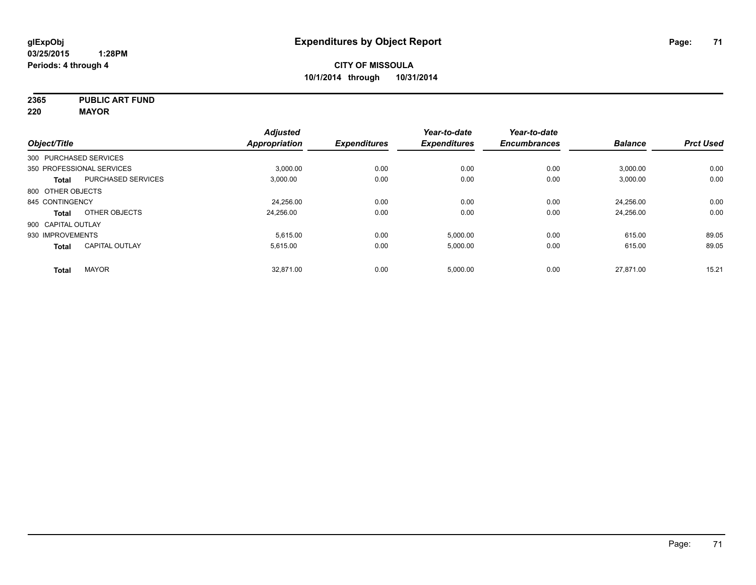**2365 PUBLIC ART FUND**

**220 MAYOR**

|                           |                           | <b>Adjusted</b> |                     | Year-to-date        | Year-to-date        |                |                  |
|---------------------------|---------------------------|-----------------|---------------------|---------------------|---------------------|----------------|------------------|
| Object/Title              |                           | Appropriation   | <b>Expenditures</b> | <b>Expenditures</b> | <b>Encumbrances</b> | <b>Balance</b> | <b>Prct Used</b> |
| 300 PURCHASED SERVICES    |                           |                 |                     |                     |                     |                |                  |
| 350 PROFESSIONAL SERVICES |                           | 3.000.00        | 0.00                | 0.00                | 0.00                | 3,000.00       | 0.00             |
| <b>Total</b>              | <b>PURCHASED SERVICES</b> | 3,000.00        | 0.00                | 0.00                | 0.00                | 3,000.00       | 0.00             |
| 800 OTHER OBJECTS         |                           |                 |                     |                     |                     |                |                  |
| 845 CONTINGENCY           |                           | 24,256.00       | 0.00                | 0.00                | 0.00                | 24,256.00      | 0.00             |
| <b>Total</b>              | OTHER OBJECTS             | 24,256.00       | 0.00                | 0.00                | 0.00                | 24,256.00      | 0.00             |
| 900 CAPITAL OUTLAY        |                           |                 |                     |                     |                     |                |                  |
| 930 IMPROVEMENTS          |                           | 5.615.00        | 0.00                | 5.000.00            | 0.00                | 615.00         | 89.05            |
| Total                     | <b>CAPITAL OUTLAY</b>     | 5,615.00        | 0.00                | 5,000.00            | 0.00                | 615.00         | 89.05            |
| <b>Total</b>              | <b>MAYOR</b>              | 32.871.00       | 0.00                | 5,000.00            | 0.00                | 27.871.00      | 15.21            |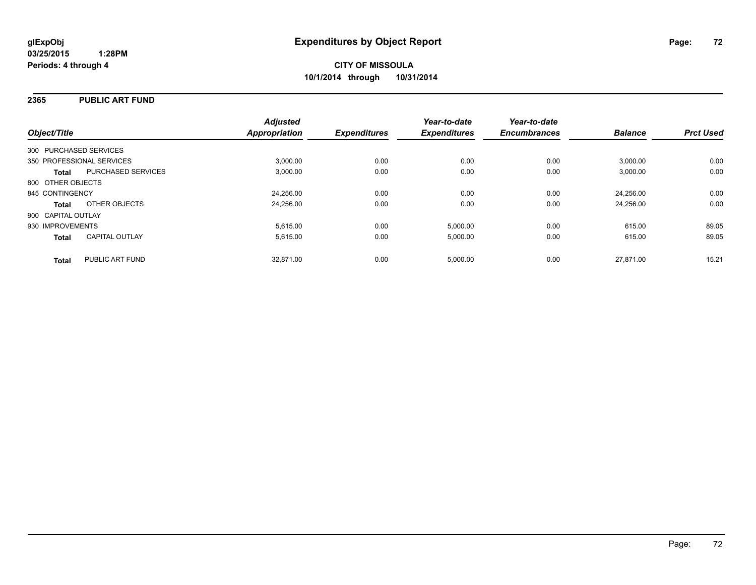## **2365 PUBLIC ART FUND**

| Object/Title                              | <b>Adjusted</b><br><b>Appropriation</b> | <b>Expenditures</b> | Year-to-date<br><b>Expenditures</b> | Year-to-date<br><b>Encumbrances</b> | <b>Balance</b> | <b>Prct Used</b> |
|-------------------------------------------|-----------------------------------------|---------------------|-------------------------------------|-------------------------------------|----------------|------------------|
| 300 PURCHASED SERVICES                    |                                         |                     |                                     |                                     |                |                  |
| 350 PROFESSIONAL SERVICES                 | 3,000.00                                | 0.00                | 0.00                                | 0.00                                | 3,000.00       | 0.00             |
| <b>PURCHASED SERVICES</b><br><b>Total</b> | 3.000.00                                | 0.00                | 0.00                                | 0.00                                | 3,000.00       | 0.00             |
| 800 OTHER OBJECTS                         |                                         |                     |                                     |                                     |                |                  |
| 845 CONTINGENCY                           | 24,256.00                               | 0.00                | 0.00                                | 0.00                                | 24.256.00      | 0.00             |
| OTHER OBJECTS<br><b>Total</b>             | 24,256.00                               | 0.00                | 0.00                                | 0.00                                | 24.256.00      | 0.00             |
| 900 CAPITAL OUTLAY                        |                                         |                     |                                     |                                     |                |                  |
| 930 IMPROVEMENTS                          | 5.615.00                                | 0.00                | 5,000.00                            | 0.00                                | 615.00         | 89.05            |
| <b>CAPITAL OUTLAY</b><br><b>Total</b>     | 5,615.00                                | 0.00                | 5,000.00                            | 0.00                                | 615.00         | 89.05            |
| PUBLIC ART FUND<br><b>Total</b>           | 32.871.00                               | 0.00                | 5.000.00                            | 0.00                                | 27.871.00      | 15.21            |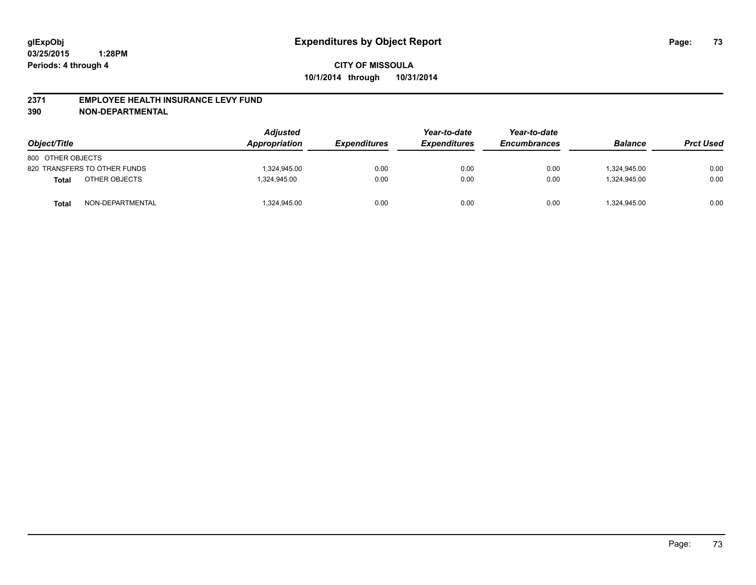#### **2371 EMPLOYEE HEALTH INSURANCE LEVY FUND**

**390 NON-DEPARTMENTAL**

| Object/Title      |                              | <b>Adjusted</b><br>Appropriation | <b>Expenditures</b> | Year-to-date<br><b>Expenditures</b> | Year-to-date<br><b>Encumbrances</b> | <b>Balance</b> | <b>Prct Used</b> |
|-------------------|------------------------------|----------------------------------|---------------------|-------------------------------------|-------------------------------------|----------------|------------------|
| 800 OTHER OBJECTS |                              |                                  |                     |                                     |                                     |                |                  |
|                   | 820 TRANSFERS TO OTHER FUNDS | 1.324.945.00                     | 0.00                | 0.00                                | 0.00                                | 1.324.945.00   | 0.00             |
| Total             | OTHER OBJECTS                | 1.324.945.00                     | 0.00                | 0.00                                | 0.00                                | 1.324.945.00   | 0.00             |
| Total             | NON-DEPARTMENTAL             | 1,324,945.00                     | 0.00                | 0.00                                | 0.00                                | 1,324,945.00   | 0.00             |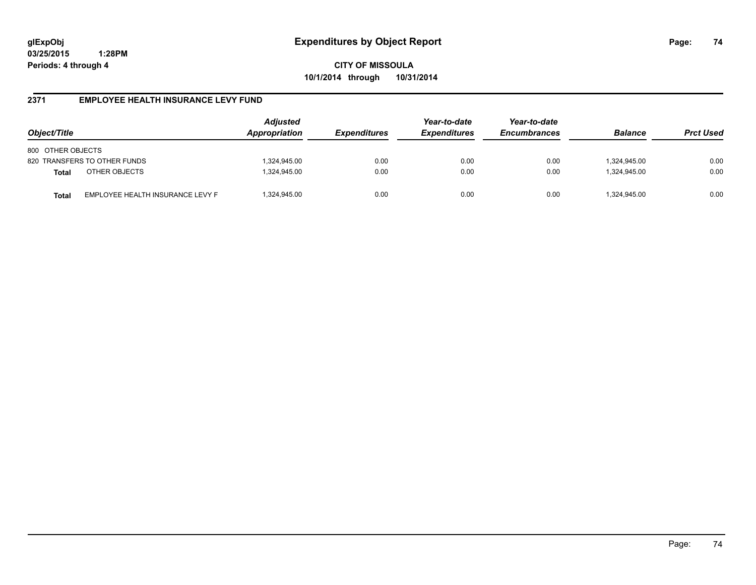**CITY OF MISSOULA 10/1/2014 through 10/31/2014**

## **2371 EMPLOYEE HEALTH INSURANCE LEVY FUND**

| Object/Title                                     | <b>Adjusted</b><br>Appropriation | <i><b>Expenditures</b></i> | Year-to-date<br><b>Expenditures</b> | Year-to-date<br><b>Encumbrances</b> | <b>Balance</b> | <b>Prct Used</b> |
|--------------------------------------------------|----------------------------------|----------------------------|-------------------------------------|-------------------------------------|----------------|------------------|
| 800 OTHER OBJECTS                                |                                  |                            |                                     |                                     |                |                  |
| 820 TRANSFERS TO OTHER FUNDS                     | 1,324,945.00                     | 0.00                       | 0.00                                | 0.00                                | 324,945.00     | 0.00             |
| OTHER OBJECTS<br><b>Total</b>                    | 1,324,945.00                     | 0.00                       | 0.00                                | 0.00                                | 1.324.945.00   | 0.00             |
| EMPLOYEE HEALTH INSURANCE LEVY F<br><b>Total</b> | 1,324,945.00                     | 0.00                       | 0.00                                | 0.00                                | 324,945.00     | 0.00             |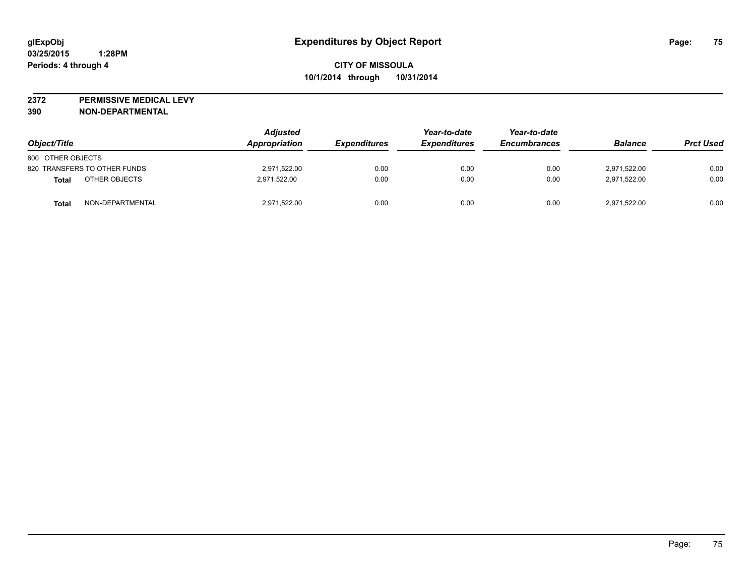**2372 PERMISSIVE MEDICAL LEVY**

**390 NON-DEPARTMENTAL**

| Object/Title                 | <b>Adjusted</b><br>Appropriation | <b>Expenditures</b> | Year-to-date<br><i><b>Expenditures</b></i> | Year-to-date<br><b>Encumbrances</b> | <b>Balance</b> | <b>Prct Used</b> |
|------------------------------|----------------------------------|---------------------|--------------------------------------------|-------------------------------------|----------------|------------------|
| 800 OTHER OBJECTS            |                                  |                     |                                            |                                     |                |                  |
| 820 TRANSFERS TO OTHER FUNDS | 2,971,522.00                     | 0.00                | 0.00                                       | 0.00                                | 2,971,522.00   | 0.00             |
| OTHER OBJECTS<br>Total       | 2.971.522.00                     | 0.00                | 0.00                                       | 0.00                                | 2.971.522.00   | 0.00             |
| NON-DEPARTMENTAL<br>Total    | 2,971,522.00                     | 0.00                | 0.00                                       | 0.00                                | 2,971,522.00   | 0.00             |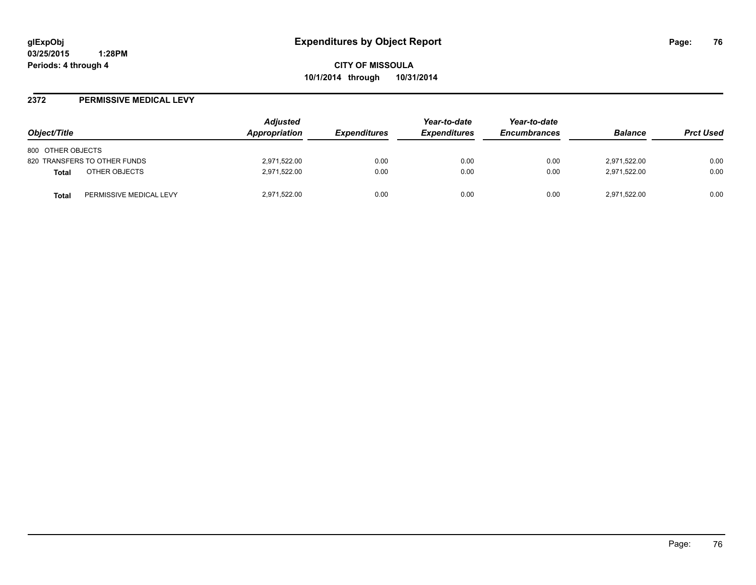#### **2372 PERMISSIVE MEDICAL LEVY**

| Object/Title                            | Adjusted<br>Appropriation | <i><b>Expenditures</b></i> | Year-to-date<br><b>Expenditures</b> | Year-to-date<br><b>Encumbrances</b> | <b>Balance</b> | <b>Prct Used</b> |
|-----------------------------------------|---------------------------|----------------------------|-------------------------------------|-------------------------------------|----------------|------------------|
| 800 OTHER OBJECTS                       |                           |                            |                                     |                                     |                |                  |
| 820 TRANSFERS TO OTHER FUNDS            | 2,971,522.00              | 0.00                       | 0.00                                | 0.00                                | 2,971,522.00   | 0.00             |
| OTHER OBJECTS<br>Total                  | 2,971,522.00              | 0.00                       | 0.00                                | 0.00                                | 2,971,522.00   | 0.00             |
| PERMISSIVE MEDICAL LEVY<br><b>Total</b> | 2,971,522.00              | 0.00                       | 0.00                                | 0.00                                | 2,971,522.00   | 0.00             |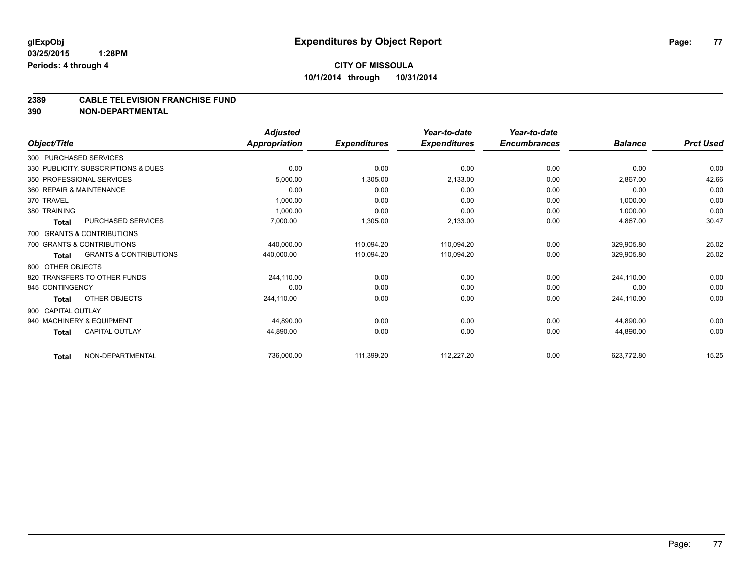#### **2389 CABLE TELEVISION FRANCHISE FUND**

**390 NON-DEPARTMENTAL**

|                    |                                     | <b>Adjusted</b>      |                     | Year-to-date        | Year-to-date        |                |                  |
|--------------------|-------------------------------------|----------------------|---------------------|---------------------|---------------------|----------------|------------------|
| Object/Title       |                                     | <b>Appropriation</b> | <b>Expenditures</b> | <b>Expenditures</b> | <b>Encumbrances</b> | <b>Balance</b> | <b>Prct Used</b> |
|                    | 300 PURCHASED SERVICES              |                      |                     |                     |                     |                |                  |
|                    | 330 PUBLICITY, SUBSCRIPTIONS & DUES | 0.00                 | 0.00                | 0.00                | 0.00                | 0.00           | 0.00             |
|                    | 350 PROFESSIONAL SERVICES           | 5,000.00             | 1,305.00            | 2,133.00            | 0.00                | 2,867.00       | 42.66            |
|                    | 360 REPAIR & MAINTENANCE            | 0.00                 | 0.00                | 0.00                | 0.00                | 0.00           | 0.00             |
| 370 TRAVEL         |                                     | 1,000.00             | 0.00                | 0.00                | 0.00                | 1,000.00       | 0.00             |
| 380 TRAINING       |                                     | 1,000.00             | 0.00                | 0.00                | 0.00                | 1,000.00       | 0.00             |
| <b>Total</b>       | PURCHASED SERVICES                  | 7,000.00             | 1,305.00            | 2,133.00            | 0.00                | 4,867.00       | 30.47            |
|                    | 700 GRANTS & CONTRIBUTIONS          |                      |                     |                     |                     |                |                  |
|                    | 700 GRANTS & CONTRIBUTIONS          | 440,000.00           | 110,094.20          | 110,094.20          | 0.00                | 329,905.80     | 25.02            |
| <b>Total</b>       | <b>GRANTS &amp; CONTRIBUTIONS</b>   | 440,000.00           | 110,094.20          | 110,094.20          | 0.00                | 329,905.80     | 25.02            |
| 800 OTHER OBJECTS  |                                     |                      |                     |                     |                     |                |                  |
|                    | 820 TRANSFERS TO OTHER FUNDS        | 244,110.00           | 0.00                | 0.00                | 0.00                | 244,110.00     | 0.00             |
| 845 CONTINGENCY    |                                     | 0.00                 | 0.00                | 0.00                | 0.00                | 0.00           | 0.00             |
| <b>Total</b>       | OTHER OBJECTS                       | 244,110.00           | 0.00                | 0.00                | 0.00                | 244,110.00     | 0.00             |
| 900 CAPITAL OUTLAY |                                     |                      |                     |                     |                     |                |                  |
|                    | 940 MACHINERY & EQUIPMENT           | 44.890.00            | 0.00                | 0.00                | 0.00                | 44,890.00      | 0.00             |
| <b>Total</b>       | <b>CAPITAL OUTLAY</b>               | 44,890.00            | 0.00                | 0.00                | 0.00                | 44,890.00      | 0.00             |
| <b>Total</b>       | NON-DEPARTMENTAL                    | 736,000.00           | 111,399.20          | 112,227.20          | 0.00                | 623,772.80     | 15.25            |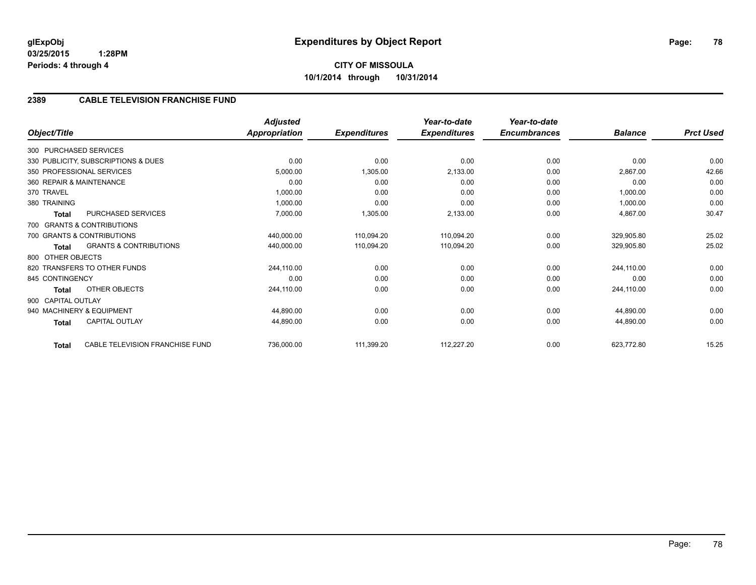## **2389 CABLE TELEVISION FRANCHISE FUND**

| Object/Title       |                                     | <b>Adjusted</b><br><b>Appropriation</b> | <b>Expenditures</b> | Year-to-date<br><b>Expenditures</b> | Year-to-date<br><b>Encumbrances</b> | <b>Balance</b> | <b>Prct Used</b> |
|--------------------|-------------------------------------|-----------------------------------------|---------------------|-------------------------------------|-------------------------------------|----------------|------------------|
|                    | 300 PURCHASED SERVICES              |                                         |                     |                                     |                                     |                |                  |
|                    | 330 PUBLICITY, SUBSCRIPTIONS & DUES | 0.00                                    | 0.00                | 0.00                                | 0.00                                | 0.00           | 0.00             |
|                    |                                     |                                         |                     |                                     |                                     |                |                  |
|                    | 350 PROFESSIONAL SERVICES           | 5,000.00                                | 1,305.00            | 2,133.00                            | 0.00                                | 2,867.00       | 42.66            |
|                    | 360 REPAIR & MAINTENANCE            | 0.00                                    | 0.00                | 0.00                                | 0.00                                | 0.00           | 0.00             |
| 370 TRAVEL         |                                     | 1,000.00                                | 0.00                | 0.00                                | 0.00                                | 1,000.00       | 0.00             |
| 380 TRAINING       |                                     | 1,000.00                                | 0.00                | 0.00                                | 0.00                                | 1,000.00       | 0.00             |
| Total              | PURCHASED SERVICES                  | 7,000.00                                | 1,305.00            | 2,133.00                            | 0.00                                | 4,867.00       | 30.47            |
|                    | 700 GRANTS & CONTRIBUTIONS          |                                         |                     |                                     |                                     |                |                  |
|                    | 700 GRANTS & CONTRIBUTIONS          | 440,000.00                              | 110,094.20          | 110,094.20                          | 0.00                                | 329,905.80     | 25.02            |
| Total              | <b>GRANTS &amp; CONTRIBUTIONS</b>   | 440,000.00                              | 110,094.20          | 110,094.20                          | 0.00                                | 329,905.80     | 25.02            |
| 800 OTHER OBJECTS  |                                     |                                         |                     |                                     |                                     |                |                  |
|                    | 820 TRANSFERS TO OTHER FUNDS        | 244,110.00                              | 0.00                | 0.00                                | 0.00                                | 244,110.00     | 0.00             |
| 845 CONTINGENCY    |                                     | 0.00                                    | 0.00                | 0.00                                | 0.00                                | 0.00           | 0.00             |
| Total              | OTHER OBJECTS                       | 244,110.00                              | 0.00                | 0.00                                | 0.00                                | 244,110.00     | 0.00             |
| 900 CAPITAL OUTLAY |                                     |                                         |                     |                                     |                                     |                |                  |
|                    | 940 MACHINERY & EQUIPMENT           | 44,890.00                               | 0.00                | 0.00                                | 0.00                                | 44,890.00      | 0.00             |
| Total              | CAPITAL OUTLAY                      | 44,890.00                               | 0.00                | 0.00                                | 0.00                                | 44,890.00      | 0.00             |
| Total              | CABLE TELEVISION FRANCHISE FUND     | 736,000.00                              | 111,399.20          | 112,227.20                          | 0.00                                | 623,772.80     | 15.25            |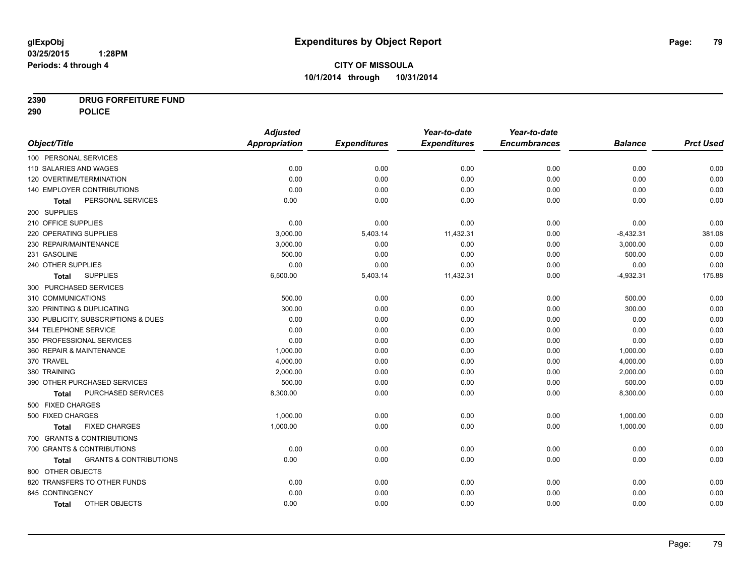# **2390 DRUG FORFEITURE FUND**

**290 POLICE**

|                                            | <b>Adjusted</b> |                     | Year-to-date        | Year-to-date        |                |                  |
|--------------------------------------------|-----------------|---------------------|---------------------|---------------------|----------------|------------------|
| Object/Title                               | Appropriation   | <b>Expenditures</b> | <b>Expenditures</b> | <b>Encumbrances</b> | <b>Balance</b> | <b>Prct Used</b> |
| 100 PERSONAL SERVICES                      |                 |                     |                     |                     |                |                  |
| 110 SALARIES AND WAGES                     | 0.00            | 0.00                | 0.00                | 0.00                | 0.00           | 0.00             |
| 120 OVERTIME/TERMINATION                   | 0.00            | 0.00                | 0.00                | 0.00                | 0.00           | 0.00             |
| 140 EMPLOYER CONTRIBUTIONS                 | 0.00            | 0.00                | 0.00                | 0.00                | 0.00           | 0.00             |
| PERSONAL SERVICES<br><b>Total</b>          | 0.00            | 0.00                | 0.00                | 0.00                | 0.00           | 0.00             |
| 200 SUPPLIES                               |                 |                     |                     |                     |                |                  |
| 210 OFFICE SUPPLIES                        | 0.00            | 0.00                | 0.00                | 0.00                | 0.00           | 0.00             |
| 220 OPERATING SUPPLIES                     | 3,000.00        | 5,403.14            | 11,432.31           | 0.00                | $-8,432.31$    | 381.08           |
| 230 REPAIR/MAINTENANCE                     | 3,000.00        | 0.00                | 0.00                | 0.00                | 3,000.00       | 0.00             |
| 231 GASOLINE                               | 500.00          | 0.00                | 0.00                | 0.00                | 500.00         | 0.00             |
| 240 OTHER SUPPLIES                         | 0.00            | 0.00                | 0.00                | 0.00                | 0.00           | 0.00             |
| <b>SUPPLIES</b><br><b>Total</b>            | 6,500.00        | 5,403.14            | 11,432.31           | 0.00                | $-4,932.31$    | 175.88           |
| 300 PURCHASED SERVICES                     |                 |                     |                     |                     |                |                  |
| 310 COMMUNICATIONS                         | 500.00          | 0.00                | 0.00                | 0.00                | 500.00         | 0.00             |
| 320 PRINTING & DUPLICATING                 | 300.00          | 0.00                | 0.00                | 0.00                | 300.00         | 0.00             |
| 330 PUBLICITY, SUBSCRIPTIONS & DUES        | 0.00            | 0.00                | 0.00                | 0.00                | 0.00           | 0.00             |
| 344 TELEPHONE SERVICE                      | 0.00            | 0.00                | 0.00                | 0.00                | 0.00           | 0.00             |
| 350 PROFESSIONAL SERVICES                  | 0.00            | 0.00                | 0.00                | 0.00                | 0.00           | 0.00             |
| 360 REPAIR & MAINTENANCE                   | 1,000.00        | 0.00                | 0.00                | 0.00                | 1,000.00       | 0.00             |
| 370 TRAVEL                                 | 4,000.00        | 0.00                | 0.00                | 0.00                | 4,000.00       | 0.00             |
| 380 TRAINING                               | 2,000.00        | 0.00                | 0.00                | 0.00                | 2,000.00       | 0.00             |
| 390 OTHER PURCHASED SERVICES               | 500.00          | 0.00                | 0.00                | 0.00                | 500.00         | 0.00             |
| PURCHASED SERVICES<br><b>Total</b>         | 8,300.00        | 0.00                | 0.00                | 0.00                | 8,300.00       | 0.00             |
| 500 FIXED CHARGES                          |                 |                     |                     |                     |                |                  |
| 500 FIXED CHARGES                          | 1,000.00        | 0.00                | 0.00                | 0.00                | 1,000.00       | 0.00             |
| <b>FIXED CHARGES</b><br>Total              | 1,000.00        | 0.00                | 0.00                | 0.00                | 1,000.00       | 0.00             |
| 700 GRANTS & CONTRIBUTIONS                 |                 |                     |                     |                     |                |                  |
| 700 GRANTS & CONTRIBUTIONS                 | 0.00            | 0.00                | 0.00                | 0.00                | 0.00           | 0.00             |
| <b>GRANTS &amp; CONTRIBUTIONS</b><br>Total | 0.00            | 0.00                | 0.00                | 0.00                | 0.00           | 0.00             |
| 800 OTHER OBJECTS                          |                 |                     |                     |                     |                |                  |
| 820 TRANSFERS TO OTHER FUNDS               | 0.00            | 0.00                | 0.00                | 0.00                | 0.00           | 0.00             |
| 845 CONTINGENCY                            | 0.00            | 0.00                | 0.00                | 0.00                | 0.00           | 0.00             |
| OTHER OBJECTS<br><b>Total</b>              | 0.00            | 0.00                | 0.00                | 0.00                | 0.00           | 0.00             |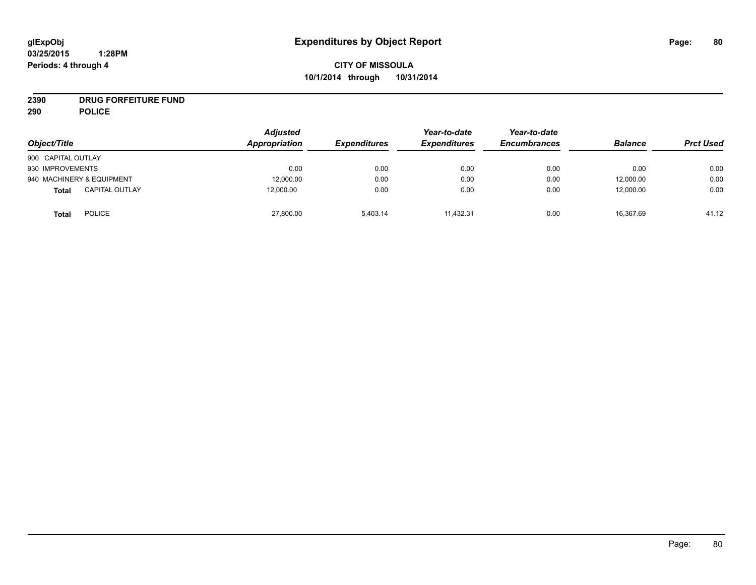# **2390 DRUG FORFEITURE FUND**

**290 POLICE**

| Object/Title                          | <b>Adjusted</b><br>Appropriation | <b>Expenditures</b> | Year-to-date<br><b>Expenditures</b> | Year-to-date<br><b>Encumbrances</b> | <b>Balance</b> | <b>Prct Used</b> |
|---------------------------------------|----------------------------------|---------------------|-------------------------------------|-------------------------------------|----------------|------------------|
| 900 CAPITAL OUTLAY                    |                                  |                     |                                     |                                     |                |                  |
| 930 IMPROVEMENTS                      | 0.00                             | 0.00                | 0.00                                | 0.00                                | 0.00           | 0.00             |
| 940 MACHINERY & EQUIPMENT             | 12,000.00                        | 0.00                | 0.00                                | 0.00                                | 12,000.00      | 0.00             |
| <b>CAPITAL OUTLAY</b><br><b>Total</b> | 12,000.00                        | 0.00                | 0.00                                | 0.00                                | 12,000.00      | 0.00             |
| <b>POLICE</b><br><b>Total</b>         | 27,800.00                        | 5.403.14            | 11.432.31                           | 0.00                                | 16,367.69      | 41.12            |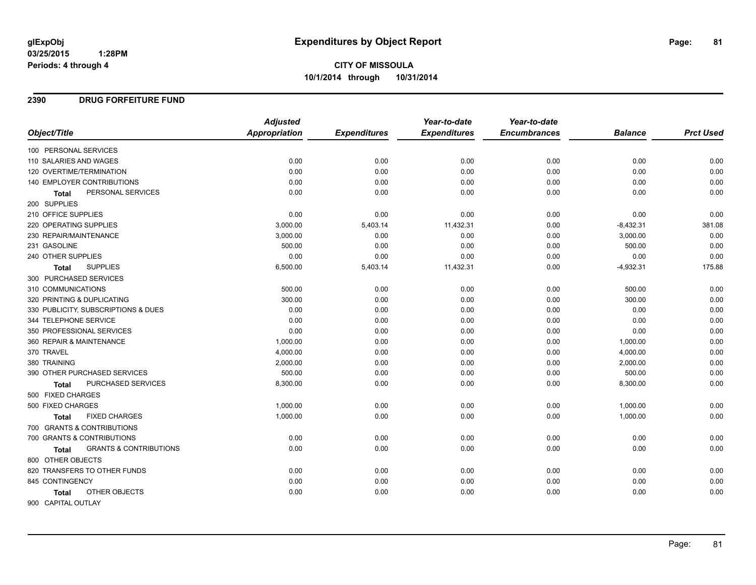# **CITY OF MISSOULA 10/1/2014 through 10/31/2014**

## **2390 DRUG FORFEITURE FUND**

|                                                   | <b>Adjusted</b> |                     | Year-to-date        | Year-to-date        |                |                  |
|---------------------------------------------------|-----------------|---------------------|---------------------|---------------------|----------------|------------------|
| Object/Title                                      | Appropriation   | <b>Expenditures</b> | <b>Expenditures</b> | <b>Encumbrances</b> | <b>Balance</b> | <b>Prct Used</b> |
| 100 PERSONAL SERVICES                             |                 |                     |                     |                     |                |                  |
| 110 SALARIES AND WAGES                            | 0.00            | 0.00                | 0.00                | 0.00                | 0.00           | 0.00             |
| 120 OVERTIME/TERMINATION                          | 0.00            | 0.00                | 0.00                | 0.00                | 0.00           | 0.00             |
| <b>140 EMPLOYER CONTRIBUTIONS</b>                 | 0.00            | 0.00                | 0.00                | 0.00                | 0.00           | 0.00             |
| PERSONAL SERVICES<br><b>Total</b>                 | 0.00            | 0.00                | 0.00                | 0.00                | 0.00           | 0.00             |
| 200 SUPPLIES                                      |                 |                     |                     |                     |                |                  |
| 210 OFFICE SUPPLIES                               | 0.00            | 0.00                | 0.00                | 0.00                | 0.00           | 0.00             |
| 220 OPERATING SUPPLIES                            | 3,000.00        | 5,403.14            | 11,432.31           | 0.00                | $-8,432.31$    | 381.08           |
| 230 REPAIR/MAINTENANCE                            | 3,000.00        | 0.00                | 0.00                | 0.00                | 3,000.00       | 0.00             |
| 231 GASOLINE                                      | 500.00          | 0.00                | 0.00                | 0.00                | 500.00         | 0.00             |
| 240 OTHER SUPPLIES                                | 0.00            | 0.00                | 0.00                | 0.00                | 0.00           | 0.00             |
| <b>SUPPLIES</b><br>Total                          | 6,500.00        | 5,403.14            | 11,432.31           | 0.00                | $-4,932.31$    | 175.88           |
| 300 PURCHASED SERVICES                            |                 |                     |                     |                     |                |                  |
| 310 COMMUNICATIONS                                | 500.00          | 0.00                | 0.00                | 0.00                | 500.00         | 0.00             |
| 320 PRINTING & DUPLICATING                        | 300.00          | 0.00                | 0.00                | 0.00                | 300.00         | 0.00             |
| 330 PUBLICITY, SUBSCRIPTIONS & DUES               | 0.00            | 0.00                | 0.00                | 0.00                | 0.00           | 0.00             |
| 344 TELEPHONE SERVICE                             | 0.00            | 0.00                | 0.00                | 0.00                | 0.00           | 0.00             |
| 350 PROFESSIONAL SERVICES                         | 0.00            | 0.00                | 0.00                | 0.00                | 0.00           | 0.00             |
| 360 REPAIR & MAINTENANCE                          | 1,000.00        | 0.00                | 0.00                | 0.00                | 1,000.00       | 0.00             |
| 370 TRAVEL                                        | 4,000.00        | 0.00                | 0.00                | 0.00                | 4,000.00       | 0.00             |
| 380 TRAINING                                      | 2,000.00        | 0.00                | 0.00                | 0.00                | 2,000.00       | 0.00             |
| 390 OTHER PURCHASED SERVICES                      | 500.00          | 0.00                | 0.00                | 0.00                | 500.00         | 0.00             |
| PURCHASED SERVICES<br>Total                       | 8,300.00        | 0.00                | 0.00                | 0.00                | 8,300.00       | 0.00             |
| 500 FIXED CHARGES                                 |                 |                     |                     |                     |                |                  |
| 500 FIXED CHARGES                                 | 1,000.00        | 0.00                | 0.00                | 0.00                | 1,000.00       | 0.00             |
| <b>FIXED CHARGES</b><br><b>Total</b>              | 1,000.00        | 0.00                | 0.00                | 0.00                | 1,000.00       | 0.00             |
| 700 GRANTS & CONTRIBUTIONS                        |                 |                     |                     |                     |                |                  |
| 700 GRANTS & CONTRIBUTIONS                        | 0.00            | 0.00                | 0.00                | 0.00                | 0.00           | 0.00             |
| <b>GRANTS &amp; CONTRIBUTIONS</b><br><b>Total</b> | 0.00            | 0.00                | 0.00                | 0.00                | 0.00           | 0.00             |
| 800 OTHER OBJECTS                                 |                 |                     |                     |                     |                |                  |
| 820 TRANSFERS TO OTHER FUNDS                      | 0.00            | 0.00                | 0.00                | 0.00                | 0.00           | 0.00             |
| 845 CONTINGENCY                                   | 0.00            | 0.00                | 0.00                | 0.00                | 0.00           | 0.00             |
| OTHER OBJECTS<br><b>Total</b>                     | 0.00            | 0.00                | 0.00                | 0.00                | 0.00           | 0.00             |
| 900 CAPITAL OUTLAY                                |                 |                     |                     |                     |                |                  |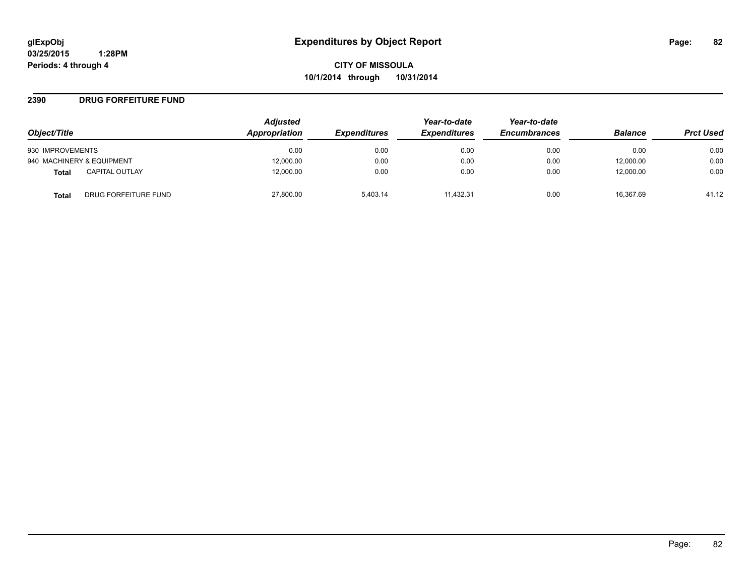**CITY OF MISSOULA 10/1/2014 through 10/31/2014**

#### **2390 DRUG FORFEITURE FUND**

| Object/Title                   | <b>Adjusted</b><br>Appropriation | <b>Expenditures</b> | Year-to-date<br><b>Expenditures</b> | Year-to-date<br><b>Encumbrances</b> | <b>Balance</b> | <b>Prct Used</b> |
|--------------------------------|----------------------------------|---------------------|-------------------------------------|-------------------------------------|----------------|------------------|
|                                |                                  |                     |                                     |                                     |                |                  |
| 930 IMPROVEMENTS               | 0.00                             | 0.00                | 0.00                                | 0.00                                | 0.00           | 0.00             |
| 940 MACHINERY & EQUIPMENT      | 12,000.00                        | 0.00                | 0.00                                | 0.00                                | 12,000.00      | 0.00             |
| <b>CAPITAL OUTLAY</b><br>Total | 12,000.00                        | 0.00                | 0.00                                | 0.00                                | 12,000.00      | 0.00             |
| DRUG FORFEITURE FUND<br>Total  | 27,800.00                        | 5.403.14            | 11.432.31                           | 0.00                                | 16.367.69      | 41.12            |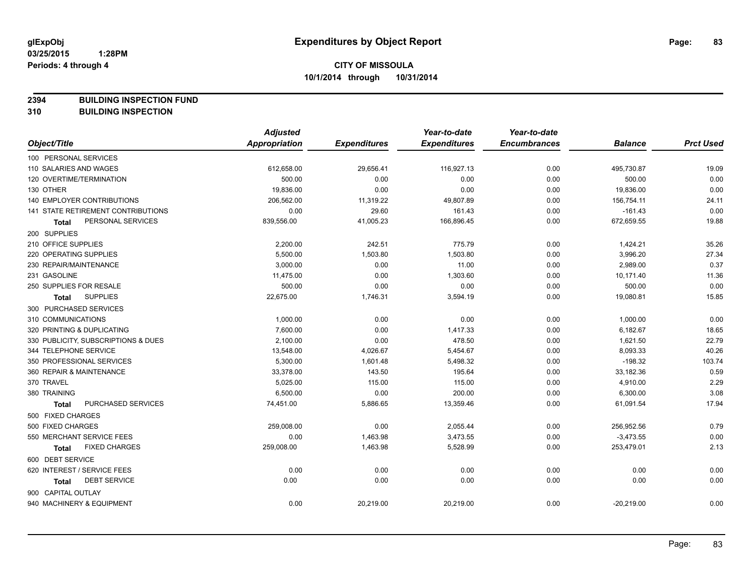**2394 BUILDING INSPECTION FUND**

**310 BUILDING INSPECTION**

|                                           | <b>Adjusted</b>      |                     | Year-to-date        | Year-to-date        |                |                  |
|-------------------------------------------|----------------------|---------------------|---------------------|---------------------|----------------|------------------|
| Object/Title                              | <b>Appropriation</b> | <b>Expenditures</b> | <b>Expenditures</b> | <b>Encumbrances</b> | <b>Balance</b> | <b>Prct Used</b> |
| 100 PERSONAL SERVICES                     |                      |                     |                     |                     |                |                  |
| 110 SALARIES AND WAGES                    | 612,658.00           | 29,656.41           | 116,927.13          | 0.00                | 495,730.87     | 19.09            |
| 120 OVERTIME/TERMINATION                  | 500.00               | 0.00                | 0.00                | 0.00                | 500.00         | 0.00             |
| 130 OTHER                                 | 19,836.00            | 0.00                | 0.00                | 0.00                | 19,836.00      | 0.00             |
| <b>140 EMPLOYER CONTRIBUTIONS</b>         | 206,562.00           | 11,319.22           | 49,807.89           | 0.00                | 156,754.11     | 24.11            |
| <b>141 STATE RETIREMENT CONTRIBUTIONS</b> | 0.00                 | 29.60               | 161.43              | 0.00                | $-161.43$      | 0.00             |
| PERSONAL SERVICES<br>Total                | 839,556.00           | 41,005.23           | 166,896.45          | 0.00                | 672,659.55     | 19.88            |
| 200 SUPPLIES                              |                      |                     |                     |                     |                |                  |
| 210 OFFICE SUPPLIES                       | 2,200.00             | 242.51              | 775.79              | 0.00                | 1,424.21       | 35.26            |
| 220 OPERATING SUPPLIES                    | 5,500.00             | 1,503.80            | 1,503.80            | 0.00                | 3,996.20       | 27.34            |
| 230 REPAIR/MAINTENANCE                    | 3,000.00             | 0.00                | 11.00               | 0.00                | 2,989.00       | 0.37             |
| 231 GASOLINE                              | 11,475.00            | 0.00                | 1,303.60            | 0.00                | 10,171.40      | 11.36            |
| 250 SUPPLIES FOR RESALE                   | 500.00               | 0.00                | 0.00                | 0.00                | 500.00         | 0.00             |
| <b>SUPPLIES</b><br><b>Total</b>           | 22,675.00            | 1,746.31            | 3,594.19            | 0.00                | 19,080.81      | 15.85            |
| 300 PURCHASED SERVICES                    |                      |                     |                     |                     |                |                  |
| 310 COMMUNICATIONS                        | 1,000.00             | 0.00                | 0.00                | 0.00                | 1,000.00       | 0.00             |
| 320 PRINTING & DUPLICATING                | 7,600.00             | 0.00                | 1,417.33            | 0.00                | 6,182.67       | 18.65            |
| 330 PUBLICITY, SUBSCRIPTIONS & DUES       | 2,100.00             | 0.00                | 478.50              | 0.00                | 1,621.50       | 22.79            |
| 344 TELEPHONE SERVICE                     | 13,548.00            | 4,026.67            | 5,454.67            | 0.00                | 8,093.33       | 40.26            |
| 350 PROFESSIONAL SERVICES                 | 5,300.00             | 1,601.48            | 5,498.32            | 0.00                | $-198.32$      | 103.74           |
| 360 REPAIR & MAINTENANCE                  | 33,378.00            | 143.50              | 195.64              | 0.00                | 33,182.36      | 0.59             |
| 370 TRAVEL                                | 5,025.00             | 115.00              | 115.00              | 0.00                | 4,910.00       | 2.29             |
| 380 TRAINING                              | 6,500.00             | 0.00                | 200.00              | 0.00                | 6,300.00       | 3.08             |
| PURCHASED SERVICES<br><b>Total</b>        | 74,451.00            | 5,886.65            | 13,359.46           | 0.00                | 61,091.54      | 17.94            |
| 500 FIXED CHARGES                         |                      |                     |                     |                     |                |                  |
| 500 FIXED CHARGES                         | 259,008.00           | 0.00                | 2,055.44            | 0.00                | 256,952.56     | 0.79             |
| 550 MERCHANT SERVICE FEES                 | 0.00                 | 1,463.98            | 3,473.55            | 0.00                | $-3,473.55$    | 0.00             |
| <b>FIXED CHARGES</b><br>Total             | 259,008.00           | 1,463.98            | 5,528.99            | 0.00                | 253,479.01     | 2.13             |
| 600 DEBT SERVICE                          |                      |                     |                     |                     |                |                  |
| 620 INTEREST / SERVICE FEES               | 0.00                 | 0.00                | 0.00                | 0.00                | 0.00           | 0.00             |
| <b>DEBT SERVICE</b><br><b>Total</b>       | 0.00                 | 0.00                | 0.00                | 0.00                | 0.00           | 0.00             |
| 900 CAPITAL OUTLAY                        |                      |                     |                     |                     |                |                  |
| 940 MACHINERY & EQUIPMENT                 | 0.00                 | 20,219.00           | 20,219.00           | 0.00                | $-20,219.00$   | 0.00             |
|                                           |                      |                     |                     |                     |                |                  |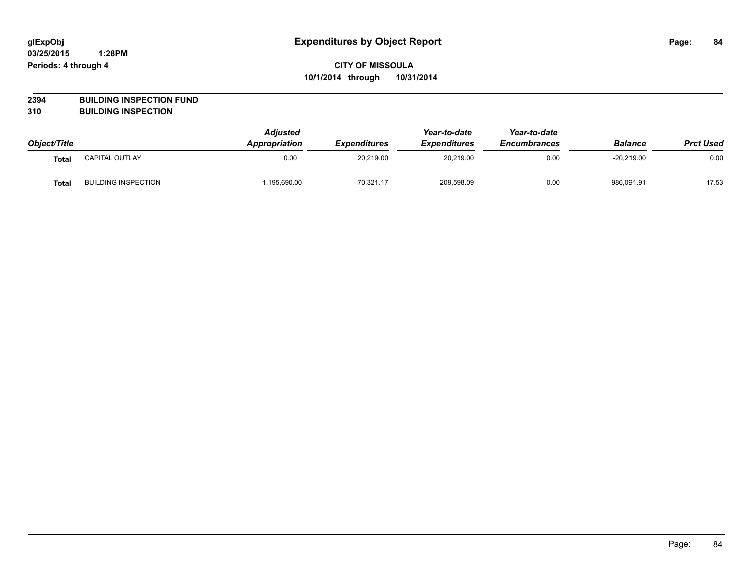## **2394 BUILDING INSPECTION FUND**

**310 BUILDING INSPECTION**

|                   |                            | Adjusted             |                            | Year-to-date<br><b>Expenditures</b> | Year-to-date<br><b>Encumbrances</b> | <b>Balance</b> | <b>Prct Used</b> |
|-------------------|----------------------------|----------------------|----------------------------|-------------------------------------|-------------------------------------|----------------|------------------|
| Object/Title      |                            | <b>Appropriation</b> | <i><b>Expenditures</b></i> |                                     |                                     |                |                  |
| Tota <sub>l</sub> | <b>CAPITAL OUTLAY</b>      | 0.00                 | 20,219.00                  | 20,219.00                           | 0.00                                | $-20.219.00$   | 0.00             |
| Tota.             | <b>BUILDING INSPECTION</b> | ,195,690.00          | 70,321.17                  | 209,598.09                          | 0.00                                | 986,091.91     | 17.53            |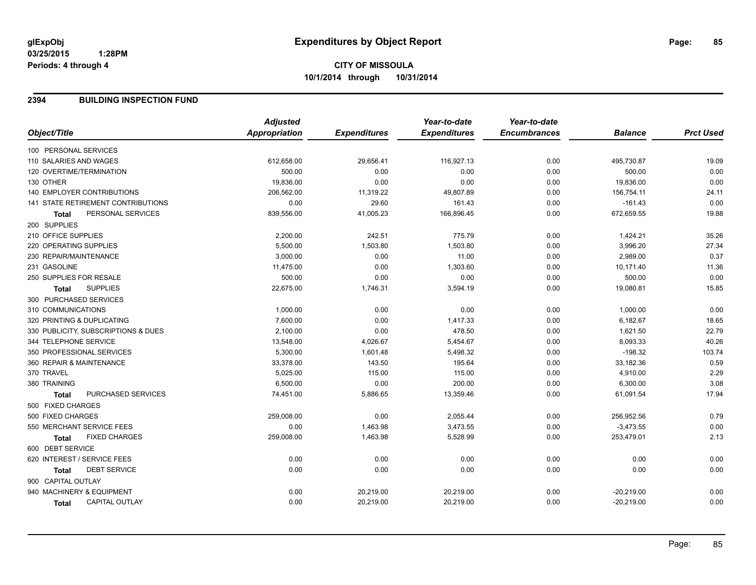## **2394 BUILDING INSPECTION FUND**

|                                       | <b>Adjusted</b>      |                     | Year-to-date        | Year-to-date        |                |                  |
|---------------------------------------|----------------------|---------------------|---------------------|---------------------|----------------|------------------|
| Object/Title                          | <b>Appropriation</b> | <b>Expenditures</b> | <b>Expenditures</b> | <b>Encumbrances</b> | <b>Balance</b> | <b>Prct Used</b> |
| 100 PERSONAL SERVICES                 |                      |                     |                     |                     |                |                  |
| 110 SALARIES AND WAGES                | 612,658.00           | 29,656.41           | 116,927.13          | 0.00                | 495,730.87     | 19.09            |
| 120 OVERTIME/TERMINATION              | 500.00               | 0.00                | 0.00                | 0.00                | 500.00         | 0.00             |
| 130 OTHER                             | 19,836.00            | 0.00                | 0.00                | 0.00                | 19,836.00      | 0.00             |
| <b>140 EMPLOYER CONTRIBUTIONS</b>     | 206,562.00           | 11,319.22           | 49,807.89           | 0.00                | 156,754.11     | 24.11            |
| 141 STATE RETIREMENT CONTRIBUTIONS    | 0.00                 | 29.60               | 161.43              | 0.00                | $-161.43$      | 0.00             |
| PERSONAL SERVICES<br><b>Total</b>     | 839,556.00           | 41,005.23           | 166,896.45          | 0.00                | 672,659.55     | 19.88            |
| 200 SUPPLIES                          |                      |                     |                     |                     |                |                  |
| 210 OFFICE SUPPLIES                   | 2,200.00             | 242.51              | 775.79              | 0.00                | 1,424.21       | 35.26            |
| 220 OPERATING SUPPLIES                | 5,500.00             | 1,503.80            | 1,503.80            | 0.00                | 3,996.20       | 27.34            |
| 230 REPAIR/MAINTENANCE                | 3,000.00             | 0.00                | 11.00               | 0.00                | 2,989.00       | 0.37             |
| 231 GASOLINE                          | 11,475.00            | 0.00                | 1,303.60            | 0.00                | 10,171.40      | 11.36            |
| 250 SUPPLIES FOR RESALE               | 500.00               | 0.00                | 0.00                | 0.00                | 500.00         | 0.00             |
| <b>SUPPLIES</b><br><b>Total</b>       | 22,675.00            | 1,746.31            | 3,594.19            | 0.00                | 19,080.81      | 15.85            |
| 300 PURCHASED SERVICES                |                      |                     |                     |                     |                |                  |
| 310 COMMUNICATIONS                    | 1,000.00             | 0.00                | 0.00                | 0.00                | 1,000.00       | 0.00             |
| 320 PRINTING & DUPLICATING            | 7,600.00             | 0.00                | 1,417.33            | 0.00                | 6,182.67       | 18.65            |
| 330 PUBLICITY, SUBSCRIPTIONS & DUES   | 2,100.00             | 0.00                | 478.50              | 0.00                | 1,621.50       | 22.79            |
| 344 TELEPHONE SERVICE                 | 13,548.00            | 4,026.67            | 5,454.67            | 0.00                | 8,093.33       | 40.26            |
| 350 PROFESSIONAL SERVICES             | 5,300.00             | 1,601.48            | 5,498.32            | 0.00                | $-198.32$      | 103.74           |
| 360 REPAIR & MAINTENANCE              | 33,378.00            | 143.50              | 195.64              | 0.00                | 33,182.36      | 0.59             |
| 370 TRAVEL                            | 5,025.00             | 115.00              | 115.00              | 0.00                | 4,910.00       | 2.29             |
| 380 TRAINING                          | 6,500.00             | 0.00                | 200.00              | 0.00                | 6,300.00       | 3.08             |
| PURCHASED SERVICES<br><b>Total</b>    | 74,451.00            | 5,886.65            | 13,359.46           | 0.00                | 61,091.54      | 17.94            |
| 500 FIXED CHARGES                     |                      |                     |                     |                     |                |                  |
| 500 FIXED CHARGES                     | 259,008.00           | 0.00                | 2,055.44            | 0.00                | 256,952.56     | 0.79             |
| 550 MERCHANT SERVICE FEES             | 0.00                 | 1,463.98            | 3,473.55            | 0.00                | $-3,473.55$    | 0.00             |
| <b>FIXED CHARGES</b><br><b>Total</b>  | 259,008.00           | 1,463.98            | 5,528.99            | 0.00                | 253,479.01     | 2.13             |
| 600 DEBT SERVICE                      |                      |                     |                     |                     |                |                  |
| 620 INTEREST / SERVICE FEES           | 0.00                 | 0.00                | 0.00                | 0.00                | 0.00           | 0.00             |
| <b>DEBT SERVICE</b><br>Total          | 0.00                 | 0.00                | 0.00                | 0.00                | 0.00           | 0.00             |
| 900 CAPITAL OUTLAY                    |                      |                     |                     |                     |                |                  |
| 940 MACHINERY & EQUIPMENT             | 0.00                 | 20,219.00           | 20,219.00           | 0.00                | $-20,219.00$   | 0.00             |
| <b>CAPITAL OUTLAY</b><br><b>Total</b> | 0.00                 | 20,219.00           | 20,219.00           | 0.00                | $-20,219.00$   | 0.00             |
|                                       |                      |                     |                     |                     |                |                  |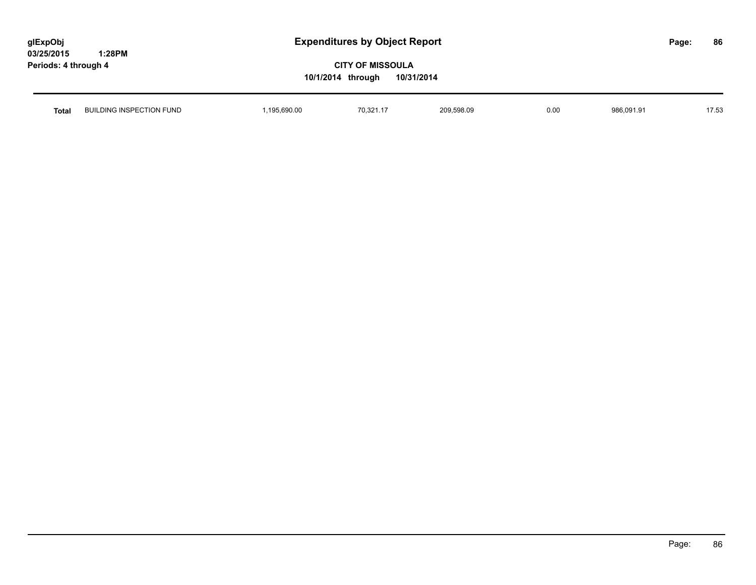# **CITY OF MISSOULA 10/1/2014 through 10/31/2014**

| <b>Total</b> | BUILDING INSPECTION FUND | 690.00<br>10F<br>the contract of the contract of the contract of the contract of the contract of | 70,321.17<br>$\mathcal{L}$ . The contract of the contract of the contract of the contract of the contract of the contract of the contract of the contract of the contract of the contract of the contract of the contract of the contract of th | 209,598.09 | 0.00 | 22101<br>-QRF | $1 - 7 - 7$<br>$\sim$<br>ں |
|--------------|--------------------------|--------------------------------------------------------------------------------------------------|-------------------------------------------------------------------------------------------------------------------------------------------------------------------------------------------------------------------------------------------------|------------|------|---------------|----------------------------|
|              |                          |                                                                                                  |                                                                                                                                                                                                                                                 |            |      |               |                            |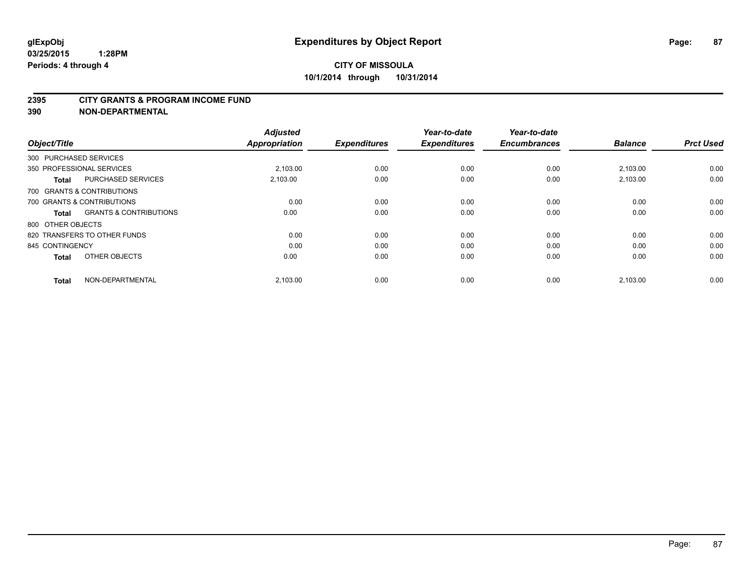#### **2395 CITY GRANTS & PROGRAM INCOME FUND**

**390 NON-DEPARTMENTAL**

| Object/Title           |                                   | <b>Adjusted</b><br><b>Appropriation</b> | <b>Expenditures</b> | Year-to-date<br><b>Expenditures</b> | Year-to-date<br><b>Encumbrances</b> | <b>Balance</b> | <b>Prct Used</b> |
|------------------------|-----------------------------------|-----------------------------------------|---------------------|-------------------------------------|-------------------------------------|----------------|------------------|
| 300 PURCHASED SERVICES |                                   |                                         |                     |                                     |                                     |                |                  |
|                        | 350 PROFESSIONAL SERVICES         | 2.103.00                                | 0.00                | 0.00                                | 0.00                                | 2,103.00       | 0.00             |
| <b>Total</b>           | <b>PURCHASED SERVICES</b>         | 2,103.00                                | 0.00                | 0.00                                | 0.00                                | 2,103.00       | 0.00             |
|                        | 700 GRANTS & CONTRIBUTIONS        |                                         |                     |                                     |                                     |                |                  |
|                        | 700 GRANTS & CONTRIBUTIONS        | 0.00                                    | 0.00                | 0.00                                | 0.00                                | 0.00           | 0.00             |
| <b>Total</b>           | <b>GRANTS &amp; CONTRIBUTIONS</b> | 0.00                                    | 0.00                | 0.00                                | 0.00                                | 0.00           | 0.00             |
| 800 OTHER OBJECTS      |                                   |                                         |                     |                                     |                                     |                |                  |
|                        | 820 TRANSFERS TO OTHER FUNDS      | 0.00                                    | 0.00                | 0.00                                | 0.00                                | 0.00           | 0.00             |
| 845 CONTINGENCY        |                                   | 0.00                                    | 0.00                | 0.00                                | 0.00                                | 0.00           | 0.00             |
| <b>Total</b>           | OTHER OBJECTS                     | 0.00                                    | 0.00                | 0.00                                | 0.00                                | 0.00           | 0.00             |
| <b>Total</b>           | NON-DEPARTMENTAL                  | 2,103.00                                | 0.00                | 0.00                                | 0.00                                | 2,103.00       | 0.00             |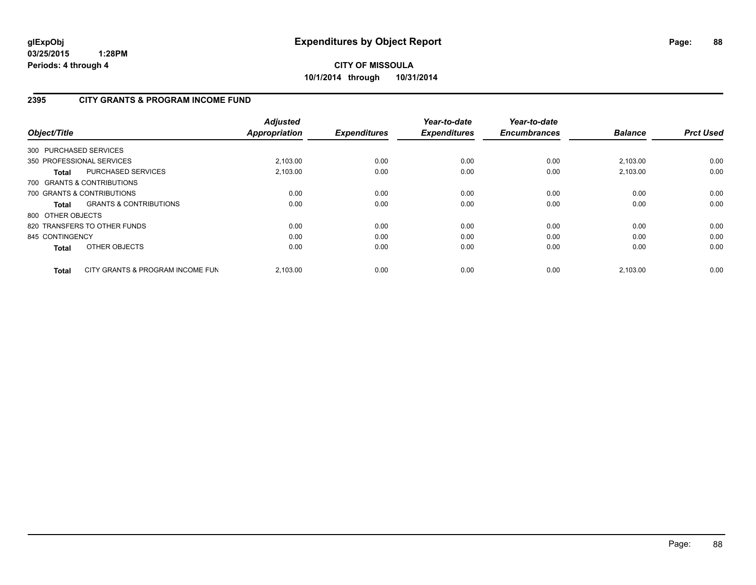# **CITY OF MISSOULA 10/1/2014 through 10/31/2014**

## **2395 CITY GRANTS & PROGRAM INCOME FUND**

| Object/Title      |                                   | <b>Adjusted</b><br><b>Appropriation</b> | <b>Expenditures</b> | Year-to-date<br><b>Expenditures</b> | Year-to-date<br><b>Encumbrances</b> | <b>Balance</b> | <b>Prct Used</b> |
|-------------------|-----------------------------------|-----------------------------------------|---------------------|-------------------------------------|-------------------------------------|----------------|------------------|
|                   | 300 PURCHASED SERVICES            |                                         |                     |                                     |                                     |                |                  |
|                   | 350 PROFESSIONAL SERVICES         | 2,103.00                                | 0.00                | 0.00                                | 0.00                                | 2,103.00       | 0.00             |
| Total             | PURCHASED SERVICES                | 2.103.00                                | 0.00                | 0.00                                | 0.00                                | 2.103.00       | 0.00             |
|                   | 700 GRANTS & CONTRIBUTIONS        |                                         |                     |                                     |                                     |                |                  |
|                   | 700 GRANTS & CONTRIBUTIONS        | 0.00                                    | 0.00                | 0.00                                | 0.00                                | 0.00           | 0.00             |
| Total             | <b>GRANTS &amp; CONTRIBUTIONS</b> | 0.00                                    | 0.00                | 0.00                                | 0.00                                | 0.00           | 0.00             |
| 800 OTHER OBJECTS |                                   |                                         |                     |                                     |                                     |                |                  |
|                   | 820 TRANSFERS TO OTHER FUNDS      | 0.00                                    | 0.00                | 0.00                                | 0.00                                | 0.00           | 0.00             |
| 845 CONTINGENCY   |                                   | 0.00                                    | 0.00                | 0.00                                | 0.00                                | 0.00           | 0.00             |
| <b>Total</b>      | OTHER OBJECTS                     | 0.00                                    | 0.00                | 0.00                                | 0.00                                | 0.00           | 0.00             |
| <b>Total</b>      | CITY GRANTS & PROGRAM INCOME FUN  | 2.103.00                                | 0.00                | 0.00                                | 0.00                                | 2.103.00       | 0.00             |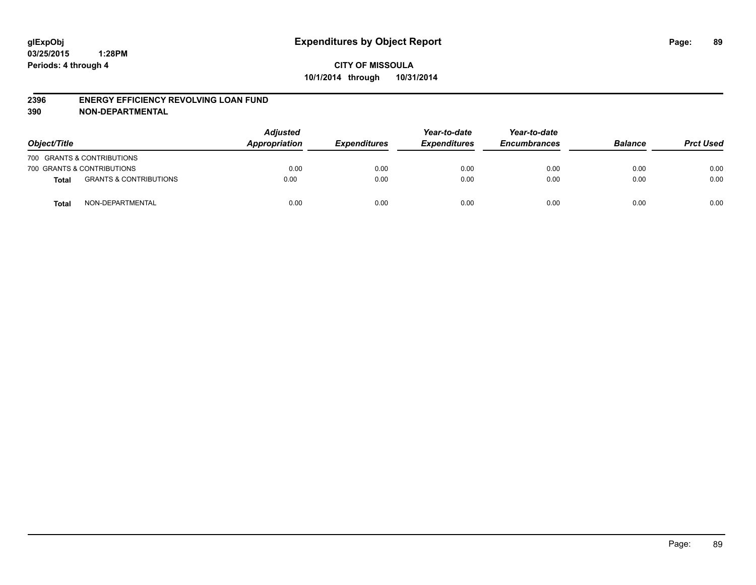#### **2396 ENERGY EFFICIENCY REVOLVING LOAN FUND**

**390 NON-DEPARTMENTAL**

| Object/Title |                                   | <b>Adjusted</b><br>Appropriation | <b>Expenditures</b> | Year-to-date<br><b>Expenditures</b> | Year-to-date<br><b>Encumbrances</b> | <b>Balance</b> | <b>Prct Used</b> |
|--------------|-----------------------------------|----------------------------------|---------------------|-------------------------------------|-------------------------------------|----------------|------------------|
|              | 700 GRANTS & CONTRIBUTIONS        |                                  |                     |                                     |                                     |                |                  |
|              | 700 GRANTS & CONTRIBUTIONS        | 0.00                             | 0.00                | 0.00                                | 0.00                                | 0.00           | 0.00             |
| Total        | <b>GRANTS &amp; CONTRIBUTIONS</b> | 0.00                             | 0.00                | 0.00                                | 0.00                                | 0.00           | 0.00             |
| <b>Total</b> | NON-DEPARTMENTAL                  | 0.00                             | 0.00                | 0.00                                | 0.00                                | 0.00           | 0.00             |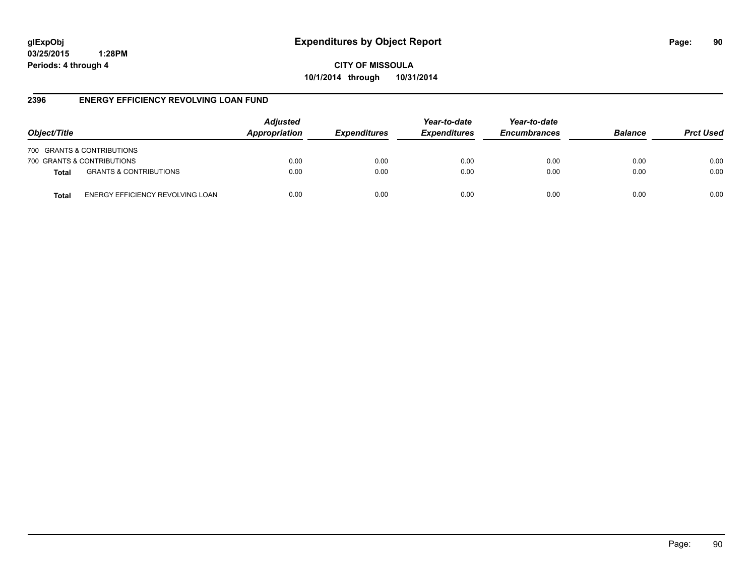**CITY OF MISSOULA 10/1/2014 through 10/31/2014**

## **2396 ENERGY EFFICIENCY REVOLVING LOAN FUND**

| Object/Title               |                                   | <b>Adjusted</b><br>Appropriation | <b>Expenditures</b> | Year-to-date<br><b>Expenditures</b> | Year-to-date<br><b>Encumbrances</b> | <b>Balance</b> | <b>Prct Used</b> |
|----------------------------|-----------------------------------|----------------------------------|---------------------|-------------------------------------|-------------------------------------|----------------|------------------|
| 700 GRANTS & CONTRIBUTIONS |                                   |                                  |                     |                                     |                                     |                |                  |
| 700 GRANTS & CONTRIBUTIONS |                                   | 0.00                             | 0.00                | 0.00                                | 0.00                                | 0.00           | 0.00             |
| <b>Total</b>               | <b>GRANTS &amp; CONTRIBUTIONS</b> | 0.00                             | 0.00                | 0.00                                | 0.00                                | 0.00           | 0.00             |
| Total                      | ENERGY EFFICIENCY REVOLVING LOAN  | 0.00                             | 0.00                | 0.00                                | 0.00                                | 0.00           | 0.00             |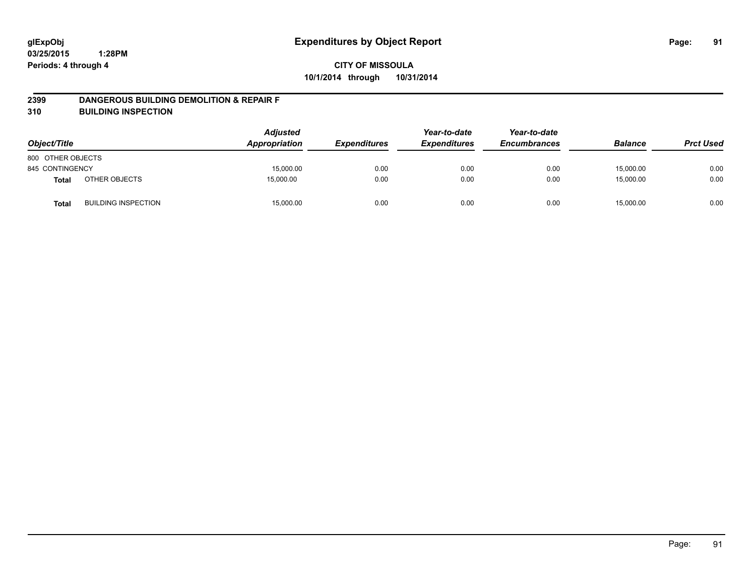#### **2399 DANGEROUS BUILDING DEMOLITION & REPAIR F**

**310 BUILDING INSPECTION**

| Object/Title      |                            | <b>Adjusted</b><br>Appropriation | <b>Expenditures</b> | Year-to-date<br><b>Expenditures</b> | Year-to-date<br><b>Encumbrances</b> | <b>Balance</b> | <b>Prct Used</b> |
|-------------------|----------------------------|----------------------------------|---------------------|-------------------------------------|-------------------------------------|----------------|------------------|
| 800 OTHER OBJECTS |                            |                                  |                     |                                     |                                     |                |                  |
| 845 CONTINGENCY   |                            | 15,000.00                        | 0.00                | 0.00                                | 0.00                                | 15,000.00      | 0.00             |
| <b>Total</b>      | OTHER OBJECTS              | 15,000.00                        | 0.00                | 0.00                                | 0.00                                | 15,000.00      | 0.00             |
| <b>Total</b>      | <b>BUILDING INSPECTION</b> | 15,000.00                        | 0.00                | 0.00                                | 0.00                                | 15,000.00      | 0.00             |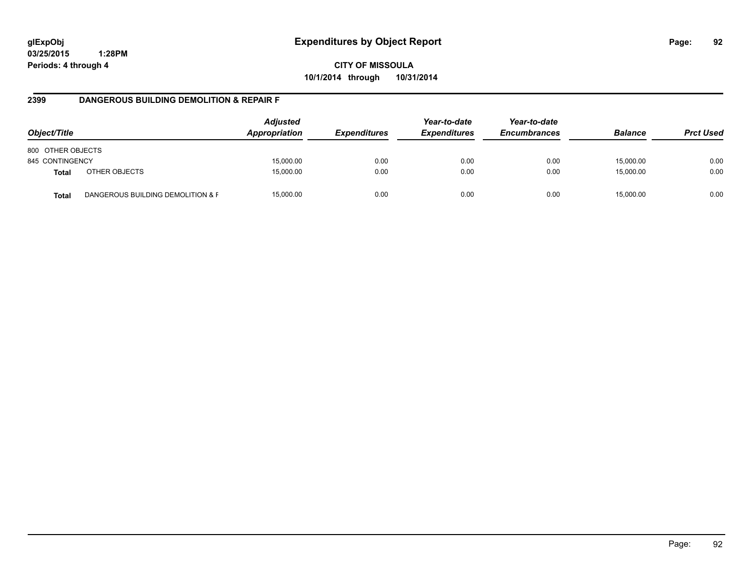**CITY OF MISSOULA 10/1/2014 through 10/31/2014**

## **2399 DANGEROUS BUILDING DEMOLITION & REPAIR F**

| Object/Title      |                                   | <b>Adjusted</b><br>Appropriation | <i><b>Expenditures</b></i> | Year-to-date<br><b>Expenditures</b> | Year-to-date<br><b>Encumbrances</b> | <b>Balance</b> | <b>Prct Used</b> |
|-------------------|-----------------------------------|----------------------------------|----------------------------|-------------------------------------|-------------------------------------|----------------|------------------|
| 800 OTHER OBJECTS |                                   |                                  |                            |                                     |                                     |                |                  |
| 845 CONTINGENCY   |                                   | 15,000.00                        | 0.00                       | 0.00                                | 0.00                                | 15,000.00      | 0.00             |
| <b>Total</b>      | OTHER OBJECTS                     | 15,000.00                        | 0.00                       | 0.00                                | 0.00                                | 15,000.00      | 0.00             |
| <b>Total</b>      | DANGEROUS BUILDING DEMOLITION & F | 15,000.00                        | 0.00                       | 0.00                                | 0.00                                | 15.000.00      | 0.00             |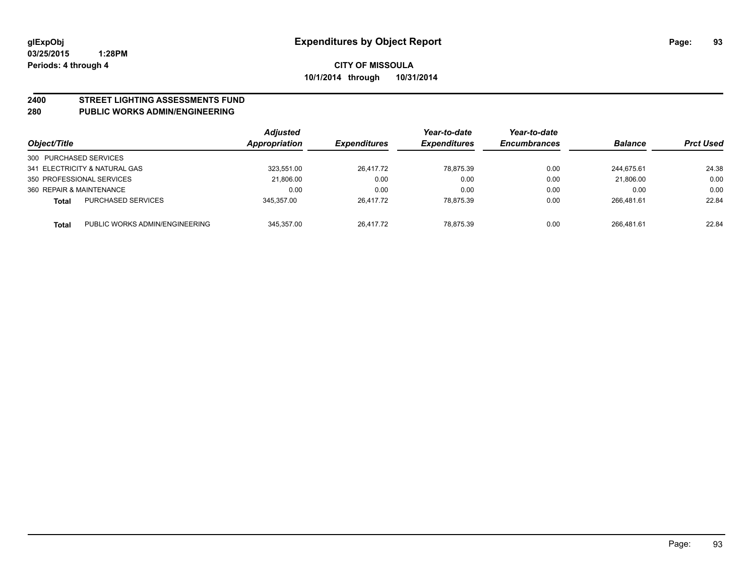# **2400 STREET LIGHTING ASSESSMENTS FUND**

## **280 PUBLIC WORKS ADMIN/ENGINEERING**

| Object/Title             |                                | Adjusted<br>Appropriation | <b>Expenditures</b> | Year-to-date<br><b>Expenditures</b> | Year-to-date<br><b>Encumbrances</b> | <b>Balance</b> | <b>Prct Used</b> |
|--------------------------|--------------------------------|---------------------------|---------------------|-------------------------------------|-------------------------------------|----------------|------------------|
| 300 PURCHASED SERVICES   |                                |                           |                     |                                     |                                     |                |                  |
|                          | 341 ELECTRICITY & NATURAL GAS  | 323,551.00                | 26,417.72           | 78.875.39                           | 0.00                                | 244.675.61     | 24.38            |
|                          | 350 PROFESSIONAL SERVICES      | 21.806.00                 | 0.00                | 0.00                                | 0.00                                | 21.806.00      | 0.00             |
| 360 REPAIR & MAINTENANCE |                                | 0.00                      | 0.00                | 0.00                                | 0.00                                | 0.00           | 0.00             |
| Total                    | <b>PURCHASED SERVICES</b>      | 345.357.00                | 26,417.72           | 78,875.39                           | 0.00                                | 266.481.61     | 22.84            |
| <b>Total</b>             | PUBLIC WORKS ADMIN/ENGINEERING | 345.357.00                | 26.417.72           | 78.875.39                           | 0.00                                | 266.481.61     | 22.84            |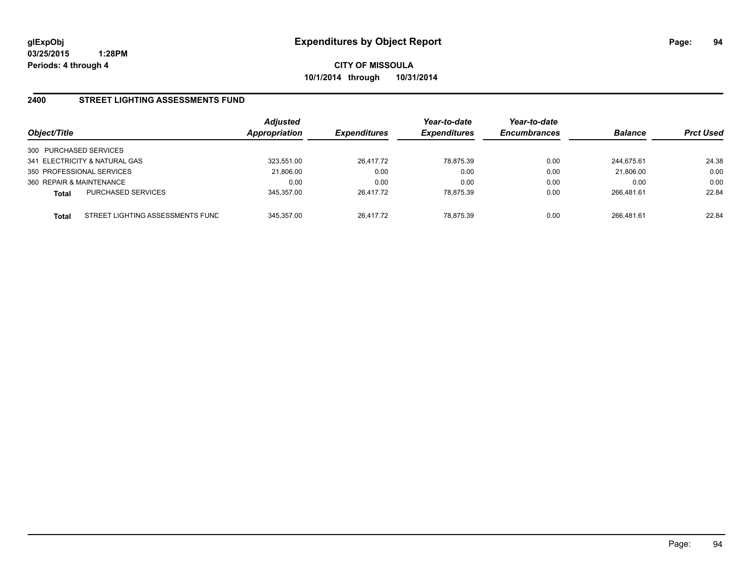**CITY OF MISSOULA 10/1/2014 through 10/31/2014**

## **2400 STREET LIGHTING ASSESSMENTS FUND**

| Object/Title                                     | <b>Adjusted</b><br>Appropriation | <b>Expenditures</b> | Year-to-date<br><b>Expenditures</b> | Year-to-date<br><b>Encumbrances</b> | <b>Balance</b> | <b>Prct Used</b> |
|--------------------------------------------------|----------------------------------|---------------------|-------------------------------------|-------------------------------------|----------------|------------------|
| 300 PURCHASED SERVICES                           |                                  |                     |                                     |                                     |                |                  |
| 341 ELECTRICITY & NATURAL GAS                    | 323.551.00                       | 26,417.72           | 78.875.39                           | 0.00                                | 244.675.61     | 24.38            |
| 350 PROFESSIONAL SERVICES                        | 21,806.00                        | 0.00                | 0.00                                | 0.00                                | 21,806.00      | 0.00             |
| 360 REPAIR & MAINTENANCE                         | 0.00                             | 0.00                | 0.00                                | 0.00                                | 0.00           | 0.00             |
| <b>PURCHASED SERVICES</b><br><b>Total</b>        | 345.357.00                       | 26.417.72           | 78.875.39                           | 0.00                                | 266.481.61     | 22.84            |
| STREET LIGHTING ASSESSMENTS FUND<br><b>Total</b> | 345.357.00                       | 26.417.72           | 78.875.39                           | 0.00                                | 266.481.61     | 22.84            |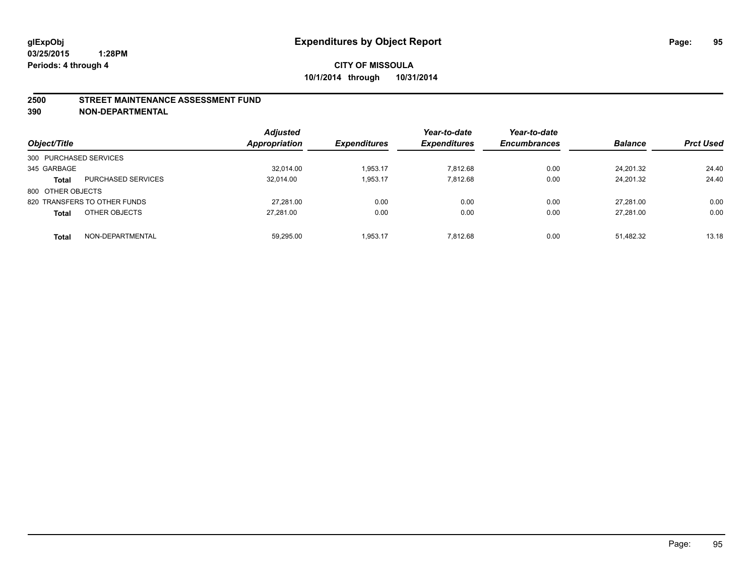#### **2500 STREET MAINTENANCE ASSESSMENT FUND**

**390 NON-DEPARTMENTAL**

| Object/Title           |                              | <b>Adjusted</b><br>Appropriation | <b>Expenditures</b> | Year-to-date<br><b>Expenditures</b> | Year-to-date<br><b>Encumbrances</b> | <b>Balance</b> | <b>Prct Used</b> |
|------------------------|------------------------------|----------------------------------|---------------------|-------------------------------------|-------------------------------------|----------------|------------------|
| 300 PURCHASED SERVICES |                              |                                  |                     |                                     |                                     |                |                  |
| 345 GARBAGE            |                              | 32.014.00                        | 1.953.17            | 7.812.68                            | 0.00                                | 24.201.32      | 24.40            |
| <b>Total</b>           | <b>PURCHASED SERVICES</b>    | 32.014.00                        | 1,953.17            | 7.812.68                            | 0.00                                | 24.201.32      | 24.40            |
| 800 OTHER OBJECTS      |                              |                                  |                     |                                     |                                     |                |                  |
|                        | 820 TRANSFERS TO OTHER FUNDS | 27.281.00                        | 0.00                | 0.00                                | 0.00                                | 27.281.00      | 0.00             |
| <b>Total</b>           | OTHER OBJECTS                | 27.281.00                        | 0.00                | 0.00                                | 0.00                                | 27.281.00      | 0.00             |
| <b>Total</b>           | NON-DEPARTMENTAL             | 59,295.00                        | 1.953.17            | 7.812.68                            | 0.00                                | 51.482.32      | 13.18            |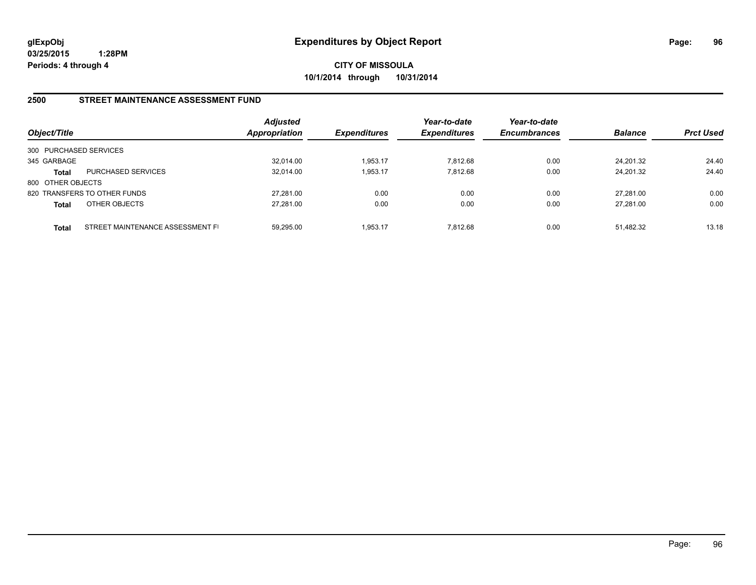**CITY OF MISSOULA 10/1/2014 through 10/31/2014**

## **2500 STREET MAINTENANCE ASSESSMENT FUND**

| Object/Title           |                                  | <b>Adjusted</b><br>Appropriation | <b>Expenditures</b> | Year-to-date<br><b>Expenditures</b> | Year-to-date<br><b>Encumbrances</b> | <b>Balance</b> | <b>Prct Used</b> |
|------------------------|----------------------------------|----------------------------------|---------------------|-------------------------------------|-------------------------------------|----------------|------------------|
| 300 PURCHASED SERVICES |                                  |                                  |                     |                                     |                                     |                |                  |
| 345 GARBAGE            |                                  | 32.014.00                        | 1.953.17            | 7.812.68                            | 0.00                                | 24.201.32      | 24.40            |
| Total                  | <b>PURCHASED SERVICES</b>        | 32.014.00                        | 1.953.17            | 7.812.68                            | 0.00                                | 24.201.32      | 24.40            |
| 800 OTHER OBJECTS      |                                  |                                  |                     |                                     |                                     |                |                  |
|                        | 820 TRANSFERS TO OTHER FUNDS     | 27.281.00                        | 0.00                | 0.00                                | 0.00                                | 27.281.00      | 0.00             |
| <b>Total</b>           | OTHER OBJECTS                    | 27.281.00                        | 0.00                | 0.00                                | 0.00                                | 27.281.00      | 0.00             |
| <b>Total</b>           | STREET MAINTENANCE ASSESSMENT FI | 59.295.00                        | 1.953.17            | 7.812.68                            | 0.00                                | 51.482.32      | 13.18            |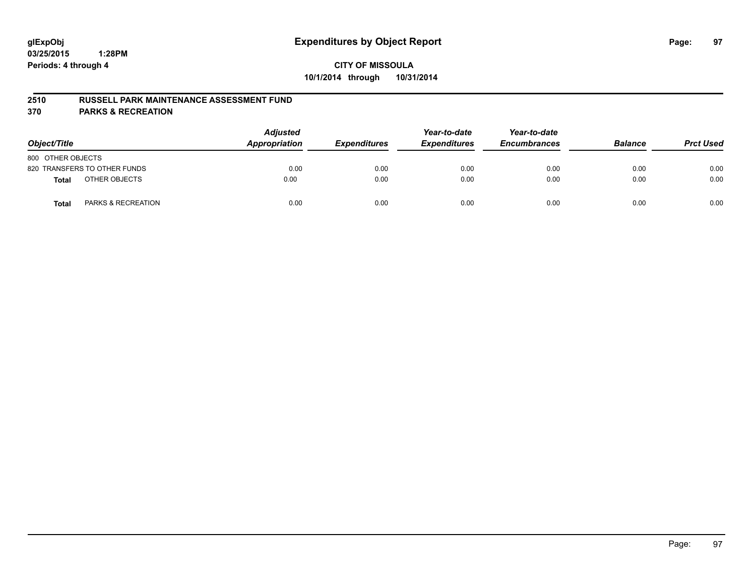#### **2510 RUSSELL PARK MAINTENANCE ASSESSMENT FUND**

**370 PARKS & RECREATION**

| Object/Title                           | <b>Adjusted</b><br>Appropriation | <b>Expenditures</b> | Year-to-date<br><b>Expenditures</b> | Year-to-date<br><b>Encumbrances</b> | <b>Balance</b> | <b>Prct Used</b> |
|----------------------------------------|----------------------------------|---------------------|-------------------------------------|-------------------------------------|----------------|------------------|
| 800 OTHER OBJECTS                      |                                  |                     |                                     |                                     |                |                  |
| 820 TRANSFERS TO OTHER FUNDS           | 0.00                             | 0.00                | 0.00                                | 0.00                                | 0.00           | 0.00             |
| OTHER OBJECTS<br><b>Total</b>          | 0.00                             | 0.00                | 0.00                                | 0.00                                | 0.00           | 0.00             |
| <b>PARKS &amp; RECREATION</b><br>Total | 0.00                             | 0.00                | 0.00                                | 0.00                                | 0.00           | 0.00             |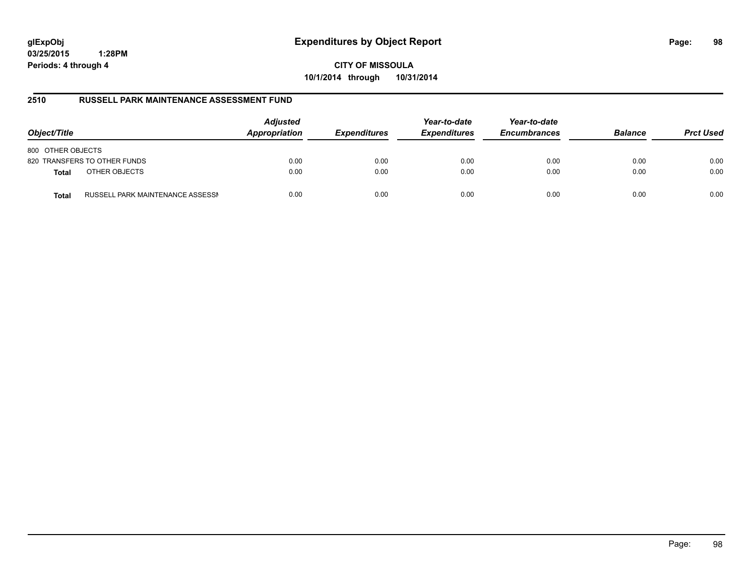# **glExpObj Expenditures by Object Report Page: 98**

**03/25/2015 1:28PM Periods: 4 through 4**

**10/1/2014 through 10/31/2014**

## **2510 RUSSELL PARK MAINTENANCE ASSESSMENT FUND**

| Object/Title                                     | <b>Adjusted</b><br>Appropriation | <b>Expenditures</b> | Year-to-date<br><b>Expenditures</b> | Year-to-date<br><b>Encumbrances</b> | <b>Balance</b> | <b>Prct Used</b> |
|--------------------------------------------------|----------------------------------|---------------------|-------------------------------------|-------------------------------------|----------------|------------------|
| 800 OTHER OBJECTS                                |                                  |                     |                                     |                                     |                |                  |
| 820 TRANSFERS TO OTHER FUNDS                     | 0.00                             | 0.00                | 0.00                                | 0.00                                | 0.00           | 0.00             |
| OTHER OBJECTS<br><b>Total</b>                    | 0.00                             | 0.00                | 0.00                                | 0.00                                | 0.00           | 0.00             |
| RUSSELL PARK MAINTENANCE ASSESSN<br><b>Total</b> | 0.00                             | 0.00                | 0.00                                | 0.00                                | 0.00           | 0.00             |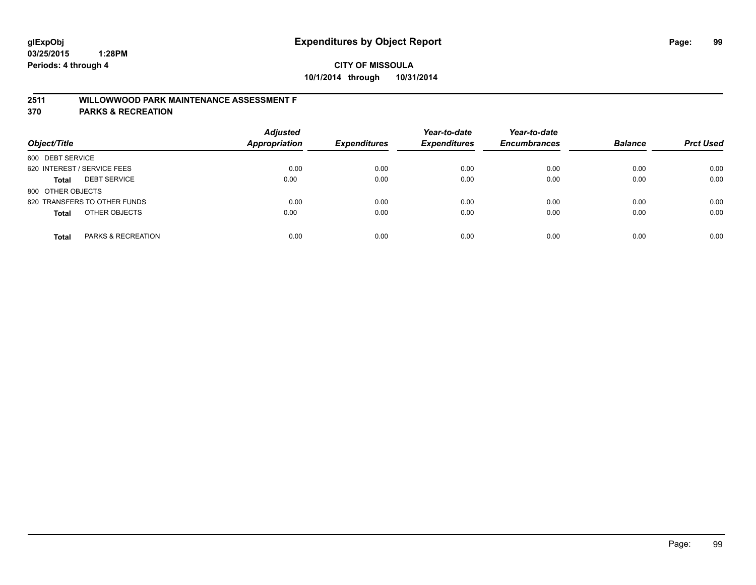## **2511 WILLOWWOOD PARK MAINTENANCE ASSESSMENT F**

**370 PARKS & RECREATION**

| Object/Title                        | <b>Adjusted</b><br>Appropriation | <b>Expenditures</b> | Year-to-date<br><b>Expenditures</b> | Year-to-date<br><b>Encumbrances</b> | <b>Balance</b> | <b>Prct Used</b> |
|-------------------------------------|----------------------------------|---------------------|-------------------------------------|-------------------------------------|----------------|------------------|
| 600 DEBT SERVICE                    |                                  |                     |                                     |                                     |                |                  |
| 620 INTEREST / SERVICE FEES         | 0.00                             | 0.00                | 0.00                                | 0.00                                | 0.00           | 0.00             |
| <b>DEBT SERVICE</b><br><b>Total</b> | 0.00                             | 0.00                | 0.00                                | 0.00                                | 0.00           | 0.00             |
| 800 OTHER OBJECTS                   |                                  |                     |                                     |                                     |                |                  |
| 820 TRANSFERS TO OTHER FUNDS        | 0.00                             | 0.00                | 0.00                                | 0.00                                | 0.00           | 0.00             |
| OTHER OBJECTS<br><b>Total</b>       | 0.00                             | 0.00                | 0.00                                | 0.00                                | 0.00           | 0.00             |
| PARKS & RECREATION<br><b>Total</b>  | 0.00                             | 0.00                | 0.00                                | 0.00                                | 0.00           | 0.00             |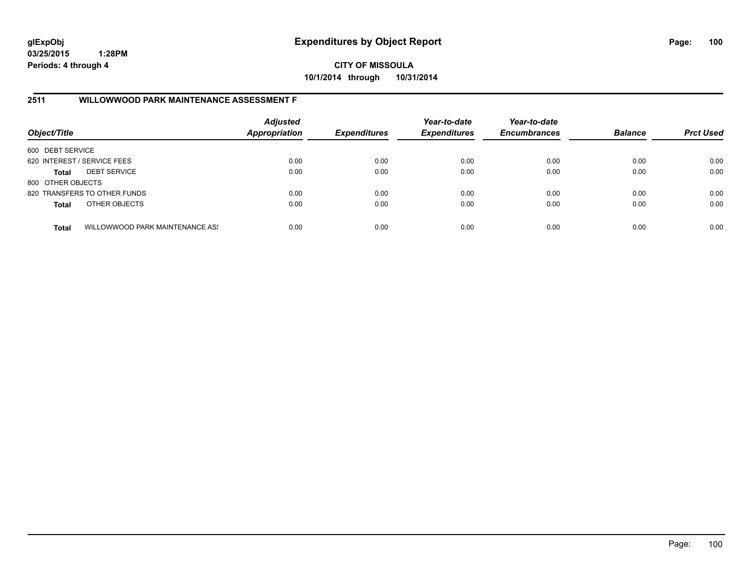**CITY OF MISSOULA 10/1/2014 through 10/31/2014**

## **2511 WILLOWWOOD PARK MAINTENANCE ASSESSMENT F**

| Object/Title                |                                 | <b>Adjusted</b><br><b>Appropriation</b> | <b>Expenditures</b> | Year-to-date<br><b>Expenditures</b> | Year-to-date<br><b>Encumbrances</b> | <b>Balance</b> | <b>Prct Used</b> |
|-----------------------------|---------------------------------|-----------------------------------------|---------------------|-------------------------------------|-------------------------------------|----------------|------------------|
| 600 DEBT SERVICE            |                                 |                                         |                     |                                     |                                     |                |                  |
| 620 INTEREST / SERVICE FEES |                                 | 0.00                                    | 0.00                | 0.00                                | 0.00                                | 0.00           | 0.00             |
| <b>Total</b>                | <b>DEBT SERVICE</b>             | 0.00                                    | 0.00                | 0.00                                | 0.00                                | 0.00           | 0.00             |
| 800 OTHER OBJECTS           |                                 |                                         |                     |                                     |                                     |                |                  |
|                             | 820 TRANSFERS TO OTHER FUNDS    | 0.00                                    | 0.00                | 0.00                                | 0.00                                | 0.00           | 0.00             |
| <b>Total</b>                | OTHER OBJECTS                   | 0.00                                    | 0.00                | 0.00                                | 0.00                                | 0.00           | 0.00             |
| <b>Total</b>                | WILLOWWOOD PARK MAINTENANCE ASS | 0.00                                    | 0.00                | 0.00                                | 0.00                                | 0.00           | 0.00             |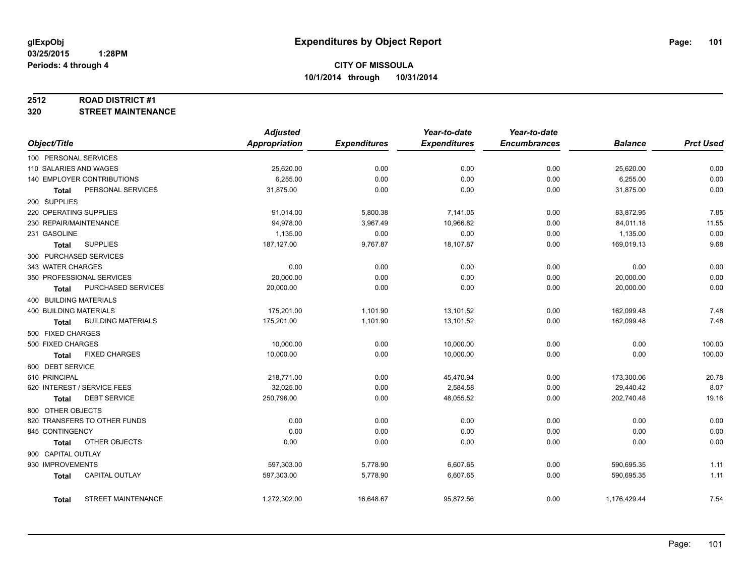#### **2512 ROAD DISTRICT #1**

**320 STREET MAINTENANCE**

|                               |                              | <b>Adjusted</b>         |                     | Year-to-date          | Year-to-date        |                         |                  |
|-------------------------------|------------------------------|-------------------------|---------------------|-----------------------|---------------------|-------------------------|------------------|
| Object/Title                  |                              | <b>Appropriation</b>    | <b>Expenditures</b> | <b>Expenditures</b>   | <b>Encumbrances</b> | <b>Balance</b>          | <b>Prct Used</b> |
| 100 PERSONAL SERVICES         |                              |                         |                     |                       |                     |                         |                  |
| 110 SALARIES AND WAGES        |                              | 25,620.00               | 0.00                | 0.00                  | 0.00                | 25,620.00               | 0.00             |
|                               | 140 EMPLOYER CONTRIBUTIONS   | 6,255.00                | 0.00                | 0.00                  | 0.00                | 6,255.00                | 0.00             |
| Total                         | PERSONAL SERVICES            | 31,875.00               | 0.00                | 0.00                  | 0.00                | 31,875.00               | 0.00             |
| 200 SUPPLIES                  |                              |                         |                     |                       |                     |                         |                  |
| 220 OPERATING SUPPLIES        |                              | 91,014.00               | 5,800.38            | 7,141.05              | 0.00                | 83,872.95               | 7.85             |
| 230 REPAIR/MAINTENANCE        |                              | 94,978.00               | 3,967.49            | 10,966.82             | 0.00                | 84,011.18               | 11.55            |
| 231 GASOLINE                  |                              | 1,135.00                | 0.00                | 0.00                  | 0.00                | 1,135.00                | 0.00             |
| <b>Total</b>                  | <b>SUPPLIES</b>              | 187, 127.00             | 9,767.87            | 18,107.87             | 0.00                | 169,019.13              | 9.68             |
|                               | 300 PURCHASED SERVICES       |                         |                     |                       |                     |                         |                  |
| 343 WATER CHARGES             |                              | 0.00                    | 0.00                | 0.00                  | 0.00                | 0.00                    | 0.00             |
|                               | 350 PROFESSIONAL SERVICES    | 20,000.00               | 0.00                | 0.00                  | 0.00                | 20,000.00               | 0.00             |
| Total                         | PURCHASED SERVICES           | 20,000.00               | 0.00                | 0.00                  | 0.00                | 20,000.00               | 0.00             |
| 400 BUILDING MATERIALS        |                              |                         |                     |                       |                     |                         |                  |
| <b>400 BUILDING MATERIALS</b> |                              | 175,201.00              | 1,101.90            | 13,101.52             | 0.00                | 162,099.48              | 7.48             |
| <b>Total</b>                  | <b>BUILDING MATERIALS</b>    | 175,201.00              | 1,101.90            | 13,101.52             | 0.00                | 162,099.48              | 7.48             |
| 500 FIXED CHARGES             |                              |                         |                     |                       |                     |                         |                  |
| 500 FIXED CHARGES             |                              | 10,000.00               | 0.00                | 10,000.00             | 0.00                | 0.00                    | 100.00           |
| <b>Total</b>                  | <b>FIXED CHARGES</b>         | 10,000.00               | 0.00                | 10,000.00             | 0.00                | 0.00                    | 100.00           |
| 600 DEBT SERVICE              |                              |                         |                     |                       |                     |                         |                  |
| 610 PRINCIPAL                 |                              | 218,771.00              |                     |                       | 0.00                |                         | 20.78            |
|                               | 620 INTEREST / SERVICE FEES  |                         | 0.00                | 45,470.94             |                     | 173,300.06              | 8.07             |
|                               | <b>DEBT SERVICE</b>          | 32,025.00<br>250,796.00 | 0.00<br>0.00        | 2,584.58<br>48,055.52 | 0.00<br>0.00        | 29,440.42<br>202,740.48 | 19.16            |
| Total                         |                              |                         |                     |                       |                     |                         |                  |
| 800 OTHER OBJECTS             |                              |                         |                     |                       |                     |                         |                  |
|                               | 820 TRANSFERS TO OTHER FUNDS | 0.00                    | 0.00                | 0.00                  | 0.00                | 0.00                    | 0.00             |
| 845 CONTINGENCY               |                              | 0.00                    | 0.00                | 0.00                  | 0.00                | 0.00                    | 0.00             |
| <b>Total</b>                  | OTHER OBJECTS                | 0.00                    | 0.00                | 0.00                  | 0.00                | 0.00                    | 0.00             |
| 900 CAPITAL OUTLAY            |                              |                         |                     |                       |                     |                         |                  |
| 930 IMPROVEMENTS              |                              | 597,303.00              | 5,778.90            | 6,607.65              | 0.00                | 590,695.35              | 1.11             |
| <b>Total</b>                  | <b>CAPITAL OUTLAY</b>        | 597,303.00              | 5,778.90            | 6,607.65              | 0.00                | 590,695.35              | 1.11             |
| Total                         | <b>STREET MAINTENANCE</b>    | 1,272,302.00            | 16,648.67           | 95,872.56             | 0.00                | 1,176,429.44            | 7.54             |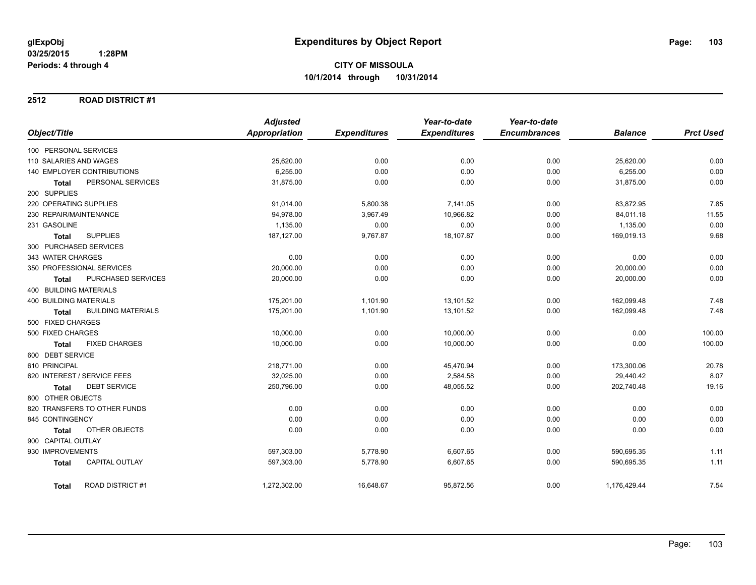#### **2512 ROAD DISTRICT #1**

|                                           | <b>Adjusted</b>      |                     | Year-to-date        | Year-to-date        |                |                  |
|-------------------------------------------|----------------------|---------------------|---------------------|---------------------|----------------|------------------|
| Object/Title                              | <b>Appropriation</b> | <b>Expenditures</b> | <b>Expenditures</b> | <b>Encumbrances</b> | <b>Balance</b> | <b>Prct Used</b> |
| 100 PERSONAL SERVICES                     |                      |                     |                     |                     |                |                  |
| 110 SALARIES AND WAGES                    | 25,620.00            | 0.00                | 0.00                | 0.00                | 25,620.00      | 0.00             |
| 140 EMPLOYER CONTRIBUTIONS                | 6,255.00             | 0.00                | 0.00                | 0.00                | 6,255.00       | 0.00             |
| PERSONAL SERVICES<br><b>Total</b>         | 31,875.00            | 0.00                | 0.00                | 0.00                | 31,875.00      | 0.00             |
| 200 SUPPLIES                              |                      |                     |                     |                     |                |                  |
| 220 OPERATING SUPPLIES                    | 91,014.00            | 5,800.38            | 7,141.05            | 0.00                | 83,872.95      | 7.85             |
| 230 REPAIR/MAINTENANCE                    | 94,978.00            | 3,967.49            | 10,966.82           | 0.00                | 84,011.18      | 11.55            |
| 231 GASOLINE                              | 1,135.00             | 0.00                | 0.00                | 0.00                | 1,135.00       | 0.00             |
| <b>SUPPLIES</b><br>Total                  | 187,127.00           | 9,767.87            | 18,107.87           | 0.00                | 169,019.13     | 9.68             |
| 300 PURCHASED SERVICES                    |                      |                     |                     |                     |                |                  |
| 343 WATER CHARGES                         | 0.00                 | 0.00                | 0.00                | 0.00                | 0.00           | 0.00             |
| 350 PROFESSIONAL SERVICES                 | 20,000.00            | 0.00                | 0.00                | 0.00                | 20,000.00      | 0.00             |
| PURCHASED SERVICES<br><b>Total</b>        | 20,000.00            | 0.00                | 0.00                | 0.00                | 20,000.00      | 0.00             |
| 400 BUILDING MATERIALS                    |                      |                     |                     |                     |                |                  |
| <b>400 BUILDING MATERIALS</b>             | 175,201.00           | 1,101.90            | 13,101.52           | 0.00                | 162,099.48     | 7.48             |
| <b>BUILDING MATERIALS</b><br><b>Total</b> | 175,201.00           | 1,101.90            | 13,101.52           | 0.00                | 162,099.48     | 7.48             |
| 500 FIXED CHARGES                         |                      |                     |                     |                     |                |                  |
| 500 FIXED CHARGES                         | 10,000.00            | 0.00                | 10,000.00           | 0.00                | 0.00           | 100.00           |
| <b>FIXED CHARGES</b><br><b>Total</b>      | 10,000.00            | 0.00                | 10,000.00           | 0.00                | 0.00           | 100.00           |
| 600 DEBT SERVICE                          |                      |                     |                     |                     |                |                  |
| 610 PRINCIPAL                             | 218,771.00           | 0.00                | 45,470.94           | 0.00                | 173,300.06     | 20.78            |
| 620 INTEREST / SERVICE FEES               | 32,025.00            | 0.00                | 2,584.58            | 0.00                | 29,440.42      | 8.07             |
| <b>DEBT SERVICE</b><br>Total              | 250,796.00           | 0.00                | 48,055.52           | 0.00                | 202,740.48     | 19.16            |
| 800 OTHER OBJECTS                         |                      |                     |                     |                     |                |                  |
| 820 TRANSFERS TO OTHER FUNDS              | 0.00                 | 0.00                | 0.00                | 0.00                | 0.00           | 0.00             |
| 845 CONTINGENCY                           | 0.00                 | 0.00                | 0.00                | 0.00                | 0.00           | 0.00             |
| OTHER OBJECTS<br>Total                    | 0.00                 | 0.00                | 0.00                | 0.00                | 0.00           | 0.00             |
| 900 CAPITAL OUTLAY                        |                      |                     |                     |                     |                |                  |
| 930 IMPROVEMENTS                          | 597,303.00           | 5,778.90            | 6,607.65            | 0.00                | 590,695.35     | 1.11             |
| <b>CAPITAL OUTLAY</b><br><b>Total</b>     | 597,303.00           | 5,778.90            | 6,607.65            | 0.00                | 590,695.35     | 1.11             |
| <b>ROAD DISTRICT#1</b><br><b>Total</b>    | 1,272,302.00         | 16,648.67           | 95,872.56           | 0.00                | 1,176,429.44   | 7.54             |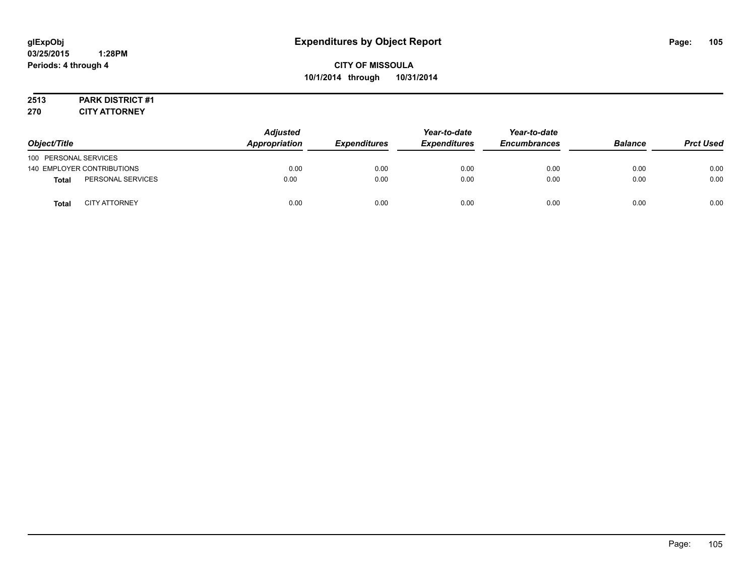# **2513 PARK DISTRICT #1**

**270 CITY ATTORNEY**

| Object/Title          |                            | <b>Adjusted</b><br>Appropriation | <b>Expenditures</b> | Year-to-date<br><b>Expenditures</b> | Year-to-date<br><b>Encumbrances</b> | <b>Balance</b> | <b>Prct Used</b> |
|-----------------------|----------------------------|----------------------------------|---------------------|-------------------------------------|-------------------------------------|----------------|------------------|
| 100 PERSONAL SERVICES |                            |                                  |                     |                                     |                                     |                |                  |
|                       | 140 EMPLOYER CONTRIBUTIONS | 0.00                             | 0.00                | 0.00                                | 0.00                                | 0.00           | 0.00             |
| <b>Total</b>          | PERSONAL SERVICES          | 0.00                             | 0.00                | 0.00                                | 0.00                                | 0.00           | 0.00             |
| Total                 | <b>CITY ATTORNEY</b>       | 0.00                             | 0.00                | 0.00                                | 0.00                                | 0.00           | 0.00             |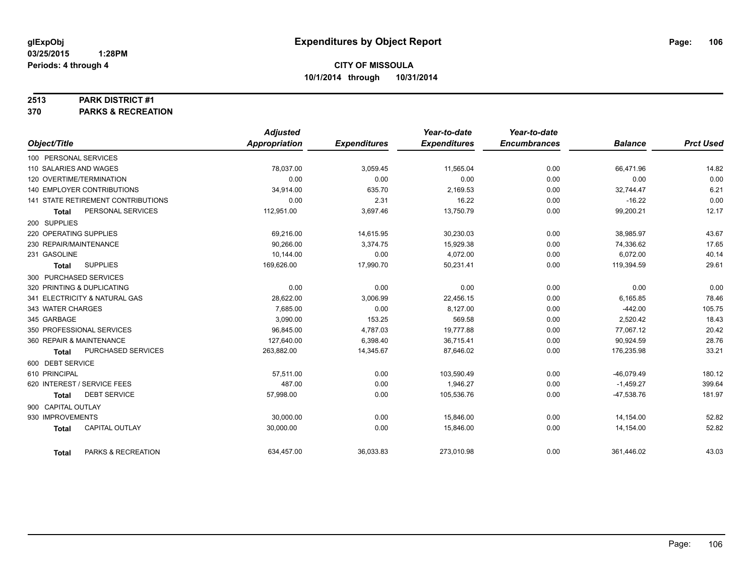#### **2513 PARK DISTRICT #1**

**370 PARKS & RECREATION**

|                        |                                    | <b>Adjusted</b> |                     | Year-to-date        | Year-to-date        |                |                  |
|------------------------|------------------------------------|-----------------|---------------------|---------------------|---------------------|----------------|------------------|
| Object/Title           |                                    | Appropriation   | <b>Expenditures</b> | <b>Expenditures</b> | <b>Encumbrances</b> | <b>Balance</b> | <b>Prct Used</b> |
| 100 PERSONAL SERVICES  |                                    |                 |                     |                     |                     |                |                  |
| 110 SALARIES AND WAGES |                                    | 78.037.00       | 3,059.45            | 11,565.04           | 0.00                | 66,471.96      | 14.82            |
|                        | 120 OVERTIME/TERMINATION           | 0.00            | 0.00                | 0.00                | 0.00                | 0.00           | 0.00             |
|                        | 140 EMPLOYER CONTRIBUTIONS         | 34,914.00       | 635.70              | 2,169.53            | 0.00                | 32,744.47      | 6.21             |
|                        | 141 STATE RETIREMENT CONTRIBUTIONS | 0.00            | 2.31                | 16.22               | 0.00                | $-16.22$       | 0.00             |
| Total                  | PERSONAL SERVICES                  | 112,951.00      | 3,697.46            | 13,750.79           | 0.00                | 99,200.21      | 12.17            |
| 200 SUPPLIES           |                                    |                 |                     |                     |                     |                |                  |
| 220 OPERATING SUPPLIES |                                    | 69,216.00       | 14,615.95           | 30,230.03           | 0.00                | 38,985.97      | 43.67            |
| 230 REPAIR/MAINTENANCE |                                    | 90.266.00       | 3,374.75            | 15,929.38           | 0.00                | 74,336.62      | 17.65            |
| 231 GASOLINE           |                                    | 10.144.00       | 0.00                | 4,072.00            | 0.00                | 6.072.00       | 40.14            |
| <b>Total</b>           | <b>SUPPLIES</b>                    | 169,626.00      | 17,990.70           | 50,231.41           | 0.00                | 119,394.59     | 29.61            |
|                        | 300 PURCHASED SERVICES             |                 |                     |                     |                     |                |                  |
|                        | 320 PRINTING & DUPLICATING         | 0.00            | 0.00                | 0.00                | 0.00                | 0.00           | 0.00             |
|                        | 341 ELECTRICITY & NATURAL GAS      | 28,622.00       | 3,006.99            | 22,456.15           | 0.00                | 6,165.85       | 78.46            |
| 343 WATER CHARGES      |                                    | 7,685.00        | 0.00                | 8,127.00            | 0.00                | $-442.00$      | 105.75           |
| 345 GARBAGE            |                                    | 3.090.00        | 153.25              | 569.58              | 0.00                | 2,520.42       | 18.43            |
|                        | 350 PROFESSIONAL SERVICES          | 96,845.00       | 4,787.03            | 19,777.88           | 0.00                | 77,067.12      | 20.42            |
|                        | 360 REPAIR & MAINTENANCE           | 127,640.00      | 6,398.40            | 36,715.41           | 0.00                | 90,924.59      | 28.76            |
| <b>Total</b>           | PURCHASED SERVICES                 | 263,882.00      | 14,345.67           | 87,646.02           | 0.00                | 176,235.98     | 33.21            |
| 600 DEBT SERVICE       |                                    |                 |                     |                     |                     |                |                  |
| 610 PRINCIPAL          |                                    | 57.511.00       | 0.00                | 103,590.49          | 0.00                | $-46,079.49$   | 180.12           |
|                        | 620 INTEREST / SERVICE FEES        | 487.00          | 0.00                | 1,946.27            | 0.00                | $-1,459.27$    | 399.64           |
| <b>Total</b>           | <b>DEBT SERVICE</b>                | 57,998.00       | 0.00                | 105,536.76          | 0.00                | $-47,538.76$   | 181.97           |
| 900 CAPITAL OUTLAY     |                                    |                 |                     |                     |                     |                |                  |
| 930 IMPROVEMENTS       |                                    | 30,000.00       | 0.00                | 15,846.00           | 0.00                | 14,154.00      | 52.82            |
| <b>Total</b>           | <b>CAPITAL OUTLAY</b>              | 30,000.00       | 0.00                | 15,846.00           | 0.00                | 14,154.00      | 52.82            |
| <b>Total</b>           | PARKS & RECREATION                 | 634,457.00      | 36,033.83           | 273,010.98          | 0.00                | 361,446.02     | 43.03            |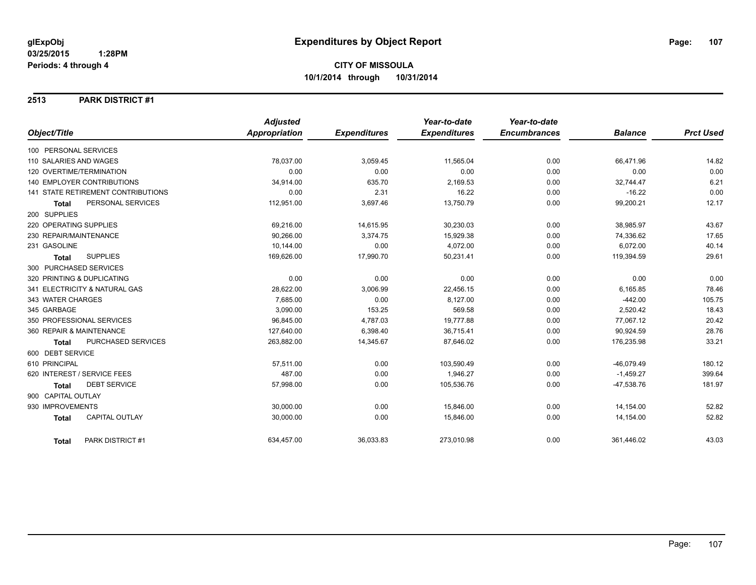#### **2513 PARK DISTRICT #1**

|                                       | <b>Adjusted</b>      |                     | Year-to-date        | Year-to-date        |                |                  |
|---------------------------------------|----------------------|---------------------|---------------------|---------------------|----------------|------------------|
| Object/Title                          | <b>Appropriation</b> | <b>Expenditures</b> | <b>Expenditures</b> | <b>Encumbrances</b> | <b>Balance</b> | <b>Prct Used</b> |
| 100 PERSONAL SERVICES                 |                      |                     |                     |                     |                |                  |
| 110 SALARIES AND WAGES                | 78,037.00            | 3,059.45            | 11,565.04           | 0.00                | 66,471.96      | 14.82            |
| 120 OVERTIME/TERMINATION              | 0.00                 | 0.00                | 0.00                | 0.00                | 0.00           | 0.00             |
| 140 EMPLOYER CONTRIBUTIONS            | 34,914.00            | 635.70              | 2,169.53            | 0.00                | 32,744.47      | 6.21             |
| 141 STATE RETIREMENT CONTRIBUTIONS    | 0.00                 | 2.31                | 16.22               | 0.00                | $-16.22$       | 0.00             |
| PERSONAL SERVICES<br><b>Total</b>     | 112,951.00           | 3,697.46            | 13,750.79           | 0.00                | 99,200.21      | 12.17            |
| 200 SUPPLIES                          |                      |                     |                     |                     |                |                  |
| 220 OPERATING SUPPLIES                | 69,216.00            | 14,615.95           | 30,230.03           | 0.00                | 38,985.97      | 43.67            |
| 230 REPAIR/MAINTENANCE                | 90,266.00            | 3,374.75            | 15,929.38           | 0.00                | 74,336.62      | 17.65            |
| 231 GASOLINE                          | 10,144.00            | 0.00                | 4,072.00            | 0.00                | 6,072.00       | 40.14            |
| <b>SUPPLIES</b><br><b>Total</b>       | 169,626.00           | 17,990.70           | 50,231.41           | 0.00                | 119,394.59     | 29.61            |
| 300 PURCHASED SERVICES                |                      |                     |                     |                     |                |                  |
| 320 PRINTING & DUPLICATING            | 0.00                 | 0.00                | 0.00                | 0.00                | 0.00           | 0.00             |
| 341 ELECTRICITY & NATURAL GAS         | 28,622.00            | 3,006.99            | 22,456.15           | 0.00                | 6,165.85       | 78.46            |
| 343 WATER CHARGES                     | 7.685.00             | 0.00                | 8.127.00            | 0.00                | $-442.00$      | 105.75           |
| 345 GARBAGE                           | 3,090.00             | 153.25              | 569.58              | 0.00                | 2,520.42       | 18.43            |
| 350 PROFESSIONAL SERVICES             | 96,845.00            | 4,787.03            | 19,777.88           | 0.00                | 77,067.12      | 20.42            |
| 360 REPAIR & MAINTENANCE              | 127,640.00           | 6,398.40            | 36,715.41           | 0.00                | 90,924.59      | 28.76            |
| PURCHASED SERVICES<br>Total           | 263,882.00           | 14,345.67           | 87,646.02           | 0.00                | 176,235.98     | 33.21            |
| 600 DEBT SERVICE                      |                      |                     |                     |                     |                |                  |
| 610 PRINCIPAL                         | 57,511.00            | 0.00                | 103,590.49          | 0.00                | $-46,079.49$   | 180.12           |
| 620 INTEREST / SERVICE FEES           | 487.00               | 0.00                | 1,946.27            | 0.00                | $-1,459.27$    | 399.64           |
| <b>DEBT SERVICE</b><br><b>Total</b>   | 57,998.00            | 0.00                | 105,536.76          | 0.00                | $-47,538.76$   | 181.97           |
| 900 CAPITAL OUTLAY                    |                      |                     |                     |                     |                |                  |
| 930 IMPROVEMENTS                      | 30,000.00            | 0.00                | 15,846.00           | 0.00                | 14,154.00      | 52.82            |
| <b>CAPITAL OUTLAY</b><br><b>Total</b> | 30,000.00            | 0.00                | 15,846.00           | 0.00                | 14,154.00      | 52.82            |
| PARK DISTRICT #1<br><b>Total</b>      | 634,457.00           | 36,033.83           | 273,010.98          | 0.00                | 361,446.02     | 43.03            |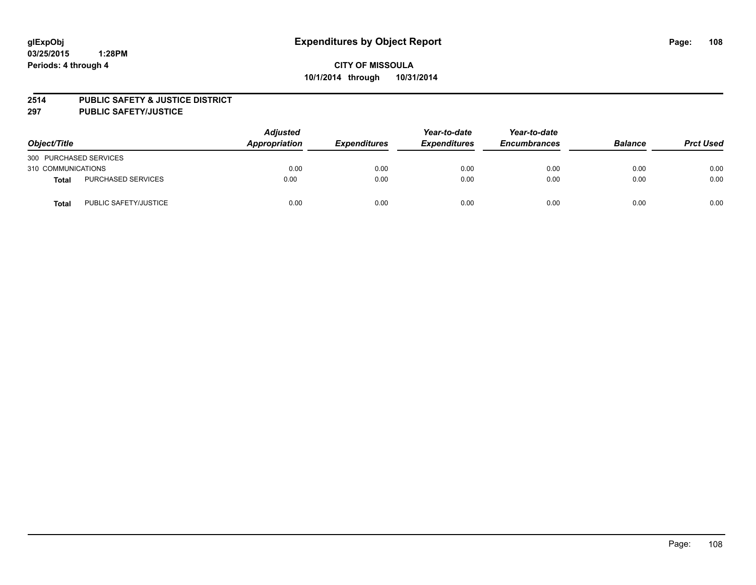#### **2514 PUBLIC SAFETY & JUSTICE DISTRICT**

**297 PUBLIC SAFETY/JUSTICE**

| Object/Title           |                       | <b>Adjusted</b><br>Appropriation | <b>Expenditures</b> | Year-to-date<br><b>Expenditures</b> | Year-to-date<br><b>Encumbrances</b> | <b>Balance</b> | <b>Prct Used</b> |
|------------------------|-----------------------|----------------------------------|---------------------|-------------------------------------|-------------------------------------|----------------|------------------|
| 300 PURCHASED SERVICES |                       |                                  |                     |                                     |                                     |                |                  |
| 310 COMMUNICATIONS     |                       | 0.00                             | 0.00                | 0.00                                | 0.00                                | 0.00           | 0.00             |
| <b>Total</b>           | PURCHASED SERVICES    | 0.00                             | 0.00                | 0.00                                | 0.00                                | 0.00           | 0.00             |
| Total                  | PUBLIC SAFETY/JUSTICE | 0.00                             | 0.00                | 0.00                                | 0.00                                | 0.00           | 0.00             |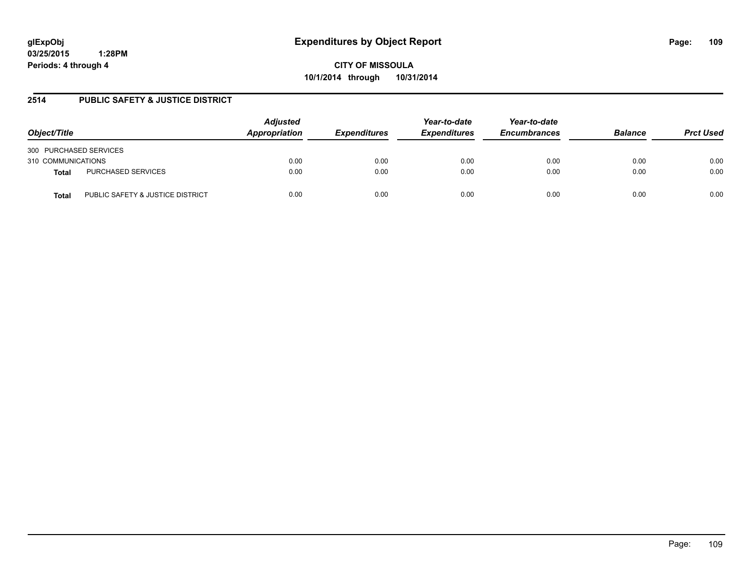**03/25/2015 1:28PM Periods: 4 through 4**

**CITY OF MISSOULA 10/1/2014 through 10/31/2014**

### **2514 PUBLIC SAFETY & JUSTICE DISTRICT**

| Object/Title                              | <b>Adjusted</b><br>Appropriation | <b>Expenditures</b> | Year-to-date<br><b>Expenditures</b> | Year-to-date<br><b>Encumbrances</b> | <b>Balance</b> | <b>Prct Used</b> |
|-------------------------------------------|----------------------------------|---------------------|-------------------------------------|-------------------------------------|----------------|------------------|
| 300 PURCHASED SERVICES                    |                                  |                     |                                     |                                     |                |                  |
| 310 COMMUNICATIONS                        | 0.00                             | 0.00                | 0.00                                | 0.00                                | 0.00           | 0.00             |
| PURCHASED SERVICES<br>Total               | 0.00                             | 0.00                | 0.00                                | 0.00                                | 0.00           | 0.00             |
| PUBLIC SAFETY & JUSTICE DISTRICT<br>Total | 0.00                             | 0.00                | 0.00                                | 0.00                                | 0.00           | 0.00             |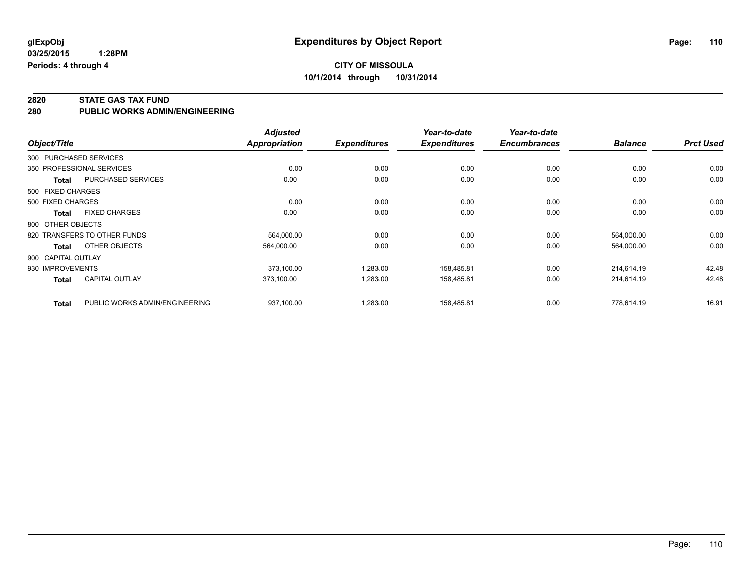**03/25/2015 1:28PM Periods: 4 through 4**

#### **2820 STATE GAS TAX FUND**

**280 PUBLIC WORKS ADMIN/ENGINEERING**

| Object/Title       |                                | <b>Adjusted</b><br><b>Appropriation</b> | <b>Expenditures</b> | Year-to-date<br><b>Expenditures</b> | Year-to-date<br><b>Encumbrances</b> | <b>Balance</b> | <b>Prct Used</b> |
|--------------------|--------------------------------|-----------------------------------------|---------------------|-------------------------------------|-------------------------------------|----------------|------------------|
|                    | 300 PURCHASED SERVICES         |                                         |                     |                                     |                                     |                |                  |
|                    | 350 PROFESSIONAL SERVICES      | 0.00                                    | 0.00                | 0.00                                | 0.00                                | 0.00           | 0.00             |
| Total              | PURCHASED SERVICES             | 0.00                                    | 0.00                | 0.00                                | 0.00                                | 0.00           | 0.00             |
| 500 FIXED CHARGES  |                                |                                         |                     |                                     |                                     |                |                  |
| 500 FIXED CHARGES  |                                | 0.00                                    | 0.00                | 0.00                                | 0.00                                | 0.00           | 0.00             |
| Total              | <b>FIXED CHARGES</b>           | 0.00                                    | 0.00                | 0.00                                | 0.00                                | 0.00           | 0.00             |
| 800 OTHER OBJECTS  |                                |                                         |                     |                                     |                                     |                |                  |
|                    | 820 TRANSFERS TO OTHER FUNDS   | 564,000.00                              | 0.00                | 0.00                                | 0.00                                | 564,000.00     | 0.00             |
| Total              | OTHER OBJECTS                  | 564,000.00                              | 0.00                | 0.00                                | 0.00                                | 564,000.00     | 0.00             |
| 900 CAPITAL OUTLAY |                                |                                         |                     |                                     |                                     |                |                  |
| 930 IMPROVEMENTS   |                                | 373.100.00                              | 1,283.00            | 158.485.81                          | 0.00                                | 214,614.19     | 42.48            |
| <b>Total</b>       | <b>CAPITAL OUTLAY</b>          | 373,100.00                              | 1,283.00            | 158,485.81                          | 0.00                                | 214,614.19     | 42.48            |
| <b>Total</b>       | PUBLIC WORKS ADMIN/ENGINEERING | 937,100.00                              | 1,283.00            | 158,485.81                          | 0.00                                | 778,614.19     | 16.91            |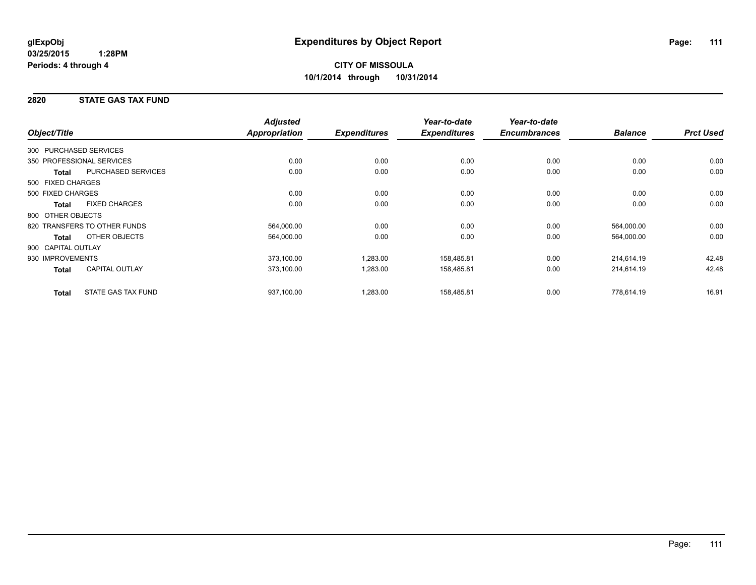### **2820 STATE GAS TAX FUND**

|                    |                              | <b>Adjusted</b>      |                     | Year-to-date        | Year-to-date        |                |                  |
|--------------------|------------------------------|----------------------|---------------------|---------------------|---------------------|----------------|------------------|
| Object/Title       |                              | <b>Appropriation</b> | <b>Expenditures</b> | <b>Expenditures</b> | <b>Encumbrances</b> | <b>Balance</b> | <b>Prct Used</b> |
|                    | 300 PURCHASED SERVICES       |                      |                     |                     |                     |                |                  |
|                    | 350 PROFESSIONAL SERVICES    | 0.00                 | 0.00                | 0.00                | 0.00                | 0.00           | 0.00             |
| <b>Total</b>       | PURCHASED SERVICES           | 0.00                 | 0.00                | 0.00                | 0.00                | 0.00           | 0.00             |
| 500 FIXED CHARGES  |                              |                      |                     |                     |                     |                |                  |
| 500 FIXED CHARGES  |                              | 0.00                 | 0.00                | 0.00                | 0.00                | 0.00           | 0.00             |
| <b>Total</b>       | <b>FIXED CHARGES</b>         | 0.00                 | 0.00                | 0.00                | 0.00                | 0.00           | 0.00             |
| 800 OTHER OBJECTS  |                              |                      |                     |                     |                     |                |                  |
|                    | 820 TRANSFERS TO OTHER FUNDS | 564,000.00           | 0.00                | 0.00                | 0.00                | 564,000.00     | 0.00             |
| Total              | OTHER OBJECTS                | 564,000.00           | 0.00                | 0.00                | 0.00                | 564,000.00     | 0.00             |
| 900 CAPITAL OUTLAY |                              |                      |                     |                     |                     |                |                  |
| 930 IMPROVEMENTS   |                              | 373,100.00           | 1,283.00            | 158,485.81          | 0.00                | 214,614.19     | 42.48            |
| Total              | <b>CAPITAL OUTLAY</b>        | 373,100.00           | 1,283.00            | 158,485.81          | 0.00                | 214,614.19     | 42.48            |
| <b>Total</b>       | STATE GAS TAX FUND           | 937,100.00           | 1,283.00            | 158,485.81          | 0.00                | 778,614.19     | 16.91            |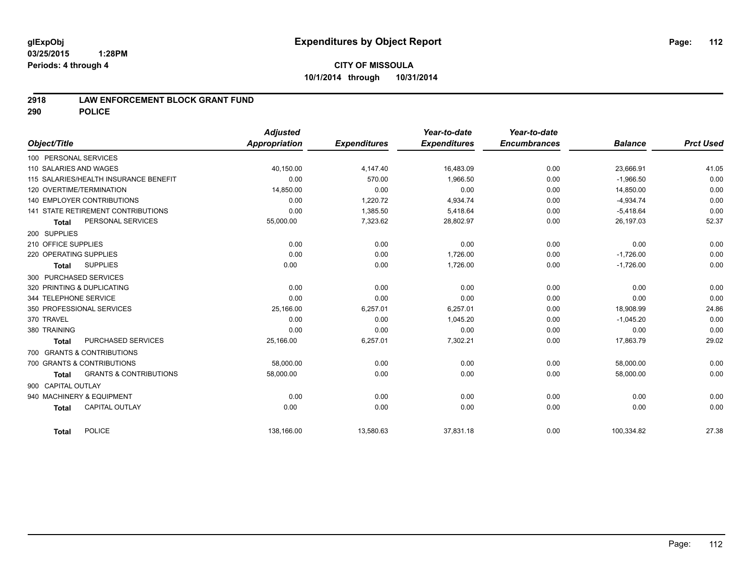### **2918 LAW ENFORCEMENT BLOCK GRANT FUND**

**290 POLICE**

|                                                   | <b>Adjusted</b> |                     | Year-to-date        | Year-to-date        |                |                  |
|---------------------------------------------------|-----------------|---------------------|---------------------|---------------------|----------------|------------------|
| Object/Title                                      | Appropriation   | <b>Expenditures</b> | <b>Expenditures</b> | <b>Encumbrances</b> | <b>Balance</b> | <b>Prct Used</b> |
| 100 PERSONAL SERVICES                             |                 |                     |                     |                     |                |                  |
| 110 SALARIES AND WAGES                            | 40.150.00       | 4.147.40            | 16,483.09           | 0.00                | 23,666.91      | 41.05            |
| 115 SALARIES/HEALTH INSURANCE BENEFIT             | 0.00            | 570.00              | 1,966.50            | 0.00                | $-1,966.50$    | 0.00             |
| 120 OVERTIME/TERMINATION                          | 14,850.00       | 0.00                | 0.00                | 0.00                | 14,850.00      | 0.00             |
| <b>140 EMPLOYER CONTRIBUTIONS</b>                 | 0.00            | 1,220.72            | 4,934.74            | 0.00                | $-4,934.74$    | 0.00             |
| 141 STATE RETIREMENT CONTRIBUTIONS                | 0.00            | 1,385.50            | 5,418.64            | 0.00                | $-5,418.64$    | 0.00             |
| PERSONAL SERVICES<br><b>Total</b>                 | 55,000.00       | 7,323.62            | 28,802.97           | 0.00                | 26,197.03      | 52.37            |
| 200 SUPPLIES                                      |                 |                     |                     |                     |                |                  |
| 210 OFFICE SUPPLIES                               | 0.00            | 0.00                | 0.00                | 0.00                | 0.00           | 0.00             |
| 220 OPERATING SUPPLIES                            | 0.00            | 0.00                | 1,726.00            | 0.00                | $-1,726.00$    | 0.00             |
| <b>SUPPLIES</b><br><b>Total</b>                   | 0.00            | 0.00                | 1,726.00            | 0.00                | $-1,726.00$    | 0.00             |
| 300 PURCHASED SERVICES                            |                 |                     |                     |                     |                |                  |
| 320 PRINTING & DUPLICATING                        | 0.00            | 0.00                | 0.00                | 0.00                | 0.00           | 0.00             |
| 344 TELEPHONE SERVICE                             | 0.00            | 0.00                | 0.00                | 0.00                | 0.00           | 0.00             |
| 350 PROFESSIONAL SERVICES                         | 25,166.00       | 6,257.01            | 6,257.01            | 0.00                | 18,908.99      | 24.86            |
| 370 TRAVEL                                        | 0.00            | 0.00                | 1,045.20            | 0.00                | $-1,045.20$    | 0.00             |
| 380 TRAINING                                      | 0.00            | 0.00                | 0.00                | 0.00                | 0.00           | 0.00             |
| <b>PURCHASED SERVICES</b><br><b>Total</b>         | 25,166.00       | 6,257.01            | 7,302.21            | 0.00                | 17,863.79      | 29.02            |
| 700 GRANTS & CONTRIBUTIONS                        |                 |                     |                     |                     |                |                  |
| 700 GRANTS & CONTRIBUTIONS                        | 58,000.00       | 0.00                | 0.00                | 0.00                | 58,000.00      | 0.00             |
| <b>GRANTS &amp; CONTRIBUTIONS</b><br><b>Total</b> | 58,000.00       | 0.00                | 0.00                | 0.00                | 58,000.00      | 0.00             |
| 900 CAPITAL OUTLAY                                |                 |                     |                     |                     |                |                  |
| 940 MACHINERY & EQUIPMENT                         | 0.00            | 0.00                | 0.00                | 0.00                | 0.00           | 0.00             |
| <b>CAPITAL OUTLAY</b><br><b>Total</b>             | 0.00            | 0.00                | 0.00                | 0.00                | 0.00           | 0.00             |
| <b>POLICE</b><br><b>Total</b>                     | 138,166.00      | 13,580.63           | 37,831.18           | 0.00                | 100,334.82     | 27.38            |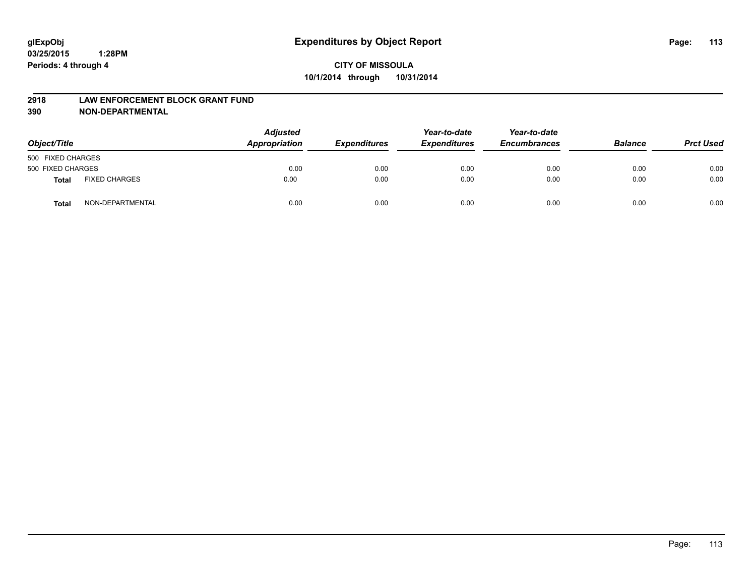#### **2918 LAW ENFORCEMENT BLOCK GRANT FUND**

**390 NON-DEPARTMENTAL**

| Object/Title      |                      | <b>Adjusted</b><br>Appropriation | <b>Expenditures</b> | Year-to-date<br><b>Expenditures</b> | Year-to-date<br><b>Encumbrances</b> | <b>Balance</b> | <b>Prct Used</b> |
|-------------------|----------------------|----------------------------------|---------------------|-------------------------------------|-------------------------------------|----------------|------------------|
| 500 FIXED CHARGES |                      |                                  |                     |                                     |                                     |                |                  |
| 500 FIXED CHARGES |                      | 0.00                             | 0.00                | 0.00                                | 0.00                                | 0.00           | 0.00             |
| <b>Total</b>      | <b>FIXED CHARGES</b> | 0.00                             | 0.00                | 0.00                                | 0.00                                | 0.00           | 0.00             |
| Total             | NON-DEPARTMENTAL     | 0.00                             | 0.00                | 0.00                                | 0.00                                | 0.00           | 0.00             |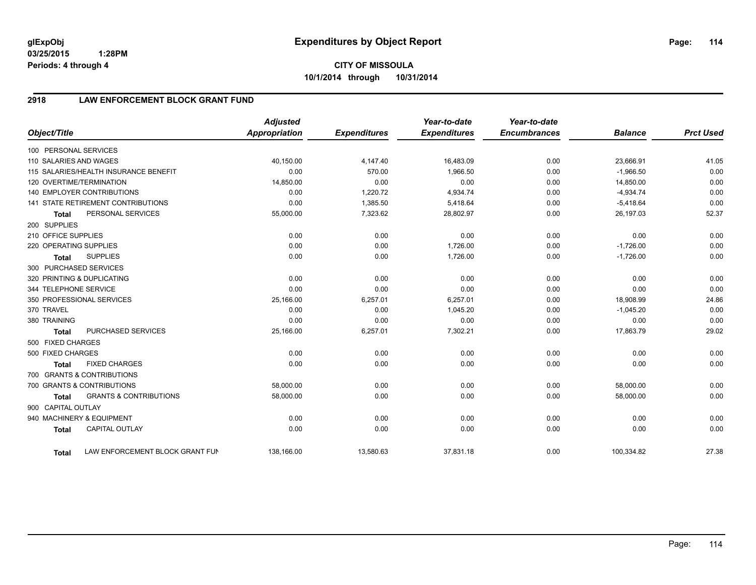**03/25/2015 1:28PM Periods: 4 through 4**

## **2918 LAW ENFORCEMENT BLOCK GRANT FUND**

| Object/Title           |                                           | <b>Adjusted</b><br>Appropriation | <b>Expenditures</b> | Year-to-date<br><b>Expenditures</b> | Year-to-date<br><b>Encumbrances</b> | <b>Balance</b> | <b>Prct Used</b> |
|------------------------|-------------------------------------------|----------------------------------|---------------------|-------------------------------------|-------------------------------------|----------------|------------------|
| 100 PERSONAL SERVICES  |                                           |                                  |                     |                                     |                                     |                |                  |
| 110 SALARIES AND WAGES |                                           | 40,150.00                        | 4,147.40            | 16,483.09                           | 0.00                                | 23,666.91      | 41.05            |
|                        | 115 SALARIES/HEALTH INSURANCE BENEFIT     | 0.00                             | 570.00              | 1,966.50                            | 0.00                                | $-1,966.50$    | 0.00             |
|                        | 120 OVERTIME/TERMINATION                  | 14,850.00                        | 0.00                | 0.00                                | 0.00                                | 14,850.00      | 0.00             |
|                        | <b>140 EMPLOYER CONTRIBUTIONS</b>         | 0.00                             | 1,220.72            | 4,934.74                            | 0.00                                | $-4,934.74$    | 0.00             |
|                        | <b>141 STATE RETIREMENT CONTRIBUTIONS</b> | 0.00                             | 1,385.50            | 5,418.64                            | 0.00                                | $-5,418.64$    | 0.00             |
| <b>Total</b>           | PERSONAL SERVICES                         | 55,000.00                        | 7,323.62            | 28,802.97                           | 0.00                                | 26,197.03      | 52.37            |
| 200 SUPPLIES           |                                           |                                  |                     |                                     |                                     |                |                  |
| 210 OFFICE SUPPLIES    |                                           | 0.00                             | 0.00                | 0.00                                | 0.00                                | 0.00           | 0.00             |
| 220 OPERATING SUPPLIES |                                           | 0.00                             | 0.00                | 1,726.00                            | 0.00                                | $-1,726.00$    | 0.00             |
| <b>Total</b>           | <b>SUPPLIES</b>                           | 0.00                             | 0.00                | 1,726.00                            | 0.00                                | $-1,726.00$    | 0.00             |
| 300 PURCHASED SERVICES |                                           |                                  |                     |                                     |                                     |                |                  |
|                        | 320 PRINTING & DUPLICATING                | 0.00                             | 0.00                | 0.00                                | 0.00                                | 0.00           | 0.00             |
| 344 TELEPHONE SERVICE  |                                           | 0.00                             | 0.00                | 0.00                                | 0.00                                | 0.00           | 0.00             |
|                        | 350 PROFESSIONAL SERVICES                 | 25,166.00                        | 6,257.01            | 6,257.01                            | 0.00                                | 18,908.99      | 24.86            |
| 370 TRAVEL             |                                           | 0.00                             | 0.00                | 1,045.20                            | 0.00                                | $-1,045.20$    | 0.00             |
| 380 TRAINING           |                                           | 0.00                             | 0.00                | 0.00                                | 0.00                                | 0.00           | 0.00             |
| <b>Total</b>           | PURCHASED SERVICES                        | 25,166.00                        | 6,257.01            | 7,302.21                            | 0.00                                | 17,863.79      | 29.02            |
| 500 FIXED CHARGES      |                                           |                                  |                     |                                     |                                     |                |                  |
| 500 FIXED CHARGES      |                                           | 0.00                             | 0.00                | 0.00                                | 0.00                                | 0.00           | 0.00             |
| <b>Total</b>           | <b>FIXED CHARGES</b>                      | 0.00                             | 0.00                | 0.00                                | 0.00                                | 0.00           | 0.00             |
|                        | 700 GRANTS & CONTRIBUTIONS                |                                  |                     |                                     |                                     |                |                  |
|                        | 700 GRANTS & CONTRIBUTIONS                | 58,000.00                        | 0.00                | 0.00                                | 0.00                                | 58,000.00      | 0.00             |
| <b>Total</b>           | <b>GRANTS &amp; CONTRIBUTIONS</b>         | 58,000.00                        | 0.00                | 0.00                                | 0.00                                | 58,000.00      | 0.00             |
| 900 CAPITAL OUTLAY     |                                           |                                  |                     |                                     |                                     |                |                  |
|                        | 940 MACHINERY & EQUIPMENT                 | 0.00                             | 0.00                | 0.00                                | 0.00                                | 0.00           | 0.00             |
| <b>Total</b>           | <b>CAPITAL OUTLAY</b>                     | 0.00                             | 0.00                | 0.00                                | 0.00                                | 0.00           | 0.00             |
| Total                  | LAW ENFORCEMENT BLOCK GRANT FUN           | 138,166.00                       | 13,580.63           | 37,831.18                           | 0.00                                | 100,334.82     | 27.38            |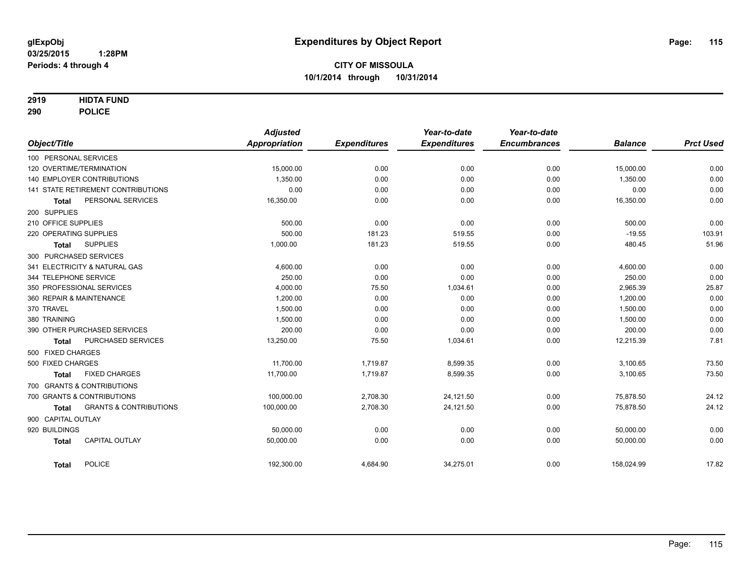### **2919 HIDTA FUND**

**290 POLICE**

| Object/Title        |                                    | <b>Adjusted</b><br><b>Appropriation</b> | <b>Expenditures</b> | Year-to-date<br><b>Expenditures</b> | Year-to-date<br><b>Encumbrances</b> | <b>Balance</b> | <b>Prct Used</b> |
|---------------------|------------------------------------|-----------------------------------------|---------------------|-------------------------------------|-------------------------------------|----------------|------------------|
|                     |                                    |                                         |                     |                                     |                                     |                |                  |
|                     | 100 PERSONAL SERVICES              |                                         |                     |                                     |                                     |                |                  |
|                     | 120 OVERTIME/TERMINATION           | 15,000.00                               | 0.00                | 0.00                                | 0.00                                | 15,000.00      | 0.00             |
|                     | 140 EMPLOYER CONTRIBUTIONS         | 1.350.00                                | 0.00                | 0.00                                | 0.00                                | 1,350.00       | 0.00             |
|                     | 141 STATE RETIREMENT CONTRIBUTIONS | 0.00                                    | 0.00                | 0.00                                | 0.00                                | 0.00           | 0.00             |
| <b>Total</b>        | PERSONAL SERVICES                  | 16,350.00                               | 0.00                | 0.00                                | 0.00                                | 16,350.00      | 0.00             |
| 200 SUPPLIES        |                                    |                                         |                     |                                     |                                     |                |                  |
| 210 OFFICE SUPPLIES |                                    | 500.00                                  | 0.00                | 0.00                                | 0.00                                | 500.00         | 0.00             |
|                     | 220 OPERATING SUPPLIES             | 500.00                                  | 181.23              | 519.55                              | 0.00                                | $-19.55$       | 103.91           |
| <b>Total</b>        | <b>SUPPLIES</b>                    | 1,000.00                                | 181.23              | 519.55                              | 0.00                                | 480.45         | 51.96            |
|                     | 300 PURCHASED SERVICES             |                                         |                     |                                     |                                     |                |                  |
|                     | 341 ELECTRICITY & NATURAL GAS      | 4,600.00                                | 0.00                | 0.00                                | 0.00                                | 4,600.00       | 0.00             |
|                     | 344 TELEPHONE SERVICE              | 250.00                                  | 0.00                | 0.00                                | 0.00                                | 250.00         | 0.00             |
|                     | 350 PROFESSIONAL SERVICES          | 4,000.00                                | 75.50               | 1,034.61                            | 0.00                                | 2,965.39       | 25.87            |
|                     | 360 REPAIR & MAINTENANCE           | 1,200.00                                | 0.00                | 0.00                                | 0.00                                | 1,200.00       | 0.00             |
| 370 TRAVEL          |                                    | 1.500.00                                | 0.00                | 0.00                                | 0.00                                | 1,500.00       | 0.00             |
| 380 TRAINING        |                                    | 1,500.00                                | 0.00                | 0.00                                | 0.00                                | 1,500.00       | 0.00             |
|                     | 390 OTHER PURCHASED SERVICES       | 200.00                                  | 0.00                | 0.00                                | 0.00                                | 200.00         | 0.00             |
| <b>Total</b>        | PURCHASED SERVICES                 | 13,250.00                               | 75.50               | 1,034.61                            | 0.00                                | 12,215.39      | 7.81             |
| 500 FIXED CHARGES   |                                    |                                         |                     |                                     |                                     |                |                  |
| 500 FIXED CHARGES   |                                    | 11,700.00                               | 1,719.87            | 8,599.35                            | 0.00                                | 3,100.65       | 73.50            |
| <b>Total</b>        | <b>FIXED CHARGES</b>               | 11,700.00                               | 1,719.87            | 8,599.35                            | 0.00                                | 3,100.65       | 73.50            |
|                     | 700 GRANTS & CONTRIBUTIONS         |                                         |                     |                                     |                                     |                |                  |
|                     | 700 GRANTS & CONTRIBUTIONS         | 100.000.00                              | 2,708.30            | 24,121.50                           | 0.00                                | 75.878.50      | 24.12            |
| <b>Total</b>        | <b>GRANTS &amp; CONTRIBUTIONS</b>  | 100,000.00                              | 2,708.30            | 24,121.50                           | 0.00                                | 75,878.50      | 24.12            |
| 900 CAPITAL OUTLAY  |                                    |                                         |                     |                                     |                                     |                |                  |
| 920 BUILDINGS       |                                    | 50,000.00                               | 0.00                | 0.00                                | 0.00                                | 50,000.00      | 0.00             |
|                     | <b>CAPITAL OUTLAY</b>              | 50,000.00                               | 0.00                | 0.00                                | 0.00                                | 50,000.00      | 0.00             |
| <b>Total</b>        |                                    |                                         |                     |                                     |                                     |                |                  |
| <b>Total</b>        | <b>POLICE</b>                      | 192,300.00                              | 4,684.90            | 34,275.01                           | 0.00                                | 158,024.99     | 17.82            |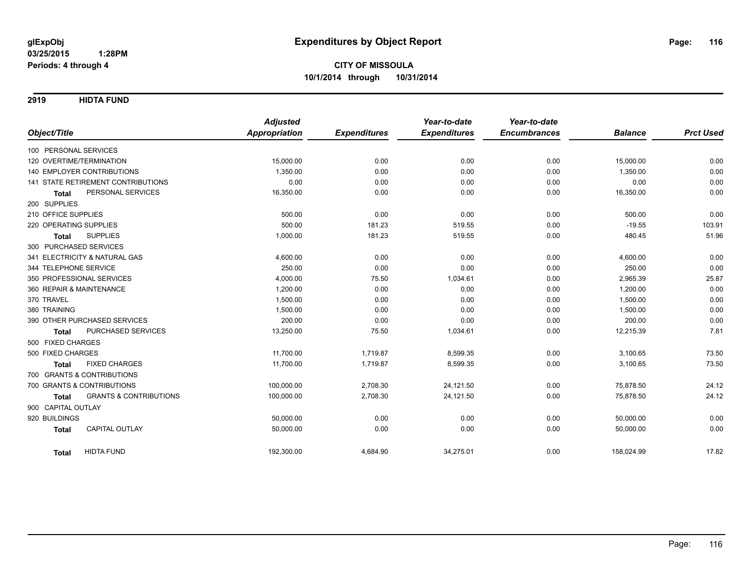**2919 HIDTA FUND**

| Object/Title                                            | <b>Adjusted</b><br>Appropriation | <b>Expenditures</b> | Year-to-date<br><b>Expenditures</b> | Year-to-date<br><b>Encumbrances</b> | <b>Balance</b> | <b>Prct Used</b> |
|---------------------------------------------------------|----------------------------------|---------------------|-------------------------------------|-------------------------------------|----------------|------------------|
| 100 PERSONAL SERVICES                                   |                                  |                     |                                     |                                     |                |                  |
| 120 OVERTIME/TERMINATION                                | 15,000.00                        | 0.00                | 0.00                                | 0.00                                | 15,000.00      | 0.00             |
| <b>140 EMPLOYER CONTRIBUTIONS</b>                       | 1,350.00                         | 0.00                | 0.00                                | 0.00                                | 1,350.00       | 0.00             |
| <b>141 STATE RETIREMENT CONTRIBUTIONS</b>               | 0.00                             | 0.00                | 0.00                                | 0.00                                | 0.00           | 0.00             |
| PERSONAL SERVICES<br><b>Total</b>                       | 16,350.00                        | 0.00                | 0.00                                | 0.00                                | 16,350.00      | 0.00             |
| 200 SUPPLIES                                            |                                  |                     |                                     |                                     |                |                  |
| 210 OFFICE SUPPLIES                                     | 500.00                           | 0.00                | 0.00                                | 0.00                                | 500.00         | 0.00             |
| 220 OPERATING SUPPLIES                                  | 500.00                           | 181.23              | 519.55                              | 0.00                                | $-19.55$       | 103.91           |
| <b>SUPPLIES</b>                                         | 1,000.00                         | 181.23              | 519.55                              | 0.00                                | 480.45         | 51.96            |
| <b>Total</b>                                            |                                  |                     |                                     |                                     |                |                  |
| 300 PURCHASED SERVICES<br>341 ELECTRICITY & NATURAL GAS | 4,600.00                         | 0.00                | 0.00                                | 0.00                                | 4,600.00       | 0.00             |
| 344 TELEPHONE SERVICE                                   | 250.00                           | 0.00                | 0.00                                | 0.00                                | 250.00         | 0.00             |
| 350 PROFESSIONAL SERVICES                               | 4,000.00                         | 75.50               |                                     | 0.00                                | 2,965.39       |                  |
| 360 REPAIR & MAINTENANCE                                |                                  |                     | 1,034.61                            |                                     |                | 25.87<br>0.00    |
|                                                         | 1,200.00                         | 0.00                | 0.00                                | 0.00                                | 1,200.00       |                  |
| 370 TRAVEL                                              | 1,500.00                         | 0.00                | 0.00                                | 0.00                                | 1,500.00       | 0.00             |
| 380 TRAINING                                            | 1,500.00                         | 0.00                | 0.00                                | 0.00                                | 1,500.00       | 0.00             |
| 390 OTHER PURCHASED SERVICES                            | 200.00                           | 0.00                | 0.00                                | 0.00                                | 200.00         | 0.00             |
| PURCHASED SERVICES<br><b>Total</b>                      | 13,250.00                        | 75.50               | 1,034.61                            | 0.00                                | 12,215.39      | 7.81             |
| 500 FIXED CHARGES                                       |                                  |                     |                                     |                                     |                |                  |
| 500 FIXED CHARGES                                       | 11,700.00                        | 1,719.87            | 8,599.35                            | 0.00                                | 3,100.65       | 73.50            |
| <b>FIXED CHARGES</b><br><b>Total</b>                    | 11,700.00                        | 1,719.87            | 8,599.35                            | 0.00                                | 3,100.65       | 73.50            |
| 700 GRANTS & CONTRIBUTIONS                              |                                  |                     |                                     |                                     |                |                  |
| 700 GRANTS & CONTRIBUTIONS                              | 100,000.00                       | 2,708.30            | 24,121.50                           | 0.00                                | 75,878.50      | 24.12            |
| <b>GRANTS &amp; CONTRIBUTIONS</b><br><b>Total</b>       | 100,000.00                       | 2,708.30            | 24,121.50                           | 0.00                                | 75,878.50      | 24.12            |
| 900 CAPITAL OUTLAY                                      |                                  |                     |                                     |                                     |                |                  |
| 920 BUILDINGS                                           | 50,000.00                        | 0.00                | 0.00                                | 0.00                                | 50,000.00      | 0.00             |
| <b>CAPITAL OUTLAY</b><br><b>Total</b>                   | 50,000.00                        | 0.00                | 0.00                                | 0.00                                | 50,000.00      | 0.00             |
| <b>HIDTA FUND</b><br><b>Total</b>                       | 192,300.00                       | 4,684.90            | 34,275.01                           | 0.00                                | 158.024.99     | 17.82            |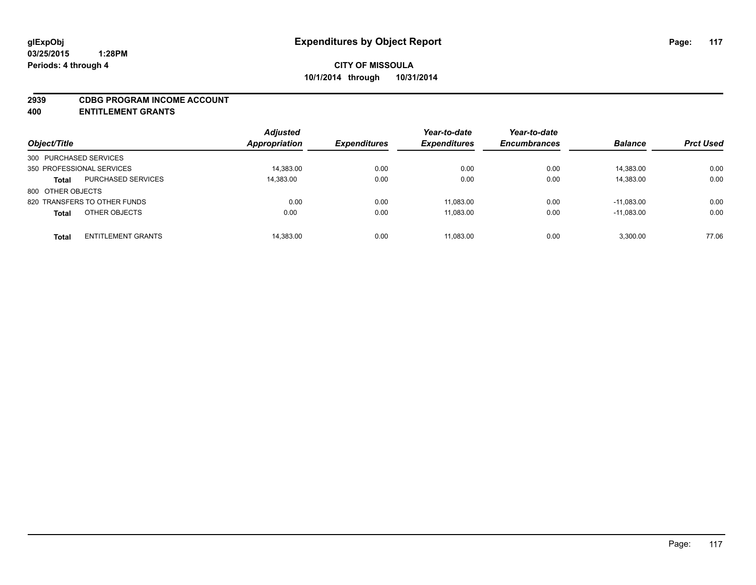#### **2939 CDBG PROGRAM INCOME ACCOUNT**

**400 ENTITLEMENT GRANTS**

| Object/Title                              | <b>Adjusted</b><br><b>Appropriation</b> | <b>Expenditures</b> | Year-to-date<br><b>Expenditures</b> | Year-to-date<br><b>Encumbrances</b> | <b>Balance</b> | <b>Prct Used</b> |
|-------------------------------------------|-----------------------------------------|---------------------|-------------------------------------|-------------------------------------|----------------|------------------|
| 300 PURCHASED SERVICES                    |                                         |                     |                                     |                                     |                |                  |
| 350 PROFESSIONAL SERVICES                 | 14.383.00                               | 0.00                | 0.00                                | 0.00                                | 14.383.00      | 0.00             |
| <b>PURCHASED SERVICES</b><br><b>Total</b> | 14,383.00                               | 0.00                | 0.00                                | 0.00                                | 14,383.00      | 0.00             |
| 800 OTHER OBJECTS                         |                                         |                     |                                     |                                     |                |                  |
| 820 TRANSFERS TO OTHER FUNDS              | 0.00                                    | 0.00                | 11.083.00                           | 0.00                                | $-11.083.00$   | 0.00             |
| OTHER OBJECTS<br><b>Total</b>             | 0.00                                    | 0.00                | 11,083.00                           | 0.00                                | $-11.083.00$   | 0.00             |
| <b>ENTITLEMENT GRANTS</b><br><b>Total</b> | 14,383.00                               | 0.00                | 11.083.00                           | 0.00                                | 3.300.00       | 77.06            |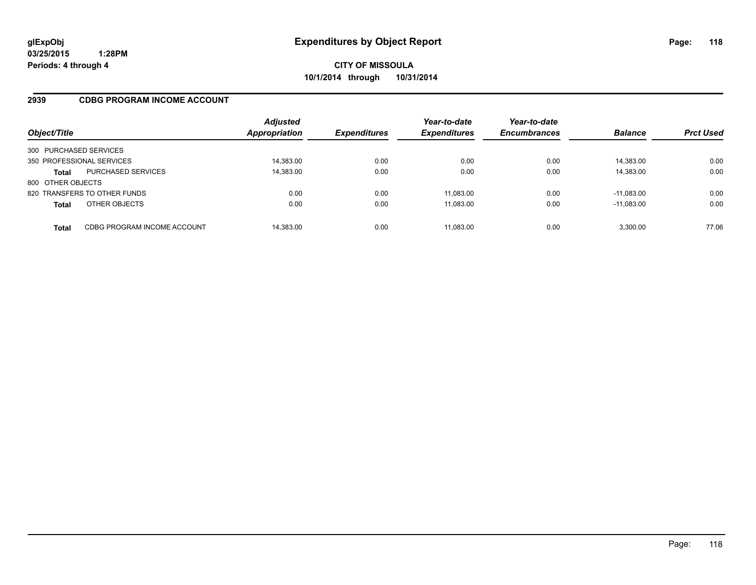### **2939 CDBG PROGRAM INCOME ACCOUNT**

| Object/Title              |                              | <b>Adjusted</b><br>Appropriation | <b>Expenditures</b> | Year-to-date<br><b>Expenditures</b> | Year-to-date<br><b>Encumbrances</b> | <b>Balance</b> | <b>Prct Used</b> |
|---------------------------|------------------------------|----------------------------------|---------------------|-------------------------------------|-------------------------------------|----------------|------------------|
| 300 PURCHASED SERVICES    |                              |                                  |                     |                                     |                                     |                |                  |
| 350 PROFESSIONAL SERVICES |                              | 14,383.00                        | 0.00                | 0.00                                | 0.00                                | 14,383.00      | 0.00             |
| <b>Total</b>              | <b>PURCHASED SERVICES</b>    | 14,383.00                        | 0.00                | 0.00                                | 0.00                                | 14,383.00      | 0.00             |
| 800 OTHER OBJECTS         |                              |                                  |                     |                                     |                                     |                |                  |
|                           | 820 TRANSFERS TO OTHER FUNDS | 0.00                             | 0.00                | 11.083.00                           | 0.00                                | $-11.083.00$   | 0.00             |
| <b>Total</b>              | OTHER OBJECTS                | 0.00                             | 0.00                | 11,083.00                           | 0.00                                | $-11,083.00$   | 0.00             |
| Total                     | CDBG PROGRAM INCOME ACCOUNT  | 14,383.00                        | 0.00                | 11,083.00                           | 0.00                                | 3,300.00       | 77.06            |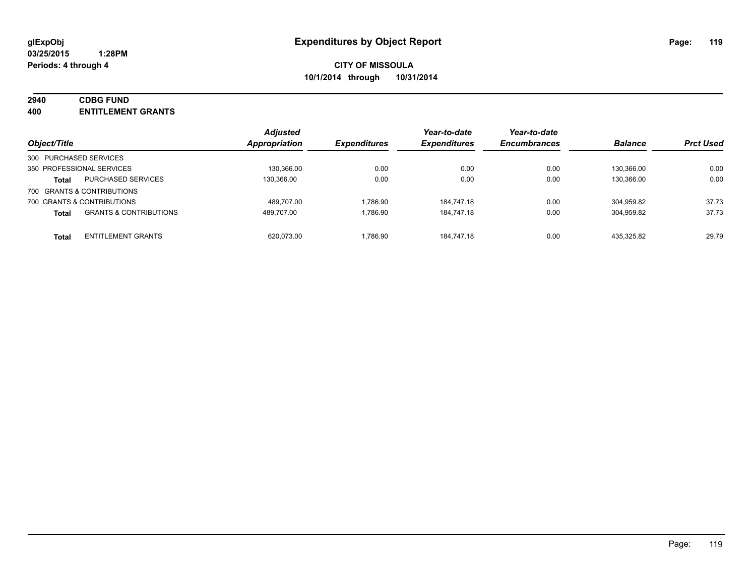# **2940 CDBG FUND**

**400 ENTITLEMENT GRANTS**

| Object/Title           |                                   | <b>Adjusted</b><br>Appropriation | <b>Expenditures</b> | Year-to-date<br><b>Expenditures</b> | Year-to-date<br><b>Encumbrances</b> | <b>Balance</b> | <b>Prct Used</b> |
|------------------------|-----------------------------------|----------------------------------|---------------------|-------------------------------------|-------------------------------------|----------------|------------------|
| 300 PURCHASED SERVICES |                                   |                                  |                     |                                     |                                     |                |                  |
|                        | 350 PROFESSIONAL SERVICES         | 130,366.00                       | 0.00                | 0.00                                | 0.00                                | 130.366.00     | 0.00             |
| <b>Total</b>           | <b>PURCHASED SERVICES</b>         | 130.366.00                       | 0.00                | 0.00                                | 0.00                                | 130.366.00     | 0.00             |
|                        | 700 GRANTS & CONTRIBUTIONS        |                                  |                     |                                     |                                     |                |                  |
|                        | 700 GRANTS & CONTRIBUTIONS        | 489.707.00                       | 1.786.90            | 184.747.18                          | 0.00                                | 304.959.82     | 37.73            |
| <b>Total</b>           | <b>GRANTS &amp; CONTRIBUTIONS</b> | 489.707.00                       | 1.786.90            | 184.747.18                          | 0.00                                | 304.959.82     | 37.73            |
| Total                  | <b>ENTITLEMENT GRANTS</b>         | 620.073.00                       | 1.786.90            | 184.747.18                          | 0.00                                | 435.325.82     | 29.79            |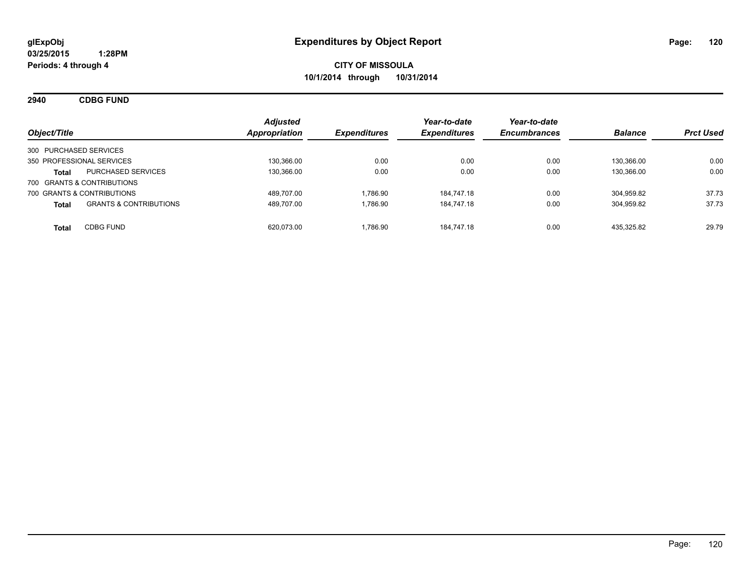**2940 CDBG FUND**

| Object/Title                                      | <b>Adjusted</b><br>Appropriation | <b>Expenditures</b> | Year-to-date<br><b>Expenditures</b> | Year-to-date<br><b>Encumbrances</b> | <b>Balance</b> | <b>Prct Used</b> |
|---------------------------------------------------|----------------------------------|---------------------|-------------------------------------|-------------------------------------|----------------|------------------|
| 300 PURCHASED SERVICES                            |                                  |                     |                                     |                                     |                |                  |
| 350 PROFESSIONAL SERVICES                         | 130.366.00                       | 0.00                | 0.00                                | 0.00                                | 130.366.00     | 0.00             |
| <b>PURCHASED SERVICES</b><br>Total                | 130.366.00                       | 0.00                | 0.00                                | 0.00                                | 130.366.00     | 0.00             |
| 700 GRANTS & CONTRIBUTIONS                        |                                  |                     |                                     |                                     |                |                  |
| 700 GRANTS & CONTRIBUTIONS                        | 489.707.00                       | 1.786.90            | 184.747.18                          | 0.00                                | 304.959.82     | 37.73            |
| <b>GRANTS &amp; CONTRIBUTIONS</b><br><b>Total</b> | 489,707.00                       | 1.786.90            | 184.747.18                          | 0.00                                | 304,959.82     | 37.73            |
| <b>CDBG FUND</b><br><b>Total</b>                  | 620.073.00                       | 1.786.90            | 184.747.18                          | 0.00                                | 435.325.82     | 29.79            |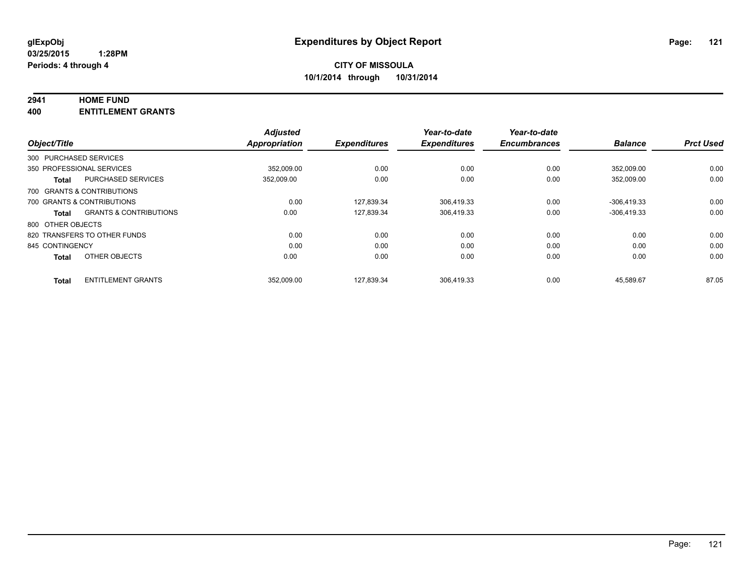## **2941 HOME FUND**

**400 ENTITLEMENT GRANTS**

|                   |                                   | <b>Adjusted</b> |                     | Year-to-date        | Year-to-date        |                |                  |
|-------------------|-----------------------------------|-----------------|---------------------|---------------------|---------------------|----------------|------------------|
| Object/Title      |                                   | Appropriation   | <b>Expenditures</b> | <b>Expenditures</b> | <b>Encumbrances</b> | <b>Balance</b> | <b>Prct Used</b> |
|                   | 300 PURCHASED SERVICES            |                 |                     |                     |                     |                |                  |
|                   | 350 PROFESSIONAL SERVICES         | 352.009.00      | 0.00                | 0.00                | 0.00                | 352.009.00     | 0.00             |
| <b>Total</b>      | <b>PURCHASED SERVICES</b>         | 352,009.00      | 0.00                | 0.00                | 0.00                | 352,009.00     | 0.00             |
|                   | 700 GRANTS & CONTRIBUTIONS        |                 |                     |                     |                     |                |                  |
|                   | 700 GRANTS & CONTRIBUTIONS        | 0.00            | 127.839.34          | 306.419.33          | 0.00                | $-306.419.33$  | 0.00             |
| <b>Total</b>      | <b>GRANTS &amp; CONTRIBUTIONS</b> | 0.00            | 127,839.34          | 306,419.33          | 0.00                | $-306,419.33$  | 0.00             |
| 800 OTHER OBJECTS |                                   |                 |                     |                     |                     |                |                  |
|                   | 820 TRANSFERS TO OTHER FUNDS      | 0.00            | 0.00                | 0.00                | 0.00                | 0.00           | 0.00             |
| 845 CONTINGENCY   |                                   | 0.00            | 0.00                | 0.00                | 0.00                | 0.00           | 0.00             |
| <b>Total</b>      | OTHER OBJECTS                     | 0.00            | 0.00                | 0.00                | 0.00                | 0.00           | 0.00             |
| <b>Total</b>      | <b>ENTITLEMENT GRANTS</b>         | 352.009.00      | 127.839.34          | 306.419.33          | 0.00                | 45.589.67      | 87.05            |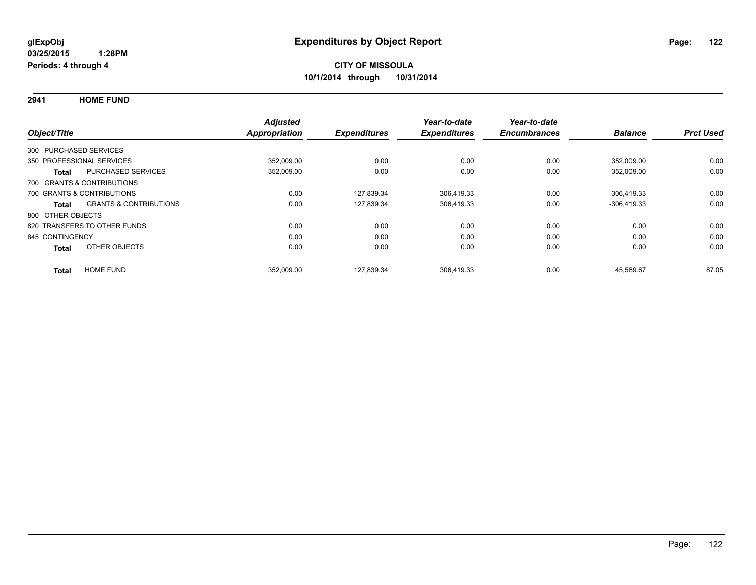**2941 HOME FUND**

| Object/Title           |                                   | <b>Adjusted</b><br><b>Appropriation</b> | <b>Expenditures</b> | Year-to-date<br><b>Expenditures</b> | Year-to-date<br><b>Encumbrances</b> | <b>Balance</b> | <b>Prct Used</b> |
|------------------------|-----------------------------------|-----------------------------------------|---------------------|-------------------------------------|-------------------------------------|----------------|------------------|
|                        |                                   |                                         |                     |                                     |                                     |                |                  |
| 300 PURCHASED SERVICES |                                   |                                         |                     |                                     |                                     |                |                  |
|                        | 350 PROFESSIONAL SERVICES         | 352.009.00                              | 0.00                | 0.00                                | 0.00                                | 352.009.00     | 0.00             |
| Total                  | <b>PURCHASED SERVICES</b>         | 352,009.00                              | 0.00                | 0.00                                | 0.00                                | 352,009.00     | 0.00             |
|                        | 700 GRANTS & CONTRIBUTIONS        |                                         |                     |                                     |                                     |                |                  |
|                        | 700 GRANTS & CONTRIBUTIONS        | 0.00                                    | 127.839.34          | 306.419.33                          | 0.00                                | $-306.419.33$  | 0.00             |
| Total                  | <b>GRANTS &amp; CONTRIBUTIONS</b> | 0.00                                    | 127,839.34          | 306.419.33                          | 0.00                                | $-306,419.33$  | 0.00             |
| 800 OTHER OBJECTS      |                                   |                                         |                     |                                     |                                     |                |                  |
|                        | 820 TRANSFERS TO OTHER FUNDS      | 0.00                                    | 0.00                | 0.00                                | 0.00                                | 0.00           | 0.00             |
| 845 CONTINGENCY        |                                   | 0.00                                    | 0.00                | 0.00                                | 0.00                                | 0.00           | 0.00             |
| <b>Total</b>           | OTHER OBJECTS                     | 0.00                                    | 0.00                | 0.00                                | 0.00                                | 0.00           | 0.00             |
| <b>Total</b>           | <b>HOME FUND</b>                  | 352,009.00                              | 127.839.34          | 306.419.33                          | 0.00                                | 45.589.67      | 87.05            |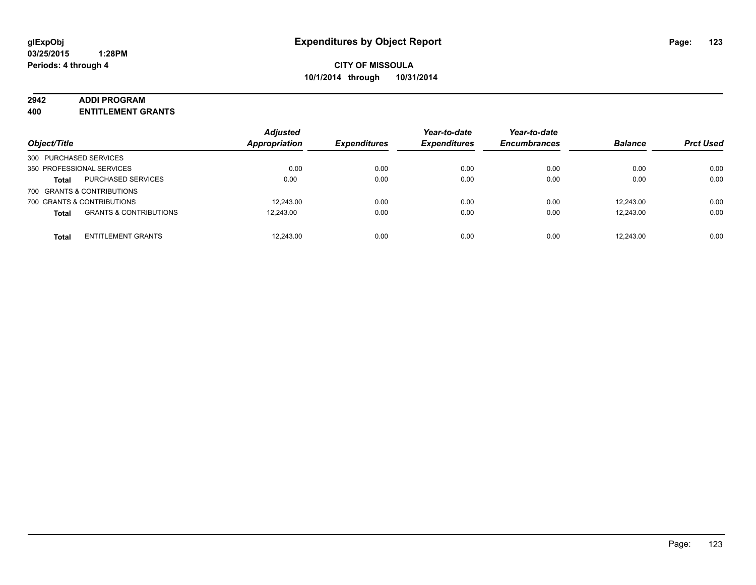#### **2942 ADDI PROGRAM**

**400 ENTITLEMENT GRANTS**

| Object/Title                                      | <b>Adjusted</b><br>Appropriation | <b>Expenditures</b> | Year-to-date<br><b>Expenditures</b> | Year-to-date<br><b>Encumbrances</b> | <b>Balance</b> | <b>Prct Used</b> |
|---------------------------------------------------|----------------------------------|---------------------|-------------------------------------|-------------------------------------|----------------|------------------|
| 300 PURCHASED SERVICES                            |                                  |                     |                                     |                                     |                |                  |
| 350 PROFESSIONAL SERVICES                         | 0.00                             | 0.00                | 0.00                                | 0.00                                | 0.00           | 0.00             |
| PURCHASED SERVICES<br><b>Total</b>                | 0.00                             | 0.00                | 0.00                                | 0.00                                | 0.00           | 0.00             |
| 700 GRANTS & CONTRIBUTIONS                        |                                  |                     |                                     |                                     |                |                  |
| 700 GRANTS & CONTRIBUTIONS                        | 12,243.00                        | 0.00                | 0.00                                | 0.00                                | 12.243.00      | 0.00             |
| <b>GRANTS &amp; CONTRIBUTIONS</b><br><b>Total</b> | 12.243.00                        | 0.00                | 0.00                                | 0.00                                | 12.243.00      | 0.00             |
| <b>ENTITLEMENT GRANTS</b><br><b>Total</b>         | 12,243.00                        | 0.00                | 0.00                                | 0.00                                | 12.243.00      | 0.00             |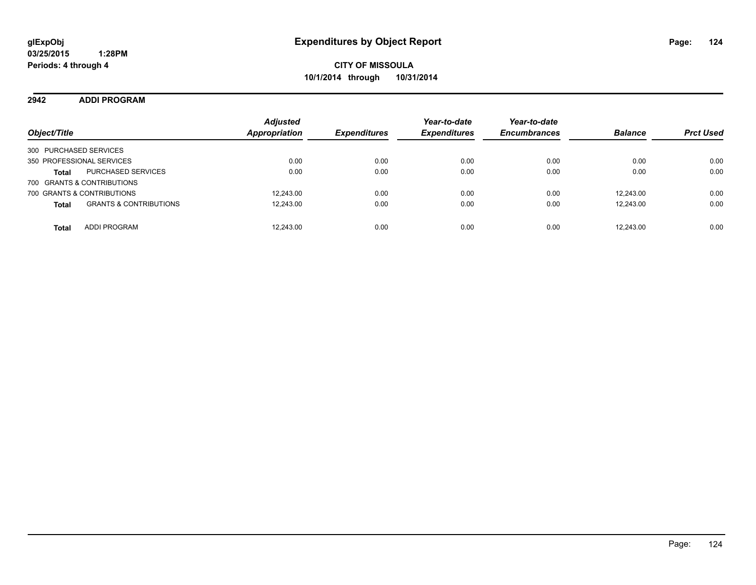### **2942 ADDI PROGRAM**

| Object/Title                                      | <b>Adjusted</b><br>Appropriation | <b>Expenditures</b> | Year-to-date<br><b>Expenditures</b> | Year-to-date<br><b>Encumbrances</b> | <b>Balance</b> | <b>Prct Used</b> |
|---------------------------------------------------|----------------------------------|---------------------|-------------------------------------|-------------------------------------|----------------|------------------|
| 300 PURCHASED SERVICES                            |                                  |                     |                                     |                                     |                |                  |
| 350 PROFESSIONAL SERVICES                         | 0.00                             | 0.00                | 0.00                                | 0.00                                | 0.00           | 0.00             |
| PURCHASED SERVICES<br><b>Total</b>                | 0.00                             | 0.00                | 0.00                                | 0.00                                | 0.00           | 0.00             |
| 700 GRANTS & CONTRIBUTIONS                        |                                  |                     |                                     |                                     |                |                  |
| 700 GRANTS & CONTRIBUTIONS                        | 12.243.00                        | 0.00                | 0.00                                | 0.00                                | 12.243.00      | 0.00             |
| <b>GRANTS &amp; CONTRIBUTIONS</b><br><b>Total</b> | 12,243.00                        | 0.00                | 0.00                                | 0.00                                | 12.243.00      | 0.00             |
| ADDI PROGRAM<br><b>Total</b>                      | 12.243.00                        | 0.00                | 0.00                                | 0.00                                | 12.243.00      | 0.00             |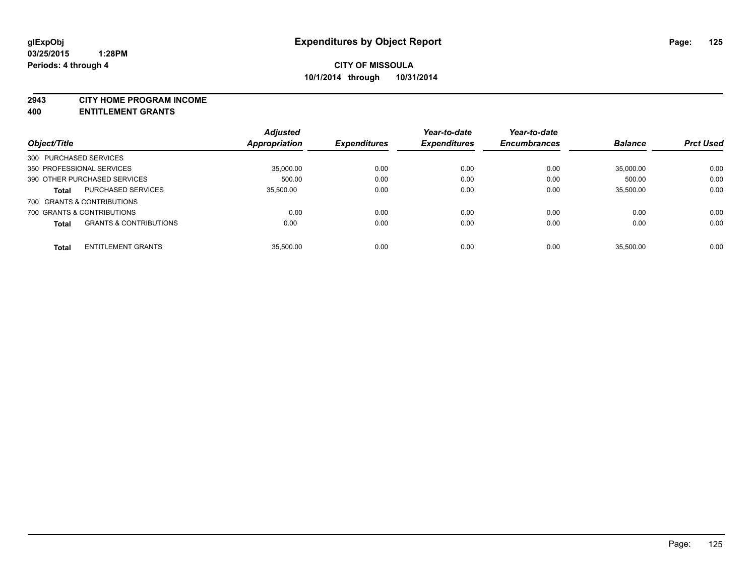#### **2943 CITY HOME PROGRAM INCOME**

**400 ENTITLEMENT GRANTS**

|                        |                                   | <b>Adjusted</b> |                     | Year-to-date        | Year-to-date        |                |                  |
|------------------------|-----------------------------------|-----------------|---------------------|---------------------|---------------------|----------------|------------------|
| Object/Title           |                                   | Appropriation   | <b>Expenditures</b> | <b>Expenditures</b> | <b>Encumbrances</b> | <b>Balance</b> | <b>Prct Used</b> |
| 300 PURCHASED SERVICES |                                   |                 |                     |                     |                     |                |                  |
|                        | 350 PROFESSIONAL SERVICES         | 35.000.00       | 0.00                | 0.00                | 0.00                | 35.000.00      | 0.00             |
|                        | 390 OTHER PURCHASED SERVICES      | 500.00          | 0.00                | 0.00                | 0.00                | 500.00         | 0.00             |
| <b>Total</b>           | <b>PURCHASED SERVICES</b>         | 35,500.00       | 0.00                | 0.00                | 0.00                | 35.500.00      | 0.00             |
|                        | 700 GRANTS & CONTRIBUTIONS        |                 |                     |                     |                     |                |                  |
|                        | 700 GRANTS & CONTRIBUTIONS        | 0.00            | 0.00                | 0.00                | 0.00                | 0.00           | 0.00             |
| <b>Total</b>           | <b>GRANTS &amp; CONTRIBUTIONS</b> | 0.00            | 0.00                | 0.00                | 0.00                | 0.00           | 0.00             |
| <b>Total</b>           | <b>ENTITLEMENT GRANTS</b>         | 35.500.00       | 0.00                | 0.00                | 0.00                | 35.500.00      | 0.00             |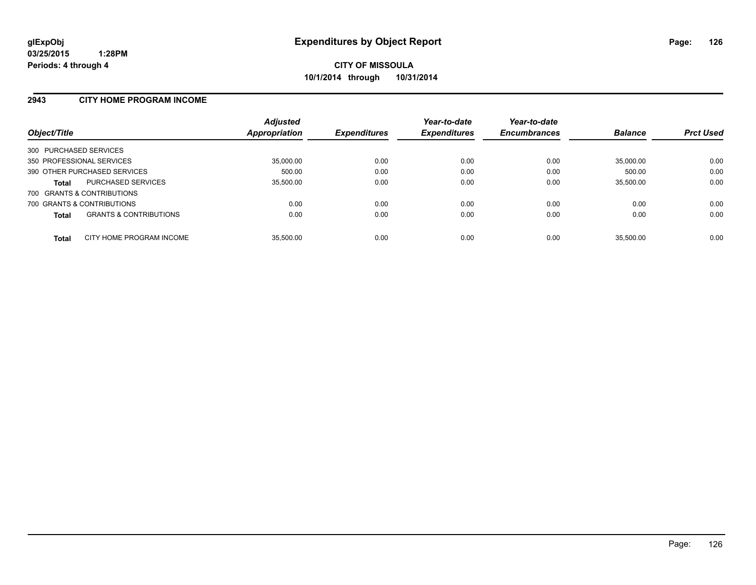#### **2943 CITY HOME PROGRAM INCOME**

| Object/Title           |                                   | <b>Adjusted</b><br>Appropriation | <b>Expenditures</b> | Year-to-date<br><b>Expenditures</b> | Year-to-date<br><b>Encumbrances</b> | <b>Balance</b> | <b>Prct Used</b> |
|------------------------|-----------------------------------|----------------------------------|---------------------|-------------------------------------|-------------------------------------|----------------|------------------|
| 300 PURCHASED SERVICES |                                   |                                  |                     |                                     |                                     |                |                  |
|                        | 350 PROFESSIONAL SERVICES         | 35,000.00                        | 0.00                | 0.00                                | 0.00                                | 35.000.00      | 0.00             |
|                        | 390 OTHER PURCHASED SERVICES      | 500.00                           | 0.00                | 0.00                                | 0.00                                | 500.00         | 0.00             |
| <b>Total</b>           | <b>PURCHASED SERVICES</b>         | 35,500.00                        | 0.00                | 0.00                                | 0.00                                | 35,500.00      | 0.00             |
|                        | 700 GRANTS & CONTRIBUTIONS        |                                  |                     |                                     |                                     |                |                  |
|                        | 700 GRANTS & CONTRIBUTIONS        | 0.00                             | 0.00                | 0.00                                | 0.00                                | 0.00           | 0.00             |
| <b>Total</b>           | <b>GRANTS &amp; CONTRIBUTIONS</b> | 0.00                             | 0.00                | 0.00                                | 0.00                                | 0.00           | 0.00             |
| <b>Total</b>           | CITY HOME PROGRAM INCOME          | 35.500.00                        | 0.00                | 0.00                                | 0.00                                | 35.500.00      | 0.00             |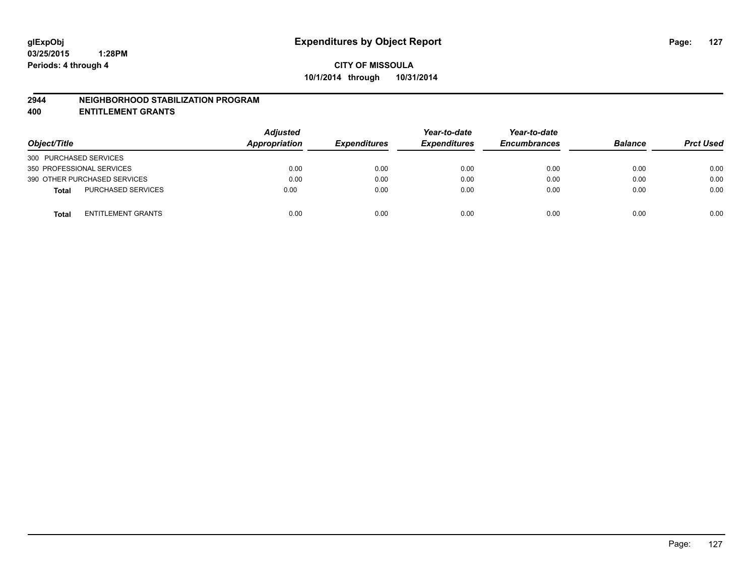#### **2944 NEIGHBORHOOD STABILIZATION PROGRAM**

**400 ENTITLEMENT GRANTS**

| Object/Title                              | <b>Adjusted</b><br>Appropriation | <b>Expenditures</b> | Year-to-date<br><b>Expenditures</b> | Year-to-date<br><b>Encumbrances</b> | <b>Balance</b> | <b>Prct Used</b> |
|-------------------------------------------|----------------------------------|---------------------|-------------------------------------|-------------------------------------|----------------|------------------|
| 300 PURCHASED SERVICES                    |                                  |                     |                                     |                                     |                |                  |
| 350 PROFESSIONAL SERVICES                 | 0.00                             | 0.00                | 0.00                                | 0.00                                | 0.00           | 0.00             |
| 390 OTHER PURCHASED SERVICES              | 0.00                             | 0.00                | 0.00                                | 0.00                                | 0.00           | 0.00             |
| <b>PURCHASED SERVICES</b><br><b>Total</b> | 0.00                             | 0.00                | 0.00                                | 0.00                                | 0.00           | 0.00             |
| ENTITLEMENT GRANTS<br><b>Total</b>        | 0.00                             | 0.00                | 0.00                                | 0.00                                | 0.00           | 0.00             |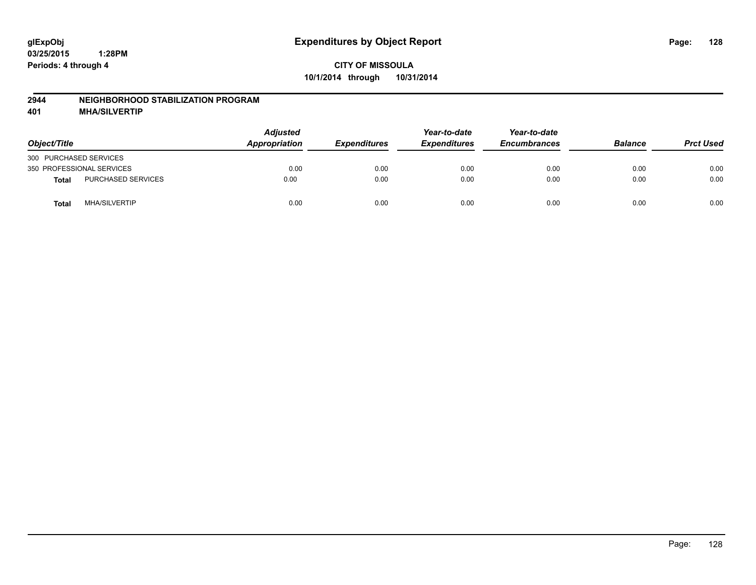#### **2944 NEIGHBORHOOD STABILIZATION PROGRAM**

**401 MHA/SILVERTIP**

| Object/Title              |                      | <b>Adjusted</b><br>Appropriation | <b>Expenditures</b> | Year-to-date<br><b>Expenditures</b> | Year-to-date<br><b>Encumbrances</b> | <b>Balance</b> | <b>Prct Used</b> |
|---------------------------|----------------------|----------------------------------|---------------------|-------------------------------------|-------------------------------------|----------------|------------------|
| 300 PURCHASED SERVICES    |                      |                                  |                     |                                     |                                     |                |                  |
| 350 PROFESSIONAL SERVICES |                      | 0.00                             | 0.00                | 0.00                                | 0.00                                | 0.00           | 0.00             |
| <b>Total</b>              | PURCHASED SERVICES   | 0.00                             | 0.00                | 0.00                                | 0.00                                | 0.00           | 0.00             |
| <b>Total</b>              | <b>MHA/SILVERTIP</b> | 0.00                             | 0.00                | 0.00                                | 0.00                                | 0.00           | 0.00             |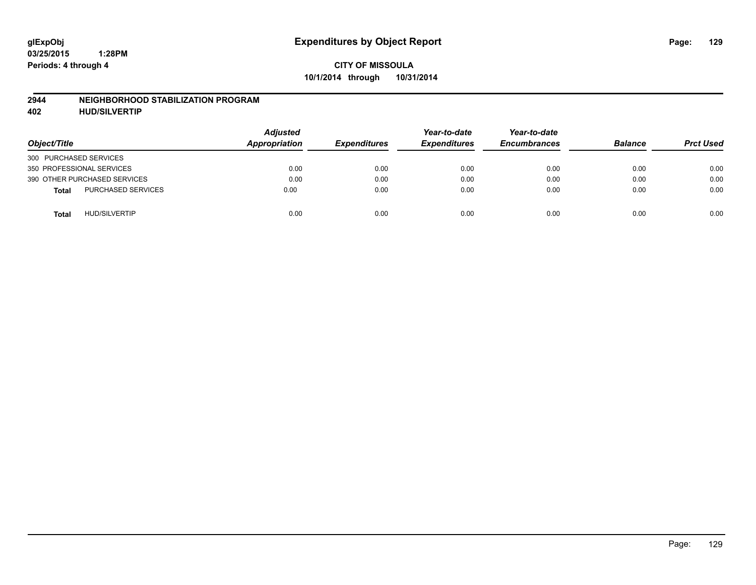#### **2944 NEIGHBORHOOD STABILIZATION PROGRAM**

**402 HUD/SILVERTIP**

| Object/Title                              | <b>Adjusted</b><br>Appropriation | <b>Expenditures</b> | Year-to-date<br><b>Expenditures</b> | Year-to-date<br><b>Encumbrances</b> | <b>Balance</b> | <b>Prct Used</b> |
|-------------------------------------------|----------------------------------|---------------------|-------------------------------------|-------------------------------------|----------------|------------------|
| 300 PURCHASED SERVICES                    |                                  |                     |                                     |                                     |                |                  |
| 350 PROFESSIONAL SERVICES                 | 0.00                             | 0.00                | 0.00                                | 0.00                                | 0.00           | 0.00             |
| 390 OTHER PURCHASED SERVICES              | 0.00                             | 0.00                | 0.00                                | 0.00                                | 0.00           | 0.00             |
| <b>PURCHASED SERVICES</b><br><b>Total</b> | 0.00                             | 0.00                | 0.00                                | 0.00                                | 0.00           | 0.00             |
| <b>HUD/SILVERTIP</b><br><b>Total</b>      | 0.00                             | 0.00                | 0.00                                | 0.00                                | 0.00           | 0.00             |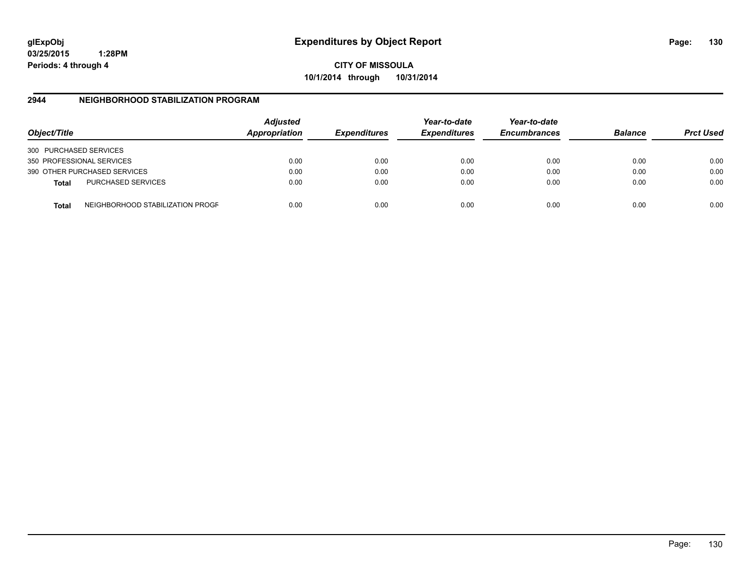**03/25/2015 1:28PM Periods: 4 through 4**

**CITY OF MISSOULA 10/1/2014 through 10/31/2014**

### **2944 NEIGHBORHOOD STABILIZATION PROGRAM**

| Object/Title           |                                  | <b>Adjusted</b><br>Appropriation | <b>Expenditures</b> | Year-to-date<br><b>Expenditures</b> | Year-to-date<br><b>Encumbrances</b> | <b>Balance</b> | <b>Prct Used</b> |
|------------------------|----------------------------------|----------------------------------|---------------------|-------------------------------------|-------------------------------------|----------------|------------------|
| 300 PURCHASED SERVICES |                                  |                                  |                     |                                     |                                     |                |                  |
|                        | 350 PROFESSIONAL SERVICES        | 0.00                             | 0.00                | 0.00                                | 0.00                                | 0.00           | 0.00             |
|                        | 390 OTHER PURCHASED SERVICES     | 0.00                             | 0.00                | 0.00                                | 0.00                                | 0.00           | 0.00             |
| <b>Total</b>           | <b>PURCHASED SERVICES</b>        | 0.00                             | 0.00                | 0.00                                | 0.00                                | 0.00           | 0.00             |
| Total                  | NEIGHBORHOOD STABILIZATION PROGF | 0.00                             | 0.00                | 0.00                                | 0.00                                | 0.00           | 0.00             |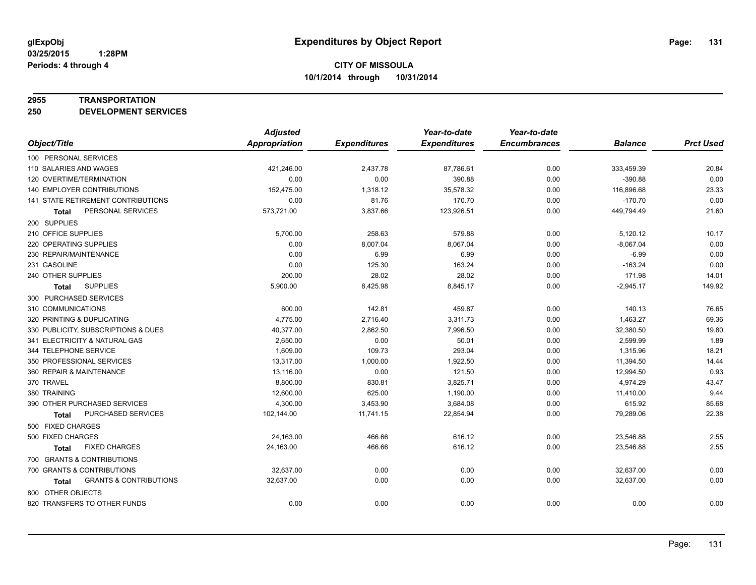#### **2955 TRANSPORTATION**

**250 DEVELOPMENT SERVICES**

|                                            | <b>Adjusted</b>      |                     | Year-to-date        | Year-to-date        |                |                  |
|--------------------------------------------|----------------------|---------------------|---------------------|---------------------|----------------|------------------|
| Object/Title                               | <b>Appropriation</b> | <b>Expenditures</b> | <b>Expenditures</b> | <b>Encumbrances</b> | <b>Balance</b> | <b>Prct Used</b> |
| 100 PERSONAL SERVICES                      |                      |                     |                     |                     |                |                  |
| 110 SALARIES AND WAGES                     | 421,246.00           | 2,437.78            | 87,786.61           | 0.00                | 333,459.39     | 20.84            |
| 120 OVERTIME/TERMINATION                   | 0.00                 | 0.00                | 390.88              | 0.00                | $-390.88$      | 0.00             |
| 140 EMPLOYER CONTRIBUTIONS                 | 152,475.00           | 1,318.12            | 35,578.32           | 0.00                | 116,896.68     | 23.33            |
| 141 STATE RETIREMENT CONTRIBUTIONS         | 0.00                 | 81.76               | 170.70              | 0.00                | $-170.70$      | 0.00             |
| PERSONAL SERVICES<br>Total                 | 573,721.00           | 3,837.66            | 123,926.51          | 0.00                | 449,794.49     | 21.60            |
| 200 SUPPLIES                               |                      |                     |                     |                     |                |                  |
| 210 OFFICE SUPPLIES                        | 5,700.00             | 258.63              | 579.88              | 0.00                | 5,120.12       | 10.17            |
| 220 OPERATING SUPPLIES                     | 0.00                 | 8,007.04            | 8,067.04            | 0.00                | $-8,067.04$    | 0.00             |
| 230 REPAIR/MAINTENANCE                     | 0.00                 | 6.99                | 6.99                | 0.00                | $-6.99$        | 0.00             |
| 231 GASOLINE                               | 0.00                 | 125.30              | 163.24              | 0.00                | $-163.24$      | 0.00             |
| 240 OTHER SUPPLIES                         | 200.00               | 28.02               | 28.02               | 0.00                | 171.98         | 14.01            |
| <b>SUPPLIES</b><br>Total                   | 5,900.00             | 8,425.98            | 8,845.17            | 0.00                | $-2,945.17$    | 149.92           |
| 300 PURCHASED SERVICES                     |                      |                     |                     |                     |                |                  |
| 310 COMMUNICATIONS                         | 600.00               | 142.81              | 459.87              | 0.00                | 140.13         | 76.65            |
| 320 PRINTING & DUPLICATING                 | 4,775.00             | 2,716.40            | 3,311.73            | 0.00                | 1,463.27       | 69.36            |
| 330 PUBLICITY, SUBSCRIPTIONS & DUES        | 40,377.00            | 2,862.50            | 7,996.50            | 0.00                | 32,380.50      | 19.80            |
| 341 ELECTRICITY & NATURAL GAS              | 2,650.00             | 0.00                | 50.01               | 0.00                | 2,599.99       | 1.89             |
| 344 TELEPHONE SERVICE                      | 1.609.00             | 109.73              | 293.04              | 0.00                | 1,315.96       | 18.21            |
| 350 PROFESSIONAL SERVICES                  | 13,317.00            | 1,000.00            | 1,922.50            | 0.00                | 11,394.50      | 14.44            |
| 360 REPAIR & MAINTENANCE                   | 13,116.00            | 0.00                | 121.50              | 0.00                | 12,994.50      | 0.93             |
| 370 TRAVEL                                 | 8,800.00             | 830.81              | 3,825.71            | 0.00                | 4,974.29       | 43.47            |
| 380 TRAINING                               | 12,600.00            | 625.00              | 1,190.00            | 0.00                | 11,410.00      | 9.44             |
| 390 OTHER PURCHASED SERVICES               | 4,300.00             | 3,453.90            | 3,684.08            | 0.00                | 615.92         | 85.68            |
| PURCHASED SERVICES<br><b>Total</b>         | 102,144.00           | 11,741.15           | 22,854.94           | 0.00                | 79,289.06      | 22.38            |
| 500 FIXED CHARGES                          |                      |                     |                     |                     |                |                  |
| 500 FIXED CHARGES                          | 24,163.00            | 466.66              | 616.12              | 0.00                | 23,546.88      | 2.55             |
| <b>FIXED CHARGES</b><br>Total              | 24,163.00            | 466.66              | 616.12              | 0.00                | 23,546.88      | 2.55             |
| 700 GRANTS & CONTRIBUTIONS                 |                      |                     |                     |                     |                |                  |
| 700 GRANTS & CONTRIBUTIONS                 | 32,637.00            | 0.00                | 0.00                | 0.00                | 32,637.00      | 0.00             |
| <b>GRANTS &amp; CONTRIBUTIONS</b><br>Total | 32,637.00            | 0.00                | 0.00                | 0.00                | 32,637.00      | 0.00             |
| 800 OTHER OBJECTS                          |                      |                     |                     |                     |                |                  |
| 820 TRANSFERS TO OTHER FUNDS               | 0.00                 | 0.00                | 0.00                | 0.00                | 0.00           | 0.00             |
|                                            |                      |                     |                     |                     |                |                  |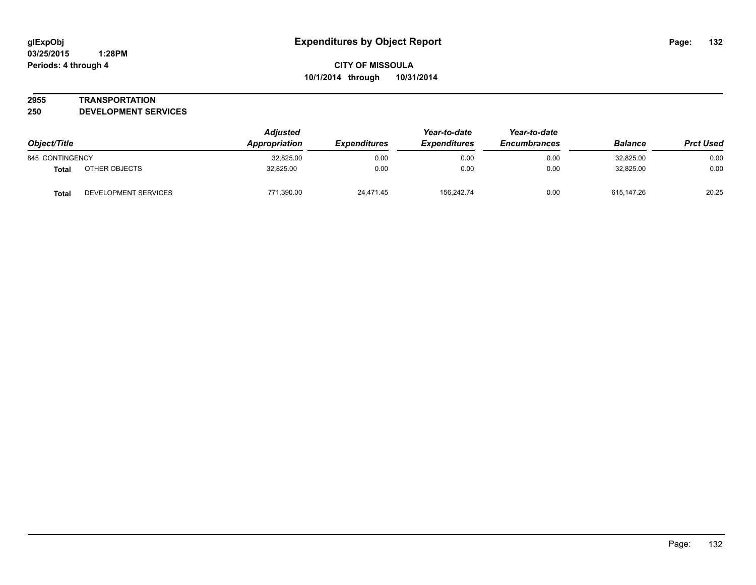#### **2955 TRANSPORTATION**

**250 DEVELOPMENT SERVICES**

| Object/Title    |                      | <b>Adjusted</b><br>Appropriation | <i><b>Expenditures</b></i> | Year-to-date<br><b>Expenditures</b> | Year-to-date<br><b>Encumbrances</b> | <b>Balance</b> | <b>Prct Used</b> |
|-----------------|----------------------|----------------------------------|----------------------------|-------------------------------------|-------------------------------------|----------------|------------------|
| 845 CONTINGENCY |                      | 32,825.00                        | 0.00                       | 0.00                                | 0.00                                | 32.825.00      | 0.00             |
| Total           | OTHER OBJECTS        | 32.825.00                        | 0.00                       | 0.00                                | 0.00                                | 32.825.00      | 0.00             |
| <b>Total</b>    | DEVELOPMENT SERVICES | 771,390.00                       | 24.471.45                  | 156.242.74                          | 0.00                                | 615.147.26     | 20.25            |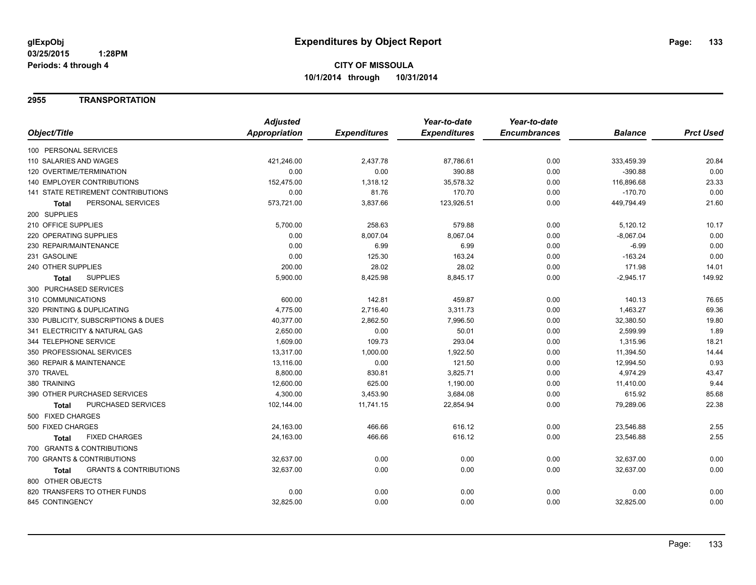### **2955 TRANSPORTATION**

|                                                   | <b>Adjusted</b> |                     | Year-to-date        | Year-to-date        |                |                  |
|---------------------------------------------------|-----------------|---------------------|---------------------|---------------------|----------------|------------------|
| Object/Title                                      | Appropriation   | <b>Expenditures</b> | <b>Expenditures</b> | <b>Encumbrances</b> | <b>Balance</b> | <b>Prct Used</b> |
| 100 PERSONAL SERVICES                             |                 |                     |                     |                     |                |                  |
| 110 SALARIES AND WAGES                            | 421,246.00      | 2,437.78            | 87,786.61           | 0.00                | 333,459.39     | 20.84            |
| 120 OVERTIME/TERMINATION                          | 0.00            | 0.00                | 390.88              | 0.00                | $-390.88$      | 0.00             |
| 140 EMPLOYER CONTRIBUTIONS                        | 152,475.00      | 1,318.12            | 35,578.32           | 0.00                | 116,896.68     | 23.33            |
| 141 STATE RETIREMENT CONTRIBUTIONS                | 0.00            | 81.76               | 170.70              | 0.00                | $-170.70$      | 0.00             |
| PERSONAL SERVICES<br><b>Total</b>                 | 573,721.00      | 3,837.66            | 123,926.51          | 0.00                | 449,794.49     | 21.60            |
| 200 SUPPLIES                                      |                 |                     |                     |                     |                |                  |
| 210 OFFICE SUPPLIES                               | 5,700.00        | 258.63              | 579.88              | 0.00                | 5,120.12       | 10.17            |
| 220 OPERATING SUPPLIES                            | 0.00            | 8,007.04            | 8,067.04            | 0.00                | $-8,067.04$    | 0.00             |
| 230 REPAIR/MAINTENANCE                            | 0.00            | 6.99                | 6.99                | 0.00                | $-6.99$        | 0.00             |
| 231 GASOLINE                                      | 0.00            | 125.30              | 163.24              | 0.00                | $-163.24$      | 0.00             |
| 240 OTHER SUPPLIES                                | 200.00          | 28.02               | 28.02               | 0.00                | 171.98         | 14.01            |
| <b>SUPPLIES</b><br><b>Total</b>                   | 5,900.00        | 8,425.98            | 8,845.17            | 0.00                | $-2,945.17$    | 149.92           |
| 300 PURCHASED SERVICES                            |                 |                     |                     |                     |                |                  |
| 310 COMMUNICATIONS                                | 600.00          | 142.81              | 459.87              | 0.00                | 140.13         | 76.65            |
| 320 PRINTING & DUPLICATING                        | 4,775.00        | 2,716.40            | 3,311.73            | 0.00                | 1,463.27       | 69.36            |
| 330 PUBLICITY, SUBSCRIPTIONS & DUES               | 40,377.00       | 2,862.50            | 7,996.50            | 0.00                | 32,380.50      | 19.80            |
| 341 ELECTRICITY & NATURAL GAS                     | 2,650.00        | 0.00                | 50.01               | 0.00                | 2,599.99       | 1.89             |
| 344 TELEPHONE SERVICE                             | 1,609.00        | 109.73              | 293.04              | 0.00                | 1,315.96       | 18.21            |
| 350 PROFESSIONAL SERVICES                         | 13,317.00       | 1,000.00            | 1,922.50            | 0.00                | 11,394.50      | 14.44            |
| 360 REPAIR & MAINTENANCE                          | 13,116.00       | 0.00                | 121.50              | 0.00                | 12,994.50      | 0.93             |
| 370 TRAVEL                                        | 8,800.00        | 830.81              | 3,825.71            | 0.00                | 4,974.29       | 43.47            |
| 380 TRAINING                                      | 12,600.00       | 625.00              | 1,190.00            | 0.00                | 11,410.00      | 9.44             |
| 390 OTHER PURCHASED SERVICES                      | 4,300.00        | 3,453.90            | 3,684.08            | 0.00                | 615.92         | 85.68            |
| PURCHASED SERVICES<br><b>Total</b>                | 102,144.00      | 11,741.15           | 22,854.94           | 0.00                | 79,289.06      | 22.38            |
| 500 FIXED CHARGES                                 |                 |                     |                     |                     |                |                  |
| 500 FIXED CHARGES                                 | 24,163.00       | 466.66              | 616.12              | 0.00                | 23,546.88      | 2.55             |
| <b>FIXED CHARGES</b><br>Total                     | 24,163.00       | 466.66              | 616.12              | 0.00                | 23,546.88      | 2.55             |
| 700 GRANTS & CONTRIBUTIONS                        |                 |                     |                     |                     |                |                  |
| 700 GRANTS & CONTRIBUTIONS                        | 32,637.00       | 0.00                | 0.00                | 0.00                | 32,637.00      | 0.00             |
| <b>GRANTS &amp; CONTRIBUTIONS</b><br><b>Total</b> | 32,637.00       | 0.00                | 0.00                | 0.00                | 32,637.00      | 0.00             |
| 800 OTHER OBJECTS                                 |                 |                     |                     |                     |                |                  |
| 820 TRANSFERS TO OTHER FUNDS                      | 0.00            | 0.00                | 0.00                | 0.00                | 0.00           | 0.00             |
| 845 CONTINGENCY                                   | 32,825.00       | 0.00                | 0.00                | 0.00                | 32,825.00      | 0.00             |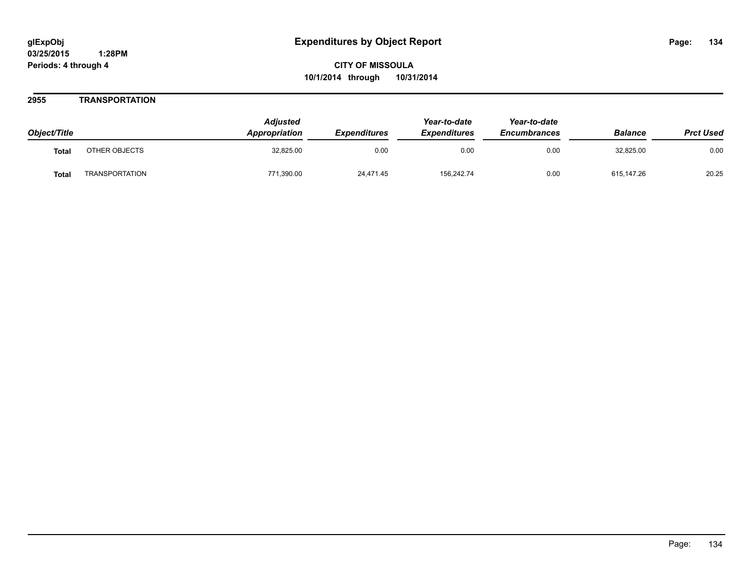### **2955 TRANSPORTATION**

| Object/Title |                       | <b>Adjusted</b><br><b>Appropriation</b> | <b>Expenditures</b> | Year-to-date<br><b>Expenditures</b> | Year-to-date<br><b>Encumbrances</b> | <b>Balance</b> | <b>Prct Used</b> |
|--------------|-----------------------|-----------------------------------------|---------------------|-------------------------------------|-------------------------------------|----------------|------------------|
| <b>Total</b> | OTHER OBJECTS         | 32,825.00                               | 0.00                | 0.00                                | 0.00                                | 32,825.00      | 0.00             |
| <b>Total</b> | <b>TRANSPORTATION</b> | 771,390.00                              | 24,471.45           | 156,242.74                          | 0.00                                | 615,147.26     | 20.25            |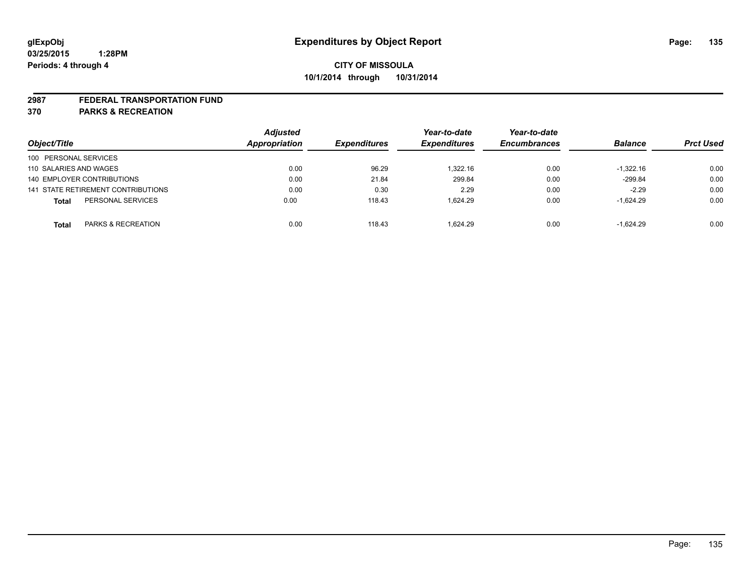#### **2987 FEDERAL TRANSPORTATION FUND**

**370 PARKS & RECREATION**

| Object/Title                       | <b>Adjusted</b><br>Appropriation | <b>Expenditures</b> | Year-to-date<br><b>Expenditures</b> | Year-to-date<br><b>Encumbrances</b> | <b>Balance</b> | <b>Prct Used</b> |
|------------------------------------|----------------------------------|---------------------|-------------------------------------|-------------------------------------|----------------|------------------|
| 100 PERSONAL SERVICES              |                                  |                     |                                     |                                     |                |                  |
| 110 SALARIES AND WAGES             | 0.00                             | 96.29               | 1.322.16                            | 0.00                                | $-1,322.16$    | 0.00             |
| 140 EMPLOYER CONTRIBUTIONS         | 0.00                             | 21.84               | 299.84                              | 0.00                                | $-299.84$      | 0.00             |
| 141 STATE RETIREMENT CONTRIBUTIONS | 0.00                             | 0.30                | 2.29                                | 0.00                                | $-2.29$        | 0.00             |
| PERSONAL SERVICES<br><b>Total</b>  | 0.00                             | 118.43              | 1.624.29                            | 0.00                                | $-1,624.29$    | 0.00             |
| PARKS & RECREATION<br><b>Total</b> | 0.00                             | 118.43              | 1.624.29                            | 0.00                                | $-1.624.29$    | 0.00             |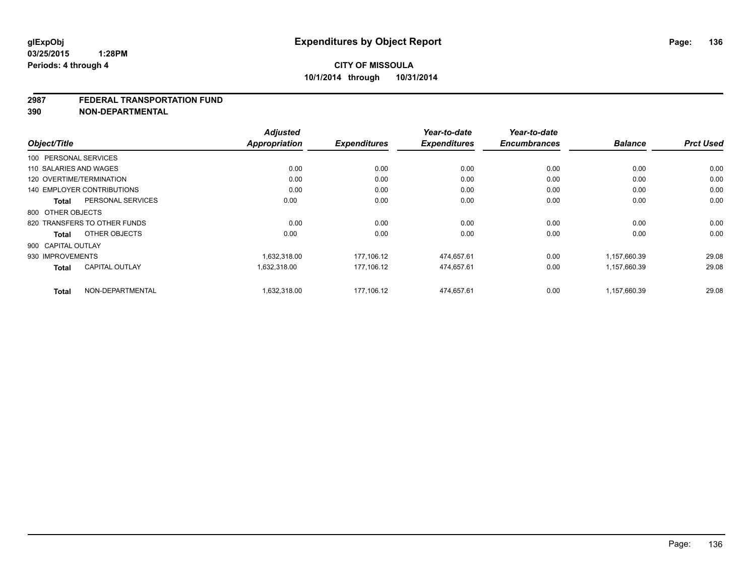#### **2987 FEDERAL TRANSPORTATION FUND**

**390 NON-DEPARTMENTAL**

|                                       | <b>Adjusted</b>      |                     | Year-to-date        | Year-to-date        |                |                  |
|---------------------------------------|----------------------|---------------------|---------------------|---------------------|----------------|------------------|
| Object/Title                          | <b>Appropriation</b> | <b>Expenditures</b> | <b>Expenditures</b> | <b>Encumbrances</b> | <b>Balance</b> | <b>Prct Used</b> |
| 100 PERSONAL SERVICES                 |                      |                     |                     |                     |                |                  |
| 110 SALARIES AND WAGES                | 0.00                 | 0.00                | 0.00                | 0.00                | 0.00           | 0.00             |
| 120 OVERTIME/TERMINATION              | 0.00                 | 0.00                | 0.00                | 0.00                | 0.00           | 0.00             |
| <b>140 EMPLOYER CONTRIBUTIONS</b>     | 0.00                 | 0.00                | 0.00                | 0.00                | 0.00           | 0.00             |
| PERSONAL SERVICES<br><b>Total</b>     | 0.00                 | 0.00                | 0.00                | 0.00                | 0.00           | 0.00             |
| 800 OTHER OBJECTS                     |                      |                     |                     |                     |                |                  |
| 820 TRANSFERS TO OTHER FUNDS          | 0.00                 | 0.00                | 0.00                | 0.00                | 0.00           | 0.00             |
| OTHER OBJECTS<br><b>Total</b>         | 0.00                 | 0.00                | 0.00                | 0.00                | 0.00           | 0.00             |
| 900 CAPITAL OUTLAY                    |                      |                     |                     |                     |                |                  |
| 930 IMPROVEMENTS                      | 1,632,318.00         | 177,106.12          | 474,657.61          | 0.00                | 1,157,660.39   | 29.08            |
| <b>CAPITAL OUTLAY</b><br><b>Total</b> | 1,632,318.00         | 177,106.12          | 474,657.61          | 0.00                | 1,157,660.39   | 29.08            |
| NON-DEPARTMENTAL<br><b>Total</b>      | 1.632.318.00         | 177.106.12          | 474.657.61          | 0.00                | 1,157,660.39   | 29.08            |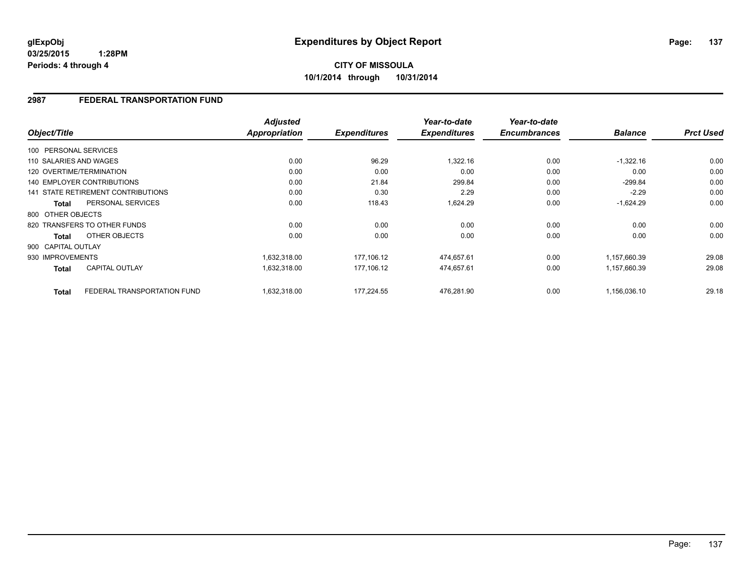**03/25/2015 1:28PM Periods: 4 through 4**

**10/1/2014 through 10/31/2014**

### **2987 FEDERAL TRANSPORTATION FUND**

| Object/Title           |                                    | <b>Adjusted</b><br><b>Appropriation</b> | <b>Expenditures</b> | Year-to-date<br><b>Expenditures</b> | Year-to-date<br><b>Encumbrances</b> | <b>Balance</b> | <b>Prct Used</b> |
|------------------------|------------------------------------|-----------------------------------------|---------------------|-------------------------------------|-------------------------------------|----------------|------------------|
| 100 PERSONAL SERVICES  |                                    |                                         |                     |                                     |                                     |                |                  |
| 110 SALARIES AND WAGES |                                    | 0.00                                    | 96.29               | 1,322.16                            | 0.00                                | $-1,322.16$    | 0.00             |
|                        | 120 OVERTIME/TERMINATION           | 0.00                                    | 0.00                | 0.00                                | 0.00                                | 0.00           | 0.00             |
|                        | <b>140 EMPLOYER CONTRIBUTIONS</b>  | 0.00                                    | 21.84               | 299.84                              | 0.00                                | $-299.84$      | 0.00             |
|                        | 141 STATE RETIREMENT CONTRIBUTIONS | 0.00                                    | 0.30                | 2.29                                | 0.00                                | $-2.29$        | 0.00             |
| Total                  | PERSONAL SERVICES                  | 0.00                                    | 118.43              | 1,624.29                            | 0.00                                | $-1,624.29$    | 0.00             |
| 800 OTHER OBJECTS      |                                    |                                         |                     |                                     |                                     |                |                  |
|                        | 820 TRANSFERS TO OTHER FUNDS       | 0.00                                    | 0.00                | 0.00                                | 0.00                                | 0.00           | 0.00             |
| <b>Total</b>           | OTHER OBJECTS                      | 0.00                                    | 0.00                | 0.00                                | 0.00                                | 0.00           | 0.00             |
| 900 CAPITAL OUTLAY     |                                    |                                         |                     |                                     |                                     |                |                  |
| 930 IMPROVEMENTS       |                                    | 1,632,318.00                            | 177,106.12          | 474,657.61                          | 0.00                                | 1,157,660.39   | 29.08            |
| <b>Total</b>           | <b>CAPITAL OUTLAY</b>              | 1,632,318.00                            | 177,106.12          | 474,657.61                          | 0.00                                | 1,157,660.39   | 29.08            |
| <b>Total</b>           | FEDERAL TRANSPORTATION FUND        | 1,632,318.00                            | 177.224.55          | 476,281.90                          | 0.00                                | 1.156.036.10   | 29.18            |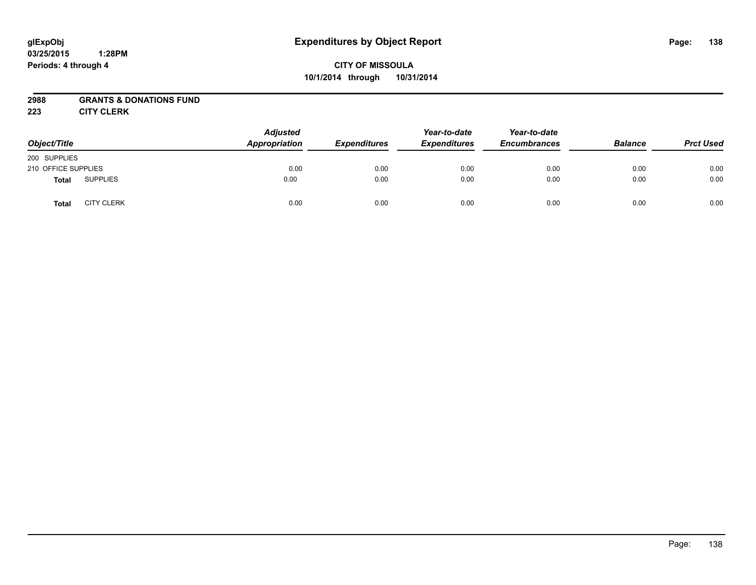#### **03/25/2015 1:28PM Periods: 4 through 4**

## **CITY OF MISSOULA 10/1/2014 through 10/31/2014**

### **2988 GRANTS & DONATIONS FUND**

**223 CITY CLERK**

| Object/Title        |                   | <b>Adjusted</b><br><b>Appropriation</b> | <b>Expenditures</b> | Year-to-date<br><b>Expenditures</b> | Year-to-date<br><b>Encumbrances</b> | <b>Balance</b> | <b>Prct Used</b> |
|---------------------|-------------------|-----------------------------------------|---------------------|-------------------------------------|-------------------------------------|----------------|------------------|
| 200 SUPPLIES        |                   |                                         |                     |                                     |                                     |                |                  |
| 210 OFFICE SUPPLIES |                   | 0.00                                    | 0.00                | 0.00                                | 0.00                                | 0.00           | 0.00             |
| <b>Total</b>        | <b>SUPPLIES</b>   | 0.00                                    | 0.00                | 0.00                                | 0.00                                | 0.00           | 0.00             |
| <b>Total</b>        | <b>CITY CLERK</b> | 0.00                                    | 0.00                | 0.00                                | 0.00                                | 0.00           | 0.00             |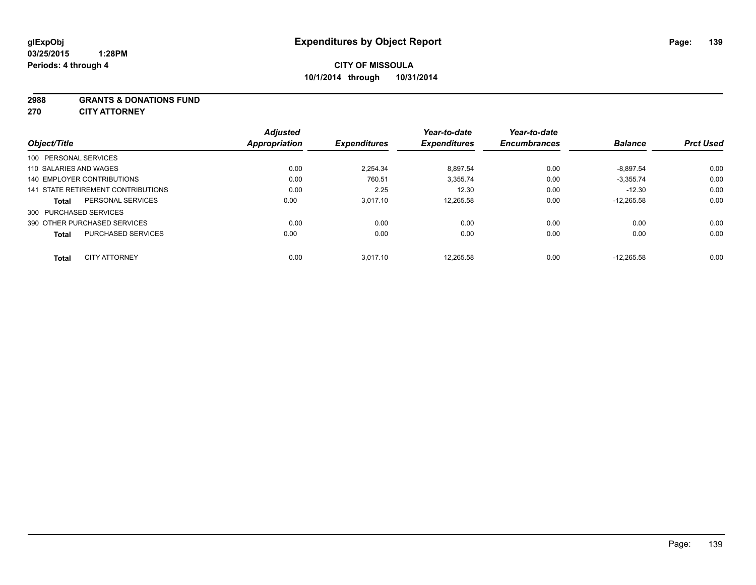#### **2988 GRANTS & DONATIONS FUND**

**270 CITY ATTORNEY**

| Object/Title |                                    | <b>Adjusted</b><br><b>Appropriation</b> | <b>Expenditures</b> | Year-to-date<br><b>Expenditures</b> | Year-to-date<br><b>Encumbrances</b> | <b>Balance</b> | <b>Prct Used</b> |
|--------------|------------------------------------|-----------------------------------------|---------------------|-------------------------------------|-------------------------------------|----------------|------------------|
|              | 100 PERSONAL SERVICES              |                                         |                     |                                     |                                     |                |                  |
|              | 110 SALARIES AND WAGES             | 0.00                                    | 2.254.34            | 8,897.54                            | 0.00                                | $-8,897.54$    | 0.00             |
|              | 140 EMPLOYER CONTRIBUTIONS         | 0.00                                    | 760.51              | 3,355.74                            | 0.00                                | $-3.355.74$    | 0.00             |
|              | 141 STATE RETIREMENT CONTRIBUTIONS | 0.00                                    | 2.25                | 12.30                               | 0.00                                | $-12.30$       | 0.00             |
| <b>Total</b> | PERSONAL SERVICES                  | 0.00                                    | 3,017.10            | 12,265.58                           | 0.00                                | $-12.265.58$   | 0.00             |
|              | 300 PURCHASED SERVICES             |                                         |                     |                                     |                                     |                |                  |
|              | 390 OTHER PURCHASED SERVICES       | 0.00                                    | 0.00                | 0.00                                | 0.00                                | 0.00           | 0.00             |
| <b>Total</b> | <b>PURCHASED SERVICES</b>          | 0.00                                    | 0.00                | 0.00                                | 0.00                                | 0.00           | 0.00             |
| <b>Total</b> | <b>CITY ATTORNEY</b>               | 0.00                                    | 3,017.10            | 12,265.58                           | 0.00                                | $-12.265.58$   | 0.00             |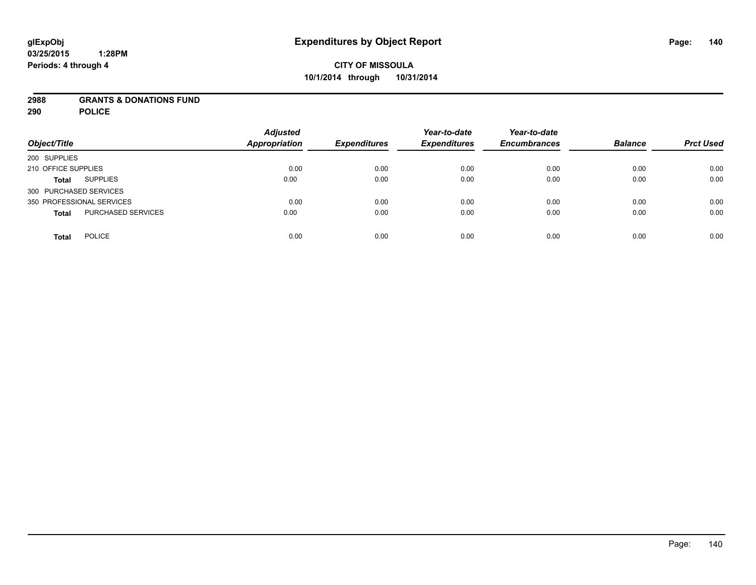### **2988 GRANTS & DONATIONS FUND**

**290 POLICE**

| Object/Title                       | <b>Adjusted</b><br><b>Appropriation</b> | <b>Expenditures</b> | Year-to-date<br><b>Expenditures</b> | Year-to-date<br><b>Encumbrances</b> | <b>Balance</b> | <b>Prct Used</b> |
|------------------------------------|-----------------------------------------|---------------------|-------------------------------------|-------------------------------------|----------------|------------------|
| 200 SUPPLIES                       |                                         |                     |                                     |                                     |                |                  |
| 210 OFFICE SUPPLIES                | 0.00                                    | 0.00                | 0.00                                | 0.00                                | 0.00           | 0.00             |
| <b>SUPPLIES</b><br><b>Total</b>    | 0.00                                    | 0.00                | 0.00                                | 0.00                                | 0.00           | 0.00             |
| 300 PURCHASED SERVICES             |                                         |                     |                                     |                                     |                |                  |
| 350 PROFESSIONAL SERVICES          | 0.00                                    | 0.00                | 0.00                                | 0.00                                | 0.00           | 0.00             |
| PURCHASED SERVICES<br><b>Total</b> | 0.00                                    | 0.00                | 0.00                                | 0.00                                | 0.00           | 0.00             |
| <b>POLICE</b><br><b>Total</b>      | 0.00                                    | 0.00                | 0.00                                | 0.00                                | 0.00           | 0.00             |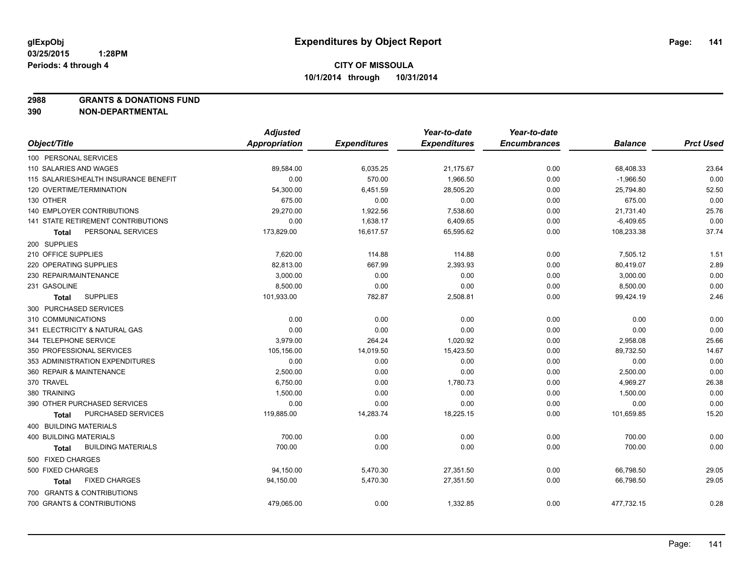**2988 GRANTS & DONATIONS FUND**

**390 NON-DEPARTMENTAL**

|                                       | <b>Adjusted</b>      |                     | Year-to-date        | Year-to-date        |                |                  |
|---------------------------------------|----------------------|---------------------|---------------------|---------------------|----------------|------------------|
| Object/Title                          | <b>Appropriation</b> | <b>Expenditures</b> | <b>Expenditures</b> | <b>Encumbrances</b> | <b>Balance</b> | <b>Prct Used</b> |
| 100 PERSONAL SERVICES                 |                      |                     |                     |                     |                |                  |
| 110 SALARIES AND WAGES                | 89,584.00            | 6,035.25            | 21,175.67           | 0.00                | 68,408.33      | 23.64            |
| 115 SALARIES/HEALTH INSURANCE BENEFIT | 0.00                 | 570.00              | 1,966.50            | 0.00                | $-1,966.50$    | 0.00             |
| 120 OVERTIME/TERMINATION              | 54,300.00            | 6,451.59            | 28,505.20           | 0.00                | 25,794.80      | 52.50            |
| 130 OTHER                             | 675.00               | 0.00                | 0.00                | 0.00                | 675.00         | 0.00             |
| <b>140 EMPLOYER CONTRIBUTIONS</b>     | 29,270.00            | 1,922.56            | 7,538.60            | 0.00                | 21,731.40      | 25.76            |
| 141 STATE RETIREMENT CONTRIBUTIONS    | 0.00                 | 1,638.17            | 6,409.65            | 0.00                | $-6,409.65$    | 0.00             |
| PERSONAL SERVICES<br>Total            | 173,829.00           | 16,617.57           | 65,595.62           | 0.00                | 108,233.38     | 37.74            |
| 200 SUPPLIES                          |                      |                     |                     |                     |                |                  |
| 210 OFFICE SUPPLIES                   | 7,620.00             | 114.88              | 114.88              | 0.00                | 7,505.12       | 1.51             |
| 220 OPERATING SUPPLIES                | 82,813.00            | 667.99              | 2,393.93            | 0.00                | 80,419.07      | 2.89             |
| 230 REPAIR/MAINTENANCE                | 3,000.00             | 0.00                | 0.00                | 0.00                | 3,000.00       | 0.00             |
| 231 GASOLINE                          | 8,500.00             | 0.00                | 0.00                | 0.00                | 8,500.00       | 0.00             |
| <b>SUPPLIES</b><br><b>Total</b>       | 101,933.00           | 782.87              | 2,508.81            | 0.00                | 99,424.19      | 2.46             |
| 300 PURCHASED SERVICES                |                      |                     |                     |                     |                |                  |
| 310 COMMUNICATIONS                    | 0.00                 | 0.00                | 0.00                | 0.00                | 0.00           | 0.00             |
| 341 ELECTRICITY & NATURAL GAS         | 0.00                 | 0.00                | 0.00                | 0.00                | 0.00           | 0.00             |
| 344 TELEPHONE SERVICE                 | 3,979.00             | 264.24              | 1,020.92            | 0.00                | 2,958.08       | 25.66            |
| 350 PROFESSIONAL SERVICES             | 105,156.00           | 14,019.50           | 15,423.50           | 0.00                | 89,732.50      | 14.67            |
| 353 ADMINISTRATION EXPENDITURES       | 0.00                 | 0.00                | 0.00                | 0.00                | 0.00           | 0.00             |
| 360 REPAIR & MAINTENANCE              | 2,500.00             | 0.00                | 0.00                | 0.00                | 2,500.00       | 0.00             |
| 370 TRAVEL                            | 6,750.00             | 0.00                | 1,780.73            | 0.00                | 4,969.27       | 26.38            |
| 380 TRAINING                          | 1,500.00             | 0.00                | 0.00                | 0.00                | 1,500.00       | 0.00             |
| 390 OTHER PURCHASED SERVICES          | 0.00                 | 0.00                | 0.00                | 0.00                | 0.00           | 0.00             |
| PURCHASED SERVICES<br>Total           | 119,885.00           | 14,283.74           | 18,225.15           | 0.00                | 101,659.85     | 15.20            |
| 400 BUILDING MATERIALS                |                      |                     |                     |                     |                |                  |
| <b>400 BUILDING MATERIALS</b>         | 700.00               | 0.00                | 0.00                | 0.00                | 700.00         | 0.00             |
| <b>BUILDING MATERIALS</b><br>Total    | 700.00               | 0.00                | 0.00                | 0.00                | 700.00         | 0.00             |
| 500 FIXED CHARGES                     |                      |                     |                     |                     |                |                  |
| 500 FIXED CHARGES                     | 94,150.00            | 5,470.30            | 27,351.50           | 0.00                | 66,798.50      | 29.05            |
| <b>FIXED CHARGES</b><br>Total         | 94,150.00            | 5,470.30            | 27,351.50           | 0.00                | 66,798.50      | 29.05            |
| 700 GRANTS & CONTRIBUTIONS            |                      |                     |                     |                     |                |                  |
| 700 GRANTS & CONTRIBUTIONS            | 479,065.00           | 0.00                | 1,332.85            | 0.00                | 477,732.15     | 0.28             |
|                                       |                      |                     |                     |                     |                |                  |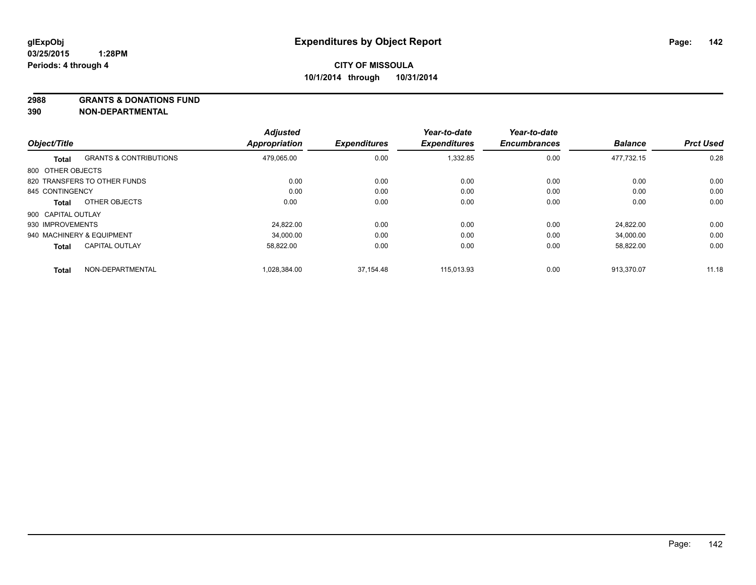**2988 GRANTS & DONATIONS FUND**

**390 NON-DEPARTMENTAL**

|                    |                                   | <b>Adjusted</b> |                     | Year-to-date        | Year-to-date        |                |                  |
|--------------------|-----------------------------------|-----------------|---------------------|---------------------|---------------------|----------------|------------------|
| Object/Title       |                                   | Appropriation   | <b>Expenditures</b> | <b>Expenditures</b> | <b>Encumbrances</b> | <b>Balance</b> | <b>Prct Used</b> |
| <b>Total</b>       | <b>GRANTS &amp; CONTRIBUTIONS</b> | 479,065.00      | 0.00                | 1,332.85            | 0.00                | 477,732.15     | 0.28             |
| 800 OTHER OBJECTS  |                                   |                 |                     |                     |                     |                |                  |
|                    | 820 TRANSFERS TO OTHER FUNDS      | 0.00            | 0.00                | 0.00                | 0.00                | 0.00           | 0.00             |
| 845 CONTINGENCY    |                                   | 0.00            | 0.00                | 0.00                | 0.00                | 0.00           | 0.00             |
| Total              | OTHER OBJECTS                     | 0.00            | 0.00                | 0.00                | 0.00                | 0.00           | 0.00             |
| 900 CAPITAL OUTLAY |                                   |                 |                     |                     |                     |                |                  |
| 930 IMPROVEMENTS   |                                   | 24.822.00       | 0.00                | 0.00                | 0.00                | 24.822.00      | 0.00             |
|                    | 940 MACHINERY & EQUIPMENT         | 34.000.00       | 0.00                | 0.00                | 0.00                | 34,000.00      | 0.00             |
| <b>Total</b>       | <b>CAPITAL OUTLAY</b>             | 58,822.00       | 0.00                | 0.00                | 0.00                | 58,822.00      | 0.00             |
| <b>Total</b>       | NON-DEPARTMENTAL                  | 1.028.384.00    | 37.154.48           | 115.013.93          | 0.00                | 913.370.07     | 11.18            |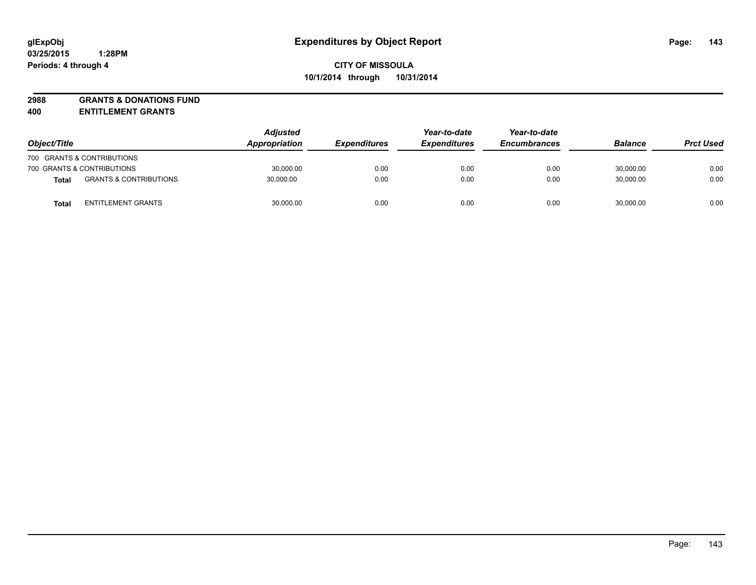# **2988 GRANTS & DONATIONS FUND**

**400 ENTITLEMENT GRANTS**

| Object/Title |                                   | <b>Adjusted</b><br><b>Appropriation</b> | <i><b>Expenditures</b></i> | Year-to-date<br><b>Expenditures</b> | Year-to-date<br><b>Encumbrances</b> | <b>Balance</b> | <b>Prct Used</b> |
|--------------|-----------------------------------|-----------------------------------------|----------------------------|-------------------------------------|-------------------------------------|----------------|------------------|
|              | 700 GRANTS & CONTRIBUTIONS        |                                         |                            |                                     |                                     |                |                  |
|              | 700 GRANTS & CONTRIBUTIONS        | 30,000.00                               | 0.00                       | 0.00                                | 0.00                                | 30,000.00      | 0.00             |
| <b>Total</b> | <b>GRANTS &amp; CONTRIBUTIONS</b> | 30,000.00                               | 0.00                       | 0.00                                | 0.00                                | 30.000.00      | 0.00             |
| <b>Total</b> | <b>ENTITLEMENT GRANTS</b>         | 30,000.00                               | 0.00                       | 0.00                                | 0.00                                | 30,000.00      | 0.00             |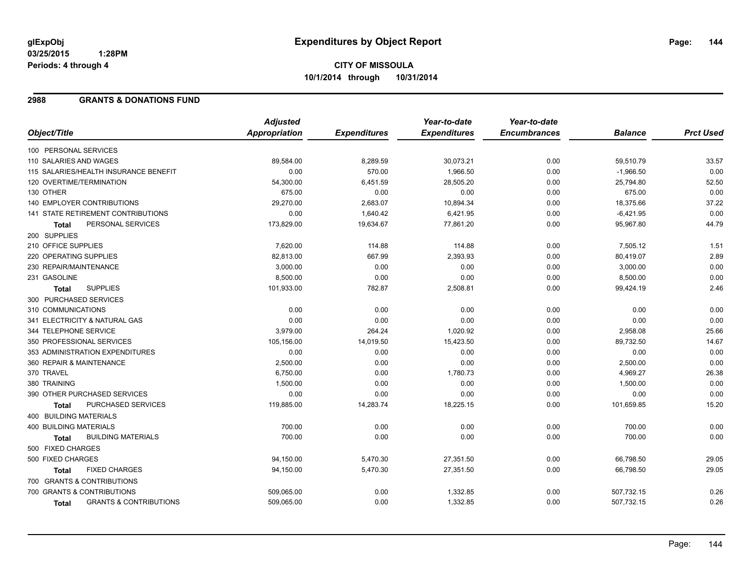### **2988 GRANTS & DONATIONS FUND**

|                                                   | <b>Adjusted</b> |                     | Year-to-date        | Year-to-date        |                |                  |
|---------------------------------------------------|-----------------|---------------------|---------------------|---------------------|----------------|------------------|
| Object/Title                                      | Appropriation   | <b>Expenditures</b> | <b>Expenditures</b> | <b>Encumbrances</b> | <b>Balance</b> | <b>Prct Used</b> |
| 100 PERSONAL SERVICES                             |                 |                     |                     |                     |                |                  |
| 110 SALARIES AND WAGES                            | 89,584.00       | 8,289.59            | 30,073.21           | 0.00                | 59,510.79      | 33.57            |
| 115 SALARIES/HEALTH INSURANCE BENEFIT             | 0.00            | 570.00              | 1,966.50            | 0.00                | $-1,966.50$    | 0.00             |
| 120 OVERTIME/TERMINATION                          | 54,300.00       | 6,451.59            | 28,505.20           | 0.00                | 25,794.80      | 52.50            |
| 130 OTHER                                         | 675.00          | 0.00                | 0.00                | 0.00                | 675.00         | 0.00             |
| 140 EMPLOYER CONTRIBUTIONS                        | 29,270.00       | 2,683.07            | 10,894.34           | 0.00                | 18,375.66      | 37.22            |
| <b>141 STATE RETIREMENT CONTRIBUTIONS</b>         | 0.00            | 1,640.42            | 6,421.95            | 0.00                | $-6,421.95$    | 0.00             |
| PERSONAL SERVICES<br><b>Total</b>                 | 173,829.00      | 19,634.67           | 77,861.20           | 0.00                | 95,967.80      | 44.79            |
| 200 SUPPLIES                                      |                 |                     |                     |                     |                |                  |
| 210 OFFICE SUPPLIES                               | 7,620.00        | 114.88              | 114.88              | 0.00                | 7,505.12       | 1.51             |
| 220 OPERATING SUPPLIES                            | 82,813.00       | 667.99              | 2,393.93            | 0.00                | 80,419.07      | 2.89             |
| 230 REPAIR/MAINTENANCE                            | 3,000.00        | 0.00                | 0.00                | 0.00                | 3,000.00       | 0.00             |
| 231 GASOLINE                                      | 8,500.00        | 0.00                | 0.00                | 0.00                | 8,500.00       | 0.00             |
| <b>SUPPLIES</b><br><b>Total</b>                   | 101,933.00      | 782.87              | 2,508.81            | 0.00                | 99,424.19      | 2.46             |
| 300 PURCHASED SERVICES                            |                 |                     |                     |                     |                |                  |
| 310 COMMUNICATIONS                                | 0.00            | 0.00                | 0.00                | 0.00                | 0.00           | 0.00             |
| 341 ELECTRICITY & NATURAL GAS                     | 0.00            | 0.00                | 0.00                | 0.00                | 0.00           | 0.00             |
| 344 TELEPHONE SERVICE                             | 3,979.00        | 264.24              | 1,020.92            | 0.00                | 2,958.08       | 25.66            |
| 350 PROFESSIONAL SERVICES                         | 105,156.00      | 14,019.50           | 15,423.50           | 0.00                | 89,732.50      | 14.67            |
| 353 ADMINISTRATION EXPENDITURES                   | 0.00            | 0.00                | 0.00                | 0.00                | 0.00           | 0.00             |
| 360 REPAIR & MAINTENANCE                          | 2,500.00        | 0.00                | 0.00                | 0.00                | 2,500.00       | 0.00             |
| 370 TRAVEL                                        | 6,750.00        | 0.00                | 1,780.73            | 0.00                | 4,969.27       | 26.38            |
| 380 TRAINING                                      | 1,500.00        | 0.00                | 0.00                | 0.00                | 1,500.00       | 0.00             |
| 390 OTHER PURCHASED SERVICES                      | 0.00            | 0.00                | 0.00                | 0.00                | 0.00           | 0.00             |
| <b>PURCHASED SERVICES</b><br><b>Total</b>         | 119,885.00      | 14,283.74           | 18,225.15           | 0.00                | 101,659.85     | 15.20            |
| 400 BUILDING MATERIALS                            |                 |                     |                     |                     |                |                  |
| 400 BUILDING MATERIALS                            | 700.00          | 0.00                | 0.00                | 0.00                | 700.00         | 0.00             |
| <b>BUILDING MATERIALS</b><br><b>Total</b>         | 700.00          | 0.00                | 0.00                | 0.00                | 700.00         | 0.00             |
| 500 FIXED CHARGES                                 |                 |                     |                     |                     |                |                  |
| 500 FIXED CHARGES                                 | 94,150.00       | 5,470.30            | 27,351.50           | 0.00                | 66,798.50      | 29.05            |
| <b>FIXED CHARGES</b><br>Total                     | 94,150.00       | 5,470.30            | 27,351.50           | 0.00                | 66,798.50      | 29.05            |
| 700 GRANTS & CONTRIBUTIONS                        |                 |                     |                     |                     |                |                  |
| 700 GRANTS & CONTRIBUTIONS                        | 509,065.00      | 0.00                | 1,332.85            | 0.00                | 507,732.15     | 0.26             |
| <b>GRANTS &amp; CONTRIBUTIONS</b><br><b>Total</b> | 509,065.00      | 0.00                | 1,332.85            | 0.00                | 507,732.15     | 0.26             |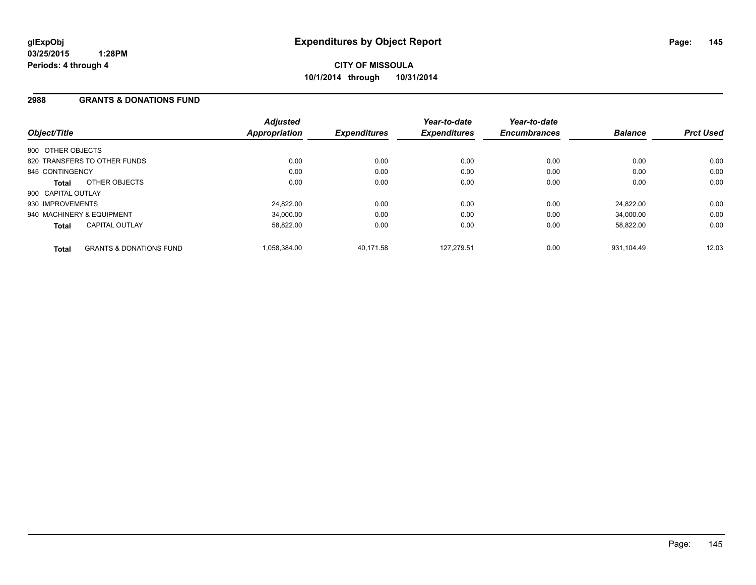## **2988 GRANTS & DONATIONS FUND**

| Object/Title                 |                                    | <b>Adjusted</b><br>Appropriation | <b>Expenditures</b> | Year-to-date<br><b>Expenditures</b> | Year-to-date<br><b>Encumbrances</b> | <b>Balance</b> | <b>Prct Used</b> |
|------------------------------|------------------------------------|----------------------------------|---------------------|-------------------------------------|-------------------------------------|----------------|------------------|
| 800 OTHER OBJECTS            |                                    |                                  |                     |                                     |                                     |                |                  |
| 820 TRANSFERS TO OTHER FUNDS |                                    | 0.00                             | 0.00                | 0.00                                | 0.00                                | 0.00           | 0.00             |
| 845 CONTINGENCY              |                                    | 0.00                             | 0.00                | 0.00                                | 0.00                                | 0.00           | 0.00             |
| Total                        | OTHER OBJECTS                      | 0.00                             | 0.00                | 0.00                                | 0.00                                | 0.00           | 0.00             |
| 900 CAPITAL OUTLAY           |                                    |                                  |                     |                                     |                                     |                |                  |
| 930 IMPROVEMENTS             |                                    | 24,822.00                        | 0.00                | 0.00                                | 0.00                                | 24.822.00      | 0.00             |
| 940 MACHINERY & EQUIPMENT    |                                    | 34.000.00                        | 0.00                | 0.00                                | 0.00                                | 34.000.00      | 0.00             |
| <b>Total</b>                 | <b>CAPITAL OUTLAY</b>              | 58.822.00                        | 0.00                | 0.00                                | 0.00                                | 58,822.00      | 0.00             |
| <b>Total</b>                 | <b>GRANTS &amp; DONATIONS FUND</b> | 1,058,384.00                     | 40,171.58           | 127.279.51                          | 0.00                                | 931.104.49     | 12.03            |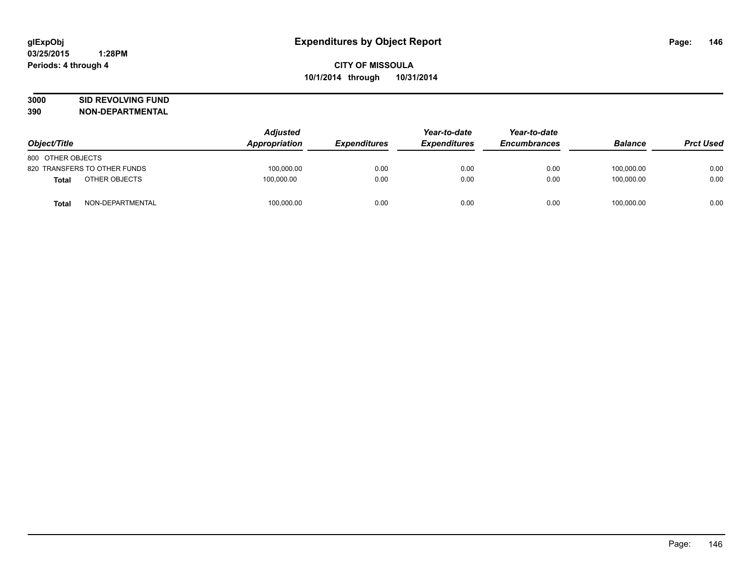# **3000 SID REVOLVING FUND**

| Object/Title      |                              | <b>Adjusted</b><br>Appropriation | <b>Expenditures</b> | Year-to-date        | Year-to-date<br><b>Encumbrances</b> | <b>Balance</b> | <b>Prct Used</b> |
|-------------------|------------------------------|----------------------------------|---------------------|---------------------|-------------------------------------|----------------|------------------|
|                   |                              |                                  |                     | <b>Expenditures</b> |                                     |                |                  |
| 800 OTHER OBJECTS |                              |                                  |                     |                     |                                     |                |                  |
|                   | 820 TRANSFERS TO OTHER FUNDS | 100.000.00                       | 0.00                | 0.00                | 0.00                                | 100.000.00     | 0.00             |
| Total             | OTHER OBJECTS                | 100,000.00                       | 0.00                | 0.00                | 0.00                                | 100,000.00     | 0.00             |
| <b>Total</b>      | NON-DEPARTMENTAL             | 100,000.00                       | 0.00                | 0.00                | 0.00                                | 100,000.00     | 0.00             |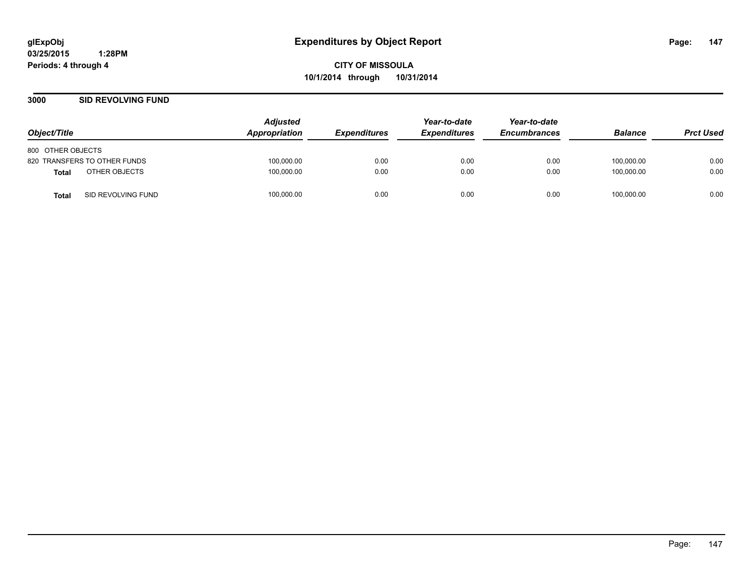**CITY OF MISSOULA 10/1/2014 through 10/31/2014**

## **3000 SID REVOLVING FUND**

| Object/Title                       | <b>Adjusted</b><br>Appropriation | <i><b>Expenditures</b></i> | Year-to-date<br><b>Expenditures</b> | Year-to-date<br><b>Encumbrances</b> | <b>Balance</b> | <b>Prct Used</b> |
|------------------------------------|----------------------------------|----------------------------|-------------------------------------|-------------------------------------|----------------|------------------|
| 800 OTHER OBJECTS                  |                                  |                            |                                     |                                     |                |                  |
| 820 TRANSFERS TO OTHER FUNDS       | 100,000.00                       | 0.00                       | 0.00                                | 0.00                                | 100,000.00     | 0.00             |
| OTHER OBJECTS<br>Total             | 100,000.00                       | 0.00                       | 0.00                                | 0.00                                | 100.000.00     | 0.00             |
| SID REVOLVING FUND<br><b>Total</b> | 100,000.00                       | 0.00                       | 0.00                                | 0.00                                | 100,000.00     | 0.00             |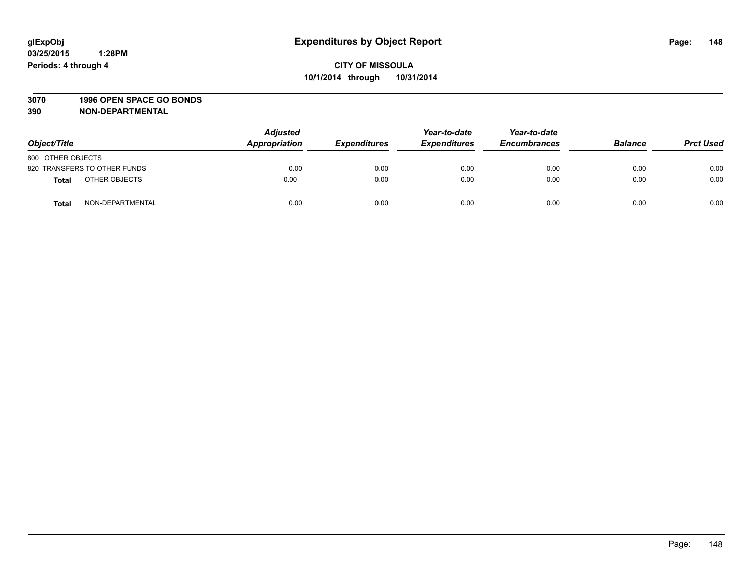#### **3070 1996 OPEN SPACE GO BONDS**

| Object/Title      |                              | <b>Adjusted</b><br>Appropriation | <b>Expenditures</b> | Year-to-date<br><b>Expenditures</b> | Year-to-date<br><b>Encumbrances</b> | <b>Balance</b> | <b>Prct Used</b> |
|-------------------|------------------------------|----------------------------------|---------------------|-------------------------------------|-------------------------------------|----------------|------------------|
| 800 OTHER OBJECTS |                              |                                  |                     |                                     |                                     |                |                  |
|                   | 820 TRANSFERS TO OTHER FUNDS | 0.00                             | 0.00                | 0.00                                | 0.00                                | 0.00           | 0.00             |
| <b>Total</b>      | OTHER OBJECTS                | 0.00                             | 0.00                | 0.00                                | 0.00                                | 0.00           | 0.00             |
| <b>Total</b>      | NON-DEPARTMENTAL             | 0.00                             | 0.00                | 0.00                                | 0.00                                | 0.00           | 0.00             |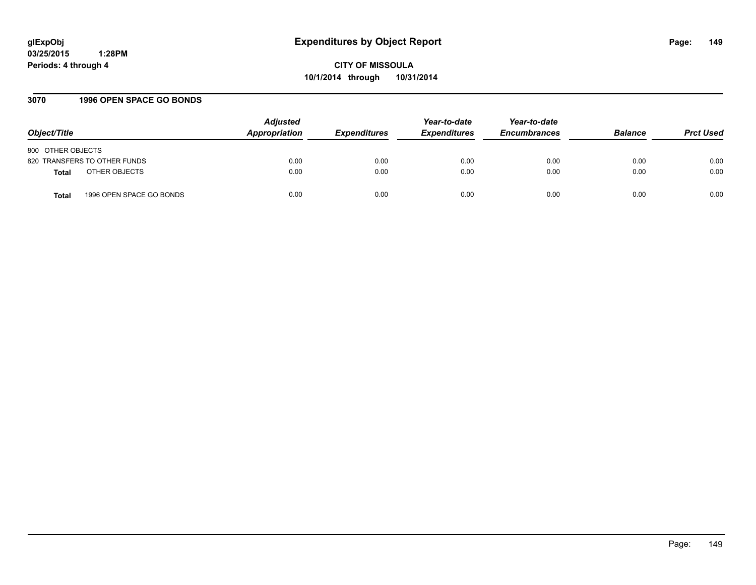**CITY OF MISSOULA 10/1/2014 through 10/31/2014**

## **3070 1996 OPEN SPACE GO BONDS**

| Object/Title                      | <b>Adjusted</b><br>Appropriation | <b>Expenditures</b> | Year-to-date<br><b>Expenditures</b> | Year-to-date<br><b>Encumbrances</b> | <b>Balance</b> | <b>Prct Used</b> |
|-----------------------------------|----------------------------------|---------------------|-------------------------------------|-------------------------------------|----------------|------------------|
| 800 OTHER OBJECTS                 |                                  |                     |                                     |                                     |                |                  |
| 820 TRANSFERS TO OTHER FUNDS      | 0.00                             | 0.00                | 0.00                                | 0.00                                | 0.00           | 0.00             |
| OTHER OBJECTS<br><b>Total</b>     | 0.00                             | 0.00                | 0.00                                | 0.00                                | 0.00           | 0.00             |
| 1996 OPEN SPACE GO BONDS<br>Total | 0.00                             | 0.00                | 0.00                                | 0.00                                | 0.00           | 0.00             |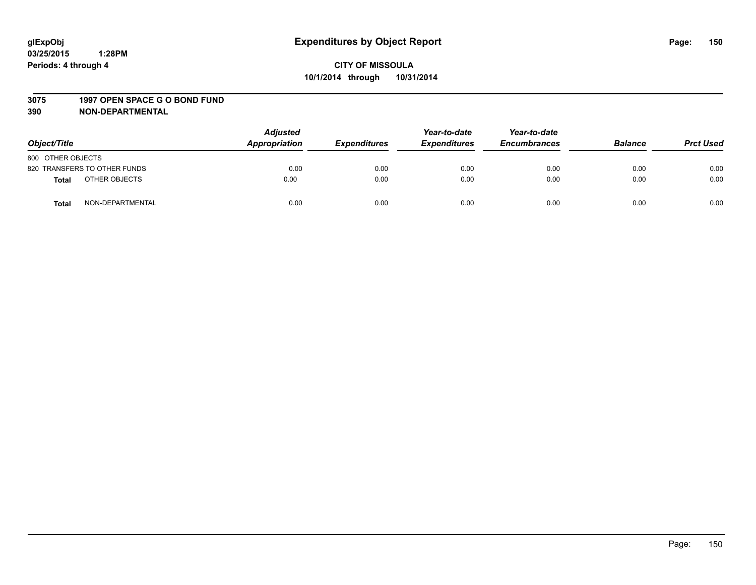#### **3075 1997 OPEN SPACE G O BOND FUND**

| Object/Title      |                              | <b>Adjusted</b><br>Appropriation | <b>Expenditures</b> | Year-to-date<br><b>Expenditures</b> | Year-to-date<br><b>Encumbrances</b> | <b>Balance</b> | <b>Prct Used</b> |
|-------------------|------------------------------|----------------------------------|---------------------|-------------------------------------|-------------------------------------|----------------|------------------|
| 800 OTHER OBJECTS |                              |                                  |                     |                                     |                                     |                |                  |
|                   | 820 TRANSFERS TO OTHER FUNDS | 0.00                             | 0.00                | 0.00                                | 0.00                                | 0.00           | 0.00             |
| <b>Total</b>      | OTHER OBJECTS                | 0.00                             | 0.00                | 0.00                                | 0.00                                | 0.00           | 0.00             |
| <b>Total</b>      | NON-DEPARTMENTAL             | 0.00                             | 0.00                | 0.00                                | 0.00                                | 0.00           | 0.00             |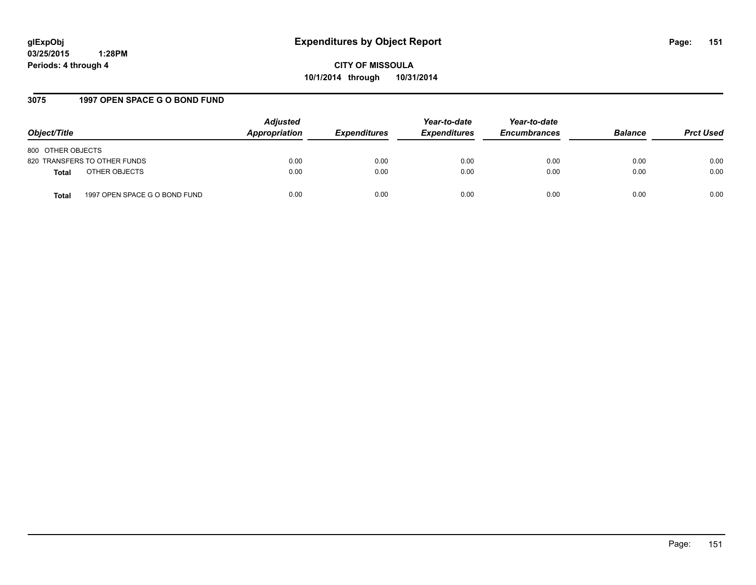**CITY OF MISSOULA 10/1/2014 through 10/31/2014**

## **3075 1997 OPEN SPACE G O BOND FUND**

| Object/Title                                  | <b>Adjusted</b><br>Appropriation | <b>Expenditures</b> | Year-to-date<br><b>Expenditures</b> | Year-to-date<br><b>Encumbrances</b> | <b>Balance</b> | <b>Prct Used</b> |
|-----------------------------------------------|----------------------------------|---------------------|-------------------------------------|-------------------------------------|----------------|------------------|
| 800 OTHER OBJECTS                             |                                  |                     |                                     |                                     |                |                  |
| 820 TRANSFERS TO OTHER FUNDS                  | 0.00                             | 0.00                | 0.00                                | 0.00                                | 0.00           | 0.00             |
| OTHER OBJECTS<br><b>Total</b>                 | 0.00                             | 0.00                | 0.00                                | 0.00                                | 0.00           | 0.00             |
| 1997 OPEN SPACE G O BOND FUND<br><b>Total</b> | 0.00                             | 0.00                | 0.00                                | 0.00                                | 0.00           | 0.00             |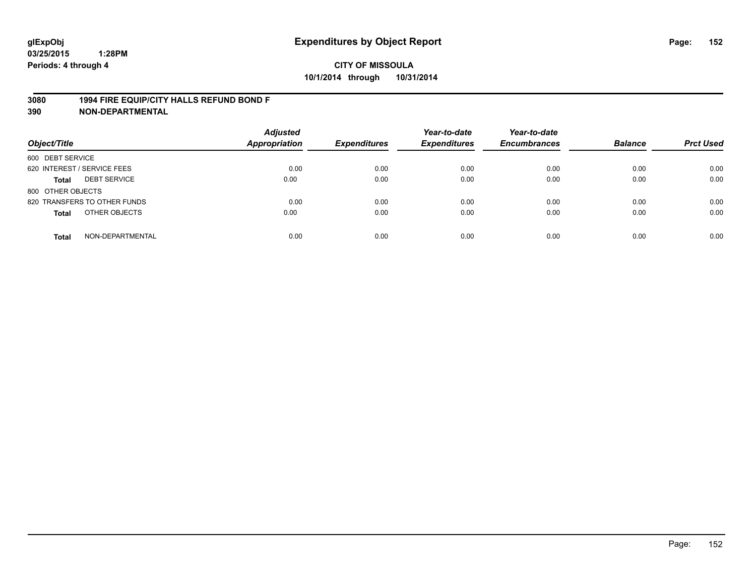## **3080 1994 FIRE EQUIP/CITY HALLS REFUND BOND F**

| Object/Title                     | <b>Adjusted</b><br><b>Appropriation</b> | <b>Expenditures</b> | Year-to-date<br><b>Expenditures</b> | Year-to-date<br><b>Encumbrances</b> | <b>Balance</b> | <b>Prct Used</b> |
|----------------------------------|-----------------------------------------|---------------------|-------------------------------------|-------------------------------------|----------------|------------------|
| 600 DEBT SERVICE                 |                                         |                     |                                     |                                     |                |                  |
| 620 INTEREST / SERVICE FEES      | 0.00                                    | 0.00                | 0.00                                | 0.00                                | 0.00           | 0.00             |
| <b>DEBT SERVICE</b><br>Total     | 0.00                                    | 0.00                | 0.00                                | 0.00                                | 0.00           | 0.00             |
| 800 OTHER OBJECTS                |                                         |                     |                                     |                                     |                |                  |
| 820 TRANSFERS TO OTHER FUNDS     | 0.00                                    | 0.00                | 0.00                                | 0.00                                | 0.00           | 0.00             |
| OTHER OBJECTS<br><b>Total</b>    | 0.00                                    | 0.00                | 0.00                                | 0.00                                | 0.00           | 0.00             |
| NON-DEPARTMENTAL<br><b>Total</b> | 0.00                                    | 0.00                | 0.00                                | 0.00                                | 0.00           | 0.00             |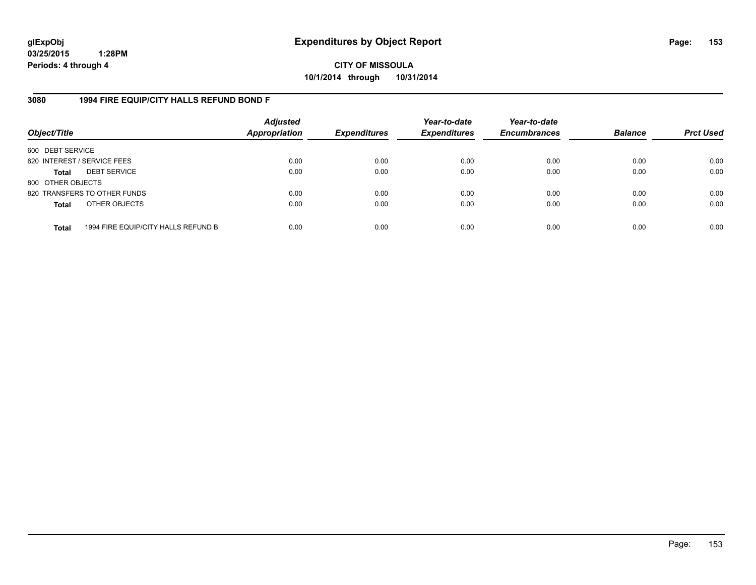**CITY OF MISSOULA 10/1/2014 through 10/31/2014**

## **3080 1994 FIRE EQUIP/CITY HALLS REFUND BOND F**

| Object/Title                |                                     | <b>Adjusted</b><br><b>Appropriation</b> | <b>Expenditures</b> | Year-to-date<br><b>Expenditures</b> | Year-to-date<br><b>Encumbrances</b> | <b>Balance</b> | <b>Prct Used</b> |
|-----------------------------|-------------------------------------|-----------------------------------------|---------------------|-------------------------------------|-------------------------------------|----------------|------------------|
| 600 DEBT SERVICE            |                                     |                                         |                     |                                     |                                     |                |                  |
| 620 INTEREST / SERVICE FEES |                                     | 0.00                                    | 0.00                | 0.00                                | 0.00                                | 0.00           | 0.00             |
| <b>Total</b>                | <b>DEBT SERVICE</b>                 | 0.00                                    | 0.00                | 0.00                                | 0.00                                | 0.00           | 0.00             |
| 800 OTHER OBJECTS           |                                     |                                         |                     |                                     |                                     |                |                  |
|                             | 820 TRANSFERS TO OTHER FUNDS        | 0.00                                    | 0.00                | 0.00                                | 0.00                                | 0.00           | 0.00             |
| <b>Total</b>                | OTHER OBJECTS                       | 0.00                                    | 0.00                | 0.00                                | 0.00                                | 0.00           | 0.00             |
| <b>Total</b>                | 1994 FIRE EQUIP/CITY HALLS REFUND B | 0.00                                    | 0.00                | 0.00                                | 0.00                                | 0.00           | 0.00             |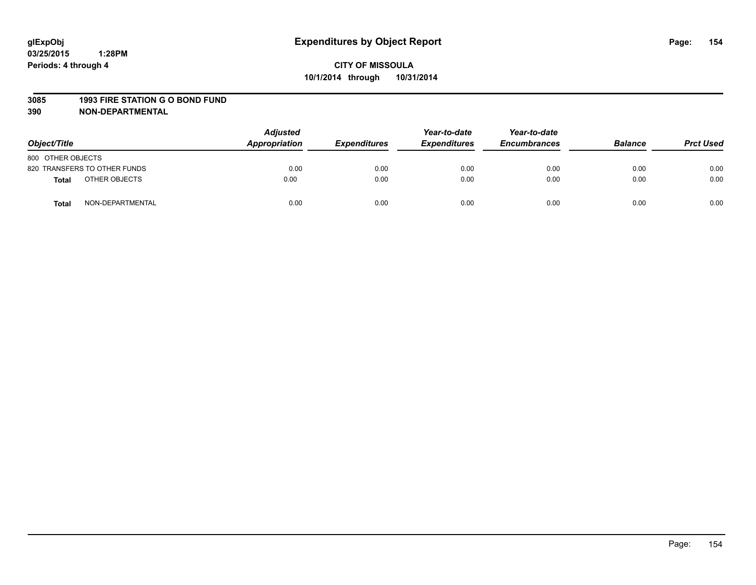#### **3085 1993 FIRE STATION G O BOND FUND**

| Object/Title      |                              | <b>Adjusted</b><br>Appropriation | <b>Expenditures</b> | Year-to-date<br><b>Expenditures</b> | Year-to-date<br><b>Encumbrances</b> | <b>Balance</b> | <b>Prct Used</b> |
|-------------------|------------------------------|----------------------------------|---------------------|-------------------------------------|-------------------------------------|----------------|------------------|
| 800 OTHER OBJECTS |                              |                                  |                     |                                     |                                     |                |                  |
|                   | 820 TRANSFERS TO OTHER FUNDS | 0.00                             | 0.00                | 0.00                                | 0.00                                | 0.00           | 0.00             |
| <b>Total</b>      | OTHER OBJECTS                | 0.00                             | 0.00                | 0.00                                | 0.00                                | 0.00           | 0.00             |
| <b>Total</b>      | NON-DEPARTMENTAL             | 0.00                             | 0.00                | 0.00                                | 0.00                                | 0.00           | 0.00             |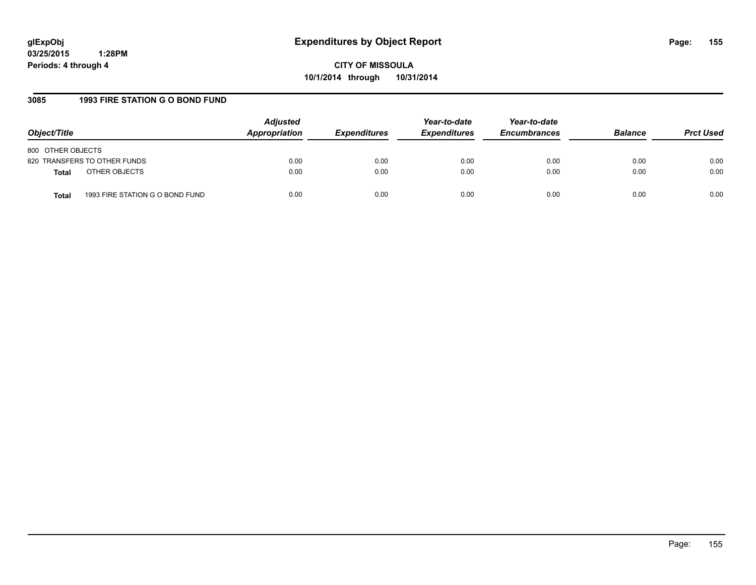**CITY OF MISSOULA 10/1/2014 through 10/31/2014**

# **3085 1993 FIRE STATION G O BOND FUND**

| Object/Title                             | <b>Adjusted</b><br>Appropriation | <i><b>Expenditures</b></i> | Year-to-date<br><b>Expenditures</b> | Year-to-date<br><b>Encumbrances</b> | <b>Balance</b> | <b>Prct Used</b> |
|------------------------------------------|----------------------------------|----------------------------|-------------------------------------|-------------------------------------|----------------|------------------|
| 800 OTHER OBJECTS                        |                                  |                            |                                     |                                     |                |                  |
| 820 TRANSFERS TO OTHER FUNDS             | 0.00                             | 0.00                       | 0.00                                | 0.00                                | 0.00           | 0.00             |
| OTHER OBJECTS<br><b>Total</b>            | 0.00                             | 0.00                       | 0.00                                | 0.00                                | 0.00           | 0.00             |
| 1993 FIRE STATION G O BOND FUND<br>Total | 0.00                             | 0.00                       | 0.00                                | 0.00                                | 0.00           | 0.00             |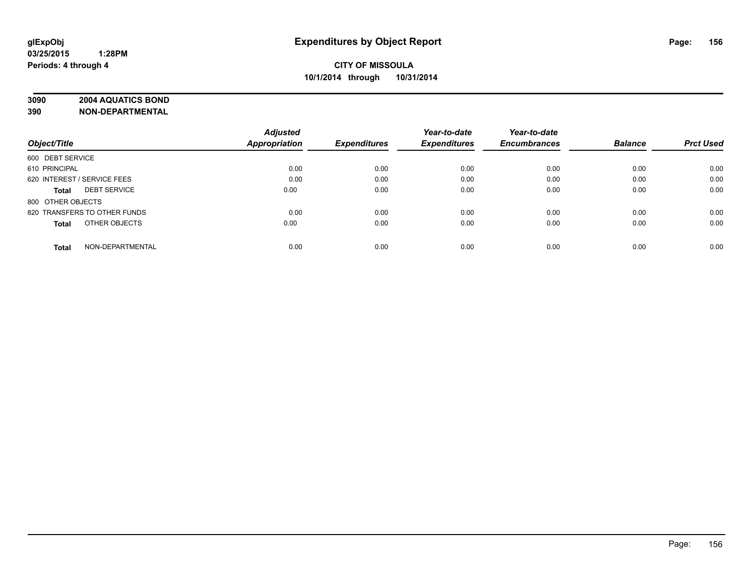# **3090 2004 AQUATICS BOND**

|                                     | <b>Adjusted</b> |                     | Year-to-date        | Year-to-date        |                |                  |
|-------------------------------------|-----------------|---------------------|---------------------|---------------------|----------------|------------------|
| Object/Title                        | Appropriation   | <b>Expenditures</b> | <b>Expenditures</b> | <b>Encumbrances</b> | <b>Balance</b> | <b>Prct Used</b> |
| 600 DEBT SERVICE                    |                 |                     |                     |                     |                |                  |
| 610 PRINCIPAL                       | 0.00            | 0.00                | 0.00                | 0.00                | 0.00           | 0.00             |
| 620 INTEREST / SERVICE FEES         | 0.00            | 0.00                | 0.00                | 0.00                | 0.00           | 0.00             |
| <b>DEBT SERVICE</b><br><b>Total</b> | 0.00            | 0.00                | 0.00                | 0.00                | 0.00           | 0.00             |
| 800 OTHER OBJECTS                   |                 |                     |                     |                     |                |                  |
| 820 TRANSFERS TO OTHER FUNDS        | 0.00            | 0.00                | 0.00                | 0.00                | 0.00           | 0.00             |
| OTHER OBJECTS<br><b>Total</b>       | 0.00            | 0.00                | 0.00                | 0.00                | 0.00           | 0.00             |
| NON-DEPARTMENTAL<br><b>Total</b>    | 0.00            | 0.00                | 0.00                | 0.00                | 0.00           | 0.00             |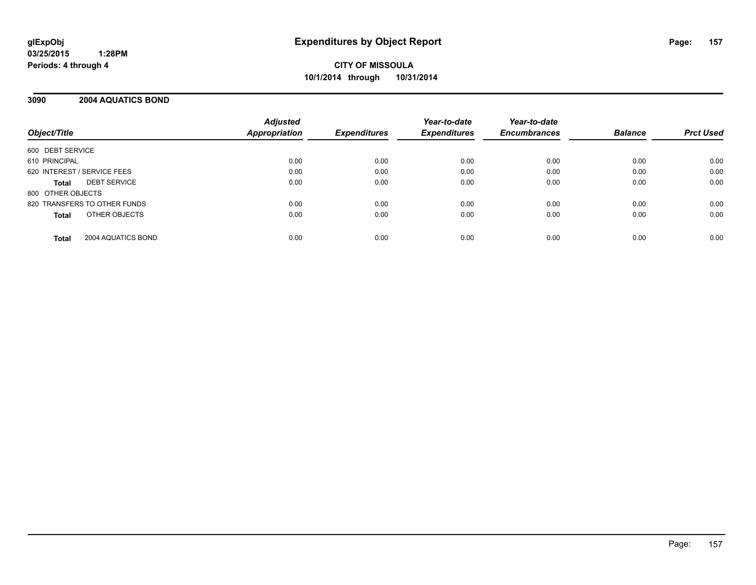**CITY OF MISSOULA 10/1/2014 through 10/31/2014**

## **3090 2004 AQUATICS BOND**

| Object/Title                       | <b>Adjusted</b><br><b>Appropriation</b> | <b>Expenditures</b> | Year-to-date<br><b>Expenditures</b> | Year-to-date<br><b>Encumbrances</b> | <b>Balance</b> | <b>Prct Used</b> |
|------------------------------------|-----------------------------------------|---------------------|-------------------------------------|-------------------------------------|----------------|------------------|
| 600 DEBT SERVICE                   |                                         |                     |                                     |                                     |                |                  |
| 610 PRINCIPAL                      | 0.00                                    | 0.00                | 0.00                                | 0.00                                | 0.00           | 0.00             |
| 620 INTEREST / SERVICE FEES        | 0.00                                    | 0.00                | 0.00                                | 0.00                                | 0.00           | 0.00             |
| <b>DEBT SERVICE</b><br>Total       | 0.00                                    | 0.00                | 0.00                                | 0.00                                | 0.00           | 0.00             |
| 800 OTHER OBJECTS                  |                                         |                     |                                     |                                     |                |                  |
| 820 TRANSFERS TO OTHER FUNDS       | 0.00                                    | 0.00                | 0.00                                | 0.00                                | 0.00           | 0.00             |
| OTHER OBJECTS<br><b>Total</b>      | 0.00                                    | 0.00                | 0.00                                | 0.00                                | 0.00           | 0.00             |
| 2004 AQUATICS BOND<br><b>Total</b> | 0.00                                    | 0.00                | 0.00                                | 0.00                                | 0.00           | 0.00             |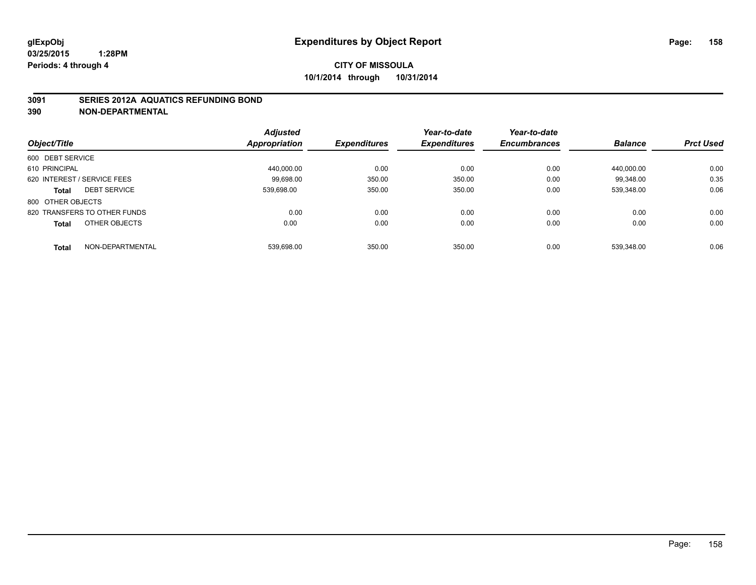## **3091 SERIES 2012A AQUATICS REFUNDING BOND**

|                                  | <b>Adjusted</b> |                     | Year-to-date        | Year-to-date        |                |                  |
|----------------------------------|-----------------|---------------------|---------------------|---------------------|----------------|------------------|
| Object/Title                     | Appropriation   | <b>Expenditures</b> | <b>Expenditures</b> | <b>Encumbrances</b> | <b>Balance</b> | <b>Prct Used</b> |
| 600 DEBT SERVICE                 |                 |                     |                     |                     |                |                  |
| 610 PRINCIPAL                    | 440.000.00      | 0.00                | 0.00                | 0.00                | 440.000.00     | 0.00             |
| 620 INTEREST / SERVICE FEES      | 99.698.00       | 350.00              | 350.00              | 0.00                | 99.348.00      | 0.35             |
| <b>DEBT SERVICE</b><br>Total     | 539.698.00      | 350.00              | 350.00              | 0.00                | 539.348.00     | 0.06             |
| 800 OTHER OBJECTS                |                 |                     |                     |                     |                |                  |
| 820 TRANSFERS TO OTHER FUNDS     | 0.00            | 0.00                | 0.00                | 0.00                | 0.00           | 0.00             |
| OTHER OBJECTS<br><b>Total</b>    | 0.00            | 0.00                | 0.00                | 0.00                | 0.00           | 0.00             |
| NON-DEPARTMENTAL<br><b>Total</b> | 539.698.00      | 350.00              | 350.00              | 0.00                | 539.348.00     | 0.06             |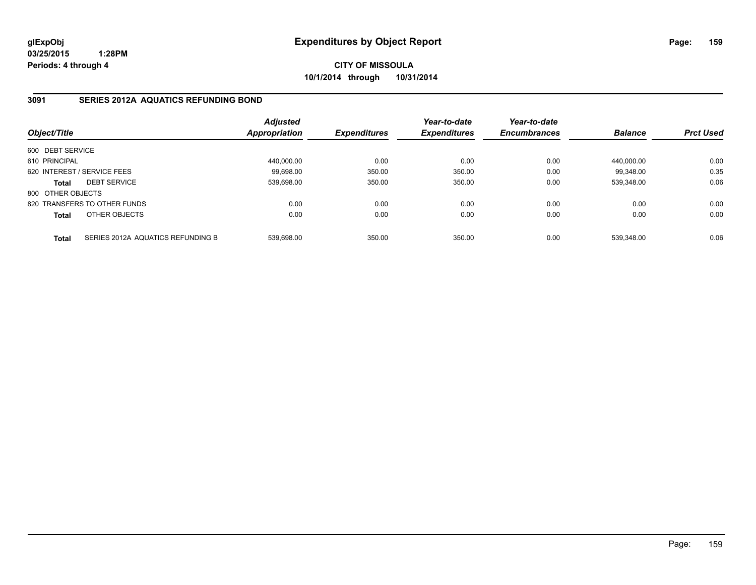**CITY OF MISSOULA 10/1/2014 through 10/31/2014**

## **3091 SERIES 2012A AQUATICS REFUNDING BOND**

| Object/Title      |                                   | <b>Adjusted</b><br>Appropriation | <b>Expenditures</b> | Year-to-date<br><b>Expenditures</b> | Year-to-date<br><b>Encumbrances</b> | <b>Balance</b> | <b>Prct Used</b> |
|-------------------|-----------------------------------|----------------------------------|---------------------|-------------------------------------|-------------------------------------|----------------|------------------|
| 600 DEBT SERVICE  |                                   |                                  |                     |                                     |                                     |                |                  |
| 610 PRINCIPAL     |                                   | 440.000.00                       | 0.00                | 0.00                                | 0.00                                | 440.000.00     | 0.00             |
|                   | 620 INTEREST / SERVICE FEES       | 99.698.00                        | 350.00              | 350.00                              | 0.00                                | 99.348.00      | 0.35             |
| <b>Total</b>      | <b>DEBT SERVICE</b>               | 539.698.00                       | 350.00              | 350.00                              | 0.00                                | 539.348.00     | 0.06             |
| 800 OTHER OBJECTS |                                   |                                  |                     |                                     |                                     |                |                  |
|                   | 820 TRANSFERS TO OTHER FUNDS      | 0.00                             | 0.00                | 0.00                                | 0.00                                | 0.00           | 0.00             |
| <b>Total</b>      | OTHER OBJECTS                     | 0.00                             | 0.00                | 0.00                                | 0.00                                | 0.00           | 0.00             |
| <b>Total</b>      | SERIES 2012A AQUATICS REFUNDING B | 539.698.00                       | 350.00              | 350.00                              | 0.00                                | 539.348.00     | 0.06             |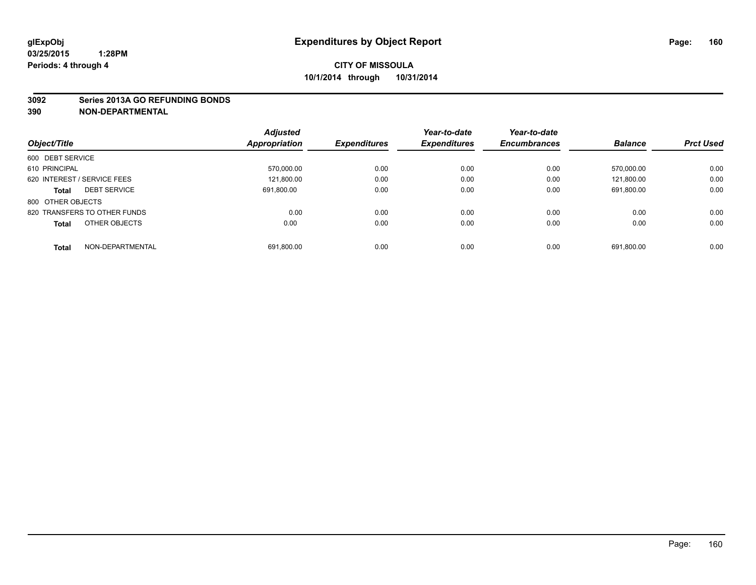#### **3092 Series 2013A GO REFUNDING BONDS**

|                                     | <b>Adjusted</b> |                     | Year-to-date<br><b>Expenditures</b> | Year-to-date        |                | <b>Prct Used</b> |
|-------------------------------------|-----------------|---------------------|-------------------------------------|---------------------|----------------|------------------|
| Object/Title                        | Appropriation   | <b>Expenditures</b> |                                     | <b>Encumbrances</b> | <b>Balance</b> |                  |
| 600 DEBT SERVICE                    |                 |                     |                                     |                     |                |                  |
| 610 PRINCIPAL                       | 570,000.00      | 0.00                | 0.00                                | 0.00                | 570,000.00     | 0.00             |
| 620 INTEREST / SERVICE FEES         | 121,800.00      | 0.00                | 0.00                                | 0.00                | 121.800.00     | 0.00             |
| <b>DEBT SERVICE</b><br><b>Total</b> | 691.800.00      | 0.00                | 0.00                                | 0.00                | 691.800.00     | 0.00             |
| 800 OTHER OBJECTS                   |                 |                     |                                     |                     |                |                  |
| 820 TRANSFERS TO OTHER FUNDS        | 0.00            | 0.00                | 0.00                                | 0.00                | 0.00           | 0.00             |
| OTHER OBJECTS<br><b>Total</b>       | 0.00            | 0.00                | 0.00                                | 0.00                | 0.00           | 0.00             |
| NON-DEPARTMENTAL<br><b>Total</b>    | 691,800.00      | 0.00                | 0.00                                | 0.00                | 691.800.00     | 0.00             |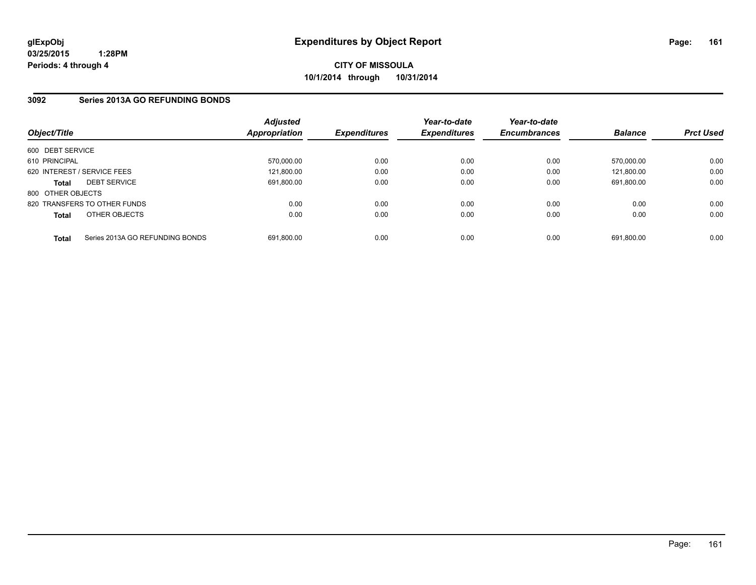**CITY OF MISSOULA 10/1/2014 through 10/31/2014**

## **3092 Series 2013A GO REFUNDING BONDS**

| Object/Title      |                                 | <b>Adjusted</b><br><b>Appropriation</b> | <b>Expenditures</b> | Year-to-date<br><b>Expenditures</b> | Year-to-date<br><b>Encumbrances</b> | <b>Balance</b> | <b>Prct Used</b> |
|-------------------|---------------------------------|-----------------------------------------|---------------------|-------------------------------------|-------------------------------------|----------------|------------------|
| 600 DEBT SERVICE  |                                 |                                         |                     |                                     |                                     |                |                  |
| 610 PRINCIPAL     |                                 | 570.000.00                              | 0.00                | 0.00                                | 0.00                                | 570.000.00     | 0.00             |
|                   | 620 INTEREST / SERVICE FEES     | 121,800.00                              | 0.00                | 0.00                                | 0.00                                | 121.800.00     | 0.00             |
| <b>Total</b>      | <b>DEBT SERVICE</b>             | 691.800.00                              | 0.00                | 0.00                                | 0.00                                | 691.800.00     | 0.00             |
| 800 OTHER OBJECTS |                                 |                                         |                     |                                     |                                     |                |                  |
|                   | 820 TRANSFERS TO OTHER FUNDS    | 0.00                                    | 0.00                | 0.00                                | 0.00                                | 0.00           | 0.00             |
| <b>Total</b>      | OTHER OBJECTS                   | 0.00                                    | 0.00                | 0.00                                | 0.00                                | 0.00           | 0.00             |
| <b>Total</b>      | Series 2013A GO REFUNDING BONDS | 691.800.00                              | 0.00                | 0.00                                | 0.00                                | 691.800.00     | 0.00             |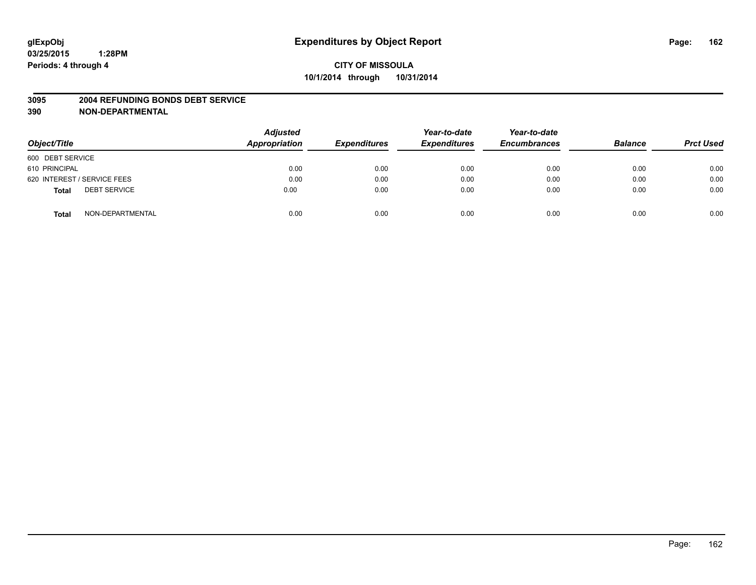#### **3095 2004 REFUNDING BONDS DEBT SERVICE**

| Object/Title                        | <b>Adjusted</b><br>Appropriation | <b>Expenditures</b> | Year-to-date<br><b>Expenditures</b> | Year-to-date<br><b>Encumbrances</b> | <b>Balance</b> | <b>Prct Used</b> |
|-------------------------------------|----------------------------------|---------------------|-------------------------------------|-------------------------------------|----------------|------------------|
| 600 DEBT SERVICE                    |                                  |                     |                                     |                                     |                |                  |
| 610 PRINCIPAL                       | 0.00                             | 0.00                | 0.00                                | 0.00                                | 0.00           | 0.00             |
| 620 INTEREST / SERVICE FEES         | 0.00                             | 0.00                | 0.00                                | 0.00                                | 0.00           | 0.00             |
| <b>DEBT SERVICE</b><br><b>Total</b> | 0.00                             | 0.00                | 0.00                                | 0.00                                | 0.00           | 0.00             |
| NON-DEPARTMENTAL<br><b>Total</b>    | 0.00                             | 0.00                | 0.00                                | 0.00                                | 0.00           | 0.00             |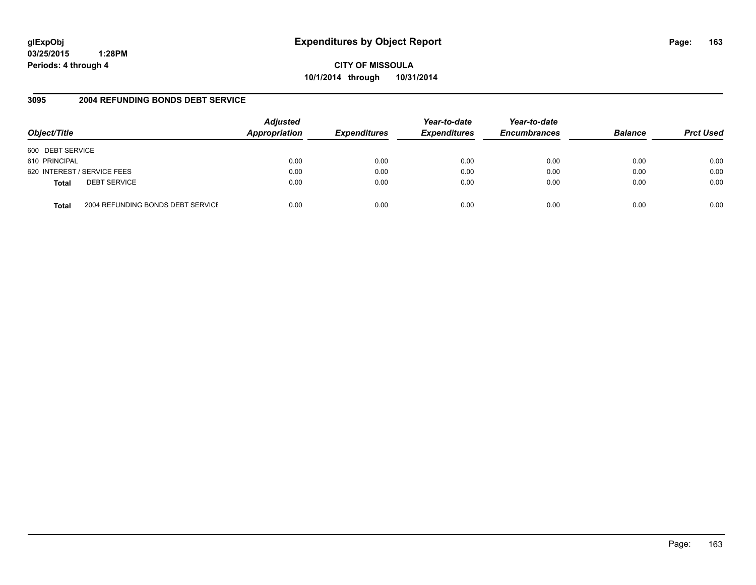# **glExpObj Expenditures by Object Report Page: 163**

**03/25/2015 1:28PM Periods: 4 through 4**

## **3095 2004 REFUNDING BONDS DEBT SERVICE**

| Object/Title     |                                   | <b>Adjusted</b><br><b>Appropriation</b> | <b>Expenditures</b> | Year-to-date<br><b>Expenditures</b> | Year-to-date<br><b>Encumbrances</b> | <b>Balance</b> | <b>Prct Used</b> |
|------------------|-----------------------------------|-----------------------------------------|---------------------|-------------------------------------|-------------------------------------|----------------|------------------|
| 600 DEBT SERVICE |                                   |                                         |                     |                                     |                                     |                |                  |
| 610 PRINCIPAL    |                                   | 0.00                                    | 0.00                | 0.00                                | 0.00                                | 0.00           | 0.00             |
|                  | 620 INTEREST / SERVICE FEES       | 0.00                                    | 0.00                | 0.00                                | 0.00                                | 0.00           | 0.00             |
| <b>Total</b>     | <b>DEBT SERVICE</b>               | 0.00                                    | 0.00                | 0.00                                | 0.00                                | 0.00           | 0.00             |
| <b>Total</b>     | 2004 REFUNDING BONDS DEBT SERVICE | 0.00                                    | 0.00                | 0.00                                | 0.00                                | 0.00           | 0.00             |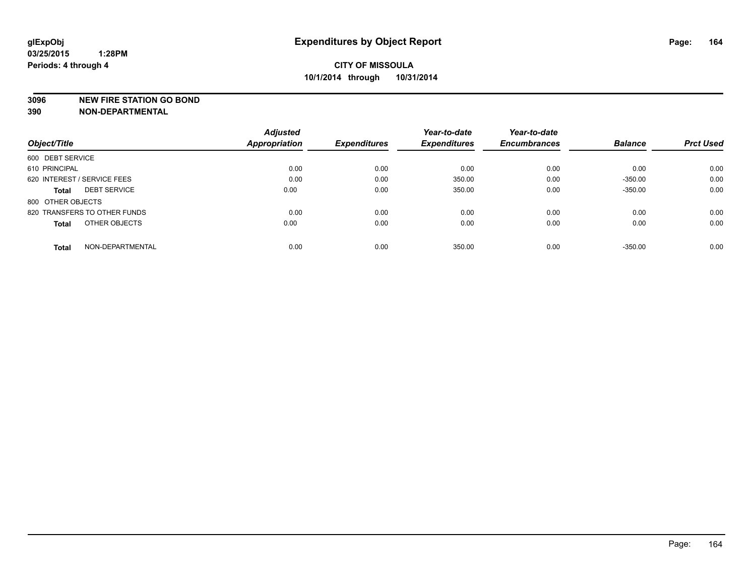#### **3096 NEW FIRE STATION GO BOND**

|                                     | <b>Adjusted</b> |                     | Year-to-date        | Year-to-date        |                | <b>Prct Used</b> |
|-------------------------------------|-----------------|---------------------|---------------------|---------------------|----------------|------------------|
| Object/Title                        | Appropriation   | <b>Expenditures</b> | <b>Expenditures</b> | <b>Encumbrances</b> | <b>Balance</b> |                  |
| 600 DEBT SERVICE                    |                 |                     |                     |                     |                |                  |
| 610 PRINCIPAL                       | 0.00            | 0.00                | 0.00                | 0.00                | 0.00           | 0.00             |
| 620 INTEREST / SERVICE FEES         | 0.00            | 0.00                | 350.00              | 0.00                | $-350.00$      | 0.00             |
| <b>DEBT SERVICE</b><br><b>Total</b> | 0.00            | 0.00                | 350.00              | 0.00                | $-350.00$      | 0.00             |
| 800 OTHER OBJECTS                   |                 |                     |                     |                     |                |                  |
| 820 TRANSFERS TO OTHER FUNDS        | 0.00            | 0.00                | 0.00                | 0.00                | 0.00           | 0.00             |
| OTHER OBJECTS<br><b>Total</b>       | 0.00            | 0.00                | 0.00                | 0.00                | 0.00           | 0.00             |
| NON-DEPARTMENTAL<br><b>Total</b>    | 0.00            | 0.00                | 350.00              | 0.00                | $-350.00$      | 0.00             |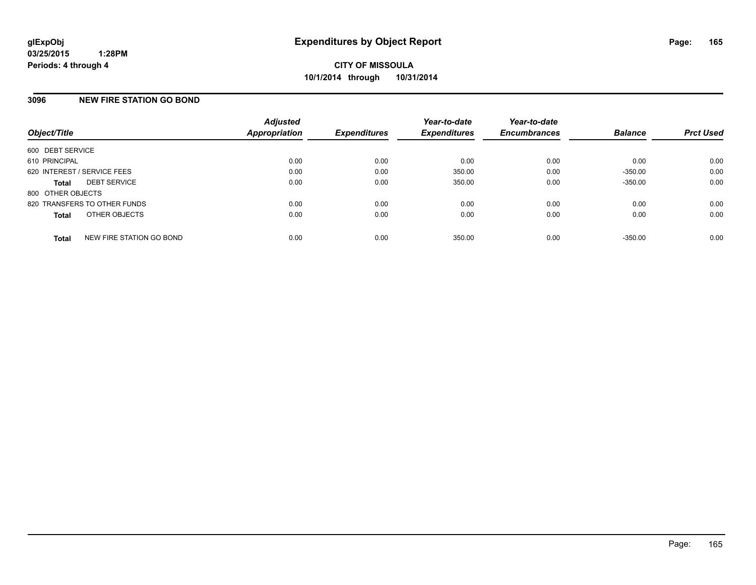## **3096 NEW FIRE STATION GO BOND**

| Object/Title                             | <b>Adjusted</b><br>Appropriation | <b>Expenditures</b> | Year-to-date<br><b>Expenditures</b> | Year-to-date<br><b>Encumbrances</b> | <b>Balance</b> | <b>Prct Used</b> |
|------------------------------------------|----------------------------------|---------------------|-------------------------------------|-------------------------------------|----------------|------------------|
| 600 DEBT SERVICE                         |                                  |                     |                                     |                                     |                |                  |
| 610 PRINCIPAL                            | 0.00                             | 0.00                | 0.00                                | 0.00                                | 0.00           | 0.00             |
| 620 INTEREST / SERVICE FEES              | 0.00                             | 0.00                | 350.00                              | 0.00                                | $-350.00$      | 0.00             |
| <b>DEBT SERVICE</b><br><b>Total</b>      | 0.00                             | 0.00                | 350.00                              | 0.00                                | $-350.00$      | 0.00             |
| 800 OTHER OBJECTS                        |                                  |                     |                                     |                                     |                |                  |
| 820 TRANSFERS TO OTHER FUNDS             | 0.00                             | 0.00                | 0.00                                | 0.00                                | 0.00           | 0.00             |
| OTHER OBJECTS<br><b>Total</b>            | 0.00                             | 0.00                | 0.00                                | 0.00                                | 0.00           | 0.00             |
| NEW FIRE STATION GO BOND<br><b>Total</b> | 0.00                             | 0.00                | 350.00                              | 0.00                                | $-350.00$      | 0.00             |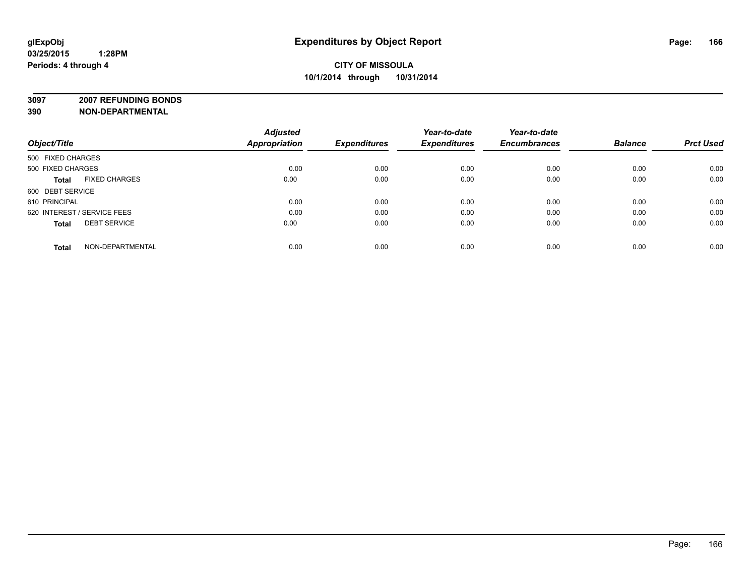**3097 2007 REFUNDING BONDS**

|                                      | <b>Adjusted</b>      |                     | Year-to-date        | Year-to-date        |                |                  |
|--------------------------------------|----------------------|---------------------|---------------------|---------------------|----------------|------------------|
| Object/Title                         | <b>Appropriation</b> | <b>Expenditures</b> | <b>Expenditures</b> | <b>Encumbrances</b> | <b>Balance</b> | <b>Prct Used</b> |
| 500 FIXED CHARGES                    |                      |                     |                     |                     |                |                  |
| 500 FIXED CHARGES                    | 0.00                 | 0.00                | 0.00                | 0.00                | 0.00           | 0.00             |
| <b>FIXED CHARGES</b><br><b>Total</b> | 0.00                 | 0.00                | 0.00                | 0.00                | 0.00           | 0.00             |
| 600 DEBT SERVICE                     |                      |                     |                     |                     |                |                  |
| 610 PRINCIPAL                        | 0.00                 | 0.00                | 0.00                | 0.00                | 0.00           | 0.00             |
| 620 INTEREST / SERVICE FEES          | 0.00                 | 0.00                | 0.00                | 0.00                | 0.00           | 0.00             |
| <b>DEBT SERVICE</b><br><b>Total</b>  | 0.00                 | 0.00                | 0.00                | 0.00                | 0.00           | 0.00             |
| NON-DEPARTMENTAL<br><b>Total</b>     | 0.00                 | 0.00                | 0.00                | 0.00                | 0.00           | 0.00             |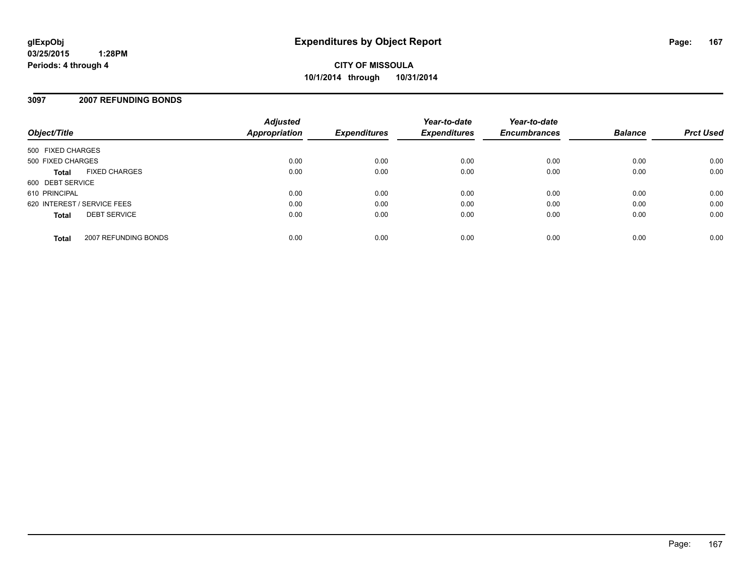**CITY OF MISSOULA 10/1/2014 through 10/31/2014**

## **3097 2007 REFUNDING BONDS**

| Object/Title                |                      | <b>Adjusted</b><br><b>Appropriation</b> | <b>Expenditures</b> | Year-to-date<br><b>Expenditures</b> | Year-to-date<br><b>Encumbrances</b> | <b>Balance</b> | <b>Prct Used</b> |
|-----------------------------|----------------------|-----------------------------------------|---------------------|-------------------------------------|-------------------------------------|----------------|------------------|
| 500 FIXED CHARGES           |                      |                                         |                     |                                     |                                     |                |                  |
| 500 FIXED CHARGES           |                      | 0.00                                    | 0.00                | 0.00                                | 0.00                                | 0.00           | 0.00             |
| <b>Total</b>                | <b>FIXED CHARGES</b> | 0.00                                    | 0.00                | 0.00                                | 0.00                                | 0.00           | 0.00             |
| 600 DEBT SERVICE            |                      |                                         |                     |                                     |                                     |                |                  |
| 610 PRINCIPAL               |                      | 0.00                                    | 0.00                | 0.00                                | 0.00                                | 0.00           | 0.00             |
| 620 INTEREST / SERVICE FEES |                      | 0.00                                    | 0.00                | 0.00                                | 0.00                                | 0.00           | 0.00             |
| <b>Total</b>                | <b>DEBT SERVICE</b>  | 0.00                                    | 0.00                | 0.00                                | 0.00                                | 0.00           | 0.00             |
| <b>Total</b>                | 2007 REFUNDING BONDS | 0.00                                    | 0.00                | 0.00                                | 0.00                                | 0.00           | 0.00             |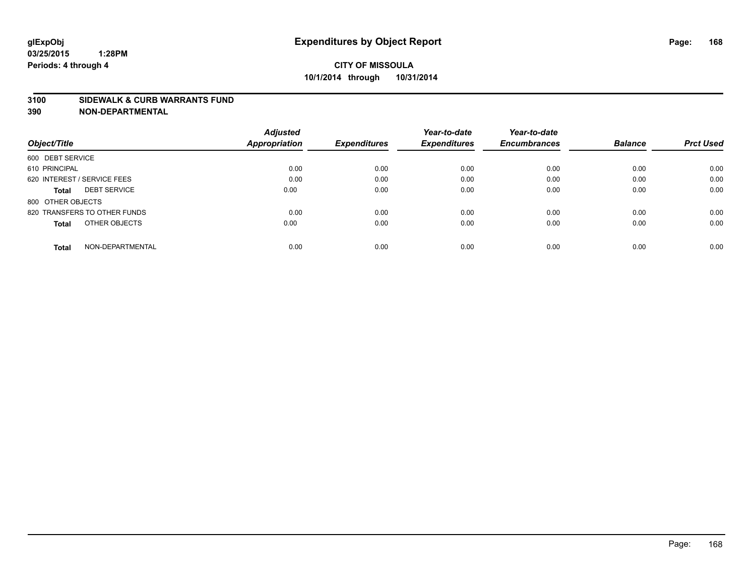#### **3100 SIDEWALK & CURB WARRANTS FUND**

| Object/Title                        | <b>Adjusted</b><br><b>Appropriation</b> | <b>Expenditures</b> | Year-to-date<br><b>Expenditures</b> | Year-to-date<br><b>Encumbrances</b> | <b>Balance</b> | <b>Prct Used</b> |
|-------------------------------------|-----------------------------------------|---------------------|-------------------------------------|-------------------------------------|----------------|------------------|
|                                     |                                         |                     |                                     |                                     |                |                  |
| 600 DEBT SERVICE                    |                                         |                     |                                     |                                     |                |                  |
| 610 PRINCIPAL                       | 0.00                                    | 0.00                | 0.00                                | 0.00                                | 0.00           | 0.00             |
| 620 INTEREST / SERVICE FEES         | 0.00                                    | 0.00                | 0.00                                | 0.00                                | 0.00           | 0.00             |
| <b>DEBT SERVICE</b><br><b>Total</b> | 0.00                                    | 0.00                | 0.00                                | 0.00                                | 0.00           | 0.00             |
| 800 OTHER OBJECTS                   |                                         |                     |                                     |                                     |                |                  |
| 820 TRANSFERS TO OTHER FUNDS        | 0.00                                    | 0.00                | 0.00                                | 0.00                                | 0.00           | 0.00             |
| OTHER OBJECTS<br><b>Total</b>       | 0.00                                    | 0.00                | 0.00                                | 0.00                                | 0.00           | 0.00             |
| NON-DEPARTMENTAL<br><b>Total</b>    | 0.00                                    | 0.00                | 0.00                                | 0.00                                | 0.00           | 0.00             |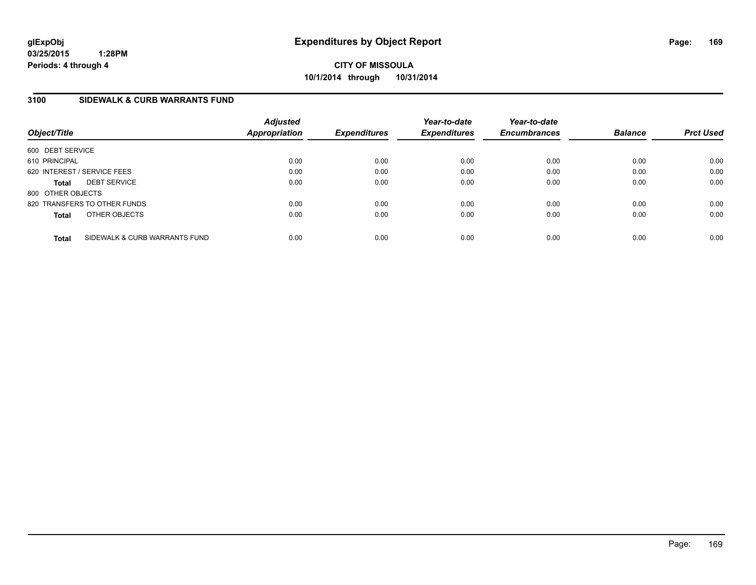**CITY OF MISSOULA 10/1/2014 through 10/31/2014**

## **3100 SIDEWALK & CURB WARRANTS FUND**

| Object/Title      |                               | <b>Adjusted</b><br>Appropriation | <b>Expenditures</b> | Year-to-date<br><b>Expenditures</b> | Year-to-date<br><b>Encumbrances</b> | <b>Balance</b> | <b>Prct Used</b> |
|-------------------|-------------------------------|----------------------------------|---------------------|-------------------------------------|-------------------------------------|----------------|------------------|
| 600 DEBT SERVICE  |                               |                                  |                     |                                     |                                     |                |                  |
| 610 PRINCIPAL     |                               | 0.00                             | 0.00                | 0.00                                | 0.00                                | 0.00           | 0.00             |
|                   | 620 INTEREST / SERVICE FEES   | 0.00                             | 0.00                | 0.00                                | 0.00                                | 0.00           | 0.00             |
| <b>Total</b>      | <b>DEBT SERVICE</b>           | 0.00                             | 0.00                | 0.00                                | 0.00                                | 0.00           | 0.00             |
| 800 OTHER OBJECTS |                               |                                  |                     |                                     |                                     |                |                  |
|                   | 820 TRANSFERS TO OTHER FUNDS  | 0.00                             | 0.00                | 0.00                                | 0.00                                | 0.00           | 0.00             |
| <b>Total</b>      | OTHER OBJECTS                 | 0.00                             | 0.00                | 0.00                                | 0.00                                | 0.00           | 0.00             |
| <b>Total</b>      | SIDEWALK & CURB WARRANTS FUND | 0.00                             | 0.00                | 0.00                                | 0.00                                | 0.00           | 0.00             |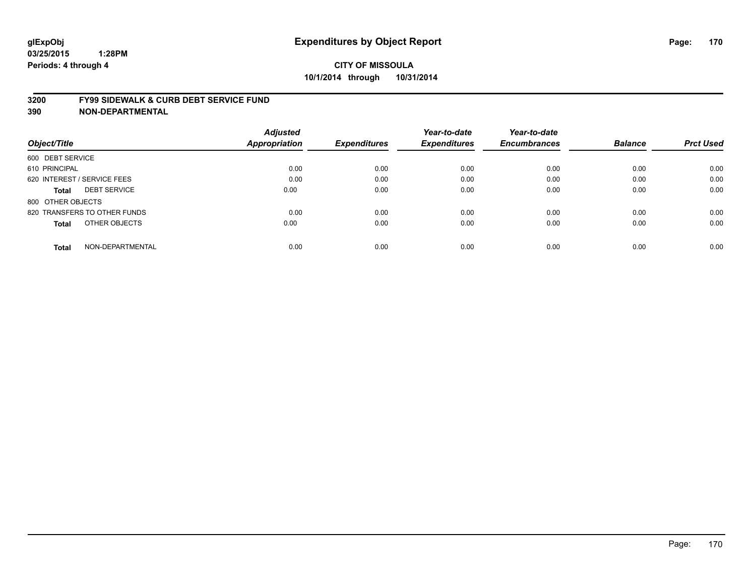#### **3200 FY99 SIDEWALK & CURB DEBT SERVICE FUND**

|                                     | <b>Adjusted</b>      |                     | Year-to-date        | Year-to-date        |                |                  |
|-------------------------------------|----------------------|---------------------|---------------------|---------------------|----------------|------------------|
| Object/Title                        | <b>Appropriation</b> | <b>Expenditures</b> | <b>Expenditures</b> | <b>Encumbrances</b> | <b>Balance</b> | <b>Prct Used</b> |
| 600 DEBT SERVICE                    |                      |                     |                     |                     |                |                  |
| 610 PRINCIPAL                       | 0.00                 | 0.00                | 0.00                | 0.00                | 0.00           | 0.00             |
| 620 INTEREST / SERVICE FEES         | 0.00                 | 0.00                | 0.00                | 0.00                | 0.00           | 0.00             |
| <b>DEBT SERVICE</b><br><b>Total</b> | 0.00                 | 0.00                | 0.00                | 0.00                | 0.00           | 0.00             |
| 800 OTHER OBJECTS                   |                      |                     |                     |                     |                |                  |
| 820 TRANSFERS TO OTHER FUNDS        | 0.00                 | 0.00                | 0.00                | 0.00                | 0.00           | 0.00             |
| OTHER OBJECTS<br><b>Total</b>       | 0.00                 | 0.00                | 0.00                | 0.00                | 0.00           | 0.00             |
| NON-DEPARTMENTAL<br>Total           | 0.00                 | 0.00                | 0.00                | 0.00                | 0.00           | 0.00             |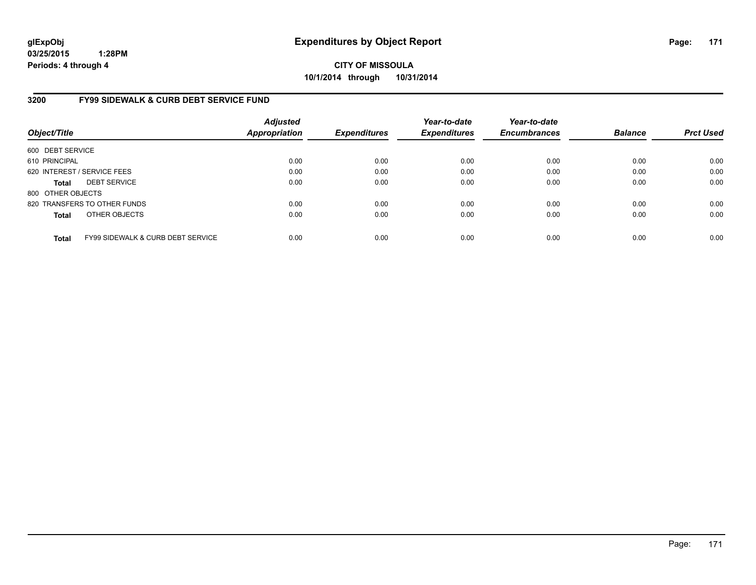**CITY OF MISSOULA 10/1/2014 through 10/31/2014**

## **3200 FY99 SIDEWALK & CURB DEBT SERVICE FUND**

| Object/Title      |                                              | <b>Adjusted</b><br><b>Appropriation</b> | <b>Expenditures</b> | Year-to-date<br><b>Expenditures</b> | Year-to-date<br><b>Encumbrances</b> | <b>Balance</b> | <b>Prct Used</b> |
|-------------------|----------------------------------------------|-----------------------------------------|---------------------|-------------------------------------|-------------------------------------|----------------|------------------|
| 600 DEBT SERVICE  |                                              |                                         |                     |                                     |                                     |                |                  |
| 610 PRINCIPAL     |                                              | 0.00                                    | 0.00                | 0.00                                | 0.00                                | 0.00           | 0.00             |
|                   | 620 INTEREST / SERVICE FEES                  | 0.00                                    | 0.00                | 0.00                                | 0.00                                | 0.00           | 0.00             |
| <b>Total</b>      | <b>DEBT SERVICE</b>                          | 0.00                                    | 0.00                | 0.00                                | 0.00                                | 0.00           | 0.00             |
| 800 OTHER OBJECTS |                                              |                                         |                     |                                     |                                     |                |                  |
|                   | 820 TRANSFERS TO OTHER FUNDS                 | 0.00                                    | 0.00                | 0.00                                | 0.00                                | 0.00           | 0.00             |
| <b>Total</b>      | OTHER OBJECTS                                | 0.00                                    | 0.00                | 0.00                                | 0.00                                | 0.00           | 0.00             |
| <b>Total</b>      | <b>FY99 SIDEWALK &amp; CURB DEBT SERVICE</b> | 0.00                                    | 0.00                | 0.00                                | 0.00                                | 0.00           | 0.00             |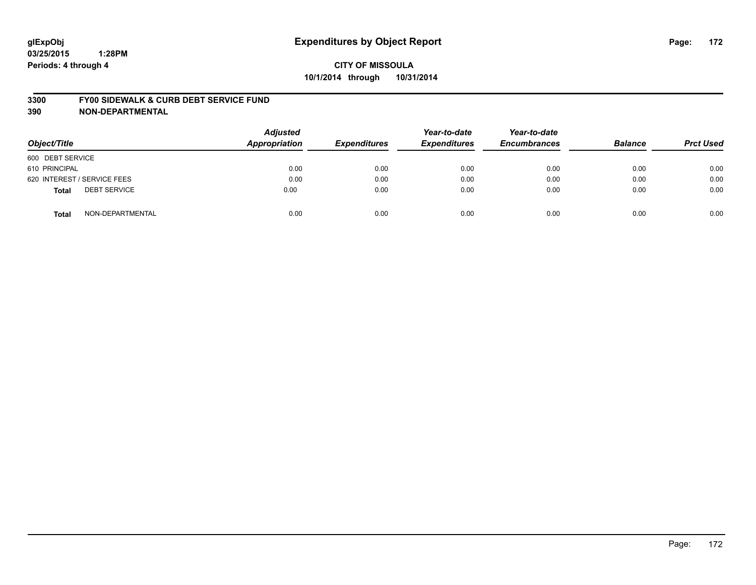#### **3300 FY00 SIDEWALK & CURB DEBT SERVICE FUND**

| Object/Title                        | <b>Adjusted</b><br><b>Appropriation</b> | <b>Expenditures</b> | Year-to-date<br><b>Expenditures</b> | Year-to-date<br><b>Encumbrances</b> | <b>Balance</b> | <b>Prct Used</b> |
|-------------------------------------|-----------------------------------------|---------------------|-------------------------------------|-------------------------------------|----------------|------------------|
| 600 DEBT SERVICE                    |                                         |                     |                                     |                                     |                |                  |
| 610 PRINCIPAL                       | 0.00                                    | 0.00                | 0.00                                | 0.00                                | 0.00           | 0.00             |
| 620 INTEREST / SERVICE FEES         | 0.00                                    | 0.00                | 0.00                                | 0.00                                | 0.00           | 0.00             |
| <b>DEBT SERVICE</b><br><b>Total</b> | 0.00                                    | 0.00                | 0.00                                | 0.00                                | 0.00           | 0.00             |
| NON-DEPARTMENTAL<br><b>Total</b>    | 0.00                                    | 0.00                | 0.00                                | 0.00                                | 0.00           | 0.00             |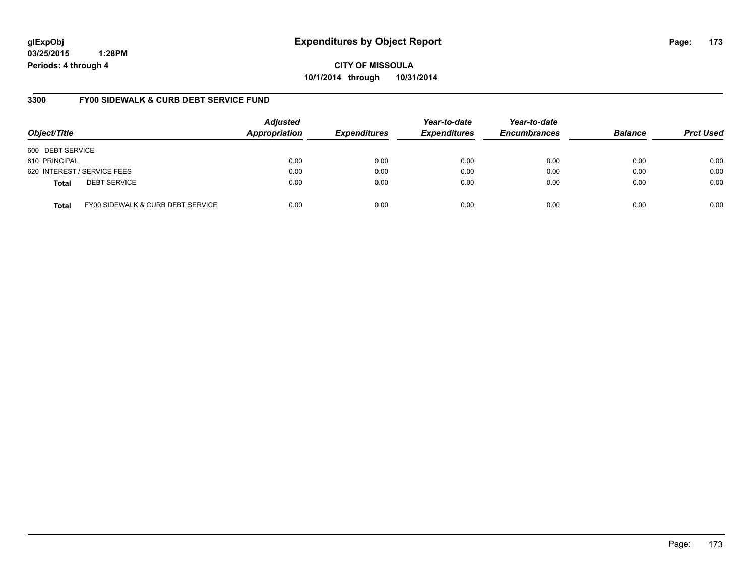**CITY OF MISSOULA 10/1/2014 through 10/31/2014**

# **3300 FY00 SIDEWALK & CURB DEBT SERVICE FUND**

| Object/Title     |                                   | <b>Adjusted</b><br>Appropriation | <b>Expenditures</b> | Year-to-date<br><b>Expenditures</b> | Year-to-date<br><b>Encumbrances</b> | <b>Balance</b> | <b>Prct Used</b> |
|------------------|-----------------------------------|----------------------------------|---------------------|-------------------------------------|-------------------------------------|----------------|------------------|
| 600 DEBT SERVICE |                                   |                                  |                     |                                     |                                     |                |                  |
| 610 PRINCIPAL    |                                   | 0.00                             | 0.00                | 0.00                                | 0.00                                | 0.00           | 0.00             |
|                  | 620 INTEREST / SERVICE FEES       | 0.00                             | 0.00                | 0.00                                | 0.00                                | 0.00           | 0.00             |
| <b>Total</b>     | <b>DEBT SERVICE</b>               | 0.00                             | 0.00                | 0.00                                | 0.00                                | 0.00           | 0.00             |
| <b>Total</b>     | FY00 SIDEWALK & CURB DEBT SERVICE | 0.00                             | 0.00                | 0.00                                | 0.00                                | 0.00           | 0.00             |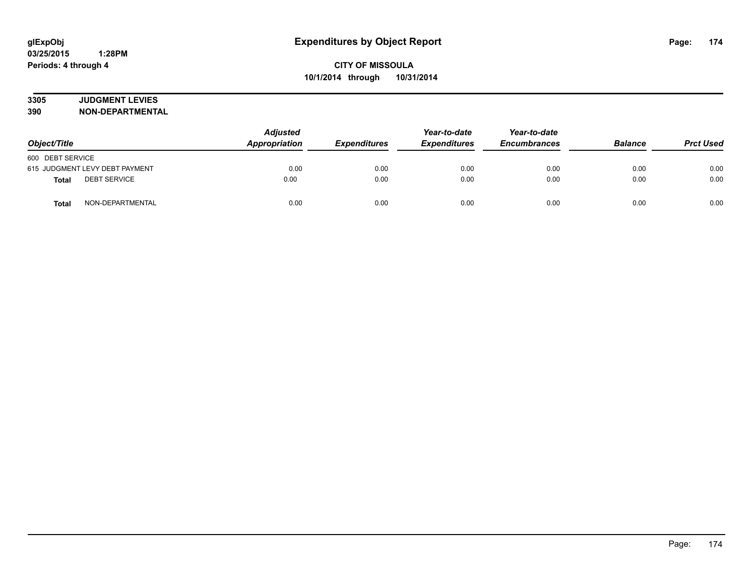# **3305 JUDGMENT LEVIES**

| Object/Title                        | <b>Adjusted</b><br>Appropriation<br><i><b>Expenditures</b></i> | Year-to-date<br><b>Expenditures</b> | Year-to-date<br><b>Encumbrances</b> | <b>Balance</b> | <b>Prct Used</b> |      |
|-------------------------------------|----------------------------------------------------------------|-------------------------------------|-------------------------------------|----------------|------------------|------|
| 600 DEBT SERVICE                    |                                                                |                                     |                                     |                |                  |      |
| 615 JUDGMENT LEVY DEBT PAYMENT      | 0.00                                                           | 0.00                                | 0.00                                | 0.00           | 0.00             | 0.00 |
| <b>DEBT SERVICE</b><br><b>Total</b> | 0.00                                                           | 0.00                                | 0.00                                | 0.00           | 0.00             | 0.00 |
| NON-DEPARTMENTAL<br><b>Total</b>    | 0.00                                                           | 0.00                                | 0.00                                | 0.00           | 0.00             | 0.00 |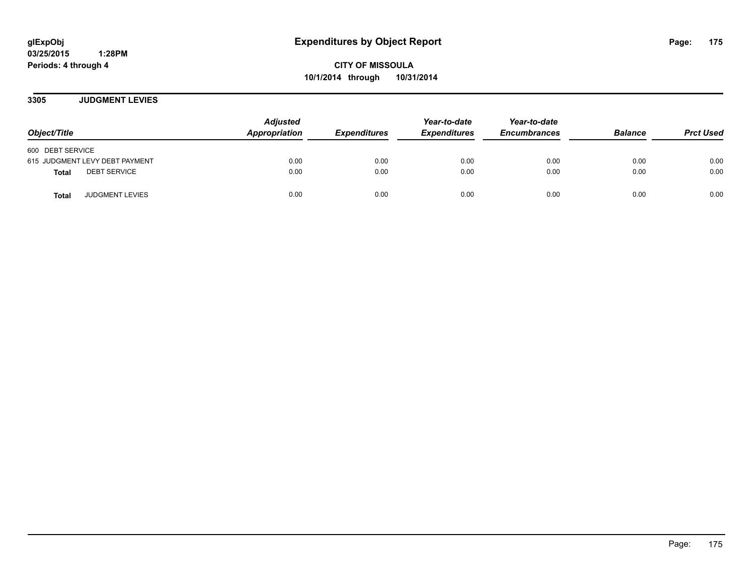**CITY OF MISSOULA 10/1/2014 through 10/31/2014**

**3305 JUDGMENT LEVIES**

| Object/Title                           | <b>Adjusted</b><br>Appropriation | <b>Expenditures</b> | Year-to-date<br><b>Expenditures</b> | Year-to-date<br><b>Encumbrances</b> | <b>Balance</b> | <b>Prct Used</b> |
|----------------------------------------|----------------------------------|---------------------|-------------------------------------|-------------------------------------|----------------|------------------|
| 600 DEBT SERVICE                       |                                  |                     |                                     |                                     |                |                  |
| 615 JUDGMENT LEVY DEBT PAYMENT         | 0.00                             | 0.00                | 0.00                                | 0.00                                | 0.00           | 0.00             |
| <b>DEBT SERVICE</b><br><b>Total</b>    | 0.00                             | 0.00                | 0.00                                | 0.00                                | 0.00           | 0.00             |
| <b>JUDGMENT LEVIES</b><br><b>Total</b> | 0.00                             | 0.00                | 0.00                                | 0.00                                | 0.00           | 0.00             |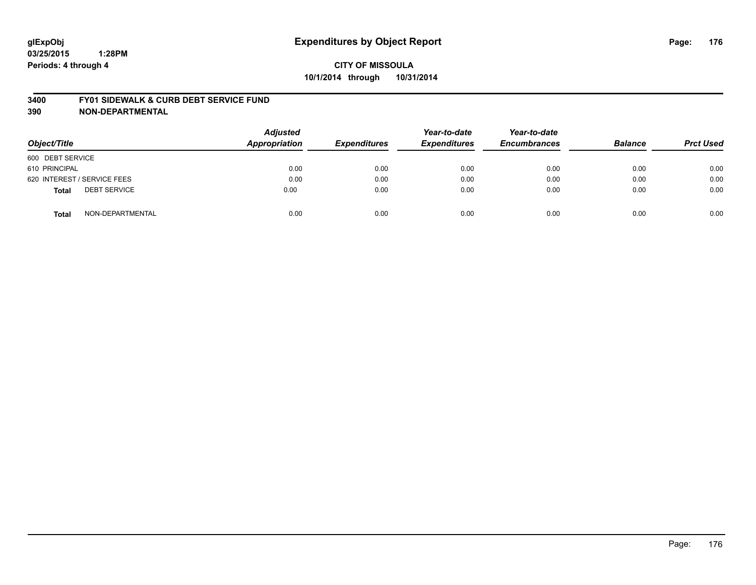#### **3400 FY01 SIDEWALK & CURB DEBT SERVICE FUND**

| Object/Title                        | <b>Adjusted</b><br><b>Appropriation</b> | <b>Expenditures</b> | Year-to-date<br><b>Expenditures</b> | Year-to-date<br><b>Encumbrances</b> | <b>Balance</b> | <b>Prct Used</b> |
|-------------------------------------|-----------------------------------------|---------------------|-------------------------------------|-------------------------------------|----------------|------------------|
| 600 DEBT SERVICE                    |                                         |                     |                                     |                                     |                |                  |
| 610 PRINCIPAL                       | 0.00                                    | 0.00                | 0.00                                | 0.00                                | 0.00           | 0.00             |
| 620 INTEREST / SERVICE FEES         | 0.00                                    | 0.00                | 0.00                                | 0.00                                | 0.00           | 0.00             |
| <b>DEBT SERVICE</b><br><b>Total</b> | 0.00                                    | 0.00                | 0.00                                | 0.00                                | 0.00           | 0.00             |
| NON-DEPARTMENTAL<br><b>Total</b>    | 0.00                                    | 0.00                | 0.00                                | 0.00                                | 0.00           | 0.00             |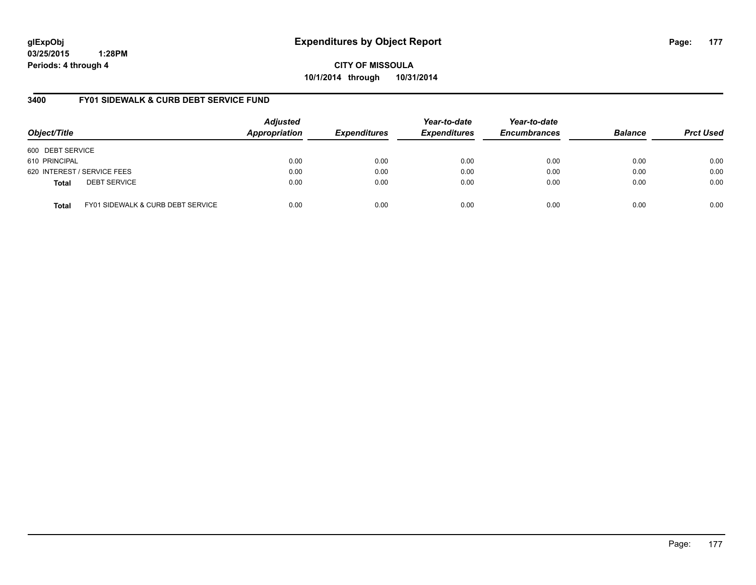**CITY OF MISSOULA 10/1/2014 through 10/31/2014**

# **3400 FY01 SIDEWALK & CURB DEBT SERVICE FUND**

| Object/Title     |                                              | <b>Adjusted</b><br>Appropriation | <b>Expenditures</b> | Year-to-date<br><b>Expenditures</b> | Year-to-date<br><b>Encumbrances</b> | <b>Balance</b> | <b>Prct Used</b> |
|------------------|----------------------------------------------|----------------------------------|---------------------|-------------------------------------|-------------------------------------|----------------|------------------|
| 600 DEBT SERVICE |                                              |                                  |                     |                                     |                                     |                |                  |
| 610 PRINCIPAL    |                                              | 0.00                             | 0.00                | 0.00                                | 0.00                                | 0.00           | 0.00             |
|                  | 620 INTEREST / SERVICE FEES                  | 0.00                             | 0.00                | 0.00                                | 0.00                                | 0.00           | 0.00             |
| <b>Total</b>     | <b>DEBT SERVICE</b>                          | 0.00                             | 0.00                | 0.00                                | 0.00                                | 0.00           | 0.00             |
| <b>Total</b>     | <b>FY01 SIDEWALK &amp; CURB DEBT SERVICE</b> | 0.00                             | 0.00                | 0.00                                | 0.00                                | 0.00           | 0.00             |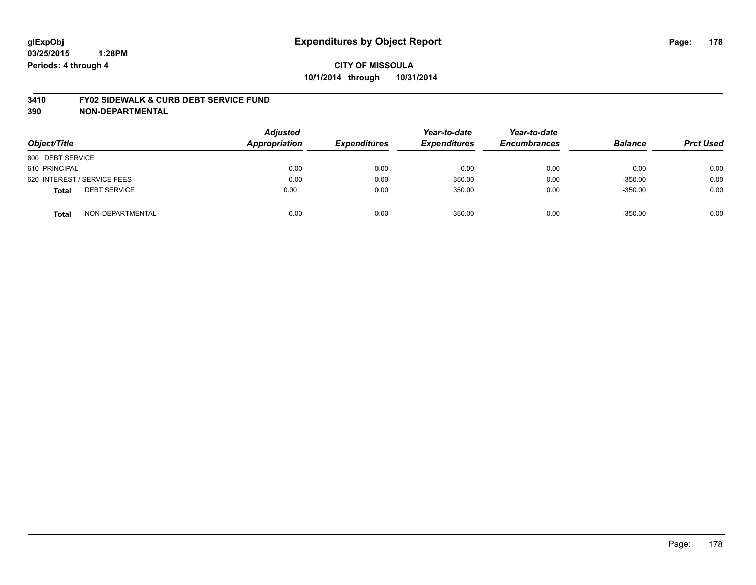#### **3410 FY02 SIDEWALK & CURB DEBT SERVICE FUND**

| Object/Title                        | <b>Adjusted</b><br><b>Appropriation</b> | <b>Expenditures</b> | Year-to-date<br><b>Expenditures</b> | Year-to-date<br><b>Encumbrances</b> | <b>Balance</b> | <b>Prct Used</b> |
|-------------------------------------|-----------------------------------------|---------------------|-------------------------------------|-------------------------------------|----------------|------------------|
| 600 DEBT SERVICE                    |                                         |                     |                                     |                                     |                |                  |
| 610 PRINCIPAL                       | 0.00                                    | 0.00                | 0.00                                | 0.00                                | 0.00           | 0.00             |
| 620 INTEREST / SERVICE FEES         | 0.00                                    | 0.00                | 350.00                              | 0.00                                | $-350.00$      | 0.00             |
| <b>DEBT SERVICE</b><br><b>Total</b> | 0.00                                    | 0.00                | 350.00                              | 0.00                                | $-350.00$      | 0.00             |
| NON-DEPARTMENTAL<br><b>Total</b>    | 0.00                                    | 0.00                | 350.00                              | 0.00                                | $-350.00$      | 0.00             |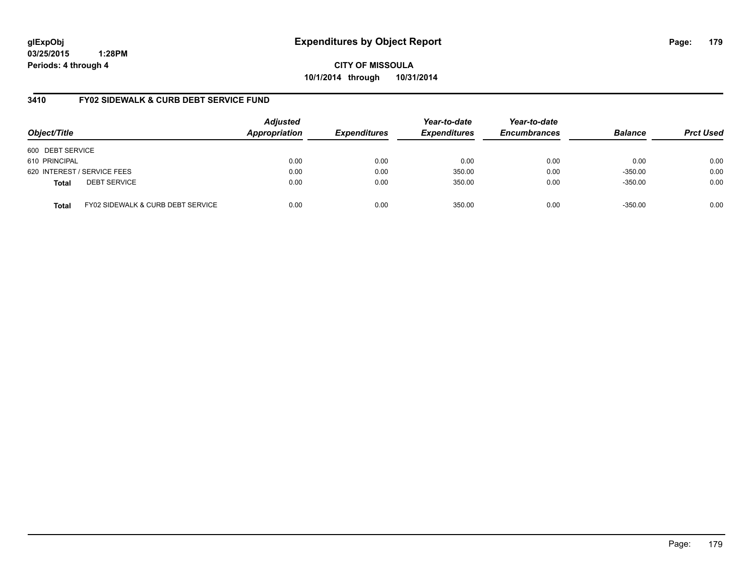**CITY OF MISSOULA 10/1/2014 through 10/31/2014**

# **3410 FY02 SIDEWALK & CURB DEBT SERVICE FUND**

| Object/Title     |                                              | <b>Adjusted</b><br>Appropriation | <b>Expenditures</b> | Year-to-date<br><b>Expenditures</b> | Year-to-date<br><b>Encumbrances</b> | <b>Balance</b> | <b>Prct Used</b> |
|------------------|----------------------------------------------|----------------------------------|---------------------|-------------------------------------|-------------------------------------|----------------|------------------|
| 600 DEBT SERVICE |                                              |                                  |                     |                                     |                                     |                |                  |
| 610 PRINCIPAL    |                                              | 0.00                             | 0.00                | 0.00                                | 0.00                                | 0.00           | 0.00             |
|                  | 620 INTEREST / SERVICE FEES                  | 0.00                             | 0.00                | 350.00                              | 0.00                                | $-350.00$      | 0.00             |
| <b>Total</b>     | <b>DEBT SERVICE</b>                          | 0.00                             | 0.00                | 350.00                              | 0.00                                | $-350.00$      | 0.00             |
| Total            | <b>FY02 SIDEWALK &amp; CURB DEBT SERVICE</b> | 0.00                             | 0.00                | 350.00                              | 0.00                                | $-350.00$      | 0.00             |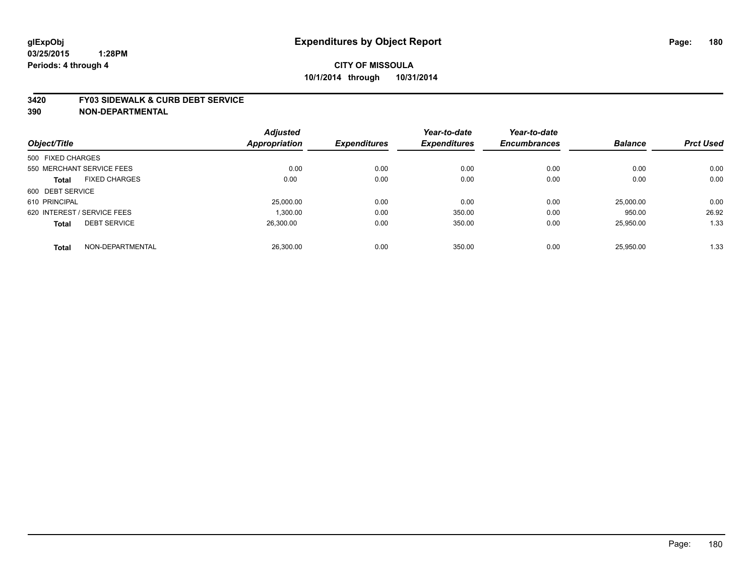#### **3420 FY03 SIDEWALK & CURB DEBT SERVICE**

|                             |                      | <b>Adjusted</b>      |                     | Year-to-date        | Year-to-date        |                |                  |
|-----------------------------|----------------------|----------------------|---------------------|---------------------|---------------------|----------------|------------------|
| Object/Title                |                      | <b>Appropriation</b> | <b>Expenditures</b> | <b>Expenditures</b> | <b>Encumbrances</b> | <b>Balance</b> | <b>Prct Used</b> |
| 500 FIXED CHARGES           |                      |                      |                     |                     |                     |                |                  |
| 550 MERCHANT SERVICE FEES   |                      | 0.00                 | 0.00                | 0.00                | 0.00                | 0.00           | 0.00             |
| <b>Total</b>                | <b>FIXED CHARGES</b> | 0.00                 | 0.00                | 0.00                | 0.00                | 0.00           | 0.00             |
| 600 DEBT SERVICE            |                      |                      |                     |                     |                     |                |                  |
| 610 PRINCIPAL               |                      | 25,000.00            | 0.00                | 0.00                | 0.00                | 25,000.00      | 0.00             |
| 620 INTEREST / SERVICE FEES |                      | 1.300.00             | 0.00                | 350.00              | 0.00                | 950.00         | 26.92            |
| <b>Total</b>                | <b>DEBT SERVICE</b>  | 26.300.00            | 0.00                | 350.00              | 0.00                | 25,950.00      | 1.33             |
| <b>Total</b>                | NON-DEPARTMENTAL     | 26.300.00            | 0.00                | 350.00              | 0.00                | 25.950.00      | 1.33             |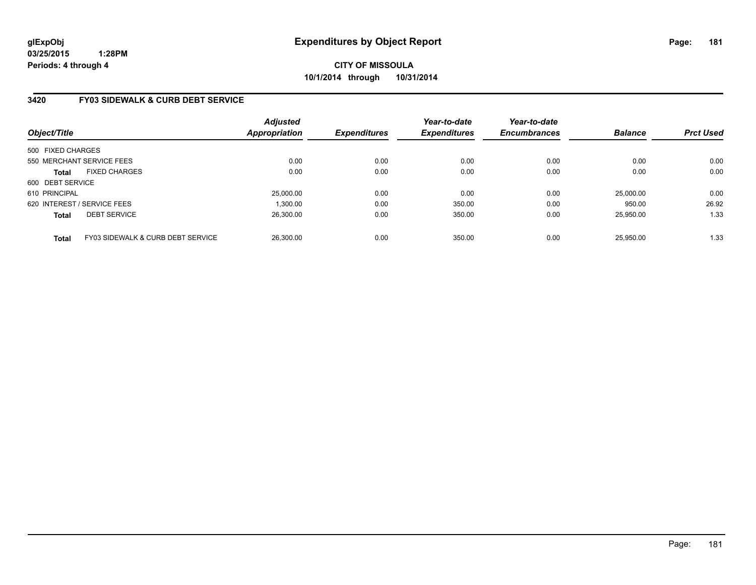# **CITY OF MISSOULA 10/1/2014 through 10/31/2014**

# **3420 FY03 SIDEWALK & CURB DEBT SERVICE**

| Object/Title                |                                   | <b>Adjusted</b><br><b>Appropriation</b> | <b>Expenditures</b> | Year-to-date<br><b>Expenditures</b> | Year-to-date<br><b>Encumbrances</b> | <b>Balance</b> | <b>Prct Used</b> |
|-----------------------------|-----------------------------------|-----------------------------------------|---------------------|-------------------------------------|-------------------------------------|----------------|------------------|
| 500 FIXED CHARGES           |                                   |                                         |                     |                                     |                                     |                |                  |
| 550 MERCHANT SERVICE FEES   |                                   | 0.00                                    | 0.00                | 0.00                                | 0.00                                | 0.00           | 0.00             |
| <b>Total</b>                | <b>FIXED CHARGES</b>              | 0.00                                    | 0.00                | 0.00                                | 0.00                                | 0.00           | 0.00             |
| 600 DEBT SERVICE            |                                   |                                         |                     |                                     |                                     |                |                  |
| 610 PRINCIPAL               |                                   | 25,000.00                               | 0.00                | 0.00                                | 0.00                                | 25,000.00      | 0.00             |
| 620 INTEREST / SERVICE FEES |                                   | 1.300.00                                | 0.00                | 350.00                              | 0.00                                | 950.00         | 26.92            |
| <b>Total</b>                | <b>DEBT SERVICE</b>               | 26.300.00                               | 0.00                | 350.00                              | 0.00                                | 25.950.00      | 1.33             |
| <b>Total</b>                | FY03 SIDEWALK & CURB DEBT SERVICE | 26.300.00                               | 0.00                | 350.00                              | 0.00                                | 25.950.00      | 1.33             |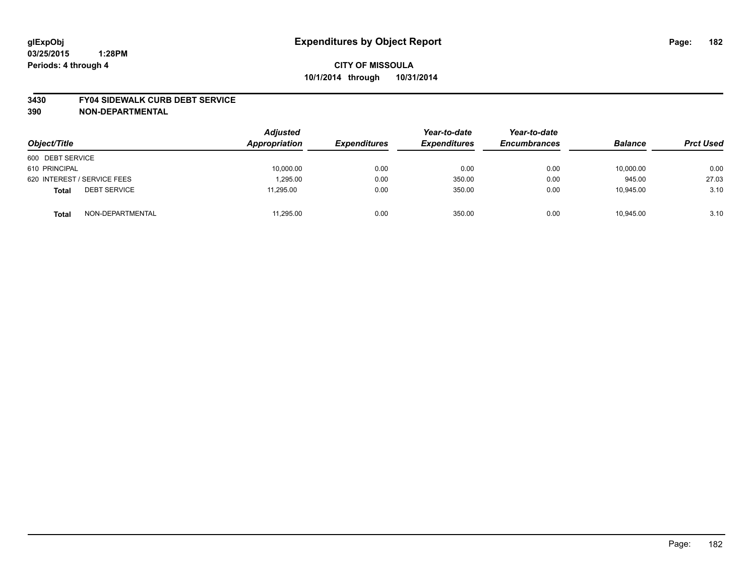### **3430 FY04 SIDEWALK CURB DEBT SERVICE**

| Object/Title                        | <b>Adjusted</b><br><b>Appropriation</b> | <b>Expenditures</b> | Year-to-date<br><b>Expenditures</b> | Year-to-date<br><b>Encumbrances</b> | <b>Balance</b> | <b>Prct Used</b> |
|-------------------------------------|-----------------------------------------|---------------------|-------------------------------------|-------------------------------------|----------------|------------------|
| 600 DEBT SERVICE                    |                                         |                     |                                     |                                     |                |                  |
| 610 PRINCIPAL                       | 10,000.00                               | 0.00                | 0.00                                | 0.00                                | 10,000.00      | 0.00             |
| 620 INTEREST / SERVICE FEES         | 1.295.00                                | 0.00                | 350.00                              | 0.00                                | 945.00         | 27.03            |
| <b>DEBT SERVICE</b><br><b>Total</b> | 11,295.00                               | 0.00                | 350.00                              | 0.00                                | 10,945.00      | 3.10             |
| NON-DEPARTMENTAL<br><b>Total</b>    | 11.295.00                               | 0.00                | 350.00                              | 0.00                                | 10.945.00      | 3.10             |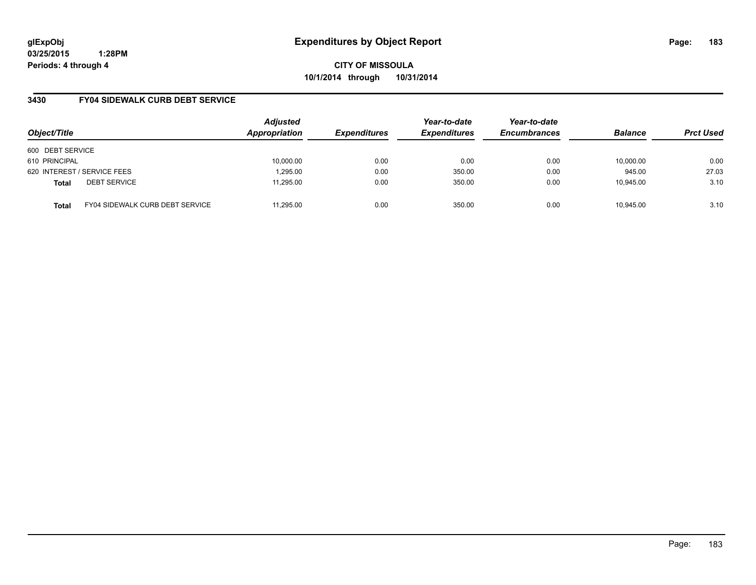**CITY OF MISSOULA 10/1/2014 through 10/31/2014**

## **3430 FY04 SIDEWALK CURB DEBT SERVICE**

| Object/Title     |                                        | <b>Adjusted</b><br>Appropriation | <b>Expenditures</b> | Year-to-date<br><b>Expenditures</b> | Year-to-date<br><b>Encumbrances</b> | <b>Balance</b> | <b>Prct Used</b> |
|------------------|----------------------------------------|----------------------------------|---------------------|-------------------------------------|-------------------------------------|----------------|------------------|
| 600 DEBT SERVICE |                                        |                                  |                     |                                     |                                     |                |                  |
| 610 PRINCIPAL    |                                        | 10,000.00                        | 0.00                | 0.00                                | 0.00                                | 10,000.00      | 0.00             |
|                  | 620 INTEREST / SERVICE FEES            | 1,295.00                         | 0.00                | 350.00                              | 0.00                                | 945.00         | 27.03            |
| <b>Total</b>     | <b>DEBT SERVICE</b>                    | 11.295.00                        | 0.00                | 350.00                              | 0.00                                | 10.945.00      | 3.10             |
| <b>Total</b>     | <b>FY04 SIDEWALK CURB DEBT SERVICE</b> | 11.295.00                        | 0.00                | 350.00                              | 0.00                                | 10.945.00      | 3.10             |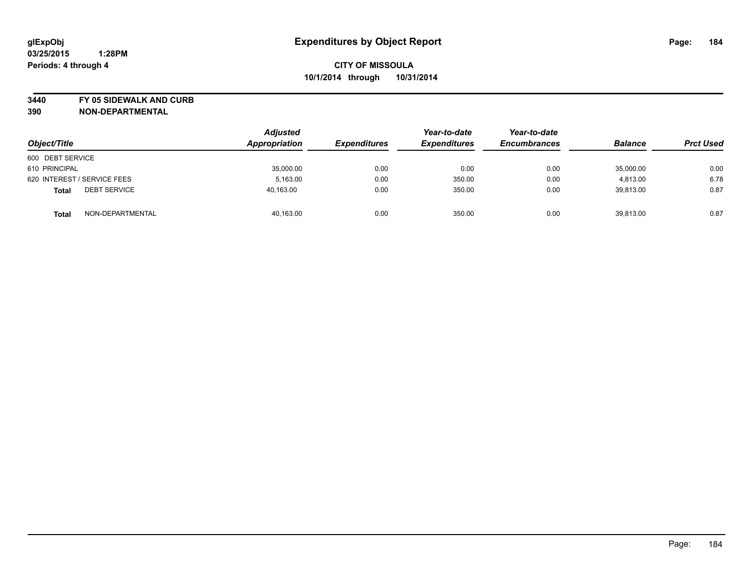**3440 FY 05 SIDEWALK AND CURB**

|                                     | <b>Adjusted</b><br>Appropriation |                     | Year-to-date        | Year-to-date        | <b>Balance</b> |                  |
|-------------------------------------|----------------------------------|---------------------|---------------------|---------------------|----------------|------------------|
| Object/Title                        |                                  | <b>Expenditures</b> | <b>Expenditures</b> | <b>Encumbrances</b> |                | <b>Prct Used</b> |
| 600 DEBT SERVICE                    |                                  |                     |                     |                     |                |                  |
| 610 PRINCIPAL                       | 35,000.00                        | 0.00                | 0.00                | 0.00                | 35,000.00      | 0.00             |
| 620 INTEREST / SERVICE FEES         | 5,163.00                         | 0.00                | 350.00              | 0.00                | 4,813.00       | 6.78             |
| <b>DEBT SERVICE</b><br><b>Total</b> | 40,163.00                        | 0.00                | 350.00              | 0.00                | 39,813.00      | 0.87             |
| NON-DEPARTMENTAL<br><b>Total</b>    | 40,163.00                        | 0.00                | 350.00              | 0.00                | 39,813.00      | 0.87             |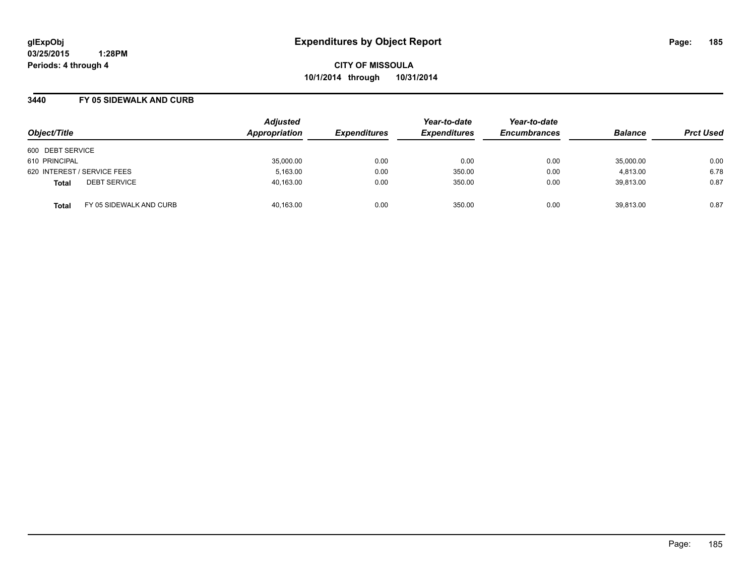**CITY OF MISSOULA 10/1/2014 through 10/31/2014**

### **3440 FY 05 SIDEWALK AND CURB**

| Object/Title                            | <b>Adjusted</b><br>Appropriation | <b>Expenditures</b> | Year-to-date<br><b>Expenditures</b> | Year-to-date<br><b>Encumbrances</b> | <b>Balance</b> | <b>Prct Used</b> |
|-----------------------------------------|----------------------------------|---------------------|-------------------------------------|-------------------------------------|----------------|------------------|
| 600 DEBT SERVICE                        |                                  |                     |                                     |                                     |                |                  |
| 610 PRINCIPAL                           | 35,000.00                        | 0.00                | 0.00                                | 0.00                                | 35,000.00      | 0.00             |
| 620 INTEREST / SERVICE FEES             | 5,163.00                         | 0.00                | 350.00                              | 0.00                                | 4.813.00       | 6.78             |
| <b>DEBT SERVICE</b><br><b>Total</b>     | 40,163.00                        | 0.00                | 350.00                              | 0.00                                | 39.813.00      | 0.87             |
| FY 05 SIDEWALK AND CURB<br><b>Total</b> | 40.163.00                        | 0.00                | 350.00                              | 0.00                                | 39.813.00      | 0.87             |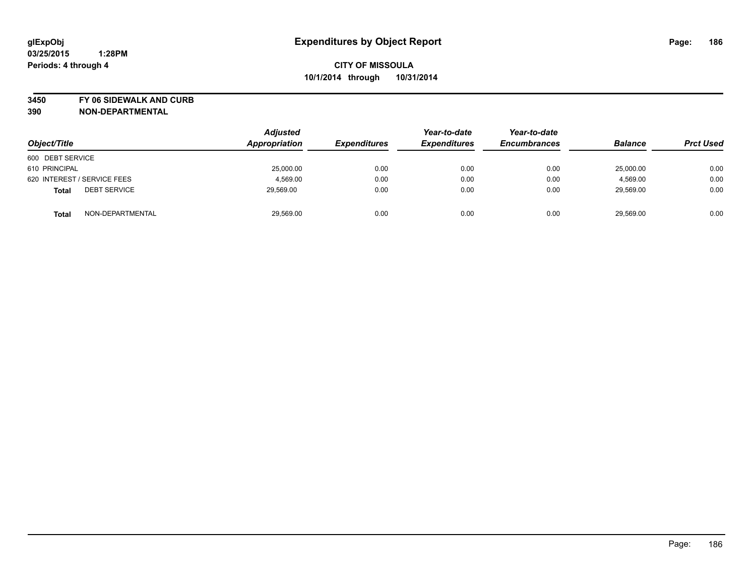**3450 FY 06 SIDEWALK AND CURB**

| Object/Title                        | <b>Adjusted</b><br>Appropriation | <b>Expenditures</b> | Year-to-date<br><b>Expenditures</b> | Year-to-date<br><b>Encumbrances</b> | <b>Balance</b> | <b>Prct Used</b> |
|-------------------------------------|----------------------------------|---------------------|-------------------------------------|-------------------------------------|----------------|------------------|
| 600 DEBT SERVICE                    |                                  |                     |                                     |                                     |                |                  |
| 610 PRINCIPAL                       | 25,000.00                        | 0.00                | 0.00                                | 0.00                                | 25,000.00      | 0.00             |
| 620 INTEREST / SERVICE FEES         | 4,569.00                         | 0.00                | 0.00                                | 0.00                                | 4,569.00       | 0.00             |
| <b>DEBT SERVICE</b><br><b>Total</b> | 29,569.00                        | 0.00                | 0.00                                | 0.00                                | 29,569.00      | 0.00             |
| NON-DEPARTMENTAL<br><b>Total</b>    | 29,569.00                        | 0.00                | 0.00                                | 0.00                                | 29,569.00      | 0.00             |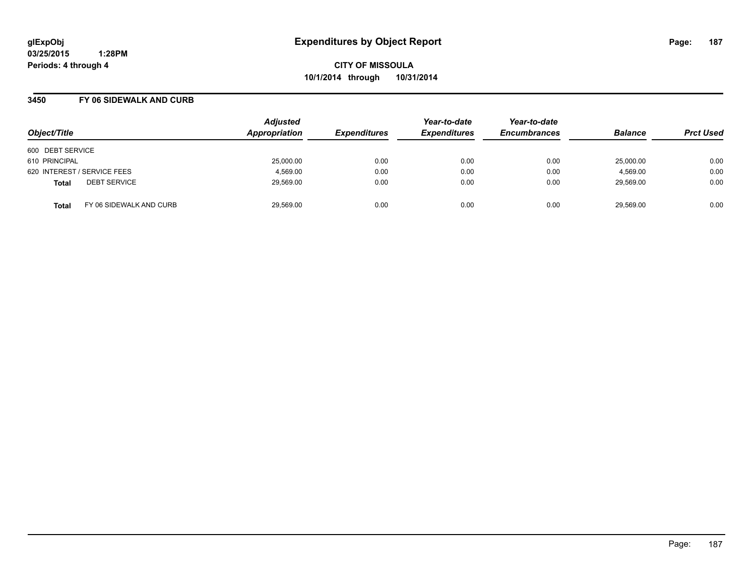**CITY OF MISSOULA 10/1/2014 through 10/31/2014**

## **3450 FY 06 SIDEWALK AND CURB**

| Object/Title                            | <b>Adjusted</b><br>Appropriation | <b>Expenditures</b> | Year-to-date<br><b>Expenditures</b> | Year-to-date<br><b>Encumbrances</b> | <b>Balance</b> | <b>Prct Used</b> |
|-----------------------------------------|----------------------------------|---------------------|-------------------------------------|-------------------------------------|----------------|------------------|
| 600 DEBT SERVICE                        |                                  |                     |                                     |                                     |                |                  |
| 610 PRINCIPAL                           | 25,000.00                        | 0.00                | 0.00                                | 0.00                                | 25,000.00      | 0.00             |
| 620 INTEREST / SERVICE FEES             | 4,569.00                         | 0.00                | 0.00                                | 0.00                                | 4,569.00       | 0.00             |
| <b>DEBT SERVICE</b><br><b>Total</b>     | 29,569.00                        | 0.00                | 0.00                                | 0.00                                | 29,569.00      | 0.00             |
| FY 06 SIDEWALK AND CURB<br><b>Total</b> | 29.569.00                        | 0.00                | 0.00                                | 0.00                                | 29.569.00      | 0.00             |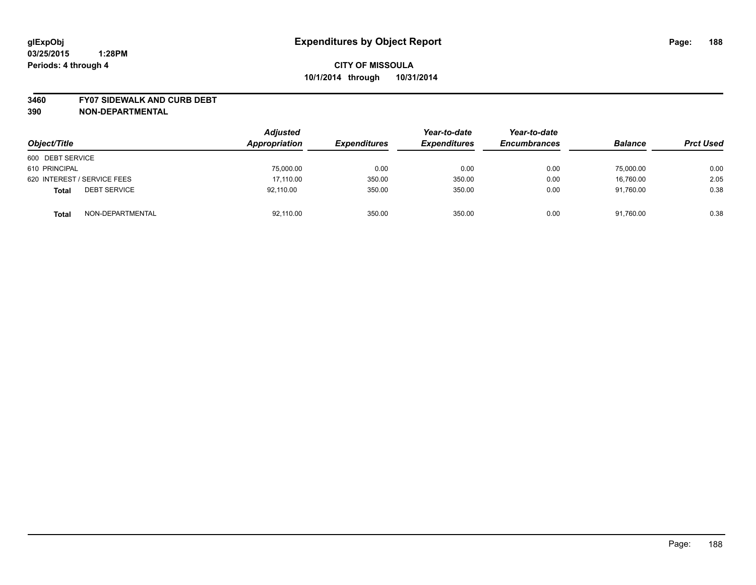### **3460 FY07 SIDEWALK AND CURB DEBT**

| Object/Title                        | <b>Adjusted</b><br>Appropriation | <b>Expenditures</b> | Year-to-date<br><b>Expenditures</b> | Year-to-date<br><b>Encumbrances</b> | <b>Balance</b> | <b>Prct Used</b> |
|-------------------------------------|----------------------------------|---------------------|-------------------------------------|-------------------------------------|----------------|------------------|
| 600 DEBT SERVICE                    |                                  |                     |                                     |                                     |                |                  |
| 610 PRINCIPAL                       | 75,000.00                        | 0.00                | 0.00                                | 0.00                                | 75,000.00      | 0.00             |
| 620 INTEREST / SERVICE FEES         | 17,110.00                        | 350.00              | 350.00                              | 0.00                                | 16.760.00      | 2.05             |
| <b>DEBT SERVICE</b><br><b>Total</b> | 92,110.00                        | 350.00              | 350.00                              | 0.00                                | 91,760.00      | 0.38             |
| NON-DEPARTMENTAL<br><b>Total</b>    | 92,110.00                        | 350.00              | 350.00                              | 0.00                                | 91,760.00      | 0.38             |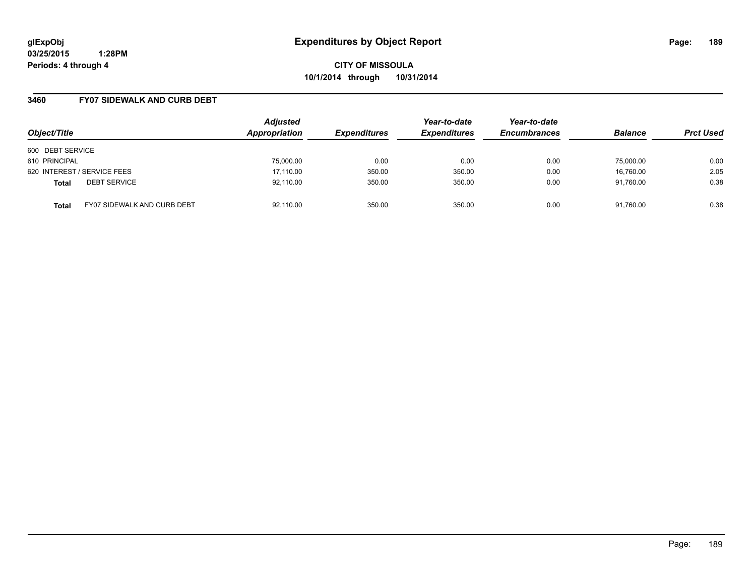**CITY OF MISSOULA 10/1/2014 through 10/31/2014**

## **3460 FY07 SIDEWALK AND CURB DEBT**

| Object/Title                                       | <b>Adjusted</b><br>Appropriation | <b>Expenditures</b> | Year-to-date<br><b>Expenditures</b> | Year-to-date<br><b>Encumbrances</b> | <b>Balance</b> | <b>Prct Used</b> |
|----------------------------------------------------|----------------------------------|---------------------|-------------------------------------|-------------------------------------|----------------|------------------|
| 600 DEBT SERVICE                                   |                                  |                     |                                     |                                     |                |                  |
| 610 PRINCIPAL                                      | 75,000.00                        | 0.00                | 0.00                                | 0.00                                | 75,000.00      | 0.00             |
| 620 INTEREST / SERVICE FEES                        | 17,110.00                        | 350.00              | 350.00                              | 0.00                                | 16,760.00      | 2.05             |
| <b>DEBT SERVICE</b><br><b>Total</b>                | 92,110.00                        | 350.00              | 350.00                              | 0.00                                | 91.760.00      | 0.38             |
| <b>FY07 SIDEWALK AND CURB DEBT</b><br><b>Total</b> | 92,110.00                        | 350.00              | 350.00                              | 0.00                                | 91.760.00      | 0.38             |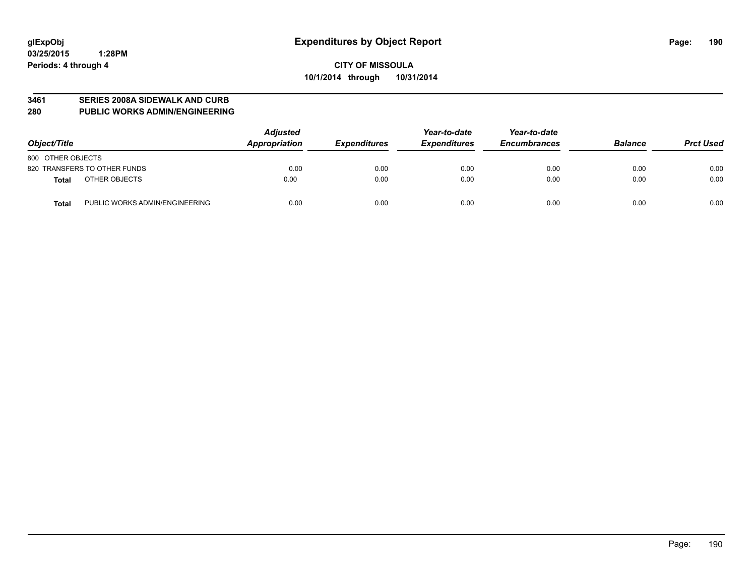### **3461 SERIES 2008A SIDEWALK AND CURB**

**280 PUBLIC WORKS ADMIN/ENGINEERING**

| Object/Title                                   | <b>Adjusted</b><br>Appropriation | <b>Expenditures</b> | Year-to-date<br><b>Expenditures</b> | Year-to-date<br><b>Encumbrances</b> | <b>Balance</b> | <b>Prct Used</b> |
|------------------------------------------------|----------------------------------|---------------------|-------------------------------------|-------------------------------------|----------------|------------------|
| 800 OTHER OBJECTS                              |                                  |                     |                                     |                                     |                |                  |
| 820 TRANSFERS TO OTHER FUNDS                   | 0.00                             | 0.00                | 0.00                                | 0.00                                | 0.00           | 0.00             |
| OTHER OBJECTS<br><b>Total</b>                  | 0.00                             | 0.00                | 0.00                                | 0.00                                | 0.00           | 0.00             |
| PUBLIC WORKS ADMIN/ENGINEERING<br><b>Total</b> | 0.00                             | 0.00                | 0.00                                | 0.00                                | 0.00           | 0.00             |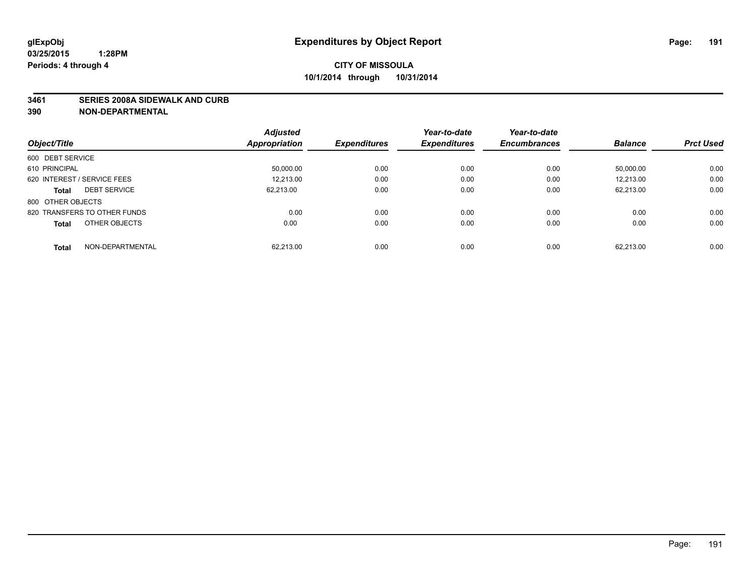### **3461 SERIES 2008A SIDEWALK AND CURB**

|                                     | <b>Adjusted</b> |                     | Year-to-date        | Year-to-date        |                |                  |
|-------------------------------------|-----------------|---------------------|---------------------|---------------------|----------------|------------------|
| Object/Title                        | Appropriation   | <b>Expenditures</b> | <b>Expenditures</b> | <b>Encumbrances</b> | <b>Balance</b> | <b>Prct Used</b> |
| 600 DEBT SERVICE                    |                 |                     |                     |                     |                |                  |
| 610 PRINCIPAL                       | 50,000.00       | 0.00                | 0.00                | 0.00                | 50,000.00      | 0.00             |
| 620 INTEREST / SERVICE FEES         | 12,213.00       | 0.00                | 0.00                | 0.00                | 12,213.00      | 0.00             |
| <b>DEBT SERVICE</b><br><b>Total</b> | 62.213.00       | 0.00                | 0.00                | 0.00                | 62,213.00      | 0.00             |
| 800 OTHER OBJECTS                   |                 |                     |                     |                     |                |                  |
| 820 TRANSFERS TO OTHER FUNDS        | 0.00            | 0.00                | 0.00                | 0.00                | 0.00           | 0.00             |
| OTHER OBJECTS<br><b>Total</b>       | 0.00            | 0.00                | 0.00                | 0.00                | 0.00           | 0.00             |
| NON-DEPARTMENTAL<br>Total           | 62.213.00       | 0.00                | 0.00                | 0.00                | 62,213.00      | 0.00             |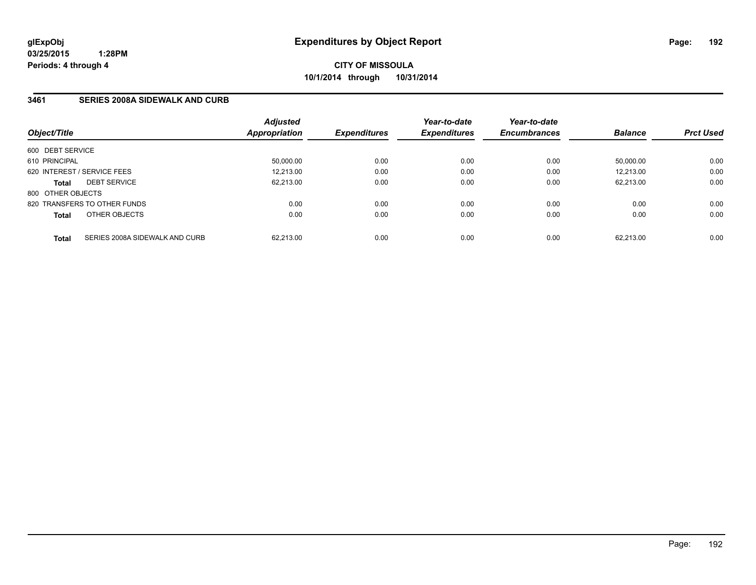## **3461 SERIES 2008A SIDEWALK AND CURB**

| Object/Title      |                                | <b>Adjusted</b><br>Appropriation | <b>Expenditures</b> | Year-to-date<br><b>Expenditures</b> | Year-to-date<br><b>Encumbrances</b> | <b>Balance</b> | <b>Prct Used</b> |
|-------------------|--------------------------------|----------------------------------|---------------------|-------------------------------------|-------------------------------------|----------------|------------------|
| 600 DEBT SERVICE  |                                |                                  |                     |                                     |                                     |                |                  |
| 610 PRINCIPAL     |                                | 50.000.00                        | 0.00                | 0.00                                | 0.00                                | 50.000.00      | 0.00             |
|                   | 620 INTEREST / SERVICE FEES    | 12,213.00                        | 0.00                | 0.00                                | 0.00                                | 12.213.00      | 0.00             |
| <b>Total</b>      | <b>DEBT SERVICE</b>            | 62.213.00                        | 0.00                | 0.00                                | 0.00                                | 62.213.00      | 0.00             |
| 800 OTHER OBJECTS |                                |                                  |                     |                                     |                                     |                |                  |
|                   | 820 TRANSFERS TO OTHER FUNDS   | 0.00                             | 0.00                | 0.00                                | 0.00                                | 0.00           | 0.00             |
| <b>Total</b>      | OTHER OBJECTS                  | 0.00                             | 0.00                | 0.00                                | 0.00                                | 0.00           | 0.00             |
| <b>Total</b>      | SERIES 2008A SIDEWALK AND CURB | 62.213.00                        | 0.00                | 0.00                                | 0.00                                | 62.213.00      | 0.00             |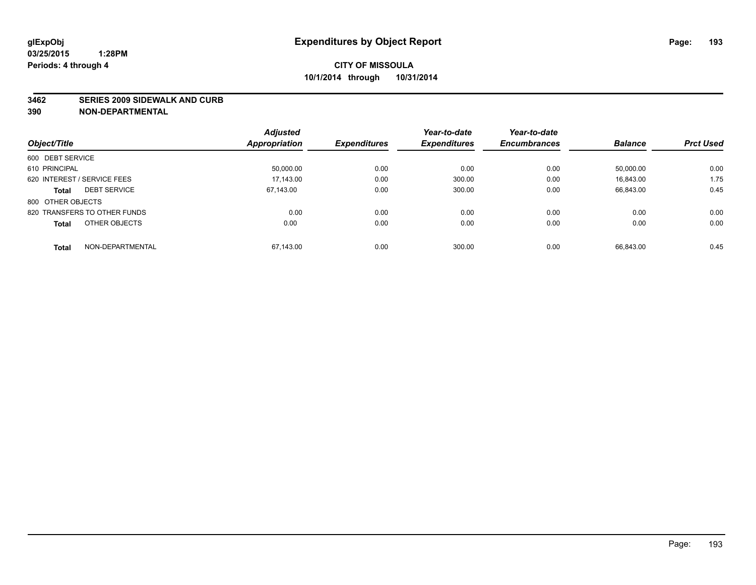### **3462 SERIES 2009 SIDEWALK AND CURB**

|                                     | <b>Adjusted</b> |                     | Year-to-date        | Year-to-date        |                |                  |
|-------------------------------------|-----------------|---------------------|---------------------|---------------------|----------------|------------------|
| Object/Title                        | Appropriation   | <b>Expenditures</b> | <b>Expenditures</b> | <b>Encumbrances</b> | <b>Balance</b> | <b>Prct Used</b> |
| 600 DEBT SERVICE                    |                 |                     |                     |                     |                |                  |
| 610 PRINCIPAL                       | 50,000.00       | 0.00                | 0.00                | 0.00                | 50.000.00      | 0.00             |
| 620 INTEREST / SERVICE FEES         | 17.143.00       | 0.00                | 300.00              | 0.00                | 16.843.00      | 1.75             |
| <b>DEBT SERVICE</b><br><b>Total</b> | 67.143.00       | 0.00                | 300.00              | 0.00                | 66,843.00      | 0.45             |
| 800 OTHER OBJECTS                   |                 |                     |                     |                     |                |                  |
| 820 TRANSFERS TO OTHER FUNDS        | 0.00            | 0.00                | 0.00                | 0.00                | 0.00           | 0.00             |
| OTHER OBJECTS<br><b>Total</b>       | 0.00            | 0.00                | 0.00                | 0.00                | 0.00           | 0.00             |
| NON-DEPARTMENTAL<br><b>Total</b>    | 67.143.00       | 0.00                | 300.00              | 0.00                | 66.843.00      | 0.45             |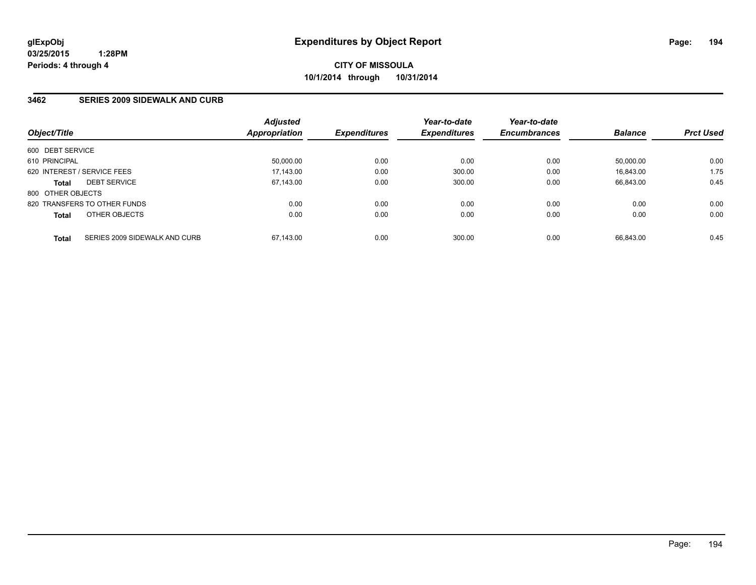## **3462 SERIES 2009 SIDEWALK AND CURB**

| Object/Title      |                               | <b>Adjusted</b><br>Appropriation | <b>Expenditures</b> | Year-to-date<br><b>Expenditures</b> | Year-to-date<br><b>Encumbrances</b> | <b>Balance</b> | <b>Prct Used</b> |
|-------------------|-------------------------------|----------------------------------|---------------------|-------------------------------------|-------------------------------------|----------------|------------------|
| 600 DEBT SERVICE  |                               |                                  |                     |                                     |                                     |                |                  |
| 610 PRINCIPAL     |                               | 50.000.00                        | 0.00                | 0.00                                | 0.00                                | 50.000.00      | 0.00             |
|                   | 620 INTEREST / SERVICE FEES   | 17,143.00                        | 0.00                | 300.00                              | 0.00                                | 16.843.00      | 1.75             |
| <b>Total</b>      | <b>DEBT SERVICE</b>           | 67.143.00                        | 0.00                | 300.00                              | 0.00                                | 66.843.00      | 0.45             |
| 800 OTHER OBJECTS |                               |                                  |                     |                                     |                                     |                |                  |
|                   | 820 TRANSFERS TO OTHER FUNDS  | 0.00                             | 0.00                | 0.00                                | 0.00                                | 0.00           | 0.00             |
| <b>Total</b>      | OTHER OBJECTS                 | 0.00                             | 0.00                | 0.00                                | 0.00                                | 0.00           | 0.00             |
| <b>Total</b>      | SERIES 2009 SIDEWALK AND CURB | 67.143.00                        | 0.00                | 300.00                              | 0.00                                | 66.843.00      | 0.45             |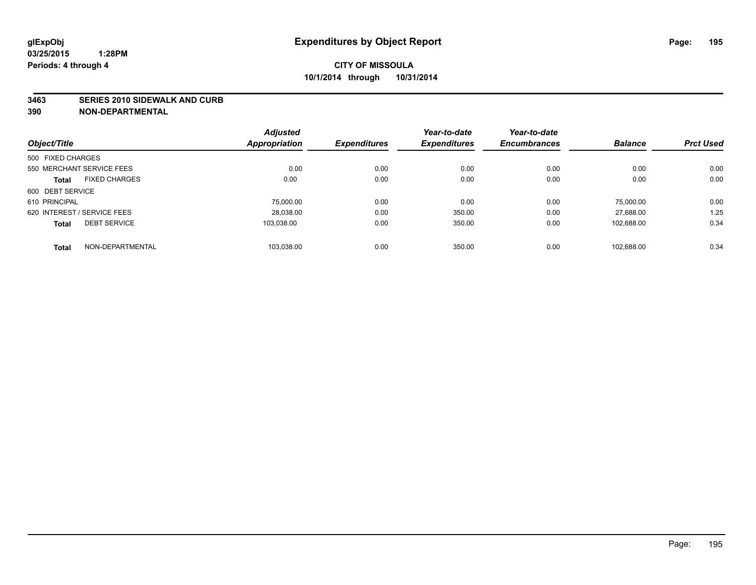### **3463 SERIES 2010 SIDEWALK AND CURB**

|                   |                             | <b>Adjusted</b> |                     | Year-to-date        | Year-to-date        |                |                  |
|-------------------|-----------------------------|-----------------|---------------------|---------------------|---------------------|----------------|------------------|
| Object/Title      |                             | Appropriation   | <b>Expenditures</b> | <b>Expenditures</b> | <b>Encumbrances</b> | <b>Balance</b> | <b>Prct Used</b> |
| 500 FIXED CHARGES |                             |                 |                     |                     |                     |                |                  |
|                   | 550 MERCHANT SERVICE FEES   | 0.00            | 0.00                | 0.00                | 0.00                | 0.00           | 0.00             |
| <b>Total</b>      | <b>FIXED CHARGES</b>        | 0.00            | 0.00                | 0.00                | 0.00                | 0.00           | 0.00             |
| 600 DEBT SERVICE  |                             |                 |                     |                     |                     |                |                  |
| 610 PRINCIPAL     |                             | 75,000.00       | 0.00                | 0.00                | 0.00                | 75.000.00      | 0.00             |
|                   | 620 INTEREST / SERVICE FEES | 28,038.00       | 0.00                | 350.00              | 0.00                | 27.688.00      | 1.25             |
| <b>Total</b>      | <b>DEBT SERVICE</b>         | 103.038.00      | 0.00                | 350.00              | 0.00                | 102.688.00     | 0.34             |
| <b>Total</b>      | NON-DEPARTMENTAL            | 103.038.00      | 0.00                | 350.00              | 0.00                | 102.688.00     | 0.34             |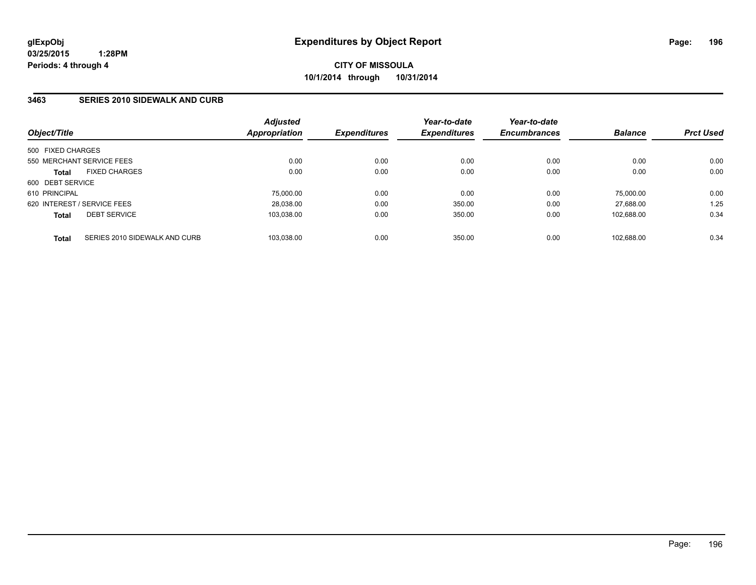## **3463 SERIES 2010 SIDEWALK AND CURB**

| Object/Title                                  | <b>Adjusted</b><br>Appropriation | <b>Expenditures</b> | Year-to-date<br><b>Expenditures</b> | Year-to-date<br><b>Encumbrances</b> | <b>Balance</b> | <b>Prct Used</b> |
|-----------------------------------------------|----------------------------------|---------------------|-------------------------------------|-------------------------------------|----------------|------------------|
| 500 FIXED CHARGES                             |                                  |                     |                                     |                                     |                |                  |
| 550 MERCHANT SERVICE FEES                     | 0.00                             | 0.00                | 0.00                                | 0.00                                | 0.00           | 0.00             |
| <b>FIXED CHARGES</b><br><b>Total</b>          | 0.00                             | 0.00                | 0.00                                | 0.00                                | 0.00           | 0.00             |
| 600 DEBT SERVICE                              |                                  |                     |                                     |                                     |                |                  |
| 610 PRINCIPAL                                 | 75.000.00                        | 0.00                | 0.00                                | 0.00                                | 75.000.00      | 0.00             |
| 620 INTEREST / SERVICE FEES                   | 28,038.00                        | 0.00                | 350.00                              | 0.00                                | 27.688.00      | 1.25             |
| <b>DEBT SERVICE</b><br><b>Total</b>           | 103.038.00                       | 0.00                | 350.00                              | 0.00                                | 102.688.00     | 0.34             |
| SERIES 2010 SIDEWALK AND CURB<br><b>Total</b> | 103.038.00                       | 0.00                | 350.00                              | 0.00                                | 102.688.00     | 0.34             |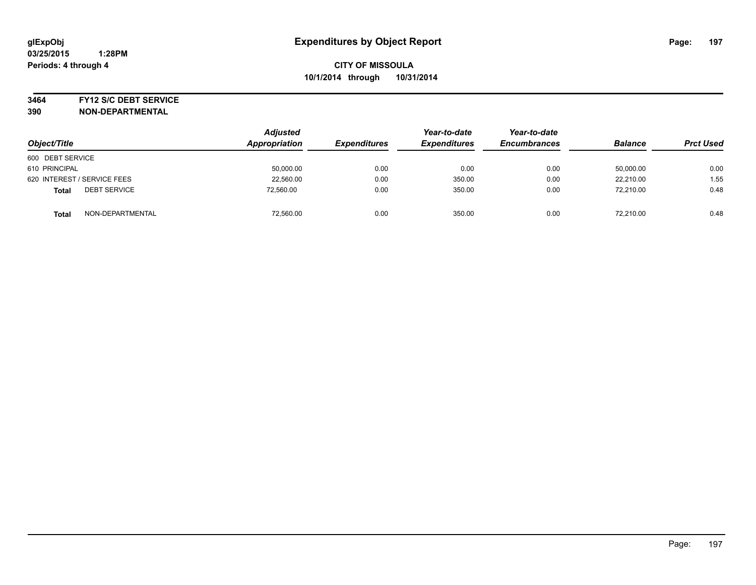### **3464 FY12 S/C DEBT SERVICE**

| Object/Title                        | <b>Adjusted</b><br>Appropriation | <b>Expenditures</b> | Year-to-date<br><b>Expenditures</b> | Year-to-date<br><b>Encumbrances</b> | <b>Balance</b> | <b>Prct Used</b> |
|-------------------------------------|----------------------------------|---------------------|-------------------------------------|-------------------------------------|----------------|------------------|
| 600 DEBT SERVICE                    |                                  |                     |                                     |                                     |                |                  |
| 610 PRINCIPAL                       | 50,000.00                        | 0.00                | 0.00                                | 0.00                                | 50,000.00      | 0.00             |
| 620 INTEREST / SERVICE FEES         | 22,560.00                        | 0.00                | 350.00                              | 0.00                                | 22.210.00      | 1.55             |
| <b>DEBT SERVICE</b><br><b>Total</b> | 72,560.00                        | 0.00                | 350.00                              | 0.00                                | 72.210.00      | 0.48             |
| NON-DEPARTMENTAL<br><b>Total</b>    | 72,560.00                        | 0.00                | 350.00                              | 0.00                                | 72.210.00      | 0.48             |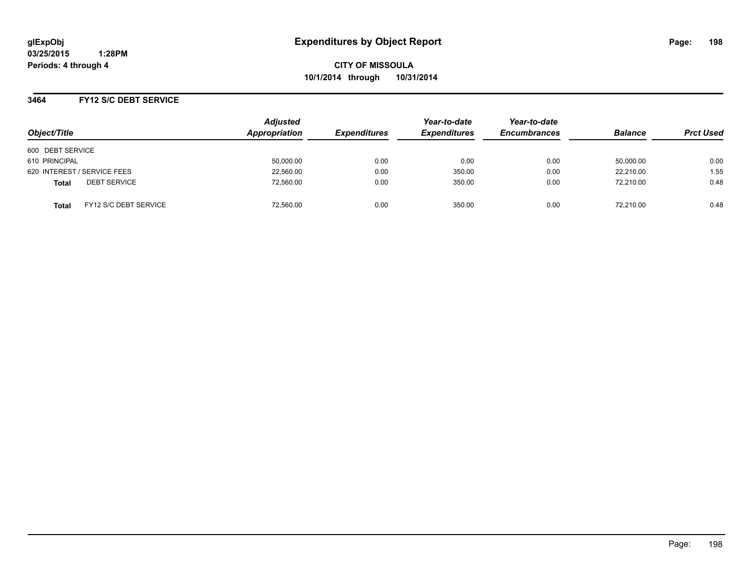**CITY OF MISSOULA 10/1/2014 through 10/31/2014**

## **3464 FY12 S/C DEBT SERVICE**

| Object/Title                                 | <b>Adjusted</b><br>Appropriation | <b>Expenditures</b> | Year-to-date<br><b>Expenditures</b> | Year-to-date<br><b>Encumbrances</b> | <b>Balance</b> | <b>Prct Used</b> |
|----------------------------------------------|----------------------------------|---------------------|-------------------------------------|-------------------------------------|----------------|------------------|
|                                              |                                  |                     |                                     |                                     |                |                  |
| 600 DEBT SERVICE                             |                                  |                     |                                     |                                     |                |                  |
| 610 PRINCIPAL                                | 50,000.00                        | 0.00                | 0.00                                | 0.00                                | 50,000.00      | 0.00             |
| 620 INTEREST / SERVICE FEES                  | 22,560.00                        | 0.00                | 350.00                              | 0.00                                | 22.210.00      | 1.55             |
| <b>DEBT SERVICE</b><br><b>Total</b>          | 72.560.00                        | 0.00                | 350.00                              | 0.00                                | 72.210.00      | 0.48             |
| <b>FY12 S/C DEBT SERVICE</b><br><b>Total</b> | 72.560.00                        | 0.00                | 350.00                              | 0.00                                | 72.210.00      | 0.48             |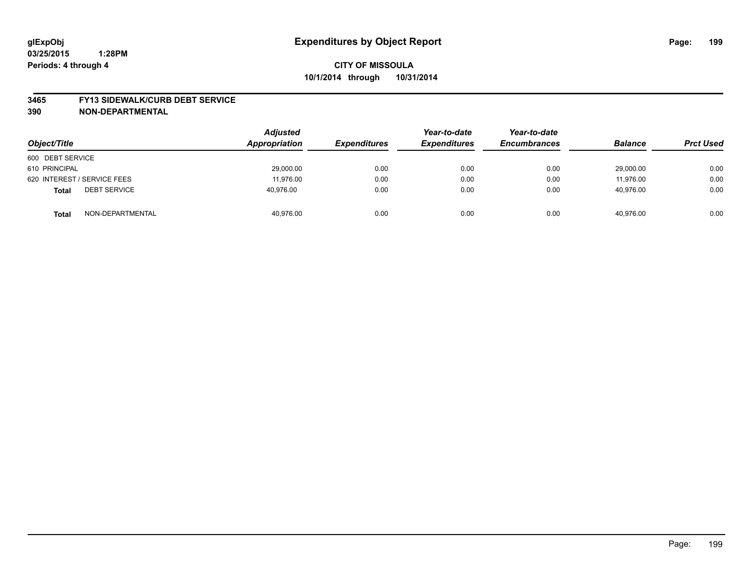### **3465 FY13 SIDEWALK/CURB DEBT SERVICE**

| Object/Title                        | <b>Adjusted</b><br>Appropriation | <b>Expenditures</b> | Year-to-date<br><b>Expenditures</b> | Year-to-date<br><b>Encumbrances</b> | <b>Balance</b> | <b>Prct Used</b> |
|-------------------------------------|----------------------------------|---------------------|-------------------------------------|-------------------------------------|----------------|------------------|
| 600 DEBT SERVICE                    |                                  |                     |                                     |                                     |                |                  |
| 610 PRINCIPAL                       | 29,000.00                        | 0.00                | 0.00                                | 0.00                                | 29,000.00      | 0.00             |
| 620 INTEREST / SERVICE FEES         | 11.976.00                        | 0.00                | 0.00                                | 0.00                                | 11.976.00      | 0.00             |
| <b>DEBT SERVICE</b><br><b>Total</b> | 40,976.00                        | 0.00                | 0.00                                | 0.00                                | 40,976.00      | 0.00             |
| NON-DEPARTMENTAL<br><b>Total</b>    | 40,976.00                        | 0.00                | 0.00                                | 0.00                                | 40.976.00      | 0.00             |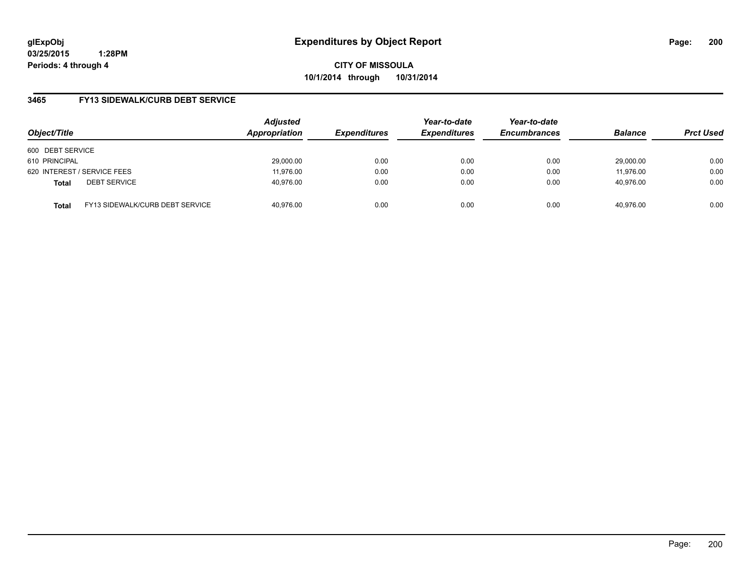**CITY OF MISSOULA 10/1/2014 through 10/31/2014**

## **3465 FY13 SIDEWALK/CURB DEBT SERVICE**

| Object/Title     |                                 | <b>Adjusted</b><br>Appropriation | <b>Expenditures</b> | Year-to-date<br><b>Expenditures</b> | Year-to-date<br><b>Encumbrances</b> | <b>Balance</b> | <b>Prct Used</b> |
|------------------|---------------------------------|----------------------------------|---------------------|-------------------------------------|-------------------------------------|----------------|------------------|
| 600 DEBT SERVICE |                                 |                                  |                     |                                     |                                     |                |                  |
| 610 PRINCIPAL    |                                 | 29.000.00                        | 0.00                | 0.00                                | 0.00                                | 29,000.00      | 0.00             |
|                  | 620 INTEREST / SERVICE FEES     | 11,976.00                        | 0.00                | 0.00                                | 0.00                                | 11,976.00      | 0.00             |
| <b>Total</b>     | <b>DEBT SERVICE</b>             | 40,976.00                        | 0.00                | 0.00                                | 0.00                                | 40.976.00      | 0.00             |
| <b>Total</b>     | FY13 SIDEWALK/CURB DEBT SERVICE | 40.976.00                        | 0.00                | 0.00                                | 0.00                                | 40.976.00      | 0.00             |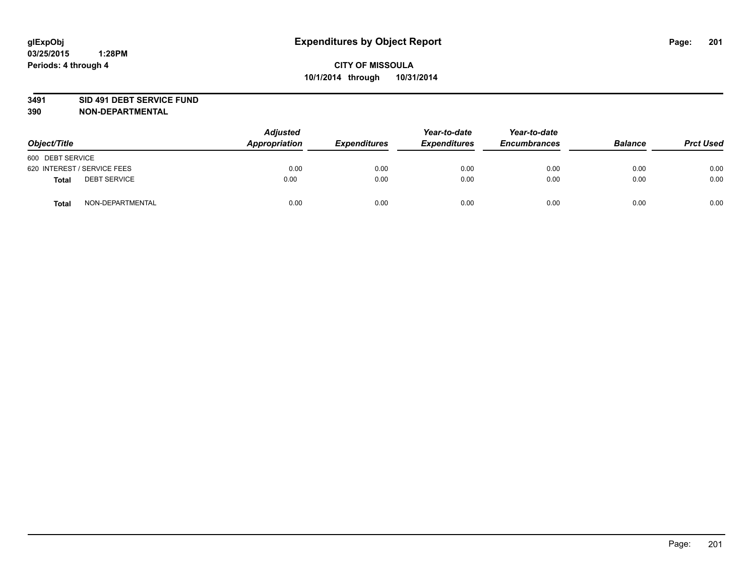### **3491 SID 491 DEBT SERVICE FUND**

| Object/Title                 | <b>Adjusted</b><br>Appropriation | <b>Expenditures</b> | Year-to-date<br><b>Expenditures</b> | Year-to-date<br><b>Encumbrances</b> | <b>Balance</b> | <b>Prct Used</b> |
|------------------------------|----------------------------------|---------------------|-------------------------------------|-------------------------------------|----------------|------------------|
| 600 DEBT SERVICE             |                                  |                     |                                     |                                     |                |                  |
| 620 INTEREST / SERVICE FEES  | 0.00                             | 0.00                | 0.00                                | 0.00                                | 0.00           | 0.00             |
| <b>DEBT SERVICE</b><br>Total | 0.00                             | 0.00                | 0.00                                | 0.00                                | 0.00           | 0.00             |
| NON-DEPARTMENTAL<br>Total    | 0.00                             | 0.00                | 0.00                                | 0.00                                | 0.00           | 0.00             |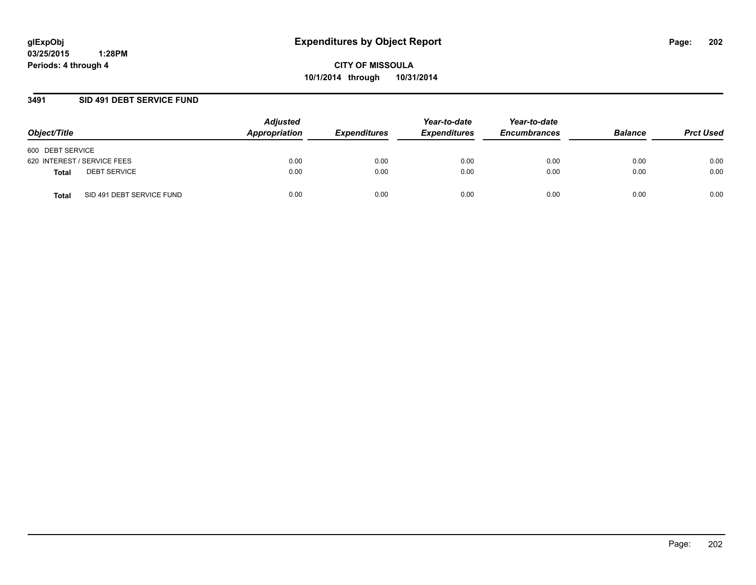**CITY OF MISSOULA 10/1/2014 through 10/31/2014**

## **3491 SID 491 DEBT SERVICE FUND**

| Object/Title                       | <b>Adjusted</b><br>Appropriation | <b>Expenditures</b> | Year-to-date<br><b>Expenditures</b> | Year-to-date<br><b>Encumbrances</b> | <b>Balance</b> | <b>Prct Used</b> |
|------------------------------------|----------------------------------|---------------------|-------------------------------------|-------------------------------------|----------------|------------------|
| 600 DEBT SERVICE                   |                                  |                     |                                     |                                     |                |                  |
| 620 INTEREST / SERVICE FEES        | 0.00                             | 0.00                | 0.00                                | 0.00                                | 0.00           | 0.00             |
| <b>DEBT SERVICE</b><br>Total       | 0.00                             | 0.00                | 0.00                                | 0.00                                | 0.00           | 0.00             |
| SID 491 DEBT SERVICE FUND<br>Total | 0.00                             | 0.00                | 0.00                                | 0.00                                | 0.00           | 0.00             |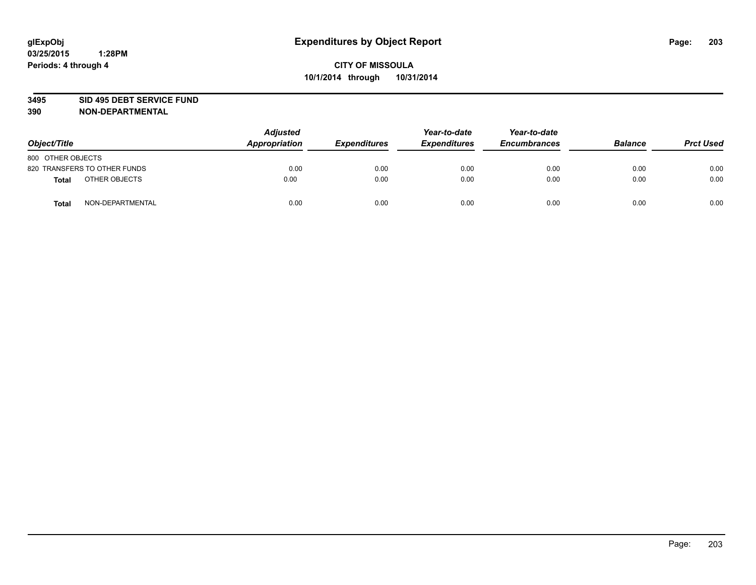### **3495 SID 495 DEBT SERVICE FUND**

| Object/Title                     | <b>Adjusted</b><br><b>Appropriation</b> | <b>Expenditures</b> | Year-to-date<br><b>Expenditures</b> | Year-to-date<br><b>Encumbrances</b> | <b>Balance</b> | <b>Prct Used</b> |
|----------------------------------|-----------------------------------------|---------------------|-------------------------------------|-------------------------------------|----------------|------------------|
| 800 OTHER OBJECTS                |                                         |                     |                                     |                                     |                |                  |
| 820 TRANSFERS TO OTHER FUNDS     | 0.00                                    | 0.00                | 0.00                                | 0.00                                | 0.00           | 0.00             |
| OTHER OBJECTS<br><b>Total</b>    | 0.00                                    | 0.00                | 0.00                                | 0.00                                | 0.00           | 0.00             |
| NON-DEPARTMENTAL<br><b>Total</b> | 0.00                                    | 0.00                | 0.00                                | 0.00                                | 0.00           | 0.00             |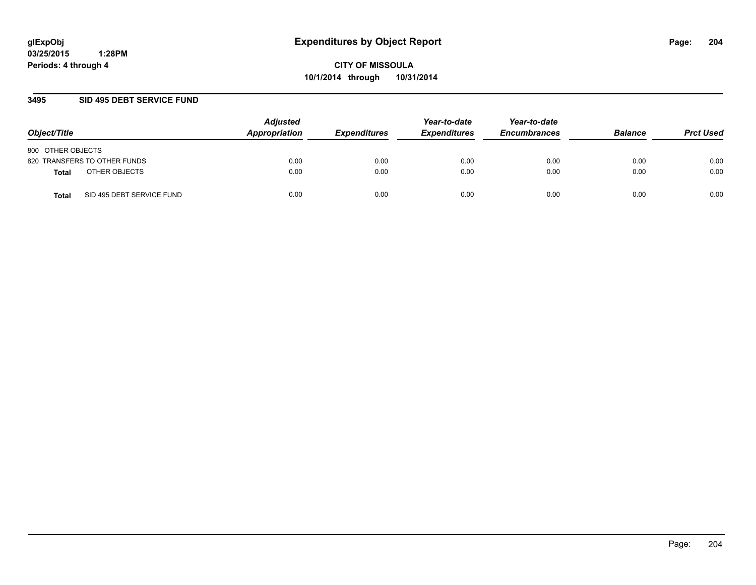## **3495 SID 495 DEBT SERVICE FUND**

| Object/Title                              | <b>Adjusted</b><br>Appropriation | <b>Expenditures</b> | Year-to-date<br><b>Expenditures</b> | Year-to-date<br><b>Encumbrances</b> | <b>Balance</b> | <b>Prct Used</b> |
|-------------------------------------------|----------------------------------|---------------------|-------------------------------------|-------------------------------------|----------------|------------------|
| 800 OTHER OBJECTS                         |                                  |                     |                                     |                                     |                |                  |
| 820 TRANSFERS TO OTHER FUNDS              | 0.00                             | 0.00                | 0.00                                | 0.00                                | 0.00           | 0.00             |
| OTHER OBJECTS<br><b>Total</b>             | 0.00                             | 0.00                | 0.00                                | 0.00                                | 0.00           | 0.00             |
| SID 495 DEBT SERVICE FUND<br><b>Total</b> | 0.00                             | 0.00                | 0.00                                | 0.00                                | 0.00           | 0.00             |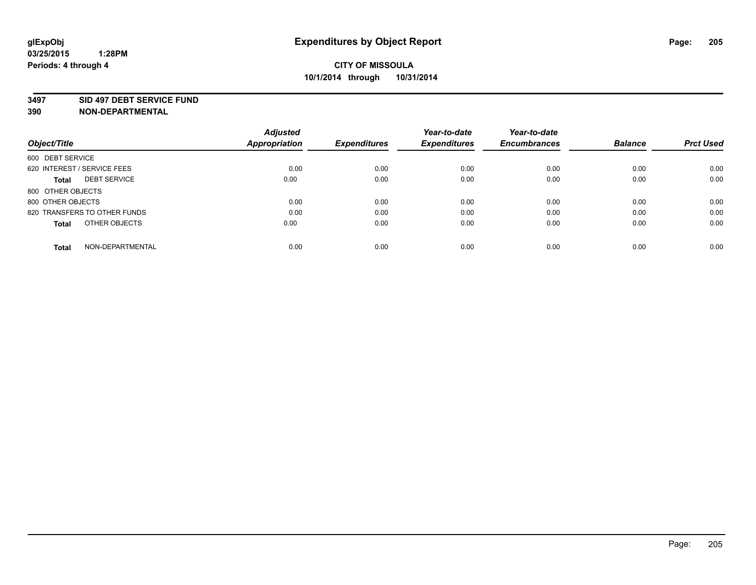### **3497 SID 497 DEBT SERVICE FUND**

|                                     | <b>Adjusted</b>      |                     | Year-to-date        | Year-to-date        |                |                  |
|-------------------------------------|----------------------|---------------------|---------------------|---------------------|----------------|------------------|
| Object/Title                        | <b>Appropriation</b> | <b>Expenditures</b> | <b>Expenditures</b> | <b>Encumbrances</b> | <b>Balance</b> | <b>Prct Used</b> |
| 600 DEBT SERVICE                    |                      |                     |                     |                     |                |                  |
| 620 INTEREST / SERVICE FEES         | 0.00                 | 0.00                | 0.00                | 0.00                | 0.00           | 0.00             |
| <b>DEBT SERVICE</b><br><b>Total</b> | 0.00                 | 0.00                | 0.00                | 0.00                | 0.00           | 0.00             |
| 800 OTHER OBJECTS                   |                      |                     |                     |                     |                |                  |
| 800 OTHER OBJECTS                   | 0.00                 | 0.00                | 0.00                | 0.00                | 0.00           | 0.00             |
| 820 TRANSFERS TO OTHER FUNDS        | 0.00                 | 0.00                | 0.00                | 0.00                | 0.00           | 0.00             |
| OTHER OBJECTS<br><b>Total</b>       | 0.00                 | 0.00                | 0.00                | 0.00                | 0.00           | 0.00             |
| NON-DEPARTMENTAL<br>Total           | 0.00                 | 0.00                | 0.00                | 0.00                | 0.00           | 0.00             |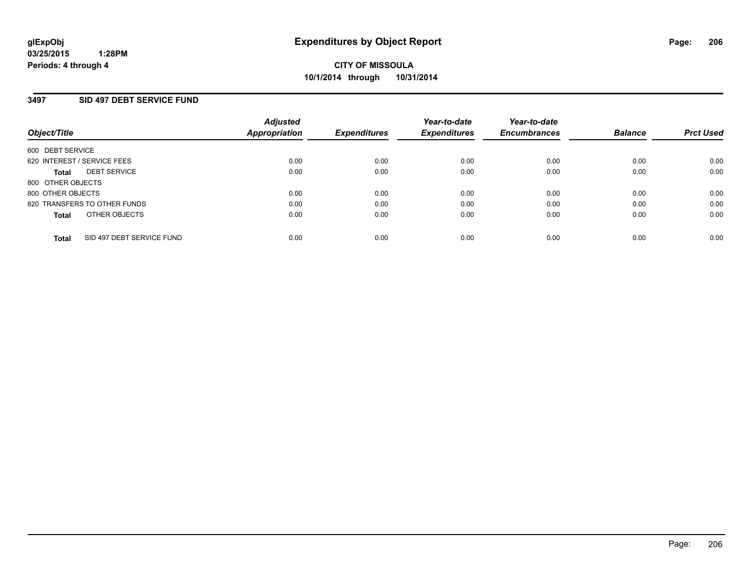## **3497 SID 497 DEBT SERVICE FUND**

| Object/Title                       | <b>Adjusted</b><br><b>Appropriation</b> | <b>Expenditures</b> | Year-to-date<br><b>Expenditures</b> | Year-to-date<br><b>Encumbrances</b> | <b>Balance</b> | <b>Prct Used</b> |
|------------------------------------|-----------------------------------------|---------------------|-------------------------------------|-------------------------------------|----------------|------------------|
| 600 DEBT SERVICE                   |                                         |                     |                                     |                                     |                |                  |
| 620 INTEREST / SERVICE FEES        | 0.00                                    | 0.00                | 0.00                                | 0.00                                | 0.00           | 0.00             |
| <b>DEBT SERVICE</b><br>Total       | 0.00                                    | 0.00                | 0.00                                | 0.00                                | 0.00           | 0.00             |
| 800 OTHER OBJECTS                  |                                         |                     |                                     |                                     |                |                  |
| 800 OTHER OBJECTS                  | 0.00                                    | 0.00                | 0.00                                | 0.00                                | 0.00           | 0.00             |
| 820 TRANSFERS TO OTHER FUNDS       | 0.00                                    | 0.00                | 0.00                                | 0.00                                | 0.00           | 0.00             |
| OTHER OBJECTS<br><b>Total</b>      | 0.00                                    | 0.00                | 0.00                                | 0.00                                | 0.00           | 0.00             |
| SID 497 DEBT SERVICE FUND<br>Total | 0.00                                    | 0.00                | 0.00                                | 0.00                                | 0.00           | 0.00             |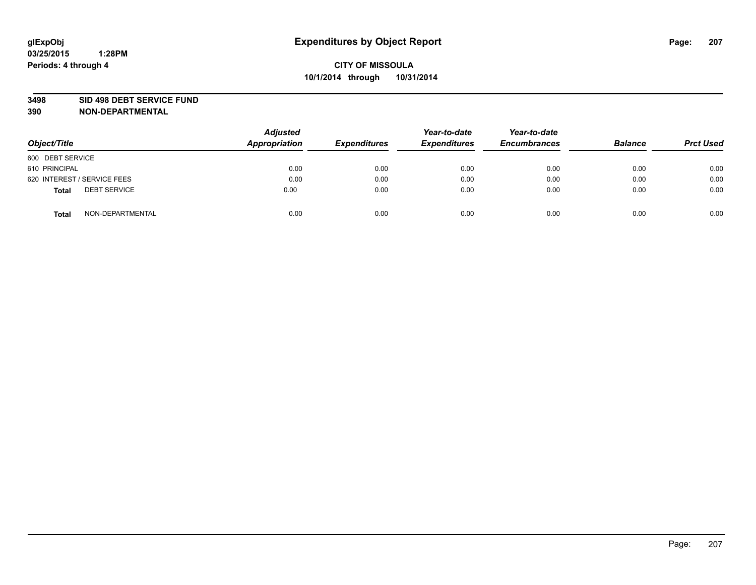### **3498 SID 498 DEBT SERVICE FUND**

| Object/Title                 | <b>Adjusted</b><br><b>Appropriation</b> | <b>Expenditures</b> | Year-to-date<br><b>Expenditures</b> | Year-to-date<br><b>Encumbrances</b> | <b>Balance</b> | <b>Prct Used</b> |
|------------------------------|-----------------------------------------|---------------------|-------------------------------------|-------------------------------------|----------------|------------------|
| 600 DEBT SERVICE             |                                         |                     |                                     |                                     |                |                  |
| 610 PRINCIPAL                | 0.00                                    | 0.00                | 0.00                                | 0.00                                | 0.00           | 0.00             |
| 620 INTEREST / SERVICE FEES  | 0.00                                    | 0.00                | 0.00                                | 0.00                                | 0.00           | 0.00             |
| <b>DEBT SERVICE</b><br>Total | 0.00                                    | 0.00                | 0.00                                | 0.00                                | 0.00           | 0.00             |
| NON-DEPARTMENTAL<br>Total    | 0.00                                    | 0.00                | 0.00                                | 0.00                                | 0.00           | 0.00             |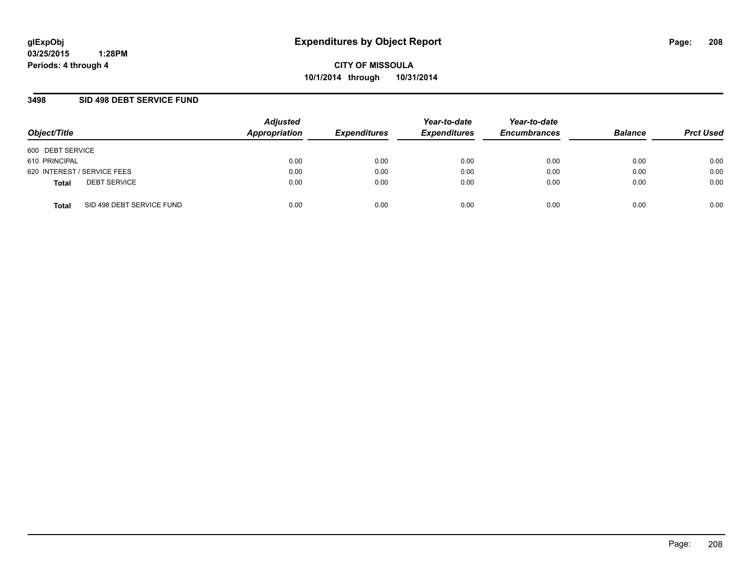**CITY OF MISSOULA 10/1/2014 through 10/31/2014**

## **3498 SID 498 DEBT SERVICE FUND**

| Object/Title                              | <b>Adjusted</b><br>Appropriation | <b>Expenditures</b> | Year-to-date<br><b>Expenditures</b> | Year-to-date<br><b>Encumbrances</b> | <b>Balance</b> | <b>Prct Used</b> |
|-------------------------------------------|----------------------------------|---------------------|-------------------------------------|-------------------------------------|----------------|------------------|
| 600 DEBT SERVICE                          |                                  |                     |                                     |                                     |                |                  |
| 610 PRINCIPAL                             | 0.00                             | 0.00                | 0.00                                | 0.00                                | 0.00           | 0.00             |
| 620 INTEREST / SERVICE FEES               | 0.00                             | 0.00                | 0.00                                | 0.00                                | 0.00           | 0.00             |
| <b>DEBT SERVICE</b><br><b>Total</b>       | 0.00                             | 0.00                | 0.00                                | 0.00                                | 0.00           | 0.00             |
| SID 498 DEBT SERVICE FUND<br><b>Total</b> | 0.00                             | 0.00                | 0.00                                | 0.00                                | 0.00           | 0.00             |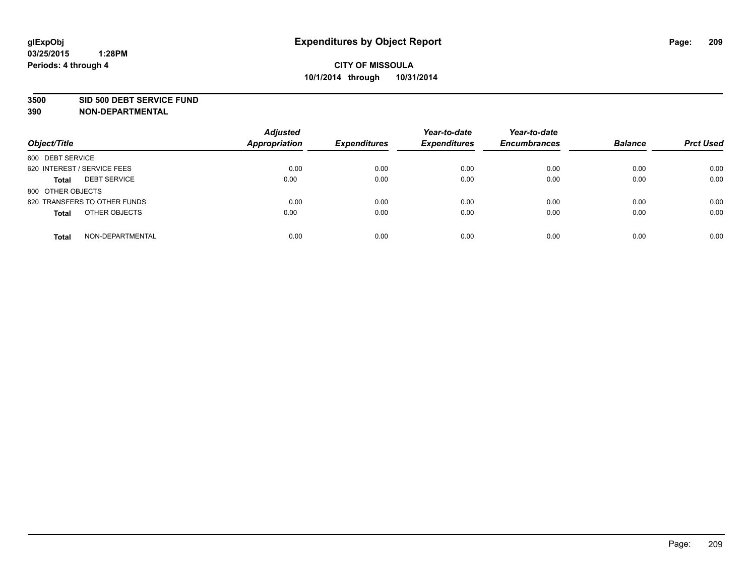### **3500 SID 500 DEBT SERVICE FUND**

| Object/Title                        | <b>Adjusted</b><br><b>Appropriation</b> | <b>Expenditures</b> | Year-to-date<br><b>Expenditures</b> | Year-to-date<br><b>Encumbrances</b> | <b>Balance</b> | <b>Prct Used</b> |
|-------------------------------------|-----------------------------------------|---------------------|-------------------------------------|-------------------------------------|----------------|------------------|
| 600 DEBT SERVICE                    |                                         |                     |                                     |                                     |                |                  |
| 620 INTEREST / SERVICE FEES         | 0.00                                    | 0.00                | 0.00                                | 0.00                                | 0.00           | 0.00             |
| <b>DEBT SERVICE</b><br><b>Total</b> | 0.00                                    | 0.00                | 0.00                                | 0.00                                | 0.00           | 0.00             |
| 800 OTHER OBJECTS                   |                                         |                     |                                     |                                     |                |                  |
| 820 TRANSFERS TO OTHER FUNDS        | 0.00                                    | 0.00                | 0.00                                | 0.00                                | 0.00           | 0.00             |
| OTHER OBJECTS<br><b>Total</b>       | 0.00                                    | 0.00                | 0.00                                | 0.00                                | 0.00           | 0.00             |
| NON-DEPARTMENTAL<br><b>Total</b>    | 0.00                                    | 0.00                | 0.00                                | 0.00                                | 0.00           | 0.00             |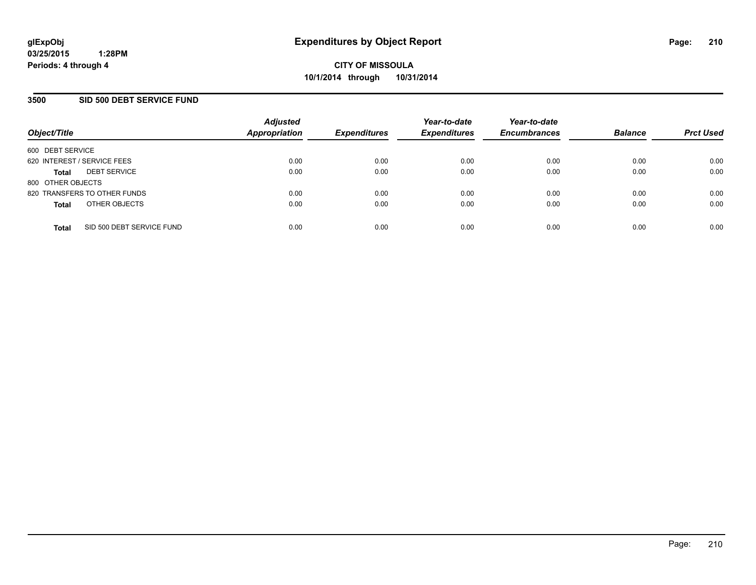## **3500 SID 500 DEBT SERVICE FUND**

| Object/Title                |                              | <b>Adjusted</b><br><b>Appropriation</b> | <b>Expenditures</b> | Year-to-date<br><b>Expenditures</b> | Year-to-date<br><b>Encumbrances</b> | <b>Balance</b> | <b>Prct Used</b> |
|-----------------------------|------------------------------|-----------------------------------------|---------------------|-------------------------------------|-------------------------------------|----------------|------------------|
| 600 DEBT SERVICE            |                              |                                         |                     |                                     |                                     |                |                  |
| 620 INTEREST / SERVICE FEES |                              | 0.00                                    | 0.00                | 0.00                                | 0.00                                | 0.00           | 0.00             |
| <b>Total</b>                | <b>DEBT SERVICE</b>          | 0.00                                    | 0.00                | 0.00                                | 0.00                                | 0.00           | 0.00             |
| 800 OTHER OBJECTS           |                              |                                         |                     |                                     |                                     |                |                  |
|                             | 820 TRANSFERS TO OTHER FUNDS | 0.00                                    | 0.00                | 0.00                                | 0.00                                | 0.00           | 0.00             |
| <b>Total</b>                | OTHER OBJECTS                | 0.00                                    | 0.00                | 0.00                                | 0.00                                | 0.00           | 0.00             |
| <b>Total</b>                | SID 500 DEBT SERVICE FUND    | 0.00                                    | 0.00                | 0.00                                | 0.00                                | 0.00           | 0.00             |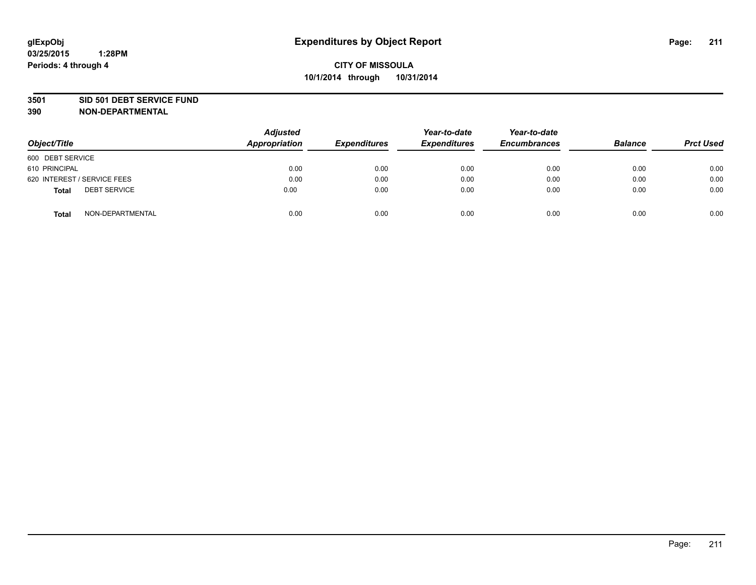### **3501 SID 501 DEBT SERVICE FUND**

| Object/Title                 | <b>Adjusted</b><br><b>Appropriation</b> | <b>Expenditures</b> | Year-to-date<br><b>Expenditures</b> | Year-to-date<br><b>Encumbrances</b> | <b>Balance</b> | <b>Prct Used</b> |
|------------------------------|-----------------------------------------|---------------------|-------------------------------------|-------------------------------------|----------------|------------------|
| 600 DEBT SERVICE             |                                         |                     |                                     |                                     |                |                  |
| 610 PRINCIPAL                | 0.00                                    | 0.00                | 0.00                                | 0.00                                | 0.00           | 0.00             |
| 620 INTEREST / SERVICE FEES  | 0.00                                    | 0.00                | 0.00                                | 0.00                                | 0.00           | 0.00             |
| <b>DEBT SERVICE</b><br>Total | 0.00                                    | 0.00                | 0.00                                | 0.00                                | 0.00           | 0.00             |
| NON-DEPARTMENTAL<br>Total    | 0.00                                    | 0.00                | 0.00                                | 0.00                                | 0.00           | 0.00             |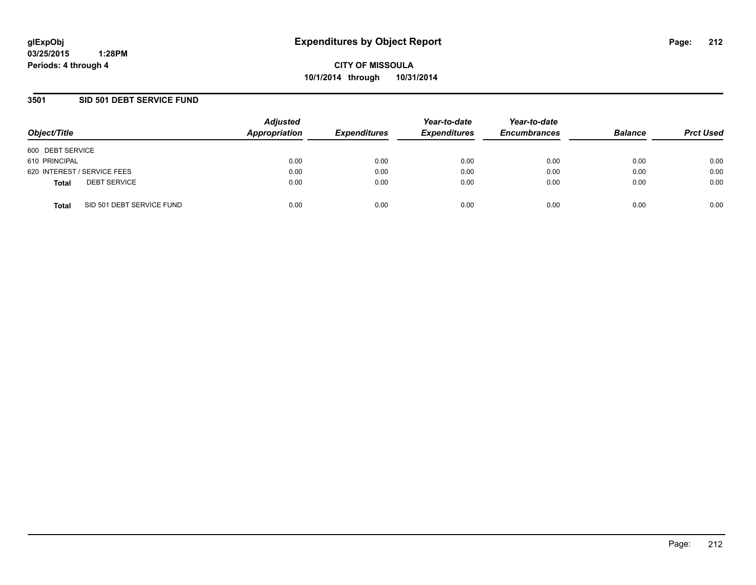**CITY OF MISSOULA 10/1/2014 through 10/31/2014**

## **3501 SID 501 DEBT SERVICE FUND**

| Object/Title                              | <b>Adjusted</b><br>Appropriation | <b>Expenditures</b> | Year-to-date<br><b>Expenditures</b> | Year-to-date<br><b>Encumbrances</b> | <b>Balance</b> | <b>Prct Used</b> |
|-------------------------------------------|----------------------------------|---------------------|-------------------------------------|-------------------------------------|----------------|------------------|
| 600 DEBT SERVICE                          |                                  |                     |                                     |                                     |                |                  |
| 610 PRINCIPAL                             | 0.00                             | 0.00                | 0.00                                | 0.00                                | 0.00           | 0.00             |
| 620 INTEREST / SERVICE FEES               | 0.00                             | 0.00                | 0.00                                | 0.00                                | 0.00           | 0.00             |
| <b>DEBT SERVICE</b><br><b>Total</b>       | 0.00                             | 0.00                | 0.00                                | 0.00                                | 0.00           | 0.00             |
| SID 501 DEBT SERVICE FUND<br><b>Total</b> | 0.00                             | 0.00                | 0.00                                | 0.00                                | 0.00           | 0.00             |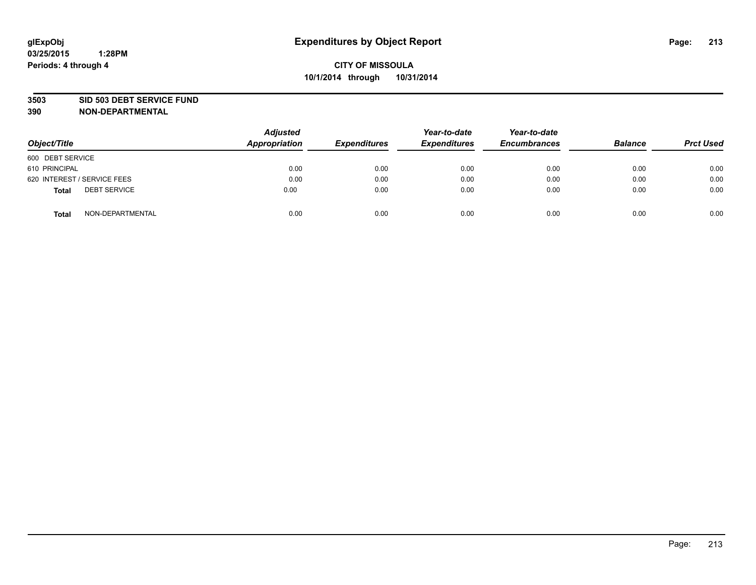### **3503 SID 503 DEBT SERVICE FUND**

| Object/Title                 | <b>Adjusted</b><br><b>Appropriation</b> | <b>Expenditures</b> | Year-to-date<br><b>Expenditures</b> | Year-to-date<br><b>Encumbrances</b> | <b>Balance</b> | <b>Prct Used</b> |
|------------------------------|-----------------------------------------|---------------------|-------------------------------------|-------------------------------------|----------------|------------------|
| 600 DEBT SERVICE             |                                         |                     |                                     |                                     |                |                  |
| 610 PRINCIPAL                | 0.00                                    | 0.00                | 0.00                                | 0.00                                | 0.00           | 0.00             |
| 620 INTEREST / SERVICE FEES  | 0.00                                    | 0.00                | 0.00                                | 0.00                                | 0.00           | 0.00             |
| <b>DEBT SERVICE</b><br>Total | 0.00                                    | 0.00                | 0.00                                | 0.00                                | 0.00           | 0.00             |
| NON-DEPARTMENTAL<br>Total    | 0.00                                    | 0.00                | 0.00                                | 0.00                                | 0.00           | 0.00             |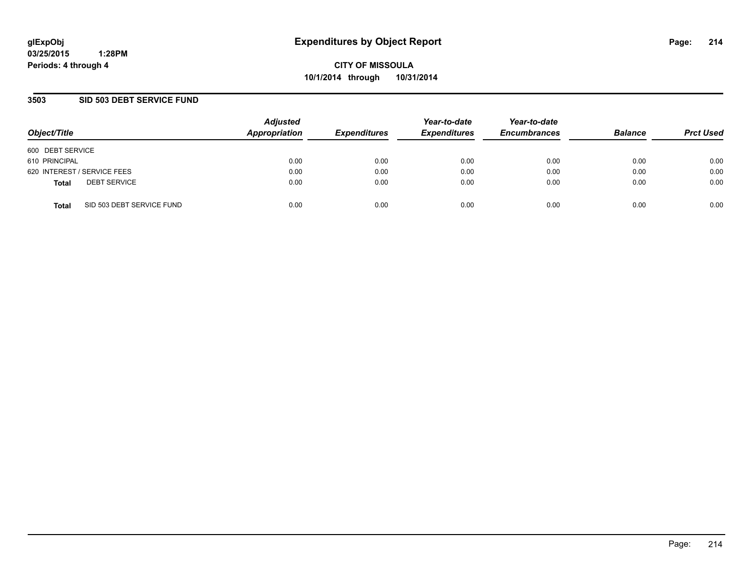**CITY OF MISSOULA 10/1/2014 through 10/31/2014**

## **3503 SID 503 DEBT SERVICE FUND**

| Object/Title                              | <b>Adjusted</b><br>Appropriation | <b>Expenditures</b> | Year-to-date<br><b>Expenditures</b> | Year-to-date<br><b>Encumbrances</b> | <b>Balance</b> | <b>Prct Used</b> |
|-------------------------------------------|----------------------------------|---------------------|-------------------------------------|-------------------------------------|----------------|------------------|
| 600 DEBT SERVICE                          |                                  |                     |                                     |                                     |                |                  |
| 610 PRINCIPAL                             | 0.00                             | 0.00                | 0.00                                | 0.00                                | 0.00           | 0.00             |
| 620 INTEREST / SERVICE FEES               | 0.00                             | 0.00                | 0.00                                | 0.00                                | 0.00           | 0.00             |
| <b>DEBT SERVICE</b><br><b>Total</b>       | 0.00                             | 0.00                | 0.00                                | 0.00                                | 0.00           | 0.00             |
| SID 503 DEBT SERVICE FUND<br><b>Total</b> | 0.00                             | 0.00                | 0.00                                | 0.00                                | 0.00           | 0.00             |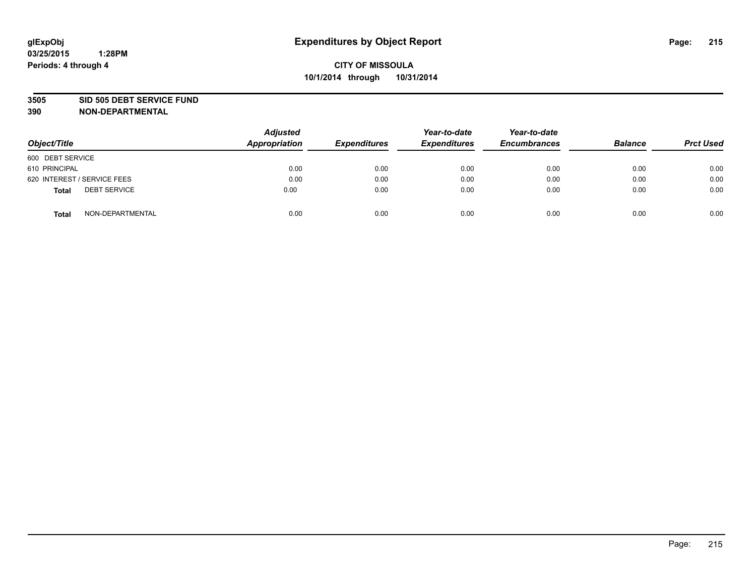### **3505 SID 505 DEBT SERVICE FUND**

| Object/Title                        | <b>Adjusted</b><br>Appropriation | <b>Expenditures</b> | Year-to-date<br><b>Expenditures</b> | Year-to-date<br><b>Encumbrances</b> | <b>Balance</b> | <b>Prct Used</b> |
|-------------------------------------|----------------------------------|---------------------|-------------------------------------|-------------------------------------|----------------|------------------|
| 600 DEBT SERVICE                    |                                  |                     |                                     |                                     |                |                  |
| 610 PRINCIPAL                       | 0.00                             | 0.00                | 0.00                                | 0.00                                | 0.00           | 0.00             |
| 620 INTEREST / SERVICE FEES         | 0.00                             | 0.00                | 0.00                                | 0.00                                | 0.00           | 0.00             |
| <b>DEBT SERVICE</b><br><b>Total</b> | 0.00                             | 0.00                | 0.00                                | 0.00                                | 0.00           | 0.00             |
| NON-DEPARTMENTAL<br><b>Total</b>    | 0.00                             | 0.00                | 0.00                                | 0.00                                | 0.00           | 0.00             |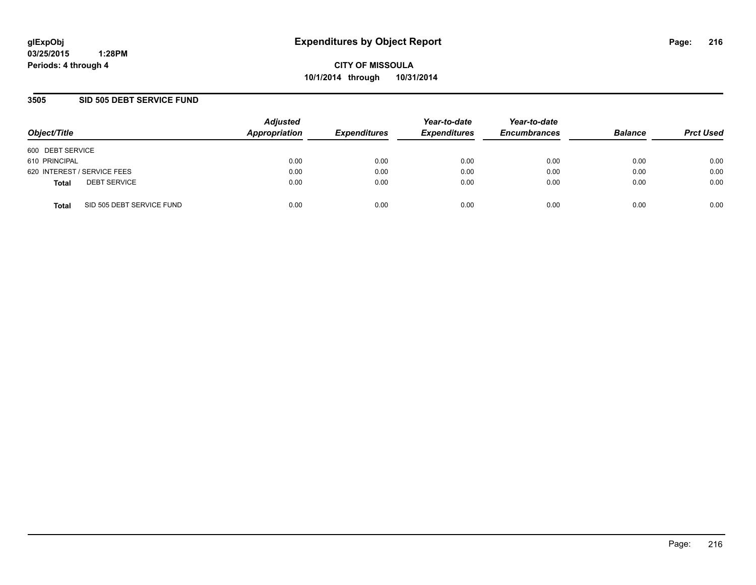**CITY OF MISSOULA 10/1/2014 through 10/31/2014**

## **3505 SID 505 DEBT SERVICE FUND**

| Object/Title                |                           | <b>Adjusted</b><br>Appropriation | <b>Expenditures</b> | Year-to-date<br><b>Expenditures</b> | Year-to-date<br><b>Encumbrances</b> | <b>Balance</b> | <b>Prct Used</b> |
|-----------------------------|---------------------------|----------------------------------|---------------------|-------------------------------------|-------------------------------------|----------------|------------------|
| 600 DEBT SERVICE            |                           |                                  |                     |                                     |                                     |                |                  |
| 610 PRINCIPAL               |                           | 0.00                             | 0.00                | 0.00                                | 0.00                                | 0.00           | 0.00             |
| 620 INTEREST / SERVICE FEES |                           | 0.00                             | 0.00                | 0.00                                | 0.00                                | 0.00           | 0.00             |
| <b>Total</b>                | <b>DEBT SERVICE</b>       | 0.00                             | 0.00                | 0.00                                | 0.00                                | 0.00           | 0.00             |
| <b>Total</b>                | SID 505 DEBT SERVICE FUND | 0.00                             | 0.00                | 0.00                                | 0.00                                | 0.00           | 0.00             |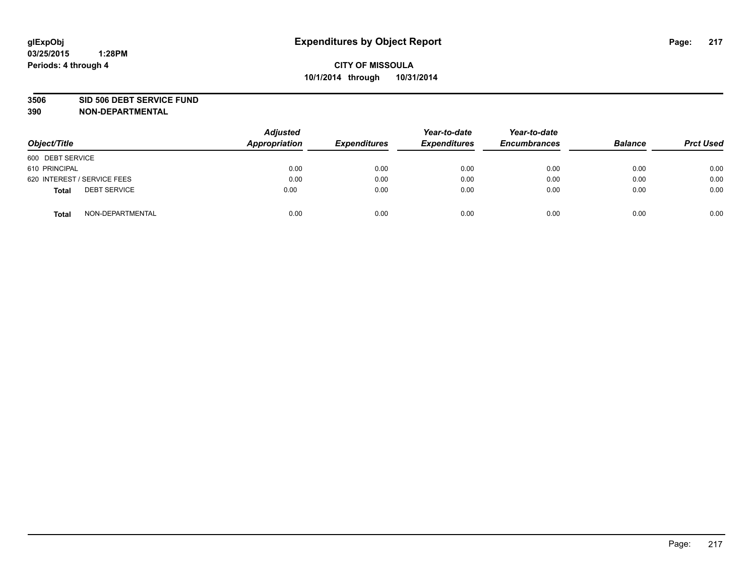#### **3506 SID 506 DEBT SERVICE FUND**

| Object/Title                        | <b>Adjusted</b><br><b>Appropriation</b> | <b>Expenditures</b> | Year-to-date<br><b>Expenditures</b> | Year-to-date<br><b>Encumbrances</b> | <b>Balance</b> | <b>Prct Used</b> |
|-------------------------------------|-----------------------------------------|---------------------|-------------------------------------|-------------------------------------|----------------|------------------|
| 600 DEBT SERVICE                    |                                         |                     |                                     |                                     |                |                  |
| 610 PRINCIPAL                       | 0.00                                    | 0.00                | 0.00                                | 0.00                                | 0.00           | 0.00             |
| 620 INTEREST / SERVICE FEES         | 0.00                                    | 0.00                | 0.00                                | 0.00                                | 0.00           | 0.00             |
| <b>DEBT SERVICE</b><br><b>Total</b> | 0.00                                    | 0.00                | 0.00                                | 0.00                                | 0.00           | 0.00             |
| NON-DEPARTMENTAL<br><b>Total</b>    | 0.00                                    | 0.00                | 0.00                                | 0.00                                | 0.00           | 0.00             |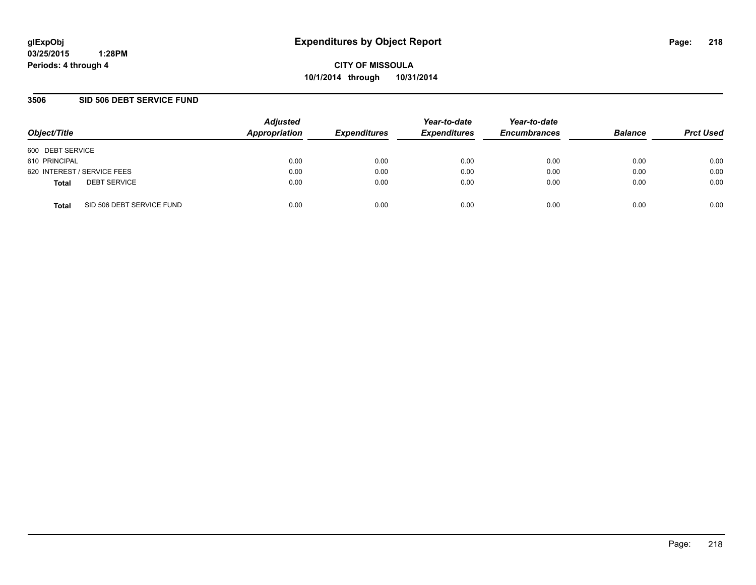**CITY OF MISSOULA 10/1/2014 through 10/31/2014**

### **3506 SID 506 DEBT SERVICE FUND**

| Object/Title                              | <b>Adjusted</b><br>Appropriation | <b>Expenditures</b> | Year-to-date<br><b>Expenditures</b> | Year-to-date<br><b>Encumbrances</b> | <b>Balance</b> | <b>Prct Used</b> |
|-------------------------------------------|----------------------------------|---------------------|-------------------------------------|-------------------------------------|----------------|------------------|
| 600 DEBT SERVICE                          |                                  |                     |                                     |                                     |                |                  |
| 610 PRINCIPAL                             | 0.00                             | 0.00                | 0.00                                | 0.00                                | 0.00           | 0.00             |
| 620 INTEREST / SERVICE FEES               | 0.00                             | 0.00                | 0.00                                | 0.00                                | 0.00           | 0.00             |
| <b>DEBT SERVICE</b><br><b>Total</b>       | 0.00                             | 0.00                | 0.00                                | 0.00                                | 0.00           | 0.00             |
| SID 506 DEBT SERVICE FUND<br><b>Total</b> | 0.00                             | 0.00                | 0.00                                | 0.00                                | 0.00           | 0.00             |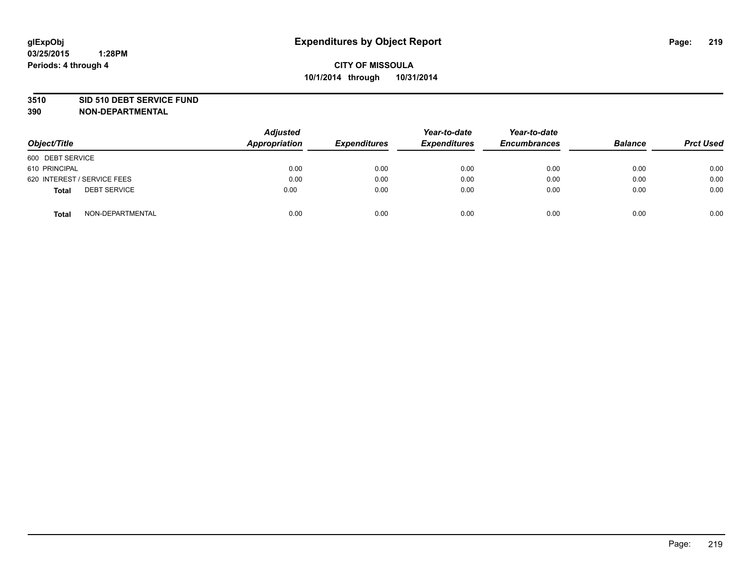#### **3510 SID 510 DEBT SERVICE FUND**

| Object/Title                 | <b>Adjusted</b><br><b>Appropriation</b> | <b>Expenditures</b> | Year-to-date<br><b>Expenditures</b> | Year-to-date<br><b>Encumbrances</b> | <b>Balance</b> | <b>Prct Used</b> |
|------------------------------|-----------------------------------------|---------------------|-------------------------------------|-------------------------------------|----------------|------------------|
| 600 DEBT SERVICE             |                                         |                     |                                     |                                     |                |                  |
| 610 PRINCIPAL                | 0.00                                    | 0.00                | 0.00                                | 0.00                                | 0.00           | 0.00             |
| 620 INTEREST / SERVICE FEES  | 0.00                                    | 0.00                | 0.00                                | 0.00                                | 0.00           | 0.00             |
| <b>DEBT SERVICE</b><br>Total | 0.00                                    | 0.00                | 0.00                                | 0.00                                | 0.00           | 0.00             |
| NON-DEPARTMENTAL<br>Total    | 0.00                                    | 0.00                | 0.00                                | 0.00                                | 0.00           | 0.00             |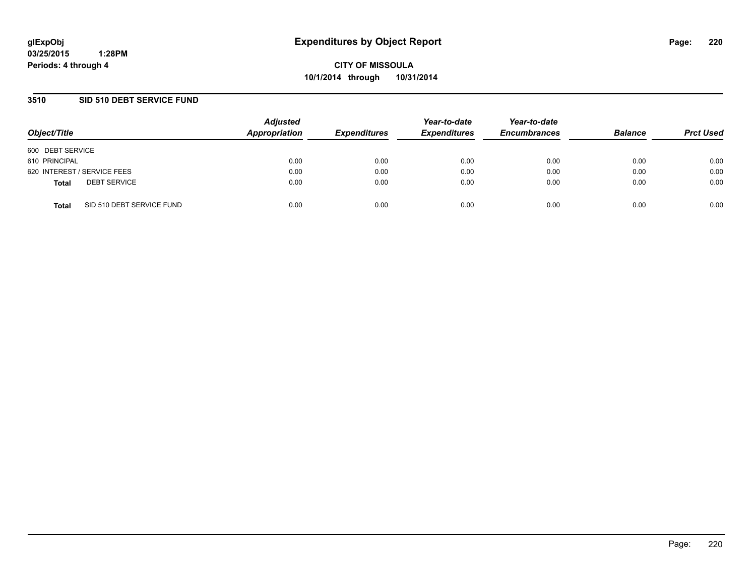**CITY OF MISSOULA 10/1/2014 through 10/31/2014**

### **3510 SID 510 DEBT SERVICE FUND**

| Object/Title                              | <b>Adjusted</b><br>Appropriation | <b>Expenditures</b> | Year-to-date<br><b>Expenditures</b> | Year-to-date<br><b>Encumbrances</b> | <b>Balance</b> | <b>Prct Used</b> |
|-------------------------------------------|----------------------------------|---------------------|-------------------------------------|-------------------------------------|----------------|------------------|
| 600 DEBT SERVICE                          |                                  |                     |                                     |                                     |                |                  |
| 610 PRINCIPAL                             | 0.00                             | 0.00                | 0.00                                | 0.00                                | 0.00           | 0.00             |
| 620 INTEREST / SERVICE FEES               | 0.00                             | 0.00                | 0.00                                | 0.00                                | 0.00           | 0.00             |
| <b>DEBT SERVICE</b><br><b>Total</b>       | 0.00                             | 0.00                | 0.00                                | 0.00                                | 0.00           | 0.00             |
| SID 510 DEBT SERVICE FUND<br><b>Total</b> | 0.00                             | 0.00                | 0.00                                | 0.00                                | 0.00           | 0.00             |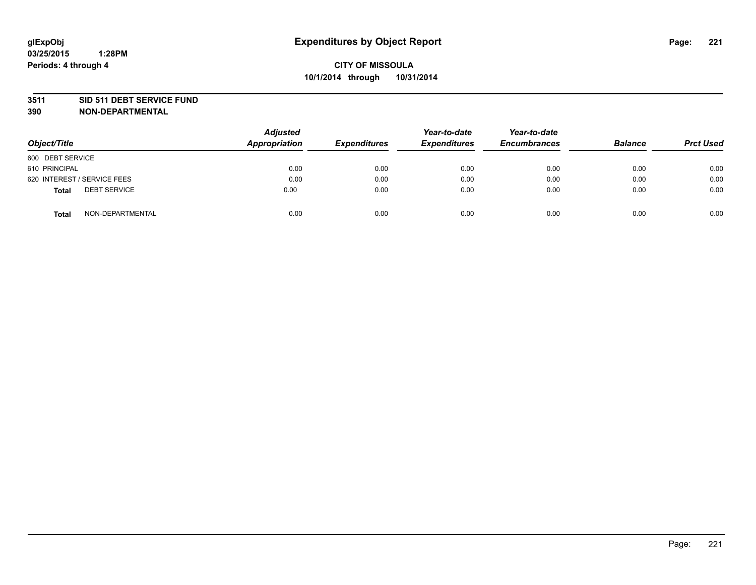#### **3511 SID 511 DEBT SERVICE FUND**

| Object/Title                 | Adjusted<br><b>Appropriation</b> | <b>Expenditures</b> | Year-to-date<br><b>Expenditures</b> | Year-to-date<br><b>Encumbrances</b> | <b>Balance</b> | <b>Prct Used</b> |
|------------------------------|----------------------------------|---------------------|-------------------------------------|-------------------------------------|----------------|------------------|
| 600 DEBT SERVICE             |                                  |                     |                                     |                                     |                |                  |
| 610 PRINCIPAL                | 0.00                             | 0.00                | 0.00                                | 0.00                                | 0.00           | 0.00             |
| 620 INTEREST / SERVICE FEES  | 0.00                             | 0.00                | 0.00                                | 0.00                                | 0.00           | 0.00             |
| <b>DEBT SERVICE</b><br>Total | 0.00                             | 0.00                | 0.00                                | 0.00                                | 0.00           | 0.00             |
| NON-DEPARTMENTAL<br>Total    | 0.00                             | 0.00                | 0.00                                | 0.00                                | 0.00           | 0.00             |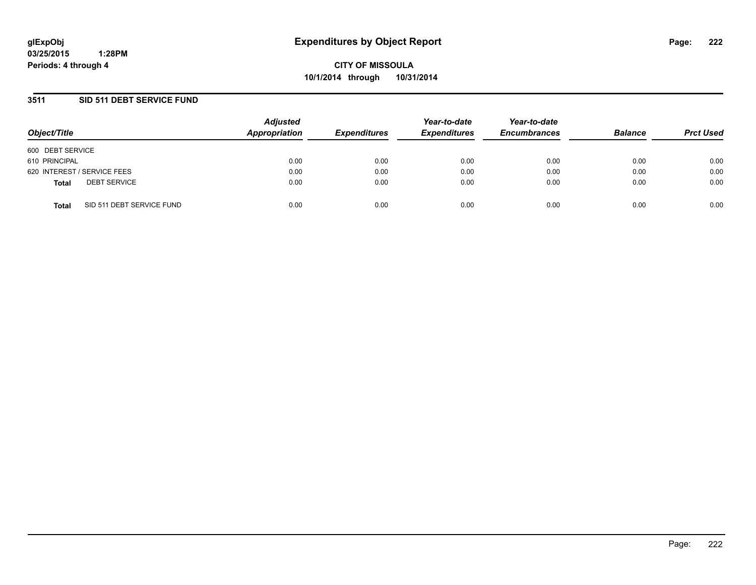**CITY OF MISSOULA 10/1/2014 through 10/31/2014**

### **3511 SID 511 DEBT SERVICE FUND**

| Object/Title                              | <b>Adjusted</b><br>Appropriation | <b>Expenditures</b> | Year-to-date<br><b>Expenditures</b> | Year-to-date<br><b>Encumbrances</b> | <b>Balance</b> | <b>Prct Used</b> |
|-------------------------------------------|----------------------------------|---------------------|-------------------------------------|-------------------------------------|----------------|------------------|
| 600 DEBT SERVICE                          |                                  |                     |                                     |                                     |                |                  |
| 610 PRINCIPAL                             | 0.00                             | 0.00                | 0.00                                | 0.00                                | 0.00           | 0.00             |
| 620 INTEREST / SERVICE FEES               | 0.00                             | 0.00                | 0.00                                | 0.00                                | 0.00           | 0.00             |
| <b>DEBT SERVICE</b><br><b>Total</b>       | 0.00                             | 0.00                | 0.00                                | 0.00                                | 0.00           | 0.00             |
| SID 511 DEBT SERVICE FUND<br><b>Total</b> | 0.00                             | 0.00                | 0.00                                | 0.00                                | 0.00           | 0.00             |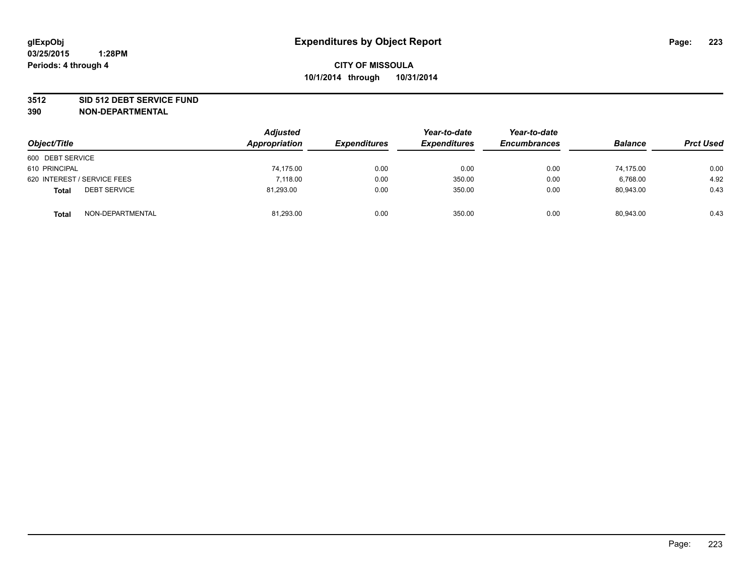#### **3512 SID 512 DEBT SERVICE FUND**

| Object/Title                        | <b>Adjusted</b><br>Appropriation | <b>Expenditures</b> | Year-to-date<br><b>Expenditures</b> | Year-to-date<br><b>Encumbrances</b> | <b>Balance</b> | <b>Prct Used</b> |
|-------------------------------------|----------------------------------|---------------------|-------------------------------------|-------------------------------------|----------------|------------------|
| 600 DEBT SERVICE                    |                                  |                     |                                     |                                     |                |                  |
| 610 PRINCIPAL                       | 74,175.00                        | 0.00                | 0.00                                | 0.00                                | 74.175.00      | 0.00             |
| 620 INTEREST / SERVICE FEES         | 7.118.00                         | 0.00                | 350.00                              | 0.00                                | 6.768.00       | 4.92             |
| <b>DEBT SERVICE</b><br><b>Total</b> | 81,293.00                        | 0.00                | 350.00                              | 0.00                                | 80,943.00      | 0.43             |
| NON-DEPARTMENTAL<br><b>Total</b>    | 81,293.00                        | 0.00                | 350.00                              | 0.00                                | 80,943.00      | 0.43             |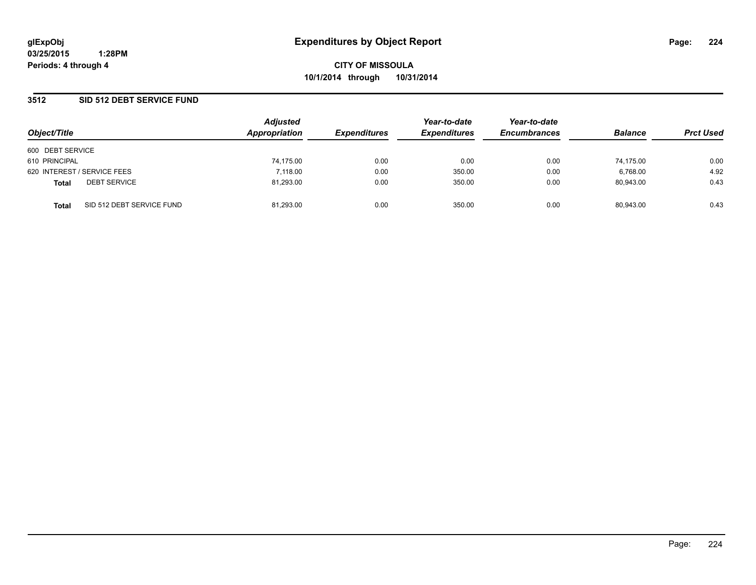### **3512 SID 512 DEBT SERVICE FUND**

| Object/Title                |                           | <b>Adjusted</b><br><b>Appropriation</b> | <b>Expenditures</b> | Year-to-date<br><b>Expenditures</b> | Year-to-date<br><b>Encumbrances</b> | <b>Balance</b> | <b>Prct Used</b> |
|-----------------------------|---------------------------|-----------------------------------------|---------------------|-------------------------------------|-------------------------------------|----------------|------------------|
| 600 DEBT SERVICE            |                           |                                         |                     |                                     |                                     |                |                  |
| 610 PRINCIPAL               |                           | 74,175.00                               | 0.00                | 0.00                                | 0.00                                | 74,175.00      | 0.00             |
| 620 INTEREST / SERVICE FEES |                           | 7.118.00                                | 0.00                | 350.00                              | 0.00                                | 6,768.00       | 4.92             |
| <b>Total</b>                | <b>DEBT SERVICE</b>       | 81,293.00                               | 0.00                | 350.00                              | 0.00                                | 80.943.00      | 0.43             |
| <b>Total</b>                | SID 512 DEBT SERVICE FUND | 81.293.00                               | 0.00                | 350.00                              | 0.00                                | 80.943.00      | 0.43             |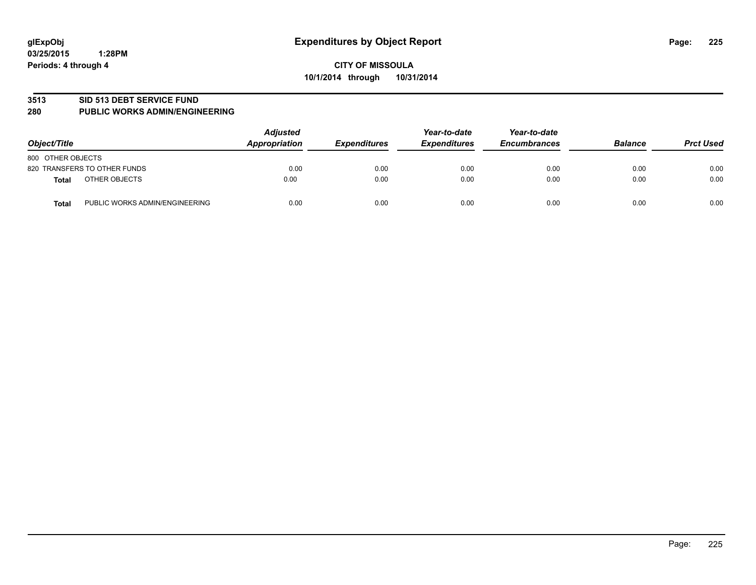#### **3513 SID 513 DEBT SERVICE FUND**

#### **280 PUBLIC WORKS ADMIN/ENGINEERING**

| Object/Title                            | <b>Adjusted</b><br>Appropriation | <b>Expenditures</b> | Year-to-date<br><b>Expenditures</b> | Year-to-date<br><b>Encumbrances</b> | <b>Balance</b> | <b>Prct Used</b> |
|-----------------------------------------|----------------------------------|---------------------|-------------------------------------|-------------------------------------|----------------|------------------|
| 800 OTHER OBJECTS                       |                                  |                     |                                     |                                     |                |                  |
| 820 TRANSFERS TO OTHER FUNDS            | 0.00                             | 0.00                | 0.00                                | 0.00                                | 0.00           | 0.00             |
| OTHER OBJECTS<br>Total                  | 0.00                             | 0.00                | 0.00                                | 0.00                                | 0.00           | 0.00             |
| PUBLIC WORKS ADMIN/ENGINEERING<br>Total | 0.00                             | 0.00                | 0.00                                | 0.00                                | 0.00           | 0.00             |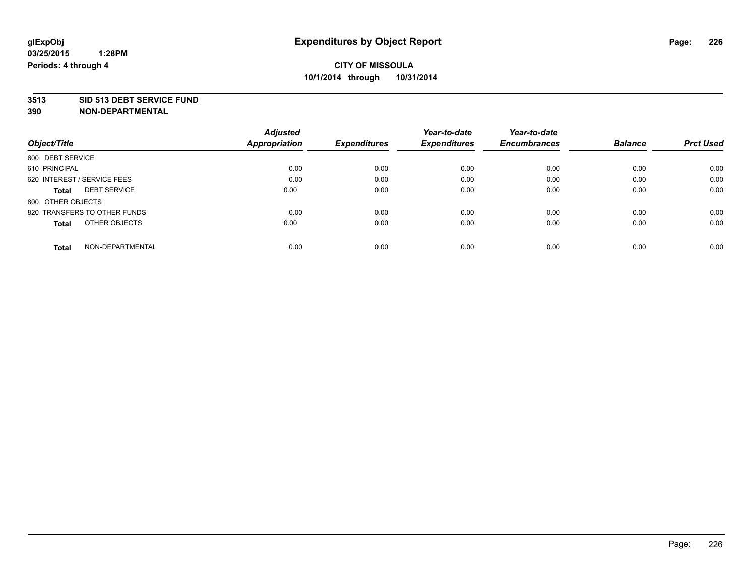#### **3513 SID 513 DEBT SERVICE FUND**

|                                     | <b>Adjusted</b>      |                     | Year-to-date        | Year-to-date        |                |                  |
|-------------------------------------|----------------------|---------------------|---------------------|---------------------|----------------|------------------|
| Object/Title                        | <b>Appropriation</b> | <b>Expenditures</b> | <b>Expenditures</b> | <b>Encumbrances</b> | <b>Balance</b> | <b>Prct Used</b> |
| 600 DEBT SERVICE                    |                      |                     |                     |                     |                |                  |
| 610 PRINCIPAL                       | 0.00                 | 0.00                | 0.00                | 0.00                | 0.00           | 0.00             |
| 620 INTEREST / SERVICE FEES         | 0.00                 | 0.00                | 0.00                | 0.00                | 0.00           | 0.00             |
| <b>DEBT SERVICE</b><br><b>Total</b> | 0.00                 | 0.00                | 0.00                | 0.00                | 0.00           | 0.00             |
| 800 OTHER OBJECTS                   |                      |                     |                     |                     |                |                  |
| 820 TRANSFERS TO OTHER FUNDS        | 0.00                 | 0.00                | 0.00                | 0.00                | 0.00           | 0.00             |
| OTHER OBJECTS<br><b>Total</b>       | 0.00                 | 0.00                | 0.00                | 0.00                | 0.00           | 0.00             |
| NON-DEPARTMENTAL<br>Total           | 0.00                 | 0.00                | 0.00                | 0.00                | 0.00           | 0.00             |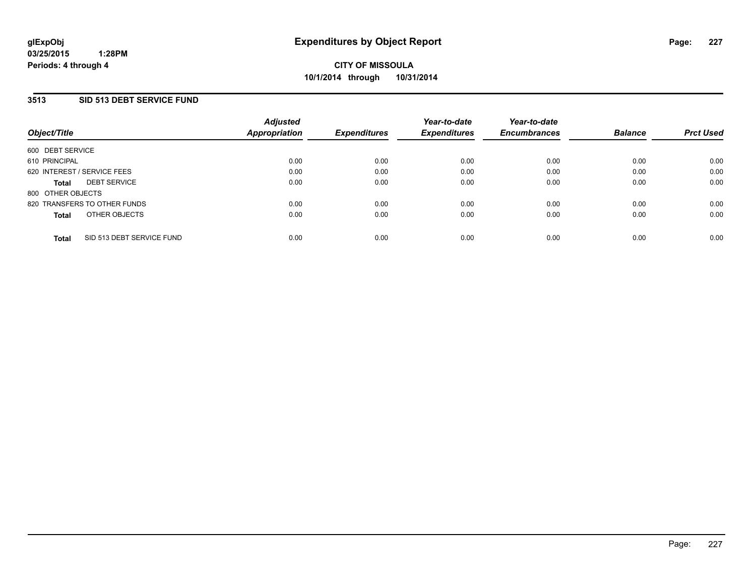### **3513 SID 513 DEBT SERVICE FUND**

| Object/Title                |                              | <b>Adjusted</b><br>Appropriation | <b>Expenditures</b> | Year-to-date<br><b>Expenditures</b> | Year-to-date<br><b>Encumbrances</b> | <b>Balance</b> | <b>Prct Used</b> |
|-----------------------------|------------------------------|----------------------------------|---------------------|-------------------------------------|-------------------------------------|----------------|------------------|
| 600 DEBT SERVICE            |                              |                                  |                     |                                     |                                     |                |                  |
| 610 PRINCIPAL               |                              | 0.00                             | 0.00                | 0.00                                | 0.00                                | 0.00           | 0.00             |
| 620 INTEREST / SERVICE FEES |                              | 0.00                             | 0.00                | 0.00                                | 0.00                                | 0.00           | 0.00             |
| <b>Total</b>                | <b>DEBT SERVICE</b>          | 0.00                             | 0.00                | 0.00                                | 0.00                                | 0.00           | 0.00             |
| 800 OTHER OBJECTS           |                              |                                  |                     |                                     |                                     |                |                  |
|                             | 820 TRANSFERS TO OTHER FUNDS | 0.00                             | 0.00                | 0.00                                | 0.00                                | 0.00           | 0.00             |
| <b>Total</b>                | OTHER OBJECTS                | 0.00                             | 0.00                | 0.00                                | 0.00                                | 0.00           | 0.00             |
| <b>Total</b>                | SID 513 DEBT SERVICE FUND    | 0.00                             | 0.00                | 0.00                                | 0.00                                | 0.00           | 0.00             |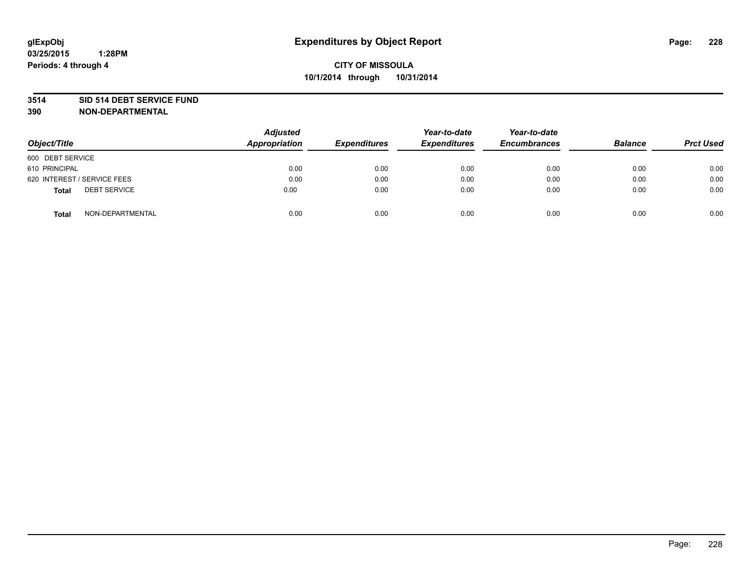#### **3514 SID 514 DEBT SERVICE FUND**

| Object/Title                 | <b>Adjusted</b><br><b>Appropriation</b> | <b>Expenditures</b> | Year-to-date<br><b>Expenditures</b> | Year-to-date<br><b>Encumbrances</b> | <b>Balance</b> | <b>Prct Used</b> |
|------------------------------|-----------------------------------------|---------------------|-------------------------------------|-------------------------------------|----------------|------------------|
| 600 DEBT SERVICE             |                                         |                     |                                     |                                     |                |                  |
| 610 PRINCIPAL                | 0.00                                    | 0.00                | 0.00                                | 0.00                                | 0.00           | 0.00             |
| 620 INTEREST / SERVICE FEES  | 0.00                                    | 0.00                | 0.00                                | 0.00                                | 0.00           | 0.00             |
| <b>DEBT SERVICE</b><br>Total | 0.00                                    | 0.00                | 0.00                                | 0.00                                | 0.00           | 0.00             |
| NON-DEPARTMENTAL<br>Total    | 0.00                                    | 0.00                | 0.00                                | 0.00                                | 0.00           | 0.00             |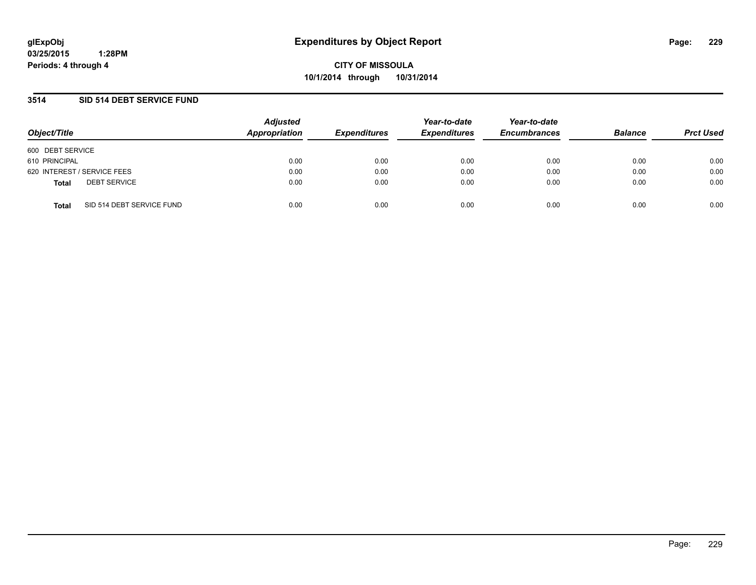**CITY OF MISSOULA 10/1/2014 through 10/31/2014**

### **3514 SID 514 DEBT SERVICE FUND**

| Object/Title                              | <b>Adjusted</b><br>Appropriation | <b>Expenditures</b> | Year-to-date<br><b>Expenditures</b> | Year-to-date<br><b>Encumbrances</b> | <b>Balance</b> | <b>Prct Used</b> |
|-------------------------------------------|----------------------------------|---------------------|-------------------------------------|-------------------------------------|----------------|------------------|
| 600 DEBT SERVICE                          |                                  |                     |                                     |                                     |                |                  |
| 610 PRINCIPAL                             | 0.00                             | 0.00                | 0.00                                | 0.00                                | 0.00           | 0.00             |
| 620 INTEREST / SERVICE FEES               | 0.00                             | 0.00                | 0.00                                | 0.00                                | 0.00           | 0.00             |
| <b>DEBT SERVICE</b><br><b>Total</b>       | 0.00                             | 0.00                | 0.00                                | 0.00                                | 0.00           | 0.00             |
| SID 514 DEBT SERVICE FUND<br><b>Total</b> | 0.00                             | 0.00                | 0.00                                | 0.00                                | 0.00           | 0.00             |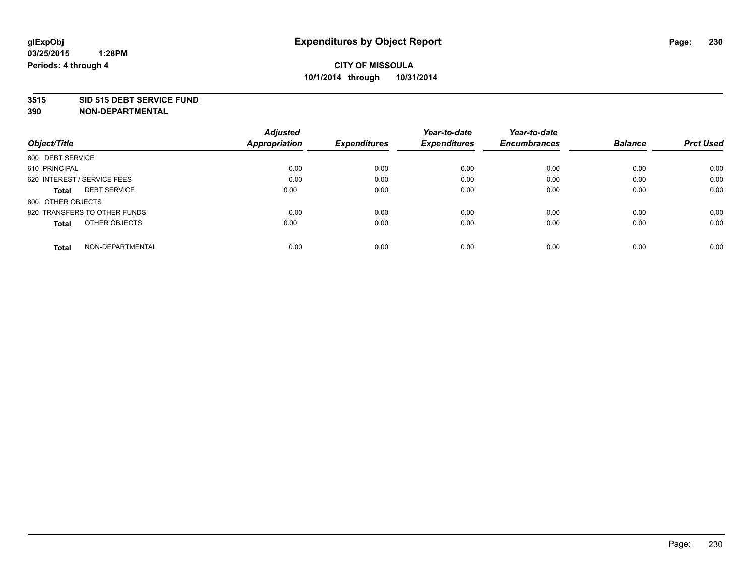#### **3515 SID 515 DEBT SERVICE FUND**

|                                     | <b>Adjusted</b>      |                     | Year-to-date        | Year-to-date        |                |                  |
|-------------------------------------|----------------------|---------------------|---------------------|---------------------|----------------|------------------|
| Object/Title                        | <b>Appropriation</b> | <b>Expenditures</b> | <b>Expenditures</b> | <b>Encumbrances</b> | <b>Balance</b> | <b>Prct Used</b> |
| 600 DEBT SERVICE                    |                      |                     |                     |                     |                |                  |
| 610 PRINCIPAL                       | 0.00                 | 0.00                | 0.00                | 0.00                | 0.00           | 0.00             |
| 620 INTEREST / SERVICE FEES         | 0.00                 | 0.00                | 0.00                | 0.00                | 0.00           | 0.00             |
| <b>DEBT SERVICE</b><br><b>Total</b> | 0.00                 | 0.00                | 0.00                | 0.00                | 0.00           | 0.00             |
| 800 OTHER OBJECTS                   |                      |                     |                     |                     |                |                  |
| 820 TRANSFERS TO OTHER FUNDS        | 0.00                 | 0.00                | 0.00                | 0.00                | 0.00           | 0.00             |
| OTHER OBJECTS<br><b>Total</b>       | 0.00                 | 0.00                | 0.00                | 0.00                | 0.00           | 0.00             |
| NON-DEPARTMENTAL<br>Total           | 0.00                 | 0.00                | 0.00                | 0.00                | 0.00           | 0.00             |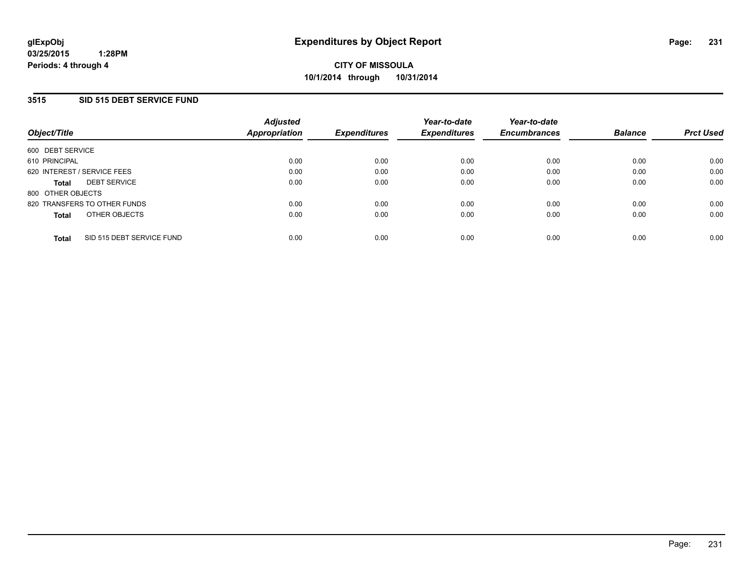### **3515 SID 515 DEBT SERVICE FUND**

| Object/Title      |                              | <b>Adjusted</b><br><b>Appropriation</b> | <b>Expenditures</b> | Year-to-date<br><b>Expenditures</b> | Year-to-date<br><b>Encumbrances</b> | <b>Balance</b> | <b>Prct Used</b> |
|-------------------|------------------------------|-----------------------------------------|---------------------|-------------------------------------|-------------------------------------|----------------|------------------|
| 600 DEBT SERVICE  |                              |                                         |                     |                                     |                                     |                |                  |
| 610 PRINCIPAL     |                              | 0.00                                    | 0.00                | 0.00                                | 0.00                                | 0.00           | 0.00             |
|                   | 620 INTEREST / SERVICE FEES  | 0.00                                    | 0.00                | 0.00                                | 0.00                                | 0.00           | 0.00             |
| <b>Total</b>      | <b>DEBT SERVICE</b>          | 0.00                                    | 0.00                | 0.00                                | 0.00                                | 0.00           | 0.00             |
| 800 OTHER OBJECTS |                              |                                         |                     |                                     |                                     |                |                  |
|                   | 820 TRANSFERS TO OTHER FUNDS | 0.00                                    | 0.00                | 0.00                                | 0.00                                | 0.00           | 0.00             |
| <b>Total</b>      | OTHER OBJECTS                | 0.00                                    | 0.00                | 0.00                                | 0.00                                | 0.00           | 0.00             |
| <b>Total</b>      | SID 515 DEBT SERVICE FUND    | 0.00                                    | 0.00                | 0.00                                | 0.00                                | 0.00           | 0.00             |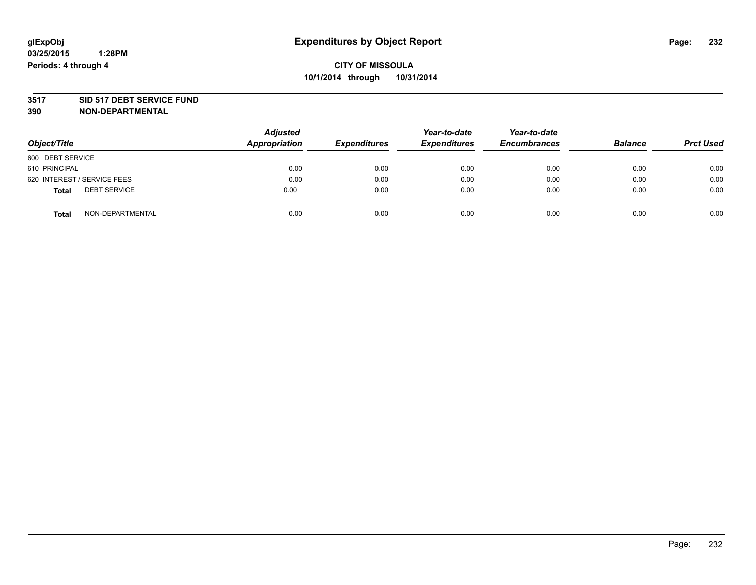#### **3517 SID 517 DEBT SERVICE FUND**

| Object/Title                        | <b>Adjusted</b><br><b>Appropriation</b> | <b>Expenditures</b> | Year-to-date<br><b>Expenditures</b> | Year-to-date<br><b>Encumbrances</b> | <b>Balance</b> | <b>Prct Used</b> |
|-------------------------------------|-----------------------------------------|---------------------|-------------------------------------|-------------------------------------|----------------|------------------|
| 600 DEBT SERVICE                    |                                         |                     |                                     |                                     |                |                  |
| 610 PRINCIPAL                       | 0.00                                    | 0.00                | 0.00                                | 0.00                                | 0.00           | 0.00             |
| 620 INTEREST / SERVICE FEES         | 0.00                                    | 0.00                | 0.00                                | 0.00                                | 0.00           | 0.00             |
| <b>DEBT SERVICE</b><br><b>Total</b> | 0.00                                    | 0.00                | 0.00                                | 0.00                                | 0.00           | 0.00             |
| NON-DEPARTMENTAL<br><b>Total</b>    | 0.00                                    | 0.00                | 0.00                                | 0.00                                | 0.00           | 0.00             |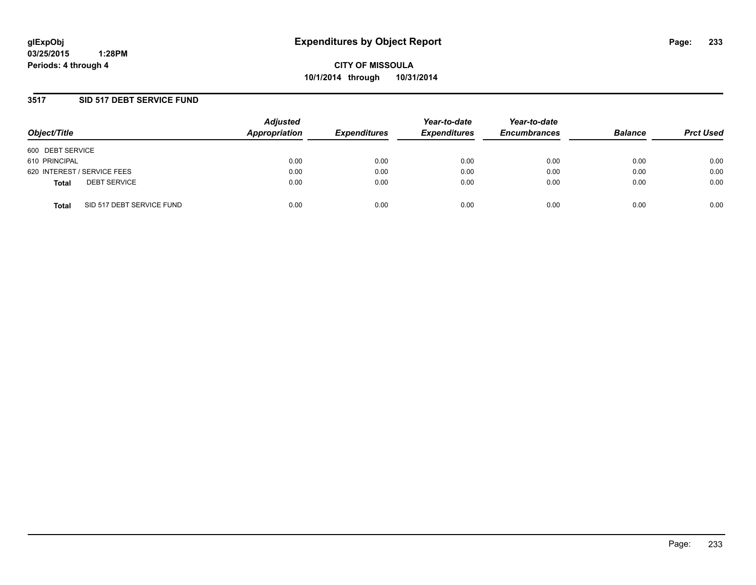**CITY OF MISSOULA 10/1/2014 through 10/31/2014**

### **3517 SID 517 DEBT SERVICE FUND**

| Object/Title                              | <b>Adjusted</b><br>Appropriation | <b>Expenditures</b> | Year-to-date<br><b>Expenditures</b> | Year-to-date<br><b>Encumbrances</b> | <b>Balance</b> | <b>Prct Used</b> |
|-------------------------------------------|----------------------------------|---------------------|-------------------------------------|-------------------------------------|----------------|------------------|
| 600 DEBT SERVICE                          |                                  |                     |                                     |                                     |                |                  |
| 610 PRINCIPAL                             | 0.00                             | 0.00                | 0.00                                | 0.00                                | 0.00           | 0.00             |
| 620 INTEREST / SERVICE FEES               | 0.00                             | 0.00                | 0.00                                | 0.00                                | 0.00           | 0.00             |
| <b>DEBT SERVICE</b><br><b>Total</b>       | 0.00                             | 0.00                | 0.00                                | 0.00                                | 0.00           | 0.00             |
| SID 517 DEBT SERVICE FUND<br><b>Total</b> | 0.00                             | 0.00                | 0.00                                | 0.00                                | 0.00           | 0.00             |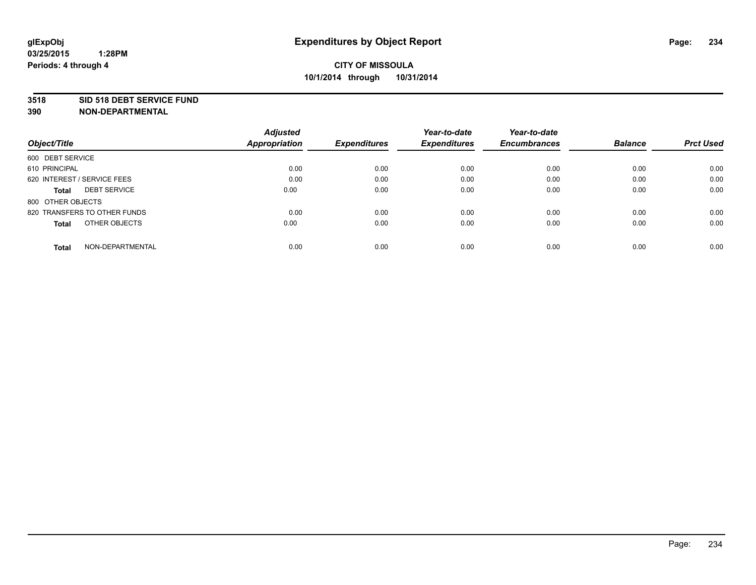#### **3518 SID 518 DEBT SERVICE FUND**

|                                     | <b>Adjusted</b>      |                     | Year-to-date        | Year-to-date        |                |                  |
|-------------------------------------|----------------------|---------------------|---------------------|---------------------|----------------|------------------|
| Object/Title                        | <b>Appropriation</b> | <b>Expenditures</b> | <b>Expenditures</b> | <b>Encumbrances</b> | <b>Balance</b> | <b>Prct Used</b> |
| 600 DEBT SERVICE                    |                      |                     |                     |                     |                |                  |
| 610 PRINCIPAL                       | 0.00                 | 0.00                | 0.00                | 0.00                | 0.00           | 0.00             |
| 620 INTEREST / SERVICE FEES         | 0.00                 | 0.00                | 0.00                | 0.00                | 0.00           | 0.00             |
| <b>DEBT SERVICE</b><br><b>Total</b> | 0.00                 | 0.00                | 0.00                | 0.00                | 0.00           | 0.00             |
| 800 OTHER OBJECTS                   |                      |                     |                     |                     |                |                  |
| 820 TRANSFERS TO OTHER FUNDS        | 0.00                 | 0.00                | 0.00                | 0.00                | 0.00           | 0.00             |
| OTHER OBJECTS<br><b>Total</b>       | 0.00                 | 0.00                | 0.00                | 0.00                | 0.00           | 0.00             |
| NON-DEPARTMENTAL<br>Total           | 0.00                 | 0.00                | 0.00                | 0.00                | 0.00           | 0.00             |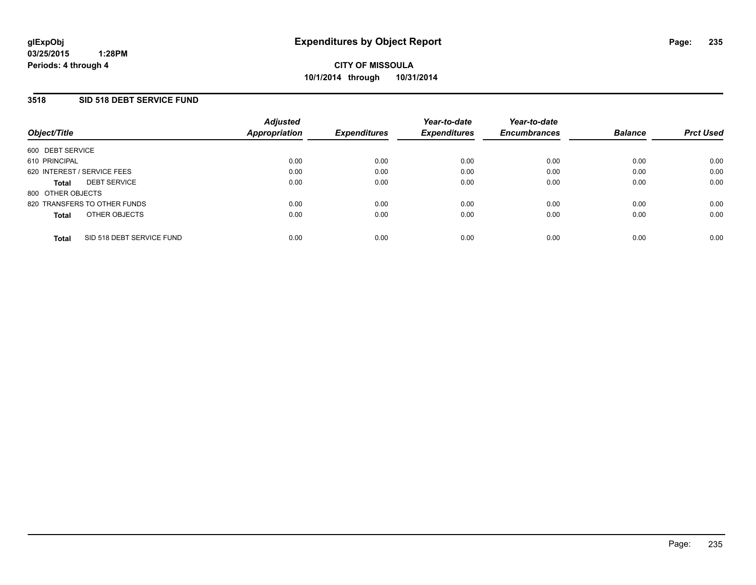### **3518 SID 518 DEBT SERVICE FUND**

| Object/Title                        |                           | <b>Adjusted</b><br>Appropriation | <b>Expenditures</b> | Year-to-date<br><b>Expenditures</b> | Year-to-date<br><b>Encumbrances</b> | <b>Balance</b> | <b>Prct Used</b> |
|-------------------------------------|---------------------------|----------------------------------|---------------------|-------------------------------------|-------------------------------------|----------------|------------------|
| 600 DEBT SERVICE                    |                           |                                  |                     |                                     |                                     |                |                  |
| 610 PRINCIPAL                       |                           | 0.00                             | 0.00                | 0.00                                | 0.00                                | 0.00           | 0.00             |
| 620 INTEREST / SERVICE FEES         |                           | 0.00                             | 0.00                | 0.00                                | 0.00                                | 0.00           | 0.00             |
| <b>DEBT SERVICE</b><br><b>Total</b> |                           | 0.00                             | 0.00                | 0.00                                | 0.00                                | 0.00           | 0.00             |
| 800 OTHER OBJECTS                   |                           |                                  |                     |                                     |                                     |                |                  |
| 820 TRANSFERS TO OTHER FUNDS        |                           | 0.00                             | 0.00                | 0.00                                | 0.00                                | 0.00           | 0.00             |
| <b>Total</b>                        | OTHER OBJECTS             | 0.00                             | 0.00                | 0.00                                | 0.00                                | 0.00           | 0.00             |
| <b>Total</b>                        | SID 518 DEBT SERVICE FUND | 0.00                             | 0.00                | 0.00                                | 0.00                                | 0.00           | 0.00             |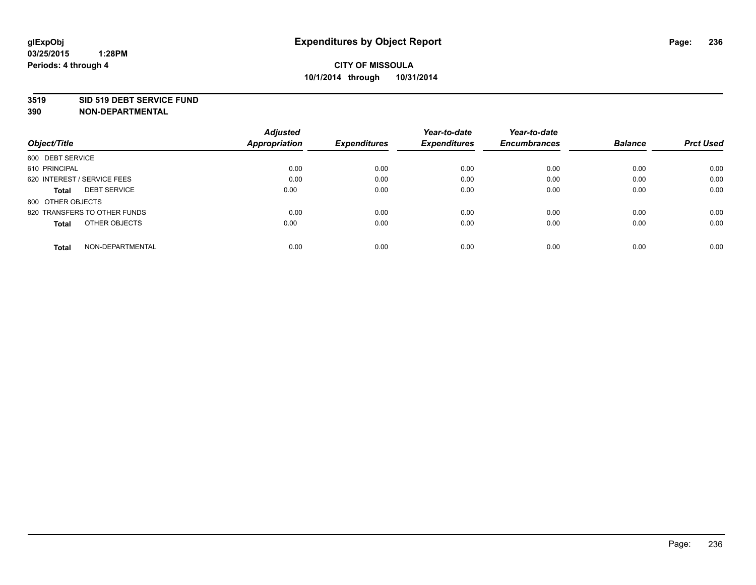#### **3519 SID 519 DEBT SERVICE FUND**

|                                     | <b>Adjusted</b>      |                     | Year-to-date        | Year-to-date        |                |                  |
|-------------------------------------|----------------------|---------------------|---------------------|---------------------|----------------|------------------|
| Object/Title                        | <b>Appropriation</b> | <b>Expenditures</b> | <b>Expenditures</b> | <b>Encumbrances</b> | <b>Balance</b> | <b>Prct Used</b> |
| 600 DEBT SERVICE                    |                      |                     |                     |                     |                |                  |
| 610 PRINCIPAL                       | 0.00                 | 0.00                | 0.00                | 0.00                | 0.00           | 0.00             |
| 620 INTEREST / SERVICE FEES         | 0.00                 | 0.00                | 0.00                | 0.00                | 0.00           | 0.00             |
| <b>DEBT SERVICE</b><br><b>Total</b> | 0.00                 | 0.00                | 0.00                | 0.00                | 0.00           | 0.00             |
| 800 OTHER OBJECTS                   |                      |                     |                     |                     |                |                  |
| 820 TRANSFERS TO OTHER FUNDS        | 0.00                 | 0.00                | 0.00                | 0.00                | 0.00           | 0.00             |
| OTHER OBJECTS<br><b>Total</b>       | 0.00                 | 0.00                | 0.00                | 0.00                | 0.00           | 0.00             |
| NON-DEPARTMENTAL<br>Total           | 0.00                 | 0.00                | 0.00                | 0.00                | 0.00           | 0.00             |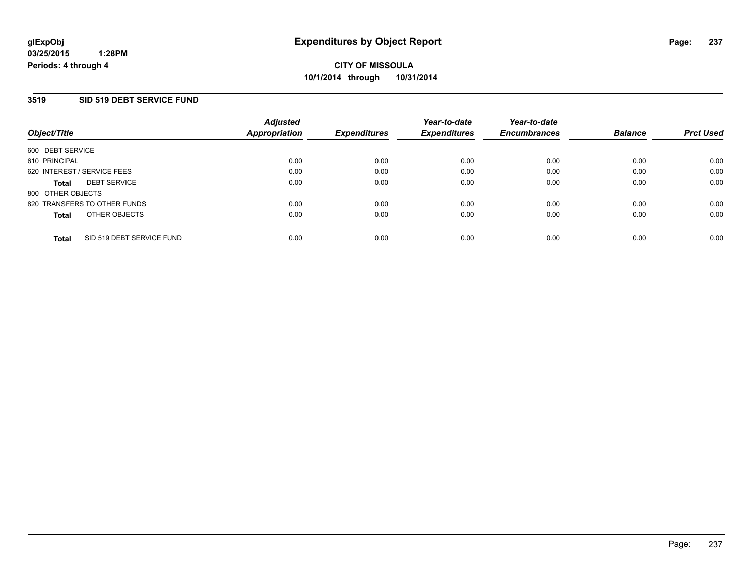### **3519 SID 519 DEBT SERVICE FUND**

| Object/Title                |                              | <b>Adjusted</b><br>Appropriation | <b>Expenditures</b> | Year-to-date<br><b>Expenditures</b> | Year-to-date<br><b>Encumbrances</b> | <b>Balance</b> | <b>Prct Used</b> |
|-----------------------------|------------------------------|----------------------------------|---------------------|-------------------------------------|-------------------------------------|----------------|------------------|
| 600 DEBT SERVICE            |                              |                                  |                     |                                     |                                     |                |                  |
| 610 PRINCIPAL               |                              | 0.00                             | 0.00                | 0.00                                | 0.00                                | 0.00           | 0.00             |
| 620 INTEREST / SERVICE FEES |                              | 0.00                             | 0.00                | 0.00                                | 0.00                                | 0.00           | 0.00             |
| <b>Total</b>                | <b>DEBT SERVICE</b>          | 0.00                             | 0.00                | 0.00                                | 0.00                                | 0.00           | 0.00             |
| 800 OTHER OBJECTS           |                              |                                  |                     |                                     |                                     |                |                  |
|                             | 820 TRANSFERS TO OTHER FUNDS | 0.00                             | 0.00                | 0.00                                | 0.00                                | 0.00           | 0.00             |
| <b>Total</b>                | OTHER OBJECTS                | 0.00                             | 0.00                | 0.00                                | 0.00                                | 0.00           | 0.00             |
| <b>Total</b>                | SID 519 DEBT SERVICE FUND    | 0.00                             | 0.00                | 0.00                                | 0.00                                | 0.00           | 0.00             |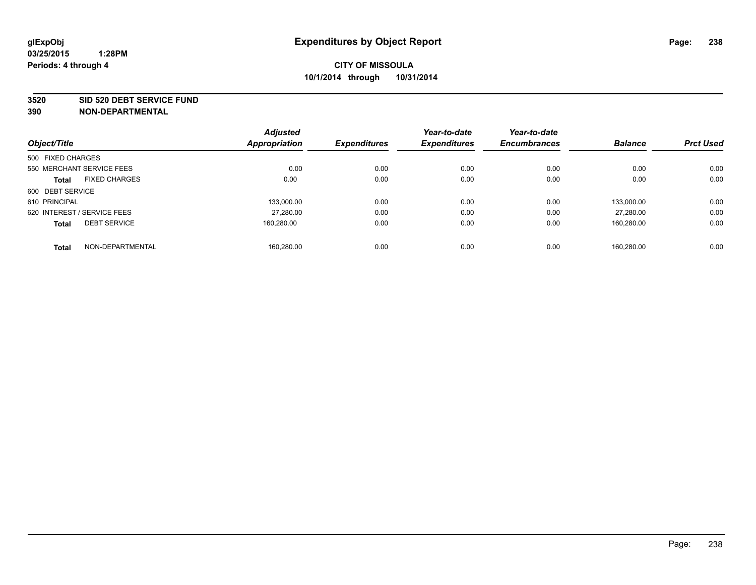#### **3520 SID 520 DEBT SERVICE FUND**

|                             |                      | <b>Adjusted</b> |                     | Year-to-date        | Year-to-date        |                |                  |
|-----------------------------|----------------------|-----------------|---------------------|---------------------|---------------------|----------------|------------------|
| Object/Title                |                      | Appropriation   | <b>Expenditures</b> | <b>Expenditures</b> | <b>Encumbrances</b> | <b>Balance</b> | <b>Prct Used</b> |
| 500 FIXED CHARGES           |                      |                 |                     |                     |                     |                |                  |
| 550 MERCHANT SERVICE FEES   |                      | 0.00            | 0.00                | 0.00                | 0.00                | 0.00           | 0.00             |
| <b>Total</b>                | <b>FIXED CHARGES</b> | 0.00            | 0.00                | 0.00                | 0.00                | 0.00           | 0.00             |
| 600 DEBT SERVICE            |                      |                 |                     |                     |                     |                |                  |
| 610 PRINCIPAL               |                      | 133.000.00      | 0.00                | 0.00                | 0.00                | 133.000.00     | 0.00             |
| 620 INTEREST / SERVICE FEES |                      | 27,280.00       | 0.00                | 0.00                | 0.00                | 27,280.00      | 0.00             |
| <b>Total</b>                | <b>DEBT SERVICE</b>  | 160.280.00      | 0.00                | 0.00                | 0.00                | 160,280.00     | 0.00             |
| <b>Total</b>                | NON-DEPARTMENTAL     | 160.280.00      | 0.00                | 0.00                | 0.00                | 160.280.00     | 0.00             |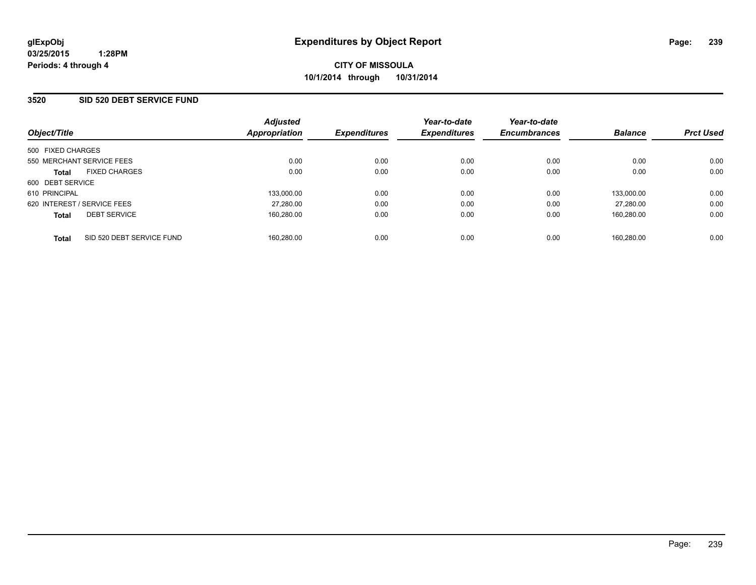### **3520 SID 520 DEBT SERVICE FUND**

| Object/Title                              | <b>Adjusted</b><br>Appropriation | <b>Expenditures</b> | Year-to-date<br><b>Expenditures</b> | Year-to-date<br><b>Encumbrances</b> | <b>Balance</b> | <b>Prct Used</b> |
|-------------------------------------------|----------------------------------|---------------------|-------------------------------------|-------------------------------------|----------------|------------------|
| 500 FIXED CHARGES                         |                                  |                     |                                     |                                     |                |                  |
| 550 MERCHANT SERVICE FEES                 | 0.00                             | 0.00                | 0.00                                | 0.00                                | 0.00           | 0.00             |
| <b>FIXED CHARGES</b><br><b>Total</b>      | 0.00                             | 0.00                | 0.00                                | 0.00                                | 0.00           | 0.00             |
| 600 DEBT SERVICE                          |                                  |                     |                                     |                                     |                |                  |
| 610 PRINCIPAL                             | 133.000.00                       | 0.00                | 0.00                                | 0.00                                | 133.000.00     | 0.00             |
| 620 INTEREST / SERVICE FEES               | 27,280.00                        | 0.00                | 0.00                                | 0.00                                | 27.280.00      | 0.00             |
| <b>DEBT SERVICE</b><br><b>Total</b>       | 160,280.00                       | 0.00                | 0.00                                | 0.00                                | 160.280.00     | 0.00             |
| SID 520 DEBT SERVICE FUND<br><b>Total</b> | 160.280.00                       | 0.00                | 0.00                                | 0.00                                | 160.280.00     | 0.00             |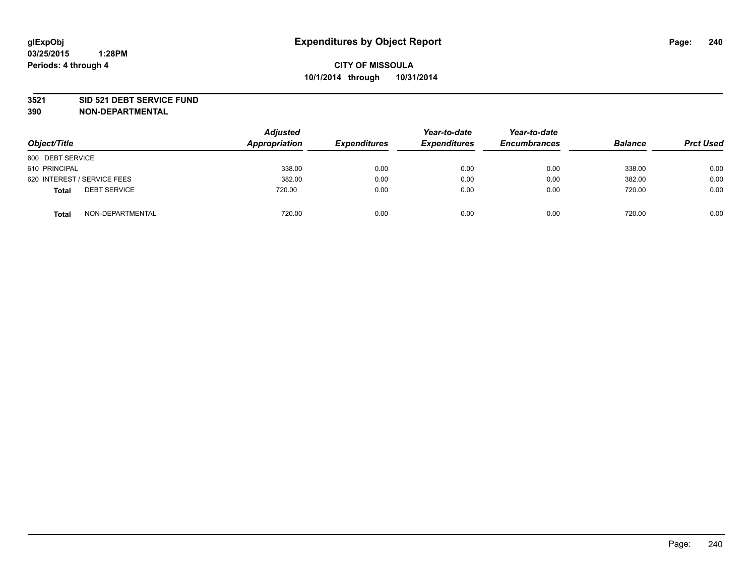#### **3521 SID 521 DEBT SERVICE FUND**

| Object/Title                        | <b>Adjusted</b><br>Appropriation | <b>Expenditures</b> | Year-to-date<br><b>Expenditures</b> | Year-to-date<br><b>Encumbrances</b> | <b>Balance</b> | <b>Prct Used</b> |
|-------------------------------------|----------------------------------|---------------------|-------------------------------------|-------------------------------------|----------------|------------------|
| 600 DEBT SERVICE                    |                                  |                     |                                     |                                     |                |                  |
| 610 PRINCIPAL                       | 338.00                           | 0.00                | 0.00                                | 0.00                                | 338.00         | 0.00             |
| 620 INTEREST / SERVICE FEES         | 382.00                           | 0.00                | 0.00                                | 0.00                                | 382.00         | 0.00             |
| <b>DEBT SERVICE</b><br><b>Total</b> | 720.00                           | 0.00                | 0.00                                | 0.00                                | 720.00         | 0.00             |
| NON-DEPARTMENTAL<br><b>Total</b>    | 720.00                           | 0.00                | 0.00                                | 0.00                                | 720.00         | 0.00             |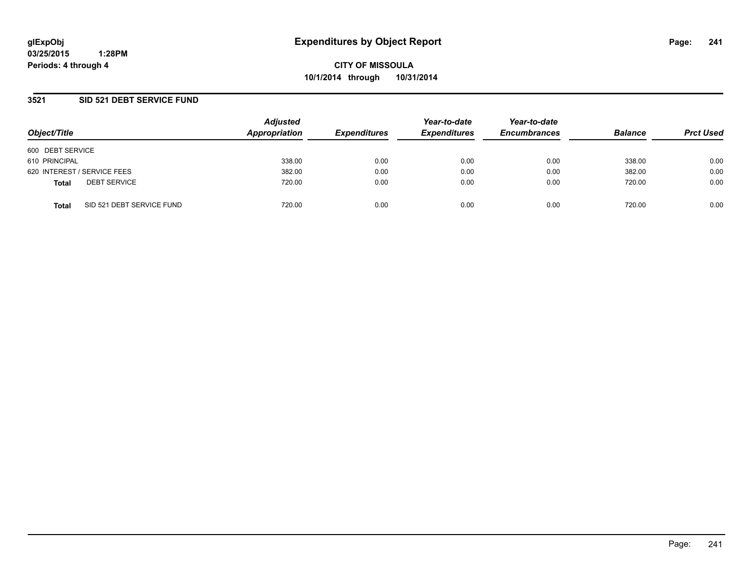**CITY OF MISSOULA 10/1/2014 through 10/31/2014**

### **3521 SID 521 DEBT SERVICE FUND**

| Object/Title                              | <b>Adjusted</b><br>Appropriation | <b>Expenditures</b> | Year-to-date<br><b>Expenditures</b> | Year-to-date<br><b>Encumbrances</b> | <b>Balance</b> | <b>Prct Used</b> |
|-------------------------------------------|----------------------------------|---------------------|-------------------------------------|-------------------------------------|----------------|------------------|
| 600 DEBT SERVICE                          |                                  |                     |                                     |                                     |                |                  |
| 610 PRINCIPAL                             | 338.00                           | 0.00                | 0.00                                | 0.00                                | 338.00         | 0.00             |
| 620 INTEREST / SERVICE FEES               | 382.00                           | 0.00                | 0.00                                | 0.00                                | 382.00         | 0.00             |
| <b>DEBT SERVICE</b><br><b>Total</b>       | 720.00                           | 0.00                | 0.00                                | 0.00                                | 720.00         | 0.00             |
| SID 521 DEBT SERVICE FUND<br><b>Total</b> | 720.00                           | 0.00                | 0.00                                | 0.00                                | 720.00         | 0.00             |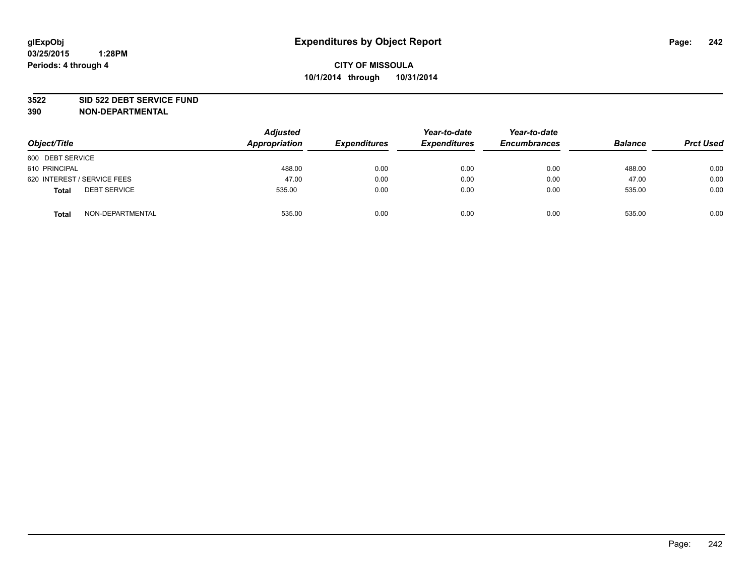#### **3522 SID 522 DEBT SERVICE FUND**

| Object/Title                        | <b>Adjusted</b><br>Appropriation | <b>Expenditures</b> | Year-to-date<br><b>Expenditures</b> | Year-to-date<br><b>Encumbrances</b> | <b>Balance</b> | <b>Prct Used</b> |
|-------------------------------------|----------------------------------|---------------------|-------------------------------------|-------------------------------------|----------------|------------------|
| 600 DEBT SERVICE                    |                                  |                     |                                     |                                     |                |                  |
| 610 PRINCIPAL                       | 488.00                           | 0.00                | 0.00                                | 0.00                                | 488.00         | 0.00             |
| 620 INTEREST / SERVICE FEES         | 47.00                            | 0.00                | 0.00                                | 0.00                                | 47.00          | 0.00             |
| <b>DEBT SERVICE</b><br><b>Total</b> | 535.00                           | 0.00                | 0.00                                | 0.00                                | 535.00         | 0.00             |
| NON-DEPARTMENTAL<br><b>Total</b>    | 535.00                           | 0.00                | 0.00                                | 0.00                                | 535.00         | 0.00             |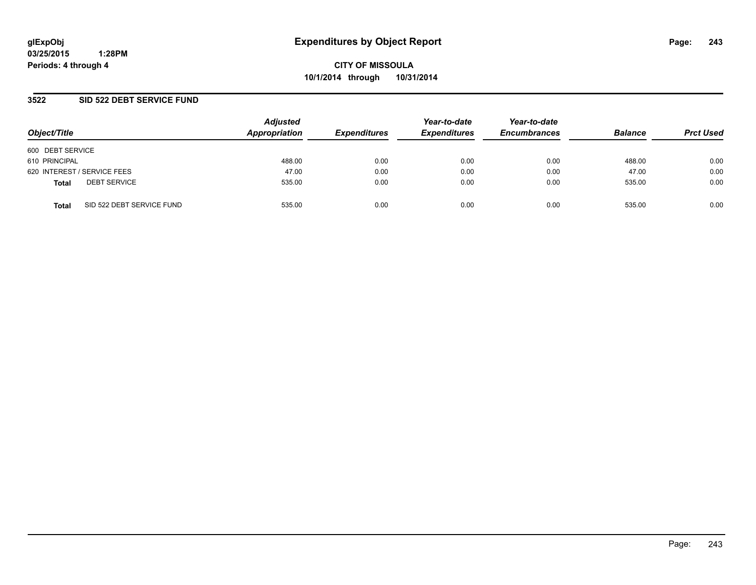**CITY OF MISSOULA 10/1/2014 through 10/31/2014**

### **3522 SID 522 DEBT SERVICE FUND**

| Object/Title                              | <b>Adjusted</b><br>Appropriation | <b>Expenditures</b> | Year-to-date<br><b>Expenditures</b> | Year-to-date<br><b>Encumbrances</b> | <b>Balance</b> | <b>Prct Used</b> |
|-------------------------------------------|----------------------------------|---------------------|-------------------------------------|-------------------------------------|----------------|------------------|
| 600 DEBT SERVICE                          |                                  |                     |                                     |                                     |                |                  |
| 610 PRINCIPAL                             | 488.00                           | 0.00                | 0.00                                | 0.00                                | 488.00         | 0.00             |
| 620 INTEREST / SERVICE FEES               | 47.00                            | 0.00                | 0.00                                | 0.00                                | 47.00          | 0.00             |
| <b>DEBT SERVICE</b><br><b>Total</b>       | 535.00                           | 0.00                | 0.00                                | 0.00                                | 535.00         | 0.00             |
| SID 522 DEBT SERVICE FUND<br><b>Total</b> | 535.00                           | 0.00                | 0.00                                | 0.00                                | 535.00         | 0.00             |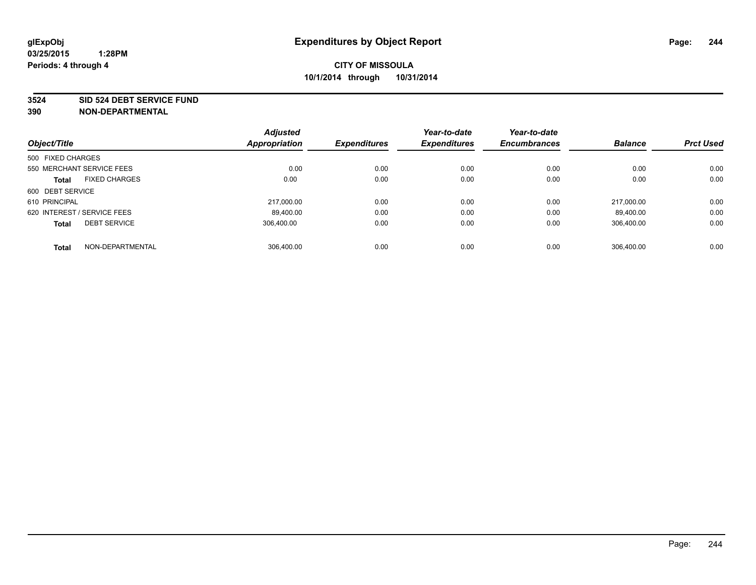#### **3524 SID 524 DEBT SERVICE FUND**

|                                     | <b>Adjusted</b>      |                     | Year-to-date        | Year-to-date        |                |                  |
|-------------------------------------|----------------------|---------------------|---------------------|---------------------|----------------|------------------|
| Object/Title                        | <b>Appropriation</b> | <b>Expenditures</b> | <b>Expenditures</b> | <b>Encumbrances</b> | <b>Balance</b> | <b>Prct Used</b> |
| 500 FIXED CHARGES                   |                      |                     |                     |                     |                |                  |
| 550 MERCHANT SERVICE FEES           | 0.00                 | 0.00                | 0.00                | 0.00                | 0.00           | 0.00             |
| <b>FIXED CHARGES</b><br>Total       | 0.00                 | 0.00                | 0.00                | 0.00                | 0.00           | 0.00             |
| 600 DEBT SERVICE                    |                      |                     |                     |                     |                |                  |
| 610 PRINCIPAL                       | 217.000.00           | 0.00                | 0.00                | 0.00                | 217.000.00     | 0.00             |
| 620 INTEREST / SERVICE FEES         | 89,400.00            | 0.00                | 0.00                | 0.00                | 89.400.00      | 0.00             |
| <b>DEBT SERVICE</b><br><b>Total</b> | 306.400.00           | 0.00                | 0.00                | 0.00                | 306.400.00     | 0.00             |
| NON-DEPARTMENTAL<br><b>Total</b>    | 306,400.00           | 0.00                | 0.00                | 0.00                | 306.400.00     | 0.00             |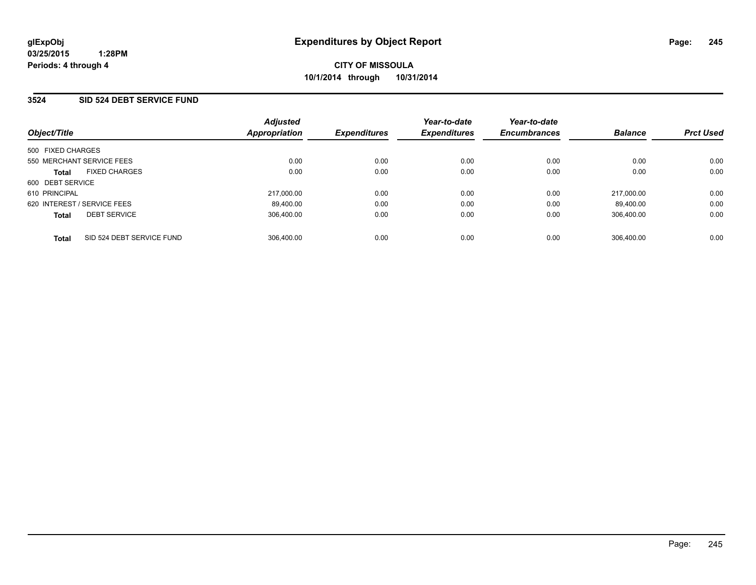### **3524 SID 524 DEBT SERVICE FUND**

| Object/Title                |                           | <b>Adjusted</b><br>Appropriation | <b>Expenditures</b> | Year-to-date<br><b>Expenditures</b> | Year-to-date<br><b>Encumbrances</b> | <b>Balance</b> | <b>Prct Used</b> |
|-----------------------------|---------------------------|----------------------------------|---------------------|-------------------------------------|-------------------------------------|----------------|------------------|
| 500 FIXED CHARGES           |                           |                                  |                     |                                     |                                     |                |                  |
| 550 MERCHANT SERVICE FEES   |                           | 0.00                             | 0.00                | 0.00                                | 0.00                                | 0.00           | 0.00             |
| <b>Total</b>                | <b>FIXED CHARGES</b>      | 0.00                             | 0.00                | 0.00                                | 0.00                                | 0.00           | 0.00             |
| 600 DEBT SERVICE            |                           |                                  |                     |                                     |                                     |                |                  |
| 610 PRINCIPAL               |                           | 217.000.00                       | 0.00                | 0.00                                | 0.00                                | 217.000.00     | 0.00             |
| 620 INTEREST / SERVICE FEES |                           | 89.400.00                        | 0.00                | 0.00                                | 0.00                                | 89.400.00      | 0.00             |
| <b>Total</b>                | <b>DEBT SERVICE</b>       | 306.400.00                       | 0.00                | 0.00                                | 0.00                                | 306.400.00     | 0.00             |
| <b>Total</b>                | SID 524 DEBT SERVICE FUND | 306.400.00                       | 0.00                | 0.00                                | 0.00                                | 306.400.00     | 0.00             |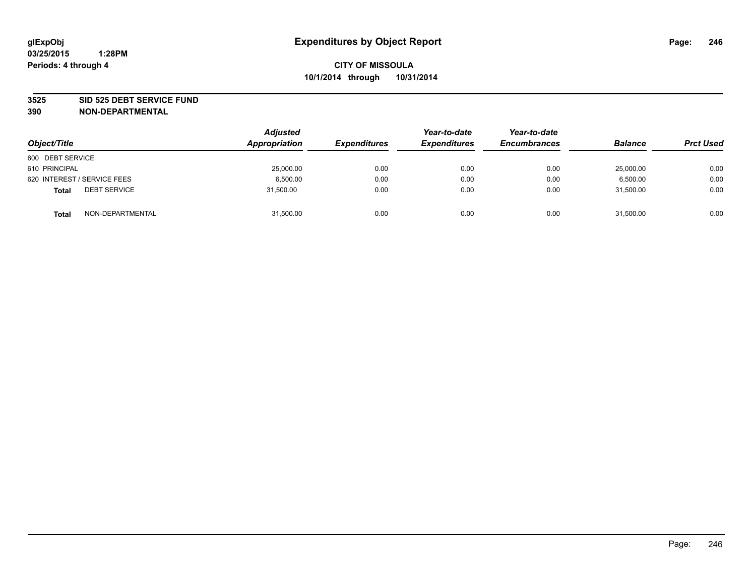#### **3525 SID 525 DEBT SERVICE FUND**

| Object/Title                        | <b>Adjusted</b><br>Appropriation | <b>Expenditures</b> | Year-to-date<br><b>Expenditures</b> | Year-to-date<br><b>Encumbrances</b> | <b>Balance</b> | <b>Prct Used</b> |
|-------------------------------------|----------------------------------|---------------------|-------------------------------------|-------------------------------------|----------------|------------------|
| 600 DEBT SERVICE                    |                                  |                     |                                     |                                     |                |                  |
| 610 PRINCIPAL                       | 25,000.00                        | 0.00                | 0.00                                | 0.00                                | 25,000.00      | 0.00             |
| 620 INTEREST / SERVICE FEES         | 6.500.00                         | 0.00                | 0.00                                | 0.00                                | 6.500.00       | 0.00             |
| <b>DEBT SERVICE</b><br><b>Total</b> | 31.500.00                        | 0.00                | 0.00                                | 0.00                                | 31.500.00      | 0.00             |
| NON-DEPARTMENTAL<br><b>Total</b>    | 31,500.00                        | 0.00                | 0.00                                | 0.00                                | 31,500.00      | 0.00             |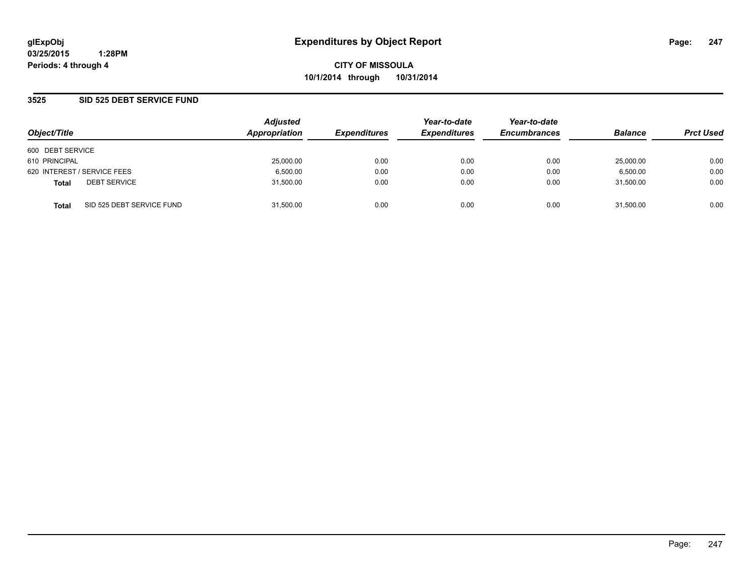### **3525 SID 525 DEBT SERVICE FUND**

| Object/Title                              | <b>Adjusted</b><br>Appropriation | <b>Expenditures</b> | Year-to-date<br><b>Expenditures</b> | Year-to-date<br><b>Encumbrances</b> | <b>Balance</b> | <b>Prct Used</b> |
|-------------------------------------------|----------------------------------|---------------------|-------------------------------------|-------------------------------------|----------------|------------------|
| 600 DEBT SERVICE                          |                                  |                     |                                     |                                     |                |                  |
| 610 PRINCIPAL                             | 25,000.00                        | 0.00                | 0.00                                | 0.00                                | 25,000.00      | 0.00             |
| 620 INTEREST / SERVICE FEES               | 6,500.00                         | 0.00                | 0.00                                | 0.00                                | 6,500.00       | 0.00             |
| <b>DEBT SERVICE</b><br><b>Total</b>       | 31,500.00                        | 0.00                | 0.00                                | 0.00                                | 31.500.00      | 0.00             |
| SID 525 DEBT SERVICE FUND<br><b>Total</b> | 31,500.00                        | 0.00                | 0.00                                | 0.00                                | 31,500.00      | 0.00             |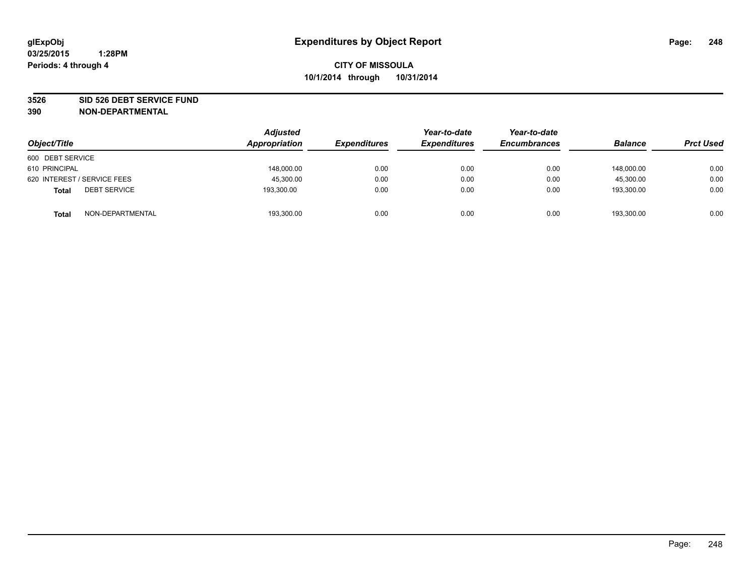#### **3526 SID 526 DEBT SERVICE FUND**

| Object/Title                        | Adjusted<br>Appropriation | <b>Expenditures</b> | Year-to-date<br><b>Expenditures</b> | Year-to-date<br><b>Encumbrances</b> | <b>Balance</b> | <b>Prct Used</b> |
|-------------------------------------|---------------------------|---------------------|-------------------------------------|-------------------------------------|----------------|------------------|
| 600 DEBT SERVICE                    |                           |                     |                                     |                                     |                |                  |
| 610 PRINCIPAL                       | 148,000.00                | 0.00                | 0.00                                | 0.00                                | 148.000.00     | 0.00             |
| 620 INTEREST / SERVICE FEES         | 45,300.00                 | 0.00                | 0.00                                | 0.00                                | 45,300.00      | 0.00             |
| <b>DEBT SERVICE</b><br><b>Total</b> | 193,300.00                | 0.00                | 0.00                                | 0.00                                | 193.300.00     | 0.00             |
| NON-DEPARTMENTAL<br><b>Total</b>    | 193,300.00                | 0.00                | 0.00                                | 0.00                                | 193,300.00     | 0.00             |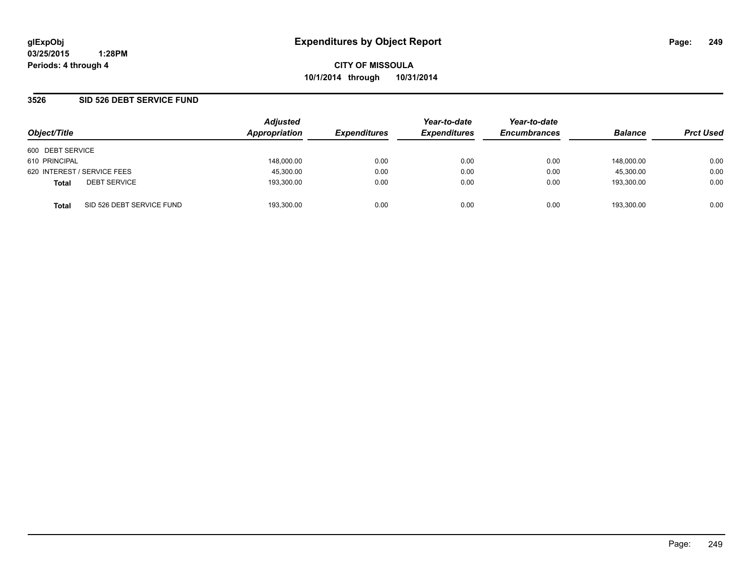### **3526 SID 526 DEBT SERVICE FUND**

| Object/Title                              | <b>Adjusted</b><br>Appropriation | <b>Expenditures</b> | Year-to-date<br><b>Expenditures</b> | Year-to-date<br><b>Encumbrances</b> | <b>Balance</b> | <b>Prct Used</b> |
|-------------------------------------------|----------------------------------|---------------------|-------------------------------------|-------------------------------------|----------------|------------------|
| 600 DEBT SERVICE                          |                                  |                     |                                     |                                     |                |                  |
| 610 PRINCIPAL                             | 148,000.00                       | 0.00                | 0.00                                | 0.00                                | 148.000.00     | 0.00             |
| 620 INTEREST / SERVICE FEES               | 45,300.00                        | 0.00                | 0.00                                | 0.00                                | 45.300.00      | 0.00             |
| <b>DEBT SERVICE</b><br><b>Total</b>       | 193.300.00                       | 0.00                | 0.00                                | 0.00                                | 193.300.00     | 0.00             |
| SID 526 DEBT SERVICE FUND<br><b>Total</b> | 193.300.00                       | 0.00                | 0.00                                | 0.00                                | 193.300.00     | 0.00             |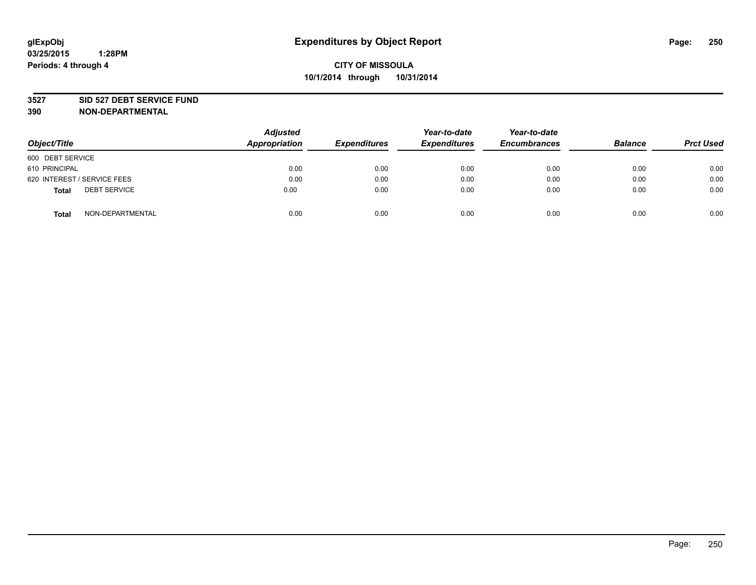#### **3527 SID 527 DEBT SERVICE FUND**

| Object/Title                        | <b>Adjusted</b><br><b>Appropriation</b> | <b>Expenditures</b> | Year-to-date<br><b>Expenditures</b> | Year-to-date<br><b>Encumbrances</b> | <b>Balance</b> | <b>Prct Used</b> |
|-------------------------------------|-----------------------------------------|---------------------|-------------------------------------|-------------------------------------|----------------|------------------|
| 600 DEBT SERVICE                    |                                         |                     |                                     |                                     |                |                  |
| 610 PRINCIPAL                       | 0.00                                    | 0.00                | 0.00                                | 0.00                                | 0.00           | 0.00             |
| 620 INTEREST / SERVICE FEES         | 0.00                                    | 0.00                | 0.00                                | 0.00                                | 0.00           | 0.00             |
| <b>DEBT SERVICE</b><br><b>Total</b> | 0.00                                    | 0.00                | 0.00                                | 0.00                                | 0.00           | 0.00             |
| NON-DEPARTMENTAL<br><b>Total</b>    | 0.00                                    | 0.00                | 0.00                                | 0.00                                | 0.00           | 0.00             |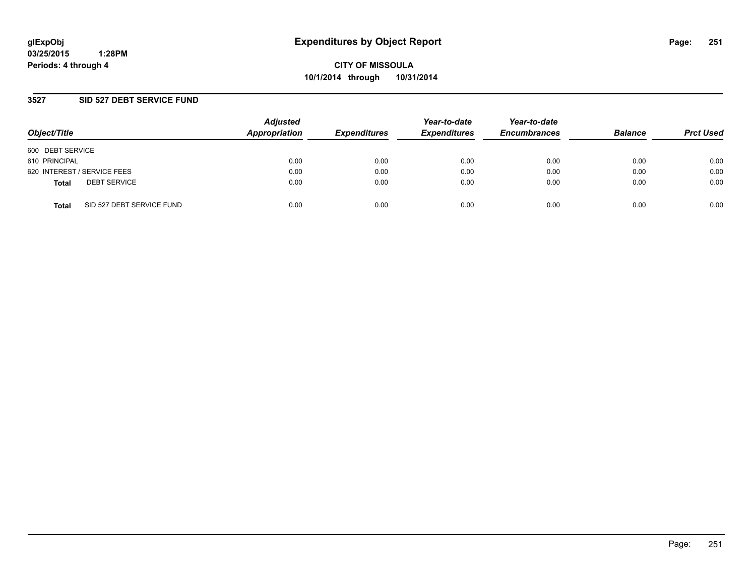**CITY OF MISSOULA 10/1/2014 through 10/31/2014**

### **3527 SID 527 DEBT SERVICE FUND**

| Object/Title                              | <b>Adjusted</b><br>Appropriation | <b>Expenditures</b> | Year-to-date<br><b>Expenditures</b> | Year-to-date<br><b>Encumbrances</b> | <b>Balance</b> | <b>Prct Used</b> |
|-------------------------------------------|----------------------------------|---------------------|-------------------------------------|-------------------------------------|----------------|------------------|
| 600 DEBT SERVICE                          |                                  |                     |                                     |                                     |                |                  |
| 610 PRINCIPAL                             | 0.00                             | 0.00                | 0.00                                | 0.00                                | 0.00           | 0.00             |
| 620 INTEREST / SERVICE FEES               | 0.00                             | 0.00                | 0.00                                | 0.00                                | 0.00           | 0.00             |
| <b>DEBT SERVICE</b><br><b>Total</b>       | 0.00                             | 0.00                | 0.00                                | 0.00                                | 0.00           | 0.00             |
| SID 527 DEBT SERVICE FUND<br><b>Total</b> | 0.00                             | 0.00                | 0.00                                | 0.00                                | 0.00           | 0.00             |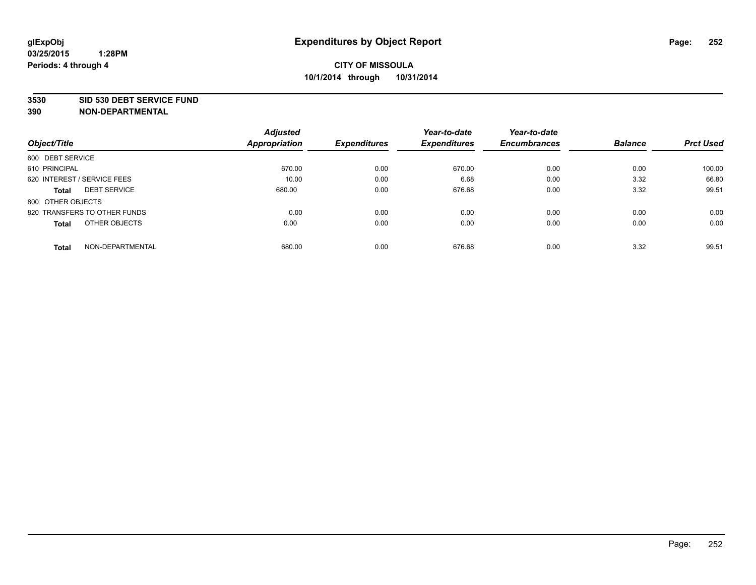#### **3530 SID 530 DEBT SERVICE FUND**

|                                  | <b>Adjusted</b> |                     | Year-to-date        | Year-to-date        |                |                  |
|----------------------------------|-----------------|---------------------|---------------------|---------------------|----------------|------------------|
| Object/Title                     | Appropriation   | <b>Expenditures</b> | <b>Expenditures</b> | <b>Encumbrances</b> | <b>Balance</b> | <b>Prct Used</b> |
| 600 DEBT SERVICE                 |                 |                     |                     |                     |                |                  |
| 610 PRINCIPAL                    | 670.00          | 0.00                | 670.00              | 0.00                | 0.00           | 100.00           |
| 620 INTEREST / SERVICE FEES      | 10.00           | 0.00                | 6.68                | 0.00                | 3.32           | 66.80            |
| <b>DEBT SERVICE</b><br>Total     | 680.00          | 0.00                | 676.68              | 0.00                | 3.32           | 99.51            |
| 800 OTHER OBJECTS                |                 |                     |                     |                     |                |                  |
| 820 TRANSFERS TO OTHER FUNDS     | 0.00            | 0.00                | 0.00                | 0.00                | 0.00           | 0.00             |
| OTHER OBJECTS<br>Total           | 0.00            | 0.00                | 0.00                | 0.00                | 0.00           | 0.00             |
| NON-DEPARTMENTAL<br><b>Total</b> | 680.00          | 0.00                | 676.68              | 0.00                | 3.32           | 99.51            |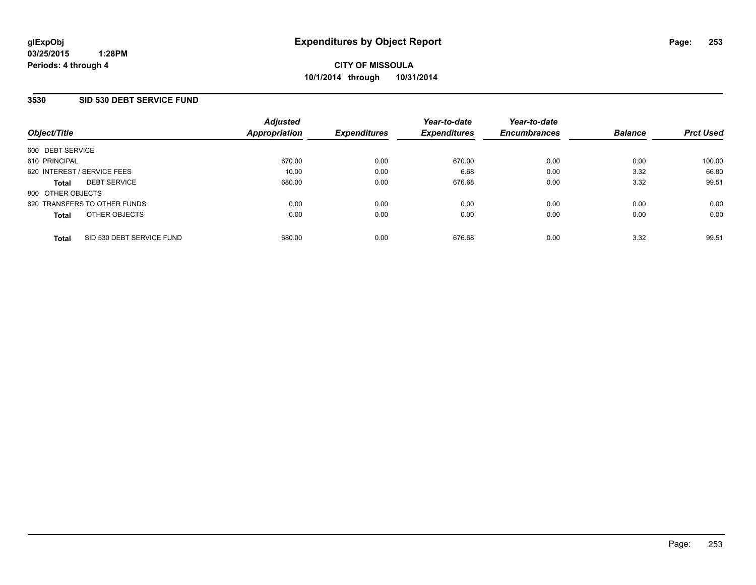### **3530 SID 530 DEBT SERVICE FUND**

| Object/Title                 |                           | <b>Adjusted</b><br><b>Appropriation</b> | <b>Expenditures</b> | Year-to-date<br><b>Expenditures</b> | Year-to-date<br><b>Encumbrances</b> | <b>Balance</b> | <b>Prct Used</b> |
|------------------------------|---------------------------|-----------------------------------------|---------------------|-------------------------------------|-------------------------------------|----------------|------------------|
| 600 DEBT SERVICE             |                           |                                         |                     |                                     |                                     |                |                  |
| 610 PRINCIPAL                |                           | 670.00                                  | 0.00                | 670.00                              | 0.00                                | 0.00           | 100.00           |
| 620 INTEREST / SERVICE FEES  |                           | 10.00                                   | 0.00                | 6.68                                | 0.00                                | 3.32           | 66.80            |
| <b>DEBT SERVICE</b><br>Total |                           | 680.00                                  | 0.00                | 676.68                              | 0.00                                | 3.32           | 99.51            |
| 800 OTHER OBJECTS            |                           |                                         |                     |                                     |                                     |                |                  |
| 820 TRANSFERS TO OTHER FUNDS |                           | 0.00                                    | 0.00                | 0.00                                | 0.00                                | 0.00           | 0.00             |
| OTHER OBJECTS<br>Total       |                           | 0.00                                    | 0.00                | 0.00                                | 0.00                                | 0.00           | 0.00             |
| <b>Total</b>                 | SID 530 DEBT SERVICE FUND | 680.00                                  | 0.00                | 676.68                              | 0.00                                | 3.32           | 99.51            |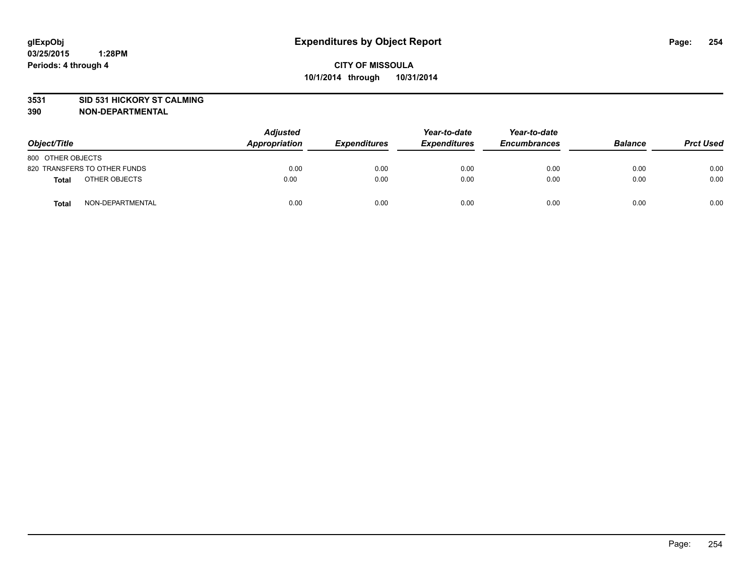### **3531 SID 531 HICKORY ST CALMING**

| Object/Title                     | <b>Adjusted</b><br>Appropriation |      | <b>Expenditures</b> | Year-to-date<br><b>Expenditures</b> | Year-to-date<br><b>Encumbrances</b> | <b>Balance</b> | <b>Prct Used</b> |
|----------------------------------|----------------------------------|------|---------------------|-------------------------------------|-------------------------------------|----------------|------------------|
| 800 OTHER OBJECTS                |                                  |      |                     |                                     |                                     |                |                  |
| 820 TRANSFERS TO OTHER FUNDS     |                                  | 0.00 | 0.00                | 0.00                                | 0.00                                | 0.00           | 0.00             |
| OTHER OBJECTS<br><b>Total</b>    |                                  | 0.00 | 0.00                | 0.00                                | 0.00                                | 0.00           | 0.00             |
| NON-DEPARTMENTAL<br><b>Total</b> |                                  | 0.00 | 0.00                | 0.00                                | 0.00                                | 0.00           | 0.00             |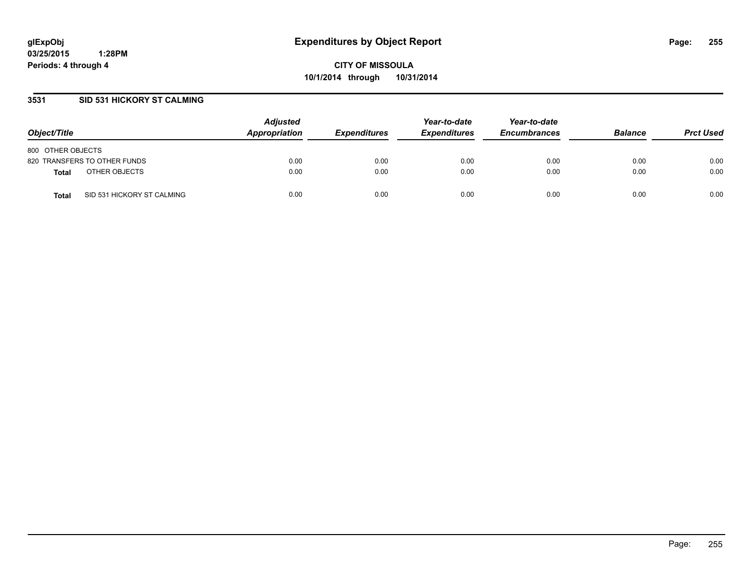### **3531 SID 531 HICKORY ST CALMING**

| Object/Title                               | <b>Adjusted</b><br>Appropriation | <b>Expenditures</b> | Year-to-date<br><b>Expenditures</b> | Year-to-date<br><b>Encumbrances</b> | <b>Balance</b> | <b>Prct Used</b> |
|--------------------------------------------|----------------------------------|---------------------|-------------------------------------|-------------------------------------|----------------|------------------|
| 800 OTHER OBJECTS                          |                                  |                     |                                     |                                     |                |                  |
| 820 TRANSFERS TO OTHER FUNDS               | 0.00                             | 0.00                | 0.00                                | 0.00                                | 0.00           | 0.00             |
| OTHER OBJECTS<br><b>Total</b>              | 0.00                             | 0.00                | 0.00                                | 0.00                                | 0.00           | 0.00             |
| SID 531 HICKORY ST CALMING<br><b>Total</b> | 0.00                             | 0.00                | 0.00                                | 0.00                                | 0.00           | 0.00             |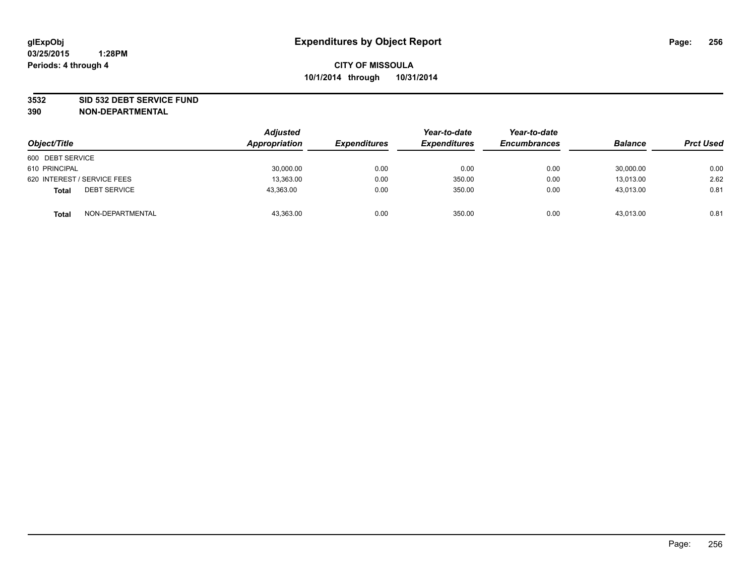#### **3532 SID 532 DEBT SERVICE FUND**

| Object/Title                        | <b>Adjusted</b><br>Appropriation | <b>Expenditures</b> | Year-to-date<br><b>Expenditures</b> | Year-to-date<br><b>Encumbrances</b> | <b>Balance</b> | <b>Prct Used</b> |
|-------------------------------------|----------------------------------|---------------------|-------------------------------------|-------------------------------------|----------------|------------------|
| 600 DEBT SERVICE                    |                                  |                     |                                     |                                     |                |                  |
| 610 PRINCIPAL                       | 30,000.00                        | 0.00                | 0.00                                | 0.00                                | 30,000.00      | 0.00             |
| 620 INTEREST / SERVICE FEES         | 13,363.00                        | 0.00                | 350.00                              | 0.00                                | 13.013.00      | 2.62             |
| <b>DEBT SERVICE</b><br><b>Total</b> | 43.363.00                        | 0.00                | 350.00                              | 0.00                                | 43.013.00      | 0.81             |
| NON-DEPARTMENTAL<br><b>Total</b>    | 43,363.00                        | 0.00                | 350.00                              | 0.00                                | 43.013.00      | 0.81             |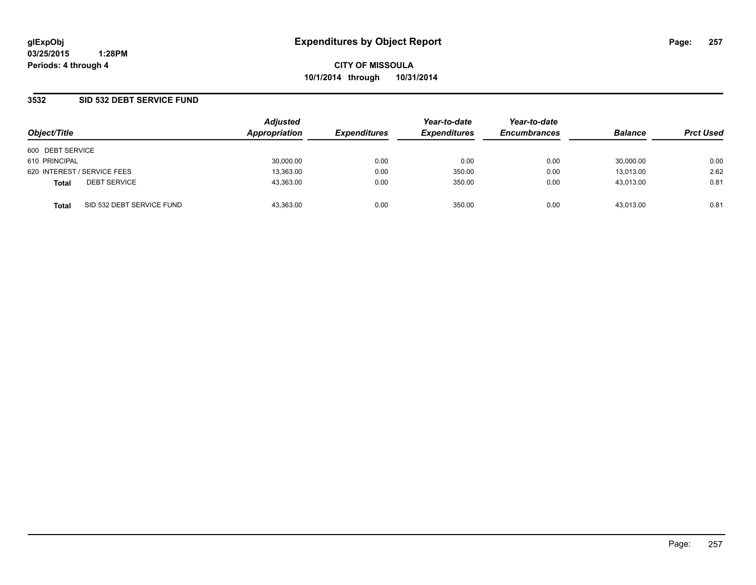### **3532 SID 532 DEBT SERVICE FUND**

| Object/Title     |                             | <b>Adjusted</b><br>Appropriation | <b>Expenditures</b> | Year-to-date<br><b>Expenditures</b> | Year-to-date<br><b>Encumbrances</b> | <b>Balance</b> | <b>Prct Used</b> |
|------------------|-----------------------------|----------------------------------|---------------------|-------------------------------------|-------------------------------------|----------------|------------------|
| 600 DEBT SERVICE |                             |                                  |                     |                                     |                                     |                |                  |
| 610 PRINCIPAL    |                             | 30,000.00                        | 0.00                | 0.00                                | 0.00                                | 30,000.00      | 0.00             |
|                  | 620 INTEREST / SERVICE FEES | 13,363.00                        | 0.00                | 350.00                              | 0.00                                | 13,013.00      | 2.62             |
| <b>Total</b>     | <b>DEBT SERVICE</b>         | 43.363.00                        | 0.00                | 350.00                              | 0.00                                | 43.013.00      | 0.81             |
| <b>Total</b>     | SID 532 DEBT SERVICE FUND   | 43.363.00                        | 0.00                | 350.00                              | 0.00                                | 43.013.00      | 0.81             |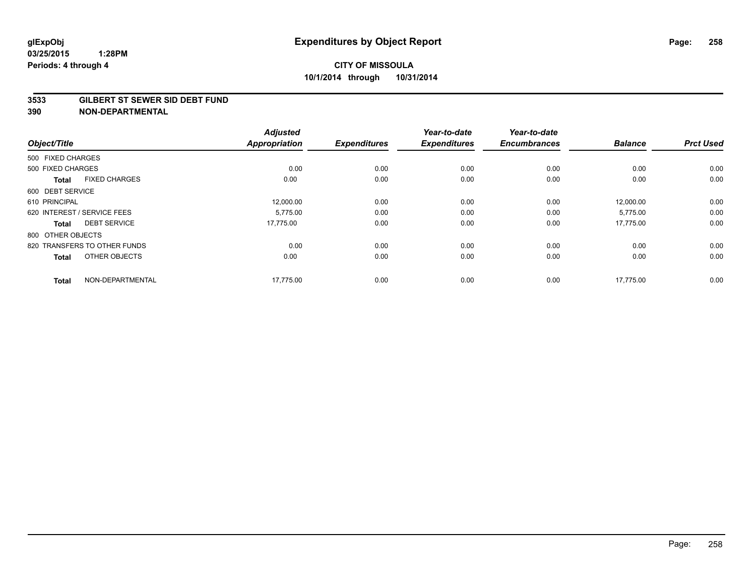#### **3533 GILBERT ST SEWER SID DEBT FUND**

| Object/Title      |                              | <b>Adjusted</b><br><b>Appropriation</b> | <b>Expenditures</b> | Year-to-date<br><b>Expenditures</b> | Year-to-date<br><b>Encumbrances</b> | <b>Balance</b> | <b>Prct Used</b> |
|-------------------|------------------------------|-----------------------------------------|---------------------|-------------------------------------|-------------------------------------|----------------|------------------|
| 500 FIXED CHARGES |                              |                                         |                     |                                     |                                     |                |                  |
| 500 FIXED CHARGES |                              | 0.00                                    | 0.00                | 0.00                                | 0.00                                | 0.00           | 0.00             |
| <b>Total</b>      | <b>FIXED CHARGES</b>         | 0.00                                    | 0.00                | 0.00                                | 0.00                                | 0.00           | 0.00             |
| 600 DEBT SERVICE  |                              |                                         |                     |                                     |                                     |                |                  |
| 610 PRINCIPAL     |                              | 12,000.00                               | 0.00                | 0.00                                | 0.00                                | 12,000.00      | 0.00             |
|                   | 620 INTEREST / SERVICE FEES  | 5.775.00                                | 0.00                | 0.00                                | 0.00                                | 5,775.00       | 0.00             |
| <b>Total</b>      | <b>DEBT SERVICE</b>          | 17,775.00                               | 0.00                | 0.00                                | 0.00                                | 17,775.00      | 0.00             |
| 800 OTHER OBJECTS |                              |                                         |                     |                                     |                                     |                |                  |
|                   | 820 TRANSFERS TO OTHER FUNDS | 0.00                                    | 0.00                | 0.00                                | 0.00                                | 0.00           | 0.00             |
| <b>Total</b>      | OTHER OBJECTS                | 0.00                                    | 0.00                | 0.00                                | 0.00                                | 0.00           | 0.00             |
| <b>Total</b>      | NON-DEPARTMENTAL             | 17,775.00                               | 0.00                | 0.00                                | 0.00                                | 17,775.00      | 0.00             |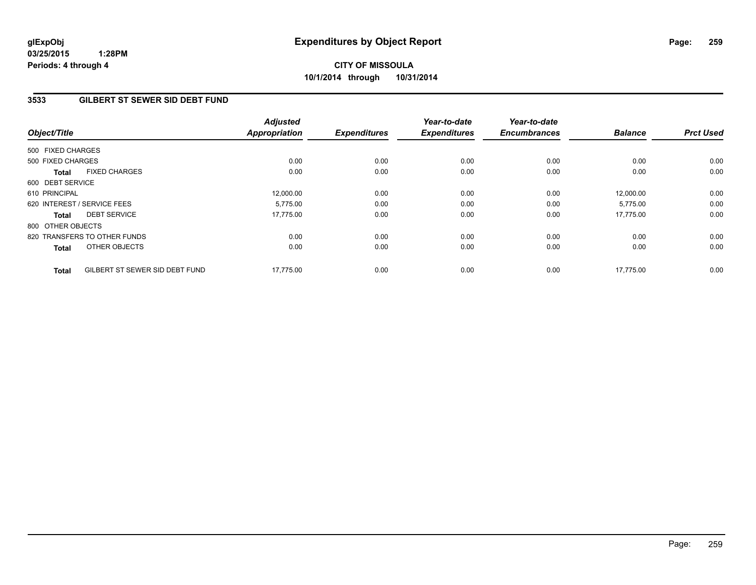# **CITY OF MISSOULA 10/1/2014 through 10/31/2014**

### **3533 GILBERT ST SEWER SID DEBT FUND**

| Object/Title                |                                | <b>Adjusted</b><br><b>Appropriation</b> | <b>Expenditures</b> | Year-to-date<br><b>Expenditures</b> | Year-to-date<br><b>Encumbrances</b> | <b>Balance</b> | <b>Prct Used</b> |
|-----------------------------|--------------------------------|-----------------------------------------|---------------------|-------------------------------------|-------------------------------------|----------------|------------------|
| 500 FIXED CHARGES           |                                |                                         |                     |                                     |                                     |                |                  |
| 500 FIXED CHARGES           |                                | 0.00                                    | 0.00                | 0.00                                | 0.00                                | 0.00           | 0.00             |
| <b>Total</b>                | <b>FIXED CHARGES</b>           | 0.00                                    | 0.00                | 0.00                                | 0.00                                | 0.00           | 0.00             |
| 600 DEBT SERVICE            |                                |                                         |                     |                                     |                                     |                |                  |
| 610 PRINCIPAL               |                                | 12,000.00                               | 0.00                | 0.00                                | 0.00                                | 12,000.00      | 0.00             |
| 620 INTEREST / SERVICE FEES |                                | 5.775.00                                | 0.00                | 0.00                                | 0.00                                | 5,775.00       | 0.00             |
| <b>Total</b>                | <b>DEBT SERVICE</b>            | 17.775.00                               | 0.00                | 0.00                                | 0.00                                | 17.775.00      | 0.00             |
| 800 OTHER OBJECTS           |                                |                                         |                     |                                     |                                     |                |                  |
|                             | 820 TRANSFERS TO OTHER FUNDS   | 0.00                                    | 0.00                | 0.00                                | 0.00                                | 0.00           | 0.00             |
| <b>Total</b>                | OTHER OBJECTS                  | 0.00                                    | 0.00                | 0.00                                | 0.00                                | 0.00           | 0.00             |
| <b>Total</b>                | GILBERT ST SEWER SID DEBT FUND | 17,775.00                               | 0.00                | 0.00                                | 0.00                                | 17,775.00      | 0.00             |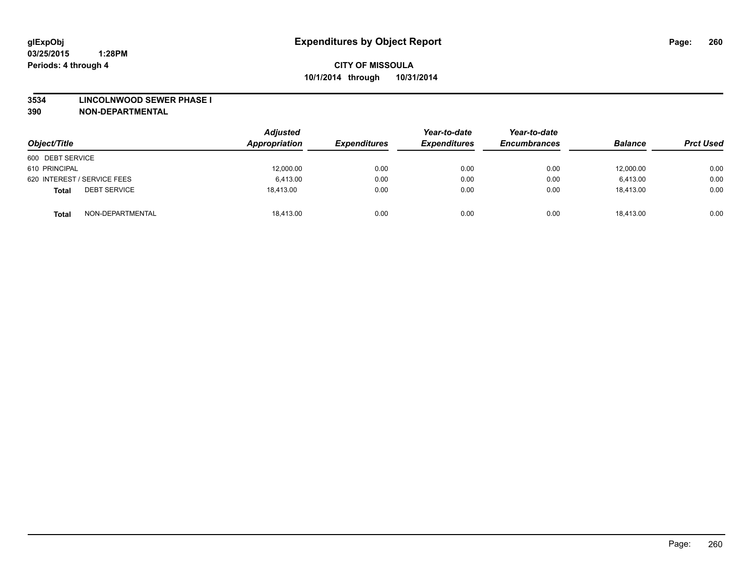#### **3534 LINCOLNWOOD SEWER PHASE I**

| Object/Title                        | <b>Adjusted</b><br>Appropriation | <b>Expenditures</b> | Year-to-date<br><b>Expenditures</b> | Year-to-date<br><b>Encumbrances</b> | <b>Balance</b> | <b>Prct Used</b> |
|-------------------------------------|----------------------------------|---------------------|-------------------------------------|-------------------------------------|----------------|------------------|
| 600 DEBT SERVICE                    |                                  |                     |                                     |                                     |                |                  |
| 610 PRINCIPAL                       | 12,000.00                        | 0.00                | 0.00                                | 0.00                                | 12,000.00      | 0.00             |
| 620 INTEREST / SERVICE FEES         | 6.413.00                         | 0.00                | 0.00                                | 0.00                                | 6.413.00       | 0.00             |
| <b>DEBT SERVICE</b><br><b>Total</b> | 18,413.00                        | 0.00                | 0.00                                | 0.00                                | 18,413.00      | 0.00             |
| NON-DEPARTMENTAL<br><b>Total</b>    | 18,413.00                        | 0.00                | 0.00                                | 0.00                                | 18,413.00      | 0.00             |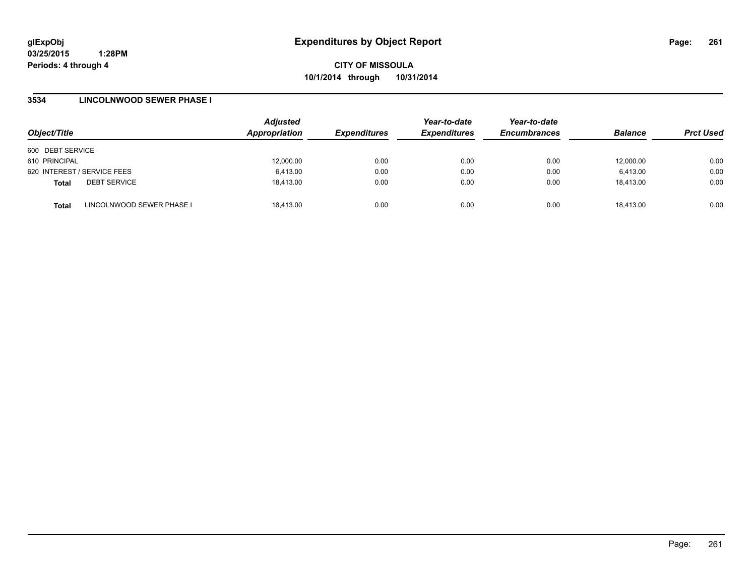**CITY OF MISSOULA 10/1/2014 through 10/31/2014**

### **3534 LINCOLNWOOD SEWER PHASE I**

| Object/Title                              | <b>Adjusted</b><br>Appropriation | <b>Expenditures</b> | Year-to-date<br><b>Expenditures</b> | Year-to-date<br><b>Encumbrances</b> | <b>Balance</b> | <b>Prct Used</b> |
|-------------------------------------------|----------------------------------|---------------------|-------------------------------------|-------------------------------------|----------------|------------------|
| 600 DEBT SERVICE                          |                                  |                     |                                     |                                     |                |                  |
| 610 PRINCIPAL                             | 12,000.00                        | 0.00                | 0.00                                | 0.00                                | 12,000.00      | 0.00             |
| 620 INTEREST / SERVICE FEES               | 6,413.00                         | 0.00                | 0.00                                | 0.00                                | 6,413.00       | 0.00             |
| <b>DEBT SERVICE</b><br><b>Total</b>       | 18,413.00                        | 0.00                | 0.00                                | 0.00                                | 18,413.00      | 0.00             |
| LINCOLNWOOD SEWER PHASE I<br><b>Total</b> | 18,413.00                        | 0.00                | 0.00                                | 0.00                                | 18,413.00      | 0.00             |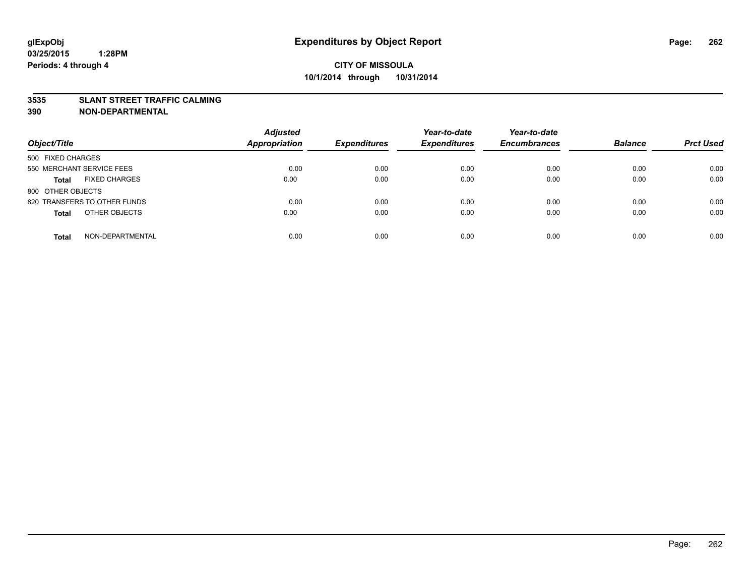#### **3535 SLANT STREET TRAFFIC CALMING**

| Object/Title                         | <b>Adjusted</b><br><b>Appropriation</b> | <b>Expenditures</b> | Year-to-date<br><b>Expenditures</b> | Year-to-date<br><b>Encumbrances</b> | <b>Balance</b> | <b>Prct Used</b> |
|--------------------------------------|-----------------------------------------|---------------------|-------------------------------------|-------------------------------------|----------------|------------------|
|                                      |                                         |                     |                                     |                                     |                |                  |
| 500 FIXED CHARGES                    |                                         |                     |                                     |                                     |                |                  |
| 550 MERCHANT SERVICE FEES            | 0.00                                    | 0.00                | 0.00                                | 0.00                                | 0.00           | 0.00             |
| <b>FIXED CHARGES</b><br><b>Total</b> | 0.00                                    | 0.00                | 0.00                                | 0.00                                | 0.00           | 0.00             |
| 800 OTHER OBJECTS                    |                                         |                     |                                     |                                     |                |                  |
| 820 TRANSFERS TO OTHER FUNDS         | 0.00                                    | 0.00                | 0.00                                | 0.00                                | 0.00           | 0.00             |
| OTHER OBJECTS<br><b>Total</b>        | 0.00                                    | 0.00                | 0.00                                | 0.00                                | 0.00           | 0.00             |
|                                      |                                         |                     |                                     |                                     |                |                  |
| NON-DEPARTMENTAL<br><b>Total</b>     | 0.00                                    | 0.00                | 0.00                                | 0.00                                | 0.00           | 0.00             |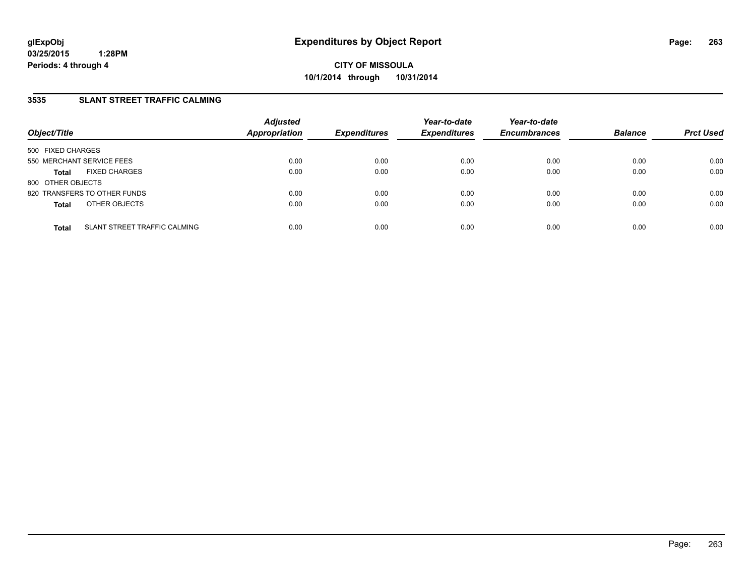### **3535 SLANT STREET TRAFFIC CALMING**

| Object/Title              |                                     | <b>Adjusted</b><br><b>Appropriation</b> | <b>Expenditures</b> | Year-to-date<br><b>Expenditures</b> | Year-to-date<br><b>Encumbrances</b> | <b>Balance</b> | <b>Prct Used</b> |
|---------------------------|-------------------------------------|-----------------------------------------|---------------------|-------------------------------------|-------------------------------------|----------------|------------------|
| 500 FIXED CHARGES         |                                     |                                         |                     |                                     |                                     |                |                  |
| 550 MERCHANT SERVICE FEES |                                     | 0.00                                    | 0.00                | 0.00                                | 0.00                                | 0.00           | 0.00             |
| <b>Total</b>              | <b>FIXED CHARGES</b>                | 0.00                                    | 0.00                | 0.00                                | 0.00                                | 0.00           | 0.00             |
| 800 OTHER OBJECTS         |                                     |                                         |                     |                                     |                                     |                |                  |
|                           | 820 TRANSFERS TO OTHER FUNDS        | 0.00                                    | 0.00                | 0.00                                | 0.00                                | 0.00           | 0.00             |
| <b>Total</b>              | OTHER OBJECTS                       | 0.00                                    | 0.00                | 0.00                                | 0.00                                | 0.00           | 0.00             |
|                           |                                     |                                         |                     |                                     |                                     |                |                  |
| <b>Total</b>              | <b>SLANT STREET TRAFFIC CALMING</b> | 0.00                                    | 0.00                | 0.00                                | 0.00                                | 0.00           | 0.00             |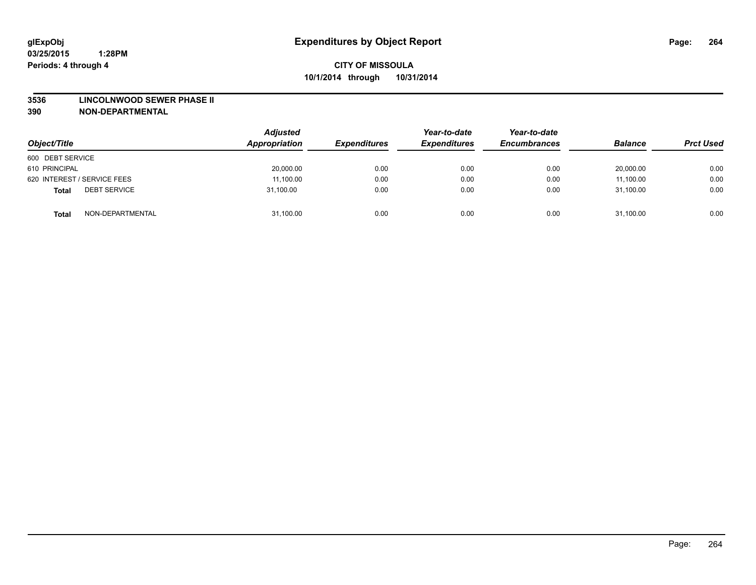#### **3536 LINCOLNWOOD SEWER PHASE II**

| Object/Title                        | <b>Adjusted</b><br>Appropriation | <b>Expenditures</b> | Year-to-date<br><b>Expenditures</b> | Year-to-date<br><b>Encumbrances</b> | <b>Balance</b> | <b>Prct Used</b> |
|-------------------------------------|----------------------------------|---------------------|-------------------------------------|-------------------------------------|----------------|------------------|
| 600 DEBT SERVICE                    |                                  |                     |                                     |                                     |                |                  |
| 610 PRINCIPAL                       | 20,000.00                        | 0.00                | 0.00                                | 0.00                                | 20,000.00      | 0.00             |
| 620 INTEREST / SERVICE FEES         | 11,100.00                        | 0.00                | 0.00                                | 0.00                                | 11,100.00      | 0.00             |
| <b>DEBT SERVICE</b><br><b>Total</b> | 31,100.00                        | 0.00                | 0.00                                | 0.00                                | 31,100.00      | 0.00             |
| NON-DEPARTMENTAL<br><b>Total</b>    | 31,100.00                        | 0.00                | 0.00                                | 0.00                                | 31,100.00      | 0.00             |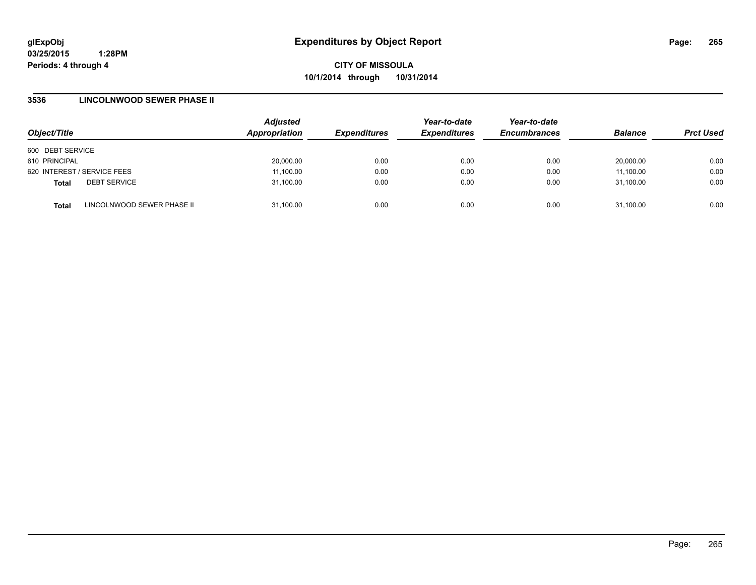**CITY OF MISSOULA 10/1/2014 through 10/31/2014**

### **3536 LINCOLNWOOD SEWER PHASE II**

| Object/Title                |                            | <b>Adjusted</b><br>Appropriation | <b>Expenditures</b> | Year-to-date<br><b>Expenditures</b> | Year-to-date<br><b>Encumbrances</b> | <b>Balance</b> | <b>Prct Used</b> |
|-----------------------------|----------------------------|----------------------------------|---------------------|-------------------------------------|-------------------------------------|----------------|------------------|
| 600 DEBT SERVICE            |                            |                                  |                     |                                     |                                     |                |                  |
| 610 PRINCIPAL               |                            | 20,000.00                        | 0.00                | 0.00                                | 0.00                                | 20.000.00      | 0.00             |
| 620 INTEREST / SERVICE FEES |                            | 11,100.00                        | 0.00                | 0.00                                | 0.00                                | 11,100.00      | 0.00             |
| <b>Total</b>                | <b>DEBT SERVICE</b>        | 31,100.00                        | 0.00                | 0.00                                | 0.00                                | 31.100.00      | 0.00             |
| <b>Total</b>                | LINCOLNWOOD SEWER PHASE II | 31,100.00                        | 0.00                | 0.00                                | 0.00                                | 31,100.00      | 0.00             |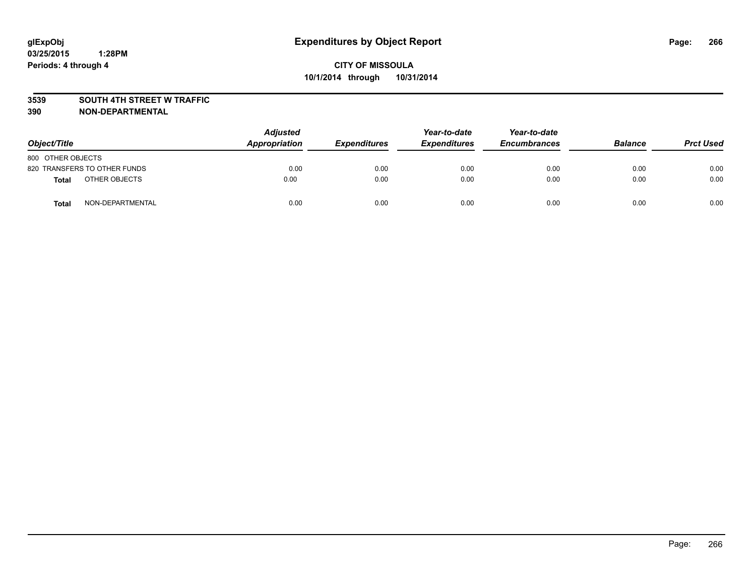### **3539 SOUTH 4TH STREET W TRAFFIC**

| Object/Title      |                              | <b>Adjusted</b><br>Appropriation | <b>Expenditures</b> | Year-to-date<br><b>Expenditures</b> | Year-to-date<br><b>Encumbrances</b> | <b>Balance</b> | <b>Prct Used</b> |
|-------------------|------------------------------|----------------------------------|---------------------|-------------------------------------|-------------------------------------|----------------|------------------|
| 800 OTHER OBJECTS |                              |                                  |                     |                                     |                                     |                |                  |
|                   | 820 TRANSFERS TO OTHER FUNDS | 0.00                             | 0.00                | 0.00                                | 0.00                                | 0.00           | 0.00             |
| <b>Total</b>      | OTHER OBJECTS                | 0.00                             | 0.00                | 0.00                                | 0.00                                | 0.00           | 0.00             |
| <b>Total</b>      | NON-DEPARTMENTAL             | 0.00                             | 0.00                | 0.00                                | 0.00                                | 0.00           | 0.00             |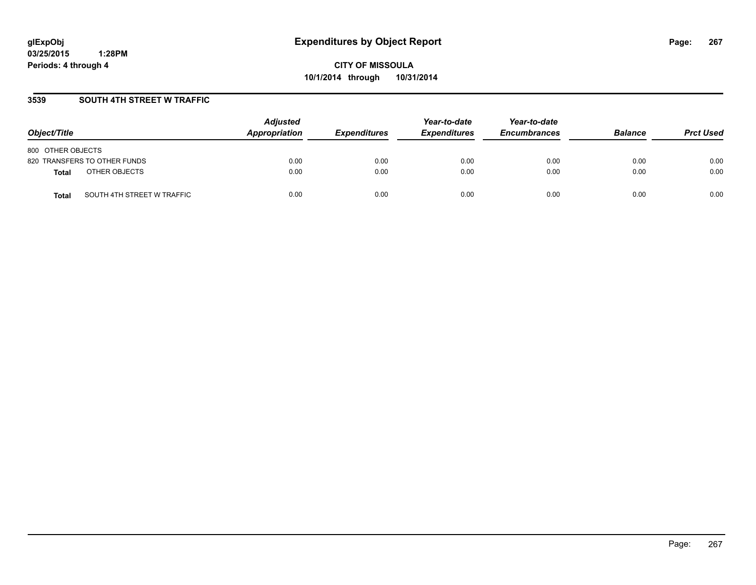**CITY OF MISSOULA 10/1/2014 through 10/31/2014**

### **3539 SOUTH 4TH STREET W TRAFFIC**

| Object/Title                        | <b>Adjusted</b><br>Appropriation | <b>Expenditures</b> | Year-to-date<br><b>Expenditures</b> | Year-to-date<br><b>Encumbrances</b> | <b>Balance</b> | <b>Prct Used</b> |
|-------------------------------------|----------------------------------|---------------------|-------------------------------------|-------------------------------------|----------------|------------------|
| 800 OTHER OBJECTS                   |                                  |                     |                                     |                                     |                |                  |
| 820 TRANSFERS TO OTHER FUNDS        | 0.00                             | 0.00                | 0.00                                | 0.00                                | 0.00           | 0.00             |
| OTHER OBJECTS<br>Total              | 0.00                             | 0.00                | 0.00                                | 0.00                                | 0.00           | 0.00             |
| SOUTH 4TH STREET W TRAFFIC<br>Total | 0.00                             | 0.00                | 0.00                                | 0.00                                | 0.00           | 0.00             |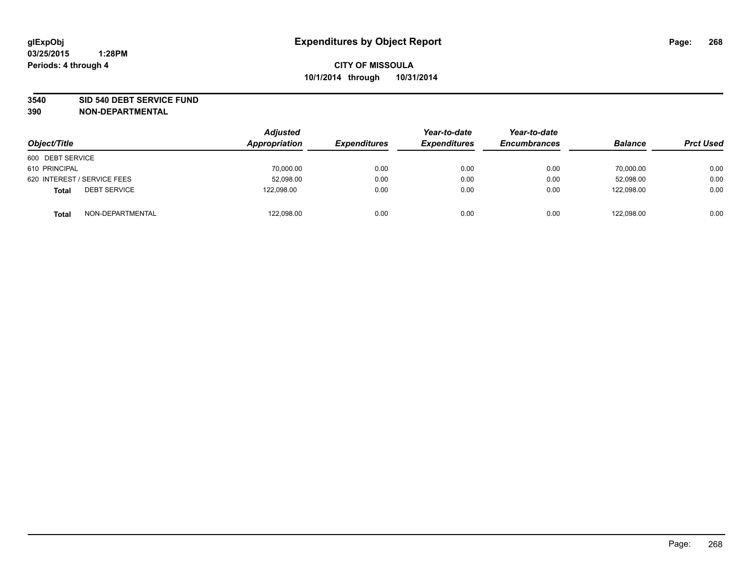#### **3540 SID 540 DEBT SERVICE FUND**

| Object/Title                        | <b>Adjusted</b><br>Appropriation | <b>Expenditures</b> | Year-to-date<br><b>Expenditures</b> | Year-to-date<br><b>Encumbrances</b> | <b>Balance</b> | <b>Prct Used</b> |
|-------------------------------------|----------------------------------|---------------------|-------------------------------------|-------------------------------------|----------------|------------------|
| 600 DEBT SERVICE                    |                                  |                     |                                     |                                     |                |                  |
| 610 PRINCIPAL                       | 70,000.00                        | 0.00                | 0.00                                | 0.00                                | 70.000.00      | 0.00             |
| 620 INTEREST / SERVICE FEES         | 52,098.00                        | 0.00                | 0.00                                | 0.00                                | 52,098.00      | 0.00             |
| <b>DEBT SERVICE</b><br><b>Total</b> | 122,098.00                       | 0.00                | 0.00                                | 0.00                                | 122.098.00     | 0.00             |
| NON-DEPARTMENTAL<br><b>Total</b>    | 122,098.00                       | 0.00                | 0.00                                | 0.00                                | 122.098.00     | 0.00             |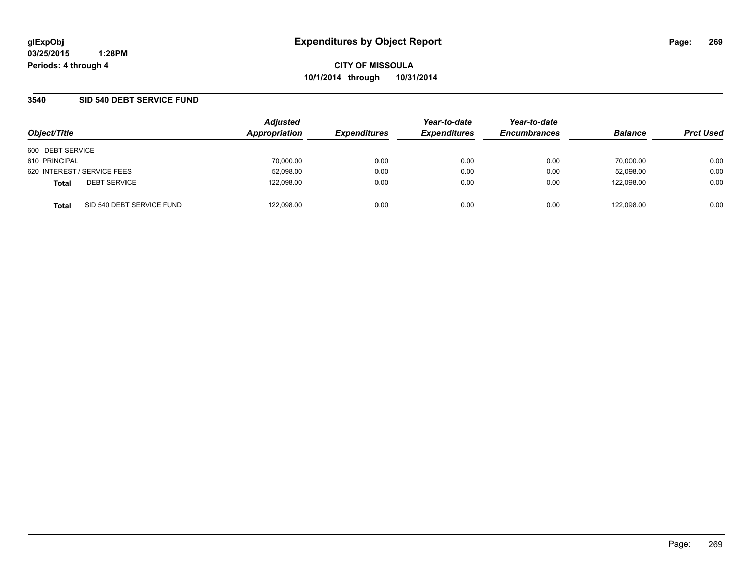### **3540 SID 540 DEBT SERVICE FUND**

| Object/Title                              | <b>Adjusted</b><br>Appropriation | <b>Expenditures</b> | Year-to-date<br><b>Expenditures</b> | Year-to-date<br><b>Encumbrances</b> | <b>Balance</b> | <b>Prct Used</b> |
|-------------------------------------------|----------------------------------|---------------------|-------------------------------------|-------------------------------------|----------------|------------------|
| 600 DEBT SERVICE                          |                                  |                     |                                     |                                     |                |                  |
| 610 PRINCIPAL                             | 70,000.00                        | 0.00                | 0.00                                | 0.00                                | 70.000.00      | 0.00             |
| 620 INTEREST / SERVICE FEES               | 52,098.00                        | 0.00                | 0.00                                | 0.00                                | 52.098.00      | 0.00             |
| <b>DEBT SERVICE</b><br><b>Total</b>       | 122,098.00                       | 0.00                | 0.00                                | 0.00                                | 122.098.00     | 0.00             |
| SID 540 DEBT SERVICE FUND<br><b>Total</b> | 122,098.00                       | 0.00                | 0.00                                | 0.00                                | 122,098.00     | 0.00             |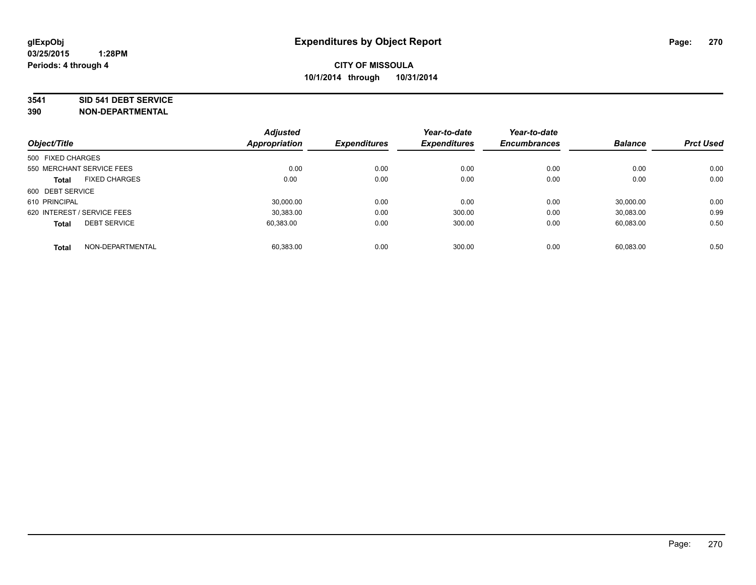#### **3541 SID 541 DEBT SERVICE**

| Object/Title                |                      | <b>Adjusted</b><br><b>Appropriation</b> | <b>Expenditures</b> | Year-to-date<br><b>Expenditures</b> | Year-to-date<br><b>Encumbrances</b> | <b>Balance</b> | <b>Prct Used</b> |
|-----------------------------|----------------------|-----------------------------------------|---------------------|-------------------------------------|-------------------------------------|----------------|------------------|
|                             |                      |                                         |                     |                                     |                                     |                |                  |
| 500 FIXED CHARGES           |                      |                                         |                     |                                     |                                     |                |                  |
| 550 MERCHANT SERVICE FEES   |                      | 0.00                                    | 0.00                | 0.00                                | 0.00                                | 0.00           | 0.00             |
| <b>Total</b>                | <b>FIXED CHARGES</b> | 0.00                                    | 0.00                | 0.00                                | 0.00                                | 0.00           | 0.00             |
| 600 DEBT SERVICE            |                      |                                         |                     |                                     |                                     |                |                  |
| 610 PRINCIPAL               |                      | 30.000.00                               | 0.00                | 0.00                                | 0.00                                | 30.000.00      | 0.00             |
| 620 INTEREST / SERVICE FEES |                      | 30,383.00                               | 0.00                | 300.00                              | 0.00                                | 30,083.00      | 0.99             |
| <b>Total</b>                | <b>DEBT SERVICE</b>  | 60,383.00                               | 0.00                | 300.00                              | 0.00                                | 60.083.00      | 0.50             |
| <b>Total</b>                | NON-DEPARTMENTAL     | 60.383.00                               | 0.00                | 300.00                              | 0.00                                | 60,083.00      | 0.50             |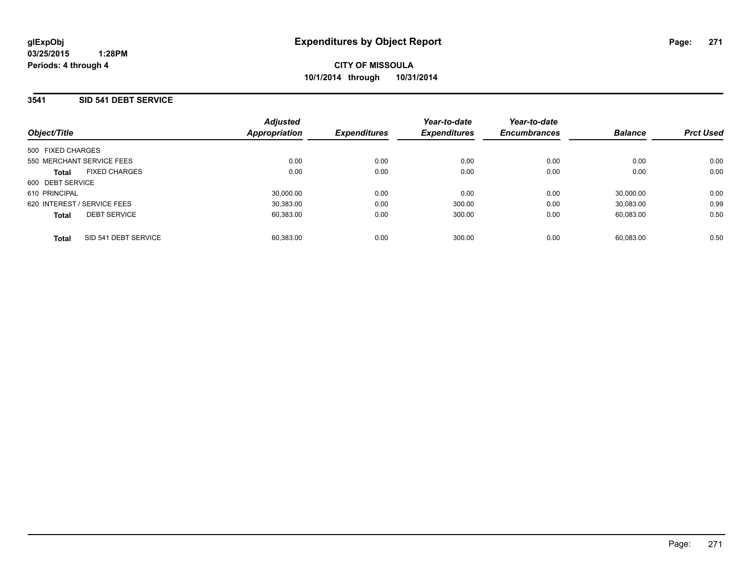### **3541 SID 541 DEBT SERVICE**

| Object/Title                         | <b>Adjusted</b><br><b>Appropriation</b> | <b>Expenditures</b> | Year-to-date<br><b>Expenditures</b> | Year-to-date<br><b>Encumbrances</b> | <b>Balance</b> | <b>Prct Used</b> |
|--------------------------------------|-----------------------------------------|---------------------|-------------------------------------|-------------------------------------|----------------|------------------|
| 500 FIXED CHARGES                    |                                         |                     |                                     |                                     |                |                  |
| 550 MERCHANT SERVICE FEES            | 0.00                                    | 0.00                | 0.00                                | 0.00                                | 0.00           | 0.00             |
| <b>FIXED CHARGES</b><br><b>Total</b> | 0.00                                    | 0.00                | 0.00                                | 0.00                                | 0.00           | 0.00             |
| 600 DEBT SERVICE                     |                                         |                     |                                     |                                     |                |                  |
| 610 PRINCIPAL                        | 30.000.00                               | 0.00                | 0.00                                | 0.00                                | 30.000.00      | 0.00             |
| 620 INTEREST / SERVICE FEES          | 30.383.00                               | 0.00                | 300.00                              | 0.00                                | 30.083.00      | 0.99             |
| <b>DEBT SERVICE</b><br><b>Total</b>  | 60.383.00                               | 0.00                | 300.00                              | 0.00                                | 60.083.00      | 0.50             |
| SID 541 DEBT SERVICE<br><b>Total</b> | 60.383.00                               | 0.00                | 300.00                              | 0.00                                | 60.083.00      | 0.50             |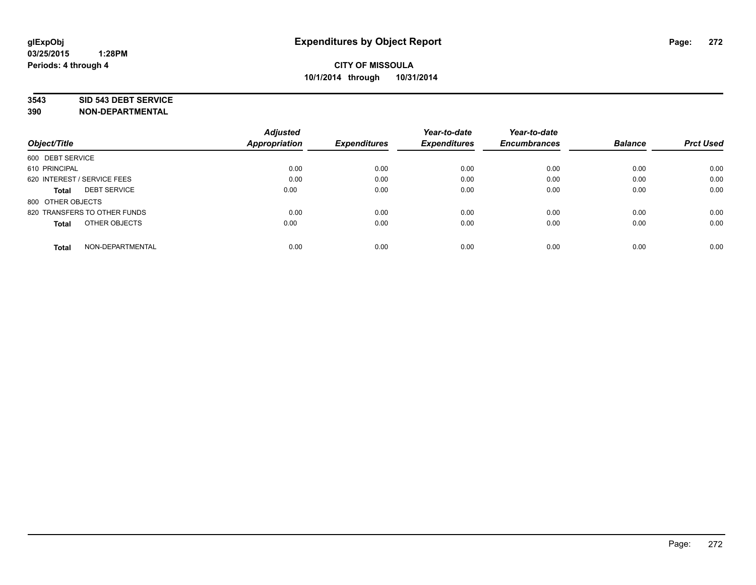#### **3543 SID 543 DEBT SERVICE**

| Object/Title                        | <b>Adjusted</b><br><b>Appropriation</b> | <b>Expenditures</b> | Year-to-date<br><b>Expenditures</b> | Year-to-date<br><b>Encumbrances</b> | <b>Balance</b> | <b>Prct Used</b> |
|-------------------------------------|-----------------------------------------|---------------------|-------------------------------------|-------------------------------------|----------------|------------------|
| 600 DEBT SERVICE                    |                                         |                     |                                     |                                     |                |                  |
| 610 PRINCIPAL                       | 0.00                                    | 0.00                | 0.00                                | 0.00                                | 0.00           | 0.00             |
| 620 INTEREST / SERVICE FEES         | 0.00                                    | 0.00                | 0.00                                | 0.00                                | 0.00           | 0.00             |
| <b>DEBT SERVICE</b><br><b>Total</b> | 0.00                                    | 0.00                | 0.00                                | 0.00                                | 0.00           | 0.00             |
| 800 OTHER OBJECTS                   |                                         |                     |                                     |                                     |                |                  |
| 820 TRANSFERS TO OTHER FUNDS        | 0.00                                    | 0.00                | 0.00                                | 0.00                                | 0.00           | 0.00             |
| OTHER OBJECTS<br><b>Total</b>       | 0.00                                    | 0.00                | 0.00                                | 0.00                                | 0.00           | 0.00             |
| NON-DEPARTMENTAL<br><b>Total</b>    | 0.00                                    | 0.00                | 0.00                                | 0.00                                | 0.00           | 0.00             |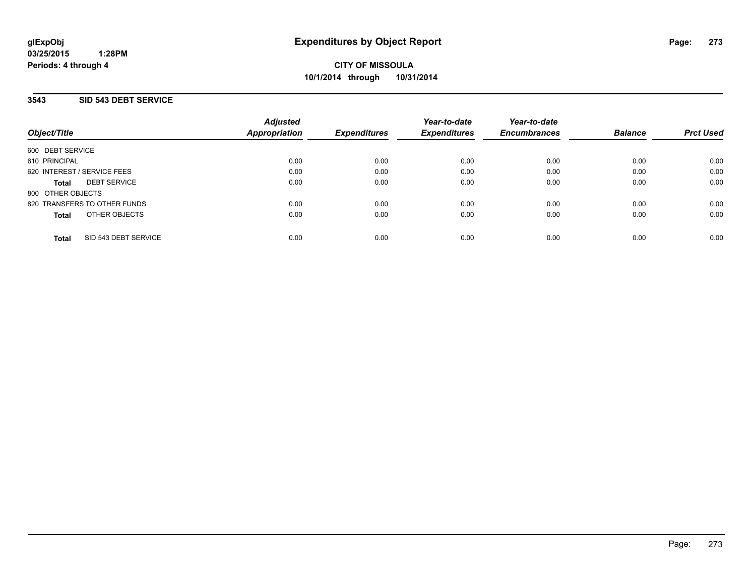**CITY OF MISSOULA 10/1/2014 through 10/31/2014**

### **3543 SID 543 DEBT SERVICE**

| Object/Title                         | <b>Adjusted</b><br><b>Appropriation</b> | <b>Expenditures</b> | Year-to-date<br><b>Expenditures</b> | Year-to-date<br><b>Encumbrances</b> | <b>Balance</b> | <b>Prct Used</b> |
|--------------------------------------|-----------------------------------------|---------------------|-------------------------------------|-------------------------------------|----------------|------------------|
| 600 DEBT SERVICE                     |                                         |                     |                                     |                                     |                |                  |
| 610 PRINCIPAL                        | 0.00                                    | 0.00                | 0.00                                | 0.00                                | 0.00           | 0.00             |
| 620 INTEREST / SERVICE FEES          | 0.00                                    | 0.00                | 0.00                                | 0.00                                | 0.00           | 0.00             |
| <b>DEBT SERVICE</b><br><b>Total</b>  | 0.00                                    | 0.00                | 0.00                                | 0.00                                | 0.00           | 0.00             |
| 800 OTHER OBJECTS                    |                                         |                     |                                     |                                     |                |                  |
| 820 TRANSFERS TO OTHER FUNDS         | 0.00                                    | 0.00                | 0.00                                | 0.00                                | 0.00           | 0.00             |
| OTHER OBJECTS<br><b>Total</b>        | 0.00                                    | 0.00                | 0.00                                | 0.00                                | 0.00           | 0.00             |
| SID 543 DEBT SERVICE<br><b>Total</b> | 0.00                                    | 0.00                | 0.00                                | 0.00                                | 0.00           | 0.00             |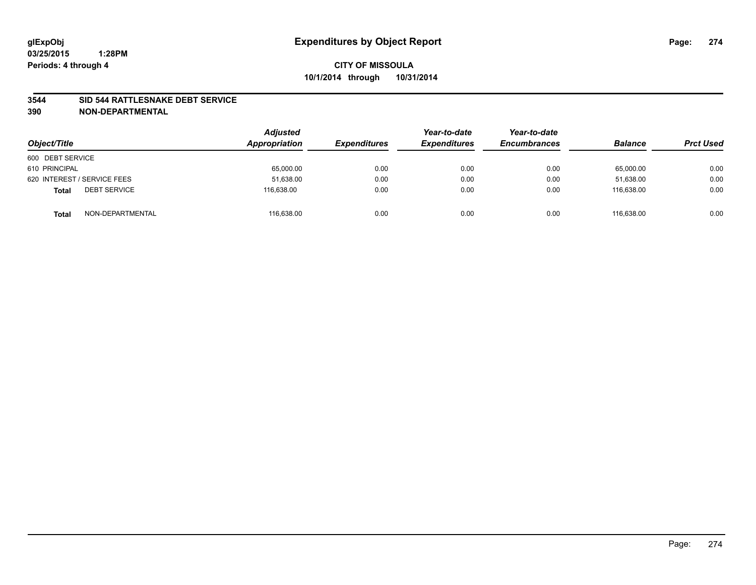### **3544 SID 544 RATTLESNAKE DEBT SERVICE**

| Object/Title                        | <b>Adjusted</b><br>Appropriation | <b>Expenditures</b> | Year-to-date<br><b>Expenditures</b> | Year-to-date<br><b>Encumbrances</b> | <b>Balance</b> | <b>Prct Used</b> |
|-------------------------------------|----------------------------------|---------------------|-------------------------------------|-------------------------------------|----------------|------------------|
| 600 DEBT SERVICE                    |                                  |                     |                                     |                                     |                |                  |
| 610 PRINCIPAL                       | 65,000.00                        | 0.00                | 0.00                                | 0.00                                | 65,000.00      | 0.00             |
| 620 INTEREST / SERVICE FEES         | 51,638.00                        | 0.00                | 0.00                                | 0.00                                | 51,638.00      | 0.00             |
| <b>DEBT SERVICE</b><br><b>Total</b> | 116.638.00                       | 0.00                | 0.00                                | 0.00                                | 116.638.00     | 0.00             |
| NON-DEPARTMENTAL<br><b>Total</b>    | 116,638.00                       | 0.00                | 0.00                                | 0.00                                | 116.638.00     | 0.00             |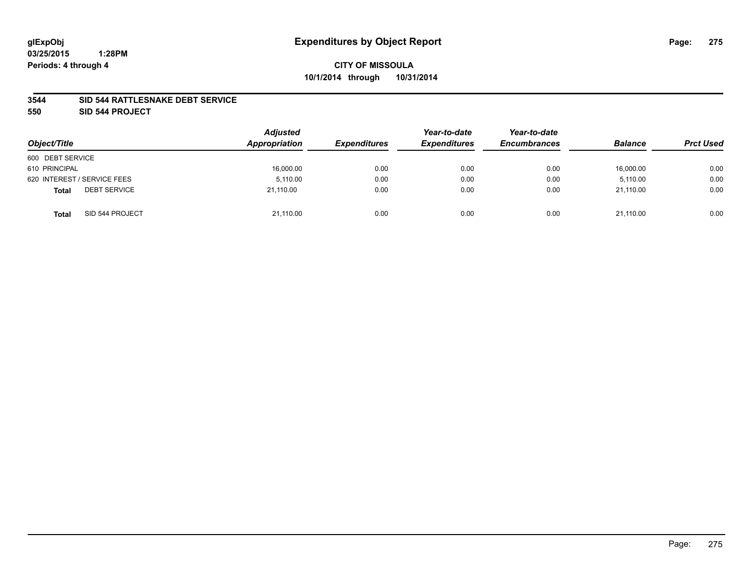### **3544 SID 544 RATTLESNAKE DEBT SERVICE**

**550 SID 544 PROJECT**

| Object/Title                        | <b>Adjusted</b><br>Appropriation | <b>Expenditures</b> | Year-to-date<br><b>Expenditures</b> | Year-to-date<br><b>Encumbrances</b> | <b>Balance</b> | <b>Prct Used</b> |
|-------------------------------------|----------------------------------|---------------------|-------------------------------------|-------------------------------------|----------------|------------------|
| 600 DEBT SERVICE                    |                                  |                     |                                     |                                     |                |                  |
| 610 PRINCIPAL                       | 16,000.00                        | 0.00                | 0.00                                | 0.00                                | 16,000.00      | 0.00             |
| 620 INTEREST / SERVICE FEES         | 5.110.00                         | 0.00                | 0.00                                | 0.00                                | 5.110.00       | 0.00             |
| <b>DEBT SERVICE</b><br><b>Total</b> | 21,110.00                        | 0.00                | 0.00                                | 0.00                                | 21,110.00      | 0.00             |
| SID 544 PROJECT<br><b>Total</b>     | 21,110.00                        | 0.00                | 0.00                                | 0.00                                | 21,110.00      | 0.00             |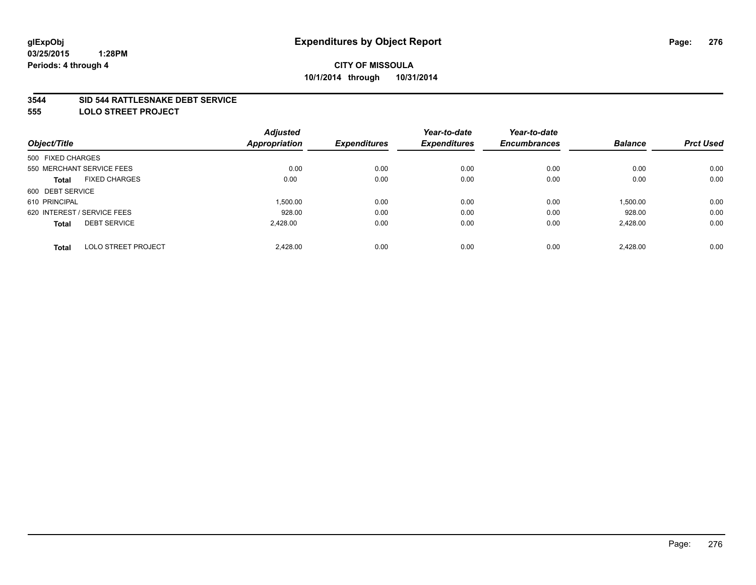#### **3544 SID 544 RATTLESNAKE DEBT SERVICE**

**555 LOLO STREET PROJECT**

|                                            | <b>Adjusted</b>      |                     | Year-to-date        | Year-to-date        |                |                  |
|--------------------------------------------|----------------------|---------------------|---------------------|---------------------|----------------|------------------|
| Object/Title                               | <b>Appropriation</b> | <b>Expenditures</b> | <b>Expenditures</b> | <b>Encumbrances</b> | <b>Balance</b> | <b>Prct Used</b> |
| 500 FIXED CHARGES                          |                      |                     |                     |                     |                |                  |
| 550 MERCHANT SERVICE FEES                  | 0.00                 | 0.00                | 0.00                | 0.00                | 0.00           | 0.00             |
| <b>FIXED CHARGES</b><br><b>Total</b>       | 0.00                 | 0.00                | 0.00                | 0.00                | 0.00           | 0.00             |
| 600 DEBT SERVICE                           |                      |                     |                     |                     |                |                  |
| 610 PRINCIPAL                              | 1.500.00             | 0.00                | 0.00                | 0.00                | 1,500.00       | 0.00             |
| 620 INTEREST / SERVICE FEES                | 928.00               | 0.00                | 0.00                | 0.00                | 928.00         | 0.00             |
| <b>DEBT SERVICE</b><br><b>Total</b>        | 2.428.00             | 0.00                | 0.00                | 0.00                | 2,428.00       | 0.00             |
| <b>LOLO STREET PROJECT</b><br><b>Total</b> | 2.428.00             | 0.00                | 0.00                | 0.00                | 2.428.00       | 0.00             |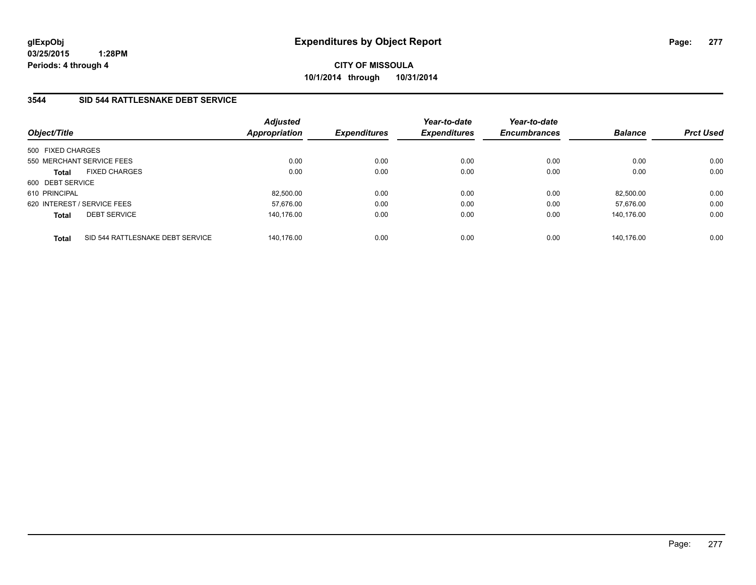**CITY OF MISSOULA 10/1/2014 through 10/31/2014**

### **3544 SID 544 RATTLESNAKE DEBT SERVICE**

| Object/Title                                     | <b>Adjusted</b><br><b>Appropriation</b> | <b>Expenditures</b> | Year-to-date<br><b>Expenditures</b> | Year-to-date<br><b>Encumbrances</b> | <b>Balance</b> | <b>Prct Used</b> |
|--------------------------------------------------|-----------------------------------------|---------------------|-------------------------------------|-------------------------------------|----------------|------------------|
| 500 FIXED CHARGES                                |                                         |                     |                                     |                                     |                |                  |
| 550 MERCHANT SERVICE FEES                        | 0.00                                    | 0.00                | 0.00                                | 0.00                                | 0.00           | 0.00             |
| <b>FIXED CHARGES</b><br><b>Total</b>             | 0.00                                    | 0.00                | 0.00                                | 0.00                                | 0.00           | 0.00             |
| 600 DEBT SERVICE                                 |                                         |                     |                                     |                                     |                |                  |
| 610 PRINCIPAL                                    | 82,500.00                               | 0.00                | 0.00                                | 0.00                                | 82.500.00      | 0.00             |
| 620 INTEREST / SERVICE FEES                      | 57,676.00                               | 0.00                | 0.00                                | 0.00                                | 57.676.00      | 0.00             |
| <b>DEBT SERVICE</b><br><b>Total</b>              | 140.176.00                              | 0.00                | 0.00                                | 0.00                                | 140.176.00     | 0.00             |
| SID 544 RATTLESNAKE DEBT SERVICE<br><b>Total</b> | 140.176.00                              | 0.00                | 0.00                                | 0.00                                | 140.176.00     | 0.00             |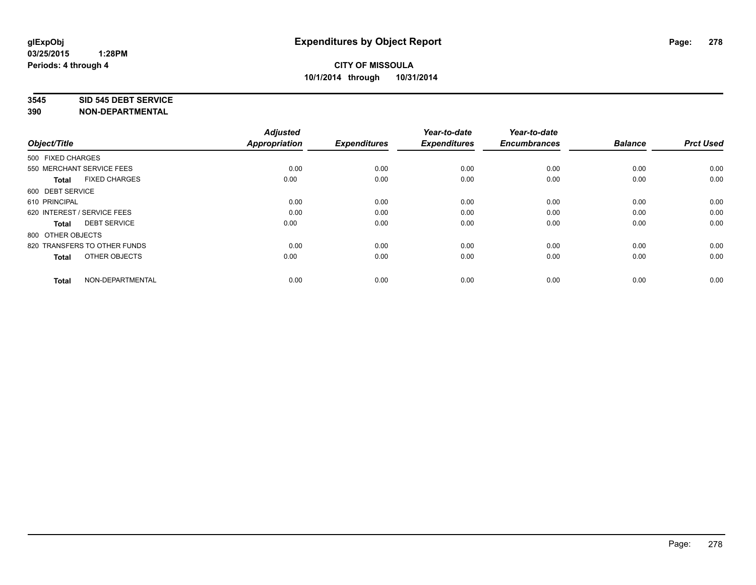#### **3545 SID 545 DEBT SERVICE**

| Object/Title                         | <b>Adjusted</b><br><b>Appropriation</b> | <b>Expenditures</b> | Year-to-date<br><b>Expenditures</b> | Year-to-date<br><b>Encumbrances</b> | <b>Balance</b> | <b>Prct Used</b> |
|--------------------------------------|-----------------------------------------|---------------------|-------------------------------------|-------------------------------------|----------------|------------------|
|                                      |                                         |                     |                                     |                                     |                |                  |
| 500 FIXED CHARGES                    |                                         |                     |                                     |                                     |                |                  |
| 550 MERCHANT SERVICE FEES            | 0.00                                    | 0.00                | 0.00                                | 0.00                                | 0.00           | 0.00             |
| <b>FIXED CHARGES</b><br><b>Total</b> | 0.00                                    | 0.00                | 0.00                                | 0.00                                | 0.00           | 0.00             |
| 600 DEBT SERVICE                     |                                         |                     |                                     |                                     |                |                  |
| 610 PRINCIPAL                        | 0.00                                    | 0.00                | 0.00                                | 0.00                                | 0.00           | 0.00             |
| 620 INTEREST / SERVICE FEES          | 0.00                                    | 0.00                | 0.00                                | 0.00                                | 0.00           | 0.00             |
| <b>DEBT SERVICE</b><br><b>Total</b>  | 0.00                                    | 0.00                | 0.00                                | 0.00                                | 0.00           | 0.00             |
| 800 OTHER OBJECTS                    |                                         |                     |                                     |                                     |                |                  |
| 820 TRANSFERS TO OTHER FUNDS         | 0.00                                    | 0.00                | 0.00                                | 0.00                                | 0.00           | 0.00             |
| OTHER OBJECTS<br><b>Total</b>        | 0.00                                    | 0.00                | 0.00                                | 0.00                                | 0.00           | 0.00             |
|                                      |                                         |                     |                                     |                                     |                |                  |
| NON-DEPARTMENTAL<br><b>Total</b>     | 0.00                                    | 0.00                | 0.00                                | 0.00                                | 0.00           | 0.00             |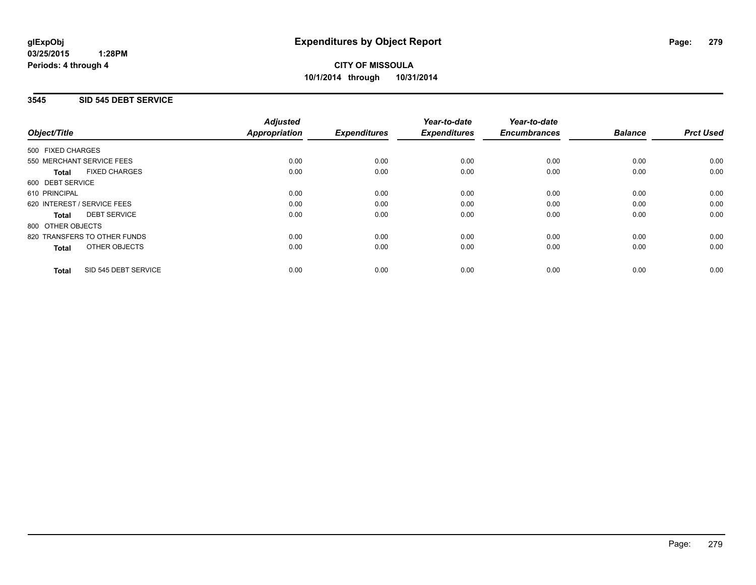**CITY OF MISSOULA 10/1/2014 through 10/31/2014**

### **3545 SID 545 DEBT SERVICE**

|                                      | <b>Adjusted</b>      |                     | Year-to-date        | Year-to-date        |                |                  |
|--------------------------------------|----------------------|---------------------|---------------------|---------------------|----------------|------------------|
| Object/Title                         | <b>Appropriation</b> | <b>Expenditures</b> | <b>Expenditures</b> | <b>Encumbrances</b> | <b>Balance</b> | <b>Prct Used</b> |
| 500 FIXED CHARGES                    |                      |                     |                     |                     |                |                  |
| 550 MERCHANT SERVICE FEES            | 0.00                 | 0.00                | 0.00                | 0.00                | 0.00           | 0.00             |
| <b>FIXED CHARGES</b><br><b>Total</b> | 0.00                 | 0.00                | 0.00                | 0.00                | 0.00           | 0.00             |
| 600 DEBT SERVICE                     |                      |                     |                     |                     |                |                  |
| 610 PRINCIPAL                        | 0.00                 | 0.00                | 0.00                | 0.00                | 0.00           | 0.00             |
| 620 INTEREST / SERVICE FEES          | 0.00                 | 0.00                | 0.00                | 0.00                | 0.00           | 0.00             |
| <b>DEBT SERVICE</b><br><b>Total</b>  | 0.00                 | 0.00                | 0.00                | 0.00                | 0.00           | 0.00             |
| 800 OTHER OBJECTS                    |                      |                     |                     |                     |                |                  |
| 820 TRANSFERS TO OTHER FUNDS         | 0.00                 | 0.00                | 0.00                | 0.00                | 0.00           | 0.00             |
| OTHER OBJECTS<br><b>Total</b>        | 0.00                 | 0.00                | 0.00                | 0.00                | 0.00           | 0.00             |
| SID 545 DEBT SERVICE<br><b>Total</b> | 0.00                 | 0.00                | 0.00                | 0.00                | 0.00           | 0.00             |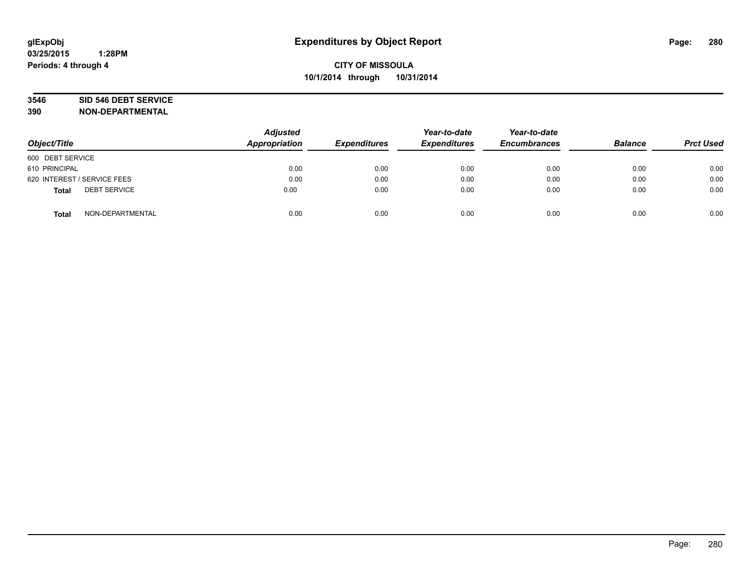# **3546 SID 546 DEBT SERVICE**

| Object/Title                        | <b>Adjusted</b><br><b>Appropriation</b> | <b>Expenditures</b> | Year-to-date<br><b>Expenditures</b> | Year-to-date<br><b>Encumbrances</b> | <b>Balance</b> | <b>Prct Used</b> |
|-------------------------------------|-----------------------------------------|---------------------|-------------------------------------|-------------------------------------|----------------|------------------|
| 600 DEBT SERVICE                    |                                         |                     |                                     |                                     |                |                  |
| 610 PRINCIPAL                       | 0.00                                    | 0.00                | 0.00                                | 0.00                                | 0.00           | 0.00             |
| 620 INTEREST / SERVICE FEES         | 0.00                                    | 0.00                | 0.00                                | 0.00                                | 0.00           | 0.00             |
| <b>DEBT SERVICE</b><br><b>Total</b> | 0.00                                    | 0.00                | 0.00                                | 0.00                                | 0.00           | 0.00             |
| NON-DEPARTMENTAL<br><b>Total</b>    | 0.00                                    | 0.00                | 0.00                                | 0.00                                | 0.00           | 0.00             |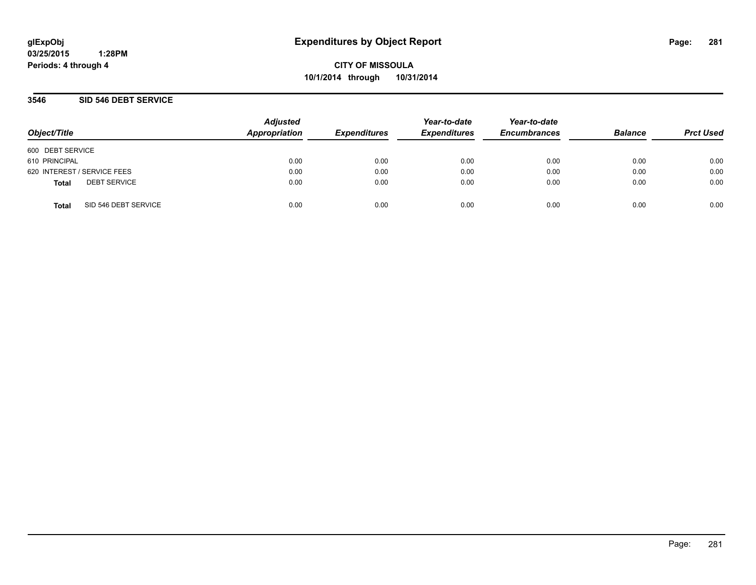**CITY OF MISSOULA 10/1/2014 through 10/31/2014**

### **3546 SID 546 DEBT SERVICE**

| Object/Title     |                             | <b>Adjusted</b><br>Appropriation | <b>Expenditures</b> | Year-to-date<br><b>Expenditures</b> | Year-to-date<br><b>Encumbrances</b> | <b>Balance</b> | <b>Prct Used</b> |
|------------------|-----------------------------|----------------------------------|---------------------|-------------------------------------|-------------------------------------|----------------|------------------|
| 600 DEBT SERVICE |                             |                                  |                     |                                     |                                     |                |                  |
| 610 PRINCIPAL    |                             | 0.00                             | 0.00                | 0.00                                | 0.00                                | 0.00           | 0.00             |
|                  | 620 INTEREST / SERVICE FEES | 0.00                             | 0.00                | 0.00                                | 0.00                                | 0.00           | 0.00             |
| <b>Total</b>     | <b>DEBT SERVICE</b>         | 0.00                             | 0.00                | 0.00                                | 0.00                                | 0.00           | 0.00             |
| <b>Total</b>     | SID 546 DEBT SERVICE        | 0.00                             | 0.00                | 0.00                                | 0.00                                | 0.00           | 0.00             |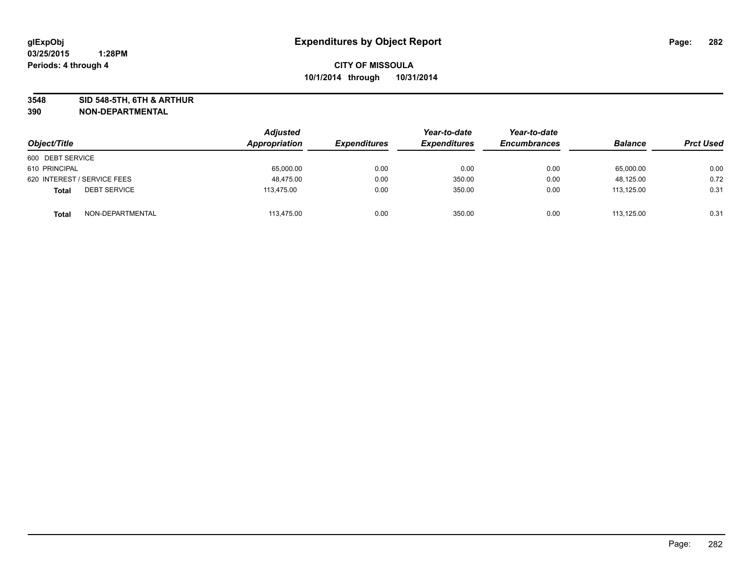**3548 SID 548-5TH, 6TH & ARTHUR**

| Object/Title                        | Adjusted<br>Appropriation | <b>Expenditures</b> | Year-to-date<br><b>Expenditures</b> | Year-to-date<br><b>Encumbrances</b> | <b>Balance</b> | <b>Prct Used</b> |
|-------------------------------------|---------------------------|---------------------|-------------------------------------|-------------------------------------|----------------|------------------|
| 600 DEBT SERVICE                    |                           |                     |                                     |                                     |                |                  |
| 610 PRINCIPAL                       | 65,000.00                 | 0.00                | 0.00                                | 0.00                                | 65,000.00      | 0.00             |
| 620 INTEREST / SERVICE FEES         | 48.475.00                 | 0.00                | 350.00                              | 0.00                                | 48,125.00      | 0.72             |
| <b>DEBT SERVICE</b><br><b>Total</b> | 113,475.00                | 0.00                | 350.00                              | 0.00                                | 113,125.00     | 0.31             |
| NON-DEPARTMENTAL<br><b>Total</b>    | 113,475.00                | 0.00                | 350.00                              | 0.00                                | 113.125.00     | 0.31             |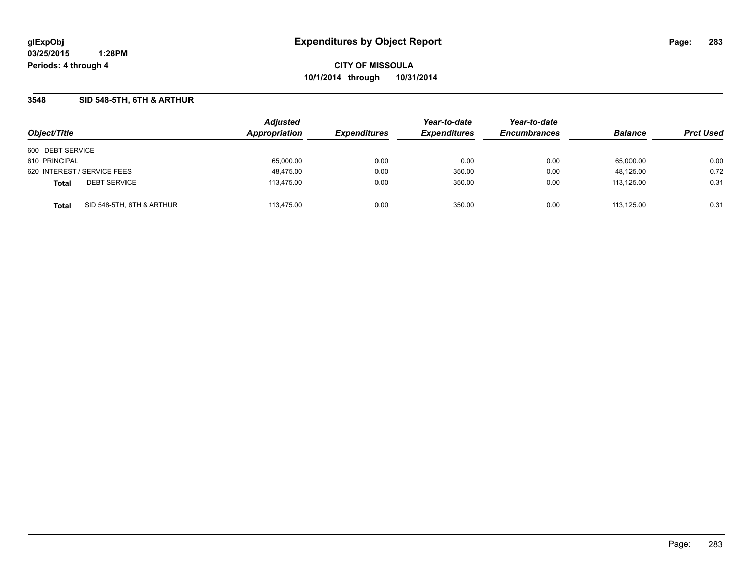**CITY OF MISSOULA 10/1/2014 through 10/31/2014**

### **3548 SID 548-5TH, 6TH & ARTHUR**

|                                           | <b>Adjusted</b> |                     | Year-to-date        | Year-to-date        |                |                  |
|-------------------------------------------|-----------------|---------------------|---------------------|---------------------|----------------|------------------|
| Object/Title                              | Appropriation   | <b>Expenditures</b> | <b>Expenditures</b> | <b>Encumbrances</b> | <b>Balance</b> | <b>Prct Used</b> |
| 600 DEBT SERVICE                          |                 |                     |                     |                     |                |                  |
| 610 PRINCIPAL                             | 65,000.00       | 0.00                | 0.00                | 0.00                | 65,000.00      | 0.00             |
| 620 INTEREST / SERVICE FEES               | 48,475.00       | 0.00                | 350.00              | 0.00                | 48,125.00      | 0.72             |
| <b>DEBT SERVICE</b><br><b>Total</b>       | 113,475.00      | 0.00                | 350.00              | 0.00                | 113.125.00     | 0.31             |
| SID 548-5TH, 6TH & ARTHUR<br><b>Total</b> | 113.475.00      | 0.00                | 350.00              | 0.00                | 113.125.00     | 0.31             |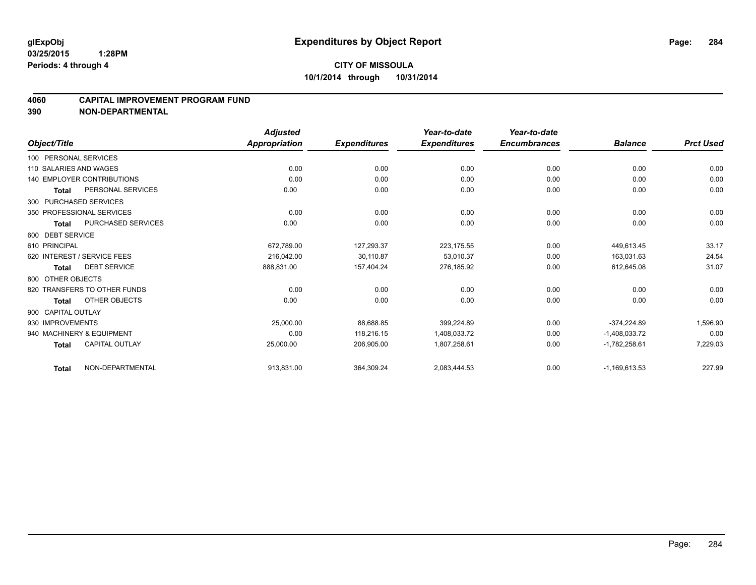#### **4060 CAPITAL IMPROVEMENT PROGRAM FUND**

|                        |                                   | <b>Adjusted</b> |                     | Year-to-date        | Year-to-date        |                 |                  |
|------------------------|-----------------------------------|-----------------|---------------------|---------------------|---------------------|-----------------|------------------|
| Object/Title           |                                   | Appropriation   | <b>Expenditures</b> | <b>Expenditures</b> | <b>Encumbrances</b> | <b>Balance</b>  | <b>Prct Used</b> |
| 100 PERSONAL SERVICES  |                                   |                 |                     |                     |                     |                 |                  |
| 110 SALARIES AND WAGES |                                   | 0.00            | 0.00                | 0.00                | 0.00                | 0.00            | 0.00             |
|                        | <b>140 EMPLOYER CONTRIBUTIONS</b> | 0.00            | 0.00                | 0.00                | 0.00                | 0.00            | 0.00             |
| Total                  | PERSONAL SERVICES                 | 0.00            | 0.00                | 0.00                | 0.00                | 0.00            | 0.00             |
|                        | 300 PURCHASED SERVICES            |                 |                     |                     |                     |                 |                  |
|                        | 350 PROFESSIONAL SERVICES         | 0.00            | 0.00                | 0.00                | 0.00                | 0.00            | 0.00             |
| <b>Total</b>           | <b>PURCHASED SERVICES</b>         | 0.00            | 0.00                | 0.00                | 0.00                | 0.00            | 0.00             |
| 600 DEBT SERVICE       |                                   |                 |                     |                     |                     |                 |                  |
| 610 PRINCIPAL          |                                   | 672,789.00      | 127,293.37          | 223,175.55          | 0.00                | 449,613.45      | 33.17            |
|                        | 620 INTEREST / SERVICE FEES       | 216,042.00      | 30,110.87           | 53,010.37           | 0.00                | 163,031.63      | 24.54            |
| Total                  | <b>DEBT SERVICE</b>               | 888,831.00      | 157,404.24          | 276,185.92          | 0.00                | 612,645.08      | 31.07            |
| 800 OTHER OBJECTS      |                                   |                 |                     |                     |                     |                 |                  |
|                        | 820 TRANSFERS TO OTHER FUNDS      | 0.00            | 0.00                | 0.00                | 0.00                | 0.00            | 0.00             |
| Total                  | OTHER OBJECTS                     | 0.00            | 0.00                | 0.00                | 0.00                | 0.00            | 0.00             |
| 900 CAPITAL OUTLAY     |                                   |                 |                     |                     |                     |                 |                  |
| 930 IMPROVEMENTS       |                                   | 25,000.00       | 88,688.85           | 399,224.89          | 0.00                | -374,224.89     | 1,596.90         |
|                        | 940 MACHINERY & EQUIPMENT         | 0.00            | 118,216.15          | 1,408,033.72        | 0.00                | $-1,408,033.72$ | 0.00             |
| <b>Total</b>           | <b>CAPITAL OUTLAY</b>             | 25,000.00       | 206,905.00          | 1,807,258.61        | 0.00                | $-1,782,258.61$ | 7,229.03         |
| <b>Total</b>           | NON-DEPARTMENTAL                  | 913,831.00      | 364,309.24          | 2,083,444.53        | 0.00                | $-1,169,613.53$ | 227.99           |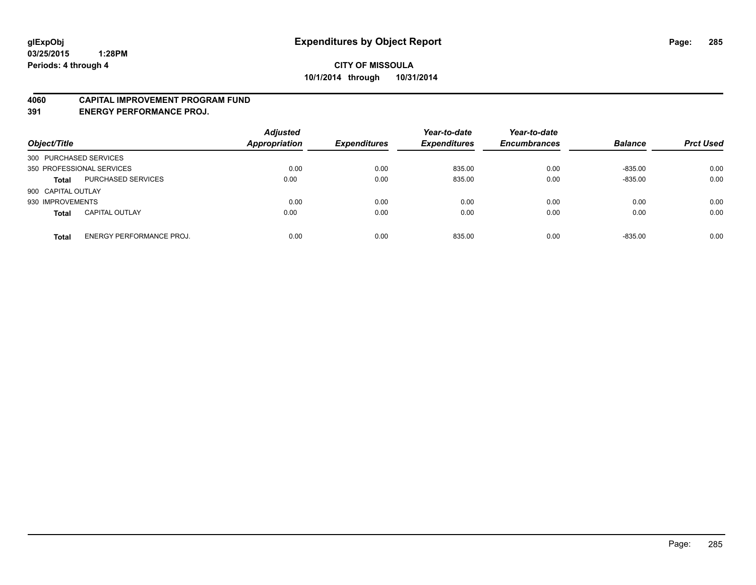#### **4060 CAPITAL IMPROVEMENT PROGRAM FUND**

**391 ENERGY PERFORMANCE PROJ.**

| Object/Title                                    | <b>Adjusted</b><br><b>Appropriation</b> | <b>Expenditures</b> | Year-to-date<br><b>Expenditures</b> | Year-to-date<br><b>Encumbrances</b> | <b>Balance</b> | <b>Prct Used</b> |
|-------------------------------------------------|-----------------------------------------|---------------------|-------------------------------------|-------------------------------------|----------------|------------------|
| 300 PURCHASED SERVICES                          |                                         |                     |                                     |                                     |                |                  |
| 350 PROFESSIONAL SERVICES                       | 0.00                                    | 0.00                | 835.00                              | 0.00                                | $-835.00$      | 0.00             |
| PURCHASED SERVICES<br><b>Total</b>              | 0.00                                    | 0.00                | 835.00                              | 0.00                                | $-835.00$      | 0.00             |
| 900 CAPITAL OUTLAY                              |                                         |                     |                                     |                                     |                |                  |
| 930 IMPROVEMENTS                                | 0.00                                    | 0.00                | 0.00                                | 0.00                                | 0.00           | 0.00             |
| <b>CAPITAL OUTLAY</b><br><b>Total</b>           | 0.00                                    | 0.00                | 0.00                                | 0.00                                | 0.00           | 0.00             |
| <b>ENERGY PERFORMANCE PROJ.</b><br><b>Total</b> | 0.00                                    | 0.00                | 835.00                              | 0.00                                | $-835.00$      | 0.00             |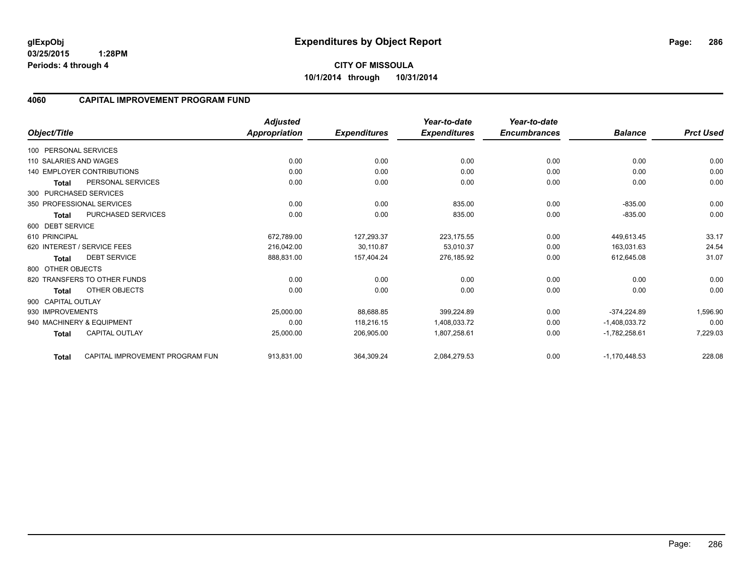### **4060 CAPITAL IMPROVEMENT PROGRAM FUND**

|                        |                                   | <b>Adjusted</b>      |                     | Year-to-date        | Year-to-date        |                 |                  |
|------------------------|-----------------------------------|----------------------|---------------------|---------------------|---------------------|-----------------|------------------|
| Object/Title           |                                   | <b>Appropriation</b> | <b>Expenditures</b> | <b>Expenditures</b> | <b>Encumbrances</b> | <b>Balance</b>  | <b>Prct Used</b> |
| 100 PERSONAL SERVICES  |                                   |                      |                     |                     |                     |                 |                  |
| 110 SALARIES AND WAGES |                                   | 0.00                 | 0.00                | 0.00                | 0.00                | 0.00            | 0.00             |
|                        | <b>140 EMPLOYER CONTRIBUTIONS</b> | 0.00                 | 0.00                | 0.00                | 0.00                | 0.00            | 0.00             |
| <b>Total</b>           | PERSONAL SERVICES                 | 0.00                 | 0.00                | 0.00                | 0.00                | 0.00            | 0.00             |
| 300 PURCHASED SERVICES |                                   |                      |                     |                     |                     |                 |                  |
|                        | 350 PROFESSIONAL SERVICES         | 0.00                 | 0.00                | 835.00              | 0.00                | $-835.00$       | 0.00             |
| <b>Total</b>           | <b>PURCHASED SERVICES</b>         | 0.00                 | 0.00                | 835.00              | 0.00                | $-835.00$       | 0.00             |
| 600 DEBT SERVICE       |                                   |                      |                     |                     |                     |                 |                  |
| 610 PRINCIPAL          |                                   | 672,789.00           | 127,293.37          | 223.175.55          | 0.00                | 449,613.45      | 33.17            |
|                        | 620 INTEREST / SERVICE FEES       | 216,042.00           | 30,110.87           | 53,010.37           | 0.00                | 163,031.63      | 24.54            |
| <b>Total</b>           | <b>DEBT SERVICE</b>               | 888,831.00           | 157,404.24          | 276,185.92          | 0.00                | 612,645.08      | 31.07            |
| 800 OTHER OBJECTS      |                                   |                      |                     |                     |                     |                 |                  |
|                        | 820 TRANSFERS TO OTHER FUNDS      | 0.00                 | 0.00                | 0.00                | 0.00                | 0.00            | 0.00             |
| <b>Total</b>           | OTHER OBJECTS                     | 0.00                 | 0.00                | 0.00                | 0.00                | 0.00            | 0.00             |
| 900 CAPITAL OUTLAY     |                                   |                      |                     |                     |                     |                 |                  |
| 930 IMPROVEMENTS       |                                   | 25,000.00            | 88,688.85           | 399,224.89          | 0.00                | $-374,224.89$   | 1,596.90         |
|                        | 940 MACHINERY & EQUIPMENT         | 0.00                 | 118,216.15          | 1,408,033.72        | 0.00                | $-1,408,033.72$ | 0.00             |
| <b>Total</b>           | <b>CAPITAL OUTLAY</b>             | 25,000.00            | 206,905.00          | 1,807,258.61        | 0.00                | $-1,782,258.61$ | 7,229.03         |
| <b>Total</b>           | CAPITAL IMPROVEMENT PROGRAM FUN   | 913,831.00           | 364,309.24          | 2,084,279.53        | 0.00                | $-1,170,448.53$ | 228.08           |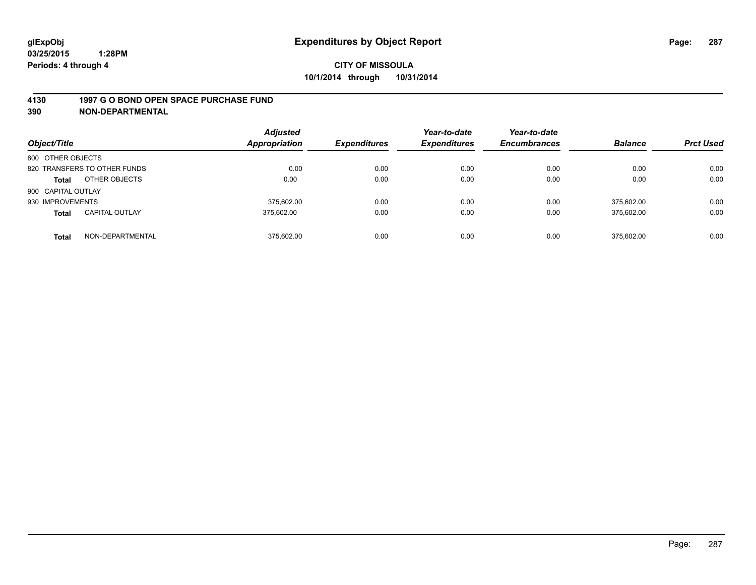#### **4130 1997 G O BOND OPEN SPACE PURCHASE FUND**

| Object/Title                          | <b>Adjusted</b><br>Appropriation | <b>Expenditures</b> | Year-to-date<br><b>Expenditures</b> | Year-to-date<br><b>Encumbrances</b> | <b>Balance</b> | <b>Prct Used</b> |
|---------------------------------------|----------------------------------|---------------------|-------------------------------------|-------------------------------------|----------------|------------------|
| 800 OTHER OBJECTS                     |                                  |                     |                                     |                                     |                |                  |
| 820 TRANSFERS TO OTHER FUNDS          | 0.00                             | 0.00                | 0.00                                | 0.00                                | 0.00           | 0.00             |
| OTHER OBJECTS<br><b>Total</b>         | 0.00                             | 0.00                | 0.00                                | 0.00                                | 0.00           | 0.00             |
| 900 CAPITAL OUTLAY                    |                                  |                     |                                     |                                     |                |                  |
| 930 IMPROVEMENTS                      | 375.602.00                       | 0.00                | 0.00                                | 0.00                                | 375,602.00     | 0.00             |
| <b>CAPITAL OUTLAY</b><br><b>Total</b> | 375,602.00                       | 0.00                | 0.00                                | 0.00                                | 375,602.00     | 0.00             |
| NON-DEPARTMENTAL<br><b>Total</b>      | 375.602.00                       | 0.00                | 0.00                                | 0.00                                | 375.602.00     | 0.00             |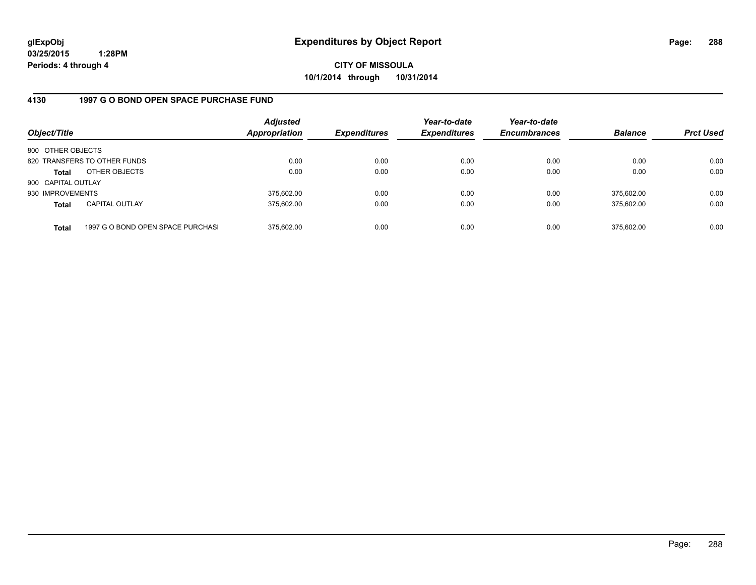**CITY OF MISSOULA 10/1/2014 through 10/31/2014**

### **4130 1997 G O BOND OPEN SPACE PURCHASE FUND**

| Object/Title       |                                   | <b>Adjusted</b><br><b>Appropriation</b> | <b>Expenditures</b> | Year-to-date<br><b>Expenditures</b> | Year-to-date<br><b>Encumbrances</b> | <b>Balance</b> | <b>Prct Used</b> |
|--------------------|-----------------------------------|-----------------------------------------|---------------------|-------------------------------------|-------------------------------------|----------------|------------------|
| 800 OTHER OBJECTS  |                                   |                                         |                     |                                     |                                     |                |                  |
|                    | 820 TRANSFERS TO OTHER FUNDS      | 0.00                                    | 0.00                | 0.00                                | 0.00                                | 0.00           | 0.00             |
| <b>Total</b>       | OTHER OBJECTS                     | 0.00                                    | 0.00                | 0.00                                | 0.00                                | 0.00           | 0.00             |
| 900 CAPITAL OUTLAY |                                   |                                         |                     |                                     |                                     |                |                  |
| 930 IMPROVEMENTS   |                                   | 375,602.00                              | 0.00                | 0.00                                | 0.00                                | 375.602.00     | 0.00             |
| <b>Total</b>       | <b>CAPITAL OUTLAY</b>             | 375,602.00                              | 0.00                | 0.00                                | 0.00                                | 375.602.00     | 0.00             |
| <b>Total</b>       | 1997 G O BOND OPEN SPACE PURCHASI | 375,602.00                              | 0.00                | 0.00                                | 0.00                                | 375,602.00     | 0.00             |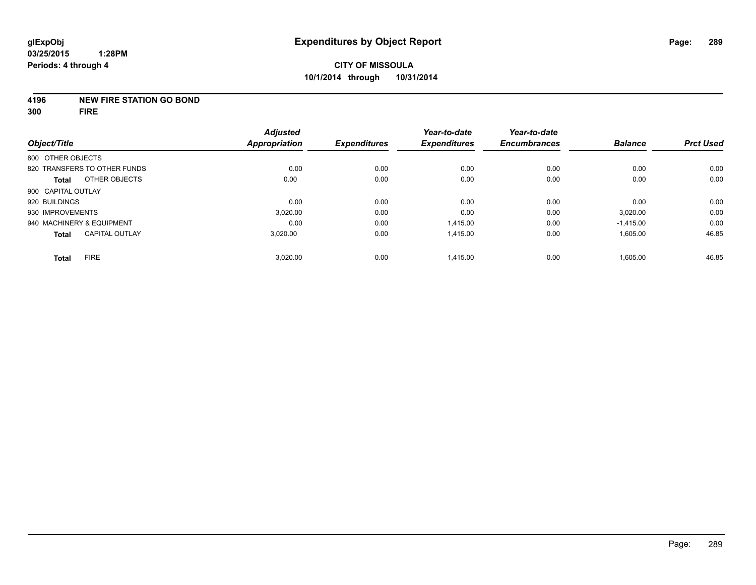#### **4196 NEW FIRE STATION GO BOND**

**300 FIRE**

|                                       | <b>Adjusted</b>      |                     | Year-to-date        | Year-to-date        |                |                  |
|---------------------------------------|----------------------|---------------------|---------------------|---------------------|----------------|------------------|
| Object/Title                          | <b>Appropriation</b> | <b>Expenditures</b> | <b>Expenditures</b> | <b>Encumbrances</b> | <b>Balance</b> | <b>Prct Used</b> |
| 800 OTHER OBJECTS                     |                      |                     |                     |                     |                |                  |
| 820 TRANSFERS TO OTHER FUNDS          | 0.00                 | 0.00                | 0.00                | 0.00                | 0.00           | 0.00             |
| OTHER OBJECTS<br><b>Total</b>         | 0.00                 | 0.00                | 0.00                | 0.00                | 0.00           | 0.00             |
| 900 CAPITAL OUTLAY                    |                      |                     |                     |                     |                |                  |
| 920 BUILDINGS                         | 0.00                 | 0.00                | 0.00                | 0.00                | 0.00           | 0.00             |
| 930 IMPROVEMENTS                      | 3,020.00             | 0.00                | 0.00                | 0.00                | 3,020.00       | 0.00             |
| 940 MACHINERY & EQUIPMENT             | 0.00                 | 0.00                | 1.415.00            | 0.00                | $-1,415.00$    | 0.00             |
| <b>CAPITAL OUTLAY</b><br><b>Total</b> | 3,020.00             | 0.00                | 1,415.00            | 0.00                | 1,605.00       | 46.85            |
| <b>FIRE</b><br><b>Total</b>           | 3,020.00             | 0.00                | 1,415.00            | 0.00                | 1,605.00       | 46.85            |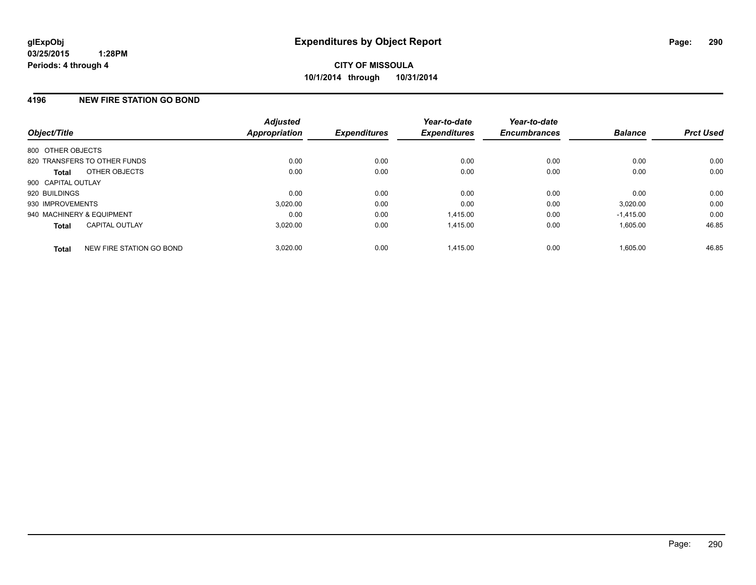# **4196 NEW FIRE STATION GO BOND**

| Object/Title              |                              | <b>Adjusted</b><br><b>Appropriation</b> | <b>Expenditures</b> | Year-to-date<br><b>Expenditures</b> | Year-to-date<br><b>Encumbrances</b> | <b>Balance</b> | <b>Prct Used</b> |
|---------------------------|------------------------------|-----------------------------------------|---------------------|-------------------------------------|-------------------------------------|----------------|------------------|
| 800 OTHER OBJECTS         |                              |                                         |                     |                                     |                                     |                |                  |
|                           | 820 TRANSFERS TO OTHER FUNDS | 0.00                                    | 0.00                | 0.00                                | 0.00                                | 0.00           | 0.00             |
| <b>Total</b>              | OTHER OBJECTS                | 0.00                                    | 0.00                | 0.00                                | 0.00                                | 0.00           | 0.00             |
| 900 CAPITAL OUTLAY        |                              |                                         |                     |                                     |                                     |                |                  |
| 920 BUILDINGS             |                              | 0.00                                    | 0.00                | 0.00                                | 0.00                                | 0.00           | 0.00             |
| 930 IMPROVEMENTS          |                              | 3,020.00                                | 0.00                | 0.00                                | 0.00                                | 3,020.00       | 0.00             |
| 940 MACHINERY & EQUIPMENT |                              | 0.00                                    | 0.00                | 1.415.00                            | 0.00                                | $-1,415.00$    | 0.00             |
| <b>Total</b>              | <b>CAPITAL OUTLAY</b>        | 3,020.00                                | 0.00                | 1,415.00                            | 0.00                                | 1,605.00       | 46.85            |
| <b>Total</b>              | NEW FIRE STATION GO BOND     | 3.020.00                                | 0.00                | 1.415.00                            | 0.00                                | 1.605.00       | 46.85            |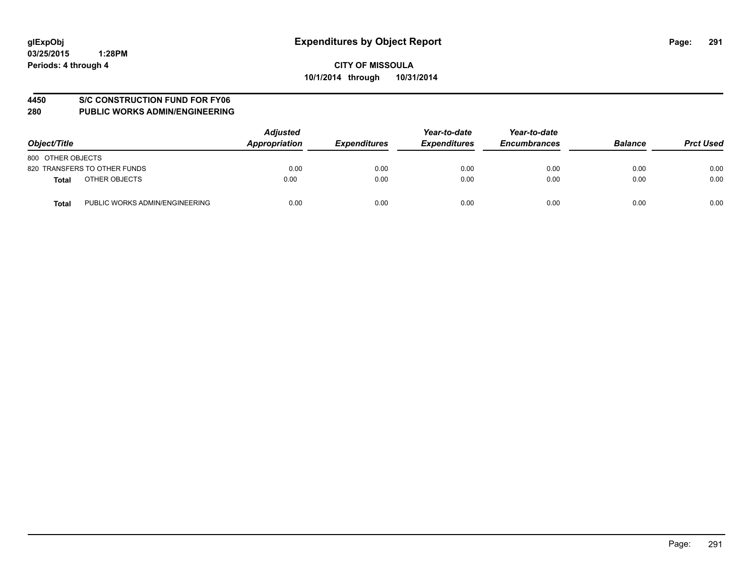#### **4450 S/C CONSTRUCTION FUND FOR FY06**

| Object/Title                                   | <b>Adjusted</b><br>Appropriation | <b>Expenditures</b> | Year-to-date<br><b>Expenditures</b> | Year-to-date<br><b>Encumbrances</b> | <b>Balance</b> | <b>Prct Used</b> |
|------------------------------------------------|----------------------------------|---------------------|-------------------------------------|-------------------------------------|----------------|------------------|
| 800 OTHER OBJECTS                              |                                  |                     |                                     |                                     |                |                  |
| 820 TRANSFERS TO OTHER FUNDS                   | 0.00                             | 0.00                | 0.00                                | 0.00                                | 0.00           | 0.00             |
| OTHER OBJECTS<br><b>Total</b>                  | 0.00                             | 0.00                | 0.00                                | 0.00                                | 0.00           | 0.00             |
| PUBLIC WORKS ADMIN/ENGINEERING<br><b>Total</b> | 0.00                             | 0.00                | 0.00                                | 0.00                                | 0.00           | 0.00             |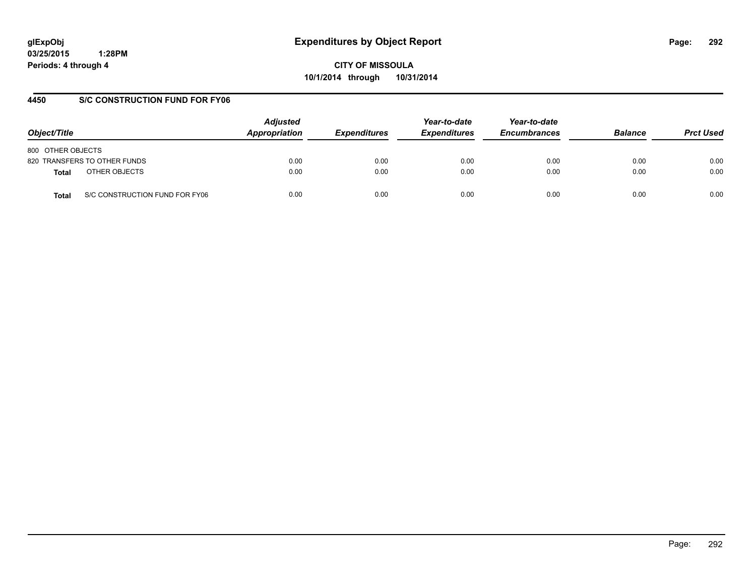**CITY OF MISSOULA 10/1/2014 through 10/31/2014**

# **4450 S/C CONSTRUCTION FUND FOR FY06**

| Object/Title                            | <b>Adjusted</b><br>Appropriation | <b>Expenditures</b> | Year-to-date<br><b>Expenditures</b> | Year-to-date<br><b>Encumbrances</b> | <b>Balance</b> | <b>Prct Used</b> |
|-----------------------------------------|----------------------------------|---------------------|-------------------------------------|-------------------------------------|----------------|------------------|
| 800 OTHER OBJECTS                       |                                  |                     |                                     |                                     |                |                  |
| 820 TRANSFERS TO OTHER FUNDS            | 0.00                             | 0.00                | 0.00                                | 0.00                                | 0.00           | 0.00             |
| OTHER OBJECTS<br>Total                  | 0.00                             | 0.00                | 0.00                                | 0.00                                | 0.00           | 0.00             |
| S/C CONSTRUCTION FUND FOR FY06<br>Total | 0.00                             | 0.00                | 0.00                                | 0.00                                | 0.00           | 0.00             |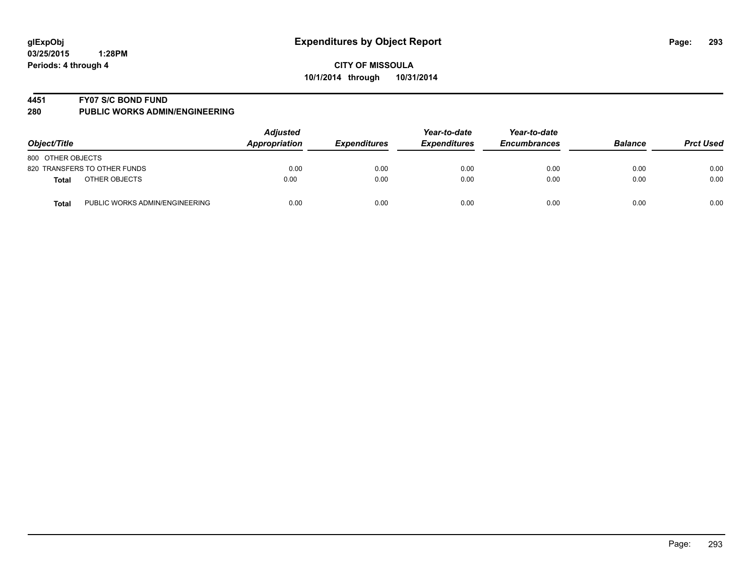#### **4451 FY07 S/C BOND FUND**

| Object/Title                                   | <b>Adjusted</b><br>Appropriation | <b>Expenditures</b> | Year-to-date<br><b>Expenditures</b> | Year-to-date<br><b>Encumbrances</b> | <b>Balance</b> | <b>Prct Used</b> |
|------------------------------------------------|----------------------------------|---------------------|-------------------------------------|-------------------------------------|----------------|------------------|
| 800 OTHER OBJECTS                              |                                  |                     |                                     |                                     |                |                  |
| 820 TRANSFERS TO OTHER FUNDS                   | 0.00                             | 0.00                | 0.00                                | 0.00                                | 0.00           | 0.00             |
| OTHER OBJECTS<br>Total                         | 0.00                             | 0.00                | 0.00                                | 0.00                                | 0.00           | 0.00             |
| PUBLIC WORKS ADMIN/ENGINEERING<br><b>Total</b> | 0.00                             | 0.00                | 0.00                                | 0.00                                | 0.00           | 0.00             |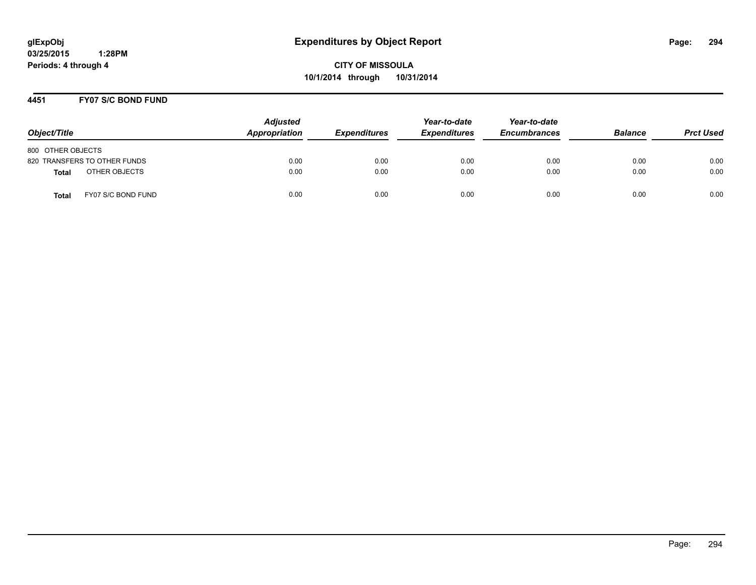**CITY OF MISSOULA 10/1/2014 through 10/31/2014**

## **4451 FY07 S/C BOND FUND**

| Object/Title                       | <b>Adjusted</b><br>Appropriation | <b>Expenditures</b> | Year-to-date<br><b>Expenditures</b> | Year-to-date<br><b>Encumbrances</b> | <b>Balance</b> | <b>Prct Used</b> |
|------------------------------------|----------------------------------|---------------------|-------------------------------------|-------------------------------------|----------------|------------------|
| 800 OTHER OBJECTS                  |                                  |                     |                                     |                                     |                |                  |
| 820 TRANSFERS TO OTHER FUNDS       | 0.00                             | 0.00                | 0.00                                | 0.00                                | 0.00           | 0.00             |
| OTHER OBJECTS<br><b>Total</b>      | 0.00                             | 0.00                | 0.00                                | 0.00                                | 0.00           | 0.00             |
| FY07 S/C BOND FUND<br><b>Total</b> | 0.00                             | 0.00                | 0.00                                | 0.00                                | 0.00           | 0.00             |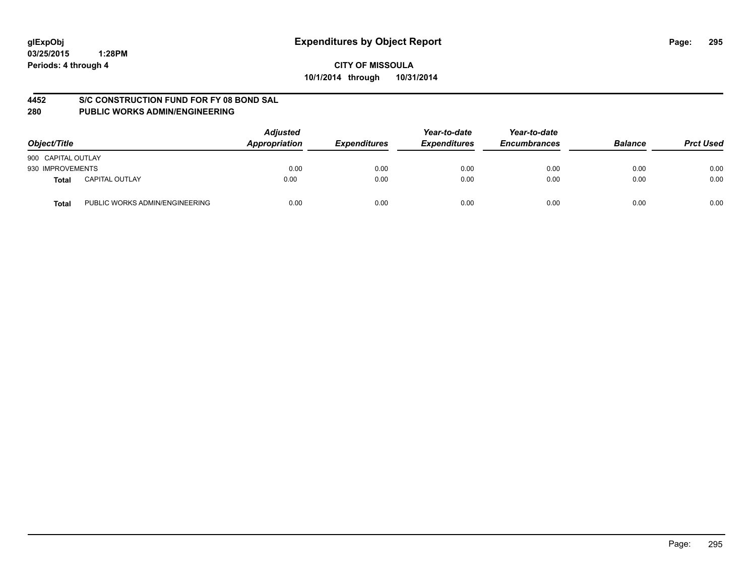# **CITY OF MISSOULA 10/1/2014 through 10/31/2014**

# **4452 S/C CONSTRUCTION FUND FOR FY 08 BOND SAL**

| Object/Title       |                                | <b>Adjusted</b><br>Appropriation | <b>Expenditures</b> | Year-to-date<br><b>Expenditures</b> | Year-to-date<br><b>Encumbrances</b> | <b>Balance</b> | <b>Prct Used</b> |
|--------------------|--------------------------------|----------------------------------|---------------------|-------------------------------------|-------------------------------------|----------------|------------------|
| 900 CAPITAL OUTLAY |                                |                                  |                     |                                     |                                     |                |                  |
| 930 IMPROVEMENTS   |                                | 0.00                             | 0.00                | 0.00                                | 0.00                                | 0.00           | 0.00             |
| Total              | <b>CAPITAL OUTLAY</b>          | 0.00                             | 0.00                | 0.00                                | 0.00                                | 0.00           | 0.00             |
| Total              | PUBLIC WORKS ADMIN/ENGINEERING | 0.00                             | 0.00                | 0.00                                | 0.00                                | 0.00           | 0.00             |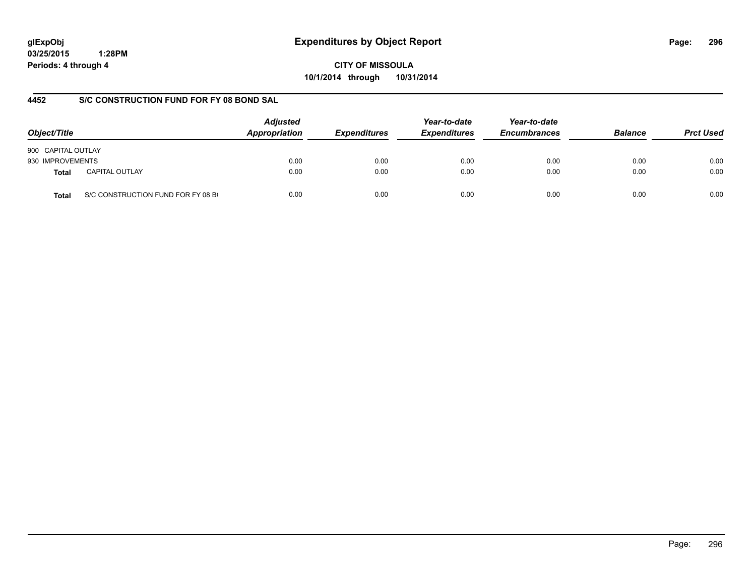# **glExpObj Expenditures by Object Report Page: 296**

**03/25/2015 1:28PM Periods: 4 through 4**

**CITY OF MISSOULA 10/1/2014 through 10/31/2014**

# **4452 S/C CONSTRUCTION FUND FOR FY 08 BOND SAL**

| Object/Title       |                                    | <b>Adjusted</b><br>Appropriation<br><b>Expenditures</b> | Year-to-date<br><b>Expenditures</b> | Year-to-date<br><b>Encumbrances</b> | <b>Balance</b> | <b>Prct Used</b> |      |
|--------------------|------------------------------------|---------------------------------------------------------|-------------------------------------|-------------------------------------|----------------|------------------|------|
| 900 CAPITAL OUTLAY |                                    |                                                         |                                     |                                     |                |                  |      |
| 930 IMPROVEMENTS   |                                    | 0.00                                                    | 0.00                                | 0.00                                | 0.00           | 0.00             | 0.00 |
| <b>Total</b>       | <b>CAPITAL OUTLAY</b>              | 0.00                                                    | 0.00                                | 0.00                                | 0.00           | 0.00             | 0.00 |
| <b>Total</b>       | S/C CONSTRUCTION FUND FOR FY 08 B( | 0.00                                                    | 0.00                                | 0.00                                | 0.00           | 0.00             | 0.00 |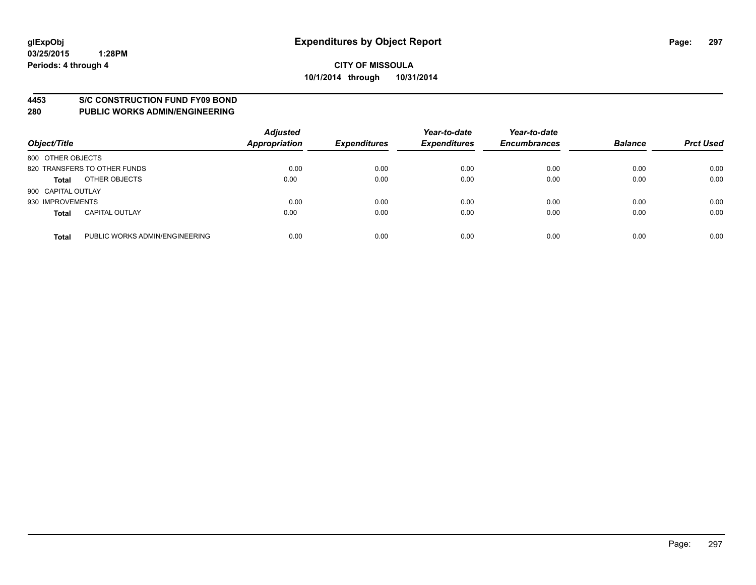#### **4453 S/C CONSTRUCTION FUND FY09 BOND**

| Object/Title       |                                | <b>Adjusted</b><br><b>Appropriation</b> | <b>Expenditures</b> | Year-to-date<br><b>Expenditures</b> | Year-to-date<br><b>Encumbrances</b> | <b>Balance</b> | <b>Prct Used</b> |
|--------------------|--------------------------------|-----------------------------------------|---------------------|-------------------------------------|-------------------------------------|----------------|------------------|
| 800 OTHER OBJECTS  |                                |                                         |                     |                                     |                                     |                |                  |
|                    | 820 TRANSFERS TO OTHER FUNDS   | 0.00                                    | 0.00                | 0.00                                | 0.00                                | 0.00           | 0.00             |
| <b>Total</b>       | OTHER OBJECTS                  | 0.00                                    | 0.00                | 0.00                                | 0.00                                | 0.00           | 0.00             |
| 900 CAPITAL OUTLAY |                                |                                         |                     |                                     |                                     |                |                  |
| 930 IMPROVEMENTS   |                                | 0.00                                    | 0.00                | 0.00                                | 0.00                                | 0.00           | 0.00             |
| <b>Total</b>       | <b>CAPITAL OUTLAY</b>          | 0.00                                    | 0.00                | 0.00                                | 0.00                                | 0.00           | 0.00             |
| <b>Total</b>       | PUBLIC WORKS ADMIN/ENGINEERING | 0.00                                    | 0.00                | 0.00                                | 0.00                                | 0.00           | 0.00             |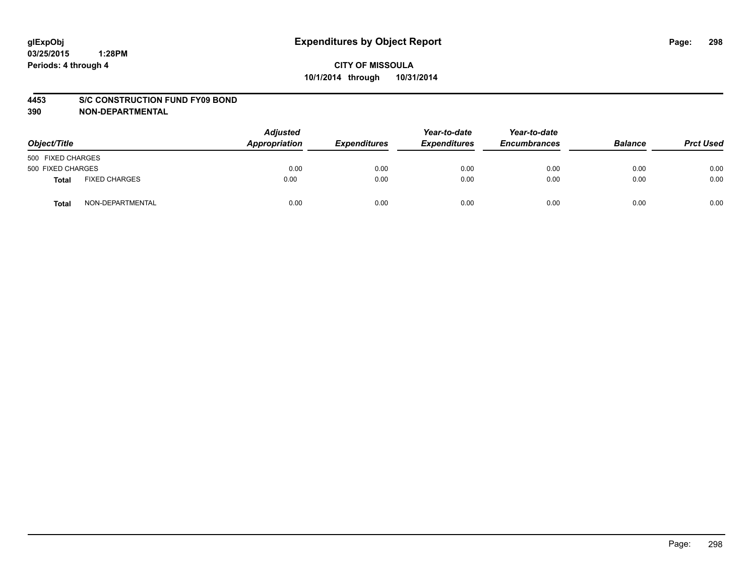#### **4453 S/C CONSTRUCTION FUND FY09 BOND**

| Object/Title      |                      | <b>Adjusted</b><br>Appropriation | <b>Expenditures</b> | Year-to-date<br><b>Expenditures</b> | Year-to-date<br><b>Encumbrances</b> | <b>Balance</b> | <b>Prct Used</b> |
|-------------------|----------------------|----------------------------------|---------------------|-------------------------------------|-------------------------------------|----------------|------------------|
| 500 FIXED CHARGES |                      |                                  |                     |                                     |                                     |                |                  |
| 500 FIXED CHARGES |                      | 0.00                             | 0.00                | 0.00                                | 0.00                                | 0.00           | 0.00             |
| Total             | <b>FIXED CHARGES</b> | 0.00                             | 0.00                | 0.00                                | 0.00                                | 0.00           | 0.00             |
| Total             | NON-DEPARTMENTAL     | 0.00                             | 0.00                | 0.00                                | 0.00                                | 0.00           | 0.00             |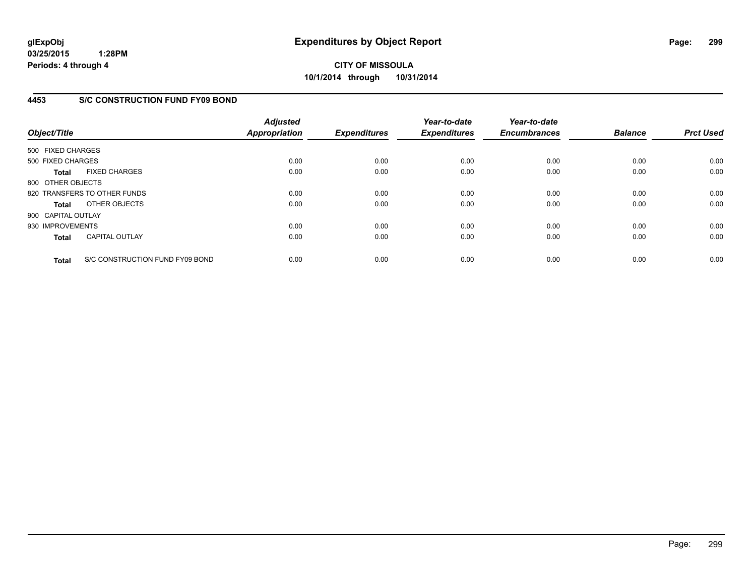# **4453 S/C CONSTRUCTION FUND FY09 BOND**

| Object/Title       |                                 | <b>Adjusted</b><br>Appropriation | <b>Expenditures</b> | Year-to-date<br><b>Expenditures</b> | Year-to-date<br><b>Encumbrances</b> | <b>Balance</b> | <b>Prct Used</b> |
|--------------------|---------------------------------|----------------------------------|---------------------|-------------------------------------|-------------------------------------|----------------|------------------|
| 500 FIXED CHARGES  |                                 |                                  |                     |                                     |                                     |                |                  |
| 500 FIXED CHARGES  |                                 | 0.00                             | 0.00                | 0.00                                | 0.00                                | 0.00           | 0.00             |
| <b>Total</b>       | <b>FIXED CHARGES</b>            | 0.00                             | 0.00                | 0.00                                | 0.00                                | 0.00           | 0.00             |
| 800 OTHER OBJECTS  |                                 |                                  |                     |                                     |                                     |                |                  |
|                    | 820 TRANSFERS TO OTHER FUNDS    | 0.00                             | 0.00                | 0.00                                | 0.00                                | 0.00           | 0.00             |
| <b>Total</b>       | OTHER OBJECTS                   | 0.00                             | 0.00                | 0.00                                | 0.00                                | 0.00           | 0.00             |
| 900 CAPITAL OUTLAY |                                 |                                  |                     |                                     |                                     |                |                  |
| 930 IMPROVEMENTS   |                                 | 0.00                             | 0.00                | 0.00                                | 0.00                                | 0.00           | 0.00             |
| <b>Total</b>       | <b>CAPITAL OUTLAY</b>           | 0.00                             | 0.00                | 0.00                                | 0.00                                | 0.00           | 0.00             |
| <b>Total</b>       | S/C CONSTRUCTION FUND FY09 BOND | 0.00                             | 0.00                | 0.00                                | 0.00                                | 0.00           | 0.00             |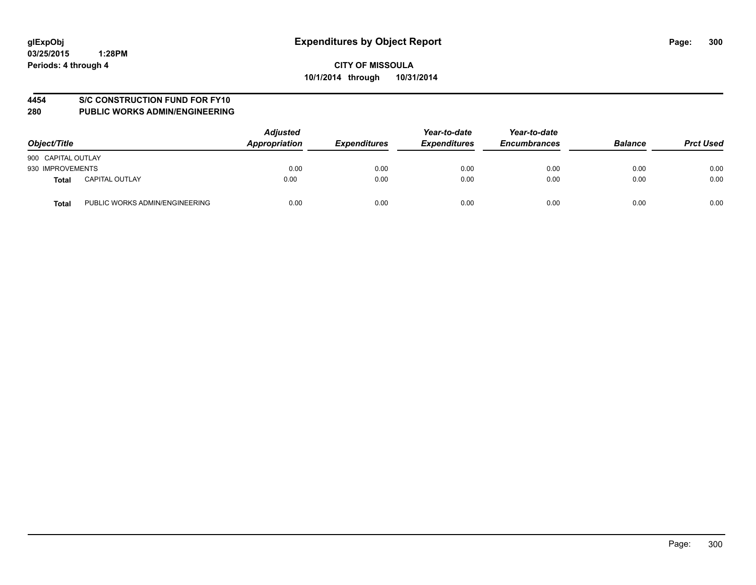# **4454 S/C CONSTRUCTION FUND FOR FY10**

| Object/Title       |                                | <b>Adjusted</b><br>Appropriation | <b>Expenditures</b> | Year-to-date<br><b>Expenditures</b> | Year-to-date<br><b>Encumbrances</b> | <b>Balance</b> | <b>Prct Used</b> |
|--------------------|--------------------------------|----------------------------------|---------------------|-------------------------------------|-------------------------------------|----------------|------------------|
| 900 CAPITAL OUTLAY |                                |                                  |                     |                                     |                                     |                |                  |
| 930 IMPROVEMENTS   |                                | 0.00                             | 0.00                | 0.00                                | 0.00                                | 0.00           | 0.00             |
| Total              | <b>CAPITAL OUTLAY</b>          | 0.00                             | 0.00                | 0.00                                | 0.00                                | 0.00           | 0.00             |
| <b>Total</b>       | PUBLIC WORKS ADMIN/ENGINEERING | 0.00                             | 0.00                | 0.00                                | 0.00                                | 0.00           | 0.00             |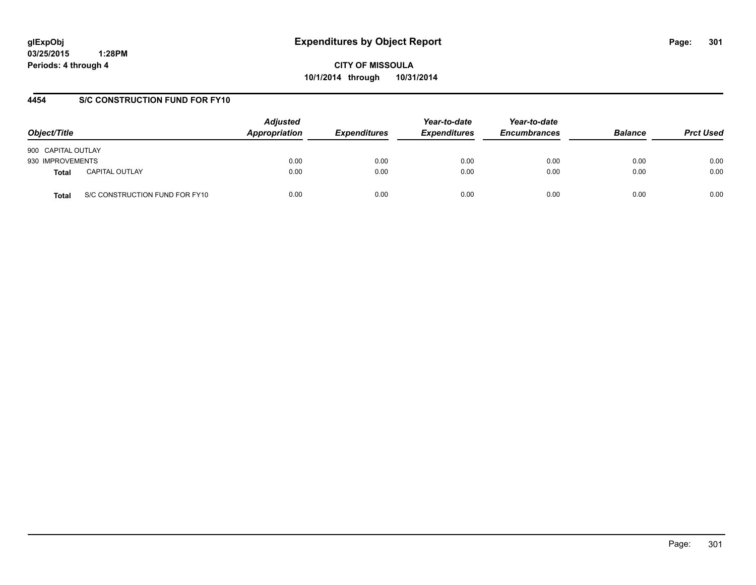**CITY OF MISSOULA 10/1/2014 through 10/31/2014**

# **4454 S/C CONSTRUCTION FUND FOR FY10**

| Object/Title       |                                | <b>Adjusted</b><br>Appropriation | <b>Expenditures</b> | Year-to-date<br><b>Expenditures</b> | Year-to-date<br><b>Encumbrances</b> | <b>Balance</b> | <b>Prct Used</b> |
|--------------------|--------------------------------|----------------------------------|---------------------|-------------------------------------|-------------------------------------|----------------|------------------|
| 900 CAPITAL OUTLAY |                                |                                  |                     |                                     |                                     |                |                  |
| 930 IMPROVEMENTS   |                                | 0.00                             | 0.00                | 0.00                                | 0.00                                | 0.00           | 0.00             |
| <b>Total</b>       | <b>CAPITAL OUTLAY</b>          | 0.00                             | 0.00                | 0.00                                | 0.00                                | 0.00           | 0.00             |
| Total              | S/C CONSTRUCTION FUND FOR FY10 | 0.00                             | 0.00                | 0.00                                | 0.00                                | 0.00           | 0.00             |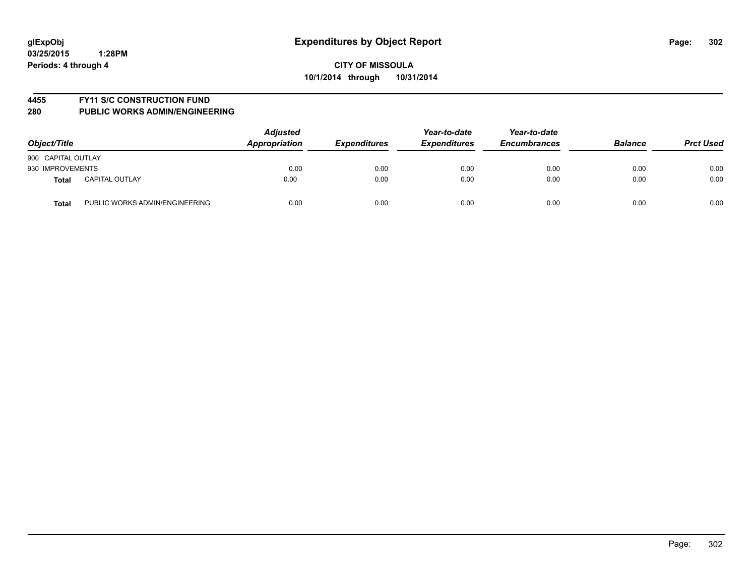#### **4455 FY11 S/C CONSTRUCTION FUND**

| Object/Title       |                                | <b>Adjusted</b><br>Appropriation | <b>Expenditures</b> | Year-to-date<br><b>Expenditures</b> | Year-to-date<br><b>Encumbrances</b> | <b>Balance</b> | <b>Prct Used</b> |
|--------------------|--------------------------------|----------------------------------|---------------------|-------------------------------------|-------------------------------------|----------------|------------------|
| 900 CAPITAL OUTLAY |                                |                                  |                     |                                     |                                     |                |                  |
| 930 IMPROVEMENTS   |                                | 0.00                             | 0.00                | 0.00                                | 0.00                                | 0.00           | 0.00             |
| <b>Total</b>       | <b>CAPITAL OUTLAY</b>          | 0.00                             | 0.00                | 0.00                                | 0.00                                | 0.00           | 0.00             |
| <b>Total</b>       | PUBLIC WORKS ADMIN/ENGINEERING | 0.00                             | 0.00                | 0.00                                | 0.00                                | 0.00           | 0.00             |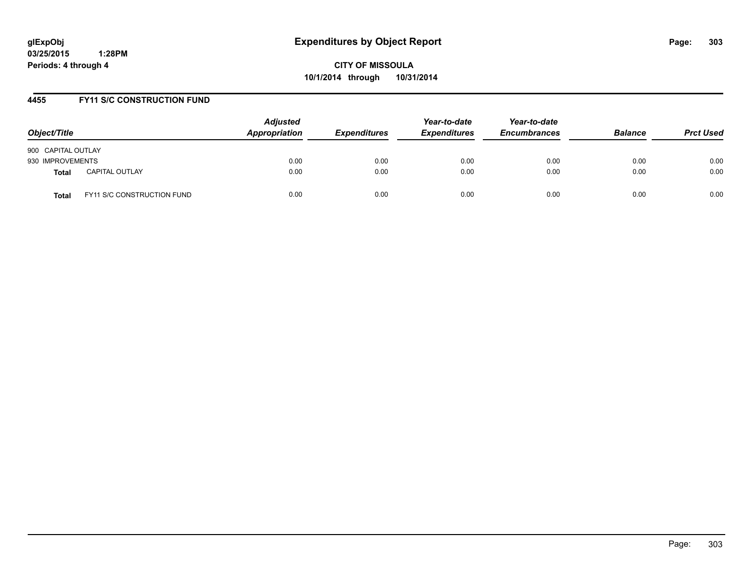**CITY OF MISSOULA 10/1/2014 through 10/31/2014**

## **4455 FY11 S/C CONSTRUCTION FUND**

| Object/Title       |                                   | <b>Adjusted</b><br>Appropriation | <b>Expenditures</b> | Year-to-date<br><b>Expenditures</b> | Year-to-date<br><b>Encumbrances</b> | <b>Balance</b> | <b>Prct Used</b> |
|--------------------|-----------------------------------|----------------------------------|---------------------|-------------------------------------|-------------------------------------|----------------|------------------|
| 900 CAPITAL OUTLAY |                                   |                                  |                     |                                     |                                     |                |                  |
| 930 IMPROVEMENTS   |                                   | 0.00                             | 0.00                | 0.00                                | 0.00                                | 0.00           | 0.00             |
| <b>Total</b>       | <b>CAPITAL OUTLAY</b>             | 0.00                             | 0.00                | 0.00                                | 0.00                                | 0.00           | 0.00             |
| Total              | <b>FY11 S/C CONSTRUCTION FUND</b> | 0.00                             | 0.00                | 0.00                                | 0.00                                | 0.00           | 0.00             |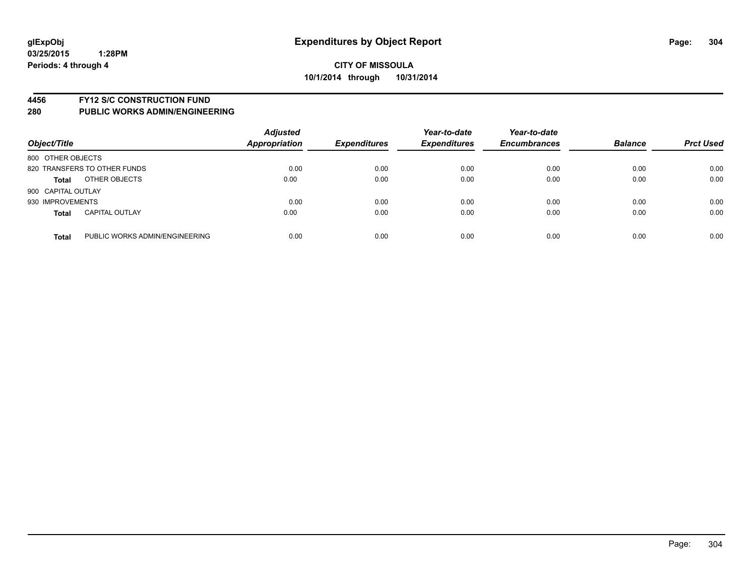#### **4456 FY12 S/C CONSTRUCTION FUND**

| Object/Title       |                                | <b>Adjusted</b><br><b>Appropriation</b> | <b>Expenditures</b> | Year-to-date<br><b>Expenditures</b> | Year-to-date<br><b>Encumbrances</b> | <b>Balance</b> | <b>Prct Used</b> |
|--------------------|--------------------------------|-----------------------------------------|---------------------|-------------------------------------|-------------------------------------|----------------|------------------|
| 800 OTHER OBJECTS  |                                |                                         |                     |                                     |                                     |                |                  |
|                    | 820 TRANSFERS TO OTHER FUNDS   | 0.00                                    | 0.00                | 0.00                                | 0.00                                | 0.00           | 0.00             |
| <b>Total</b>       | OTHER OBJECTS                  | 0.00                                    | 0.00                | 0.00                                | 0.00                                | 0.00           | 0.00             |
| 900 CAPITAL OUTLAY |                                |                                         |                     |                                     |                                     |                |                  |
| 930 IMPROVEMENTS   |                                | 0.00                                    | 0.00                | 0.00                                | 0.00                                | 0.00           | 0.00             |
| <b>Total</b>       | <b>CAPITAL OUTLAY</b>          | 0.00                                    | 0.00                | 0.00                                | 0.00                                | 0.00           | 0.00             |
| <b>Total</b>       | PUBLIC WORKS ADMIN/ENGINEERING | 0.00                                    | 0.00                | 0.00                                | 0.00                                | 0.00           | 0.00             |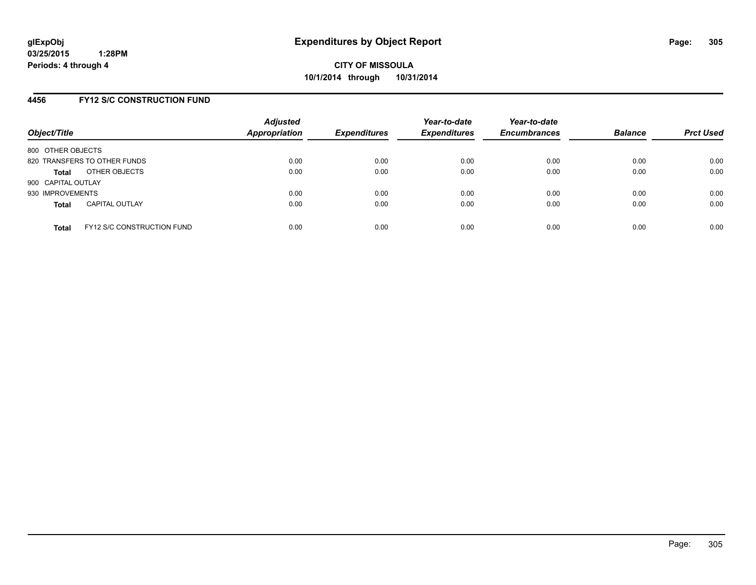### **4456 FY12 S/C CONSTRUCTION FUND**

| Object/Title       |                                   | <b>Adjusted</b><br><b>Appropriation</b> | <b>Expenditures</b> | Year-to-date<br><b>Expenditures</b> | Year-to-date<br><b>Encumbrances</b> | <b>Balance</b> | <b>Prct Used</b> |
|--------------------|-----------------------------------|-----------------------------------------|---------------------|-------------------------------------|-------------------------------------|----------------|------------------|
| 800 OTHER OBJECTS  |                                   |                                         |                     |                                     |                                     |                |                  |
|                    | 820 TRANSFERS TO OTHER FUNDS      | 0.00                                    | 0.00                | 0.00                                | 0.00                                | 0.00           | 0.00             |
| <b>Total</b>       | OTHER OBJECTS                     | 0.00                                    | 0.00                | 0.00                                | 0.00                                | 0.00           | 0.00             |
| 900 CAPITAL OUTLAY |                                   |                                         |                     |                                     |                                     |                |                  |
| 930 IMPROVEMENTS   |                                   | 0.00                                    | 0.00                | 0.00                                | 0.00                                | 0.00           | 0.00             |
| <b>Total</b>       | <b>CAPITAL OUTLAY</b>             | 0.00                                    | 0.00                | 0.00                                | 0.00                                | 0.00           | 0.00             |
| <b>Total</b>       | <b>FY12 S/C CONSTRUCTION FUND</b> | 0.00                                    | 0.00                | 0.00                                | 0.00                                | 0.00           | 0.00             |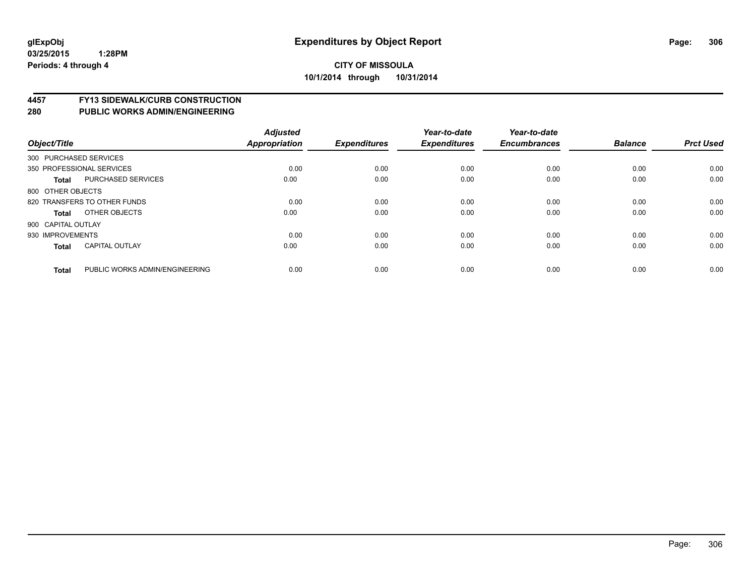# **4457 FY13 SIDEWALK/CURB CONSTRUCTION**

| Object/Title           |                                | <b>Adjusted</b><br>Appropriation | <b>Expenditures</b> | Year-to-date<br><b>Expenditures</b> | Year-to-date<br><b>Encumbrances</b> | <b>Balance</b> | <b>Prct Used</b> |
|------------------------|--------------------------------|----------------------------------|---------------------|-------------------------------------|-------------------------------------|----------------|------------------|
| 300 PURCHASED SERVICES |                                |                                  |                     |                                     |                                     |                |                  |
|                        | 350 PROFESSIONAL SERVICES      | 0.00                             | 0.00                | 0.00                                | 0.00                                | 0.00           | 0.00             |
| <b>Total</b>           | <b>PURCHASED SERVICES</b>      | 0.00                             | 0.00                | 0.00                                | 0.00                                | 0.00           | 0.00             |
| 800 OTHER OBJECTS      |                                |                                  |                     |                                     |                                     |                |                  |
|                        | 820 TRANSFERS TO OTHER FUNDS   | 0.00                             | 0.00                | 0.00                                | 0.00                                | 0.00           | 0.00             |
| Total                  | OTHER OBJECTS                  | 0.00                             | 0.00                | 0.00                                | 0.00                                | 0.00           | 0.00             |
| 900 CAPITAL OUTLAY     |                                |                                  |                     |                                     |                                     |                |                  |
| 930 IMPROVEMENTS       |                                | 0.00                             | 0.00                | 0.00                                | 0.00                                | 0.00           | 0.00             |
| <b>Total</b>           | <b>CAPITAL OUTLAY</b>          | 0.00                             | 0.00                | 0.00                                | 0.00                                | 0.00           | 0.00             |
|                        |                                |                                  |                     |                                     |                                     |                |                  |
| <b>Total</b>           | PUBLIC WORKS ADMIN/ENGINEERING | 0.00                             | 0.00                | 0.00                                | 0.00                                | 0.00           | 0.00             |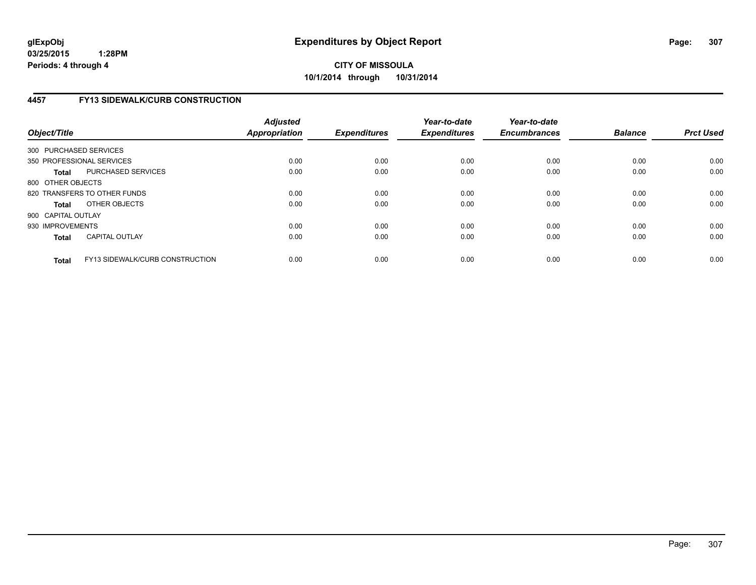# **CITY OF MISSOULA 10/1/2014 through 10/31/2014**

# **4457 FY13 SIDEWALK/CURB CONSTRUCTION**

| Object/Title           |                                        | <b>Adjusted</b><br><b>Appropriation</b> | <b>Expenditures</b> | Year-to-date<br><b>Expenditures</b> | Year-to-date<br><b>Encumbrances</b> | <b>Balance</b> | <b>Prct Used</b> |
|------------------------|----------------------------------------|-----------------------------------------|---------------------|-------------------------------------|-------------------------------------|----------------|------------------|
| 300 PURCHASED SERVICES |                                        |                                         |                     |                                     |                                     |                |                  |
|                        | 350 PROFESSIONAL SERVICES              | 0.00                                    | 0.00                | 0.00                                | 0.00                                | 0.00           | 0.00             |
| <b>Total</b>           | PURCHASED SERVICES                     | 0.00                                    | 0.00                | 0.00                                | 0.00                                | 0.00           | 0.00             |
| 800 OTHER OBJECTS      |                                        |                                         |                     |                                     |                                     |                |                  |
|                        | 820 TRANSFERS TO OTHER FUNDS           | 0.00                                    | 0.00                | 0.00                                | 0.00                                | 0.00           | 0.00             |
| <b>Total</b>           | OTHER OBJECTS                          | 0.00                                    | 0.00                | 0.00                                | 0.00                                | 0.00           | 0.00             |
| 900 CAPITAL OUTLAY     |                                        |                                         |                     |                                     |                                     |                |                  |
| 930 IMPROVEMENTS       |                                        | 0.00                                    | 0.00                | 0.00                                | 0.00                                | 0.00           | 0.00             |
| <b>Total</b>           | <b>CAPITAL OUTLAY</b>                  | 0.00                                    | 0.00                | 0.00                                | 0.00                                | 0.00           | 0.00             |
| <b>Total</b>           | <b>FY13 SIDEWALK/CURB CONSTRUCTION</b> | 0.00                                    | 0.00                | 0.00                                | 0.00                                | 0.00           | 0.00             |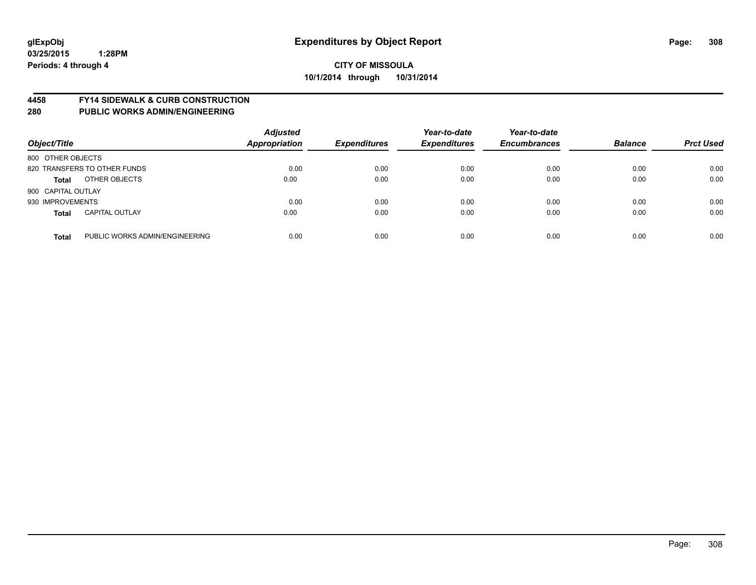#### **4458 FY14 SIDEWALK & CURB CONSTRUCTION**

| Object/Title       |                                | <b>Adjusted</b><br><b>Appropriation</b> | <b>Expenditures</b> | Year-to-date<br><b>Expenditures</b> | Year-to-date<br><b>Encumbrances</b> | <b>Balance</b> | <b>Prct Used</b> |
|--------------------|--------------------------------|-----------------------------------------|---------------------|-------------------------------------|-------------------------------------|----------------|------------------|
| 800 OTHER OBJECTS  |                                |                                         |                     |                                     |                                     |                |                  |
|                    | 820 TRANSFERS TO OTHER FUNDS   | 0.00                                    | 0.00                | 0.00                                | 0.00                                | 0.00           | 0.00             |
| <b>Total</b>       | OTHER OBJECTS                  | 0.00                                    | 0.00                | 0.00                                | 0.00                                | 0.00           | 0.00             |
| 900 CAPITAL OUTLAY |                                |                                         |                     |                                     |                                     |                |                  |
| 930 IMPROVEMENTS   |                                | 0.00                                    | 0.00                | 0.00                                | 0.00                                | 0.00           | 0.00             |
| <b>Total</b>       | <b>CAPITAL OUTLAY</b>          | 0.00                                    | 0.00                | 0.00                                | 0.00                                | 0.00           | 0.00             |
| <b>Total</b>       | PUBLIC WORKS ADMIN/ENGINEERING | 0.00                                    | 0.00                | 0.00                                | 0.00                                | 0.00           | 0.00             |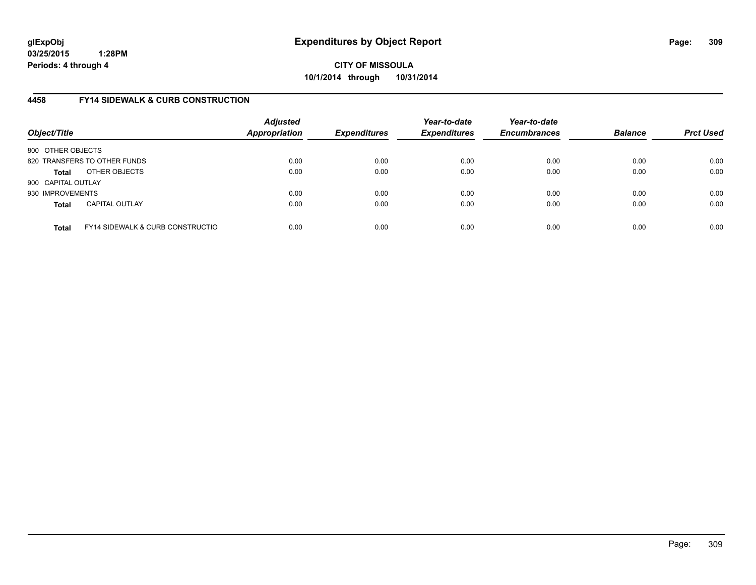**CITY OF MISSOULA 10/1/2014 through 10/31/2014**

# **4458 FY14 SIDEWALK & CURB CONSTRUCTION**

| Object/Title       |                                              | <b>Adjusted</b><br><b>Appropriation</b> | <b>Expenditures</b> | Year-to-date<br><b>Expenditures</b> | Year-to-date<br><b>Encumbrances</b> | <b>Balance</b> | <b>Prct Used</b> |
|--------------------|----------------------------------------------|-----------------------------------------|---------------------|-------------------------------------|-------------------------------------|----------------|------------------|
| 800 OTHER OBJECTS  |                                              |                                         |                     |                                     |                                     |                |                  |
|                    | 820 TRANSFERS TO OTHER FUNDS                 | 0.00                                    | 0.00                | 0.00                                | 0.00                                | 0.00           | 0.00             |
| <b>Total</b>       | OTHER OBJECTS                                | 0.00                                    | 0.00                | 0.00                                | 0.00                                | 0.00           | 0.00             |
| 900 CAPITAL OUTLAY |                                              |                                         |                     |                                     |                                     |                |                  |
| 930 IMPROVEMENTS   |                                              | 0.00                                    | 0.00                | 0.00                                | 0.00                                | 0.00           | 0.00             |
| <b>Total</b>       | <b>CAPITAL OUTLAY</b>                        | 0.00                                    | 0.00                | 0.00                                | 0.00                                | 0.00           | 0.00             |
| <b>Total</b>       | <b>FY14 SIDEWALK &amp; CURB CONSTRUCTIOL</b> | 0.00                                    | 0.00                | 0.00                                | 0.00                                | 0.00           | 0.00             |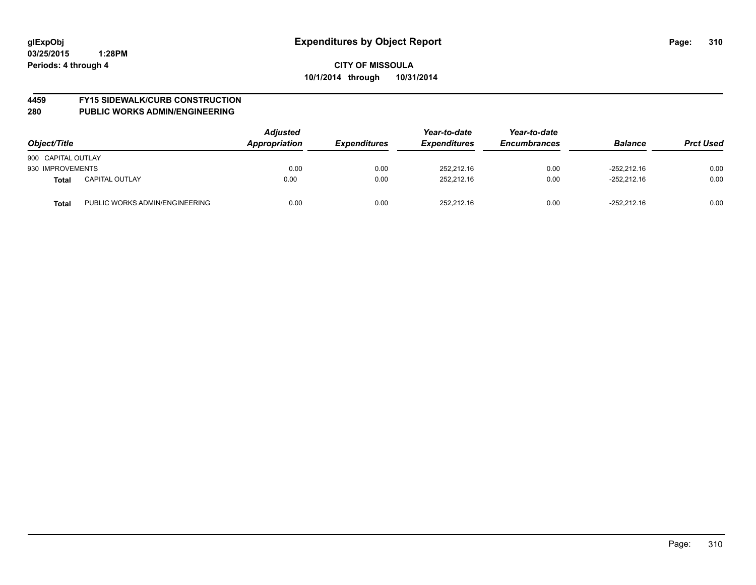# **4459 FY15 SIDEWALK/CURB CONSTRUCTION**

| Object/Title       |                                | Adjusted<br>Appropriation | <b>Expenditures</b> | Year-to-date<br><b>Expenditures</b> | Year-to-date<br><b>Encumbrances</b> | <b>Balance</b> | <b>Prct Used</b> |
|--------------------|--------------------------------|---------------------------|---------------------|-------------------------------------|-------------------------------------|----------------|------------------|
| 900 CAPITAL OUTLAY |                                |                           |                     |                                     |                                     |                |                  |
| 930 IMPROVEMENTS   |                                | 0.00                      | 0.00                | 252.212.16                          | 0.00                                | $-252.212.16$  | 0.00             |
| <b>Total</b>       | <b>CAPITAL OUTLAY</b>          | 0.00                      | 0.00                | 252.212.16                          | 0.00                                | $-252.212.16$  | 0.00             |
| <b>Total</b>       | PUBLIC WORKS ADMIN/ENGINEERING | 0.00                      | 0.00                | 252,212.16                          | 0.00                                | $-252,212.16$  | 0.00             |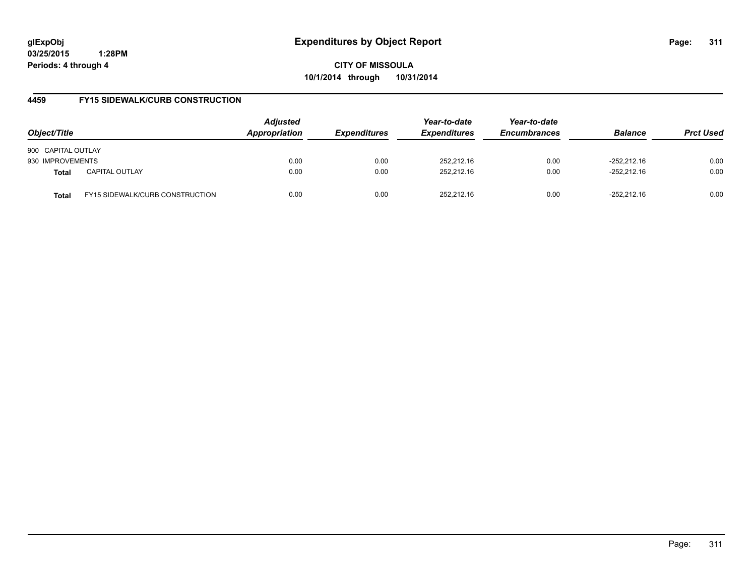**CITY OF MISSOULA 10/1/2014 through 10/31/2014**

# **4459 FY15 SIDEWALK/CURB CONSTRUCTION**

| Object/Title       |                                        | <b>Adjusted</b><br>Appropriation | <b>Expenditures</b> | Year-to-date<br><b>Expenditures</b> | Year-to-date<br><b>Encumbrances</b> | <b>Balance</b> | <b>Prct Used</b> |
|--------------------|----------------------------------------|----------------------------------|---------------------|-------------------------------------|-------------------------------------|----------------|------------------|
| 900 CAPITAL OUTLAY |                                        |                                  |                     |                                     |                                     |                |                  |
| 930 IMPROVEMENTS   |                                        | 0.00                             | 0.00                | 252,212.16                          | 0.00                                | $-252.212.16$  | 0.00             |
| <b>Total</b>       | <b>CAPITAL OUTLAY</b>                  | 0.00                             | 0.00                | 252.212.16                          | 0.00                                | $-252.212.16$  | 0.00             |
| Total              | <b>FY15 SIDEWALK/CURB CONSTRUCTION</b> | 0.00                             | 0.00                | 252.212.16                          | 0.00                                | $-252.212.16$  | 0.00             |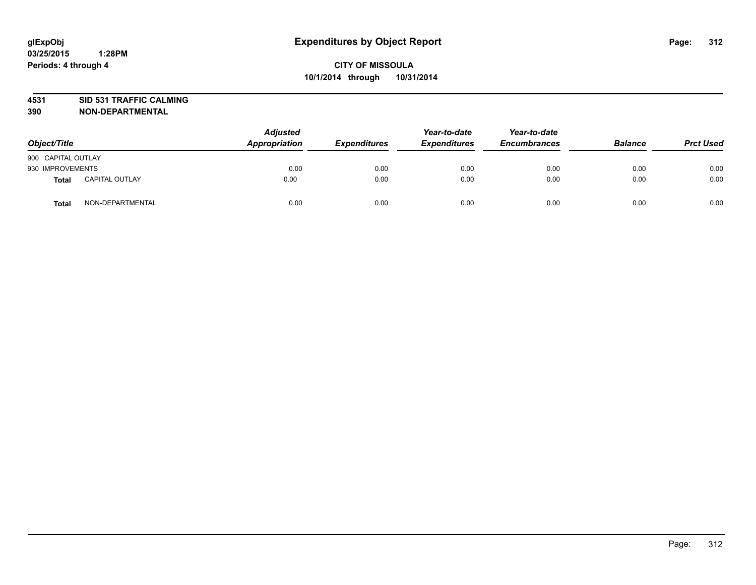# **4531 SID 531 TRAFFIC CALMING**

| Object/Title       |                       | <b>Adjusted</b><br>Appropriation | <b>Expenditures</b> | Year-to-date<br><b>Expenditures</b> | Year-to-date<br><b>Encumbrances</b> | <b>Balance</b> | <b>Prct Used</b> |
|--------------------|-----------------------|----------------------------------|---------------------|-------------------------------------|-------------------------------------|----------------|------------------|
| 900 CAPITAL OUTLAY |                       |                                  |                     |                                     |                                     |                |                  |
| 930 IMPROVEMENTS   |                       | 0.00                             | 0.00                | 0.00                                | 0.00                                | 0.00           | 0.00             |
| <b>Total</b>       | <b>CAPITAL OUTLAY</b> | 0.00                             | 0.00                | 0.00                                | 0.00                                | 0.00           | 0.00             |
| <b>Total</b>       | NON-DEPARTMENTAL      | 0.00                             | 0.00                | 0.00                                | 0.00                                | 0.00           | 0.00             |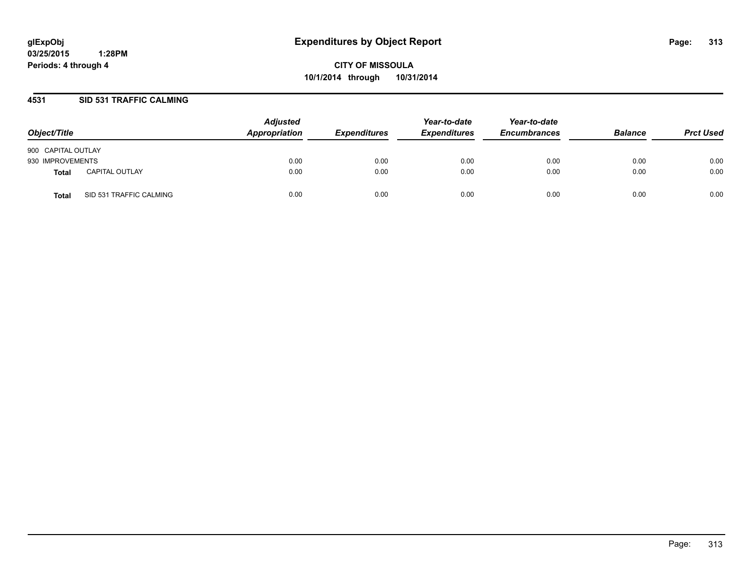**CITY OF MISSOULA 10/1/2014 through 10/31/2014**

## **4531 SID 531 TRAFFIC CALMING**

| Object/Title       |                         | <b>Adjusted</b><br>Appropriation | <b>Expenditures</b> | Year-to-date<br><b>Expenditures</b> | Year-to-date<br><b>Encumbrances</b> | <b>Balance</b> | <b>Prct Used</b> |
|--------------------|-------------------------|----------------------------------|---------------------|-------------------------------------|-------------------------------------|----------------|------------------|
| 900 CAPITAL OUTLAY |                         |                                  |                     |                                     |                                     |                |                  |
| 930 IMPROVEMENTS   |                         | 0.00                             | 0.00                | 0.00                                | 0.00                                | 0.00           | 0.00             |
| Total              | <b>CAPITAL OUTLAY</b>   | 0.00                             | 0.00                | 0.00                                | 0.00                                | 0.00           | 0.00             |
| Total              | SID 531 TRAFFIC CALMING | 0.00                             | 0.00                | 0.00                                | 0.00                                | 0.00           | 0.00             |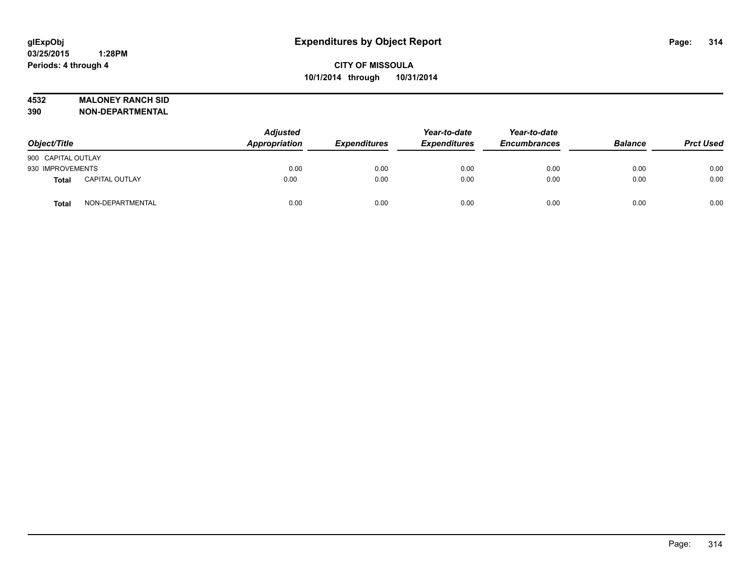# **4532 MALONEY RANCH SID**

| Object/Title       |                       | <b>Adjusted</b><br>Appropriation | <b>Expenditures</b> | Year-to-date<br><b>Expenditures</b> | Year-to-date<br><b>Encumbrances</b> | <b>Balance</b> | <b>Prct Used</b> |
|--------------------|-----------------------|----------------------------------|---------------------|-------------------------------------|-------------------------------------|----------------|------------------|
| 900 CAPITAL OUTLAY |                       |                                  |                     |                                     |                                     |                |                  |
| 930 IMPROVEMENTS   |                       | 0.00                             | 0.00                | 0.00                                | 0.00                                | 0.00           | 0.00             |
| Total              | <b>CAPITAL OUTLAY</b> | 0.00                             | 0.00                | 0.00                                | 0.00                                | 0.00           | 0.00             |
| <b>Total</b>       | NON-DEPARTMENTAL      | 0.00                             | 0.00                | 0.00                                | 0.00                                | 0.00           | 0.00             |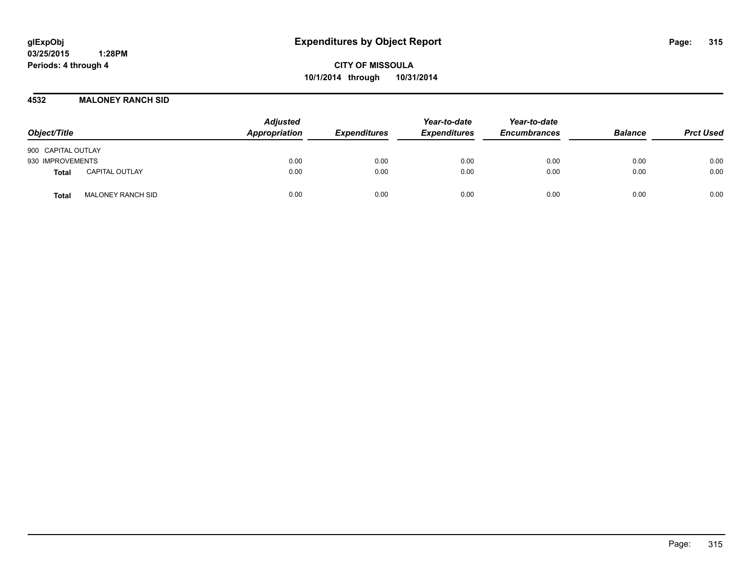**CITY OF MISSOULA 10/1/2014 through 10/31/2014**

**4532 MALONEY RANCH SID**

| Object/Title                          | <b>Adjusted</b><br>Appropriation | <b>Expenditures</b> | Year-to-date<br><b>Expenditures</b> | Year-to-date<br><b>Encumbrances</b> | <b>Balance</b> | <b>Prct Used</b> |
|---------------------------------------|----------------------------------|---------------------|-------------------------------------|-------------------------------------|----------------|------------------|
| 900 CAPITAL OUTLAY                    |                                  |                     |                                     |                                     |                |                  |
| 930 IMPROVEMENTS                      | 0.00                             | 0.00                | 0.00                                | 0.00                                | 0.00           | 0.00             |
| <b>CAPITAL OUTLAY</b><br><b>Total</b> | 0.00                             | 0.00                | 0.00                                | 0.00                                | 0.00           | 0.00             |
| <b>MALONEY RANCH SID</b><br>Total     | 0.00                             | 0.00                | 0.00                                | 0.00                                | 0.00           | 0.00             |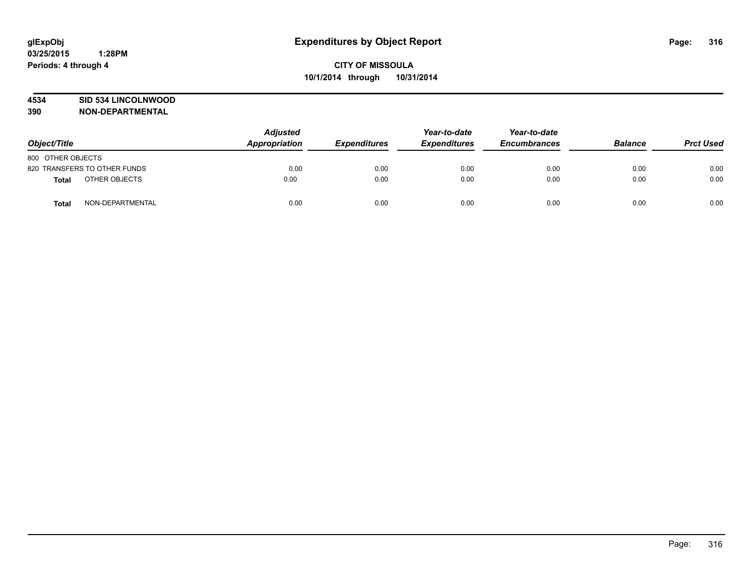## **4534 SID 534 LINCOLNWOOD**

| Object/Title                 |                  | <b>Adjusted</b><br>Appropriation | <b>Expenditures</b> | Year-to-date<br><b>Expenditures</b> | Year-to-date<br><b>Encumbrances</b> | <b>Balance</b> | <b>Prct Used</b> |
|------------------------------|------------------|----------------------------------|---------------------|-------------------------------------|-------------------------------------|----------------|------------------|
| 800 OTHER OBJECTS            |                  |                                  |                     |                                     |                                     |                |                  |
| 820 TRANSFERS TO OTHER FUNDS |                  | 0.00                             | 0.00                | 0.00                                | 0.00                                | 0.00           | 0.00             |
| <b>Total</b>                 | OTHER OBJECTS    | 0.00                             | 0.00                | 0.00                                | 0.00                                | 0.00           | 0.00             |
| <b>Total</b>                 | NON-DEPARTMENTAL | 0.00                             | 0.00                | 0.00                                | 0.00                                | 0.00           | 0.00             |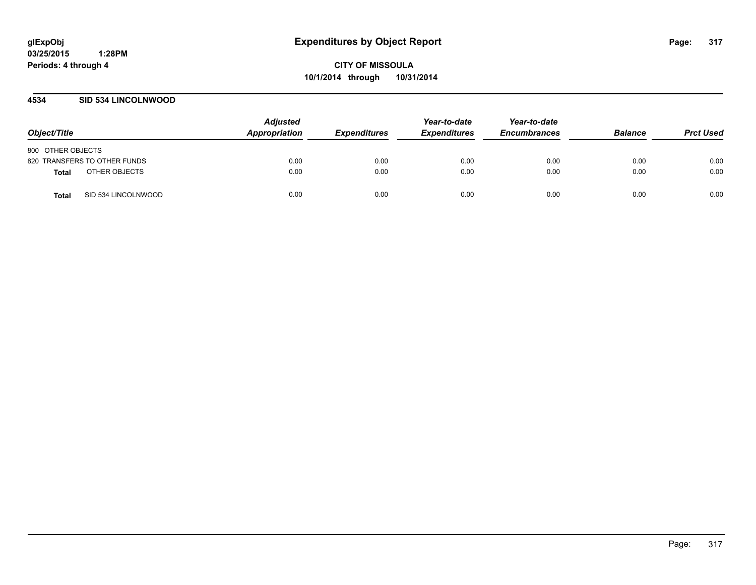**CITY OF MISSOULA 10/1/2014 through 10/31/2014**

## **4534 SID 534 LINCOLNWOOD**

| Object/Title                 | <b>Adjusted</b><br>Appropriation | <b>Expenditures</b> | Year-to-date<br><b>Expenditures</b> | Year-to-date<br><b>Encumbrances</b> | <b>Balance</b> | <b>Prct Used</b> |
|------------------------------|----------------------------------|---------------------|-------------------------------------|-------------------------------------|----------------|------------------|
| 800 OTHER OBJECTS            |                                  |                     |                                     |                                     |                |                  |
| 820 TRANSFERS TO OTHER FUNDS | 0.00                             | 0.00                | 0.00                                | 0.00                                | 0.00           | 0.00             |
| OTHER OBJECTS<br>Total       | 0.00                             | 0.00                | 0.00                                | 0.00                                | 0.00           | 0.00             |
| SID 534 LINCOLNWOOD<br>Total | 0.00                             | 0.00                | 0.00                                | 0.00                                | 0.00           | 0.00             |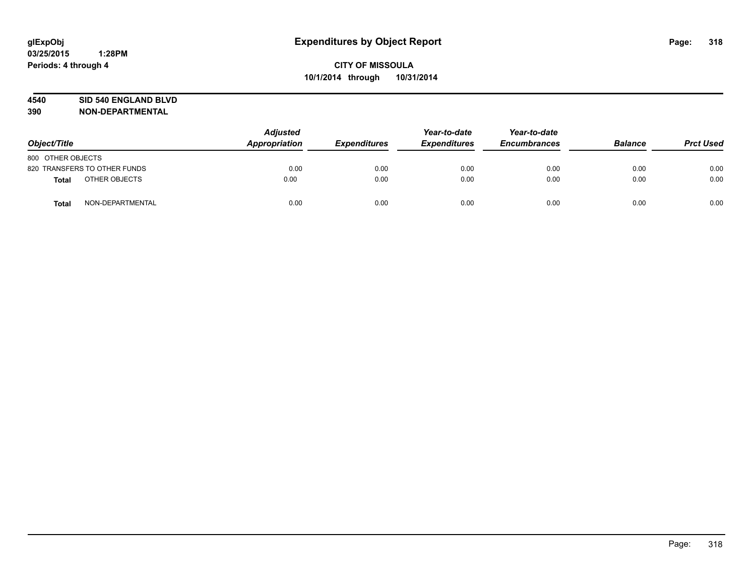#### **4540 SID 540 ENGLAND BLVD**

| Object/Title                 |                  | <b>Adjusted</b><br>Appropriation | <b>Expenditures</b> | Year-to-date<br><b>Expenditures</b> | Year-to-date<br><b>Encumbrances</b> | <b>Balance</b> | <b>Prct Used</b> |
|------------------------------|------------------|----------------------------------|---------------------|-------------------------------------|-------------------------------------|----------------|------------------|
| 800 OTHER OBJECTS            |                  |                                  |                     |                                     |                                     |                |                  |
| 820 TRANSFERS TO OTHER FUNDS |                  | 0.00                             | 0.00                | 0.00                                | 0.00                                | 0.00           | 0.00             |
| <b>Total</b>                 | OTHER OBJECTS    | 0.00                             | 0.00                | 0.00                                | 0.00                                | 0.00           | 0.00             |
| <b>Total</b>                 | NON-DEPARTMENTAL | 0.00                             | 0.00                | 0.00                                | 0.00                                | 0.00           | 0.00             |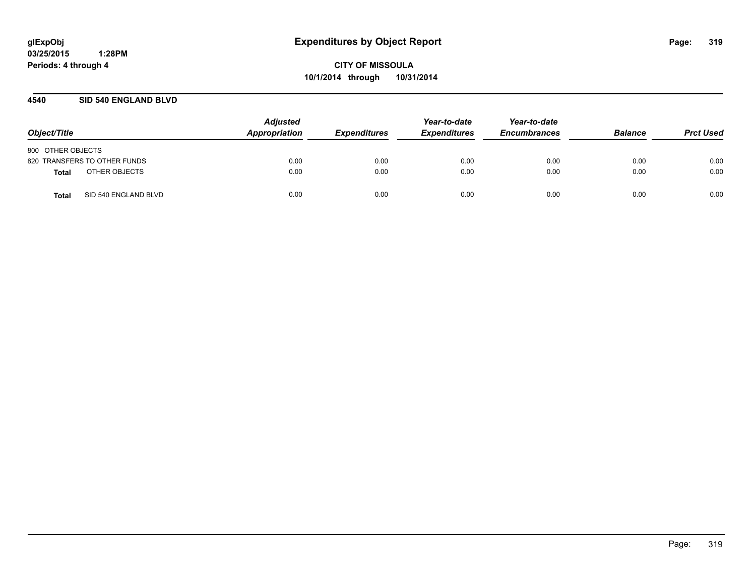## **4540 SID 540 ENGLAND BLVD**

| Object/Title                  | <b>Adjusted</b><br>Appropriation | <b>Expenditures</b> | Year-to-date<br><b>Expenditures</b> | Year-to-date<br><b>Encumbrances</b> | <b>Balance</b> | <b>Prct Used</b> |
|-------------------------------|----------------------------------|---------------------|-------------------------------------|-------------------------------------|----------------|------------------|
| 800 OTHER OBJECTS             |                                  |                     |                                     |                                     |                |                  |
| 820 TRANSFERS TO OTHER FUNDS  | 0.00                             | 0.00                | 0.00                                | 0.00                                | 0.00           | 0.00             |
| OTHER OBJECTS<br>Total        | 0.00                             | 0.00                | 0.00                                | 0.00                                | 0.00           | 0.00             |
| SID 540 ENGLAND BLVD<br>Total | 0.00                             | 0.00                | 0.00                                | 0.00                                | 0.00           | 0.00             |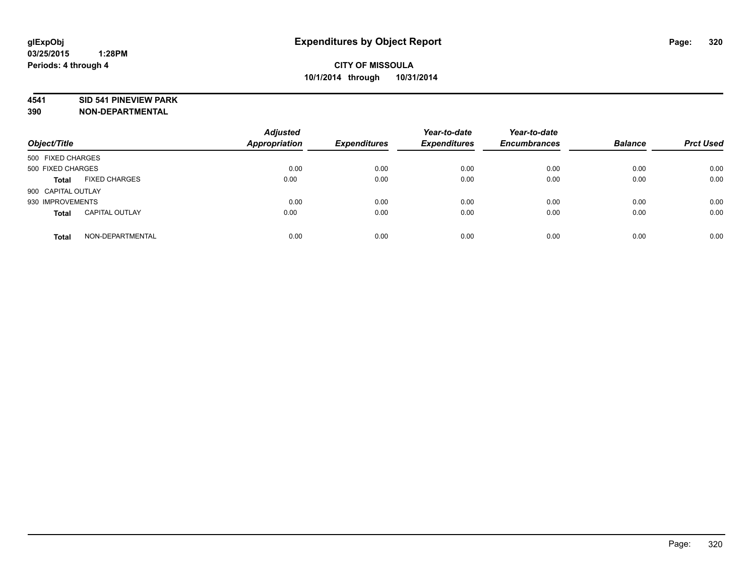#### **4541 SID 541 PINEVIEW PARK**

| Object/Title       |                       | <b>Adjusted</b><br>Appropriation | <b>Expenditures</b> | Year-to-date<br><b>Expenditures</b> | Year-to-date<br><b>Encumbrances</b> | <b>Balance</b> | <b>Prct Used</b> |
|--------------------|-----------------------|----------------------------------|---------------------|-------------------------------------|-------------------------------------|----------------|------------------|
| 500 FIXED CHARGES  |                       |                                  |                     |                                     |                                     |                |                  |
| 500 FIXED CHARGES  |                       | 0.00                             | 0.00                | 0.00                                | 0.00                                | 0.00           | 0.00             |
| <b>Total</b>       | <b>FIXED CHARGES</b>  | 0.00                             | 0.00                | 0.00                                | 0.00                                | 0.00           | 0.00             |
| 900 CAPITAL OUTLAY |                       |                                  |                     |                                     |                                     |                |                  |
| 930 IMPROVEMENTS   |                       | 0.00                             | 0.00                | 0.00                                | 0.00                                | 0.00           | 0.00             |
| <b>Total</b>       | <b>CAPITAL OUTLAY</b> | 0.00                             | 0.00                | 0.00                                | 0.00                                | 0.00           | 0.00             |
| <b>Total</b>       | NON-DEPARTMENTAL      | 0.00                             | 0.00                | 0.00                                | 0.00                                | 0.00           | 0.00             |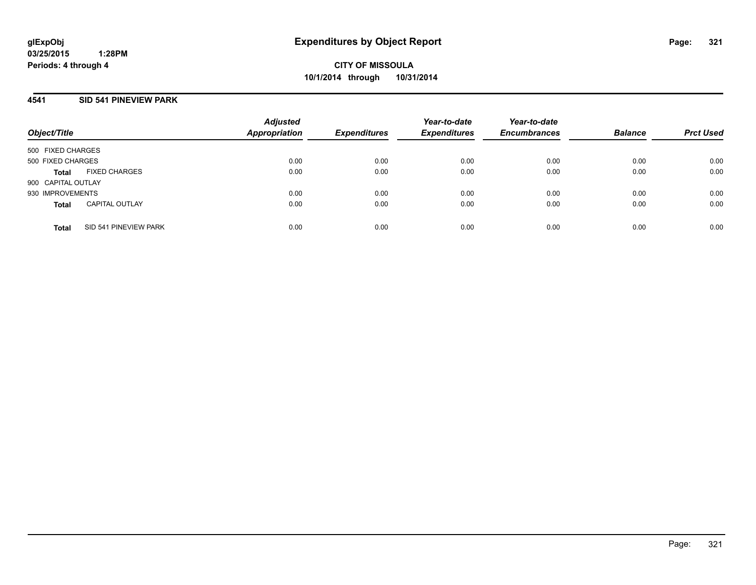**CITY OF MISSOULA 10/1/2014 through 10/31/2014**

# **4541 SID 541 PINEVIEW PARK**

| Object/Title       |                       | <b>Adjusted</b><br><b>Appropriation</b> | <b>Expenditures</b> | Year-to-date<br><b>Expenditures</b> | Year-to-date<br><b>Encumbrances</b> | <b>Balance</b> | <b>Prct Used</b> |
|--------------------|-----------------------|-----------------------------------------|---------------------|-------------------------------------|-------------------------------------|----------------|------------------|
| 500 FIXED CHARGES  |                       |                                         |                     |                                     |                                     |                |                  |
| 500 FIXED CHARGES  |                       | 0.00                                    | 0.00                | 0.00                                | 0.00                                | 0.00           | 0.00             |
| <b>Total</b>       | <b>FIXED CHARGES</b>  | 0.00                                    | 0.00                | 0.00                                | 0.00                                | 0.00           | 0.00             |
| 900 CAPITAL OUTLAY |                       |                                         |                     |                                     |                                     |                |                  |
| 930 IMPROVEMENTS   |                       | 0.00                                    | 0.00                | 0.00                                | 0.00                                | 0.00           | 0.00             |
| <b>Total</b>       | <b>CAPITAL OUTLAY</b> | 0.00                                    | 0.00                | 0.00                                | 0.00                                | 0.00           | 0.00             |
| <b>Total</b>       | SID 541 PINEVIEW PARK | 0.00                                    | 0.00                | 0.00                                | 0.00                                | 0.00           | 0.00             |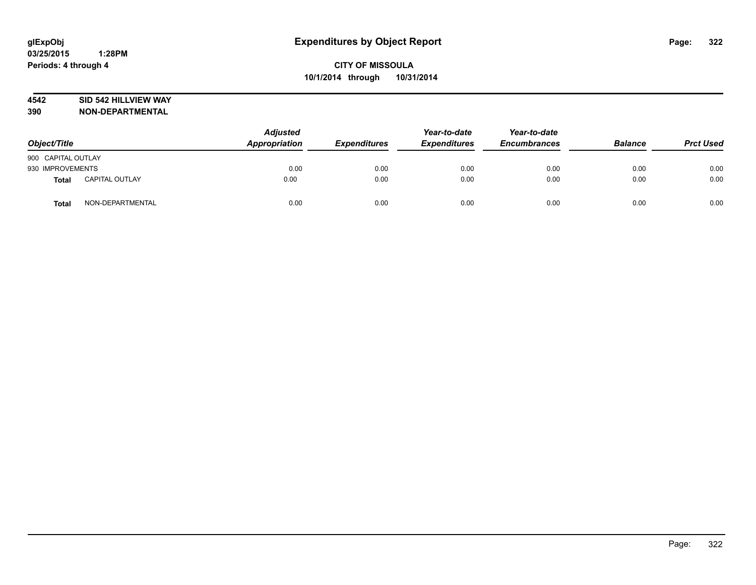### **4542 SID 542 HILLVIEW WAY**

| Object/Title       |                       | <b>Adjusted</b><br>Appropriation | <b>Expenditures</b> | Year-to-date<br><b>Expenditures</b> | Year-to-date<br><b>Encumbrances</b> | <b>Balance</b> | <b>Prct Used</b> |
|--------------------|-----------------------|----------------------------------|---------------------|-------------------------------------|-------------------------------------|----------------|------------------|
| 900 CAPITAL OUTLAY |                       |                                  |                     |                                     |                                     |                |                  |
| 930 IMPROVEMENTS   |                       | 0.00                             | 0.00                | 0.00                                | 0.00                                | 0.00           | 0.00             |
| <b>Total</b>       | <b>CAPITAL OUTLAY</b> | 0.00                             | 0.00                | 0.00                                | 0.00                                | 0.00           | 0.00             |
| <b>Total</b>       | NON-DEPARTMENTAL      | 0.00                             | 0.00                | 0.00                                | 0.00                                | 0.00           | 0.00             |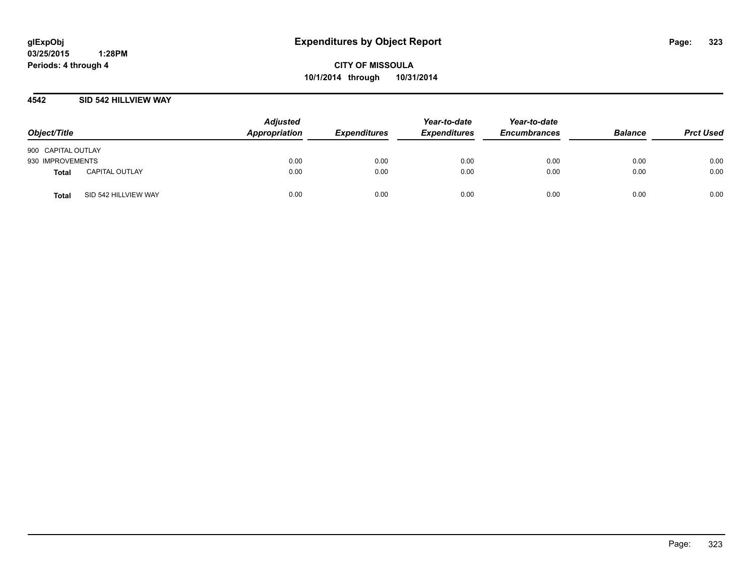## **4542 SID 542 HILLVIEW WAY**

| Object/Title       |                       | <b>Adjusted</b><br>Appropriation | <b>Expenditures</b> | Year-to-date<br><b>Expenditures</b> | Year-to-date<br><b>Encumbrances</b> | <b>Balance</b> | <b>Prct Used</b> |
|--------------------|-----------------------|----------------------------------|---------------------|-------------------------------------|-------------------------------------|----------------|------------------|
| 900 CAPITAL OUTLAY |                       |                                  |                     |                                     |                                     |                |                  |
| 930 IMPROVEMENTS   |                       | 0.00                             | 0.00                | 0.00                                | 0.00                                | 0.00           | 0.00             |
| <b>Total</b>       | <b>CAPITAL OUTLAY</b> | 0.00                             | 0.00                | 0.00                                | 0.00                                | 0.00           | 0.00             |
| <b>Total</b>       | SID 542 HILLVIEW WAY  | 0.00                             | 0.00                | 0.00                                | 0.00                                | 0.00           | 0.00             |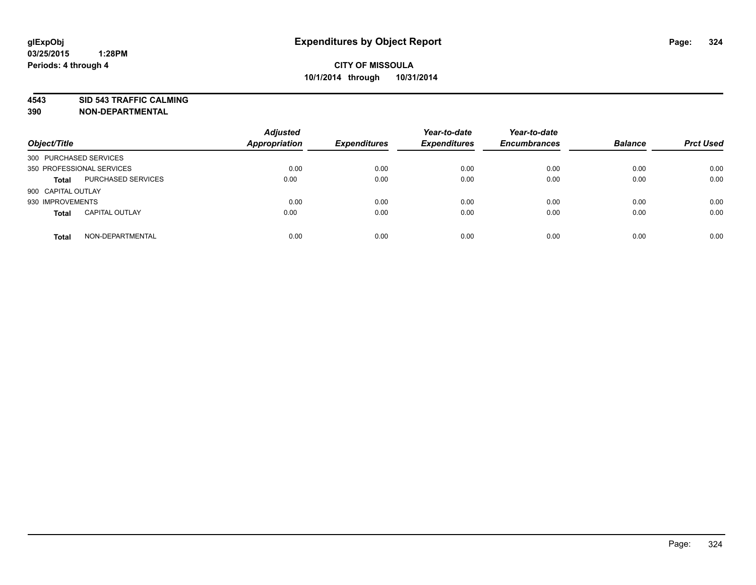**4543 SID 543 TRAFFIC CALMING**

| Object/Title              |                           | <b>Adjusted</b><br><b>Appropriation</b> | <b>Expenditures</b> | Year-to-date<br><b>Expenditures</b> | Year-to-date<br><b>Encumbrances</b> | <b>Balance</b> | <b>Prct Used</b> |
|---------------------------|---------------------------|-----------------------------------------|---------------------|-------------------------------------|-------------------------------------|----------------|------------------|
| 300 PURCHASED SERVICES    |                           |                                         |                     |                                     |                                     |                |                  |
| 350 PROFESSIONAL SERVICES |                           | 0.00                                    | 0.00                | 0.00                                | 0.00                                | 0.00           | 0.00             |
| <b>Total</b>              | <b>PURCHASED SERVICES</b> | 0.00                                    | 0.00                | 0.00                                | 0.00                                | 0.00           | 0.00             |
| 900 CAPITAL OUTLAY        |                           |                                         |                     |                                     |                                     |                |                  |
| 930 IMPROVEMENTS          |                           | 0.00                                    | 0.00                | 0.00                                | 0.00                                | 0.00           | 0.00             |
| <b>Total</b>              | <b>CAPITAL OUTLAY</b>     | 0.00                                    | 0.00                | 0.00                                | 0.00                                | 0.00           | 0.00             |
| <b>Total</b>              | NON-DEPARTMENTAL          | 0.00                                    | 0.00                | 0.00                                | 0.00                                | 0.00           | 0.00             |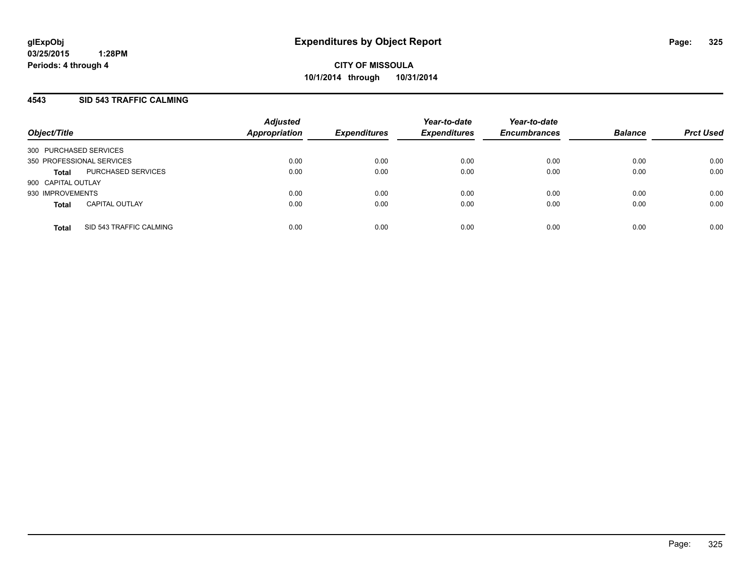#### **4543 SID 543 TRAFFIC CALMING**

| Object/Title           |                           | <b>Adjusted</b><br><b>Appropriation</b> | <b>Expenditures</b> | Year-to-date<br><b>Expenditures</b> | Year-to-date<br><b>Encumbrances</b> | <b>Balance</b> | <b>Prct Used</b> |
|------------------------|---------------------------|-----------------------------------------|---------------------|-------------------------------------|-------------------------------------|----------------|------------------|
| 300 PURCHASED SERVICES |                           |                                         |                     |                                     |                                     |                |                  |
|                        | 350 PROFESSIONAL SERVICES | 0.00                                    | 0.00                | 0.00                                | 0.00                                | 0.00           | 0.00             |
| <b>Total</b>           | PURCHASED SERVICES        | 0.00                                    | 0.00                | 0.00                                | 0.00                                | 0.00           | 0.00             |
| 900 CAPITAL OUTLAY     |                           |                                         |                     |                                     |                                     |                |                  |
| 930 IMPROVEMENTS       |                           | 0.00                                    | 0.00                | 0.00                                | 0.00                                | 0.00           | 0.00             |
| <b>Total</b>           | <b>CAPITAL OUTLAY</b>     | 0.00                                    | 0.00                | 0.00                                | 0.00                                | 0.00           | 0.00             |
| <b>Total</b>           | SID 543 TRAFFIC CALMING   | 0.00                                    | 0.00                | 0.00                                | 0.00                                | 0.00           | 0.00             |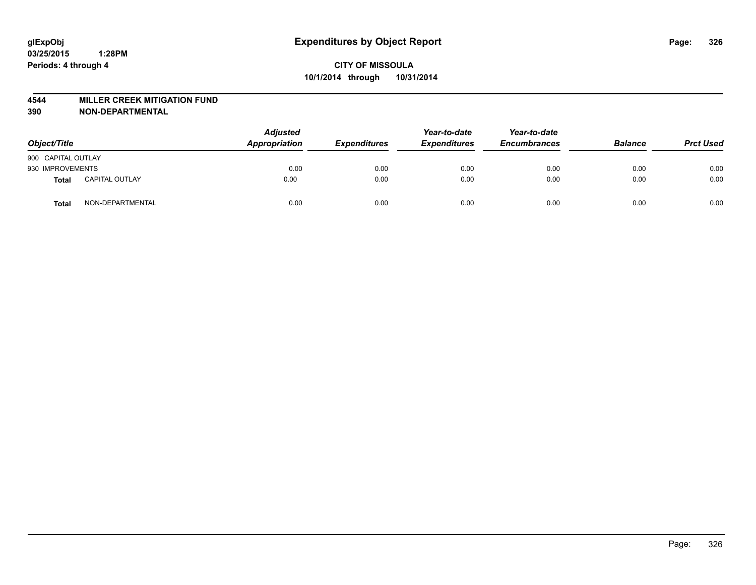#### **4544 MILLER CREEK MITIGATION FUND**

| Object/Title       |                       | <b>Adjusted</b><br>Appropriation | <b>Expenditures</b> | Year-to-date<br><b>Expenditures</b> | Year-to-date<br><b>Encumbrances</b> | <b>Balance</b> | <b>Prct Used</b> |
|--------------------|-----------------------|----------------------------------|---------------------|-------------------------------------|-------------------------------------|----------------|------------------|
| 900 CAPITAL OUTLAY |                       |                                  |                     |                                     |                                     |                |                  |
| 930 IMPROVEMENTS   |                       | 0.00                             | 0.00                | 0.00                                | 0.00                                | 0.00           | 0.00             |
| Total              | <b>CAPITAL OUTLAY</b> | 0.00                             | 0.00                | 0.00                                | 0.00                                | 0.00           | 0.00             |
| Total              | NON-DEPARTMENTAL      | 0.00                             | 0.00                | 0.00                                | 0.00                                | 0.00           | 0.00             |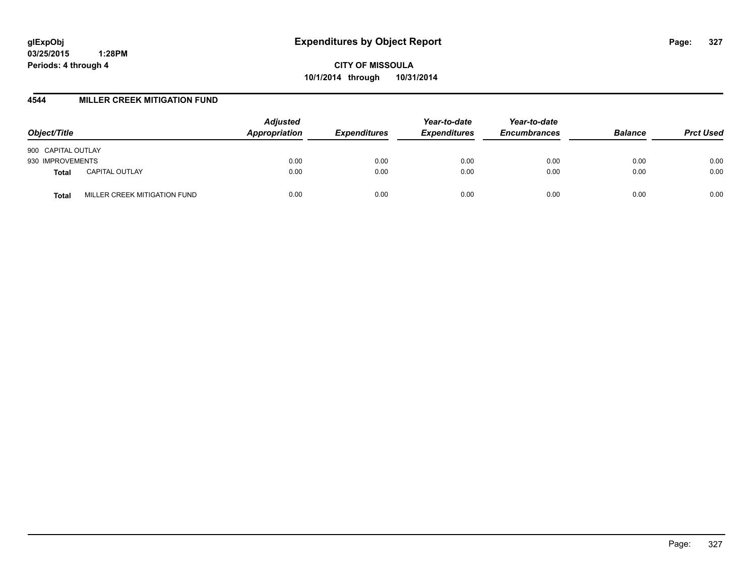**CITY OF MISSOULA 10/1/2014 through 10/31/2014**

#### **4544 MILLER CREEK MITIGATION FUND**

| Object/Title                          | <b>Adjusted</b><br>Appropriation | <b>Expenditures</b> | Year-to-date<br><b>Expenditures</b> | Year-to-date<br><b>Encumbrances</b> | <b>Balance</b> | <b>Prct Used</b> |
|---------------------------------------|----------------------------------|---------------------|-------------------------------------|-------------------------------------|----------------|------------------|
| 900 CAPITAL OUTLAY                    |                                  |                     |                                     |                                     |                |                  |
| 930 IMPROVEMENTS                      | 0.00                             | 0.00                | 0.00                                | 0.00                                | 0.00           | 0.00             |
| <b>CAPITAL OUTLAY</b><br><b>Total</b> | 0.00                             | 0.00                | 0.00                                | 0.00                                | 0.00           | 0.00             |
| MILLER CREEK MITIGATION FUND<br>Total | 0.00                             | 0.00                | 0.00                                | 0.00                                | 0.00           | 0.00             |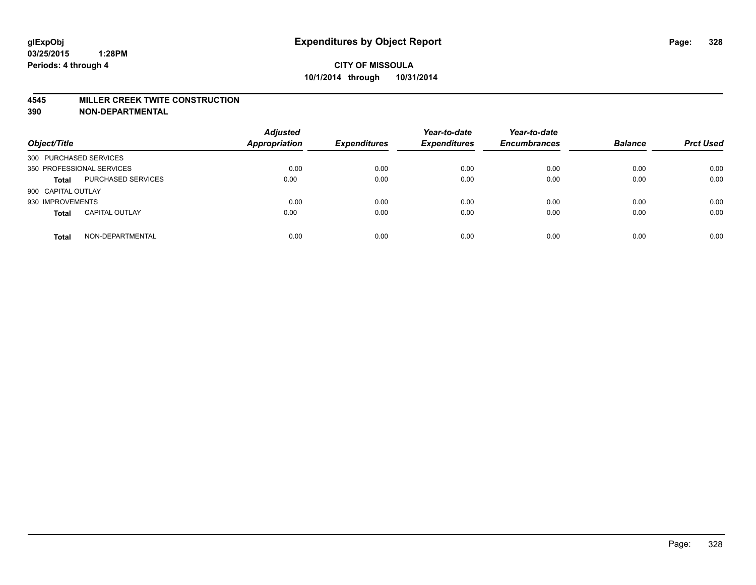#### **4545 MILLER CREEK TWITE CONSTRUCTION**

| Object/Title           |                           | <b>Adjusted</b><br><b>Appropriation</b> | <b>Expenditures</b> | Year-to-date<br><b>Expenditures</b> | Year-to-date<br><b>Encumbrances</b> | <b>Balance</b> | <b>Prct Used</b> |
|------------------------|---------------------------|-----------------------------------------|---------------------|-------------------------------------|-------------------------------------|----------------|------------------|
| 300 PURCHASED SERVICES |                           |                                         |                     |                                     |                                     |                |                  |
|                        | 350 PROFESSIONAL SERVICES | 0.00                                    | 0.00                | 0.00                                | 0.00                                | 0.00           | 0.00             |
| <b>Total</b>           | PURCHASED SERVICES        | 0.00                                    | 0.00                | 0.00                                | 0.00                                | 0.00           | 0.00             |
| 900 CAPITAL OUTLAY     |                           |                                         |                     |                                     |                                     |                |                  |
| 930 IMPROVEMENTS       |                           | 0.00                                    | 0.00                | 0.00                                | 0.00                                | 0.00           | 0.00             |
| <b>Total</b>           | <b>CAPITAL OUTLAY</b>     | 0.00                                    | 0.00                | 0.00                                | 0.00                                | 0.00           | 0.00             |
| <b>Total</b>           | NON-DEPARTMENTAL          | 0.00                                    | 0.00                | 0.00                                | 0.00                                | 0.00           | 0.00             |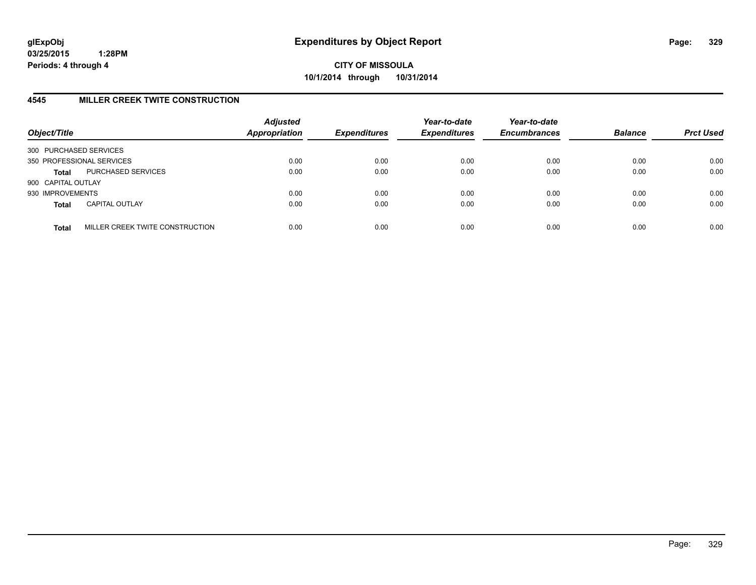**CITY OF MISSOULA 10/1/2014 through 10/31/2014**

## **4545 MILLER CREEK TWITE CONSTRUCTION**

| Object/Title           |                                 | <b>Adjusted</b><br><b>Appropriation</b> | <b>Expenditures</b> | Year-to-date<br><b>Expenditures</b> | Year-to-date<br><b>Encumbrances</b> | <b>Balance</b> | <b>Prct Used</b> |
|------------------------|---------------------------------|-----------------------------------------|---------------------|-------------------------------------|-------------------------------------|----------------|------------------|
| 300 PURCHASED SERVICES |                                 |                                         |                     |                                     |                                     |                |                  |
|                        | 350 PROFESSIONAL SERVICES       | 0.00                                    | 0.00                | 0.00                                | 0.00                                | 0.00           | 0.00             |
| <b>Total</b>           | PURCHASED SERVICES              | 0.00                                    | 0.00                | 0.00                                | 0.00                                | 0.00           | 0.00             |
| 900 CAPITAL OUTLAY     |                                 |                                         |                     |                                     |                                     |                |                  |
| 930 IMPROVEMENTS       |                                 | 0.00                                    | 0.00                | 0.00                                | 0.00                                | 0.00           | 0.00             |
| <b>Total</b>           | <b>CAPITAL OUTLAY</b>           | 0.00                                    | 0.00                | 0.00                                | 0.00                                | 0.00           | 0.00             |
| <b>Total</b>           | MILLER CREEK TWITE CONSTRUCTION | 0.00                                    | 0.00                | 0.00                                | 0.00                                | 0.00           | 0.00             |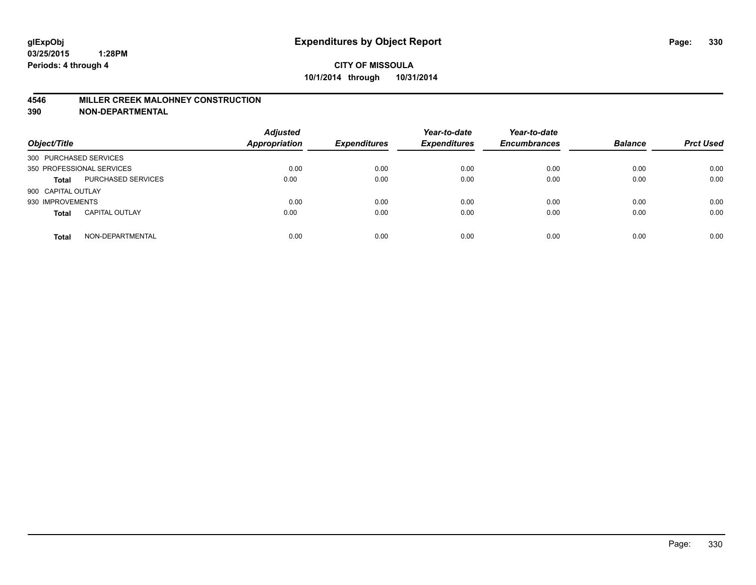#### **4546 MILLER CREEK MALOHNEY CONSTRUCTION**

| Object/Title           |                           | <b>Adjusted</b><br><b>Appropriation</b> | <b>Expenditures</b> | Year-to-date<br><b>Expenditures</b> | Year-to-date<br><b>Encumbrances</b> | <b>Balance</b> | <b>Prct Used</b> |
|------------------------|---------------------------|-----------------------------------------|---------------------|-------------------------------------|-------------------------------------|----------------|------------------|
| 300 PURCHASED SERVICES |                           |                                         |                     |                                     |                                     |                |                  |
|                        | 350 PROFESSIONAL SERVICES | 0.00                                    | 0.00                | 0.00                                | 0.00                                | 0.00           | 0.00             |
| <b>Total</b>           | <b>PURCHASED SERVICES</b> | 0.00                                    | 0.00                | 0.00                                | 0.00                                | 0.00           | 0.00             |
| 900 CAPITAL OUTLAY     |                           |                                         |                     |                                     |                                     |                |                  |
| 930 IMPROVEMENTS       |                           | 0.00                                    | 0.00                | 0.00                                | 0.00                                | 0.00           | 0.00             |
| <b>Total</b>           | <b>CAPITAL OUTLAY</b>     | 0.00                                    | 0.00                | 0.00                                | 0.00                                | 0.00           | 0.00             |
| <b>Total</b>           | NON-DEPARTMENTAL          | 0.00                                    | 0.00                | 0.00                                | 0.00                                | 0.00           | 0.00             |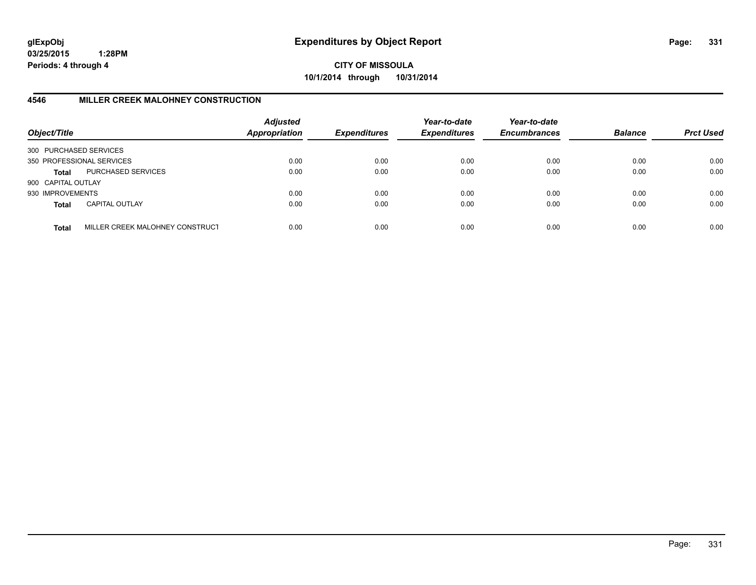**CITY OF MISSOULA 10/1/2014 through 10/31/2014**

# **4546 MILLER CREEK MALOHNEY CONSTRUCTION**

| Object/Title           |                                 | <b>Adjusted</b><br><b>Appropriation</b> | <b>Expenditures</b> | Year-to-date<br><b>Expenditures</b> | Year-to-date<br><b>Encumbrances</b> | <b>Balance</b> | <b>Prct Used</b> |
|------------------------|---------------------------------|-----------------------------------------|---------------------|-------------------------------------|-------------------------------------|----------------|------------------|
| 300 PURCHASED SERVICES |                                 |                                         |                     |                                     |                                     |                |                  |
|                        | 350 PROFESSIONAL SERVICES       | 0.00                                    | 0.00                | 0.00                                | 0.00                                | 0.00           | 0.00             |
| Total                  | PURCHASED SERVICES              | 0.00                                    | 0.00                | 0.00                                | 0.00                                | 0.00           | 0.00             |
| 900 CAPITAL OUTLAY     |                                 |                                         |                     |                                     |                                     |                |                  |
| 930 IMPROVEMENTS       |                                 | 0.00                                    | 0.00                | 0.00                                | 0.00                                | 0.00           | 0.00             |
| <b>Total</b>           | <b>CAPITAL OUTLAY</b>           | 0.00                                    | 0.00                | 0.00                                | 0.00                                | 0.00           | 0.00             |
| <b>Total</b>           | MILLER CREEK MALOHNEY CONSTRUCT | 0.00                                    | 0.00                | 0.00                                | 0.00                                | 0.00           | 0.00             |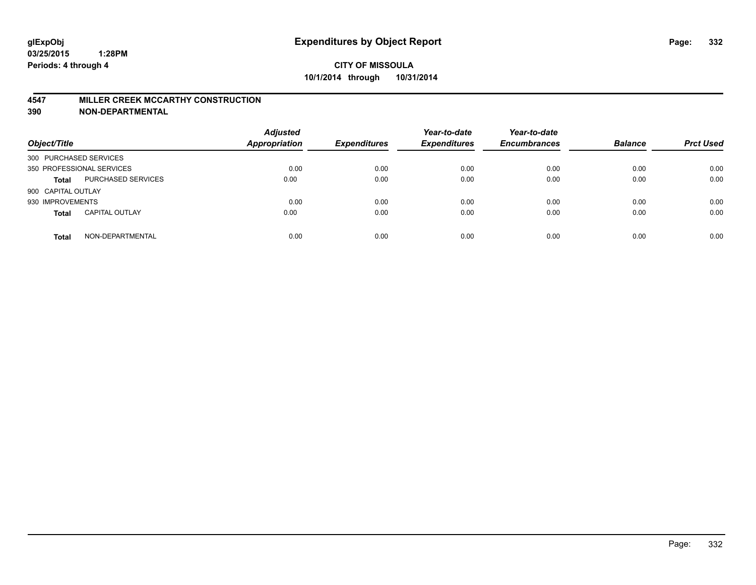#### **4547 MILLER CREEK MCCARTHY CONSTRUCTION**

| Object/Title              |                       | <b>Adjusted</b><br>Appropriation | <b>Expenditures</b> | Year-to-date<br><b>Expenditures</b> | Year-to-date<br><b>Encumbrances</b> | <b>Balance</b> | <b>Prct Used</b> |
|---------------------------|-----------------------|----------------------------------|---------------------|-------------------------------------|-------------------------------------|----------------|------------------|
| 300 PURCHASED SERVICES    |                       |                                  |                     |                                     |                                     |                |                  |
| 350 PROFESSIONAL SERVICES |                       | 0.00                             | 0.00                | 0.00                                | 0.00                                | 0.00           | 0.00             |
| <b>Total</b>              | PURCHASED SERVICES    | 0.00                             | 0.00                | 0.00                                | 0.00                                | 0.00           | 0.00             |
| 900 CAPITAL OUTLAY        |                       |                                  |                     |                                     |                                     |                |                  |
| 930 IMPROVEMENTS          |                       | 0.00                             | 0.00                | 0.00                                | 0.00                                | 0.00           | 0.00             |
| <b>Total</b>              | <b>CAPITAL OUTLAY</b> | 0.00                             | 0.00                | 0.00                                | 0.00                                | 0.00           | 0.00             |
| <b>Total</b>              | NON-DEPARTMENTAL      | 0.00                             | 0.00                | 0.00                                | 0.00                                | 0.00           | 0.00             |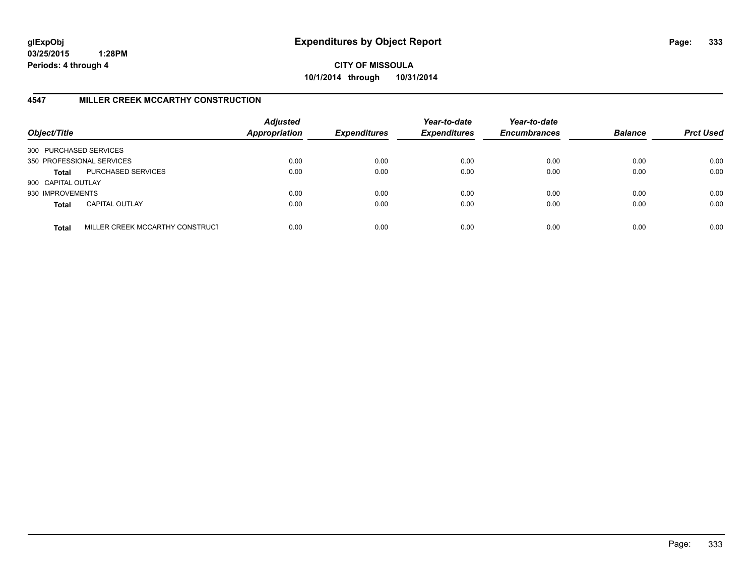**CITY OF MISSOULA 10/1/2014 through 10/31/2014**

## **4547 MILLER CREEK MCCARTHY CONSTRUCTION**

| Object/Title           |                                 | <b>Adjusted</b><br><b>Appropriation</b> | <b>Expenditures</b> | Year-to-date<br><b>Expenditures</b> | Year-to-date<br><b>Encumbrances</b> | <b>Balance</b> | <b>Prct Used</b> |
|------------------------|---------------------------------|-----------------------------------------|---------------------|-------------------------------------|-------------------------------------|----------------|------------------|
| 300 PURCHASED SERVICES |                                 |                                         |                     |                                     |                                     |                |                  |
|                        | 350 PROFESSIONAL SERVICES       | 0.00                                    | 0.00                | 0.00                                | 0.00                                | 0.00           | 0.00             |
| Total                  | PURCHASED SERVICES              | 0.00                                    | 0.00                | 0.00                                | 0.00                                | 0.00           | 0.00             |
| 900 CAPITAL OUTLAY     |                                 |                                         |                     |                                     |                                     |                |                  |
| 930 IMPROVEMENTS       |                                 | 0.00                                    | 0.00                | 0.00                                | 0.00                                | 0.00           | 0.00             |
| <b>Total</b>           | <b>CAPITAL OUTLAY</b>           | 0.00                                    | 0.00                | 0.00                                | 0.00                                | 0.00           | 0.00             |
| <b>Total</b>           | MILLER CREEK MCCARTHY CONSTRUCT | 0.00                                    | 0.00                | 0.00                                | 0.00                                | 0.00           | 0.00             |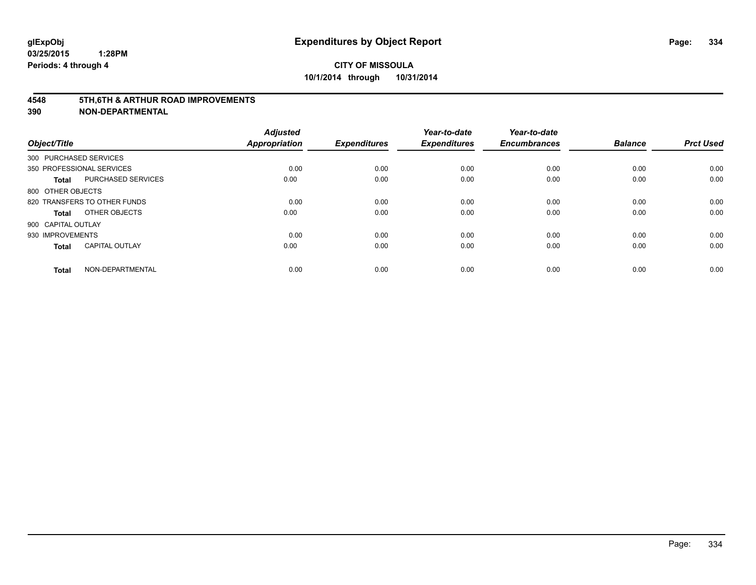#### **4548 5TH,6TH & ARTHUR ROAD IMPROVEMENTS**

| Object/Title              |                              | <b>Adjusted</b><br>Appropriation | <b>Expenditures</b> | Year-to-date<br><b>Expenditures</b> | Year-to-date<br><b>Encumbrances</b> | <b>Balance</b> | <b>Prct Used</b> |
|---------------------------|------------------------------|----------------------------------|---------------------|-------------------------------------|-------------------------------------|----------------|------------------|
| 300 PURCHASED SERVICES    |                              |                                  |                     |                                     |                                     |                |                  |
| 350 PROFESSIONAL SERVICES |                              | 0.00                             | 0.00                | 0.00                                | 0.00                                | 0.00           | 0.00             |
| <b>Total</b>              | PURCHASED SERVICES           | 0.00                             | 0.00                | 0.00                                | 0.00                                | 0.00           | 0.00             |
| 800 OTHER OBJECTS         |                              |                                  |                     |                                     |                                     |                |                  |
|                           | 820 TRANSFERS TO OTHER FUNDS | 0.00                             | 0.00                | 0.00                                | 0.00                                | 0.00           | 0.00             |
| Total                     | OTHER OBJECTS                | 0.00                             | 0.00                | 0.00                                | 0.00                                | 0.00           | 0.00             |
| 900 CAPITAL OUTLAY        |                              |                                  |                     |                                     |                                     |                |                  |
| 930 IMPROVEMENTS          |                              | 0.00                             | 0.00                | 0.00                                | 0.00                                | 0.00           | 0.00             |
| <b>Total</b>              | <b>CAPITAL OUTLAY</b>        | 0.00                             | 0.00                | 0.00                                | 0.00                                | 0.00           | 0.00             |
| <b>Total</b>              | NON-DEPARTMENTAL             | 0.00                             | 0.00                | 0.00                                | 0.00                                | 0.00           | 0.00             |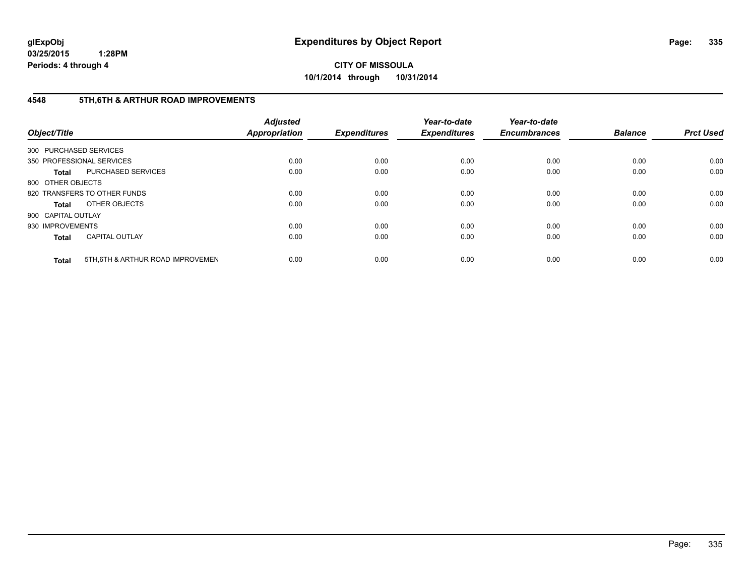**CITY OF MISSOULA 10/1/2014 through 10/31/2014**

## **4548 5TH,6TH & ARTHUR ROAD IMPROVEMENTS**

| Object/Title           |                                  | <b>Adjusted</b><br><b>Appropriation</b> | <b>Expenditures</b> | Year-to-date<br><b>Expenditures</b> | Year-to-date<br><b>Encumbrances</b> | <b>Balance</b> | <b>Prct Used</b> |
|------------------------|----------------------------------|-----------------------------------------|---------------------|-------------------------------------|-------------------------------------|----------------|------------------|
| 300 PURCHASED SERVICES |                                  |                                         |                     |                                     |                                     |                |                  |
|                        | 350 PROFESSIONAL SERVICES        | 0.00                                    | 0.00                | 0.00                                | 0.00                                | 0.00           | 0.00             |
| <b>Total</b>           | <b>PURCHASED SERVICES</b>        | 0.00                                    | 0.00                | 0.00                                | 0.00                                | 0.00           | 0.00             |
| 800 OTHER OBJECTS      |                                  |                                         |                     |                                     |                                     |                |                  |
|                        | 820 TRANSFERS TO OTHER FUNDS     | 0.00                                    | 0.00                | 0.00                                | 0.00                                | 0.00           | 0.00             |
| <b>Total</b>           | OTHER OBJECTS                    | 0.00                                    | 0.00                | 0.00                                | 0.00                                | 0.00           | 0.00             |
| 900 CAPITAL OUTLAY     |                                  |                                         |                     |                                     |                                     |                |                  |
| 930 IMPROVEMENTS       |                                  | 0.00                                    | 0.00                | 0.00                                | 0.00                                | 0.00           | 0.00             |
| <b>Total</b>           | <b>CAPITAL OUTLAY</b>            | 0.00                                    | 0.00                | 0.00                                | 0.00                                | 0.00           | 0.00             |
| <b>Total</b>           | 5TH.6TH & ARTHUR ROAD IMPROVEMEN | 0.00                                    | 0.00                | 0.00                                | 0.00                                | 0.00           | 0.00             |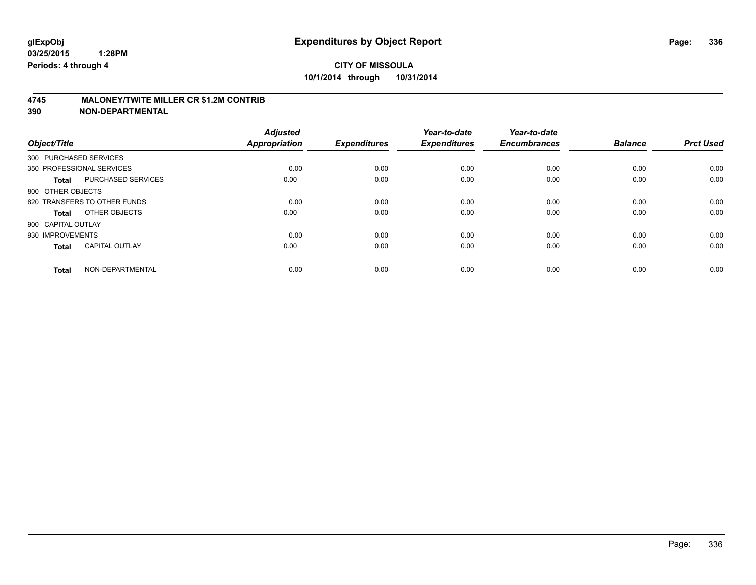#### **4745 MALONEY/TWITE MILLER CR \$1.2M CONTRIB**

| Object/Title           |                              | <b>Adjusted</b><br><b>Appropriation</b> | <b>Expenditures</b> | Year-to-date<br><b>Expenditures</b> | Year-to-date<br><b>Encumbrances</b> | <b>Balance</b> | <b>Prct Used</b> |
|------------------------|------------------------------|-----------------------------------------|---------------------|-------------------------------------|-------------------------------------|----------------|------------------|
| 300 PURCHASED SERVICES |                              |                                         |                     |                                     |                                     |                |                  |
|                        | 350 PROFESSIONAL SERVICES    | 0.00                                    | 0.00                | 0.00                                | 0.00                                | 0.00           | 0.00             |
| <b>Total</b>           | <b>PURCHASED SERVICES</b>    | 0.00                                    | 0.00                | 0.00                                | 0.00                                | 0.00           | 0.00             |
| 800 OTHER OBJECTS      |                              |                                         |                     |                                     |                                     |                |                  |
|                        | 820 TRANSFERS TO OTHER FUNDS | 0.00                                    | 0.00                | 0.00                                | 0.00                                | 0.00           | 0.00             |
| Total                  | OTHER OBJECTS                | 0.00                                    | 0.00                | 0.00                                | 0.00                                | 0.00           | 0.00             |
| 900 CAPITAL OUTLAY     |                              |                                         |                     |                                     |                                     |                |                  |
| 930 IMPROVEMENTS       |                              | 0.00                                    | 0.00                | 0.00                                | 0.00                                | 0.00           | 0.00             |
| <b>Total</b>           | <b>CAPITAL OUTLAY</b>        | 0.00                                    | 0.00                | 0.00                                | 0.00                                | 0.00           | 0.00             |
| <b>Total</b>           | NON-DEPARTMENTAL             | 0.00                                    | 0.00                | 0.00                                | 0.00                                | 0.00           | 0.00             |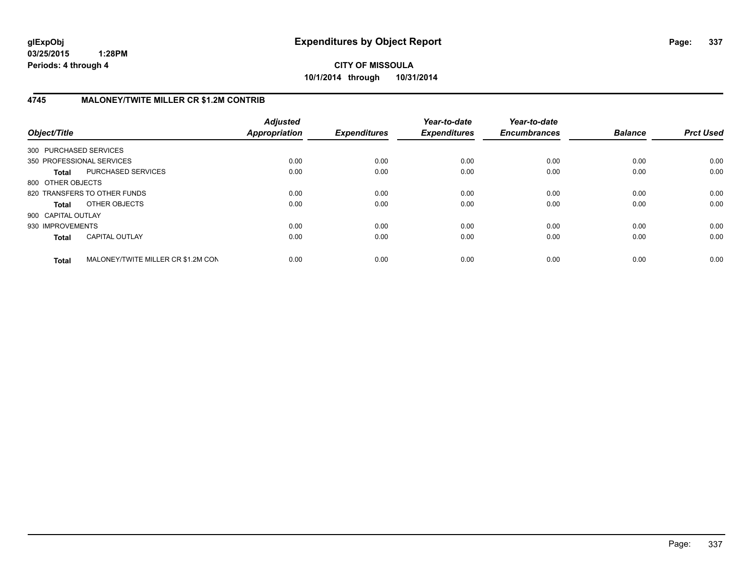**CITY OF MISSOULA 10/1/2014 through 10/31/2014**

## **4745 MALONEY/TWITE MILLER CR \$1.2M CONTRIB**

| Object/Title           |                                    | <b>Adjusted</b><br>Appropriation | <b>Expenditures</b> | Year-to-date<br><b>Expenditures</b> | Year-to-date<br><b>Encumbrances</b> | <b>Balance</b> | <b>Prct Used</b> |
|------------------------|------------------------------------|----------------------------------|---------------------|-------------------------------------|-------------------------------------|----------------|------------------|
| 300 PURCHASED SERVICES |                                    |                                  |                     |                                     |                                     |                |                  |
|                        | 350 PROFESSIONAL SERVICES          | 0.00                             | 0.00                | 0.00                                | 0.00                                | 0.00           | 0.00             |
| <b>Total</b>           | PURCHASED SERVICES                 | 0.00                             | 0.00                | 0.00                                | 0.00                                | 0.00           | 0.00             |
| 800 OTHER OBJECTS      |                                    |                                  |                     |                                     |                                     |                |                  |
|                        | 820 TRANSFERS TO OTHER FUNDS       | 0.00                             | 0.00                | 0.00                                | 0.00                                | 0.00           | 0.00             |
| <b>Total</b>           | OTHER OBJECTS                      | 0.00                             | 0.00                | 0.00                                | 0.00                                | 0.00           | 0.00             |
| 900 CAPITAL OUTLAY     |                                    |                                  |                     |                                     |                                     |                |                  |
| 930 IMPROVEMENTS       |                                    | 0.00                             | 0.00                | 0.00                                | 0.00                                | 0.00           | 0.00             |
| <b>Total</b>           | <b>CAPITAL OUTLAY</b>              | 0.00                             | 0.00                | 0.00                                | 0.00                                | 0.00           | 0.00             |
| <b>Total</b>           | MALONEY/TWITE MILLER CR \$1.2M CON | 0.00                             | 0.00                | 0.00                                | 0.00                                | 0.00           | 0.00             |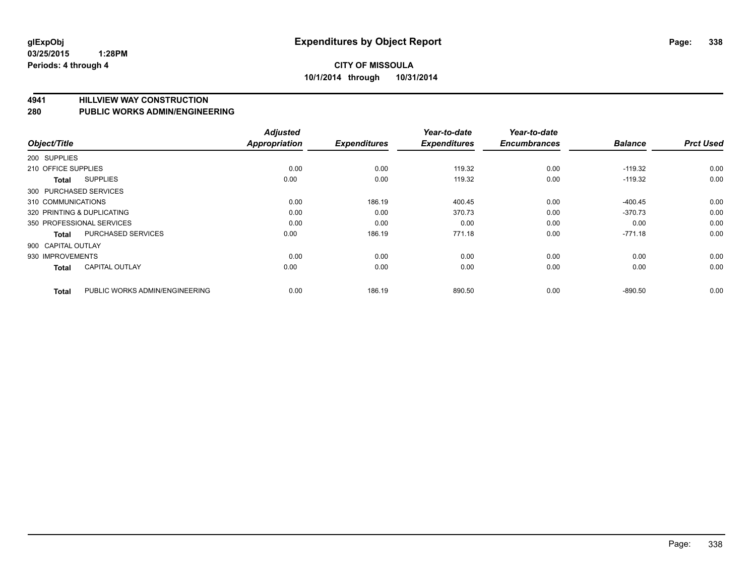**4941 HILLVIEW WAY CONSTRUCTION**

**280 PUBLIC WORKS ADMIN/ENGINEERING**

| Object/Title        |                                | <b>Adjusted</b><br><b>Appropriation</b> | <b>Expenditures</b> | Year-to-date<br><b>Expenditures</b> | Year-to-date<br><b>Encumbrances</b> | <b>Balance</b> | <b>Prct Used</b> |
|---------------------|--------------------------------|-----------------------------------------|---------------------|-------------------------------------|-------------------------------------|----------------|------------------|
| 200 SUPPLIES        |                                |                                         |                     |                                     |                                     |                |                  |
|                     |                                |                                         |                     |                                     |                                     |                |                  |
| 210 OFFICE SUPPLIES |                                | 0.00                                    | 0.00                | 119.32                              | 0.00                                | $-119.32$      | 0.00             |
| Total               | <b>SUPPLIES</b>                | 0.00                                    | 0.00                | 119.32                              | 0.00                                | $-119.32$      | 0.00             |
|                     | 300 PURCHASED SERVICES         |                                         |                     |                                     |                                     |                |                  |
| 310 COMMUNICATIONS  |                                | 0.00                                    | 186.19              | 400.45                              | 0.00                                | $-400.45$      | 0.00             |
|                     | 320 PRINTING & DUPLICATING     | 0.00                                    | 0.00                | 370.73                              | 0.00                                | $-370.73$      | 0.00             |
|                     | 350 PROFESSIONAL SERVICES      | 0.00                                    | 0.00                | 0.00                                | 0.00                                | 0.00           | 0.00             |
| <b>Total</b>        | <b>PURCHASED SERVICES</b>      | 0.00                                    | 186.19              | 771.18                              | 0.00                                | $-771.18$      | 0.00             |
| 900 CAPITAL OUTLAY  |                                |                                         |                     |                                     |                                     |                |                  |
| 930 IMPROVEMENTS    |                                | 0.00                                    | 0.00                | 0.00                                | 0.00                                | 0.00           | 0.00             |
| <b>Total</b>        | <b>CAPITAL OUTLAY</b>          | 0.00                                    | 0.00                | 0.00                                | 0.00                                | 0.00           | 0.00             |
| <b>Total</b>        | PUBLIC WORKS ADMIN/ENGINEERING | 0.00                                    | 186.19              | 890.50                              | 0.00                                | $-890.50$      | 0.00             |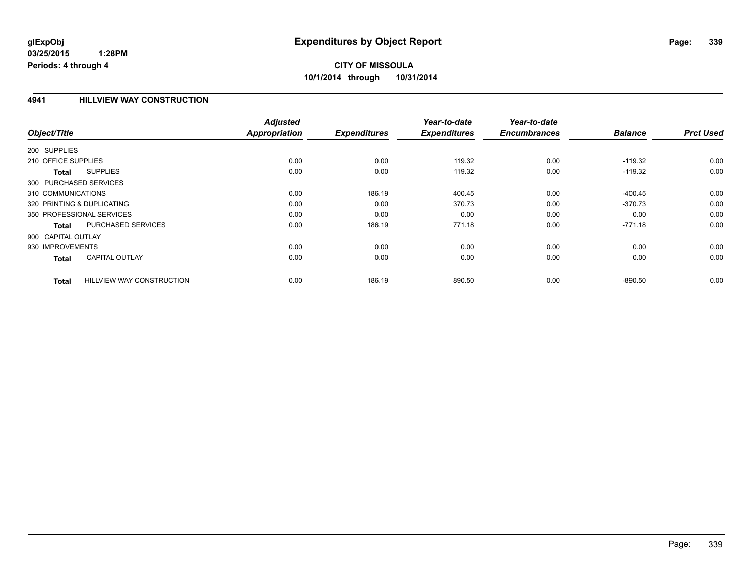# **CITY OF MISSOULA 10/1/2014 through 10/31/2014**

#### **4941 HILLVIEW WAY CONSTRUCTION**

|                                           | <b>Adjusted</b> |                     | Year-to-date        | Year-to-date        |                |                  |
|-------------------------------------------|-----------------|---------------------|---------------------|---------------------|----------------|------------------|
| Object/Title                              | Appropriation   | <b>Expenditures</b> | <b>Expenditures</b> | <b>Encumbrances</b> | <b>Balance</b> | <b>Prct Used</b> |
| 200 SUPPLIES                              |                 |                     |                     |                     |                |                  |
| 210 OFFICE SUPPLIES                       | 0.00            | 0.00                | 119.32              | 0.00                | $-119.32$      | 0.00             |
| <b>SUPPLIES</b><br><b>Total</b>           | 0.00            | 0.00                | 119.32              | 0.00                | $-119.32$      | 0.00             |
| 300 PURCHASED SERVICES                    |                 |                     |                     |                     |                |                  |
| 310 COMMUNICATIONS                        | 0.00            | 186.19              | 400.45              | 0.00                | $-400.45$      | 0.00             |
| 320 PRINTING & DUPLICATING                | 0.00            | 0.00                | 370.73              | 0.00                | $-370.73$      | 0.00             |
| 350 PROFESSIONAL SERVICES                 | 0.00            | 0.00                | 0.00                | 0.00                | 0.00           | 0.00             |
| PURCHASED SERVICES<br><b>Total</b>        | 0.00            | 186.19              | 771.18              | 0.00                | $-771.18$      | 0.00             |
| 900 CAPITAL OUTLAY                        |                 |                     |                     |                     |                |                  |
| 930 IMPROVEMENTS                          | 0.00            | 0.00                | 0.00                | 0.00                | 0.00           | 0.00             |
| <b>CAPITAL OUTLAY</b><br><b>Total</b>     | 0.00            | 0.00                | 0.00                | 0.00                | 0.00           | 0.00             |
| <b>HILLVIEW WAY CONSTRUCTION</b><br>Total | 0.00            | 186.19              | 890.50              | 0.00                | $-890.50$      | 0.00             |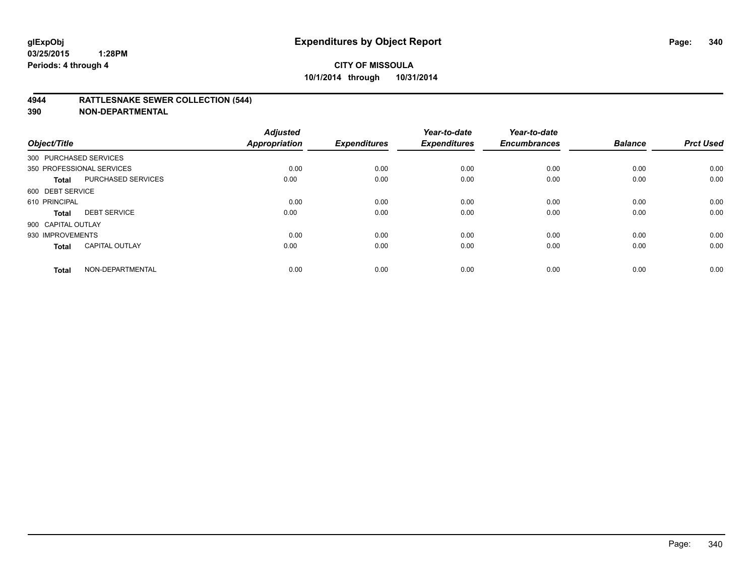#### **4944 RATTLESNAKE SEWER COLLECTION (544)**

| Object/Title           |                           | <b>Adjusted</b><br><b>Appropriation</b> | <b>Expenditures</b> | Year-to-date<br><b>Expenditures</b> | Year-to-date<br><b>Encumbrances</b> | <b>Balance</b> | <b>Prct Used</b> |
|------------------------|---------------------------|-----------------------------------------|---------------------|-------------------------------------|-------------------------------------|----------------|------------------|
| 300 PURCHASED SERVICES |                           |                                         |                     |                                     |                                     |                |                  |
|                        | 350 PROFESSIONAL SERVICES | 0.00                                    | 0.00                | 0.00                                | 0.00                                | 0.00           | 0.00             |
| <b>Total</b>           | <b>PURCHASED SERVICES</b> | 0.00                                    | 0.00                | 0.00                                | 0.00                                | 0.00           | 0.00             |
| 600 DEBT SERVICE       |                           |                                         |                     |                                     |                                     |                |                  |
| 610 PRINCIPAL          |                           | 0.00                                    | 0.00                | 0.00                                | 0.00                                | 0.00           | 0.00             |
| <b>Total</b>           | <b>DEBT SERVICE</b>       | 0.00                                    | 0.00                | 0.00                                | 0.00                                | 0.00           | 0.00             |
| 900 CAPITAL OUTLAY     |                           |                                         |                     |                                     |                                     |                |                  |
| 930 IMPROVEMENTS       |                           | 0.00                                    | 0.00                | 0.00                                | 0.00                                | 0.00           | 0.00             |
| Total                  | <b>CAPITAL OUTLAY</b>     | 0.00                                    | 0.00                | 0.00                                | 0.00                                | 0.00           | 0.00             |
| <b>Total</b>           | NON-DEPARTMENTAL          | 0.00                                    | 0.00                | 0.00                                | 0.00                                | 0.00           | 0.00             |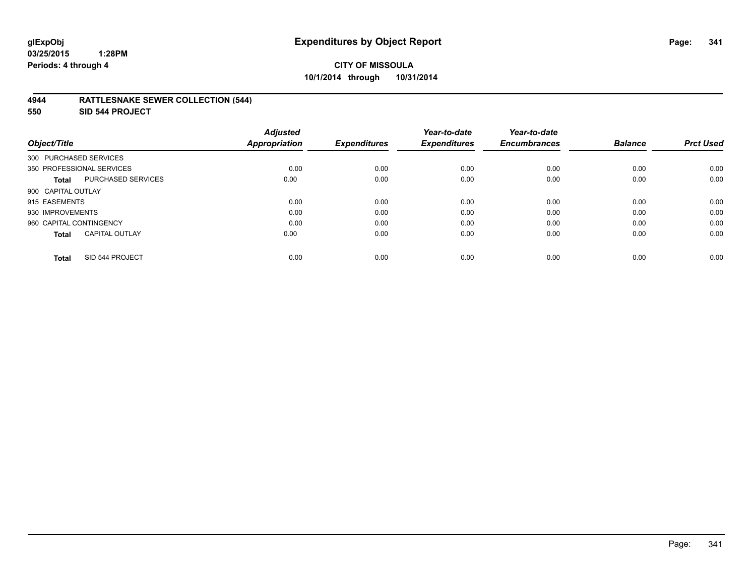#### **4944 RATTLESNAKE SEWER COLLECTION (544)**

**550 SID 544 PROJECT**

| Object/Title                              | <b>Adjusted</b><br><b>Appropriation</b> | <b>Expenditures</b> | Year-to-date<br><b>Expenditures</b> | Year-to-date<br><b>Encumbrances</b> | <b>Balance</b> | <b>Prct Used</b> |
|-------------------------------------------|-----------------------------------------|---------------------|-------------------------------------|-------------------------------------|----------------|------------------|
| 300 PURCHASED SERVICES                    |                                         |                     |                                     |                                     |                |                  |
| 350 PROFESSIONAL SERVICES                 | 0.00                                    | 0.00                | 0.00                                | 0.00                                | 0.00           | 0.00             |
| <b>PURCHASED SERVICES</b><br><b>Total</b> | 0.00                                    | 0.00                | 0.00                                | 0.00                                | 0.00           | 0.00             |
| 900 CAPITAL OUTLAY                        |                                         |                     |                                     |                                     |                |                  |
| 915 EASEMENTS                             | 0.00                                    | 0.00                | 0.00                                | 0.00                                | 0.00           | 0.00             |
| 930 IMPROVEMENTS                          | 0.00                                    | 0.00                | 0.00                                | 0.00                                | 0.00           | 0.00             |
| 960 CAPITAL CONTINGENCY                   | 0.00                                    | 0.00                | 0.00                                | 0.00                                | 0.00           | 0.00             |
| <b>CAPITAL OUTLAY</b><br><b>Total</b>     | 0.00                                    | 0.00                | 0.00                                | 0.00                                | 0.00           | 0.00             |
| SID 544 PROJECT<br>Total                  | 0.00                                    | 0.00                | 0.00                                | 0.00                                | 0.00           | 0.00             |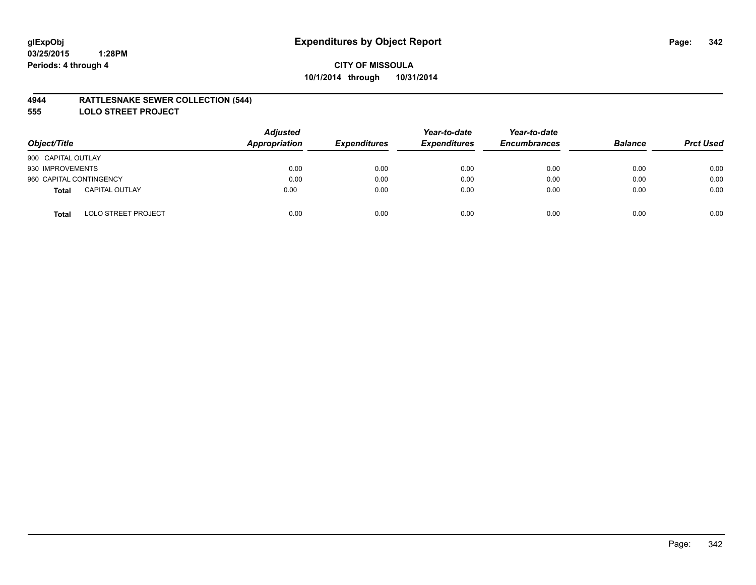#### **4944 RATTLESNAKE SEWER COLLECTION (544)**

**555 LOLO STREET PROJECT**

| Object/Title                               | <b>Adjusted</b><br>Appropriation | <b>Expenditures</b> | Year-to-date<br><b>Expenditures</b> | Year-to-date<br><b>Encumbrances</b> | <b>Balance</b> | <b>Prct Used</b> |
|--------------------------------------------|----------------------------------|---------------------|-------------------------------------|-------------------------------------|----------------|------------------|
| 900 CAPITAL OUTLAY                         |                                  |                     |                                     |                                     |                |                  |
| 930 IMPROVEMENTS                           | 0.00                             | 0.00                | 0.00                                | 0.00                                | 0.00           | 0.00             |
| 960 CAPITAL CONTINGENCY                    | 0.00                             | 0.00                | 0.00                                | 0.00                                | 0.00           | 0.00             |
| <b>CAPITAL OUTLAY</b><br>Total             | 0.00                             | 0.00                | 0.00                                | 0.00                                | 0.00           | 0.00             |
| <b>LOLO STREET PROJECT</b><br><b>Total</b> | 0.00                             | 0.00                | 0.00                                | 0.00                                | 0.00           | 0.00             |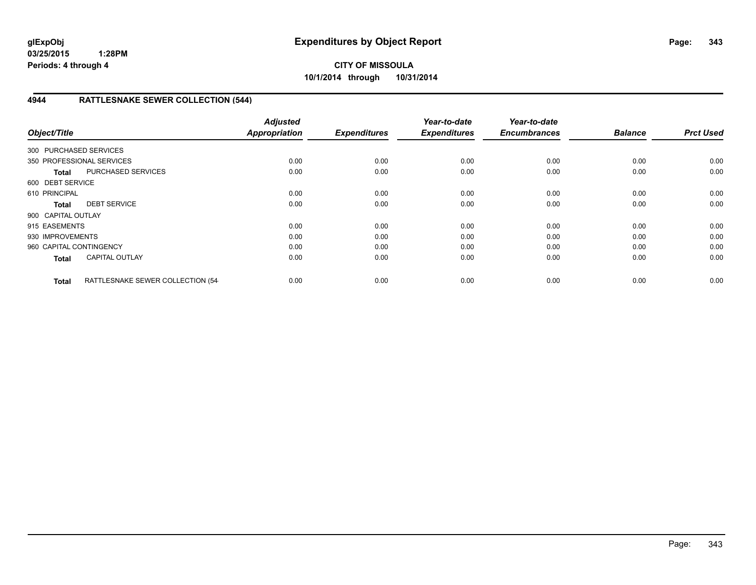**CITY OF MISSOULA 10/1/2014 through 10/31/2014**

## **4944 RATTLESNAKE SEWER COLLECTION (544)**

| Object/Title            |                                  | <b>Adjusted</b><br><b>Appropriation</b> | <b>Expenditures</b> | Year-to-date<br><b>Expenditures</b> | Year-to-date<br><b>Encumbrances</b> | <b>Balance</b> | <b>Prct Used</b> |
|-------------------------|----------------------------------|-----------------------------------------|---------------------|-------------------------------------|-------------------------------------|----------------|------------------|
| 300 PURCHASED SERVICES  |                                  |                                         |                     |                                     |                                     |                |                  |
|                         | 350 PROFESSIONAL SERVICES        | 0.00                                    | 0.00                | 0.00                                | 0.00                                | 0.00           | 0.00             |
| <b>Total</b>            | <b>PURCHASED SERVICES</b>        | 0.00                                    | 0.00                | 0.00                                | 0.00                                | 0.00           | 0.00             |
| 600 DEBT SERVICE        |                                  |                                         |                     |                                     |                                     |                |                  |
| 610 PRINCIPAL           |                                  | 0.00                                    | 0.00                | 0.00                                | 0.00                                | 0.00           | 0.00             |
| <b>Total</b>            | <b>DEBT SERVICE</b>              | 0.00                                    | 0.00                | 0.00                                | 0.00                                | 0.00           | 0.00             |
| 900 CAPITAL OUTLAY      |                                  |                                         |                     |                                     |                                     |                |                  |
| 915 EASEMENTS           |                                  | 0.00                                    | 0.00                | 0.00                                | 0.00                                | 0.00           | 0.00             |
| 930 IMPROVEMENTS        |                                  | 0.00                                    | 0.00                | 0.00                                | 0.00                                | 0.00           | 0.00             |
| 960 CAPITAL CONTINGENCY |                                  | 0.00                                    | 0.00                | 0.00                                | 0.00                                | 0.00           | 0.00             |
| <b>Total</b>            | <b>CAPITAL OUTLAY</b>            | 0.00                                    | 0.00                | 0.00                                | 0.00                                | 0.00           | 0.00             |
| <b>Total</b>            | RATTLESNAKE SEWER COLLECTION (54 | 0.00                                    | 0.00                | 0.00                                | 0.00                                | 0.00           | 0.00             |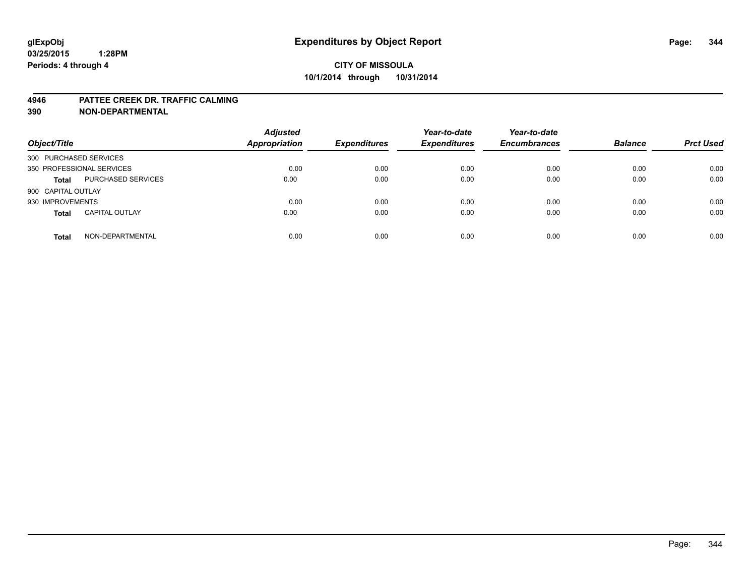#### **4946 PATTEE CREEK DR. TRAFFIC CALMING**

| Object/Title              |                           | <b>Adjusted</b><br><b>Appropriation</b> | <b>Expenditures</b> | Year-to-date<br><b>Expenditures</b> | Year-to-date<br><b>Encumbrances</b> | <b>Balance</b> | <b>Prct Used</b> |
|---------------------------|---------------------------|-----------------------------------------|---------------------|-------------------------------------|-------------------------------------|----------------|------------------|
| 300 PURCHASED SERVICES    |                           |                                         |                     |                                     |                                     |                |                  |
| 350 PROFESSIONAL SERVICES |                           | 0.00                                    | 0.00                | 0.00                                | 0.00                                | 0.00           | 0.00             |
| <b>Total</b>              | <b>PURCHASED SERVICES</b> | 0.00                                    | 0.00                | 0.00                                | 0.00                                | 0.00           | 0.00             |
| 900 CAPITAL OUTLAY        |                           |                                         |                     |                                     |                                     |                |                  |
| 930 IMPROVEMENTS          |                           | 0.00                                    | 0.00                | 0.00                                | 0.00                                | 0.00           | 0.00             |
| <b>Total</b>              | <b>CAPITAL OUTLAY</b>     | 0.00                                    | 0.00                | 0.00                                | 0.00                                | 0.00           | 0.00             |
| <b>Total</b>              | NON-DEPARTMENTAL          | 0.00                                    | 0.00                | 0.00                                | 0.00                                | 0.00           | 0.00             |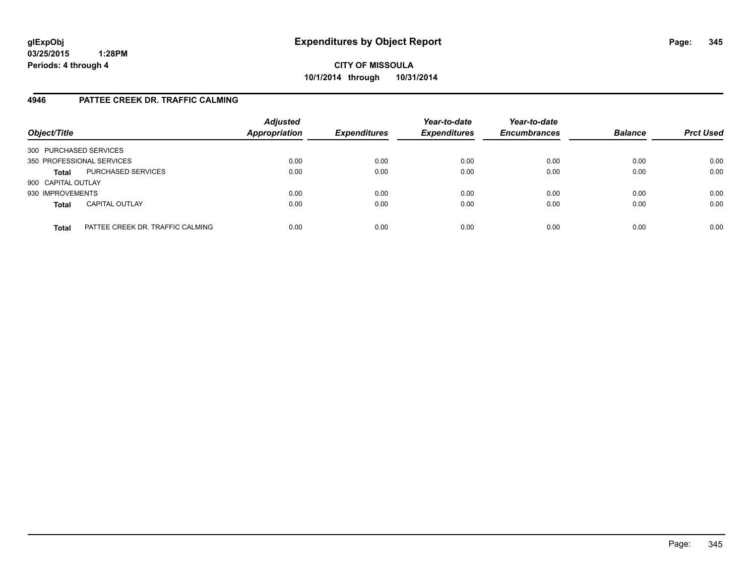**CITY OF MISSOULA 10/1/2014 through 10/31/2014**

## **4946 PATTEE CREEK DR. TRAFFIC CALMING**

| Object/Title              |                                  | <b>Adjusted</b><br><b>Appropriation</b> | <b>Expenditures</b> | Year-to-date<br><b>Expenditures</b> | Year-to-date<br><b>Encumbrances</b> | <b>Balance</b> | <b>Prct Used</b> |
|---------------------------|----------------------------------|-----------------------------------------|---------------------|-------------------------------------|-------------------------------------|----------------|------------------|
| 300 PURCHASED SERVICES    |                                  |                                         |                     |                                     |                                     |                |                  |
| 350 PROFESSIONAL SERVICES |                                  | 0.00                                    | 0.00                | 0.00                                | 0.00                                | 0.00           | 0.00             |
| <b>Total</b>              | PURCHASED SERVICES               | 0.00                                    | 0.00                | 0.00                                | 0.00                                | 0.00           | 0.00             |
| 900 CAPITAL OUTLAY        |                                  |                                         |                     |                                     |                                     |                |                  |
| 930 IMPROVEMENTS          |                                  | 0.00                                    | 0.00                | 0.00                                | 0.00                                | 0.00           | 0.00             |
| <b>Total</b>              | <b>CAPITAL OUTLAY</b>            | 0.00                                    | 0.00                | 0.00                                | 0.00                                | 0.00           | 0.00             |
| <b>Total</b>              | PATTEE CREEK DR. TRAFFIC CALMING | 0.00                                    | 0.00                | 0.00                                | 0.00                                | 0.00           | 0.00             |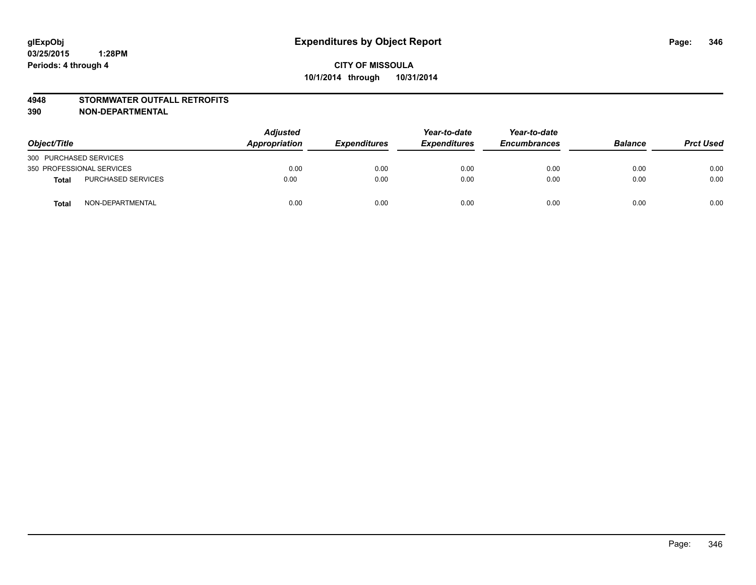#### **4948 STORMWATER OUTFALL RETROFITS**

| Object/Title              |                           | Adjusted<br>Appropriation | <b>Expenditures</b> | Year-to-date<br><b>Expenditures</b> | Year-to-date<br><b>Encumbrances</b> | <b>Balance</b> | <b>Prct Used</b> |
|---------------------------|---------------------------|---------------------------|---------------------|-------------------------------------|-------------------------------------|----------------|------------------|
| 300 PURCHASED SERVICES    |                           |                           |                     |                                     |                                     |                |                  |
| 350 PROFESSIONAL SERVICES |                           | 0.00                      | 0.00                | 0.00                                | 0.00                                | 0.00           | 0.00             |
| <b>Total</b>              | <b>PURCHASED SERVICES</b> | 0.00                      | 0.00                | 0.00                                | 0.00                                | 0.00           | 0.00             |
| <b>Total</b>              | NON-DEPARTMENTAL          | 0.00                      | 0.00                | 0.00                                | 0.00                                | 0.00           | 0.00             |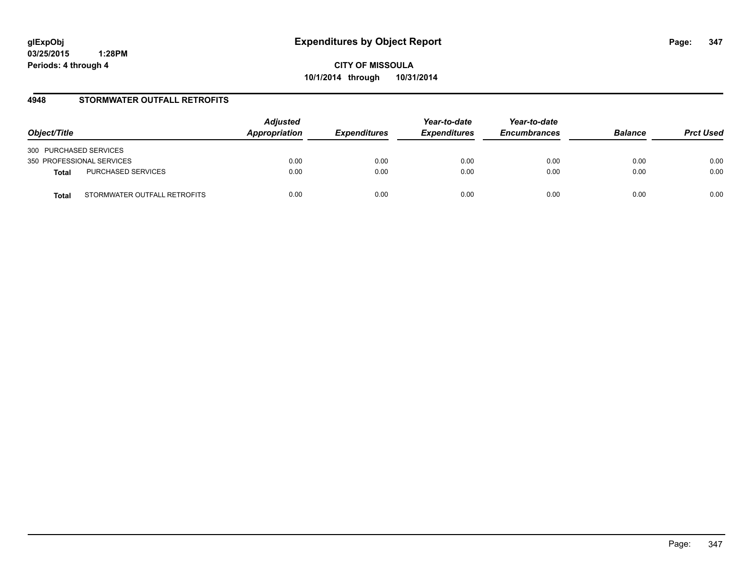**CITY OF MISSOULA 10/1/2014 through 10/31/2014**

## **4948 STORMWATER OUTFALL RETROFITS**

| Object/Title                          | <b>Adjusted</b><br>Appropriation | <b>Expenditures</b> | Year-to-date<br><b>Expenditures</b> | Year-to-date<br><b>Encumbrances</b> | <b>Balance</b> | <b>Prct Used</b> |
|---------------------------------------|----------------------------------|---------------------|-------------------------------------|-------------------------------------|----------------|------------------|
| 300 PURCHASED SERVICES                |                                  |                     |                                     |                                     |                |                  |
| 350 PROFESSIONAL SERVICES             | 0.00                             | 0.00                | 0.00                                | 0.00                                | 0.00           | 0.00             |
| PURCHASED SERVICES<br><b>Total</b>    | 0.00                             | 0.00                | 0.00                                | 0.00                                | 0.00           | 0.00             |
| STORMWATER OUTFALL RETROFITS<br>Total | 0.00                             | 0.00                | 0.00                                | 0.00                                | 0.00           | 0.00             |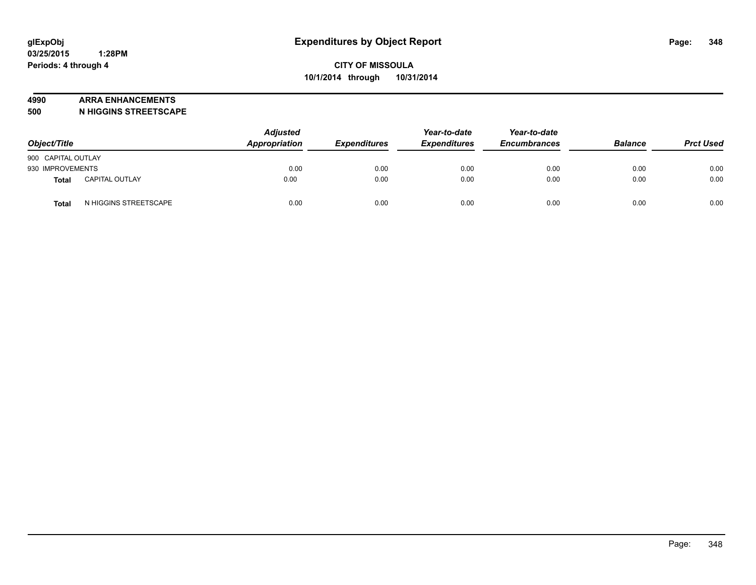#### **4990 ARRA ENHANCEMENTS**

**500 N HIGGINS STREETSCAPE**

| Object/Title       |                       | <b>Adjusted</b><br>Appropriation | <b>Expenditures</b> | Year-to-date<br><b>Expenditures</b> | Year-to-date<br><b>Encumbrances</b> | <b>Balance</b> | <b>Prct Used</b> |
|--------------------|-----------------------|----------------------------------|---------------------|-------------------------------------|-------------------------------------|----------------|------------------|
| 900 CAPITAL OUTLAY |                       |                                  |                     |                                     |                                     |                |                  |
| 930 IMPROVEMENTS   |                       | 0.00                             | 0.00                | 0.00                                | 0.00                                | 0.00           | 0.00             |
| Total              | <b>CAPITAL OUTLAY</b> | 0.00                             | 0.00                | 0.00                                | 0.00                                | 0.00           | 0.00             |
| <b>Total</b>       | N HIGGINS STREETSCAPE | 0.00                             | 0.00                | 0.00                                | 0.00                                | 0.00           | 0.00             |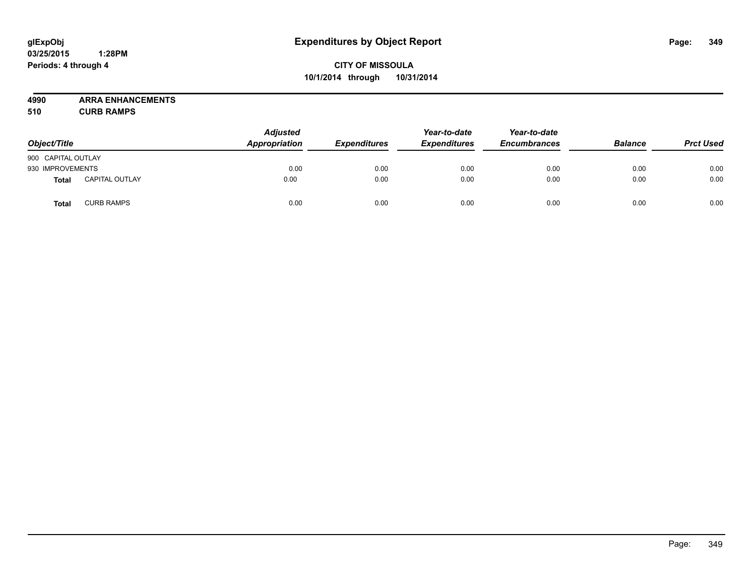# **CITY OF MISSOULA 10/1/2014 through 10/31/2014**

**4990 ARRA ENHANCEMENTS**

**510 CURB RAMPS**

| Object/Title       |                       | <b>Adjusted</b><br>Appropriation | <b>Expenditures</b> | Year-to-date<br><b>Expenditures</b> | Year-to-date<br><b>Encumbrances</b> | <b>Balance</b> | <b>Prct Used</b> |
|--------------------|-----------------------|----------------------------------|---------------------|-------------------------------------|-------------------------------------|----------------|------------------|
| 900 CAPITAL OUTLAY |                       |                                  |                     |                                     |                                     |                |                  |
| 930 IMPROVEMENTS   |                       | 0.00                             | 0.00                | 0.00                                | 0.00                                | 0.00           | 0.00             |
| <b>Total</b>       | <b>CAPITAL OUTLAY</b> | 0.00                             | 0.00                | 0.00                                | 0.00                                | 0.00           | 0.00             |
| Total              | <b>CURB RAMPS</b>     | 0.00                             | 0.00                | 0.00                                | 0.00                                | 0.00           | 0.00             |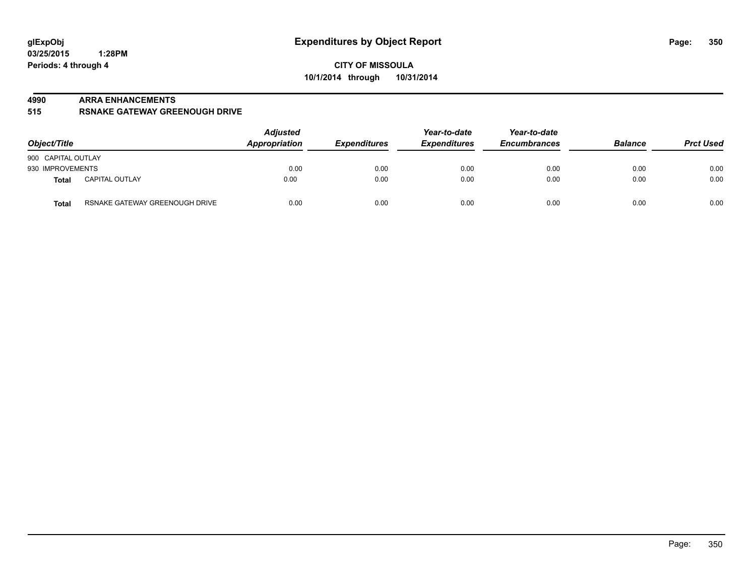#### **4990 ARRA ENHANCEMENTS**

**515 RSNAKE GATEWAY GREENOUGH DRIVE**

| Object/Title                                   | <b>Adjusted</b><br><b>Appropriation</b> | <b>Expenditures</b> | Year-to-date<br><b>Expenditures</b> | Year-to-date<br><b>Encumbrances</b> | <b>Balance</b> | <b>Prct Used</b> |
|------------------------------------------------|-----------------------------------------|---------------------|-------------------------------------|-------------------------------------|----------------|------------------|
| 900 CAPITAL OUTLAY                             |                                         |                     |                                     |                                     |                |                  |
| 930 IMPROVEMENTS                               | 0.00                                    | 0.00                | 0.00                                | 0.00                                | 0.00           | 0.00             |
| <b>CAPITAL OUTLAY</b><br>Total                 | 0.00                                    | 0.00                | 0.00                                | 0.00                                | 0.00           | 0.00             |
| RSNAKE GATEWAY GREENOUGH DRIVE<br><b>Total</b> | 0.00                                    | 0.00                | 0.00                                | 0.00                                | 0.00           | 0.00             |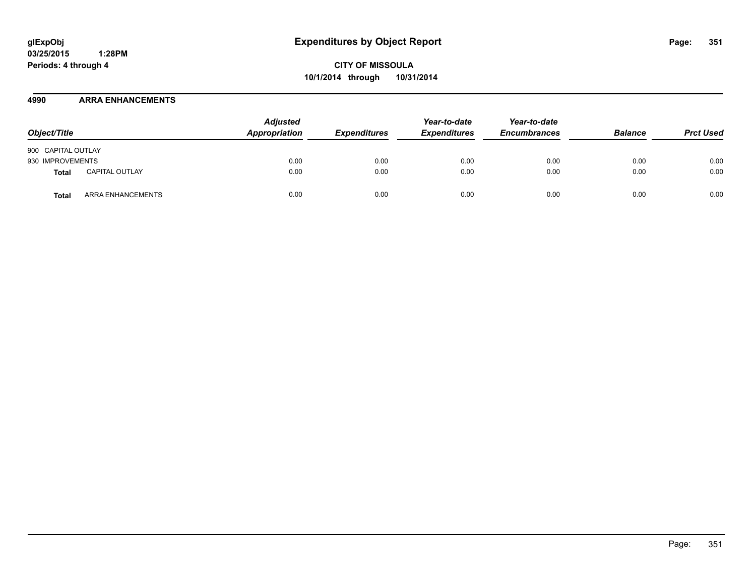**CITY OF MISSOULA 10/1/2014 through 10/31/2014**

#### **4990 ARRA ENHANCEMENTS**

| Object/Title       |                       | <b>Adjusted</b><br>Appropriation | <b>Expenditures</b> | Year-to-date<br><b>Expenditures</b> | Year-to-date<br><b>Encumbrances</b> | <b>Balance</b> | <b>Prct Used</b> |
|--------------------|-----------------------|----------------------------------|---------------------|-------------------------------------|-------------------------------------|----------------|------------------|
| 900 CAPITAL OUTLAY |                       |                                  |                     |                                     |                                     |                |                  |
| 930 IMPROVEMENTS   |                       | 0.00                             | 0.00                | 0.00                                | 0.00                                | 0.00           | 0.00             |
| Total              | <b>CAPITAL OUTLAY</b> | 0.00                             | 0.00                | 0.00                                | 0.00                                | 0.00           | 0.00             |
| Total              | ARRA ENHANCEMENTS     | 0.00                             | 0.00                | 0.00                                | 0.00                                | 0.00           | 0.00             |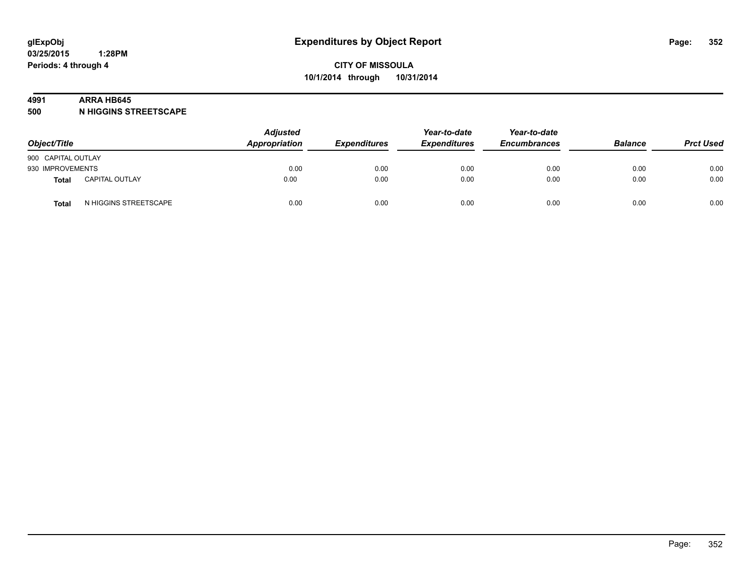#### **4991 ARRA HB645**

**500 N HIGGINS STREETSCAPE**

| Object/Title       |                       | <b>Adjusted</b><br>Appropriation | <b>Expenditures</b> | Year-to-date<br><b>Expenditures</b> | Year-to-date<br><b>Encumbrances</b> | <b>Balance</b> | <b>Prct Used</b> |
|--------------------|-----------------------|----------------------------------|---------------------|-------------------------------------|-------------------------------------|----------------|------------------|
| 900 CAPITAL OUTLAY |                       |                                  |                     |                                     |                                     |                |                  |
| 930 IMPROVEMENTS   |                       | 0.00                             | 0.00                | 0.00                                | 0.00                                | 0.00           | 0.00             |
| Total              | <b>CAPITAL OUTLAY</b> | 0.00                             | 0.00                | 0.00                                | 0.00                                | 0.00           | 0.00             |
| <b>Total</b>       | N HIGGINS STREETSCAPE | 0.00                             | 0.00                | 0.00                                | 0.00                                | 0.00           | 0.00             |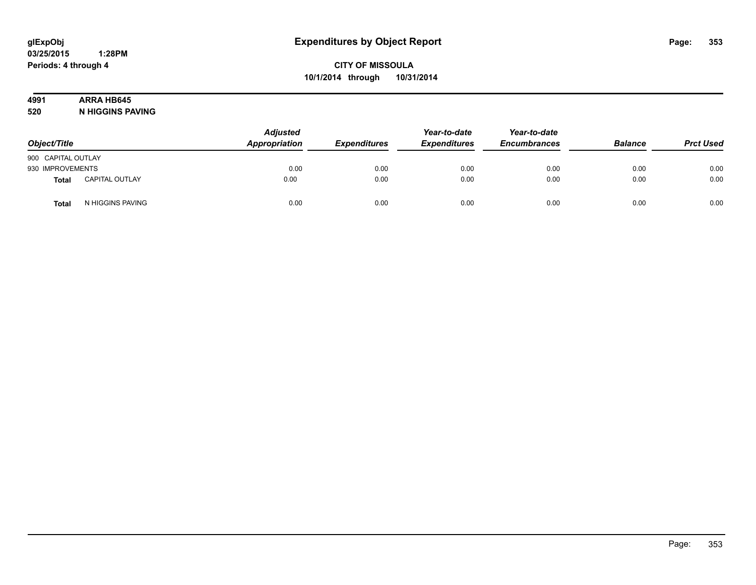# **4991 ARRA HB645**

**520 N HIGGINS PAVING**

| Object/Title       |                       | <b>Adjusted</b><br>Appropriation | <b>Expenditures</b> | Year-to-date<br><b>Expenditures</b> | Year-to-date<br><b>Encumbrances</b> | <b>Balance</b> | <b>Prct Used</b> |
|--------------------|-----------------------|----------------------------------|---------------------|-------------------------------------|-------------------------------------|----------------|------------------|
| 900 CAPITAL OUTLAY |                       |                                  |                     |                                     |                                     |                |                  |
| 930 IMPROVEMENTS   |                       | 0.00                             | 0.00                | 0.00                                | 0.00                                | 0.00           | 0.00             |
| <b>Total</b>       | <b>CAPITAL OUTLAY</b> | 0.00                             | 0.00                | 0.00                                | 0.00                                | 0.00           | 0.00             |
| Total              | N HIGGINS PAVING      | 0.00                             | 0.00                | 0.00                                | 0.00                                | 0.00           | 0.00             |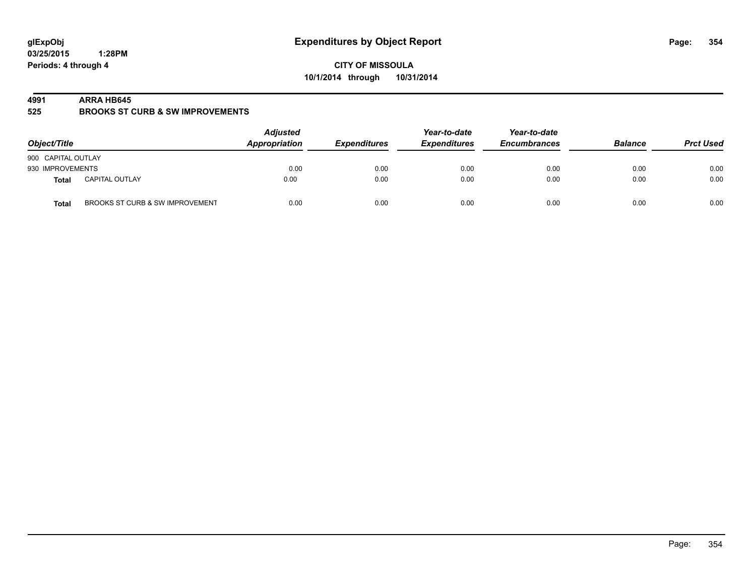**CITY OF MISSOULA 10/1/2014 through 10/31/2014**

#### **4991 ARRA HB645**

**525 BROOKS ST CURB & SW IMPROVEMENTS**

| Object/Title       |                                 | <b>Adjusted</b><br>Appropriation | <b>Expenditures</b> | Year-to-date<br><b>Expenditures</b> | Year-to-date<br><b>Encumbrances</b> | <b>Balance</b> | <b>Prct Used</b> |
|--------------------|---------------------------------|----------------------------------|---------------------|-------------------------------------|-------------------------------------|----------------|------------------|
| 900 CAPITAL OUTLAY |                                 |                                  |                     |                                     |                                     |                |                  |
| 930 IMPROVEMENTS   |                                 | 0.00                             | 0.00                | 0.00                                | 0.00                                | 0.00           | 0.00             |
| <b>Total</b>       | <b>CAPITAL OUTLAY</b>           | 0.00                             | 0.00                | 0.00                                | 0.00                                | 0.00           | 0.00             |
| <b>Total</b>       | BROOKS ST CURB & SW IMPROVEMENT | 0.00                             | 0.00                | 0.00                                | 0.00                                | 0.00           | 0.00             |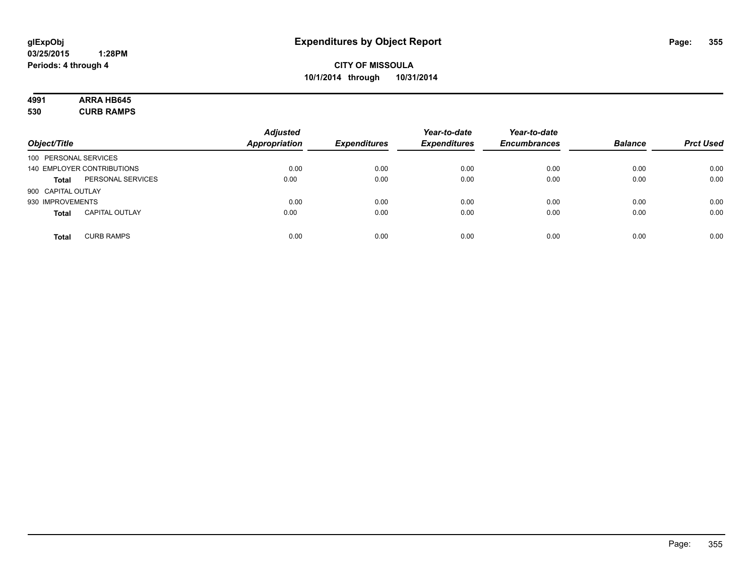# **4991 ARRA HB645**

**530 CURB RAMPS**

| Object/Title          |                            | <b>Adjusted</b><br><b>Appropriation</b> | <b>Expenditures</b> | Year-to-date<br><b>Expenditures</b> | Year-to-date<br><b>Encumbrances</b> | <b>Balance</b> | <b>Prct Used</b> |
|-----------------------|----------------------------|-----------------------------------------|---------------------|-------------------------------------|-------------------------------------|----------------|------------------|
|                       |                            |                                         |                     |                                     |                                     |                |                  |
| 100 PERSONAL SERVICES |                            |                                         |                     |                                     |                                     |                |                  |
|                       | 140 EMPLOYER CONTRIBUTIONS | 0.00                                    | 0.00                | 0.00                                | 0.00                                | 0.00           | 0.00             |
| <b>Total</b>          | PERSONAL SERVICES          | 0.00                                    | 0.00                | 0.00                                | 0.00                                | 0.00           | 0.00             |
| 900 CAPITAL OUTLAY    |                            |                                         |                     |                                     |                                     |                |                  |
| 930 IMPROVEMENTS      |                            | 0.00                                    | 0.00                | 0.00                                | 0.00                                | 0.00           | 0.00             |
| <b>Total</b>          | <b>CAPITAL OUTLAY</b>      | 0.00                                    | 0.00                | 0.00                                | 0.00                                | 0.00           | 0.00             |
| <b>Total</b>          | <b>CURB RAMPS</b>          | 0.00                                    | 0.00                | 0.00                                | 0.00                                | 0.00           | 0.00             |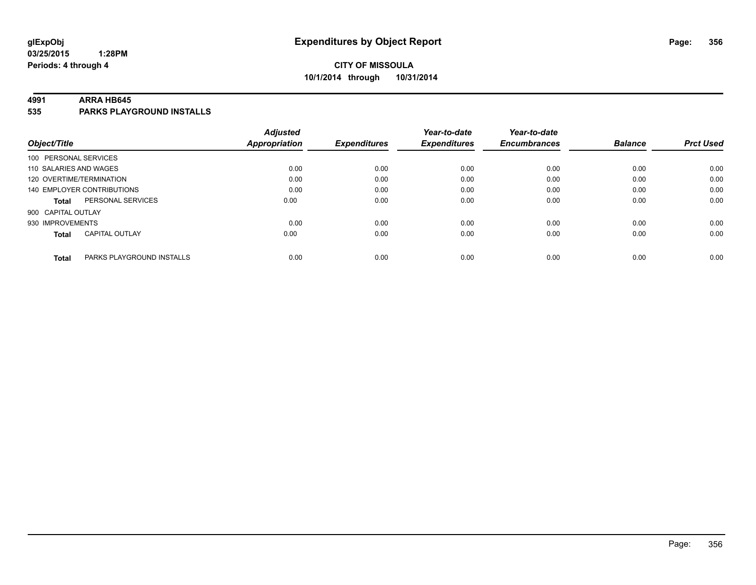# **CITY OF MISSOULA 10/1/2014 through 10/31/2014**

#### **4991 ARRA HB645**

**535 PARKS PLAYGROUND INSTALLS**

|                          |                            | <b>Adjusted</b>      |                     | Year-to-date        | Year-to-date        |                |                  |
|--------------------------|----------------------------|----------------------|---------------------|---------------------|---------------------|----------------|------------------|
| Object/Title             |                            | <b>Appropriation</b> | <b>Expenditures</b> | <b>Expenditures</b> | <b>Encumbrances</b> | <b>Balance</b> | <b>Prct Used</b> |
| 100 PERSONAL SERVICES    |                            |                      |                     |                     |                     |                |                  |
| 110 SALARIES AND WAGES   |                            | 0.00                 | 0.00                | 0.00                | 0.00                | 0.00           | 0.00             |
| 120 OVERTIME/TERMINATION |                            | 0.00                 | 0.00                | 0.00                | 0.00                | 0.00           | 0.00             |
|                          | 140 EMPLOYER CONTRIBUTIONS | 0.00                 | 0.00                | 0.00                | 0.00                | 0.00           | 0.00             |
| Total                    | PERSONAL SERVICES          | 0.00                 | 0.00                | 0.00                | 0.00                | 0.00           | 0.00             |
| 900 CAPITAL OUTLAY       |                            |                      |                     |                     |                     |                |                  |
| 930 IMPROVEMENTS         |                            | 0.00                 | 0.00                | 0.00                | 0.00                | 0.00           | 0.00             |
| <b>Total</b>             | <b>CAPITAL OUTLAY</b>      | 0.00                 | 0.00                | 0.00                | 0.00                | 0.00           | 0.00             |
|                          |                            |                      |                     |                     |                     |                |                  |
| <b>Total</b>             | PARKS PLAYGROUND INSTALLS  | 0.00                 | 0.00                | 0.00                | 0.00                | 0.00           | 0.00             |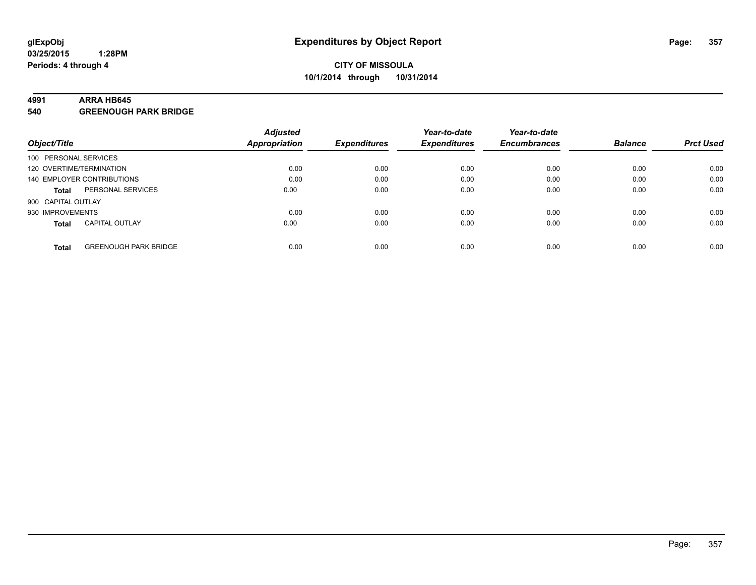#### **4991 ARRA HB645**

**540 GREENOUGH PARK BRIDGE**

|                          |                              | <b>Adjusted</b>      |                     | Year-to-date        | Year-to-date        |                |                  |
|--------------------------|------------------------------|----------------------|---------------------|---------------------|---------------------|----------------|------------------|
| Object/Title             |                              | <b>Appropriation</b> | <b>Expenditures</b> | <b>Expenditures</b> | <b>Encumbrances</b> | <b>Balance</b> | <b>Prct Used</b> |
| 100 PERSONAL SERVICES    |                              |                      |                     |                     |                     |                |                  |
| 120 OVERTIME/TERMINATION |                              | 0.00                 | 0.00                | 0.00                | 0.00                | 0.00           | 0.00             |
|                          | 140 EMPLOYER CONTRIBUTIONS   | 0.00                 | 0.00                | 0.00                | 0.00                | 0.00           | 0.00             |
| <b>Total</b>             | PERSONAL SERVICES            | 0.00                 | 0.00                | 0.00                | 0.00                | 0.00           | 0.00             |
| 900 CAPITAL OUTLAY       |                              |                      |                     |                     |                     |                |                  |
| 930 IMPROVEMENTS         |                              | 0.00                 | 0.00                | 0.00                | 0.00                | 0.00           | 0.00             |
| <b>Total</b>             | <b>CAPITAL OUTLAY</b>        | 0.00                 | 0.00                | 0.00                | 0.00                | 0.00           | 0.00             |
| <b>Total</b>             | <b>GREENOUGH PARK BRIDGE</b> | 0.00                 | 0.00                | 0.00                | 0.00                | 0.00           | 0.00             |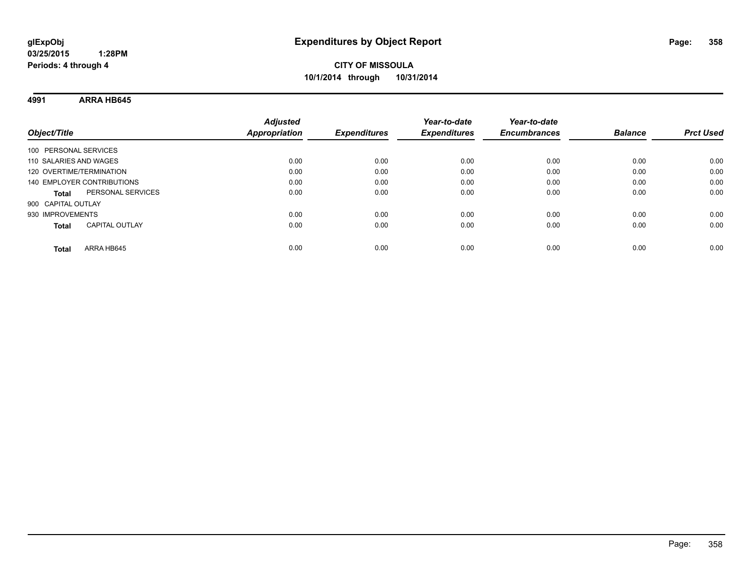**4991 ARRA HB645**

| Object/Title                          | <b>Adjusted</b><br><b>Appropriation</b> | <b>Expenditures</b> | Year-to-date<br><b>Expenditures</b> | Year-to-date<br><b>Encumbrances</b> | <b>Balance</b> | <b>Prct Used</b> |
|---------------------------------------|-----------------------------------------|---------------------|-------------------------------------|-------------------------------------|----------------|------------------|
| 100 PERSONAL SERVICES                 |                                         |                     |                                     |                                     |                |                  |
| 110 SALARIES AND WAGES                | 0.00                                    | 0.00                | 0.00                                | 0.00                                | 0.00           | 0.00             |
| 120 OVERTIME/TERMINATION              | 0.00                                    | 0.00                | 0.00                                | 0.00                                | 0.00           | 0.00             |
| 140 EMPLOYER CONTRIBUTIONS            | 0.00                                    | 0.00                | 0.00                                | 0.00                                | 0.00           | 0.00             |
| PERSONAL SERVICES<br><b>Total</b>     | 0.00                                    | 0.00                | 0.00                                | 0.00                                | 0.00           | 0.00             |
| 900 CAPITAL OUTLAY                    |                                         |                     |                                     |                                     |                |                  |
| 930 IMPROVEMENTS                      | 0.00                                    | 0.00                | 0.00                                | 0.00                                | 0.00           | 0.00             |
| <b>CAPITAL OUTLAY</b><br><b>Total</b> | 0.00                                    | 0.00                | 0.00                                | 0.00                                | 0.00           | 0.00             |
| ARRA HB645<br>Total                   | 0.00                                    | 0.00                | 0.00                                | 0.00                                | 0.00           | 0.00             |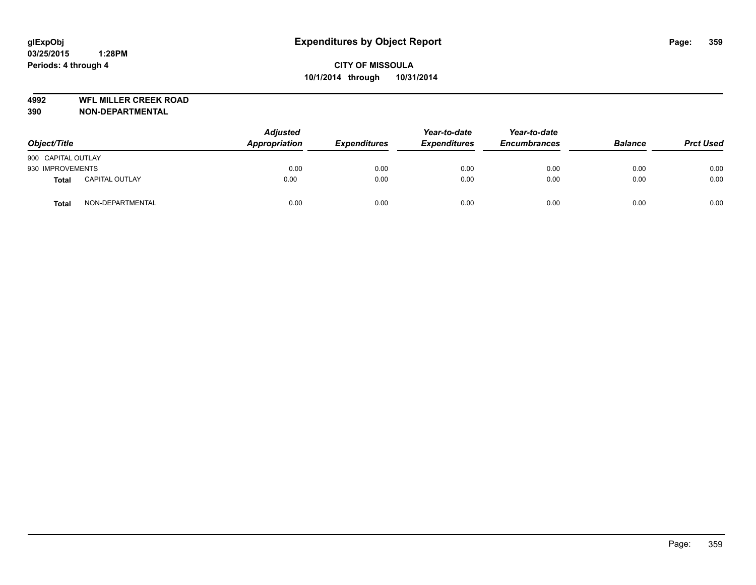**4992 WFL MILLER CREEK ROAD**

| Object/Title       |                       | <b>Adjusted</b><br>Appropriation | <b>Expenditures</b> | Year-to-date<br><b>Expenditures</b> | Year-to-date<br><b>Encumbrances</b> | <b>Balance</b> | <b>Prct Used</b> |
|--------------------|-----------------------|----------------------------------|---------------------|-------------------------------------|-------------------------------------|----------------|------------------|
| 900 CAPITAL OUTLAY |                       |                                  |                     |                                     |                                     |                |                  |
| 930 IMPROVEMENTS   |                       | 0.00                             | 0.00                | 0.00                                | 0.00                                | 0.00           | 0.00             |
| <b>Total</b>       | <b>CAPITAL OUTLAY</b> | 0.00                             | 0.00                | 0.00                                | 0.00                                | 0.00           | 0.00             |
| <b>Total</b>       | NON-DEPARTMENTAL      | 0.00                             | 0.00                | 0.00                                | 0.00                                | 0.00           | 0.00             |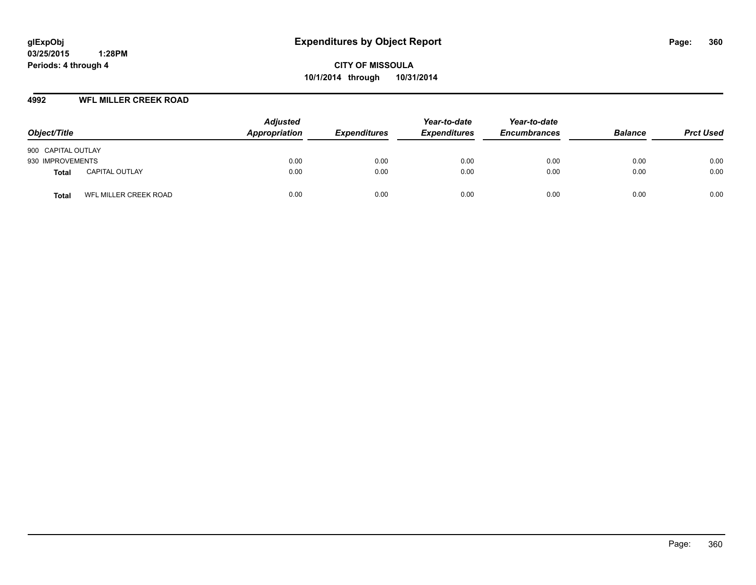**CITY OF MISSOULA 10/1/2014 through 10/31/2014**

#### **4992 WFL MILLER CREEK ROAD**

| Object/Title       |                       | <b>Adjusted</b><br>Appropriation | <b>Expenditures</b> | Year-to-date<br><b>Expenditures</b> | Year-to-date<br><b>Encumbrances</b> | <b>Balance</b> | <b>Prct Used</b> |
|--------------------|-----------------------|----------------------------------|---------------------|-------------------------------------|-------------------------------------|----------------|------------------|
| 900 CAPITAL OUTLAY |                       |                                  |                     |                                     |                                     |                |                  |
| 930 IMPROVEMENTS   |                       | 0.00                             | 0.00                | 0.00                                | 0.00                                | 0.00           | 0.00             |
| Total              | <b>CAPITAL OUTLAY</b> | 0.00                             | 0.00                | 0.00                                | 0.00                                | 0.00           | 0.00             |
| Total              | WFL MILLER CREEK ROAD | 0.00                             | 0.00                | 0.00                                | 0.00                                | 0.00           | 0.00             |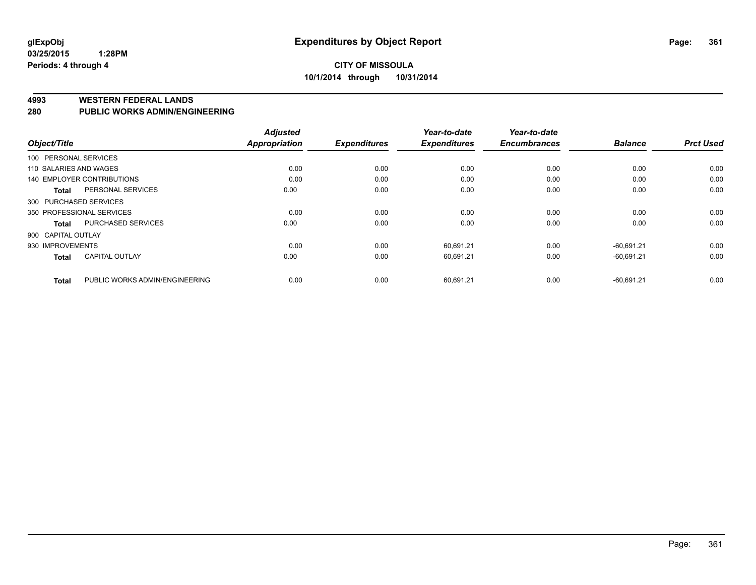#### **4993 WESTERN FEDERAL LANDS**

#### **280 PUBLIC WORKS ADMIN/ENGINEERING**

| Object/Title                      | <b>Adjusted</b> |                      | Year-to-date                | Year-to-date                     |                     | <b>Prct Used</b> |
|-----------------------------------|-----------------|----------------------|-----------------------------|----------------------------------|---------------------|------------------|
| 100 PERSONAL SERVICES             |                 |                      |                             |                                  |                     |                  |
| 110 SALARIES AND WAGES            | 0.00            | 0.00                 | 0.00                        | 0.00                             | 0.00                | 0.00             |
| <b>140 EMPLOYER CONTRIBUTIONS</b> | 0.00            | 0.00                 | 0.00                        | 0.00                             | 0.00                | 0.00             |
| PERSONAL SERVICES                 | 0.00            | 0.00                 | 0.00                        | 0.00                             | 0.00                | 0.00             |
| 300 PURCHASED SERVICES            |                 |                      |                             |                                  |                     |                  |
| 350 PROFESSIONAL SERVICES         | 0.00            | 0.00                 | 0.00                        | 0.00                             | 0.00                | 0.00             |
| <b>PURCHASED SERVICES</b>         | 0.00            | 0.00                 | 0.00                        | 0.00                             | 0.00                | 0.00             |
| 900 CAPITAL OUTLAY                |                 |                      |                             |                                  |                     |                  |
| 930 IMPROVEMENTS                  | 0.00            | 0.00                 | 60,691.21                   | 0.00                             | $-60.691.21$        | 0.00             |
| <b>CAPITAL OUTLAY</b>             | 0.00            | 0.00                 | 60.691.21                   | 0.00                             | $-60.691.21$        | 0.00             |
| PUBLIC WORKS ADMIN/ENGINEERING    | 0.00            |                      |                             | 0.00                             | $-60.691.21$        | 0.00             |
|                                   |                 | <b>Appropriation</b> | <b>Expenditures</b><br>0.00 | <b>Expenditures</b><br>60,691.21 | <b>Encumbrances</b> | <b>Balance</b>   |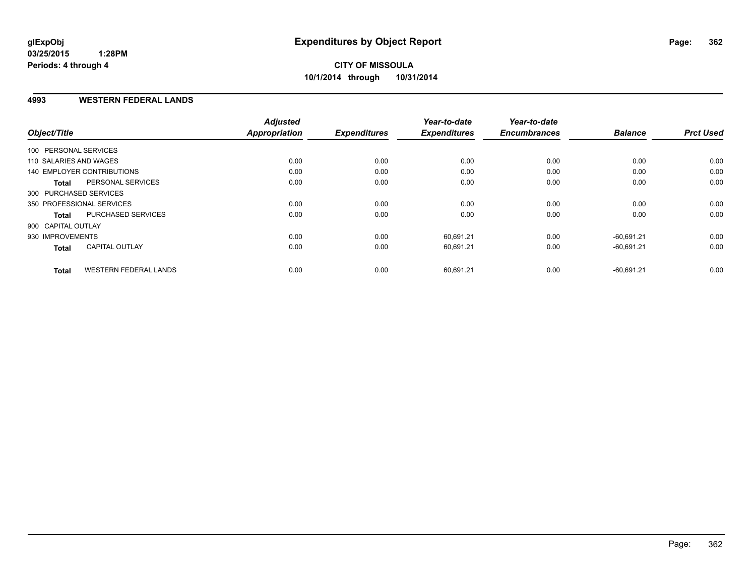### **4993 WESTERN FEDERAL LANDS**

| Object/Title               |                              | <b>Adjusted</b><br>Appropriation | <b>Expenditures</b> | Year-to-date<br><b>Expenditures</b> | Year-to-date<br><b>Encumbrances</b> | <b>Balance</b> | <b>Prct Used</b> |
|----------------------------|------------------------------|----------------------------------|---------------------|-------------------------------------|-------------------------------------|----------------|------------------|
| 100 PERSONAL SERVICES      |                              |                                  |                     |                                     |                                     |                |                  |
| 110 SALARIES AND WAGES     |                              | 0.00                             | 0.00                | 0.00                                | 0.00                                | 0.00           | 0.00             |
| 140 EMPLOYER CONTRIBUTIONS |                              | 0.00                             | 0.00                | 0.00                                | 0.00                                | 0.00           | 0.00             |
| <b>Total</b>               | PERSONAL SERVICES            | 0.00                             | 0.00                | 0.00                                | 0.00                                | 0.00           | 0.00             |
| 300 PURCHASED SERVICES     |                              |                                  |                     |                                     |                                     |                |                  |
| 350 PROFESSIONAL SERVICES  |                              | 0.00                             | 0.00                | 0.00                                | 0.00                                | 0.00           | 0.00             |
| <b>Total</b>               | PURCHASED SERVICES           | 0.00                             | 0.00                | 0.00                                | 0.00                                | 0.00           | 0.00             |
| 900 CAPITAL OUTLAY         |                              |                                  |                     |                                     |                                     |                |                  |
| 930 IMPROVEMENTS           |                              | 0.00                             | 0.00                | 60.691.21                           | 0.00                                | $-60.691.21$   | 0.00             |
| <b>Total</b>               | <b>CAPITAL OUTLAY</b>        | 0.00                             | 0.00                | 60,691.21                           | 0.00                                | $-60,691.21$   | 0.00             |
| <b>Total</b>               | <b>WESTERN FEDERAL LANDS</b> | 0.00                             | 0.00                | 60,691.21                           | 0.00                                | $-60,691.21$   | 0.00             |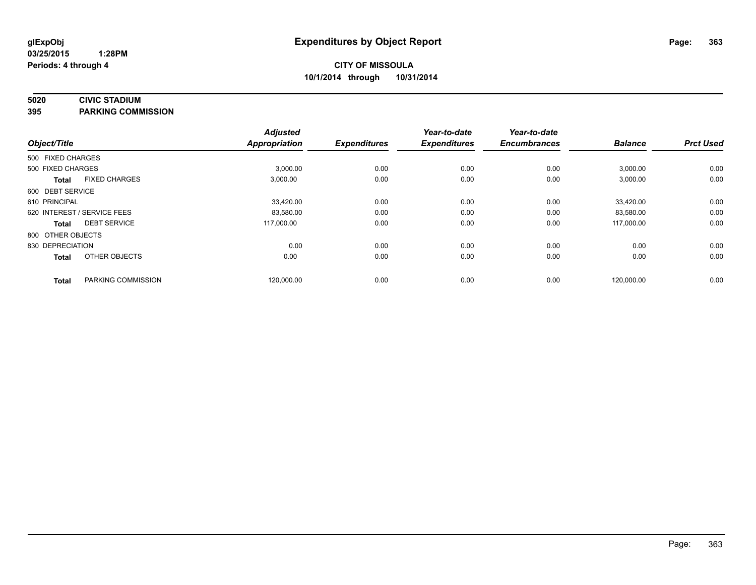# **5020 CIVIC STADIUM**

**395 PARKING COMMISSION**

| Object/Title      |                             | <b>Adjusted</b><br><b>Appropriation</b> | <b>Expenditures</b> | Year-to-date<br><b>Expenditures</b> | Year-to-date<br><b>Encumbrances</b> | <b>Balance</b> | <b>Prct Used</b> |
|-------------------|-----------------------------|-----------------------------------------|---------------------|-------------------------------------|-------------------------------------|----------------|------------------|
| 500 FIXED CHARGES |                             |                                         |                     |                                     |                                     |                |                  |
| 500 FIXED CHARGES |                             | 3,000.00                                | 0.00                | 0.00                                | 0.00                                | 3,000.00       | 0.00             |
| <b>Total</b>      | <b>FIXED CHARGES</b>        | 3,000.00                                | 0.00                | 0.00                                | 0.00                                | 3,000.00       | 0.00             |
| 600 DEBT SERVICE  |                             |                                         |                     |                                     |                                     |                |                  |
| 610 PRINCIPAL     |                             | 33,420.00                               | 0.00                | 0.00                                | 0.00                                | 33,420.00      | 0.00             |
|                   | 620 INTEREST / SERVICE FEES | 83,580.00                               | 0.00                | 0.00                                | 0.00                                | 83,580.00      | 0.00             |
| <b>Total</b>      | <b>DEBT SERVICE</b>         | 117.000.00                              | 0.00                | 0.00                                | 0.00                                | 117.000.00     | 0.00             |
| 800 OTHER OBJECTS |                             |                                         |                     |                                     |                                     |                |                  |
| 830 DEPRECIATION  |                             | 0.00                                    | 0.00                | 0.00                                | 0.00                                | 0.00           | 0.00             |
| <b>Total</b>      | OTHER OBJECTS               | 0.00                                    | 0.00                | 0.00                                | 0.00                                | 0.00           | 0.00             |
| <b>Total</b>      | PARKING COMMISSION          | 120,000.00                              | 0.00                | 0.00                                | 0.00                                | 120,000.00     | 0.00             |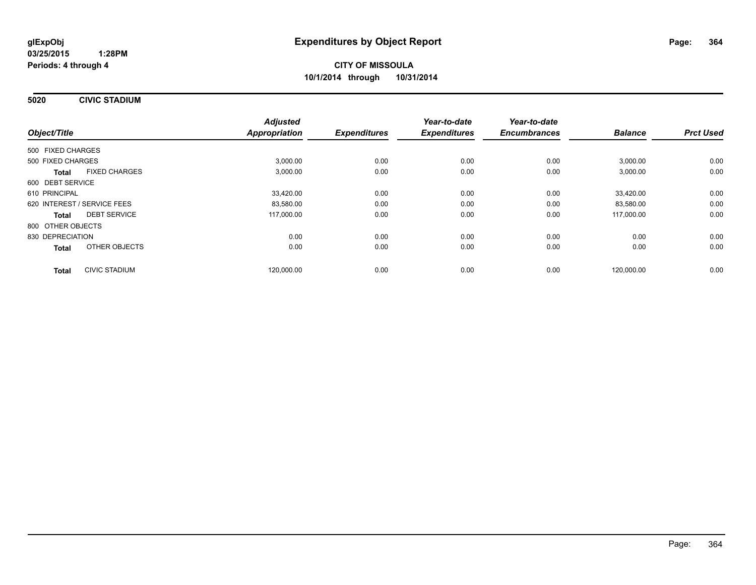**5020 CIVIC STADIUM**

|                             |                      | <b>Adjusted</b>      |                     | Year-to-date        | Year-to-date        |                |                  |
|-----------------------------|----------------------|----------------------|---------------------|---------------------|---------------------|----------------|------------------|
| Object/Title                |                      | <b>Appropriation</b> | <b>Expenditures</b> | <b>Expenditures</b> | <b>Encumbrances</b> | <b>Balance</b> | <b>Prct Used</b> |
| 500 FIXED CHARGES           |                      |                      |                     |                     |                     |                |                  |
| 500 FIXED CHARGES           |                      | 3,000.00             | 0.00                | 0.00                | 0.00                | 3,000.00       | 0.00             |
| <b>Total</b>                | <b>FIXED CHARGES</b> | 3,000.00             | 0.00                | 0.00                | 0.00                | 3,000.00       | 0.00             |
| 600 DEBT SERVICE            |                      |                      |                     |                     |                     |                |                  |
| 610 PRINCIPAL               |                      | 33,420.00            | 0.00                | 0.00                | 0.00                | 33,420.00      | 0.00             |
| 620 INTEREST / SERVICE FEES |                      | 83,580.00            | 0.00                | 0.00                | 0.00                | 83,580.00      | 0.00             |
| <b>Total</b>                | <b>DEBT SERVICE</b>  | 117,000.00           | 0.00                | 0.00                | 0.00                | 117,000.00     | 0.00             |
| 800 OTHER OBJECTS           |                      |                      |                     |                     |                     |                |                  |
| 830 DEPRECIATION            |                      | 0.00                 | 0.00                | 0.00                | 0.00                | 0.00           | 0.00             |
| Total                       | OTHER OBJECTS        | 0.00                 | 0.00                | 0.00                | 0.00                | 0.00           | 0.00             |
| <b>Total</b>                | <b>CIVIC STADIUM</b> | 120.000.00           | 0.00                | 0.00                | 0.00                | 120.000.00     | 0.00             |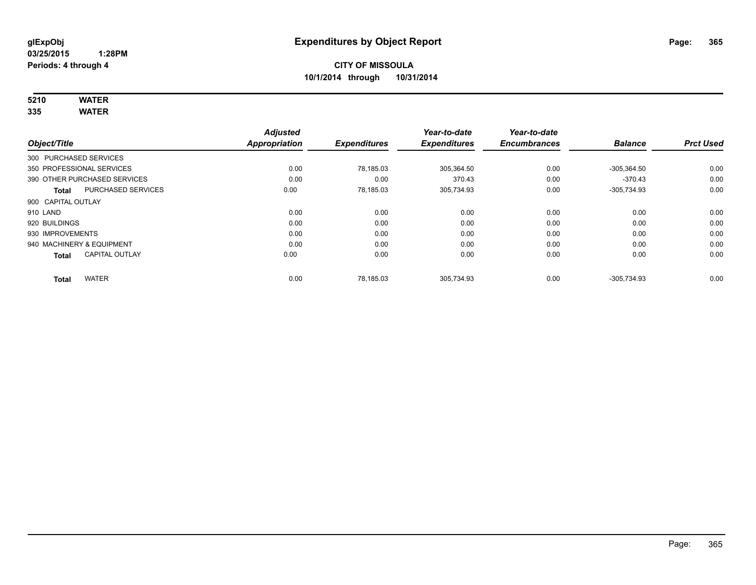# **5210 WATER**

**335 WATER**

|                           |                              | <b>Adjusted</b>      |                     | Year-to-date        | Year-to-date        |                |                  |
|---------------------------|------------------------------|----------------------|---------------------|---------------------|---------------------|----------------|------------------|
| Object/Title              |                              | <b>Appropriation</b> | <b>Expenditures</b> | <b>Expenditures</b> | <b>Encumbrances</b> | <b>Balance</b> | <b>Prct Used</b> |
| 300 PURCHASED SERVICES    |                              |                      |                     |                     |                     |                |                  |
|                           | 350 PROFESSIONAL SERVICES    | 0.00                 | 78,185.03           | 305,364.50          | 0.00                | $-305.364.50$  | 0.00             |
|                           | 390 OTHER PURCHASED SERVICES | 0.00                 | 0.00                | 370.43              | 0.00                | $-370.43$      | 0.00             |
| <b>Total</b>              | <b>PURCHASED SERVICES</b>    | 0.00                 | 78,185.03           | 305,734.93          | 0.00                | $-305,734.93$  | 0.00             |
| 900 CAPITAL OUTLAY        |                              |                      |                     |                     |                     |                |                  |
| 910 LAND                  |                              | 0.00                 | 0.00                | 0.00                | 0.00                | 0.00           | 0.00             |
| 920 BUILDINGS             |                              | 0.00                 | 0.00                | 0.00                | 0.00                | 0.00           | 0.00             |
| 930 IMPROVEMENTS          |                              | 0.00                 | 0.00                | 0.00                | 0.00                | 0.00           | 0.00             |
| 940 MACHINERY & EQUIPMENT |                              | 0.00                 | 0.00                | 0.00                | 0.00                | 0.00           | 0.00             |
| <b>Total</b>              | <b>CAPITAL OUTLAY</b>        | 0.00                 | 0.00                | 0.00                | 0.00                | 0.00           | 0.00             |
| <b>Total</b>              | <b>WATER</b>                 | 0.00                 | 78.185.03           | 305.734.93          | 0.00                | -305.734.93    | 0.00             |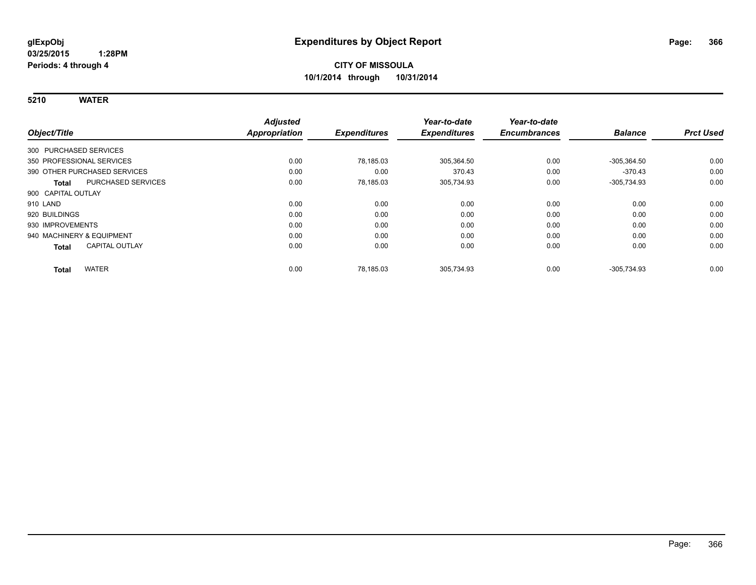**5210 WATER**

|                                       | <b>Adjusted</b> |                     | Year-to-date        | Year-to-date        |                |                  |
|---------------------------------------|-----------------|---------------------|---------------------|---------------------|----------------|------------------|
| Object/Title                          | Appropriation   | <b>Expenditures</b> | <b>Expenditures</b> | <b>Encumbrances</b> | <b>Balance</b> | <b>Prct Used</b> |
| 300 PURCHASED SERVICES                |                 |                     |                     |                     |                |                  |
| 350 PROFESSIONAL SERVICES             | 0.00            | 78.185.03           | 305,364.50          | 0.00                | $-305,364.50$  | 0.00             |
| 390 OTHER PURCHASED SERVICES          | 0.00            | 0.00                | 370.43              | 0.00                | $-370.43$      | 0.00             |
| PURCHASED SERVICES<br>Total           | 0.00            | 78,185.03           | 305,734.93          | 0.00                | $-305,734.93$  | 0.00             |
| 900 CAPITAL OUTLAY                    |                 |                     |                     |                     |                |                  |
| 910 LAND                              | 0.00            | 0.00                | 0.00                | 0.00                | 0.00           | 0.00             |
| 920 BUILDINGS                         | 0.00            | 0.00                | 0.00                | 0.00                | 0.00           | 0.00             |
| 930 IMPROVEMENTS                      | 0.00            | 0.00                | 0.00                | 0.00                | 0.00           | 0.00             |
| 940 MACHINERY & EQUIPMENT             | 0.00            | 0.00                | 0.00                | 0.00                | 0.00           | 0.00             |
| <b>CAPITAL OUTLAY</b><br><b>Total</b> | 0.00            | 0.00                | 0.00                | 0.00                | 0.00           | 0.00             |
| <b>WATER</b><br><b>Total</b>          | 0.00            | 78,185.03           | 305,734.93          | 0.00                | $-305,734.93$  | 0.00             |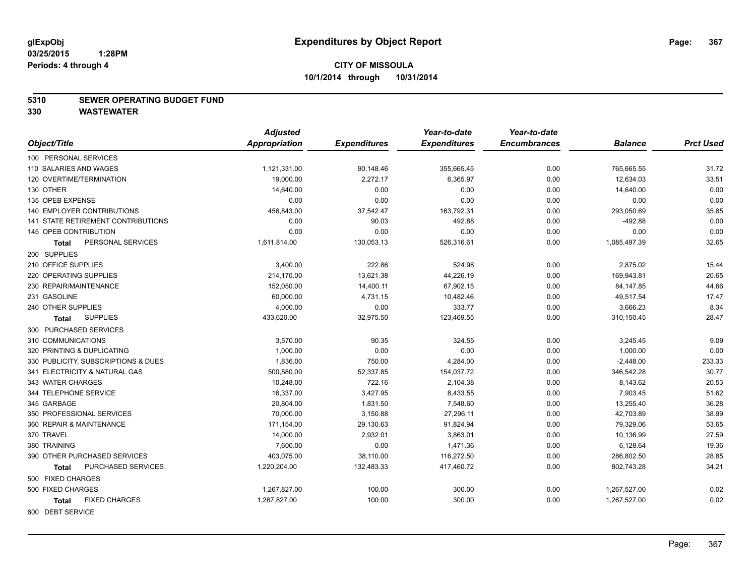#### **5310 SEWER OPERATING BUDGET FUND**

|                                      | <b>Adjusted</b> |                     | Year-to-date        | Year-to-date        |                |                  |
|--------------------------------------|-----------------|---------------------|---------------------|---------------------|----------------|------------------|
| Object/Title                         | Appropriation   | <b>Expenditures</b> | <b>Expenditures</b> | <b>Encumbrances</b> | <b>Balance</b> | <b>Prct Used</b> |
| 100 PERSONAL SERVICES                |                 |                     |                     |                     |                |                  |
| 110 SALARIES AND WAGES               | 1,121,331.00    | 90,148.46           | 355,665.45          | 0.00                | 765,665.55     | 31.72            |
| 120 OVERTIME/TERMINATION             | 19,000.00       | 2,272.17            | 6,365.97            | 0.00                | 12,634.03      | 33.51            |
| 130 OTHER                            | 14,640.00       | 0.00                | 0.00                | 0.00                | 14,640.00      | 0.00             |
| 135 OPEB EXPENSE                     | 0.00            | 0.00                | 0.00                | 0.00                | 0.00           | 0.00             |
| <b>140 EMPLOYER CONTRIBUTIONS</b>    | 456,843.00      | 37,542.47           | 163,792.31          | 0.00                | 293,050.69     | 35.85            |
| 141 STATE RETIREMENT CONTRIBUTIONS   | 0.00            | 90.03               | 492.88              | 0.00                | $-492.88$      | 0.00             |
| 145 OPEB CONTRIBUTION                | 0.00            | 0.00                | 0.00                | 0.00                | 0.00           | 0.00             |
| PERSONAL SERVICES<br>Total           | 1,611,814.00    | 130,053.13          | 526,316.61          | 0.00                | 1,085,497.39   | 32.65            |
| 200 SUPPLIES                         |                 |                     |                     |                     |                |                  |
| 210 OFFICE SUPPLIES                  | 3,400.00        | 222.86              | 524.98              | 0.00                | 2,875.02       | 15.44            |
| 220 OPERATING SUPPLIES               | 214,170.00      | 13,621.38           | 44,226.19           | 0.00                | 169,943.81     | 20.65            |
| 230 REPAIR/MAINTENANCE               | 152,050.00      | 14,400.11           | 67,902.15           | 0.00                | 84,147.85      | 44.66            |
| 231 GASOLINE                         | 60,000.00       | 4,731.15            | 10,482.46           | 0.00                | 49,517.54      | 17.47            |
| 240 OTHER SUPPLIES                   | 4,000.00        | 0.00                | 333.77              | 0.00                | 3,666.23       | 8.34             |
| <b>SUPPLIES</b><br><b>Total</b>      | 433,620.00      | 32,975.50           | 123,469.55          | 0.00                | 310,150.45     | 28.47            |
| 300 PURCHASED SERVICES               |                 |                     |                     |                     |                |                  |
| 310 COMMUNICATIONS                   | 3,570.00        | 90.35               | 324.55              | 0.00                | 3,245.45       | 9.09             |
| 320 PRINTING & DUPLICATING           | 1,000.00        | 0.00                | 0.00                | 0.00                | 1,000.00       | 0.00             |
| 330 PUBLICITY, SUBSCRIPTIONS & DUES  | 1,836.00        | 750.00              | 4,284.00            | 0.00                | $-2,448.00$    | 233.33           |
| 341 ELECTRICITY & NATURAL GAS        | 500,580.00      | 52,337.85           | 154,037.72          | 0.00                | 346,542.28     | 30.77            |
| 343 WATER CHARGES                    | 10,248.00       | 722.16              | 2,104.38            | 0.00                | 8,143.62       | 20.53            |
| 344 TELEPHONE SERVICE                | 16,337.00       | 3,427.95            | 8,433.55            | 0.00                | 7,903.45       | 51.62            |
| 345 GARBAGE                          | 20,804.00       | 1,831.50            | 7,548.60            | 0.00                | 13,255.40      | 36.28            |
| 350 PROFESSIONAL SERVICES            | 70,000.00       | 3,150.88            | 27,296.11           | 0.00                | 42,703.89      | 38.99            |
| 360 REPAIR & MAINTENANCE             | 171,154.00      | 29,130.63           | 91,824.94           | 0.00                | 79,329.06      | 53.65            |
| 370 TRAVEL                           | 14,000.00       | 2,932.01            | 3,863.01            | 0.00                | 10,136.99      | 27.59            |
| 380 TRAINING                         | 7,600.00        | 0.00                | 1,471.36            | 0.00                | 6,128.64       | 19.36            |
| 390 OTHER PURCHASED SERVICES         | 403,075.00      | 38,110.00           | 116,272.50          | 0.00                | 286,802.50     | 28.85            |
| PURCHASED SERVICES<br>Total          | 1,220,204.00    | 132,483.33          | 417,460.72          | 0.00                | 802,743.28     | 34.21            |
| 500 FIXED CHARGES                    |                 |                     |                     |                     |                |                  |
| 500 FIXED CHARGES                    | 1,267,827.00    | 100.00              | 300.00              | 0.00                | 1,267,527.00   | 0.02             |
| <b>FIXED CHARGES</b><br><b>Total</b> | 1,267,827.00    | 100.00              | 300.00              | 0.00                | 1,267,527.00   | 0.02             |
| 600 DEBT SERVICE                     |                 |                     |                     |                     |                |                  |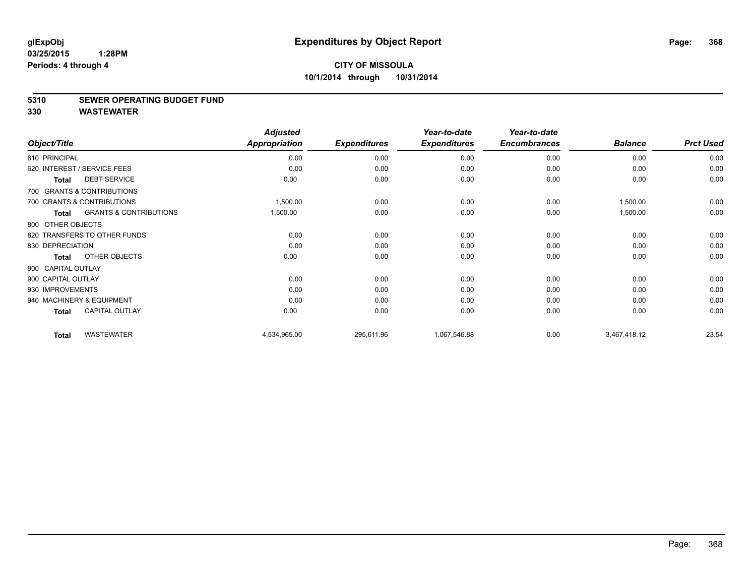#### **5310 SEWER OPERATING BUDGET FUND**

|                             |                                   | <b>Adjusted</b> |                     | Year-to-date        | Year-to-date        |                |                  |
|-----------------------------|-----------------------------------|-----------------|---------------------|---------------------|---------------------|----------------|------------------|
| Object/Title                |                                   | Appropriation   | <b>Expenditures</b> | <b>Expenditures</b> | <b>Encumbrances</b> | <b>Balance</b> | <b>Prct Used</b> |
| 610 PRINCIPAL               |                                   | 0.00            | 0.00                | 0.00                | 0.00                | 0.00           | 0.00             |
| 620 INTEREST / SERVICE FEES |                                   | 0.00            | 0.00                | 0.00                | 0.00                | 0.00           | 0.00             |
| <b>Total</b>                | <b>DEBT SERVICE</b>               | 0.00            | 0.00                | 0.00                | 0.00                | 0.00           | 0.00             |
|                             | 700 GRANTS & CONTRIBUTIONS        |                 |                     |                     |                     |                |                  |
|                             | 700 GRANTS & CONTRIBUTIONS        | 1,500.00        | 0.00                | 0.00                | 0.00                | 1,500.00       | 0.00             |
| Total                       | <b>GRANTS &amp; CONTRIBUTIONS</b> | 1,500.00        | 0.00                | 0.00                | 0.00                | 1,500.00       | 0.00             |
| 800 OTHER OBJECTS           |                                   |                 |                     |                     |                     |                |                  |
|                             | 820 TRANSFERS TO OTHER FUNDS      | 0.00            | 0.00                | 0.00                | 0.00                | 0.00           | 0.00             |
| 830 DEPRECIATION            |                                   | 0.00            | 0.00                | 0.00                | 0.00                | 0.00           | 0.00             |
| <b>Total</b>                | OTHER OBJECTS                     | 0.00            | 0.00                | 0.00                | 0.00                | 0.00           | 0.00             |
| 900 CAPITAL OUTLAY          |                                   |                 |                     |                     |                     |                |                  |
| 900 CAPITAL OUTLAY          |                                   | 0.00            | 0.00                | 0.00                | 0.00                | 0.00           | 0.00             |
| 930 IMPROVEMENTS            |                                   | 0.00            | 0.00                | 0.00                | 0.00                | 0.00           | 0.00             |
| 940 MACHINERY & EQUIPMENT   |                                   | 0.00            | 0.00                | 0.00                | 0.00                | 0.00           | 0.00             |
| <b>Total</b>                | <b>CAPITAL OUTLAY</b>             | 0.00            | 0.00                | 0.00                | 0.00                | 0.00           | 0.00             |
| <b>Total</b>                | <b>WASTEWATER</b>                 | 4,534,965.00    | 295,611.96          | 1,067,546.88        | 0.00                | 3,467,418.12   | 23.54            |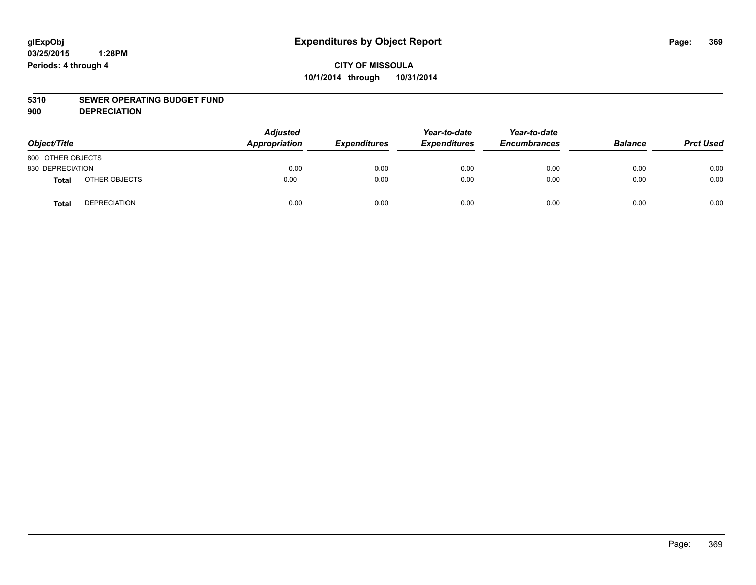#### **5310 SEWER OPERATING BUDGET FUND**

**900 DEPRECIATION**

| Object/Title      |                     | <b>Adjusted</b><br>Appropriation | <b>Expenditures</b> | Year-to-date<br><b>Expenditures</b> | Year-to-date<br><b>Encumbrances</b> | <b>Balance</b> | <b>Prct Used</b> |
|-------------------|---------------------|----------------------------------|---------------------|-------------------------------------|-------------------------------------|----------------|------------------|
| 800 OTHER OBJECTS |                     |                                  |                     |                                     |                                     |                |                  |
| 830 DEPRECIATION  |                     | 0.00                             | 0.00                | 0.00                                | 0.00                                | 0.00           | 0.00             |
| Total             | OTHER OBJECTS       | 0.00                             | 0.00                | 0.00                                | 0.00                                | 0.00           | 0.00             |
| <b>Total</b>      | <b>DEPRECIATION</b> | 0.00                             | 0.00                | 0.00                                | 0.00                                | 0.00           | 0.00             |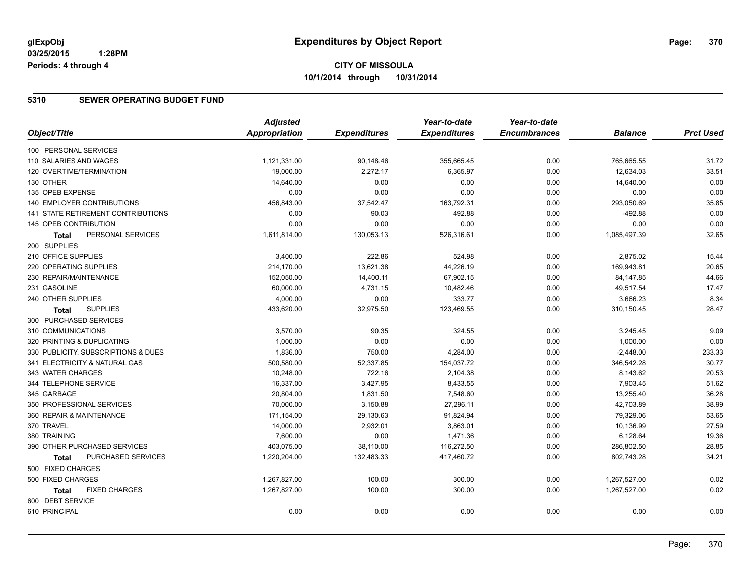# **CITY OF MISSOULA 10/1/2014 through 10/31/2014**

### **5310 SEWER OPERATING BUDGET FUND**

|                                      | <b>Adjusted</b>      |                     | Year-to-date        | Year-to-date        |                |                  |
|--------------------------------------|----------------------|---------------------|---------------------|---------------------|----------------|------------------|
| Object/Title                         | <b>Appropriation</b> | <b>Expenditures</b> | <b>Expenditures</b> | <b>Encumbrances</b> | <b>Balance</b> | <b>Prct Used</b> |
| 100 PERSONAL SERVICES                |                      |                     |                     |                     |                |                  |
| 110 SALARIES AND WAGES               | 1,121,331.00         | 90,148.46           | 355,665.45          | 0.00                | 765,665.55     | 31.72            |
| 120 OVERTIME/TERMINATION             | 19,000.00            | 2,272.17            | 6,365.97            | 0.00                | 12,634.03      | 33.51            |
| 130 OTHER                            | 14,640.00            | 0.00                | 0.00                | 0.00                | 14,640.00      | 0.00             |
| 135 OPEB EXPENSE                     | 0.00                 | 0.00                | 0.00                | 0.00                | 0.00           | 0.00             |
| 140 EMPLOYER CONTRIBUTIONS           | 456,843.00           | 37,542.47           | 163,792.31          | 0.00                | 293,050.69     | 35.85            |
| 141 STATE RETIREMENT CONTRIBUTIONS   | 0.00                 | 90.03               | 492.88              | 0.00                | $-492.88$      | 0.00             |
| <b>145 OPEB CONTRIBUTION</b>         | 0.00                 | 0.00                | 0.00                | 0.00                | 0.00           | 0.00             |
| PERSONAL SERVICES<br><b>Total</b>    | 1,611,814.00         | 130,053.13          | 526,316.61          | 0.00                | 1,085,497.39   | 32.65            |
| 200 SUPPLIES                         |                      |                     |                     |                     |                |                  |
| 210 OFFICE SUPPLIES                  | 3,400.00             | 222.86              | 524.98              | 0.00                | 2,875.02       | 15.44            |
| 220 OPERATING SUPPLIES               | 214,170.00           | 13,621.38           | 44,226.19           | 0.00                | 169,943.81     | 20.65            |
| 230 REPAIR/MAINTENANCE               | 152,050.00           | 14,400.11           | 67,902.15           | 0.00                | 84,147.85      | 44.66            |
| 231 GASOLINE                         | 60,000.00            | 4,731.15            | 10,482.46           | 0.00                | 49,517.54      | 17.47            |
| 240 OTHER SUPPLIES                   | 4,000.00             | 0.00                | 333.77              | 0.00                | 3,666.23       | 8.34             |
| <b>SUPPLIES</b><br>Total             | 433,620.00           | 32,975.50           | 123,469.55          | 0.00                | 310,150.45     | 28.47            |
| 300 PURCHASED SERVICES               |                      |                     |                     |                     |                |                  |
| 310 COMMUNICATIONS                   | 3,570.00             | 90.35               | 324.55              | 0.00                | 3,245.45       | 9.09             |
| 320 PRINTING & DUPLICATING           | 1,000.00             | 0.00                | 0.00                | 0.00                | 1,000.00       | 0.00             |
| 330 PUBLICITY, SUBSCRIPTIONS & DUES  | 1,836.00             | 750.00              | 4,284.00            | 0.00                | $-2,448.00$    | 233.33           |
| 341 ELECTRICITY & NATURAL GAS        | 500,580.00           | 52,337.85           | 154,037.72          | 0.00                | 346,542.28     | 30.77            |
| 343 WATER CHARGES                    | 10,248.00            | 722.16              | 2,104.38            | 0.00                | 8,143.62       | 20.53            |
| 344 TELEPHONE SERVICE                | 16,337.00            | 3,427.95            | 8,433.55            | 0.00                | 7,903.45       | 51.62            |
| 345 GARBAGE                          | 20,804.00            | 1,831.50            | 7,548.60            | 0.00                | 13,255.40      | 36.28            |
| 350 PROFESSIONAL SERVICES            | 70,000.00            | 3,150.88            | 27,296.11           | 0.00                | 42,703.89      | 38.99            |
| 360 REPAIR & MAINTENANCE             | 171,154.00           | 29,130.63           | 91,824.94           | 0.00                | 79,329.06      | 53.65            |
| 370 TRAVEL                           | 14,000.00            | 2,932.01            | 3,863.01            | 0.00                | 10,136.99      | 27.59            |
| 380 TRAINING                         | 7,600.00             | 0.00                | 1,471.36            | 0.00                | 6,128.64       | 19.36            |
| 390 OTHER PURCHASED SERVICES         | 403,075.00           | 38,110.00           | 116,272.50          | 0.00                | 286,802.50     | 28.85            |
| PURCHASED SERVICES<br><b>Total</b>   | 1,220,204.00         | 132,483.33          | 417,460.72          | 0.00                | 802,743.28     | 34.21            |
| 500 FIXED CHARGES                    |                      |                     |                     |                     |                |                  |
| 500 FIXED CHARGES                    | 1,267,827.00         | 100.00              | 300.00              | 0.00                | 1,267,527.00   | 0.02             |
| <b>FIXED CHARGES</b><br><b>Total</b> | 1,267,827.00         | 100.00              | 300.00              | 0.00                | 1,267,527.00   | 0.02             |
| 600 DEBT SERVICE                     |                      |                     |                     |                     |                |                  |
| 610 PRINCIPAL                        | 0.00                 | 0.00                | 0.00                | 0.00                | 0.00           | 0.00             |
|                                      |                      |                     |                     |                     |                |                  |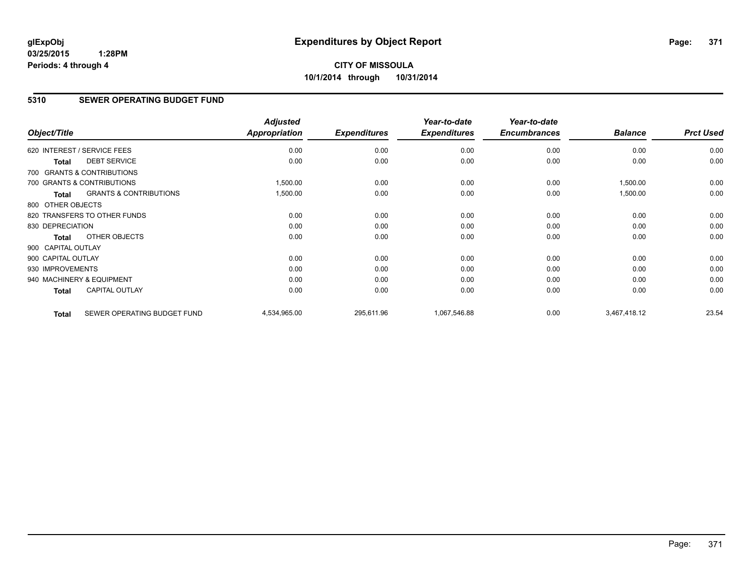# **CITY OF MISSOULA 10/1/2014 through 10/31/2014**

# **5310 SEWER OPERATING BUDGET FUND**

| Object/Title       |                                   | <b>Adjusted</b><br><b>Appropriation</b> | <b>Expenditures</b> | Year-to-date<br><b>Expenditures</b> | Year-to-date<br><b>Encumbrances</b> | <b>Balance</b> | <b>Prct Used</b> |
|--------------------|-----------------------------------|-----------------------------------------|---------------------|-------------------------------------|-------------------------------------|----------------|------------------|
|                    | 620 INTEREST / SERVICE FEES       | 0.00                                    | 0.00                | 0.00                                | 0.00                                | 0.00           | 0.00             |
| <b>Total</b>       | <b>DEBT SERVICE</b>               | 0.00                                    | 0.00                | 0.00                                | 0.00                                | 0.00           | 0.00             |
|                    | 700 GRANTS & CONTRIBUTIONS        |                                         |                     |                                     |                                     |                |                  |
|                    | 700 GRANTS & CONTRIBUTIONS        | 1,500.00                                | 0.00                | 0.00                                | 0.00                                | 1,500.00       | 0.00             |
| <b>Total</b>       | <b>GRANTS &amp; CONTRIBUTIONS</b> | 1,500.00                                | 0.00                | 0.00                                | 0.00                                | 1,500.00       | 0.00             |
| 800 OTHER OBJECTS  |                                   |                                         |                     |                                     |                                     |                |                  |
|                    | 820 TRANSFERS TO OTHER FUNDS      | 0.00                                    | 0.00                | 0.00                                | 0.00                                | 0.00           | 0.00             |
| 830 DEPRECIATION   |                                   | 0.00                                    | 0.00                | 0.00                                | 0.00                                | 0.00           | 0.00             |
| Total              | OTHER OBJECTS                     | 0.00                                    | 0.00                | 0.00                                | 0.00                                | 0.00           | 0.00             |
| 900 CAPITAL OUTLAY |                                   |                                         |                     |                                     |                                     |                |                  |
| 900 CAPITAL OUTLAY |                                   | 0.00                                    | 0.00                | 0.00                                | 0.00                                | 0.00           | 0.00             |
| 930 IMPROVEMENTS   |                                   | 0.00                                    | 0.00                | 0.00                                | 0.00                                | 0.00           | 0.00             |
|                    | 940 MACHINERY & EQUIPMENT         | 0.00                                    | 0.00                | 0.00                                | 0.00                                | 0.00           | 0.00             |
| <b>Total</b>       | <b>CAPITAL OUTLAY</b>             | 0.00                                    | 0.00                | 0.00                                | 0.00                                | 0.00           | 0.00             |
| <b>Total</b>       | SEWER OPERATING BUDGET FUND       | 4,534,965.00                            | 295,611.96          | 1,067,546.88                        | 0.00                                | 3,467,418.12   | 23.54            |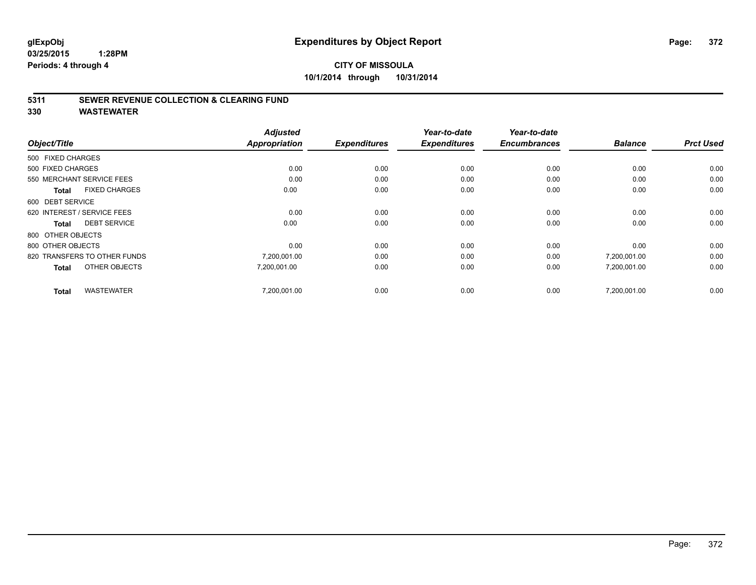# **CITY OF MISSOULA 10/1/2014 through 10/31/2014**

### **5311 SEWER REVENUE COLLECTION & CLEARING FUND**

|                                      | <b>Adjusted</b><br><b>Appropriation</b> |                     | Year-to-date        | Year-to-date<br><b>Encumbrances</b> | <b>Balance</b> | <b>Prct Used</b> |
|--------------------------------------|-----------------------------------------|---------------------|---------------------|-------------------------------------|----------------|------------------|
| Object/Title                         |                                         | <b>Expenditures</b> | <b>Expenditures</b> |                                     |                |                  |
| 500 FIXED CHARGES                    |                                         |                     |                     |                                     |                |                  |
| 500 FIXED CHARGES                    | 0.00                                    | 0.00                | 0.00                | 0.00                                | 0.00           | 0.00             |
| 550 MERCHANT SERVICE FEES            | 0.00                                    | 0.00                | 0.00                | 0.00                                | 0.00           | 0.00             |
| <b>FIXED CHARGES</b><br><b>Total</b> | 0.00                                    | 0.00                | 0.00                | 0.00                                | 0.00           | 0.00             |
| 600 DEBT SERVICE                     |                                         |                     |                     |                                     |                |                  |
| 620 INTEREST / SERVICE FEES          | 0.00                                    | 0.00                | 0.00                | 0.00                                | 0.00           | 0.00             |
| <b>DEBT SERVICE</b><br><b>Total</b>  | 0.00                                    | 0.00                | 0.00                | 0.00                                | 0.00           | 0.00             |
| 800 OTHER OBJECTS                    |                                         |                     |                     |                                     |                |                  |
| 800 OTHER OBJECTS                    | 0.00                                    | 0.00                | 0.00                | 0.00                                | 0.00           | 0.00             |
| 820 TRANSFERS TO OTHER FUNDS         | 7,200,001.00                            | 0.00                | 0.00                | 0.00                                | 7,200,001.00   | 0.00             |
| OTHER OBJECTS<br><b>Total</b>        | 7,200,001.00                            | 0.00                | 0.00                | 0.00                                | 7,200,001.00   | 0.00             |
| <b>WASTEWATER</b><br><b>Total</b>    | 7,200,001.00                            | 0.00                | 0.00                | 0.00                                | 7,200,001.00   | 0.00             |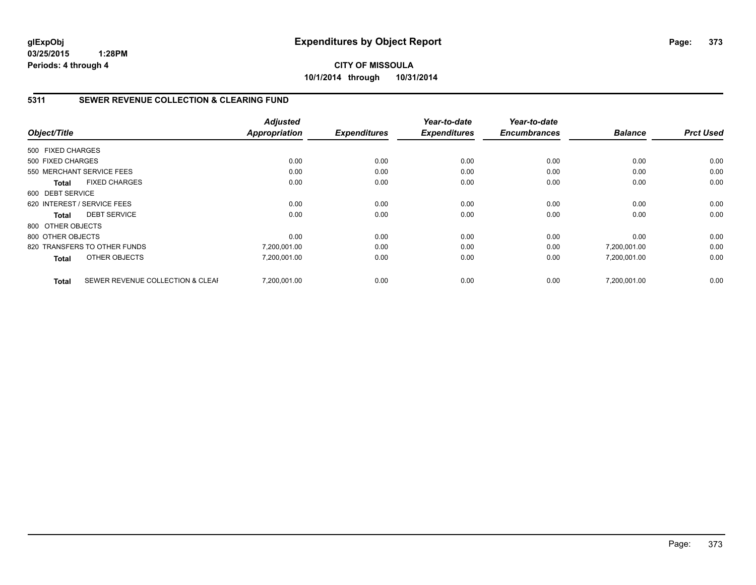# **5311 SEWER REVENUE COLLECTION & CLEARING FUND**

|                   |                                  | <b>Adjusted</b> |                     | Year-to-date        | Year-to-date        |                |                  |
|-------------------|----------------------------------|-----------------|---------------------|---------------------|---------------------|----------------|------------------|
| Object/Title      |                                  | Appropriation   | <b>Expenditures</b> | <b>Expenditures</b> | <b>Encumbrances</b> | <b>Balance</b> | <b>Prct Used</b> |
| 500 FIXED CHARGES |                                  |                 |                     |                     |                     |                |                  |
| 500 FIXED CHARGES |                                  | 0.00            | 0.00                | 0.00                | 0.00                | 0.00           | 0.00             |
|                   | 550 MERCHANT SERVICE FEES        | 0.00            | 0.00                | 0.00                | 0.00                | 0.00           | 0.00             |
| <b>Total</b>      | <b>FIXED CHARGES</b>             | 0.00            | 0.00                | 0.00                | 0.00                | 0.00           | 0.00             |
| 600 DEBT SERVICE  |                                  |                 |                     |                     |                     |                |                  |
|                   | 620 INTEREST / SERVICE FEES      | 0.00            | 0.00                | 0.00                | 0.00                | 0.00           | 0.00             |
| Total             | <b>DEBT SERVICE</b>              | 0.00            | 0.00                | 0.00                | 0.00                | 0.00           | 0.00             |
| 800 OTHER OBJECTS |                                  |                 |                     |                     |                     |                |                  |
| 800 OTHER OBJECTS |                                  | 0.00            | 0.00                | 0.00                | 0.00                | 0.00           | 0.00             |
|                   | 820 TRANSFERS TO OTHER FUNDS     | 7,200,001.00    | 0.00                | 0.00                | 0.00                | 7,200,001.00   | 0.00             |
| <b>Total</b>      | OTHER OBJECTS                    | 7,200,001.00    | 0.00                | 0.00                | 0.00                | 7,200,001.00   | 0.00             |
| <b>Total</b>      | SEWER REVENUE COLLECTION & CLEAF | 7.200.001.00    | 0.00                | 0.00                | 0.00                | 7.200.001.00   | 0.00             |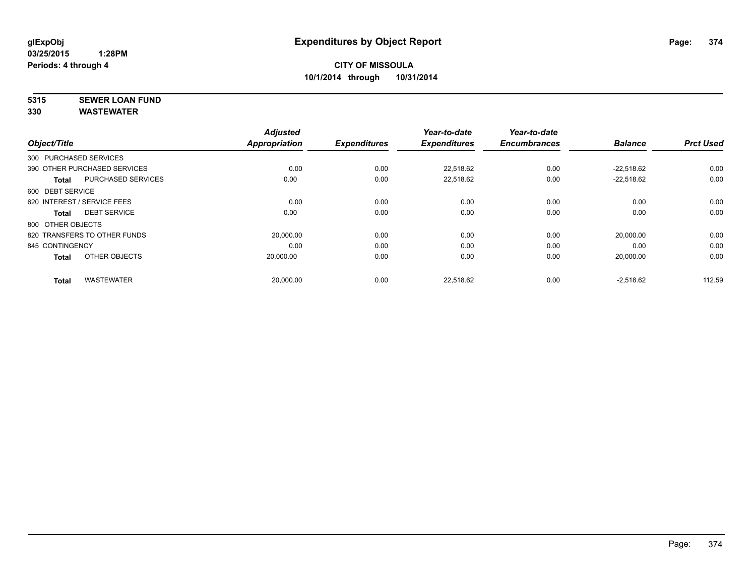# **5315 SEWER LOAN FUND**

|                        |                              | <b>Adjusted</b>      |                     | Year-to-date        | Year-to-date<br><b>Encumbrances</b> |                | <b>Prct Used</b> |
|------------------------|------------------------------|----------------------|---------------------|---------------------|-------------------------------------|----------------|------------------|
| Object/Title           |                              | <b>Appropriation</b> | <b>Expenditures</b> | <b>Expenditures</b> |                                     | <b>Balance</b> |                  |
| 300 PURCHASED SERVICES |                              |                      |                     |                     |                                     |                |                  |
|                        | 390 OTHER PURCHASED SERVICES | 0.00                 | 0.00                | 22.518.62           | 0.00                                | $-22.518.62$   | 0.00             |
| <b>Total</b>           | <b>PURCHASED SERVICES</b>    | 0.00                 | 0.00                | 22,518.62           | 0.00                                | $-22,518.62$   | 0.00             |
| 600 DEBT SERVICE       |                              |                      |                     |                     |                                     |                |                  |
|                        | 620 INTEREST / SERVICE FEES  | 0.00                 | 0.00                | 0.00                | 0.00                                | 0.00           | 0.00             |
| Total                  | <b>DEBT SERVICE</b>          | 0.00                 | 0.00                | 0.00                | 0.00                                | 0.00           | 0.00             |
| 800 OTHER OBJECTS      |                              |                      |                     |                     |                                     |                |                  |
|                        | 820 TRANSFERS TO OTHER FUNDS | 20,000.00            | 0.00                | 0.00                | 0.00                                | 20,000.00      | 0.00             |
| 845 CONTINGENCY        |                              | 0.00                 | 0.00                | 0.00                | 0.00                                | 0.00           | 0.00             |
| <b>Total</b>           | OTHER OBJECTS                | 20,000.00            | 0.00                | 0.00                | 0.00                                | 20,000.00      | 0.00             |
| <b>Total</b>           | <b>WASTEWATER</b>            | 20,000.00            | 0.00                | 22,518.62           | 0.00                                | $-2,518.62$    | 112.59           |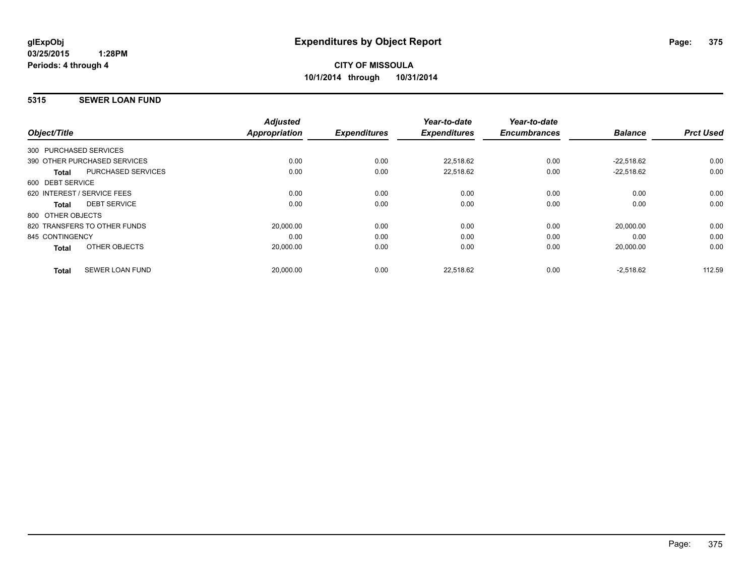### **5315 SEWER LOAN FUND**

| Object/Title           |                              | <b>Adjusted</b><br><b>Appropriation</b> | <b>Expenditures</b> | Year-to-date<br><b>Expenditures</b> | Year-to-date<br><b>Encumbrances</b> | <b>Balance</b> | <b>Prct Used</b> |
|------------------------|------------------------------|-----------------------------------------|---------------------|-------------------------------------|-------------------------------------|----------------|------------------|
| 300 PURCHASED SERVICES |                              |                                         |                     |                                     |                                     |                |                  |
|                        | 390 OTHER PURCHASED SERVICES | 0.00                                    | 0.00                | 22,518.62                           | 0.00                                | $-22.518.62$   | 0.00             |
| <b>Total</b>           | <b>PURCHASED SERVICES</b>    | 0.00                                    | 0.00                | 22,518.62                           | 0.00                                | $-22.518.62$   | 0.00             |
| 600 DEBT SERVICE       |                              |                                         |                     |                                     |                                     |                |                  |
|                        | 620 INTEREST / SERVICE FEES  | 0.00                                    | 0.00                | 0.00                                | 0.00                                | 0.00           | 0.00             |
| Total                  | <b>DEBT SERVICE</b>          | 0.00                                    | 0.00                | 0.00                                | 0.00                                | 0.00           | 0.00             |
| 800 OTHER OBJECTS      |                              |                                         |                     |                                     |                                     |                |                  |
|                        | 820 TRANSFERS TO OTHER FUNDS | 20,000.00                               | 0.00                | 0.00                                | 0.00                                | 20,000.00      | 0.00             |
| 845 CONTINGENCY        |                              | 0.00                                    | 0.00                | 0.00                                | 0.00                                | 0.00           | 0.00             |
| <b>Total</b>           | OTHER OBJECTS                | 20,000.00                               | 0.00                | 0.00                                | 0.00                                | 20,000.00      | 0.00             |
| <b>Total</b>           | <b>SEWER LOAN FUND</b>       | 20,000.00                               | 0.00                | 22.518.62                           | 0.00                                | $-2,518.62$    | 112.59           |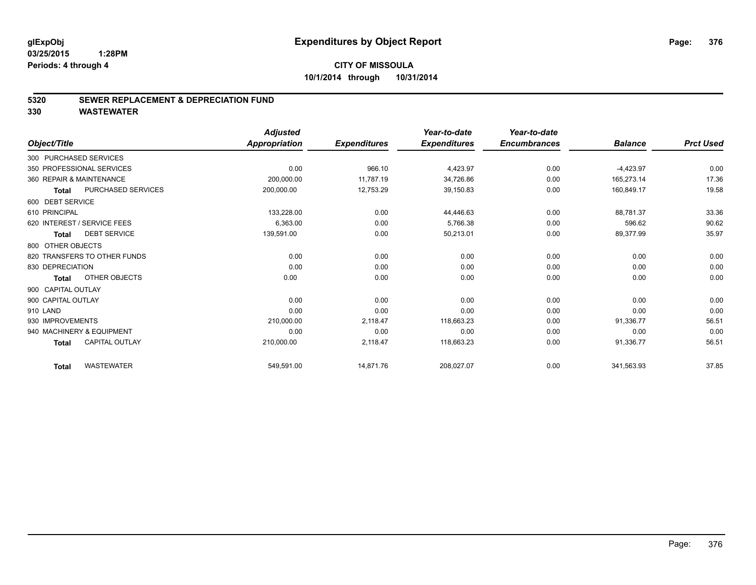### **5320 SEWER REPLACEMENT & DEPRECIATION FUND**

|                                       | <b>Adjusted</b>      |                     | Year-to-date        | Year-to-date        |                |                  |
|---------------------------------------|----------------------|---------------------|---------------------|---------------------|----------------|------------------|
| Object/Title                          | <b>Appropriation</b> | <b>Expenditures</b> | <b>Expenditures</b> | <b>Encumbrances</b> | <b>Balance</b> | <b>Prct Used</b> |
| 300 PURCHASED SERVICES                |                      |                     |                     |                     |                |                  |
| 350 PROFESSIONAL SERVICES             | 0.00                 | 966.10              | 4,423.97            | 0.00                | $-4,423.97$    | 0.00             |
| 360 REPAIR & MAINTENANCE              | 200,000.00           | 11,787.19           | 34,726.86           | 0.00                | 165,273.14     | 17.36            |
| PURCHASED SERVICES<br><b>Total</b>    | 200,000.00           | 12,753.29           | 39,150.83           | 0.00                | 160,849.17     | 19.58            |
| 600 DEBT SERVICE                      |                      |                     |                     |                     |                |                  |
| 610 PRINCIPAL                         | 133,228.00           | 0.00                | 44,446.63           | 0.00                | 88.781.37      | 33.36            |
| 620 INTEREST / SERVICE FEES           | 6,363.00             | 0.00                | 5,766.38            | 0.00                | 596.62         | 90.62            |
| <b>DEBT SERVICE</b><br><b>Total</b>   | 139,591.00           | 0.00                | 50,213.01           | 0.00                | 89,377.99      | 35.97            |
| 800 OTHER OBJECTS                     |                      |                     |                     |                     |                |                  |
| 820 TRANSFERS TO OTHER FUNDS          | 0.00                 | 0.00                | 0.00                | 0.00                | 0.00           | 0.00             |
| 830 DEPRECIATION                      | 0.00                 | 0.00                | 0.00                | 0.00                | 0.00           | 0.00             |
| OTHER OBJECTS<br><b>Total</b>         | 0.00                 | 0.00                | 0.00                | 0.00                | 0.00           | 0.00             |
| 900 CAPITAL OUTLAY                    |                      |                     |                     |                     |                |                  |
| 900 CAPITAL OUTLAY                    | 0.00                 | 0.00                | 0.00                | 0.00                | 0.00           | 0.00             |
| 910 LAND                              | 0.00                 | 0.00                | 0.00                | 0.00                | 0.00           | 0.00             |
| 930 IMPROVEMENTS                      | 210,000.00           | 2,118.47            | 118,663.23          | 0.00                | 91,336.77      | 56.51            |
| 940 MACHINERY & EQUIPMENT             | 0.00                 | 0.00                | 0.00                | 0.00                | 0.00           | 0.00             |
| <b>CAPITAL OUTLAY</b><br><b>Total</b> | 210,000.00           | 2,118.47            | 118,663.23          | 0.00                | 91,336.77      | 56.51            |
| <b>WASTEWATER</b><br><b>Total</b>     | 549,591.00           | 14,871.76           | 208,027.07          | 0.00                | 341,563.93     | 37.85            |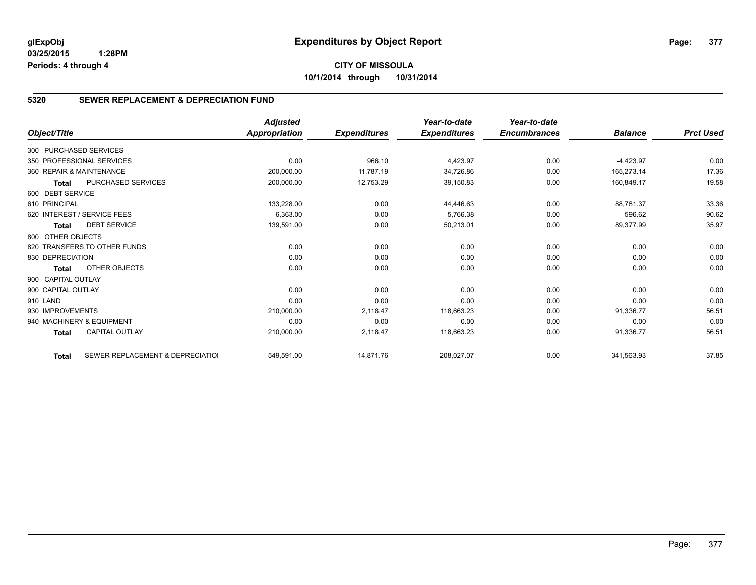# **CITY OF MISSOULA 10/1/2014 through 10/31/2014**

# **5320 SEWER REPLACEMENT & DEPRECIATION FUND**

| Object/Title           |                                  | <b>Adjusted</b><br><b>Appropriation</b> | <b>Expenditures</b> | Year-to-date<br><b>Expenditures</b> | Year-to-date<br><b>Encumbrances</b> | <b>Balance</b> | <b>Prct Used</b> |
|------------------------|----------------------------------|-----------------------------------------|---------------------|-------------------------------------|-------------------------------------|----------------|------------------|
|                        |                                  |                                         |                     |                                     |                                     |                |                  |
| 300 PURCHASED SERVICES |                                  |                                         |                     |                                     |                                     |                |                  |
|                        | 350 PROFESSIONAL SERVICES        | 0.00                                    | 966.10              | 4,423.97                            | 0.00                                | $-4,423.97$    | 0.00             |
|                        | 360 REPAIR & MAINTENANCE         | 200,000.00                              | 11,787.19           | 34,726.86                           | 0.00                                | 165.273.14     | 17.36            |
| <b>Total</b>           | PURCHASED SERVICES               | 200,000.00                              | 12,753.29           | 39,150.83                           | 0.00                                | 160,849.17     | 19.58            |
| 600 DEBT SERVICE       |                                  |                                         |                     |                                     |                                     |                |                  |
| 610 PRINCIPAL          |                                  | 133,228.00                              | 0.00                | 44,446.63                           | 0.00                                | 88,781.37      | 33.36            |
|                        | 620 INTEREST / SERVICE FEES      | 6,363.00                                | 0.00                | 5.766.38                            | 0.00                                | 596.62         | 90.62            |
| <b>Total</b>           | <b>DEBT SERVICE</b>              | 139,591.00                              | 0.00                | 50,213.01                           | 0.00                                | 89,377.99      | 35.97            |
| 800 OTHER OBJECTS      |                                  |                                         |                     |                                     |                                     |                |                  |
|                        | 820 TRANSFERS TO OTHER FUNDS     | 0.00                                    | 0.00                | 0.00                                | 0.00                                | 0.00           | 0.00             |
| 830 DEPRECIATION       |                                  | 0.00                                    | 0.00                | 0.00                                | 0.00                                | 0.00           | 0.00             |
| <b>Total</b>           | OTHER OBJECTS                    | 0.00                                    | 0.00                | 0.00                                | 0.00                                | 0.00           | 0.00             |
| 900 CAPITAL OUTLAY     |                                  |                                         |                     |                                     |                                     |                |                  |
| 900 CAPITAL OUTLAY     |                                  | 0.00                                    | 0.00                | 0.00                                | 0.00                                | 0.00           | 0.00             |
| 910 LAND               |                                  | 0.00                                    | 0.00                | 0.00                                | 0.00                                | 0.00           | 0.00             |
| 930 IMPROVEMENTS       |                                  | 210,000.00                              | 2,118.47            | 118,663.23                          | 0.00                                | 91.336.77      | 56.51            |
|                        | 940 MACHINERY & EQUIPMENT        | 0.00                                    | 0.00                | 0.00                                | 0.00                                | 0.00           | 0.00             |
| <b>Total</b>           | <b>CAPITAL OUTLAY</b>            | 210,000.00                              | 2,118.47            | 118,663.23                          | 0.00                                | 91,336.77      | 56.51            |
| <b>Total</b>           | SEWER REPLACEMENT & DEPRECIATION | 549,591.00                              | 14,871.76           | 208,027.07                          | 0.00                                | 341,563.93     | 37.85            |

Page: 377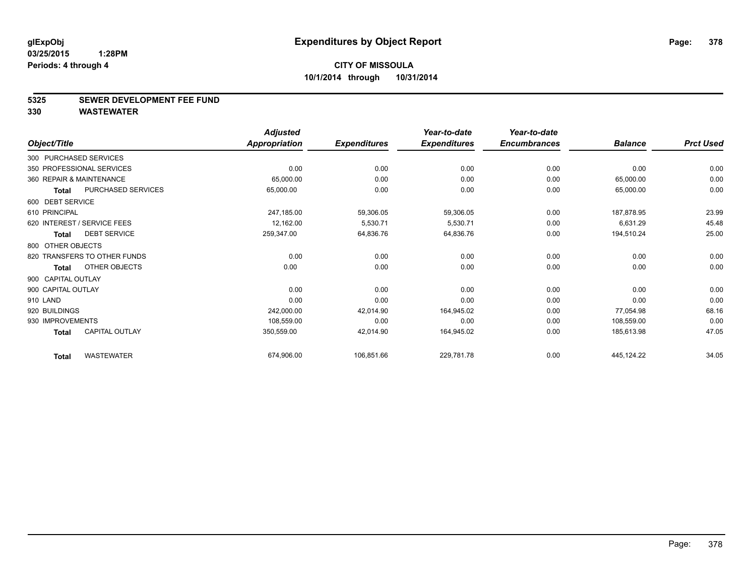#### **5325 SEWER DEVELOPMENT FEE FUND**

|                    |                              | <b>Adjusted</b>      |                     | Year-to-date        | Year-to-date        |                |                  |
|--------------------|------------------------------|----------------------|---------------------|---------------------|---------------------|----------------|------------------|
| Object/Title       |                              | <b>Appropriation</b> | <b>Expenditures</b> | <b>Expenditures</b> | <b>Encumbrances</b> | <b>Balance</b> | <b>Prct Used</b> |
|                    | 300 PURCHASED SERVICES       |                      |                     |                     |                     |                |                  |
|                    | 350 PROFESSIONAL SERVICES    | 0.00                 | 0.00                | 0.00                | 0.00                | 0.00           | 0.00             |
|                    | 360 REPAIR & MAINTENANCE     | 65,000.00            | 0.00                | 0.00                | 0.00                | 65,000.00      | 0.00             |
| <b>Total</b>       | PURCHASED SERVICES           | 65,000.00            | 0.00                | 0.00                | 0.00                | 65,000.00      | 0.00             |
| 600 DEBT SERVICE   |                              |                      |                     |                     |                     |                |                  |
| 610 PRINCIPAL      |                              | 247,185.00           | 59,306.05           | 59,306.05           | 0.00                | 187,878.95     | 23.99            |
|                    | 620 INTEREST / SERVICE FEES  | 12,162.00            | 5,530.71            | 5,530.71            | 0.00                | 6,631.29       | 45.48            |
| <b>Total</b>       | <b>DEBT SERVICE</b>          | 259,347.00           | 64,836.76           | 64,836.76           | 0.00                | 194,510.24     | 25.00            |
| 800 OTHER OBJECTS  |                              |                      |                     |                     |                     |                |                  |
|                    | 820 TRANSFERS TO OTHER FUNDS | 0.00                 | 0.00                | 0.00                | 0.00                | 0.00           | 0.00             |
| <b>Total</b>       | OTHER OBJECTS                | 0.00                 | 0.00                | 0.00                | 0.00                | 0.00           | 0.00             |
| 900 CAPITAL OUTLAY |                              |                      |                     |                     |                     |                |                  |
| 900 CAPITAL OUTLAY |                              | 0.00                 | 0.00                | 0.00                | 0.00                | 0.00           | 0.00             |
| 910 LAND           |                              | 0.00                 | 0.00                | 0.00                | 0.00                | 0.00           | 0.00             |
| 920 BUILDINGS      |                              | 242,000.00           | 42,014.90           | 164,945.02          | 0.00                | 77,054.98      | 68.16            |
| 930 IMPROVEMENTS   |                              | 108,559.00           | 0.00                | 0.00                | 0.00                | 108,559.00     | 0.00             |
| <b>Total</b>       | <b>CAPITAL OUTLAY</b>        | 350,559.00           | 42,014.90           | 164,945.02          | 0.00                | 185,613.98     | 47.05            |
| <b>Total</b>       | <b>WASTEWATER</b>            | 674,906.00           | 106,851.66          | 229,781.78          | 0.00                | 445,124.22     | 34.05            |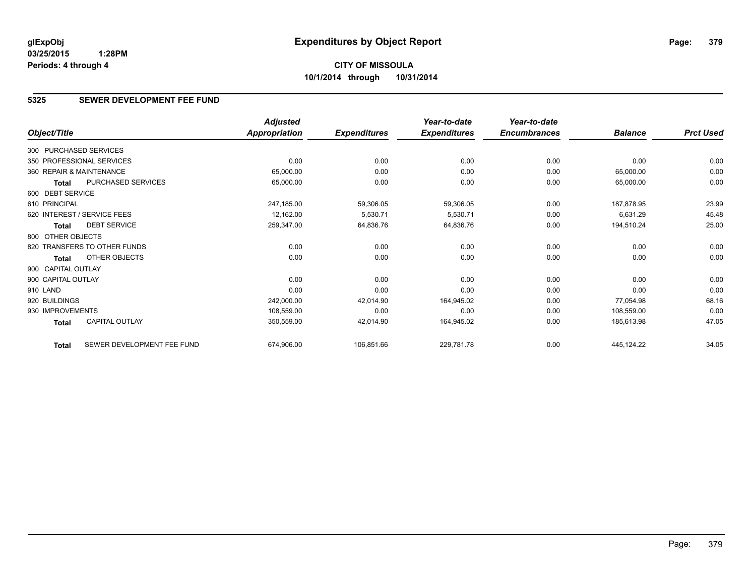# **5325 SEWER DEVELOPMENT FEE FUND**

|                          |                              | <b>Adjusted</b> |                     | Year-to-date        | Year-to-date        |                |                  |
|--------------------------|------------------------------|-----------------|---------------------|---------------------|---------------------|----------------|------------------|
| Object/Title             |                              | Appropriation   | <b>Expenditures</b> | <b>Expenditures</b> | <b>Encumbrances</b> | <b>Balance</b> | <b>Prct Used</b> |
| 300 PURCHASED SERVICES   |                              |                 |                     |                     |                     |                |                  |
|                          | 350 PROFESSIONAL SERVICES    | 0.00            | 0.00                | 0.00                | 0.00                | 0.00           | 0.00             |
| 360 REPAIR & MAINTENANCE |                              | 65,000.00       | 0.00                | 0.00                | 0.00                | 65,000.00      | 0.00             |
| Total                    | PURCHASED SERVICES           | 65,000.00       | 0.00                | 0.00                | 0.00                | 65,000.00      | 0.00             |
| 600 DEBT SERVICE         |                              |                 |                     |                     |                     |                |                  |
| 610 PRINCIPAL            |                              | 247,185.00      | 59,306.05           | 59,306.05           | 0.00                | 187,878.95     | 23.99            |
|                          | 620 INTEREST / SERVICE FEES  | 12,162.00       | 5,530.71            | 5,530.71            | 0.00                | 6,631.29       | 45.48            |
| Total                    | <b>DEBT SERVICE</b>          | 259,347.00      | 64,836.76           | 64,836.76           | 0.00                | 194,510.24     | 25.00            |
| 800 OTHER OBJECTS        |                              |                 |                     |                     |                     |                |                  |
|                          | 820 TRANSFERS TO OTHER FUNDS | 0.00            | 0.00                | 0.00                | 0.00                | 0.00           | 0.00             |
| Total                    | OTHER OBJECTS                | 0.00            | 0.00                | 0.00                | 0.00                | 0.00           | 0.00             |
| 900 CAPITAL OUTLAY       |                              |                 |                     |                     |                     |                |                  |
| 900 CAPITAL OUTLAY       |                              | 0.00            | 0.00                | 0.00                | 0.00                | 0.00           | 0.00             |
| 910 LAND                 |                              | 0.00            | 0.00                | 0.00                | 0.00                | 0.00           | 0.00             |
| 920 BUILDINGS            |                              | 242,000.00      | 42,014.90           | 164,945.02          | 0.00                | 77,054.98      | 68.16            |
| 930 IMPROVEMENTS         |                              | 108,559.00      | 0.00                | 0.00                | 0.00                | 108,559.00     | 0.00             |
| Total                    | <b>CAPITAL OUTLAY</b>        | 350,559.00      | 42,014.90           | 164,945.02          | 0.00                | 185,613.98     | 47.05            |
| <b>Total</b>             | SEWER DEVELOPMENT FEE FUND   | 674,906.00      | 106,851.66          | 229,781.78          | 0.00                | 445,124.22     | 34.05            |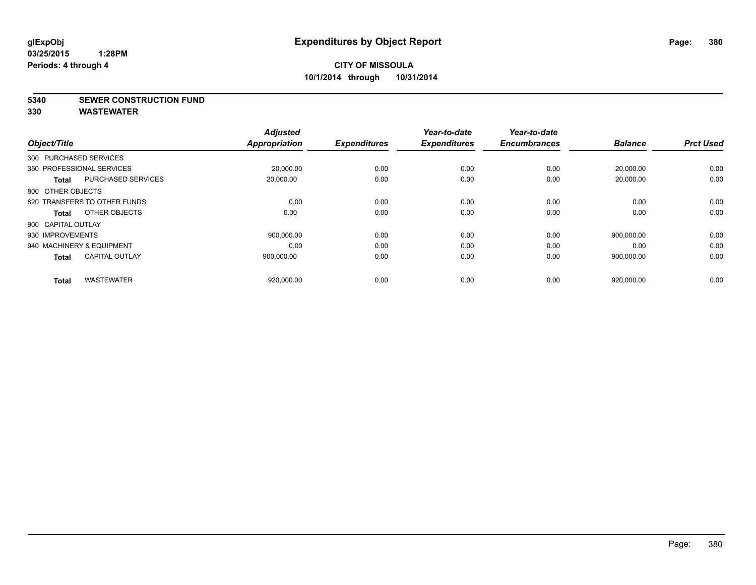**5340 SEWER CONSTRUCTION FUND**

| Object/Title              |                              | <b>Adjusted</b><br><b>Appropriation</b> | <b>Expenditures</b> | Year-to-date<br><b>Expenditures</b> | Year-to-date<br><b>Encumbrances</b> | <b>Balance</b> | <b>Prct Used</b> |
|---------------------------|------------------------------|-----------------------------------------|---------------------|-------------------------------------|-------------------------------------|----------------|------------------|
| 300 PURCHASED SERVICES    |                              |                                         |                     |                                     |                                     |                |                  |
| 350 PROFESSIONAL SERVICES |                              |                                         |                     |                                     |                                     |                |                  |
|                           |                              | 20,000.00                               | 0.00                | 0.00                                | 0.00                                | 20,000.00      | 0.00             |
| <b>Total</b>              | <b>PURCHASED SERVICES</b>    | 20,000.00                               | 0.00                | 0.00                                | 0.00                                | 20,000.00      | 0.00             |
| 800 OTHER OBJECTS         |                              |                                         |                     |                                     |                                     |                |                  |
|                           | 820 TRANSFERS TO OTHER FUNDS | 0.00                                    | 0.00                | 0.00                                | 0.00                                | 0.00           | 0.00             |
| Total                     | OTHER OBJECTS                | 0.00                                    | 0.00                | 0.00                                | 0.00                                | 0.00           | 0.00             |
| 900 CAPITAL OUTLAY        |                              |                                         |                     |                                     |                                     |                |                  |
| 930 IMPROVEMENTS          |                              | 900,000.00                              | 0.00                | 0.00                                | 0.00                                | 900.000.00     | 0.00             |
| 940 MACHINERY & EQUIPMENT |                              | 0.00                                    | 0.00                | 0.00                                | 0.00                                | 0.00           | 0.00             |
| <b>Total</b>              | <b>CAPITAL OUTLAY</b>        | 900,000.00                              | 0.00                | 0.00                                | 0.00                                | 900,000.00     | 0.00             |
|                           |                              |                                         |                     |                                     |                                     |                |                  |
| <b>Total</b>              | <b>WASTEWATER</b>            | 920,000.00                              | 0.00                | 0.00                                | 0.00                                | 920,000.00     | 0.00             |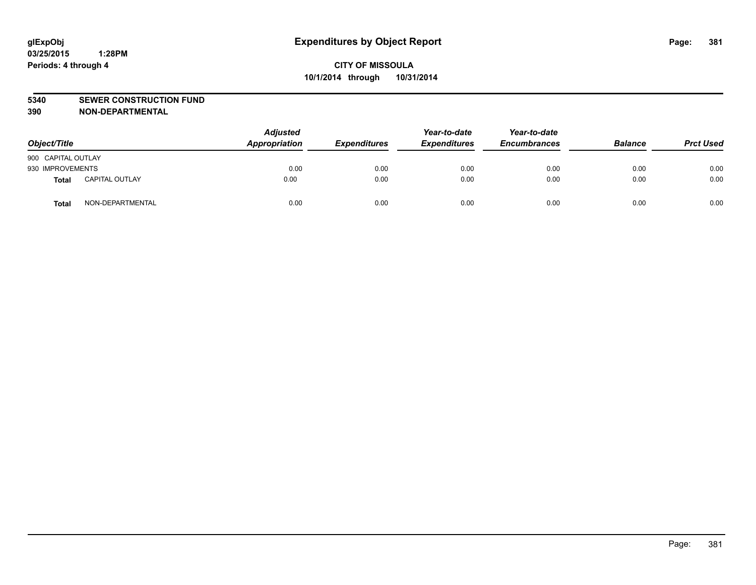### **5340 SEWER CONSTRUCTION FUND**

**390 NON-DEPARTMENTAL**

| Object/Title       |                       | <b>Adjusted</b><br>Appropriation | <b>Expenditures</b> | Year-to-date<br><b>Expenditures</b> | Year-to-date<br><b>Encumbrances</b> | <b>Balance</b> | <b>Prct Used</b> |
|--------------------|-----------------------|----------------------------------|---------------------|-------------------------------------|-------------------------------------|----------------|------------------|
| 900 CAPITAL OUTLAY |                       |                                  |                     |                                     |                                     |                |                  |
| 930 IMPROVEMENTS   |                       | 0.00                             | 0.00                | 0.00                                | 0.00                                | 0.00           | 0.00             |
| <b>Total</b>       | <b>CAPITAL OUTLAY</b> | 0.00                             | 0.00                | 0.00                                | 0.00                                | 0.00           | 0.00             |
| Total              | NON-DEPARTMENTAL      | 0.00                             | 0.00                | 0.00                                | 0.00                                | 0.00           | 0.00             |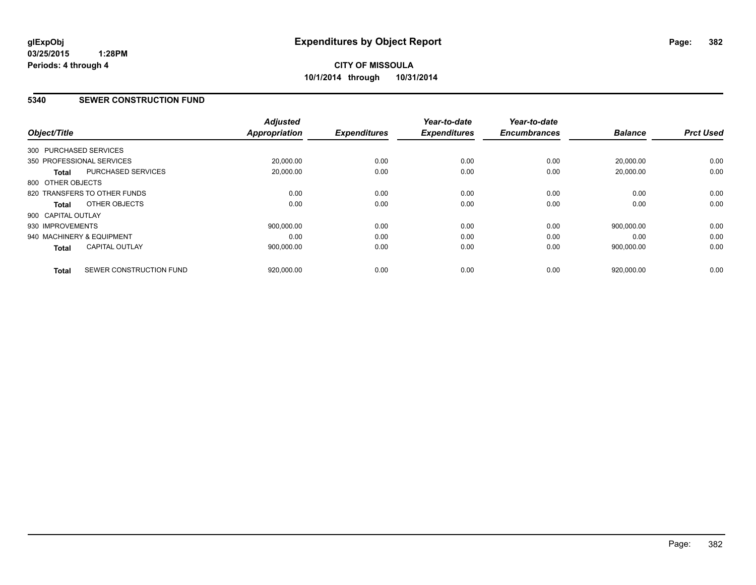### **5340 SEWER CONSTRUCTION FUND**

| Object/Title           |                              | <b>Adjusted</b><br><b>Appropriation</b> | <b>Expenditures</b> | Year-to-date<br><b>Expenditures</b> | Year-to-date<br><b>Encumbrances</b> | <b>Balance</b> | <b>Prct Used</b> |
|------------------------|------------------------------|-----------------------------------------|---------------------|-------------------------------------|-------------------------------------|----------------|------------------|
| 300 PURCHASED SERVICES |                              |                                         |                     |                                     |                                     |                |                  |
|                        | 350 PROFESSIONAL SERVICES    | 20,000.00                               | 0.00                | 0.00                                | 0.00                                | 20,000.00      | 0.00             |
| <b>Total</b>           | <b>PURCHASED SERVICES</b>    | 20.000.00                               | 0.00                | 0.00                                | 0.00                                | 20.000.00      | 0.00             |
| 800 OTHER OBJECTS      |                              |                                         |                     |                                     |                                     |                |                  |
|                        | 820 TRANSFERS TO OTHER FUNDS | 0.00                                    | 0.00                | 0.00                                | 0.00                                | 0.00           | 0.00             |
| Total                  | OTHER OBJECTS                | 0.00                                    | 0.00                | 0.00                                | 0.00                                | 0.00           | 0.00             |
| 900 CAPITAL OUTLAY     |                              |                                         |                     |                                     |                                     |                |                  |
| 930 IMPROVEMENTS       |                              | 900.000.00                              | 0.00                | 0.00                                | 0.00                                | 900.000.00     | 0.00             |
|                        | 940 MACHINERY & EQUIPMENT    | 0.00                                    | 0.00                | 0.00                                | 0.00                                | 0.00           | 0.00             |
| Total                  | <b>CAPITAL OUTLAY</b>        | 900,000.00                              | 0.00                | 0.00                                | 0.00                                | 900,000.00     | 0.00             |
| <b>Total</b>           | SEWER CONSTRUCTION FUND      | 920,000.00                              | 0.00                | 0.00                                | 0.00                                | 920,000.00     | 0.00             |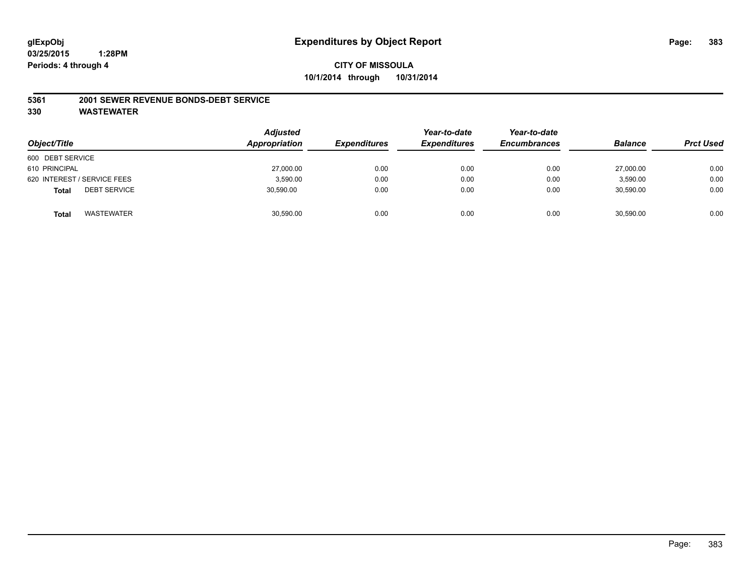#### **5361 2001 SEWER REVENUE BONDS-DEBT SERVICE**

| Object/Title                        | <b>Adjusted</b><br>Appropriation | <b>Expenditures</b> | Year-to-date<br><b>Expenditures</b> | Year-to-date<br><b>Encumbrances</b> | <b>Balance</b> | <b>Prct Used</b> |
|-------------------------------------|----------------------------------|---------------------|-------------------------------------|-------------------------------------|----------------|------------------|
| 600 DEBT SERVICE                    |                                  |                     |                                     |                                     |                |                  |
| 610 PRINCIPAL                       | 27,000.00                        | 0.00                | 0.00                                | 0.00                                | 27,000.00      | 0.00             |
| 620 INTEREST / SERVICE FEES         | 3,590.00                         | 0.00                | 0.00                                | 0.00                                | 3.590.00       | 0.00             |
| <b>DEBT SERVICE</b><br><b>Total</b> | 30,590.00                        | 0.00                | 0.00                                | 0.00                                | 30,590.00      | 0.00             |
| WASTEWATER<br><b>Total</b>          | 30,590.00                        | 0.00                | 0.00                                | 0.00                                | 30,590.00      | 0.00             |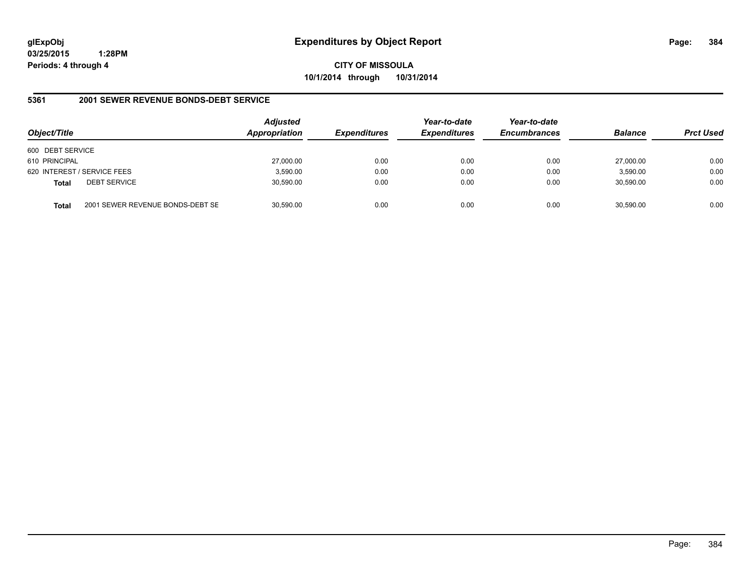**CITY OF MISSOULA 10/1/2014 through 10/31/2014**

### **5361 2001 SEWER REVENUE BONDS-DEBT SERVICE**

| Object/Title                                     | <b>Adjusted</b><br>Appropriation | <b>Expenditures</b> | Year-to-date<br><b>Expenditures</b> | Year-to-date<br><b>Encumbrances</b> | <b>Balance</b> | <b>Prct Used</b> |
|--------------------------------------------------|----------------------------------|---------------------|-------------------------------------|-------------------------------------|----------------|------------------|
| 600 DEBT SERVICE                                 |                                  |                     |                                     |                                     |                |                  |
| 610 PRINCIPAL                                    | 27,000.00                        | 0.00                | 0.00                                | 0.00                                | 27,000.00      | 0.00             |
| 620 INTEREST / SERVICE FEES                      | 3,590.00                         | 0.00                | 0.00                                | 0.00                                | 3,590.00       | 0.00             |
| <b>DEBT SERVICE</b><br><b>Total</b>              | 30,590.00                        | 0.00                | 0.00                                | 0.00                                | 30.590.00      | 0.00             |
| 2001 SEWER REVENUE BONDS-DEBT SE<br><b>Total</b> | 30,590.00                        | 0.00                | 0.00                                | 0.00                                | 30.590.00      | 0.00             |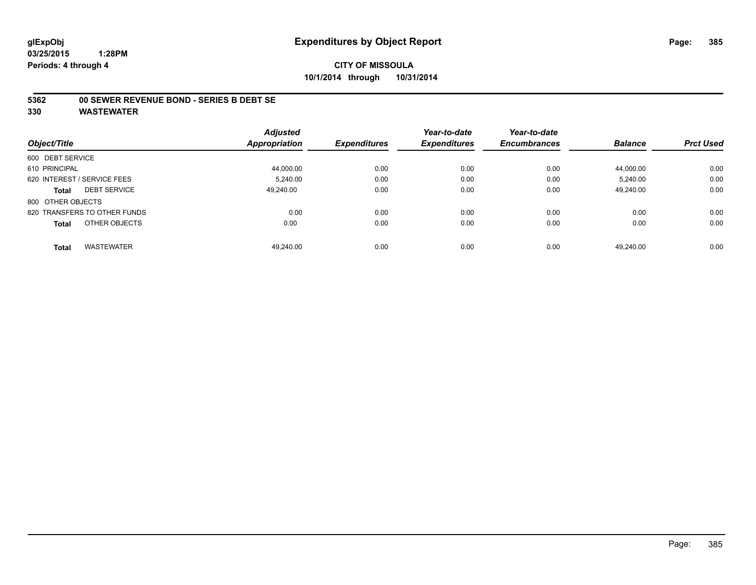### **5362 00 SEWER REVENUE BOND - SERIES B DEBT SE**

|                                     | <b>Adjusted</b>      |                     | Year-to-date        | Year-to-date        |                |                  |
|-------------------------------------|----------------------|---------------------|---------------------|---------------------|----------------|------------------|
| Object/Title                        | <b>Appropriation</b> | <b>Expenditures</b> | <b>Expenditures</b> | <b>Encumbrances</b> | <b>Balance</b> | <b>Prct Used</b> |
| 600 DEBT SERVICE                    |                      |                     |                     |                     |                |                  |
| 610 PRINCIPAL                       | 44.000.00            | 0.00                | 0.00                | 0.00                | 44.000.00      | 0.00             |
| 620 INTEREST / SERVICE FEES         | 5.240.00             | 0.00                | 0.00                | 0.00                | 5.240.00       | 0.00             |
| <b>DEBT SERVICE</b><br><b>Total</b> | 49.240.00            | 0.00                | 0.00                | 0.00                | 49.240.00      | 0.00             |
| 800 OTHER OBJECTS                   |                      |                     |                     |                     |                |                  |
| 820 TRANSFERS TO OTHER FUNDS        | 0.00                 | 0.00                | 0.00                | 0.00                | 0.00           | 0.00             |
| OTHER OBJECTS<br><b>Total</b>       | 0.00                 | 0.00                | 0.00                | 0.00                | 0.00           | 0.00             |
| <b>WASTEWATER</b><br><b>Total</b>   | 49.240.00            | 0.00                | 0.00                | 0.00                | 49.240.00      | 0.00             |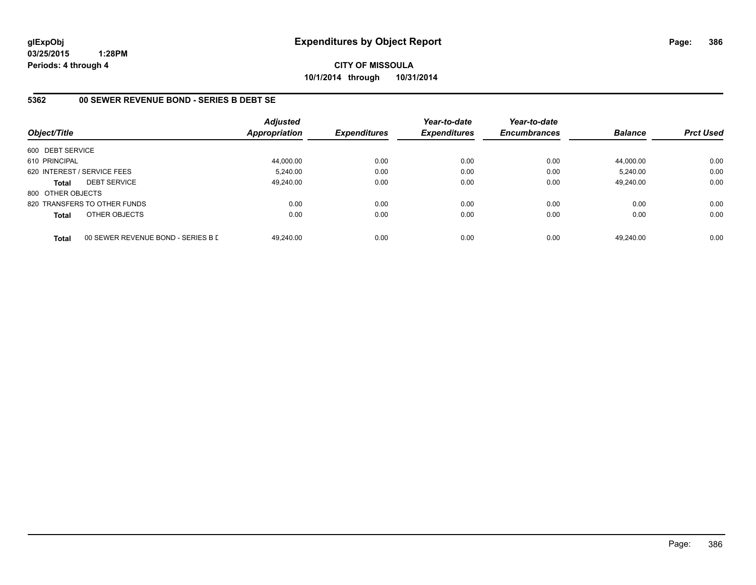**CITY OF MISSOULA 10/1/2014 through 10/31/2014**

### **5362 00 SEWER REVENUE BOND - SERIES B DEBT SE**

| Object/Title                |                                    | <b>Adjusted</b><br><b>Appropriation</b> | <b>Expenditures</b> | Year-to-date<br><b>Expenditures</b> | Year-to-date<br><b>Encumbrances</b> | <b>Balance</b> | <b>Prct Used</b> |
|-----------------------------|------------------------------------|-----------------------------------------|---------------------|-------------------------------------|-------------------------------------|----------------|------------------|
| 600 DEBT SERVICE            |                                    |                                         |                     |                                     |                                     |                |                  |
| 610 PRINCIPAL               |                                    | 44,000.00                               | 0.00                | 0.00                                | 0.00                                | 44.000.00      | 0.00             |
| 620 INTEREST / SERVICE FEES |                                    | 5,240.00                                | 0.00                | 0.00                                | 0.00                                | 5,240.00       | 0.00             |
| <b>Total</b>                | <b>DEBT SERVICE</b>                | 49.240.00                               | 0.00                | 0.00                                | 0.00                                | 49.240.00      | 0.00             |
| 800 OTHER OBJECTS           |                                    |                                         |                     |                                     |                                     |                |                  |
|                             | 820 TRANSFERS TO OTHER FUNDS       | 0.00                                    | 0.00                | 0.00                                | 0.00                                | 0.00           | 0.00             |
| <b>Total</b>                | OTHER OBJECTS                      | 0.00                                    | 0.00                | 0.00                                | 0.00                                | 0.00           | 0.00             |
| <b>Total</b>                | 00 SEWER REVENUE BOND - SERIES B D | 49.240.00                               | 0.00                | 0.00                                | 0.00                                | 49.240.00      | 0.00             |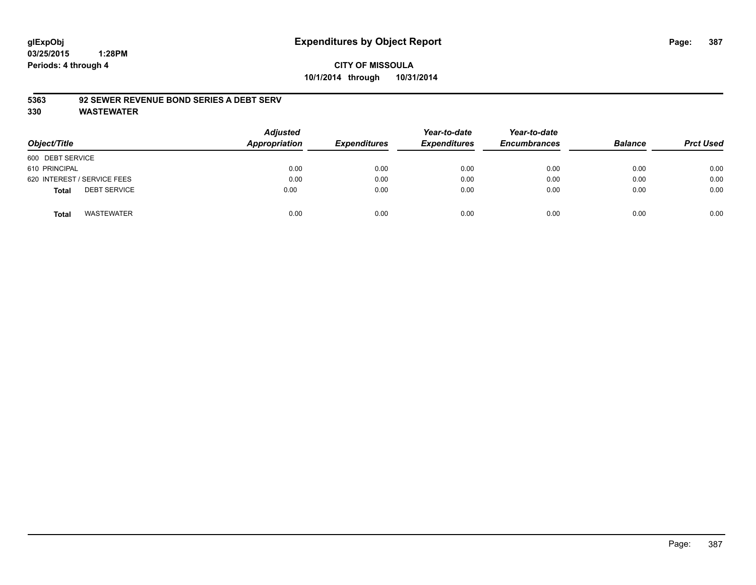# **CITY OF MISSOULA 10/1/2014 through 10/31/2014**

### **5363 92 SEWER REVENUE BOND SERIES A DEBT SERV**

| Object/Title                        | <b>Adjusted</b><br>Appropriation | <b>Expenditures</b> | Year-to-date<br><b>Expenditures</b> | Year-to-date<br><b>Encumbrances</b> | <b>Balance</b> | <b>Prct Used</b> |
|-------------------------------------|----------------------------------|---------------------|-------------------------------------|-------------------------------------|----------------|------------------|
| 600 DEBT SERVICE                    |                                  |                     |                                     |                                     |                |                  |
| 610 PRINCIPAL                       | 0.00                             | 0.00                | 0.00                                | 0.00                                | 0.00           | 0.00             |
| 620 INTEREST / SERVICE FEES         | 0.00                             | 0.00                | 0.00                                | 0.00                                | 0.00           | 0.00             |
| <b>DEBT SERVICE</b><br><b>Total</b> | 0.00                             | 0.00                | 0.00                                | 0.00                                | 0.00           | 0.00             |
| <b>WASTEWATER</b><br><b>Total</b>   | 0.00                             | 0.00                | 0.00                                | 0.00                                | 0.00           | 0.00             |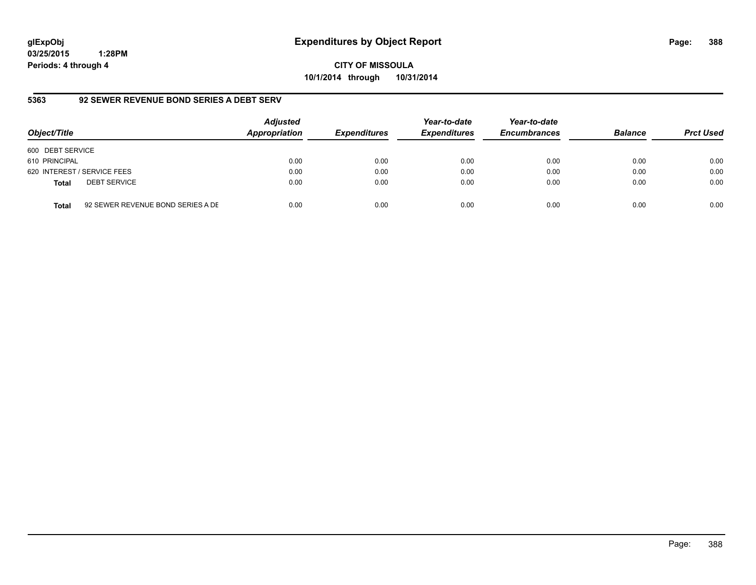**CITY OF MISSOULA 10/1/2014 through 10/31/2014**

### **5363 92 SEWER REVENUE BOND SERIES A DEBT SERV**

| Object/Title     |                                   | <b>Adjusted</b><br>Appropriation | <b>Expenditures</b> | Year-to-date<br><b>Expenditures</b> | Year-to-date<br><b>Encumbrances</b> | <b>Balance</b> | <b>Prct Used</b> |
|------------------|-----------------------------------|----------------------------------|---------------------|-------------------------------------|-------------------------------------|----------------|------------------|
| 600 DEBT SERVICE |                                   |                                  |                     |                                     |                                     |                |                  |
| 610 PRINCIPAL    |                                   | 0.00                             | 0.00                | 0.00                                | 0.00                                | 0.00           | 0.00             |
|                  | 620 INTEREST / SERVICE FEES       | 0.00                             | 0.00                | 0.00                                | 0.00                                | 0.00           | 0.00             |
| <b>Total</b>     | <b>DEBT SERVICE</b>               | 0.00                             | 0.00                | 0.00                                | 0.00                                | 0.00           | 0.00             |
| <b>Total</b>     | 92 SEWER REVENUE BOND SERIES A DE | 0.00                             | 0.00                | 0.00                                | 0.00                                | 0.00           | 0.00             |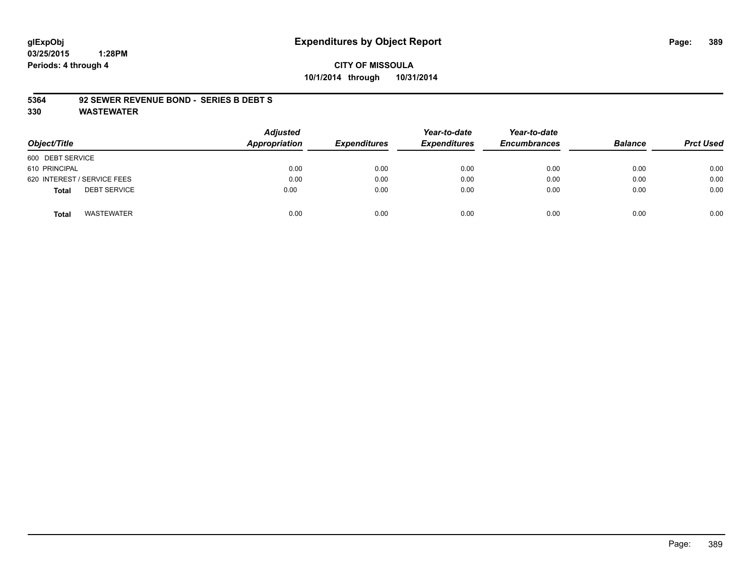# **CITY OF MISSOULA 10/1/2014 through 10/31/2014**

### **5364 92 SEWER REVENUE BOND - SERIES B DEBT S**

| Object/Title                        | <b>Adjusted</b><br>Appropriation | <b>Expenditures</b> | Year-to-date<br><b>Expenditures</b> | Year-to-date<br><b>Encumbrances</b> | <b>Balance</b> | <b>Prct Used</b> |
|-------------------------------------|----------------------------------|---------------------|-------------------------------------|-------------------------------------|----------------|------------------|
| 600 DEBT SERVICE                    |                                  |                     |                                     |                                     |                |                  |
| 610 PRINCIPAL                       | 0.00                             | 0.00                | 0.00                                | 0.00                                | 0.00           | 0.00             |
| 620 INTEREST / SERVICE FEES         | 0.00                             | 0.00                | 0.00                                | 0.00                                | 0.00           | 0.00             |
| <b>DEBT SERVICE</b><br><b>Total</b> | 0.00                             | 0.00                | 0.00                                | 0.00                                | 0.00           | 0.00             |
| <b>WASTEWATER</b><br>Total          | 0.00                             | 0.00                | 0.00                                | 0.00                                | 0.00           | 0.00             |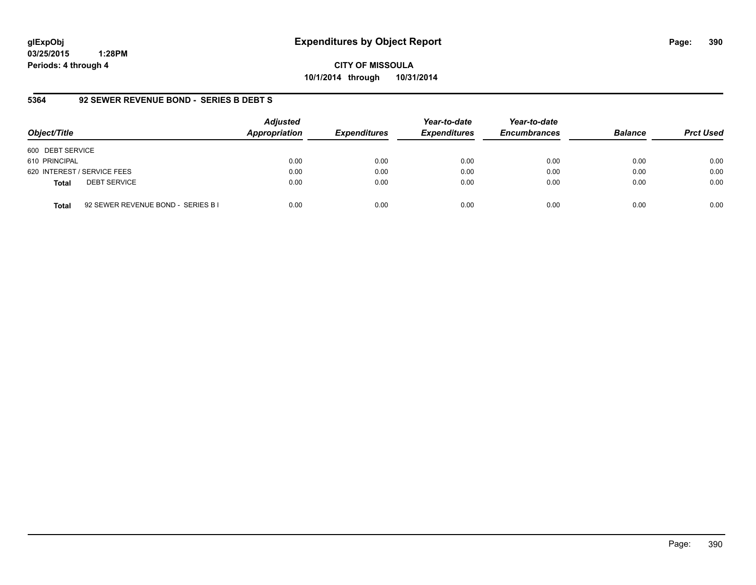**CITY OF MISSOULA 10/1/2014 through 10/31/2014**

### **5364 92 SEWER REVENUE BOND - SERIES B DEBT S**

| Object/Title                                       | <b>Adjusted</b><br>Appropriation | <b>Expenditures</b> | Year-to-date<br><b>Expenditures</b> | Year-to-date<br><b>Encumbrances</b> | <b>Balance</b> | <b>Prct Used</b> |
|----------------------------------------------------|----------------------------------|---------------------|-------------------------------------|-------------------------------------|----------------|------------------|
| 600 DEBT SERVICE                                   |                                  |                     |                                     |                                     |                |                  |
| 610 PRINCIPAL                                      | 0.00                             | 0.00                | 0.00                                | 0.00                                | 0.00           | 0.00             |
| 620 INTEREST / SERVICE FEES                        | 0.00                             | 0.00                | 0.00                                | 0.00                                | 0.00           | 0.00             |
| <b>DEBT SERVICE</b><br><b>Total</b>                | 0.00                             | 0.00                | 0.00                                | 0.00                                | 0.00           | 0.00             |
| 92 SEWER REVENUE BOND - SERIES B I<br><b>Total</b> | 0.00                             | 0.00                | 0.00                                | 0.00                                | 0.00           | 0.00             |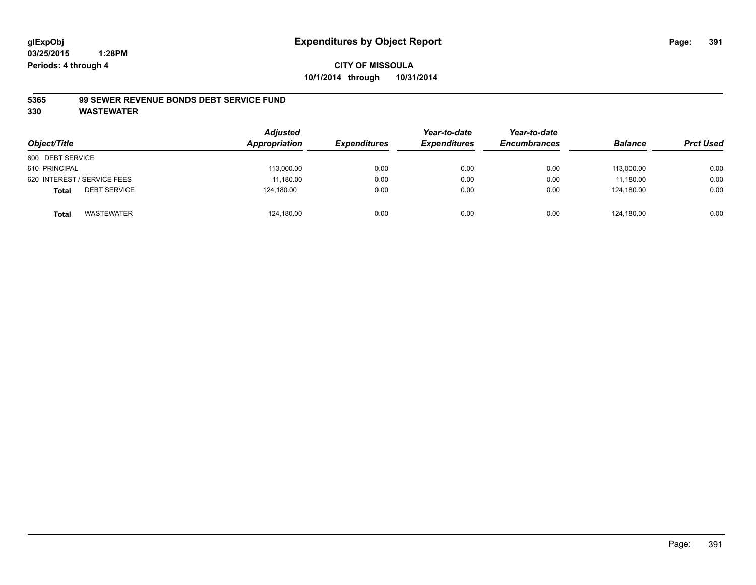### **5365 99 SEWER REVENUE BONDS DEBT SERVICE FUND**

| Object/Title                        | <b>Adjusted</b><br><b>Appropriation</b> | <b>Expenditures</b> | Year-to-date<br><b>Expenditures</b> | Year-to-date<br><b>Encumbrances</b> | <b>Balance</b> | <b>Prct Used</b> |
|-------------------------------------|-----------------------------------------|---------------------|-------------------------------------|-------------------------------------|----------------|------------------|
| 600 DEBT SERVICE                    |                                         |                     |                                     |                                     |                |                  |
| 610 PRINCIPAL                       | 113,000.00                              | 0.00                | 0.00                                | 0.00                                | 113.000.00     | 0.00             |
| 620 INTEREST / SERVICE FEES         | 11,180.00                               | 0.00                | 0.00                                | 0.00                                | 11.180.00      | 0.00             |
| <b>DEBT SERVICE</b><br><b>Total</b> | 124,180.00                              | 0.00                | 0.00                                | 0.00                                | 124.180.00     | 0.00             |
| WASTEWATER<br>Total                 | 124,180.00                              | 0.00                | 0.00                                | 0.00                                | 124.180.00     | 0.00             |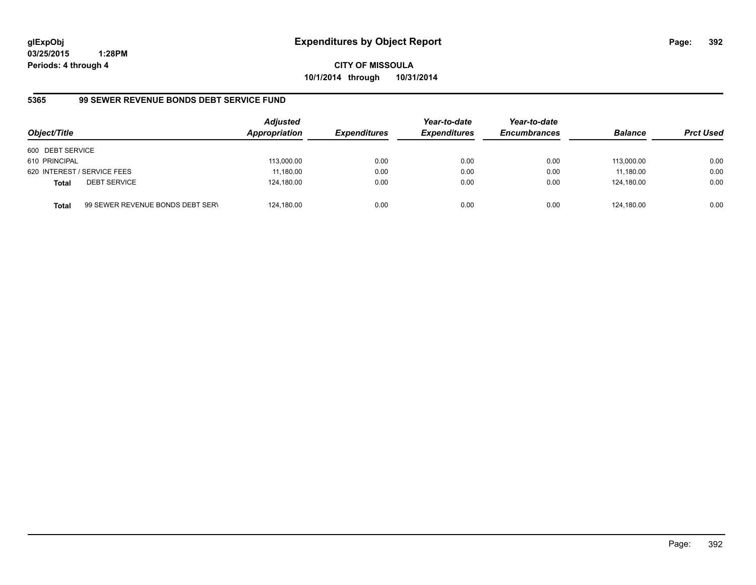**CITY OF MISSOULA 10/1/2014 through 10/31/2014**

# **5365 99 SEWER REVENUE BONDS DEBT SERVICE FUND**

| Object/Title     |                                  | <b>Adjusted</b><br>Appropriation | <b>Expenditures</b> | Year-to-date<br><b>Expenditures</b> | Year-to-date<br><b>Encumbrances</b> | <b>Balance</b> | <b>Prct Used</b> |
|------------------|----------------------------------|----------------------------------|---------------------|-------------------------------------|-------------------------------------|----------------|------------------|
| 600 DEBT SERVICE |                                  |                                  |                     |                                     |                                     |                |                  |
| 610 PRINCIPAL    |                                  | 113,000.00                       | 0.00                | 0.00                                | 0.00                                | 113.000.00     | 0.00             |
|                  | 620 INTEREST / SERVICE FEES      | 11,180.00                        | 0.00                | 0.00                                | 0.00                                | 11,180.00      | 0.00             |
| <b>Total</b>     | <b>DEBT SERVICE</b>              | 124,180.00                       | 0.00                | 0.00                                | 0.00                                | 124.180.00     | 0.00             |
| <b>Total</b>     | 99 SEWER REVENUE BONDS DEBT SERV | 124,180.00                       | 0.00                | 0.00                                | 0.00                                | 124.180.00     | 0.00             |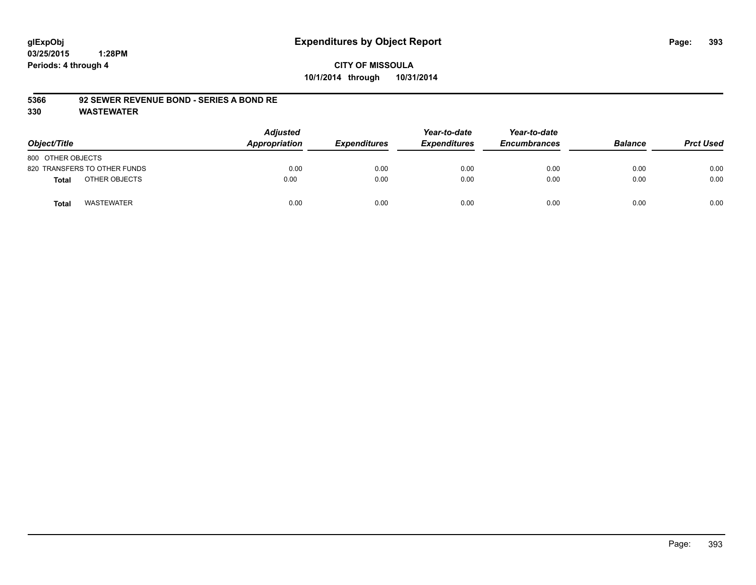# **CITY OF MISSOULA 10/1/2014 through 10/31/2014**

### **5366 92 SEWER REVENUE BOND - SERIES A BOND RE**

| Object/Title                      | <b>Adjusted</b><br>Appropriation | <b>Expenditures</b> | Year-to-date<br><b>Expenditures</b> | Year-to-date<br><b>Encumbrances</b> | <b>Balance</b> | <b>Prct Used</b> |
|-----------------------------------|----------------------------------|---------------------|-------------------------------------|-------------------------------------|----------------|------------------|
| 800 OTHER OBJECTS                 |                                  |                     |                                     |                                     |                |                  |
| 820 TRANSFERS TO OTHER FUNDS      | 0.00                             | 0.00                | 0.00                                | 0.00                                | 0.00           | 0.00             |
| OTHER OBJECTS<br>Total            | 0.00                             | 0.00                | 0.00                                | 0.00                                | 0.00           | 0.00             |
| <b>WASTEWATER</b><br><b>Total</b> | 0.00                             | 0.00                | 0.00                                | 0.00                                | 0.00           | 0.00             |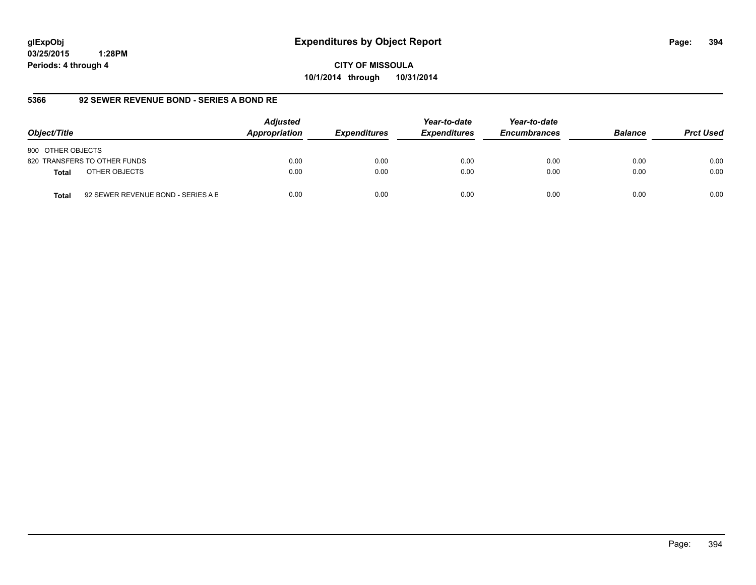**CITY OF MISSOULA 10/1/2014 through 10/31/2014**

### **5366 92 SEWER REVENUE BOND - SERIES A BOND RE**

| Object/Title                                       | <b>Adjusted</b><br>Appropriation | <b>Expenditures</b> | Year-to-date<br><b>Expenditures</b> | Year-to-date<br><b>Encumbrances</b> | <b>Balance</b> | <b>Prct Used</b> |
|----------------------------------------------------|----------------------------------|---------------------|-------------------------------------|-------------------------------------|----------------|------------------|
| 800 OTHER OBJECTS                                  |                                  |                     |                                     |                                     |                |                  |
| 820 TRANSFERS TO OTHER FUNDS                       | 0.00                             | 0.00                | 0.00                                | 0.00                                | 0.00           | 0.00             |
| OTHER OBJECTS<br><b>Total</b>                      | 0.00                             | 0.00                | 0.00                                | 0.00                                | 0.00           | 0.00             |
| 92 SEWER REVENUE BOND - SERIES A B<br><b>Total</b> | 0.00                             | 0.00                | 0.00                                | 0.00                                | 0.00           | 0.00             |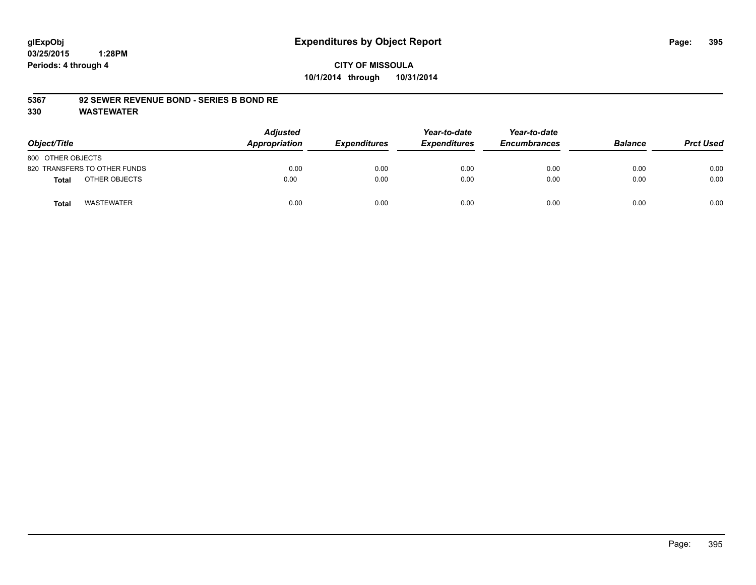# **CITY OF MISSOULA 10/1/2014 through 10/31/2014**

### **5367 92 SEWER REVENUE BOND - SERIES B BOND RE**

| Object/Title                  | <b>Adjusted</b><br>Appropriation | <b>Expenditures</b> | Year-to-date<br><b>Expenditures</b> | Year-to-date<br><b>Encumbrances</b> | <b>Balance</b> | <b>Prct Used</b> |
|-------------------------------|----------------------------------|---------------------|-------------------------------------|-------------------------------------|----------------|------------------|
| 800 OTHER OBJECTS             |                                  |                     |                                     |                                     |                |                  |
| 820 TRANSFERS TO OTHER FUNDS  | 0.00                             | 0.00                | 0.00                                | 0.00                                | 0.00           | 0.00             |
| OTHER OBJECTS<br><b>Total</b> | 0.00                             | 0.00                | 0.00                                | 0.00                                | 0.00           | 0.00             |
| WASTEWATER<br><b>Total</b>    | 0.00                             | 0.00                | 0.00                                | 0.00                                | 0.00           | 0.00             |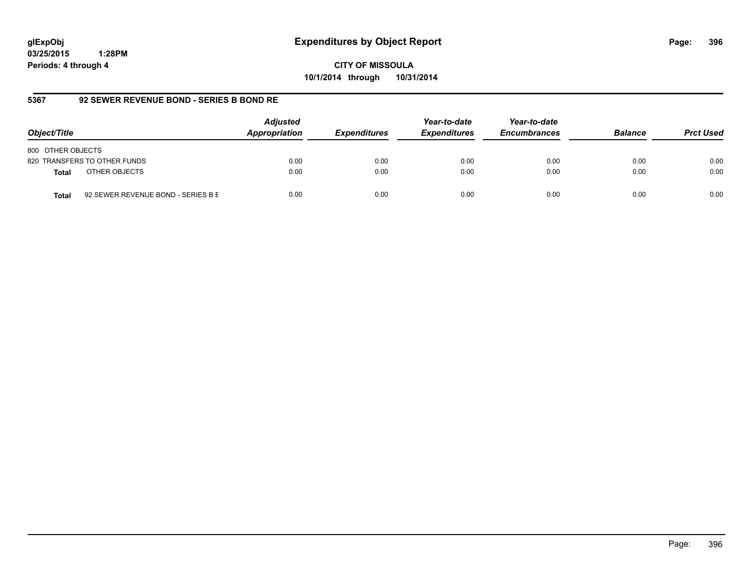**CITY OF MISSOULA 10/1/2014 through 10/31/2014**

### **5367 92 SEWER REVENUE BOND - SERIES B BOND RE**

| Object/Title                                       | <b>Adjusted</b><br>Appropriation | <b>Expenditures</b> | Year-to-date<br><b>Expenditures</b> | Year-to-date<br><b>Encumbrances</b> | <b>Balance</b> | <b>Prct Used</b> |
|----------------------------------------------------|----------------------------------|---------------------|-------------------------------------|-------------------------------------|----------------|------------------|
| 800 OTHER OBJECTS                                  |                                  |                     |                                     |                                     |                |                  |
| 820 TRANSFERS TO OTHER FUNDS                       | 0.00                             | 0.00                | 0.00                                | 0.00                                | 0.00           | 0.00             |
| OTHER OBJECTS<br><b>Total</b>                      | 0.00                             | 0.00                | 0.00                                | 0.00                                | 0.00           | 0.00             |
| 92 SEWER REVENUE BOND - SERIES B E<br><b>Total</b> | 0.00                             | 0.00                | 0.00                                | 0.00                                | 0.00           | 0.00             |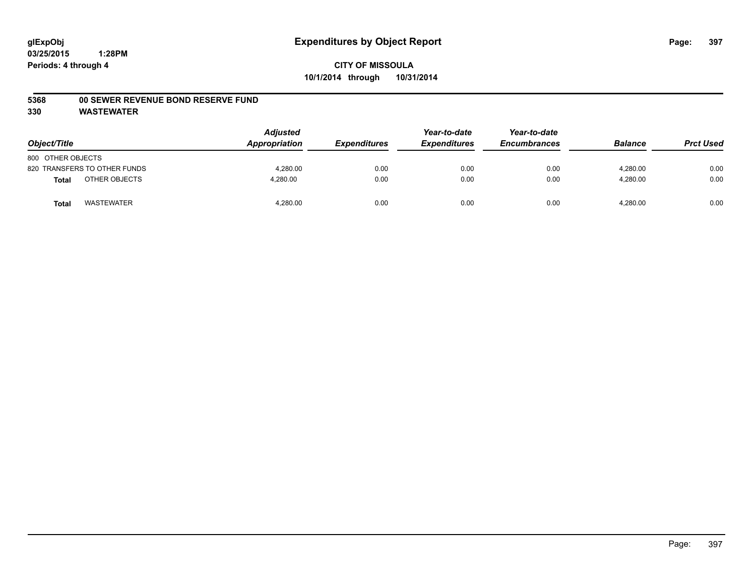#### **5368 00 SEWER REVENUE BOND RESERVE FUND**

| Object/Title                  | <b>Adjusted</b><br>Appropriation | <b>Expenditures</b> | Year-to-date<br><b>Expenditures</b> | Year-to-date<br><b>Encumbrances</b> | <b>Balance</b> | <b>Prct Used</b> |
|-------------------------------|----------------------------------|---------------------|-------------------------------------|-------------------------------------|----------------|------------------|
| 800 OTHER OBJECTS             |                                  |                     |                                     |                                     |                |                  |
| 820 TRANSFERS TO OTHER FUNDS  | 4.280.00                         | 0.00                | 0.00                                | 0.00                                | 4.280.00       | 0.00             |
| OTHER OBJECTS<br><b>Total</b> | 4,280.00                         | 0.00                | 0.00                                | 0.00                                | 4,280.00       | 0.00             |
| <b>WASTEWATER</b><br>Tota     | 4,280.00                         | 0.00                | 0.00                                | 0.00                                | 4,280.00       | 0.00             |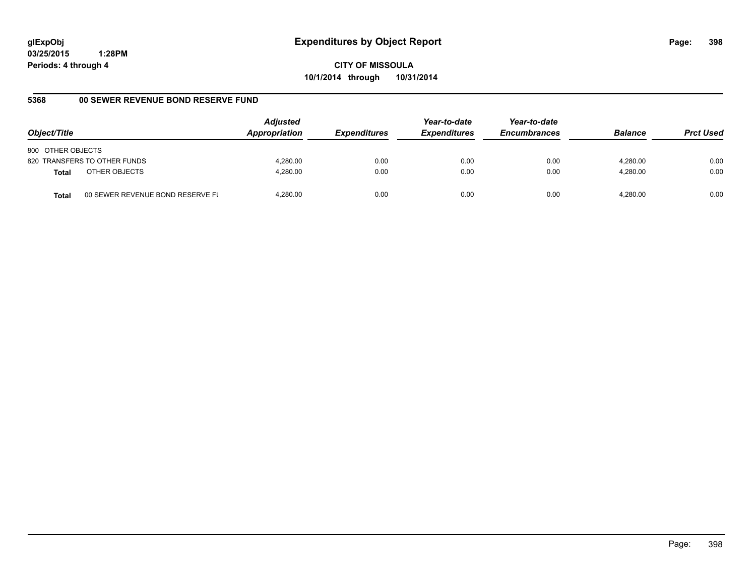**CITY OF MISSOULA 10/1/2014 through 10/31/2014**

## **5368 00 SEWER REVENUE BOND RESERVE FUND**

| Object/Title                                     | <b>Adjusted</b><br>Appropriation | <b>Expenditures</b> | Year-to-date<br><b>Expenditures</b> | Year-to-date<br><b>Encumbrances</b> | <b>Balance</b> | <b>Prct Used</b> |
|--------------------------------------------------|----------------------------------|---------------------|-------------------------------------|-------------------------------------|----------------|------------------|
| 800 OTHER OBJECTS                                |                                  |                     |                                     |                                     |                |                  |
| 820 TRANSFERS TO OTHER FUNDS                     | 4.280.00                         | 0.00                | 0.00                                | 0.00                                | 4.280.00       | 0.00             |
| OTHER OBJECTS<br><b>Total</b>                    | 4.280.00                         | 0.00                | 0.00                                | 0.00                                | 4.280.00       | 0.00             |
| 00 SEWER REVENUE BOND RESERVE FL<br><b>Total</b> | 4.280.00                         | 0.00                | 0.00                                | 0.00                                | 4.280.00       | 0.00             |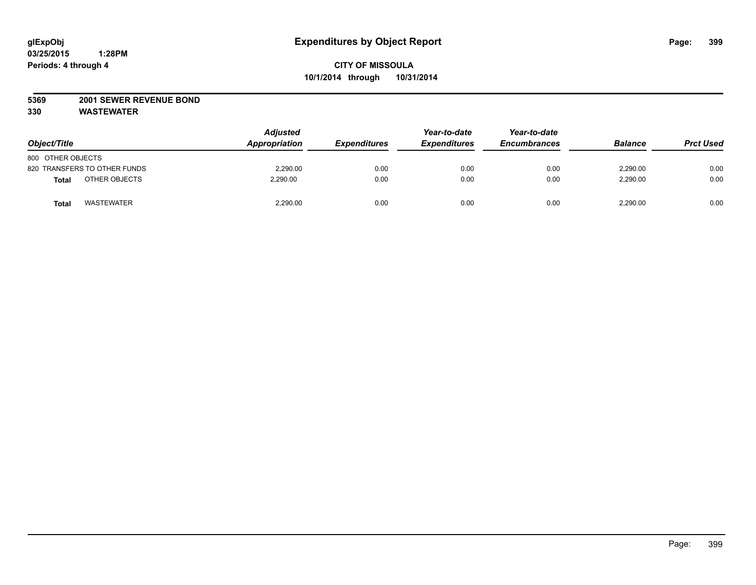## **5369 2001 SEWER REVENUE BOND**

| Object/Title                      | <b>Adjusted</b><br>Appropriation | <b>Expenditures</b> | Year-to-date<br><b>Expenditures</b> | Year-to-date<br><b>Encumbrances</b> | <b>Balance</b> | <b>Prct Used</b> |
|-----------------------------------|----------------------------------|---------------------|-------------------------------------|-------------------------------------|----------------|------------------|
| 800 OTHER OBJECTS                 |                                  |                     |                                     |                                     |                |                  |
| 820 TRANSFERS TO OTHER FUNDS      | 2,290.00                         | 0.00                | 0.00                                | 0.00                                | 2,290.00       | 0.00             |
| OTHER OBJECTS<br>Total            | 2.290.00                         | 0.00                | 0.00                                | 0.00                                | 2,290.00       | 0.00             |
| <b>WASTEWATER</b><br><b>Total</b> | 2,290.00                         | 0.00                | 0.00                                | 0.00                                | 2,290.00       | 0.00             |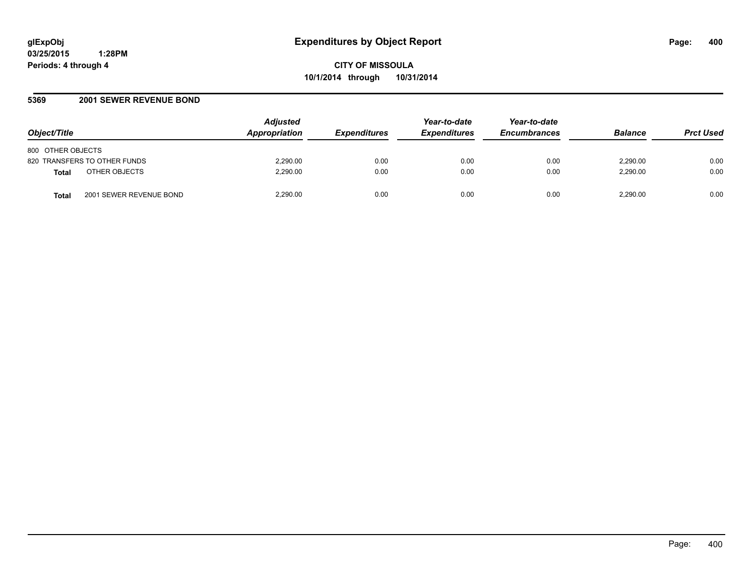## **5369 2001 SEWER REVENUE BOND**

| Object/Title                            | <b>Adjusted</b><br>Appropriation | <i><b>Expenditures</b></i> | Year-to-date<br><b>Expenditures</b> | Year-to-date<br><b>Encumbrances</b> | <b>Balance</b> | <b>Prct Used</b> |
|-----------------------------------------|----------------------------------|----------------------------|-------------------------------------|-------------------------------------|----------------|------------------|
| 800 OTHER OBJECTS                       |                                  |                            |                                     |                                     |                |                  |
| 820 TRANSFERS TO OTHER FUNDS            | 2,290.00                         | 0.00                       | 0.00                                | 0.00                                | 2.290.00       | 0.00             |
| OTHER OBJECTS<br><b>Total</b>           | 2.290.00                         | 0.00                       | 0.00                                | 0.00                                | 2.290.00       | 0.00             |
| 2001 SEWER REVENUE BOND<br><b>Total</b> | 2.290.00                         | 0.00                       | 0.00                                | 0.00                                | 2.290.00       | 0.00             |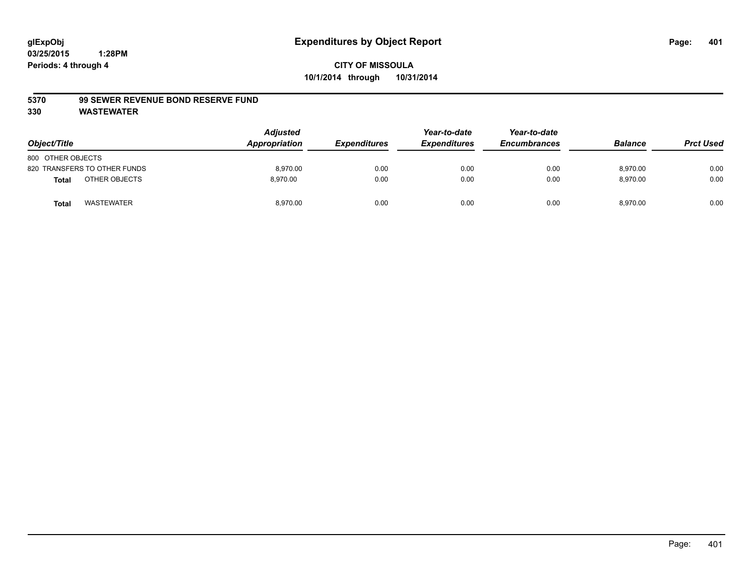#### **5370 99 SEWER REVENUE BOND RESERVE FUND**

| Object/Title      |                              | <b>Adjusted</b><br>Appropriation | <b>Expenditures</b> | Year-to-date<br><b>Expenditures</b> | Year-to-date<br><b>Encumbrances</b> | <b>Balance</b> | <b>Prct Used</b> |
|-------------------|------------------------------|----------------------------------|---------------------|-------------------------------------|-------------------------------------|----------------|------------------|
| 800 OTHER OBJECTS |                              |                                  |                     |                                     |                                     |                |                  |
|                   | 820 TRANSFERS TO OTHER FUNDS | 8,970.00                         | 0.00                | 0.00                                | 0.00                                | 8,970.00       | 0.00             |
| <b>Total</b>      | OTHER OBJECTS                | 8.970.00                         | 0.00                | 0.00                                | 0.00                                | 8,970.00       | 0.00             |
| <b>Total</b>      | <b>WASTEWATER</b>            | 8,970.00                         | 0.00                | 0.00                                | 0.00                                | 8,970.00       | 0.00             |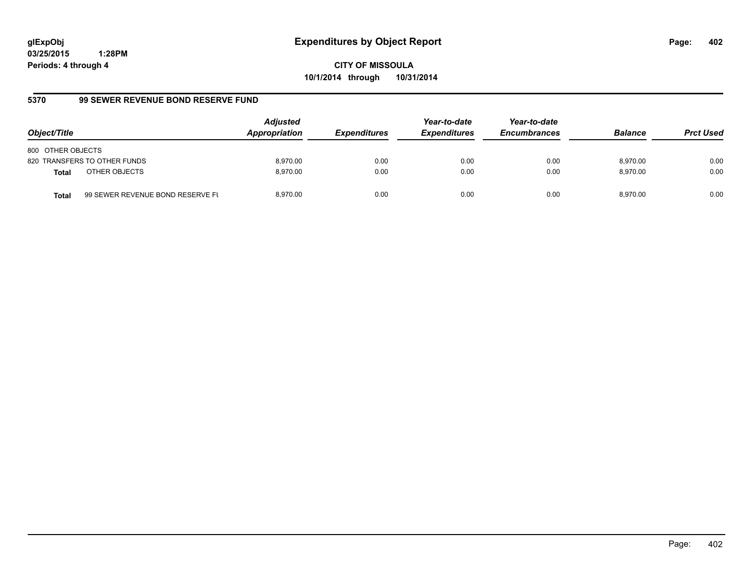**CITY OF MISSOULA 10/1/2014 through 10/31/2014**

## **5370 99 SEWER REVENUE BOND RESERVE FUND**

| Object/Title                  |                                  | <b>Adjusted</b><br>Appropriation | <b>Expenditures</b> | Year-to-date<br><b>Expenditures</b> | Year-to-date<br><b>Encumbrances</b> | <b>Balance</b> | <b>Prct Used</b> |
|-------------------------------|----------------------------------|----------------------------------|---------------------|-------------------------------------|-------------------------------------|----------------|------------------|
| 800 OTHER OBJECTS             |                                  |                                  |                     |                                     |                                     |                |                  |
| 820 TRANSFERS TO OTHER FUNDS  |                                  | 8.970.00                         | 0.00                | 0.00                                | 0.00                                | 8.970.00       | 0.00             |
| OTHER OBJECTS<br><b>Total</b> |                                  | 8.970.00                         | 0.00                | 0.00                                | 0.00                                | 8.970.00       | 0.00             |
| <b>Total</b>                  | 99 SEWER REVENUE BOND RESERVE FL | 8.970.00                         | 0.00                | 0.00                                | 0.00                                | 8.970.00       | 0.00             |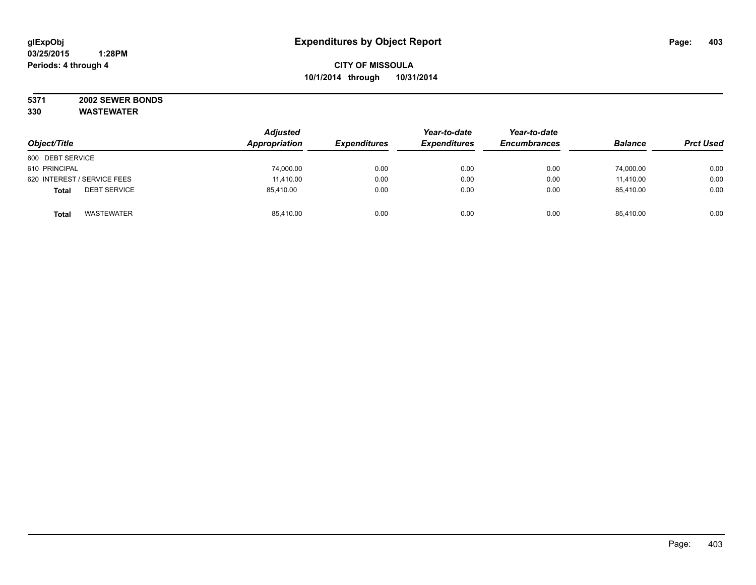#### **5371 2002 SEWER BONDS 330 WASTEWATER**

|                                     | <b>Adjusted</b><br>Appropriation | <b>Expenditures</b> | Year-to-date        | Year-to-date        | <b>Balance</b> | <b>Prct Used</b> |
|-------------------------------------|----------------------------------|---------------------|---------------------|---------------------|----------------|------------------|
| Object/Title                        |                                  |                     | <b>Expenditures</b> | <b>Encumbrances</b> |                |                  |
| 600 DEBT SERVICE                    |                                  |                     |                     |                     |                |                  |
| 610 PRINCIPAL                       | 74,000.00                        | 0.00                | 0.00                | 0.00                | 74,000.00      | 0.00             |
| 620 INTEREST / SERVICE FEES         | 11.410.00                        | 0.00                | 0.00                | 0.00                | 11.410.00      | 0.00             |
| <b>DEBT SERVICE</b><br><b>Total</b> | 85,410.00                        | 0.00                | 0.00                | 0.00                | 85,410.00      | 0.00             |
| WASTEWATER<br><b>Total</b>          | 85,410.00                        | 0.00                | 0.00                | 0.00                | 85,410.00      | 0.00             |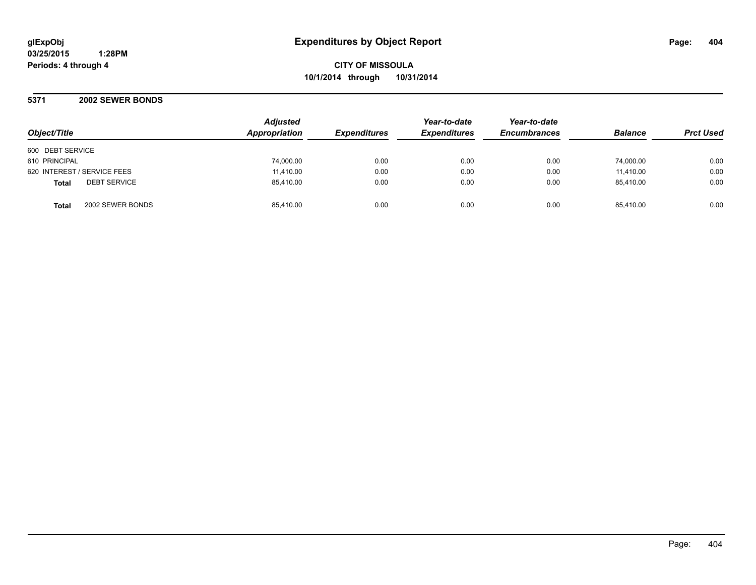**CITY OF MISSOULA 10/1/2014 through 10/31/2014**

**5371 2002 SEWER BONDS**

| Object/Title                        | <b>Adjusted</b><br>Appropriation | <b>Expenditures</b> | Year-to-date<br><b>Expenditures</b> | Year-to-date<br><b>Encumbrances</b> | <b>Balance</b> | <b>Prct Used</b> |
|-------------------------------------|----------------------------------|---------------------|-------------------------------------|-------------------------------------|----------------|------------------|
| 600 DEBT SERVICE                    |                                  |                     |                                     |                                     |                |                  |
| 610 PRINCIPAL                       | 74,000.00                        | 0.00                | 0.00                                | 0.00                                | 74,000.00      | 0.00             |
| 620 INTEREST / SERVICE FEES         | 11,410.00                        | 0.00                | 0.00                                | 0.00                                | 11,410.00      | 0.00             |
| <b>DEBT SERVICE</b><br><b>Total</b> | 85,410.00                        | 0.00                | 0.00                                | 0.00                                | 85.410.00      | 0.00             |
| 2002 SEWER BONDS<br><b>Total</b>    | 85.410.00                        | 0.00                | 0.00                                | 0.00                                | 85.410.00      | 0.00             |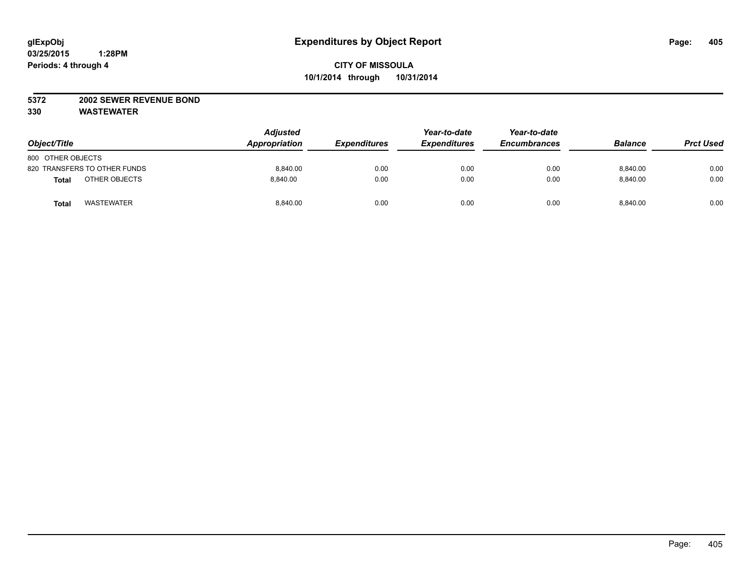## **5372 2002 SEWER REVENUE BOND**

| Object/Title                      | <b>Adjusted</b><br>Appropriation | <b>Expenditures</b> | Year-to-date<br><b>Expenditures</b> | Year-to-date<br><b>Encumbrances</b> | <b>Balance</b> | <b>Prct Used</b> |
|-----------------------------------|----------------------------------|---------------------|-------------------------------------|-------------------------------------|----------------|------------------|
| 800 OTHER OBJECTS                 |                                  |                     |                                     |                                     |                |                  |
| 820 TRANSFERS TO OTHER FUNDS      | 8,840.00                         | 0.00                | 0.00                                | 0.00                                | 8,840.00       | 0.00             |
| OTHER OBJECTS<br><b>Total</b>     | 8.840.00                         | 0.00                | 0.00                                | 0.00                                | 8.840.00       | 0.00             |
| <b>WASTEWATER</b><br><b>Total</b> | 8,840.00                         | 0.00                | 0.00                                | 0.00                                | 8,840.00       | 0.00             |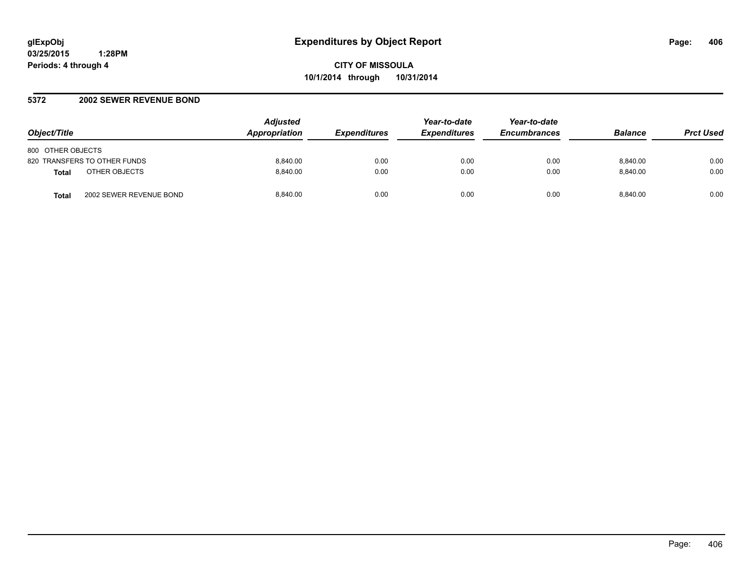## **5372 2002 SEWER REVENUE BOND**

| Object/Title                            | <b>Adjusted</b><br><b>Appropriation</b> | <b>Expenditures</b> | Year-to-date<br><b>Expenditures</b> | Year-to-date<br><b>Encumbrances</b> | <b>Balance</b> | <b>Prct Used</b> |
|-----------------------------------------|-----------------------------------------|---------------------|-------------------------------------|-------------------------------------|----------------|------------------|
| 800 OTHER OBJECTS                       |                                         |                     |                                     |                                     |                |                  |
| 820 TRANSFERS TO OTHER FUNDS            | 8.840.00                                | 0.00                | 0.00                                | 0.00                                | 8.840.00       | 0.00             |
| OTHER OBJECTS<br><b>Total</b>           | 8.840.00                                | 0.00                | 0.00                                | 0.00                                | 8.840.00       | 0.00             |
| 2002 SEWER REVENUE BOND<br><b>Total</b> | 8.840.00                                | 0.00                | 0.00                                | 0.00                                | 8.840.00       | 0.00             |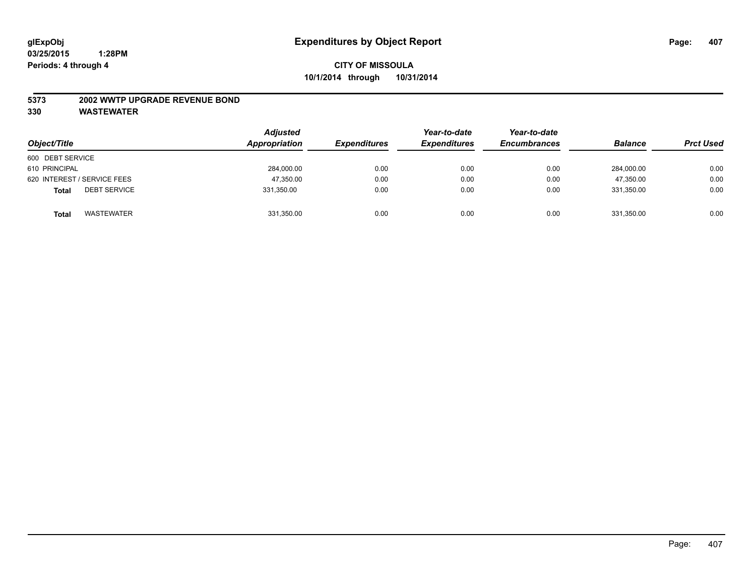#### **5373 2002 WWTP UPGRADE REVENUE BOND**

| Object/Title                        | <b>Adjusted</b><br>Appropriation | <b>Expenditures</b> | Year-to-date<br><b>Expenditures</b> | Year-to-date<br><b>Encumbrances</b> | <b>Balance</b> | <b>Prct Used</b> |
|-------------------------------------|----------------------------------|---------------------|-------------------------------------|-------------------------------------|----------------|------------------|
| 600 DEBT SERVICE                    |                                  |                     |                                     |                                     |                |                  |
| 610 PRINCIPAL                       | 284,000.00                       | 0.00                | 0.00                                | 0.00                                | 284,000.00     | 0.00             |
| 620 INTEREST / SERVICE FEES         | 47,350.00                        | 0.00                | 0.00                                | 0.00                                | 47.350.00      | 0.00             |
| <b>DEBT SERVICE</b><br><b>Total</b> | 331,350.00                       | 0.00                | 0.00                                | 0.00                                | 331.350.00     | 0.00             |
| <b>WASTEWATER</b><br><b>Total</b>   | 331,350.00                       | 0.00                | 0.00                                | 0.00                                | 331,350.00     | 0.00             |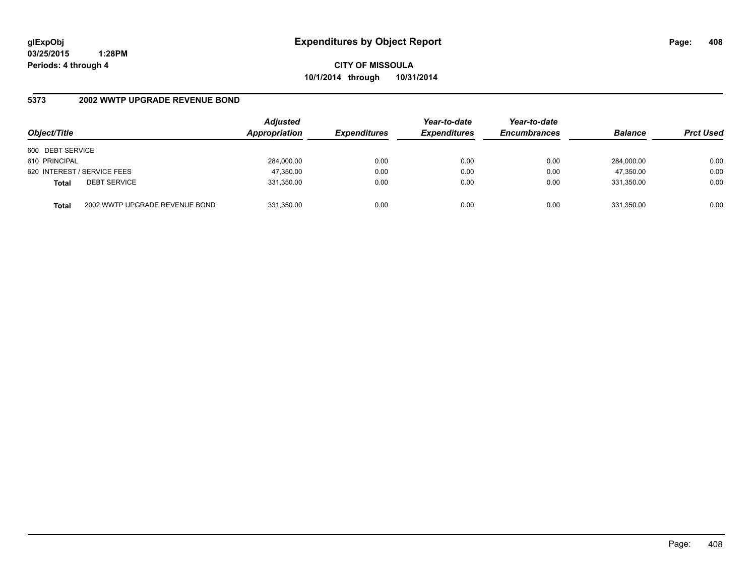**CITY OF MISSOULA 10/1/2014 through 10/31/2014**

## **5373 2002 WWTP UPGRADE REVENUE BOND**

| Object/Title     |                                | <b>Adjusted</b><br>Appropriation | <b>Expenditures</b> | Year-to-date<br><b>Expenditures</b> | Year-to-date<br><b>Encumbrances</b> | <b>Balance</b> | <b>Prct Used</b> |
|------------------|--------------------------------|----------------------------------|---------------------|-------------------------------------|-------------------------------------|----------------|------------------|
| 600 DEBT SERVICE |                                |                                  |                     |                                     |                                     |                |                  |
| 610 PRINCIPAL    |                                | 284,000.00                       | 0.00                | 0.00                                | 0.00                                | 284.000.00     | 0.00             |
|                  | 620 INTEREST / SERVICE FEES    | 47,350.00                        | 0.00                | 0.00                                | 0.00                                | 47,350.00      | 0.00             |
| <b>Total</b>     | <b>DEBT SERVICE</b>            | 331,350.00                       | 0.00                | 0.00                                | 0.00                                | 331.350.00     | 0.00             |
| <b>Total</b>     | 2002 WWTP UPGRADE REVENUE BOND | 331,350.00                       | 0.00                | 0.00                                | 0.00                                | 331,350.00     | 0.00             |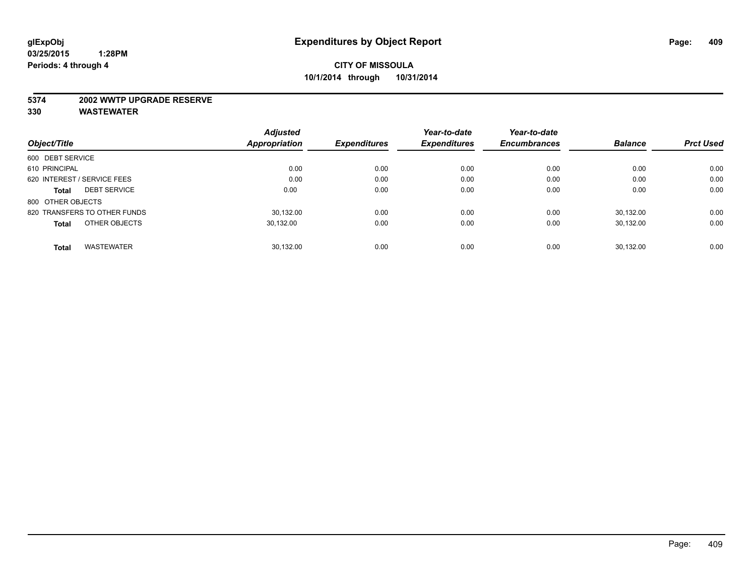#### **5374 2002 WWTP UPGRADE RESERVE**

|                                     | <b>Adjusted</b>      |                     | Year-to-date        | Year-to-date        |                |                  |
|-------------------------------------|----------------------|---------------------|---------------------|---------------------|----------------|------------------|
| Object/Title                        | <b>Appropriation</b> | <b>Expenditures</b> | <b>Expenditures</b> | <b>Encumbrances</b> | <b>Balance</b> | <b>Prct Used</b> |
| 600 DEBT SERVICE                    |                      |                     |                     |                     |                |                  |
| 610 PRINCIPAL                       | 0.00                 | 0.00                | 0.00                | 0.00                | 0.00           | 0.00             |
| 620 INTEREST / SERVICE FEES         | 0.00                 | 0.00                | 0.00                | 0.00                | 0.00           | 0.00             |
| <b>DEBT SERVICE</b><br><b>Total</b> | 0.00                 | 0.00                | 0.00                | 0.00                | 0.00           | 0.00             |
| 800 OTHER OBJECTS                   |                      |                     |                     |                     |                |                  |
| 820 TRANSFERS TO OTHER FUNDS        | 30.132.00            | 0.00                | 0.00                | 0.00                | 30.132.00      | 0.00             |
| OTHER OBJECTS<br><b>Total</b>       | 30,132.00            | 0.00                | 0.00                | 0.00                | 30,132.00      | 0.00             |
| <b>WASTEWATER</b><br><b>Total</b>   | 30.132.00            | 0.00                | 0.00                | 0.00                | 30.132.00      | 0.00             |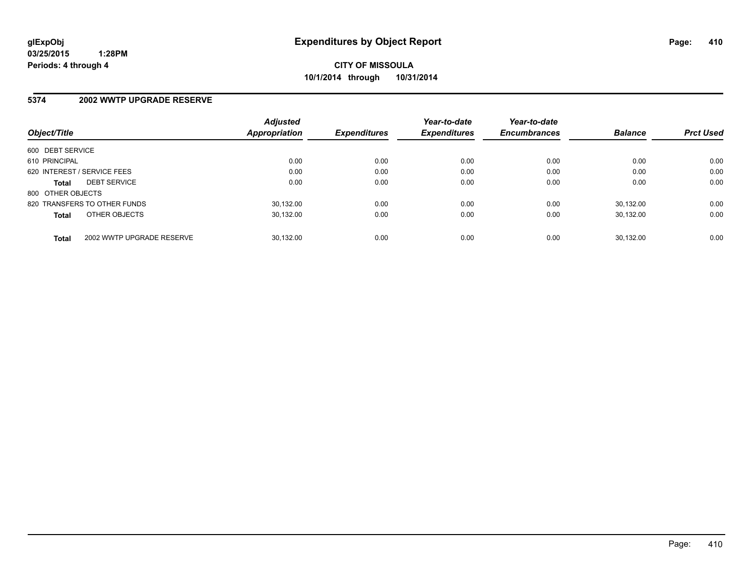#### **5374 2002 WWTP UPGRADE RESERVE**

| Object/Title                 |                           | <b>Adjusted</b><br>Appropriation | <b>Expenditures</b> | Year-to-date<br><b>Expenditures</b> | Year-to-date<br><b>Encumbrances</b> | <b>Balance</b> | <b>Prct Used</b> |
|------------------------------|---------------------------|----------------------------------|---------------------|-------------------------------------|-------------------------------------|----------------|------------------|
| 600 DEBT SERVICE             |                           |                                  |                     |                                     |                                     |                |                  |
| 610 PRINCIPAL                |                           | 0.00                             | 0.00                | 0.00                                | 0.00                                | 0.00           | 0.00             |
| 620 INTEREST / SERVICE FEES  |                           | 0.00                             | 0.00                | 0.00                                | 0.00                                | 0.00           | 0.00             |
| <b>Total</b>                 | <b>DEBT SERVICE</b>       | 0.00                             | 0.00                | 0.00                                | 0.00                                | 0.00           | 0.00             |
| 800 OTHER OBJECTS            |                           |                                  |                     |                                     |                                     |                |                  |
| 820 TRANSFERS TO OTHER FUNDS |                           | 30.132.00                        | 0.00                | 0.00                                | 0.00                                | 30.132.00      | 0.00             |
| <b>Total</b>                 | OTHER OBJECTS             | 30.132.00                        | 0.00                | 0.00                                | 0.00                                | 30.132.00      | 0.00             |
| <b>Total</b>                 | 2002 WWTP UPGRADE RESERVE | 30.132.00                        | 0.00                | 0.00                                | 0.00                                | 30.132.00      | 0.00             |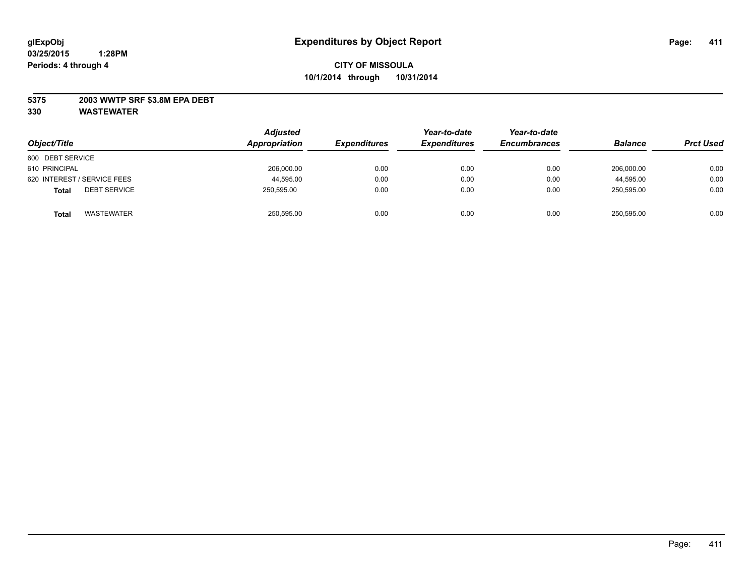## **5375 2003 WWTP SRF \$3.8M EPA DEBT**

| Object/Title                        | <b>Adjusted</b><br>Appropriation | <b>Expenditures</b> | Year-to-date<br><b>Expenditures</b> | Year-to-date<br><b>Encumbrances</b> | <b>Balance</b> | <b>Prct Used</b> |
|-------------------------------------|----------------------------------|---------------------|-------------------------------------|-------------------------------------|----------------|------------------|
| 600 DEBT SERVICE                    |                                  |                     |                                     |                                     |                |                  |
| 610 PRINCIPAL                       | 206,000.00                       | 0.00                | 0.00                                | 0.00                                | 206.000.00     | 0.00             |
| 620 INTEREST / SERVICE FEES         | 44,595.00                        | 0.00                | 0.00                                | 0.00                                | 44,595.00      | 0.00             |
| <b>DEBT SERVICE</b><br><b>Total</b> | 250.595.00                       | 0.00                | 0.00                                | 0.00                                | 250.595.00     | 0.00             |
| <b>WASTEWATER</b><br><b>Total</b>   | 250,595.00                       | 0.00                | 0.00                                | 0.00                                | 250,595.00     | 0.00             |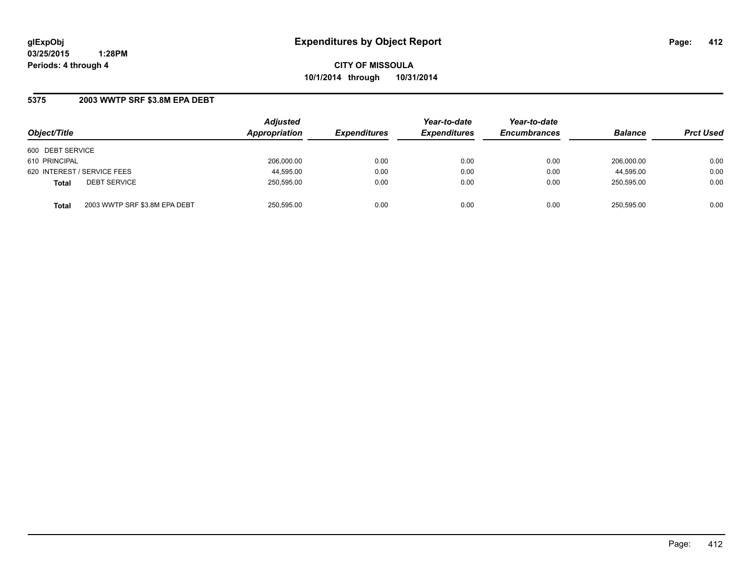**CITY OF MISSOULA 10/1/2014 through 10/31/2014**

## **5375 2003 WWTP SRF \$3.8M EPA DEBT**

| Object/Title                                  | <b>Adjusted</b><br>Appropriation | <b>Expenditures</b> | Year-to-date<br><b>Expenditures</b> | Year-to-date<br><b>Encumbrances</b> | <b>Balance</b> | <b>Prct Used</b> |
|-----------------------------------------------|----------------------------------|---------------------|-------------------------------------|-------------------------------------|----------------|------------------|
| 600 DEBT SERVICE                              |                                  |                     |                                     |                                     |                |                  |
| 610 PRINCIPAL                                 | 206.000.00                       | 0.00                | 0.00                                | 0.00                                | 206.000.00     | 0.00             |
| 620 INTEREST / SERVICE FEES                   | 44,595.00                        | 0.00                | 0.00                                | 0.00                                | 44,595.00      | 0.00             |
| <b>DEBT SERVICE</b><br><b>Total</b>           | 250,595.00                       | 0.00                | 0.00                                | 0.00                                | 250.595.00     | 0.00             |
| 2003 WWTP SRF \$3.8M EPA DEBT<br><b>Total</b> | 250,595.00                       | 0.00                | 0.00                                | 0.00                                | 250,595.00     | 0.00             |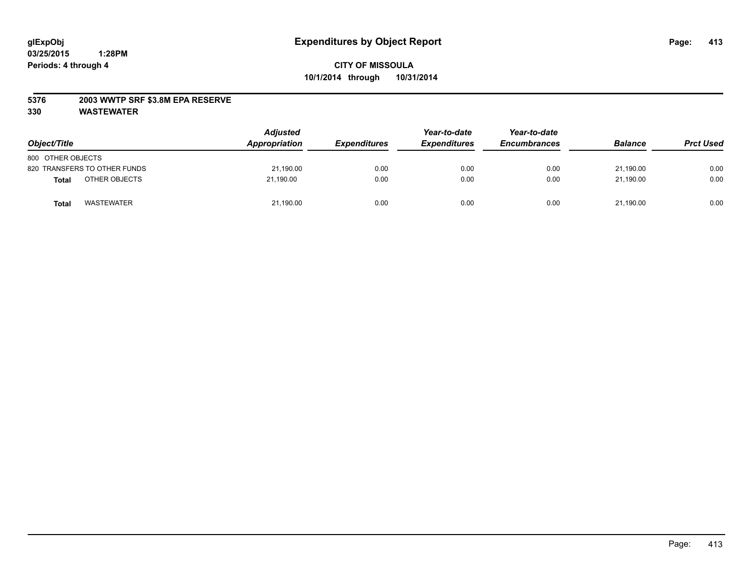## **5376 2003 WWTP SRF \$3.8M EPA RESERVE**

| Object/Title                      | <b>Adjusted</b><br>Appropriation | <b>Expenditures</b> | Year-to-date<br><b>Expenditures</b> | Year-to-date<br><b>Encumbrances</b> | <b>Balance</b> | <b>Prct Used</b> |
|-----------------------------------|----------------------------------|---------------------|-------------------------------------|-------------------------------------|----------------|------------------|
| 800 OTHER OBJECTS                 |                                  |                     |                                     |                                     |                |                  |
| 820 TRANSFERS TO OTHER FUNDS      | 21.190.00                        | 0.00                | 0.00                                | 0.00                                | 21.190.00      | 0.00             |
| OTHER OBJECTS<br>Total            | 21,190.00                        | 0.00                | 0.00                                | 0.00                                | 21,190.00      | 0.00             |
| <b>WASTEWATER</b><br><b>Total</b> | 21,190.00                        | 0.00                | 0.00                                | 0.00                                | 21,190.00      | 0.00             |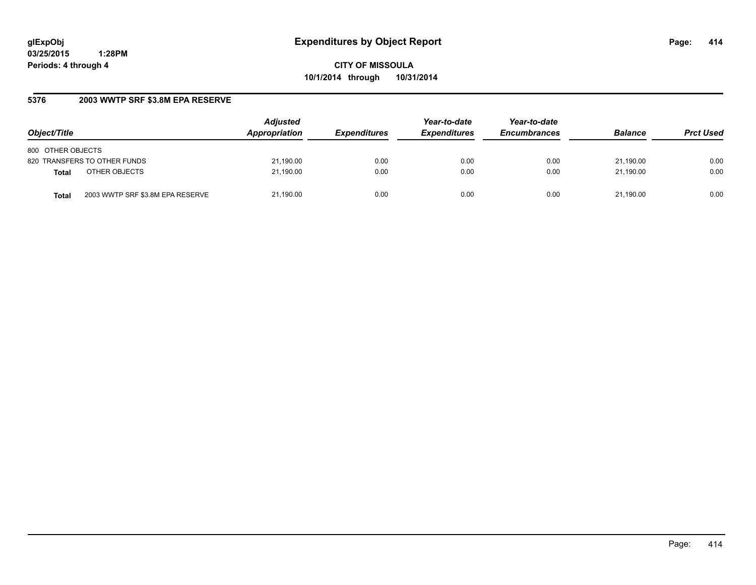**CITY OF MISSOULA 10/1/2014 through 10/31/2014**

## **5376 2003 WWTP SRF \$3.8M EPA RESERVE**

| Object/Title                              | <b>Adjusted</b><br>Appropriation | <b>Expenditures</b> | Year-to-date<br><b>Expenditures</b> | Year-to-date<br><b>Encumbrances</b> | <b>Balance</b> | <b>Prct Used</b> |
|-------------------------------------------|----------------------------------|---------------------|-------------------------------------|-------------------------------------|----------------|------------------|
| 800 OTHER OBJECTS                         |                                  |                     |                                     |                                     |                |                  |
| 820 TRANSFERS TO OTHER FUNDS              | 21,190.00                        | 0.00                | 0.00                                | 0.00                                | 21.190.00      | 0.00             |
| OTHER OBJECTS<br><b>Total</b>             | 21,190.00                        | 0.00                | 0.00                                | 0.00                                | 21.190.00      | 0.00             |
| 2003 WWTP SRF \$3.8M EPA RESERVE<br>Total | 21,190.00                        | 0.00                | 0.00                                | 0.00                                | 21.190.00      | 0.00             |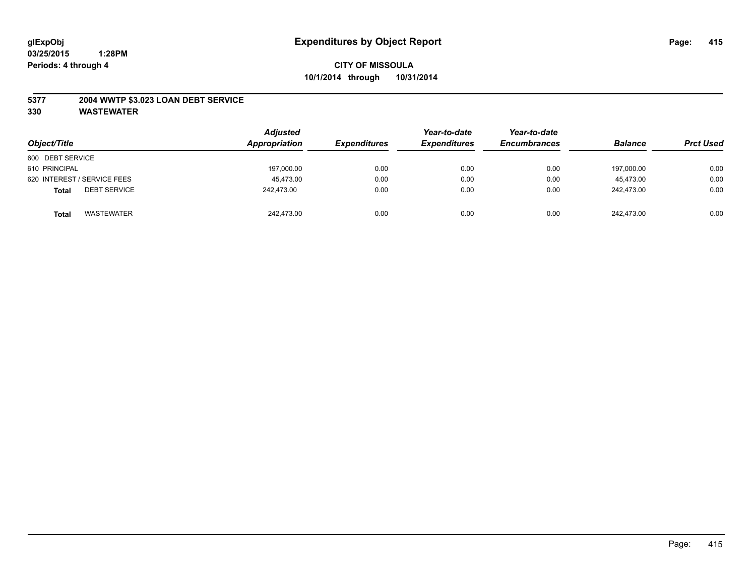## **5377 2004 WWTP \$3.023 LOAN DEBT SERVICE**

| Object/Title                        | <b>Adjusted</b><br>Appropriation | <b>Expenditures</b> | Year-to-date<br><b>Expenditures</b> | Year-to-date<br><b>Encumbrances</b> | <b>Balance</b> | <b>Prct Used</b> |
|-------------------------------------|----------------------------------|---------------------|-------------------------------------|-------------------------------------|----------------|------------------|
| 600 DEBT SERVICE                    |                                  |                     |                                     |                                     |                |                  |
| 610 PRINCIPAL                       | 197,000.00                       | 0.00                | 0.00                                | 0.00                                | 197.000.00     | 0.00             |
| 620 INTEREST / SERVICE FEES         | 45.473.00                        | 0.00                | 0.00                                | 0.00                                | 45.473.00      | 0.00             |
| <b>DEBT SERVICE</b><br><b>Total</b> | 242.473.00                       | 0.00                | 0.00                                | 0.00                                | 242.473.00     | 0.00             |
| <b>WASTEWATER</b><br><b>Total</b>   | 242,473.00                       | 0.00                | 0.00                                | 0.00                                | 242,473.00     | 0.00             |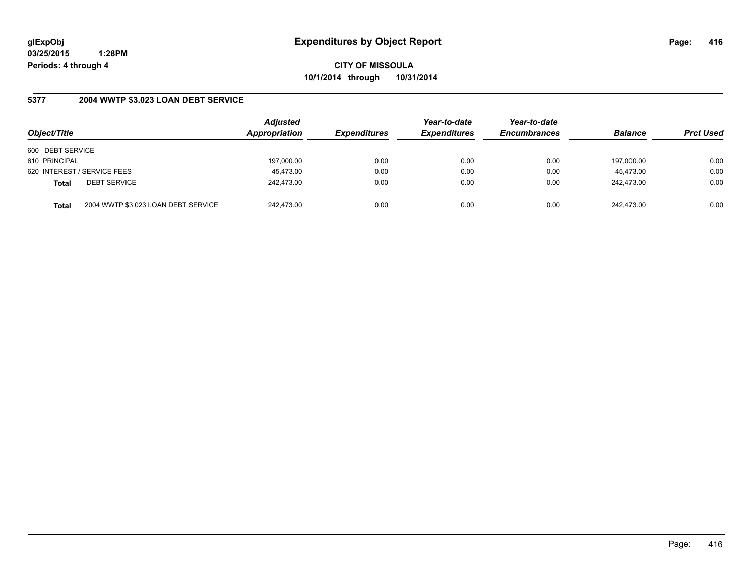**CITY OF MISSOULA 10/1/2014 through 10/31/2014**

## **5377 2004 WWTP \$3.023 LOAN DEBT SERVICE**

| Object/Title                        |                                     | <b>Adjusted</b><br>Appropriation | <b>Expenditures</b> | Year-to-date<br><b>Expenditures</b> | Year-to-date<br><b>Encumbrances</b> | <b>Balance</b> | <b>Prct Used</b> |
|-------------------------------------|-------------------------------------|----------------------------------|---------------------|-------------------------------------|-------------------------------------|----------------|------------------|
| 600 DEBT SERVICE                    |                                     |                                  |                     |                                     |                                     |                |                  |
| 610 PRINCIPAL                       |                                     | 197,000.00                       | 0.00                | 0.00                                | 0.00                                | 197,000.00     | 0.00             |
| 620 INTEREST / SERVICE FEES         |                                     | 45,473.00                        | 0.00                | 0.00                                | 0.00                                | 45.473.00      | 0.00             |
| <b>DEBT SERVICE</b><br><b>Total</b> |                                     | 242.473.00                       | 0.00                | 0.00                                | 0.00                                | 242.473.00     | 0.00             |
| <b>Total</b>                        | 2004 WWTP \$3.023 LOAN DEBT SERVICE | 242.473.00                       | 0.00                | 0.00                                | 0.00                                | 242.473.00     | 0.00             |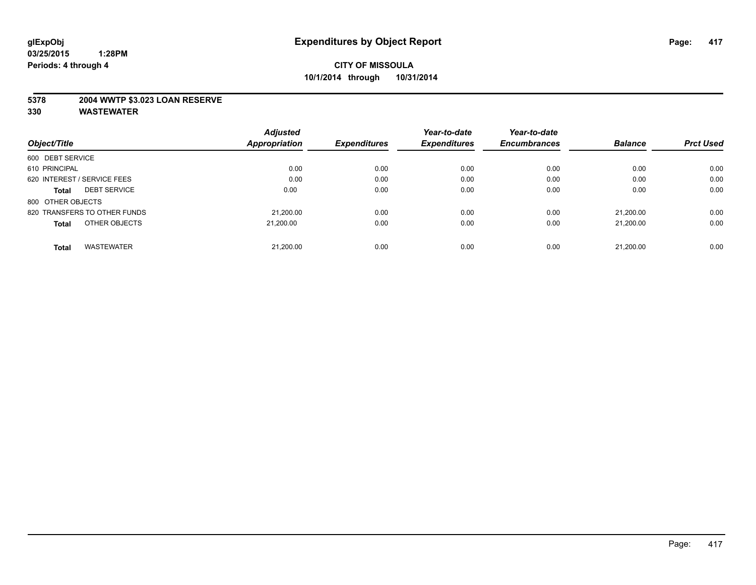## **5378 2004 WWTP \$3.023 LOAN RESERVE**

|                                     | <b>Adjusted</b>      |                     | Year-to-date        | Year-to-date        |                |                  |
|-------------------------------------|----------------------|---------------------|---------------------|---------------------|----------------|------------------|
| Object/Title                        | <b>Appropriation</b> | <b>Expenditures</b> | <b>Expenditures</b> | <b>Encumbrances</b> | <b>Balance</b> | <b>Prct Used</b> |
| 600 DEBT SERVICE                    |                      |                     |                     |                     |                |                  |
| 610 PRINCIPAL                       | 0.00                 | 0.00                | 0.00                | 0.00                | 0.00           | 0.00             |
| 620 INTEREST / SERVICE FEES         | 0.00                 | 0.00                | 0.00                | 0.00                | 0.00           | 0.00             |
| <b>DEBT SERVICE</b><br><b>Total</b> | 0.00                 | 0.00                | 0.00                | 0.00                | 0.00           | 0.00             |
| 800 OTHER OBJECTS                   |                      |                     |                     |                     |                |                  |
| 820 TRANSFERS TO OTHER FUNDS        | 21.200.00            | 0.00                | 0.00                | 0.00                | 21.200.00      | 0.00             |
| OTHER OBJECTS<br><b>Total</b>       | 21.200.00            | 0.00                | 0.00                | 0.00                | 21.200.00      | 0.00             |
| <b>WASTEWATER</b><br><b>Total</b>   | 21,200.00            | 0.00                | 0.00                | 0.00                | 21.200.00      | 0.00             |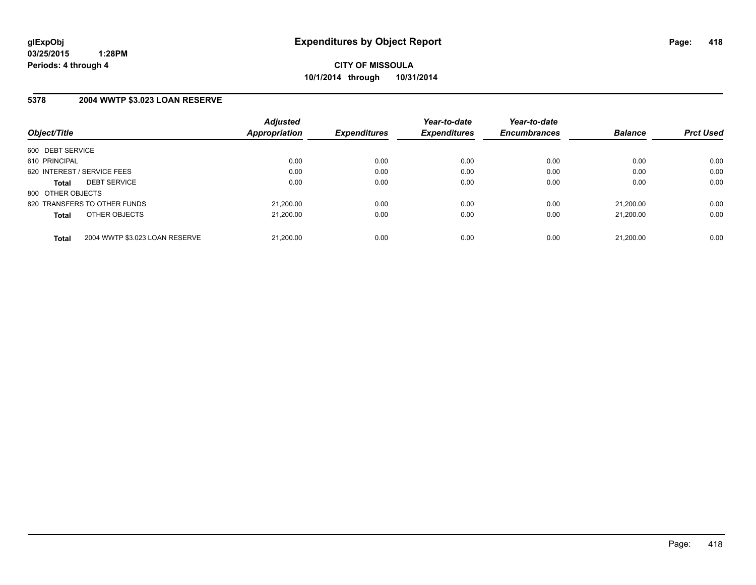## **5378 2004 WWTP \$3.023 LOAN RESERVE**

| Object/Title                |                                | <b>Adjusted</b><br>Appropriation | <b>Expenditures</b> | Year-to-date<br><b>Expenditures</b> | Year-to-date<br><b>Encumbrances</b> | <b>Balance</b> | <b>Prct Used</b> |
|-----------------------------|--------------------------------|----------------------------------|---------------------|-------------------------------------|-------------------------------------|----------------|------------------|
| 600 DEBT SERVICE            |                                |                                  |                     |                                     |                                     |                |                  |
| 610 PRINCIPAL               |                                | 0.00                             | 0.00                | 0.00                                | 0.00                                | 0.00           | 0.00             |
| 620 INTEREST / SERVICE FEES |                                | 0.00                             | 0.00                | 0.00                                | 0.00                                | 0.00           | 0.00             |
| <b>Total</b>                | <b>DEBT SERVICE</b>            | 0.00                             | 0.00                | 0.00                                | 0.00                                | 0.00           | 0.00             |
| 800 OTHER OBJECTS           |                                |                                  |                     |                                     |                                     |                |                  |
|                             | 820 TRANSFERS TO OTHER FUNDS   | 21,200.00                        | 0.00                | 0.00                                | 0.00                                | 21.200.00      | 0.00             |
| <b>Total</b>                | OTHER OBJECTS                  | 21.200.00                        | 0.00                | 0.00                                | 0.00                                | 21.200.00      | 0.00             |
| <b>Total</b>                | 2004 WWTP \$3.023 LOAN RESERVE | 21,200.00                        | 0.00                | 0.00                                | 0.00                                | 21.200.00      | 0.00             |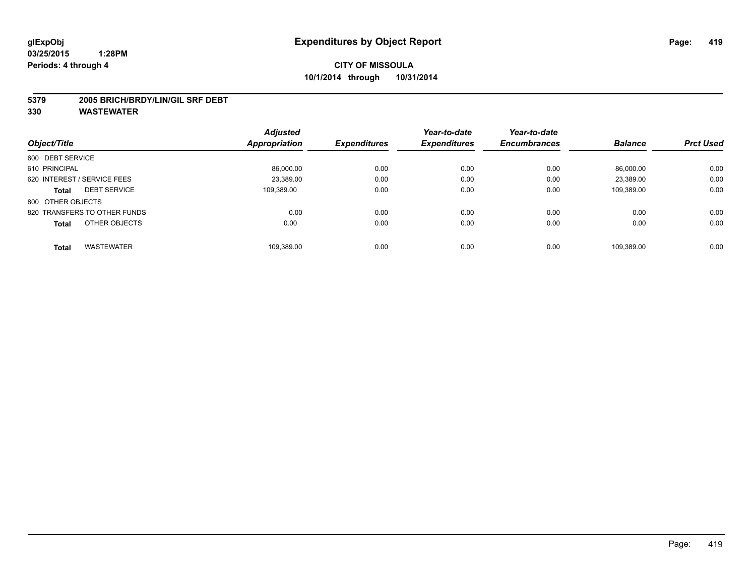#### **5379 2005 BRICH/BRDY/LIN/GIL SRF DEBT**

|                              |                     | <b>Adjusted</b> |                     | Year-to-date        | Year-to-date        |                |                  |
|------------------------------|---------------------|-----------------|---------------------|---------------------|---------------------|----------------|------------------|
| Object/Title                 |                     | Appropriation   | <b>Expenditures</b> | <b>Expenditures</b> | <b>Encumbrances</b> | <b>Balance</b> | <b>Prct Used</b> |
| 600 DEBT SERVICE             |                     |                 |                     |                     |                     |                |                  |
| 610 PRINCIPAL                |                     | 86,000.00       | 0.00                | 0.00                | 0.00                | 86.000.00      | 0.00             |
| 620 INTEREST / SERVICE FEES  |                     | 23.389.00       | 0.00                | 0.00                | 0.00                | 23,389.00      | 0.00             |
| <b>Total</b>                 | <b>DEBT SERVICE</b> | 109.389.00      | 0.00                | 0.00                | 0.00                | 109.389.00     | 0.00             |
| 800 OTHER OBJECTS            |                     |                 |                     |                     |                     |                |                  |
| 820 TRANSFERS TO OTHER FUNDS |                     | 0.00            | 0.00                | 0.00                | 0.00                | 0.00           | 0.00             |
| <b>Total</b>                 | OTHER OBJECTS       | 0.00            | 0.00                | 0.00                | 0.00                | 0.00           | 0.00             |
| Total                        | <b>WASTEWATER</b>   | 109.389.00      | 0.00                | 0.00                | 0.00                | 109.389.00     | 0.00             |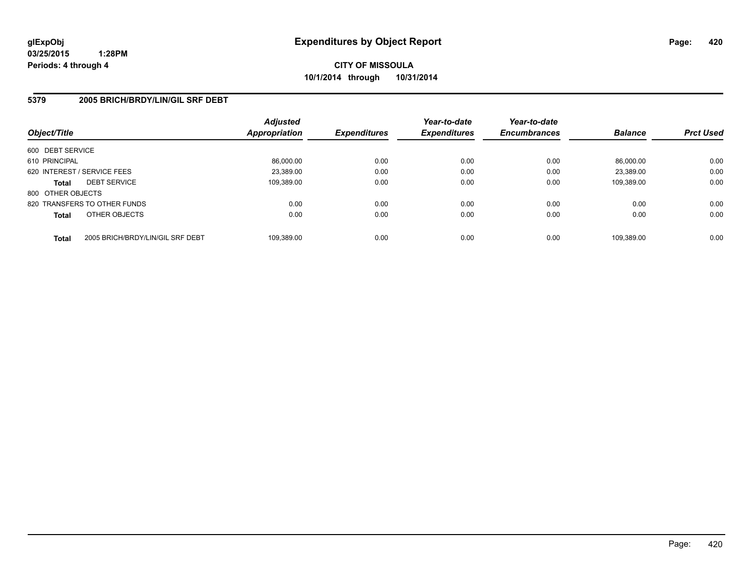## **5379 2005 BRICH/BRDY/LIN/GIL SRF DEBT**

| Object/Title      |                                  | <b>Adjusted</b><br><b>Appropriation</b> | <b>Expenditures</b> | Year-to-date<br><b>Expenditures</b> | Year-to-date<br><b>Encumbrances</b> | <b>Balance</b> | <b>Prct Used</b> |
|-------------------|----------------------------------|-----------------------------------------|---------------------|-------------------------------------|-------------------------------------|----------------|------------------|
| 600 DEBT SERVICE  |                                  |                                         |                     |                                     |                                     |                |                  |
| 610 PRINCIPAL     |                                  | 86,000.00                               | 0.00                | 0.00                                | 0.00                                | 86.000.00      | 0.00             |
|                   | 620 INTEREST / SERVICE FEES      | 23.389.00                               | 0.00                | 0.00                                | 0.00                                | 23.389.00      | 0.00             |
| <b>Total</b>      | <b>DEBT SERVICE</b>              | 109,389.00                              | 0.00                | 0.00                                | 0.00                                | 109.389.00     | 0.00             |
| 800 OTHER OBJECTS |                                  |                                         |                     |                                     |                                     |                |                  |
|                   | 820 TRANSFERS TO OTHER FUNDS     | 0.00                                    | 0.00                | 0.00                                | 0.00                                | 0.00           | 0.00             |
| <b>Total</b>      | OTHER OBJECTS                    | 0.00                                    | 0.00                | 0.00                                | 0.00                                | 0.00           | 0.00             |
| <b>Total</b>      | 2005 BRICH/BRDY/LIN/GIL SRF DEBT | 109,389.00                              | 0.00                | 0.00                                | 0.00                                | 109.389.00     | 0.00             |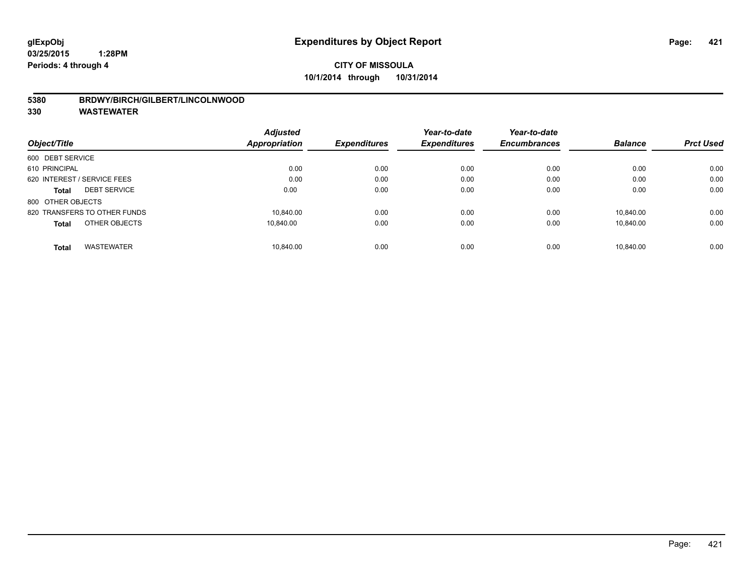## **5380 BRDWY/BIRCH/GILBERT/LINCOLNWOOD**

|                                   | <b>Adjusted</b> |                     | Year-to-date<br><b>Expenditures</b> | Year-to-date<br><b>Encumbrances</b> | <b>Balance</b> | <b>Prct Used</b> |
|-----------------------------------|-----------------|---------------------|-------------------------------------|-------------------------------------|----------------|------------------|
| Object/Title                      | Appropriation   | <b>Expenditures</b> |                                     |                                     |                |                  |
| 600 DEBT SERVICE                  |                 |                     |                                     |                                     |                |                  |
| 610 PRINCIPAL                     | 0.00            | 0.00                | 0.00                                | 0.00                                | 0.00           | 0.00             |
| 620 INTEREST / SERVICE FEES       | 0.00            | 0.00                | 0.00                                | 0.00                                | 0.00           | 0.00             |
| <b>DEBT SERVICE</b><br>Total      | 0.00            | 0.00                | 0.00                                | 0.00                                | 0.00           | 0.00             |
| 800 OTHER OBJECTS                 |                 |                     |                                     |                                     |                |                  |
| 820 TRANSFERS TO OTHER FUNDS      | 10.840.00       | 0.00                | 0.00                                | 0.00                                | 10.840.00      | 0.00             |
| OTHER OBJECTS<br><b>Total</b>     | 10.840.00       | 0.00                | 0.00                                | 0.00                                | 10.840.00      | 0.00             |
| <b>WASTEWATER</b><br><b>Total</b> | 10.840.00       | 0.00                | 0.00                                | 0.00                                | 10.840.00      | 0.00             |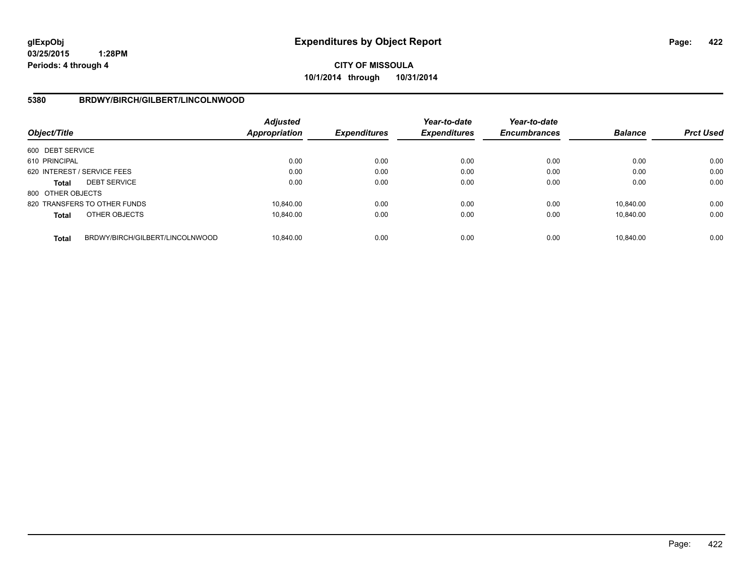**CITY OF MISSOULA 10/1/2014 through 10/31/2014**

## **5380 BRDWY/BIRCH/GILBERT/LINCOLNWOOD**

| Object/Title      |                                 | <b>Adjusted</b><br><b>Appropriation</b> | <b>Expenditures</b> | Year-to-date<br><b>Expenditures</b> | Year-to-date<br><b>Encumbrances</b> | <b>Balance</b> | <b>Prct Used</b> |
|-------------------|---------------------------------|-----------------------------------------|---------------------|-------------------------------------|-------------------------------------|----------------|------------------|
| 600 DEBT SERVICE  |                                 |                                         |                     |                                     |                                     |                |                  |
| 610 PRINCIPAL     |                                 | 0.00                                    | 0.00                | 0.00                                | 0.00                                | 0.00           | 0.00             |
|                   | 620 INTEREST / SERVICE FEES     | 0.00                                    | 0.00                | 0.00                                | 0.00                                | 0.00           | 0.00             |
| <b>Total</b>      | <b>DEBT SERVICE</b>             | 0.00                                    | 0.00                | 0.00                                | 0.00                                | 0.00           | 0.00             |
| 800 OTHER OBJECTS |                                 |                                         |                     |                                     |                                     |                |                  |
|                   | 820 TRANSFERS TO OTHER FUNDS    | 10.840.00                               | 0.00                | 0.00                                | 0.00                                | 10.840.00      | 0.00             |
| <b>Total</b>      | OTHER OBJECTS                   | 10.840.00                               | 0.00                | 0.00                                | 0.00                                | 10.840.00      | 0.00             |
| <b>Total</b>      | BRDWY/BIRCH/GILBERT/LINCOLNWOOD | 10.840.00                               | 0.00                | 0.00                                | 0.00                                | 10.840.00      | 0.00             |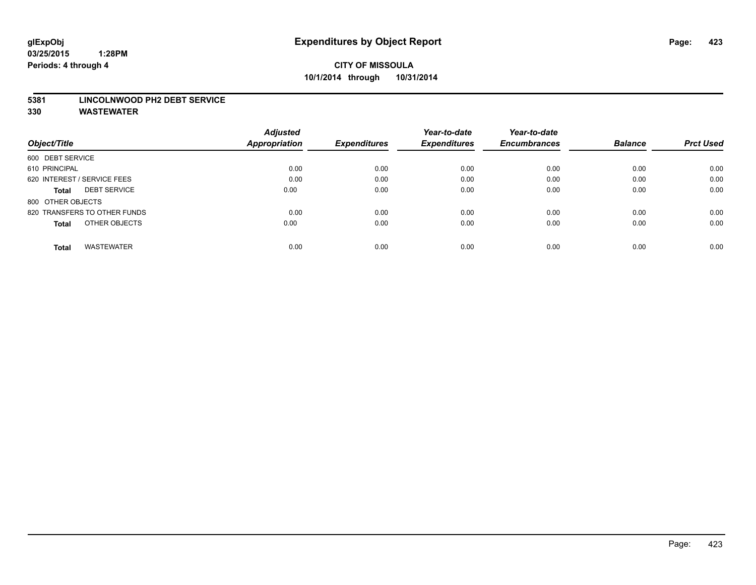#### **5381 LINCOLNWOOD PH2 DEBT SERVICE**

|                                     | <b>Adjusted</b> | <b>Expenditures</b> | Year-to-date<br><b>Expenditures</b> | Year-to-date        |                |                  |
|-------------------------------------|-----------------|---------------------|-------------------------------------|---------------------|----------------|------------------|
| Object/Title                        | Appropriation   |                     |                                     | <b>Encumbrances</b> | <b>Balance</b> | <b>Prct Used</b> |
| 600 DEBT SERVICE                    |                 |                     |                                     |                     |                |                  |
| 610 PRINCIPAL                       | 0.00            | 0.00                | 0.00                                | 0.00                | 0.00           | 0.00             |
| 620 INTEREST / SERVICE FEES         | 0.00            | 0.00                | 0.00                                | 0.00                | 0.00           | 0.00             |
| <b>DEBT SERVICE</b><br><b>Total</b> | 0.00            | 0.00                | 0.00                                | 0.00                | 0.00           | 0.00             |
| 800 OTHER OBJECTS                   |                 |                     |                                     |                     |                |                  |
| 820 TRANSFERS TO OTHER FUNDS        | 0.00            | 0.00                | 0.00                                | 0.00                | 0.00           | 0.00             |
| OTHER OBJECTS<br><b>Total</b>       | 0.00            | 0.00                | 0.00                                | 0.00                | 0.00           | 0.00             |
| <b>WASTEWATER</b><br><b>Total</b>   | 0.00            | 0.00                | 0.00                                | 0.00                | 0.00           | 0.00             |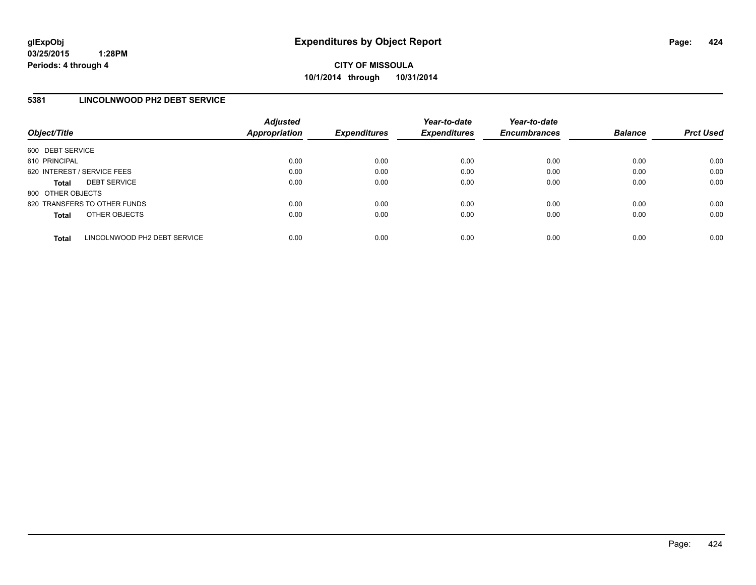## **5381 LINCOLNWOOD PH2 DEBT SERVICE**

| Object/Title                |                              | <b>Adjusted</b><br><b>Appropriation</b> | <b>Expenditures</b> | Year-to-date<br><b>Expenditures</b> | Year-to-date<br><b>Encumbrances</b> | <b>Balance</b> | <b>Prct Used</b> |
|-----------------------------|------------------------------|-----------------------------------------|---------------------|-------------------------------------|-------------------------------------|----------------|------------------|
| 600 DEBT SERVICE            |                              |                                         |                     |                                     |                                     |                |                  |
| 610 PRINCIPAL               |                              | 0.00                                    | 0.00                | 0.00                                | 0.00                                | 0.00           | 0.00             |
| 620 INTEREST / SERVICE FEES |                              | 0.00                                    | 0.00                | 0.00                                | 0.00                                | 0.00           | 0.00             |
| <b>Total</b>                | <b>DEBT SERVICE</b>          | 0.00                                    | 0.00                | 0.00                                | 0.00                                | 0.00           | 0.00             |
| 800 OTHER OBJECTS           |                              |                                         |                     |                                     |                                     |                |                  |
|                             | 820 TRANSFERS TO OTHER FUNDS | 0.00                                    | 0.00                | 0.00                                | 0.00                                | 0.00           | 0.00             |
| <b>Total</b>                | OTHER OBJECTS                | 0.00                                    | 0.00                | 0.00                                | 0.00                                | 0.00           | 0.00             |
| <b>Total</b>                | LINCOLNWOOD PH2 DEBT SERVICE | 0.00                                    | 0.00                | 0.00                                | 0.00                                | 0.00           | 0.00             |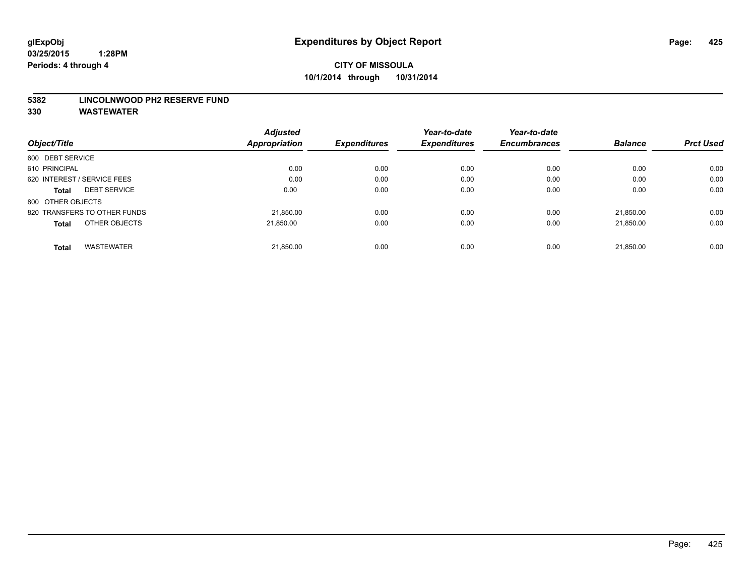#### **5382 LINCOLNWOOD PH2 RESERVE FUND**

|                                   | <b>Adjusted</b> | <b>Expenditures</b> | Year-to-date<br><b>Expenditures</b> | Year-to-date        | <b>Balance</b> | <b>Prct Used</b> |
|-----------------------------------|-----------------|---------------------|-------------------------------------|---------------------|----------------|------------------|
| Object/Title                      | Appropriation   |                     |                                     | <b>Encumbrances</b> |                |                  |
| 600 DEBT SERVICE                  |                 |                     |                                     |                     |                |                  |
| 610 PRINCIPAL                     | 0.00            | 0.00                | 0.00                                | 0.00                | 0.00           | 0.00             |
| 620 INTEREST / SERVICE FEES       | 0.00            | 0.00                | 0.00                                | 0.00                | 0.00           | 0.00             |
| <b>DEBT SERVICE</b><br>Total      | 0.00            | 0.00                | 0.00                                | 0.00                | 0.00           | 0.00             |
| 800 OTHER OBJECTS                 |                 |                     |                                     |                     |                |                  |
| 820 TRANSFERS TO OTHER FUNDS      | 21.850.00       | 0.00                | 0.00                                | 0.00                | 21,850.00      | 0.00             |
| OTHER OBJECTS<br><b>Total</b>     | 21.850.00       | 0.00                | 0.00                                | 0.00                | 21.850.00      | 0.00             |
| <b>WASTEWATER</b><br><b>Total</b> | 21,850.00       | 0.00                | 0.00                                | 0.00                | 21.850.00      | 0.00             |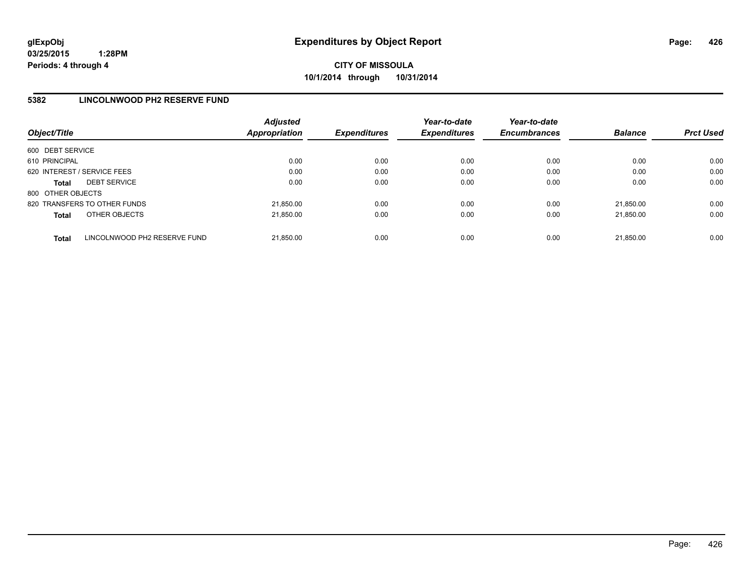## **5382 LINCOLNWOOD PH2 RESERVE FUND**

| Object/Title      |                              | <b>Adjusted</b><br>Appropriation | <b>Expenditures</b> | Year-to-date<br><b>Expenditures</b> | Year-to-date<br><b>Encumbrances</b> | <b>Balance</b> | <b>Prct Used</b> |
|-------------------|------------------------------|----------------------------------|---------------------|-------------------------------------|-------------------------------------|----------------|------------------|
| 600 DEBT SERVICE  |                              |                                  |                     |                                     |                                     |                |                  |
| 610 PRINCIPAL     |                              | 0.00                             | 0.00                | 0.00                                | 0.00                                | 0.00           | 0.00             |
|                   | 620 INTEREST / SERVICE FEES  | 0.00                             | 0.00                | 0.00                                | 0.00                                | 0.00           | 0.00             |
| <b>Total</b>      | <b>DEBT SERVICE</b>          | 0.00                             | 0.00                | 0.00                                | 0.00                                | 0.00           | 0.00             |
| 800 OTHER OBJECTS |                              |                                  |                     |                                     |                                     |                |                  |
|                   | 820 TRANSFERS TO OTHER FUNDS | 21,850.00                        | 0.00                | 0.00                                | 0.00                                | 21.850.00      | 0.00             |
| <b>Total</b>      | OTHER OBJECTS                | 21,850.00                        | 0.00                | 0.00                                | 0.00                                | 21.850.00      | 0.00             |
| <b>Total</b>      | LINCOLNWOOD PH2 RESERVE FUND | 21,850.00                        | 0.00                | 0.00                                | 0.00                                | 21.850.00      | 0.00             |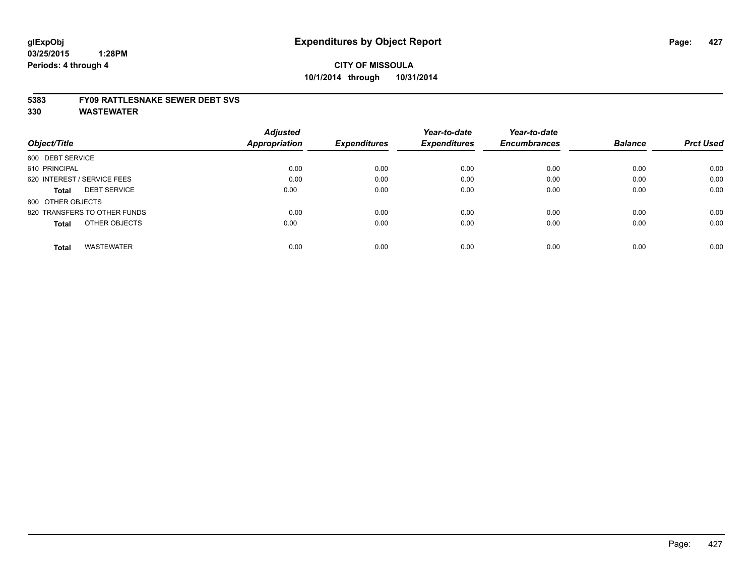#### **5383 FY09 RATTLESNAKE SEWER DEBT SVS**

|                                     | <b>Adjusted</b> | <b>Expenditures</b> | Year-to-date<br><b>Expenditures</b> | Year-to-date        |                |                  |
|-------------------------------------|-----------------|---------------------|-------------------------------------|---------------------|----------------|------------------|
| Object/Title                        | Appropriation   |                     |                                     | <b>Encumbrances</b> | <b>Balance</b> | <b>Prct Used</b> |
| 600 DEBT SERVICE                    |                 |                     |                                     |                     |                |                  |
| 610 PRINCIPAL                       | 0.00            | 0.00                | 0.00                                | 0.00                | 0.00           | 0.00             |
| 620 INTEREST / SERVICE FEES         | 0.00            | 0.00                | 0.00                                | 0.00                | 0.00           | 0.00             |
| <b>DEBT SERVICE</b><br><b>Total</b> | 0.00            | 0.00                | 0.00                                | 0.00                | 0.00           | 0.00             |
| 800 OTHER OBJECTS                   |                 |                     |                                     |                     |                |                  |
| 820 TRANSFERS TO OTHER FUNDS        | 0.00            | 0.00                | 0.00                                | 0.00                | 0.00           | 0.00             |
| OTHER OBJECTS<br><b>Total</b>       | 0.00            | 0.00                | 0.00                                | 0.00                | 0.00           | 0.00             |
| <b>WASTEWATER</b><br><b>Total</b>   | 0.00            | 0.00                | 0.00                                | 0.00                | 0.00           | 0.00             |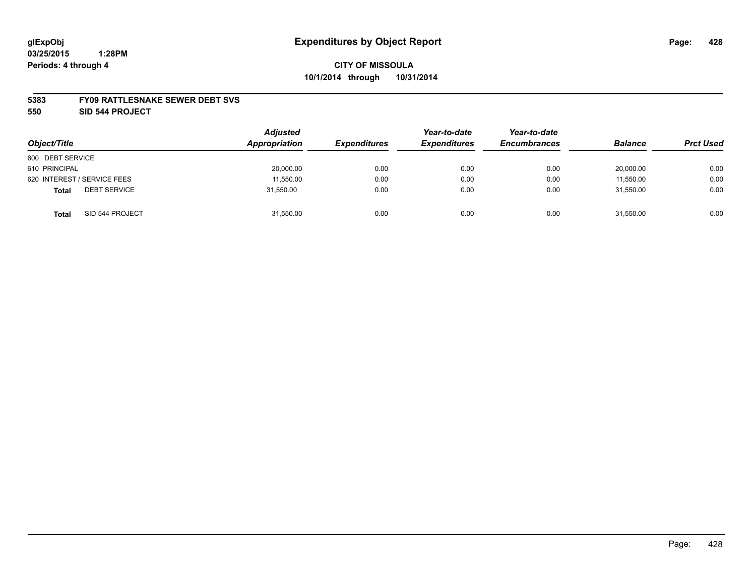#### **5383 FY09 RATTLESNAKE SEWER DEBT SVS**

**550 SID 544 PROJECT**

| Object/Title                        | <b>Adjusted</b><br>Appropriation | <b>Expenditures</b> | Year-to-date<br><b>Expenditures</b> | Year-to-date<br><b>Encumbrances</b> | <b>Balance</b> | <b>Prct Used</b> |
|-------------------------------------|----------------------------------|---------------------|-------------------------------------|-------------------------------------|----------------|------------------|
| 600 DEBT SERVICE                    |                                  |                     |                                     |                                     |                |                  |
| 610 PRINCIPAL                       | 20,000.00                        | 0.00                | 0.00                                | 0.00                                | 20,000.00      | 0.00             |
| 620 INTEREST / SERVICE FEES         | 11,550.00                        | 0.00                | 0.00                                | 0.00                                | 11,550.00      | 0.00             |
| <b>DEBT SERVICE</b><br><b>Total</b> | 31.550.00                        | 0.00                | 0.00                                | 0.00                                | 31.550.00      | 0.00             |
| SID 544 PROJECT<br><b>Total</b>     | 31,550.00                        | 0.00                | 0.00                                | 0.00                                | 31,550.00      | 0.00             |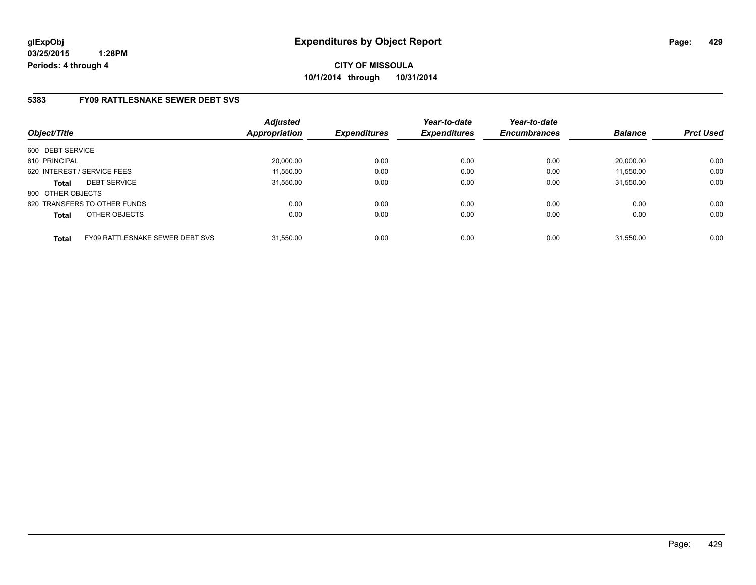**CITY OF MISSOULA 10/1/2014 through 10/31/2014**

## **5383 FY09 RATTLESNAKE SEWER DEBT SVS**

| Object/Title      |                                        | <b>Adjusted</b><br>Appropriation | <b>Expenditures</b> | Year-to-date<br><b>Expenditures</b> | Year-to-date<br><b>Encumbrances</b> | <b>Balance</b> | <b>Prct Used</b> |
|-------------------|----------------------------------------|----------------------------------|---------------------|-------------------------------------|-------------------------------------|----------------|------------------|
| 600 DEBT SERVICE  |                                        |                                  |                     |                                     |                                     |                |                  |
| 610 PRINCIPAL     |                                        | 20.000.00                        | 0.00                | 0.00                                | 0.00                                | 20.000.00      | 0.00             |
|                   | 620 INTEREST / SERVICE FEES            | 11,550.00                        | 0.00                | 0.00                                | 0.00                                | 11,550.00      | 0.00             |
| <b>Total</b>      | <b>DEBT SERVICE</b>                    | 31.550.00                        | 0.00                | 0.00                                | 0.00                                | 31.550.00      | 0.00             |
| 800 OTHER OBJECTS |                                        |                                  |                     |                                     |                                     |                |                  |
|                   | 820 TRANSFERS TO OTHER FUNDS           | 0.00                             | 0.00                | 0.00                                | 0.00                                | 0.00           | 0.00             |
| <b>Total</b>      | OTHER OBJECTS                          | 0.00                             | 0.00                | 0.00                                | 0.00                                | 0.00           | 0.00             |
| <b>Total</b>      | <b>FY09 RATTLESNAKE SEWER DEBT SVS</b> | 31.550.00                        | 0.00                | 0.00                                | 0.00                                | 31.550.00      | 0.00             |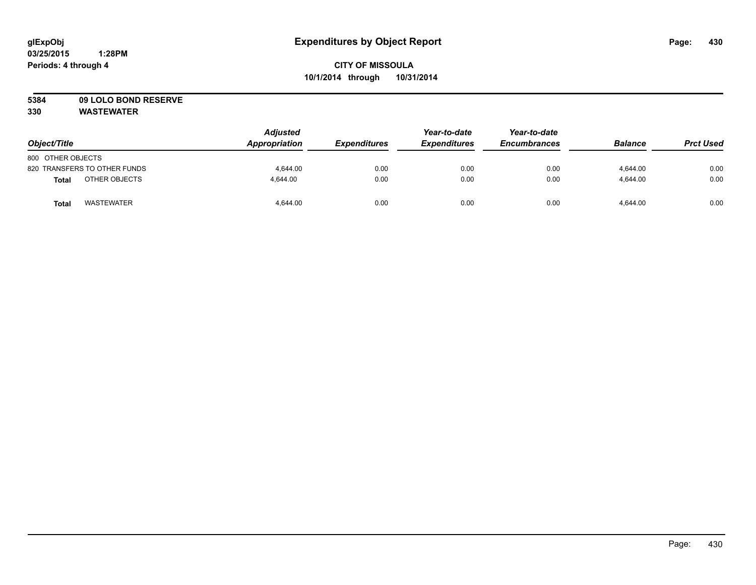# **5384 09 LOLO BOND RESERVE**

| Object/Title                 | <b>Adjusted</b><br>Appropriation | <b>Expenditures</b> | Year-to-date<br><b>Expenditures</b> | Year-to-date<br><b>Encumbrances</b> | <b>Balance</b> | <b>Prct Used</b> |
|------------------------------|----------------------------------|---------------------|-------------------------------------|-------------------------------------|----------------|------------------|
| 800 OTHER OBJECTS            |                                  |                     |                                     |                                     |                |                  |
| 820 TRANSFERS TO OTHER FUNDS | 4.644.00                         | 0.00                | 0.00                                | 0.00                                | 4,644.00       | 0.00             |
| OTHER OBJECTS<br>Total       | 4,644.00                         | 0.00                | 0.00                                | 0.00                                | 4,644.00       | 0.00             |
| <b>WASTEWATER</b><br>Total   | 4.644.00                         | 0.00                | 0.00                                | 0.00                                | 4,644.00       | 0.00             |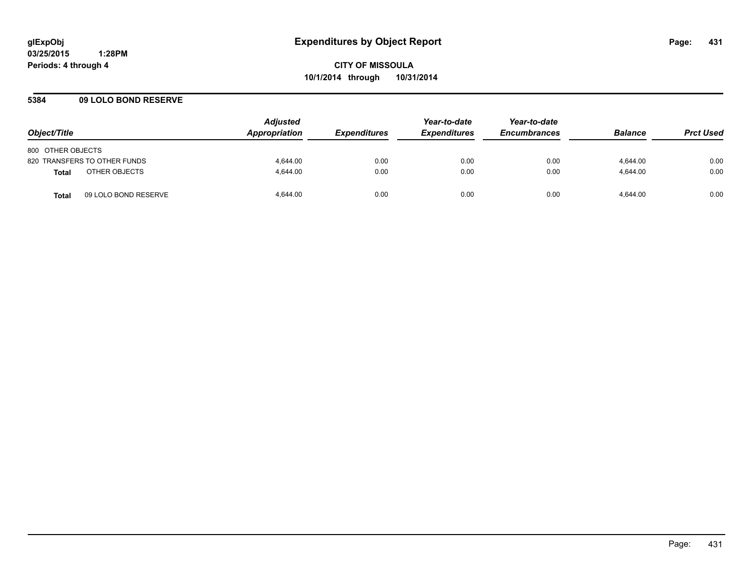## **5384 09 LOLO BOND RESERVE**

| Object/Title                         | <b>Adjusted</b><br>Appropriation | <i><b>Expenditures</b></i> | Year-to-date<br><b>Expenditures</b> | Year-to-date<br><b>Encumbrances</b> | <b>Balance</b> | <b>Prct Used</b> |
|--------------------------------------|----------------------------------|----------------------------|-------------------------------------|-------------------------------------|----------------|------------------|
| 800 OTHER OBJECTS                    |                                  |                            |                                     |                                     |                |                  |
| 820 TRANSFERS TO OTHER FUNDS         | 4.644.00                         | 0.00                       | 0.00                                | 0.00                                | 4.644.00       | 0.00             |
| OTHER OBJECTS<br><b>Total</b>        | 4.644.00                         | 0.00                       | 0.00                                | 0.00                                | 4.644.00       | 0.00             |
| 09 LOLO BOND RESERVE<br><b>Total</b> | 4.644.00                         | 0.00                       | 0.00                                | 0.00                                | 4.644.00       | 0.00             |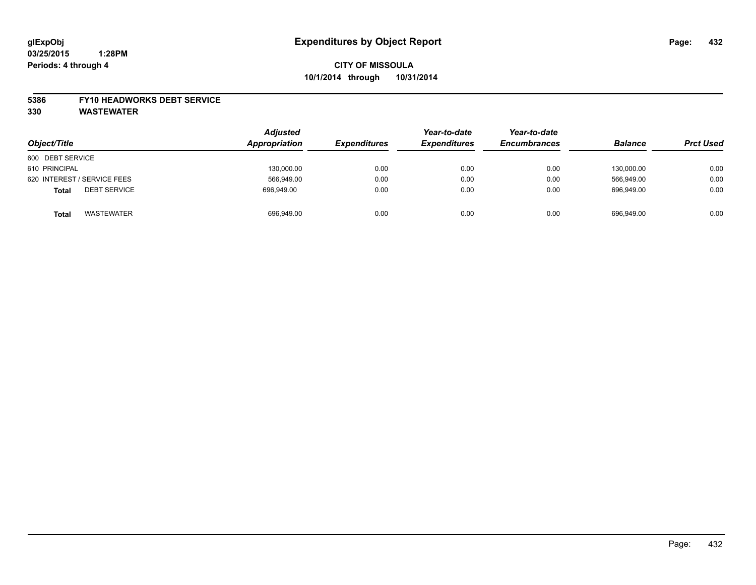#### **5386 FY10 HEADWORKS DEBT SERVICE**

| Object/Title                        | <b>Adjusted</b><br>Appropriation | <b>Expenditures</b> | Year-to-date<br><b>Expenditures</b> | Year-to-date<br><b>Encumbrances</b> | <b>Balance</b> | <b>Prct Used</b> |
|-------------------------------------|----------------------------------|---------------------|-------------------------------------|-------------------------------------|----------------|------------------|
| 600 DEBT SERVICE                    |                                  |                     |                                     |                                     |                |                  |
| 610 PRINCIPAL                       | 130,000.00                       | 0.00                | 0.00                                | 0.00                                | 130,000.00     | 0.00             |
| 620 INTEREST / SERVICE FEES         | 566,949.00                       | 0.00                | 0.00                                | 0.00                                | 566.949.00     | 0.00             |
| <b>DEBT SERVICE</b><br><b>Total</b> | 696.949.00                       | 0.00                | 0.00                                | 0.00                                | 696.949.00     | 0.00             |
| <b>WASTEWATER</b><br><b>Total</b>   | 696,949.00                       | 0.00                | 0.00                                | 0.00                                | 696.949.00     | 0.00             |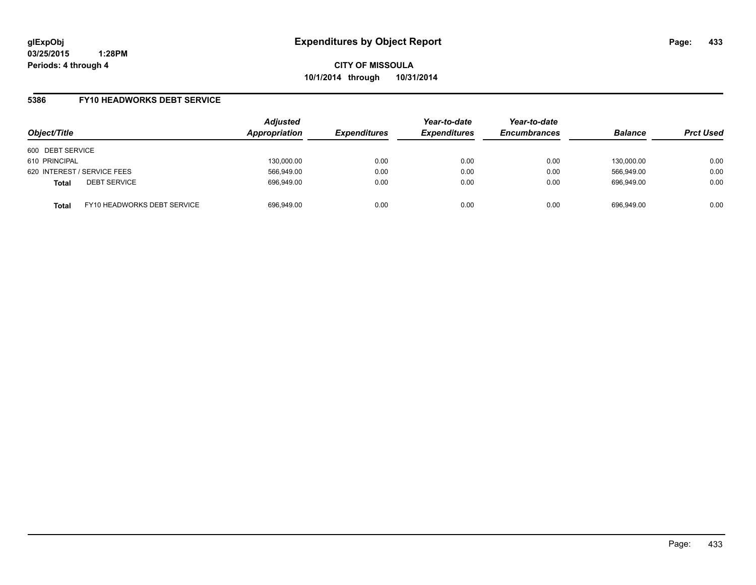**CITY OF MISSOULA 10/1/2014 through 10/31/2014**

### **5386 FY10 HEADWORKS DEBT SERVICE**

| Object/Title                        |                             | <b>Adjusted</b><br>Appropriation | <b>Expenditures</b> | Year-to-date<br><b>Expenditures</b> | Year-to-date<br><b>Encumbrances</b> | <b>Balance</b> | <b>Prct Used</b> |
|-------------------------------------|-----------------------------|----------------------------------|---------------------|-------------------------------------|-------------------------------------|----------------|------------------|
| 600 DEBT SERVICE                    |                             |                                  |                     |                                     |                                     |                |                  |
| 610 PRINCIPAL                       |                             | 130.000.00                       | 0.00                | 0.00                                | 0.00                                | 130.000.00     | 0.00             |
| 620 INTEREST / SERVICE FEES         |                             | 566,949.00                       | 0.00                | 0.00                                | 0.00                                | 566.949.00     | 0.00             |
| <b>DEBT SERVICE</b><br><b>Total</b> |                             | 696,949.00                       | 0.00                | 0.00                                | 0.00                                | 696.949.00     | 0.00             |
| <b>Total</b>                        | FY10 HEADWORKS DEBT SERVICE | 696,949.00                       | 0.00                | 0.00                                | 0.00                                | 696.949.00     | 0.00             |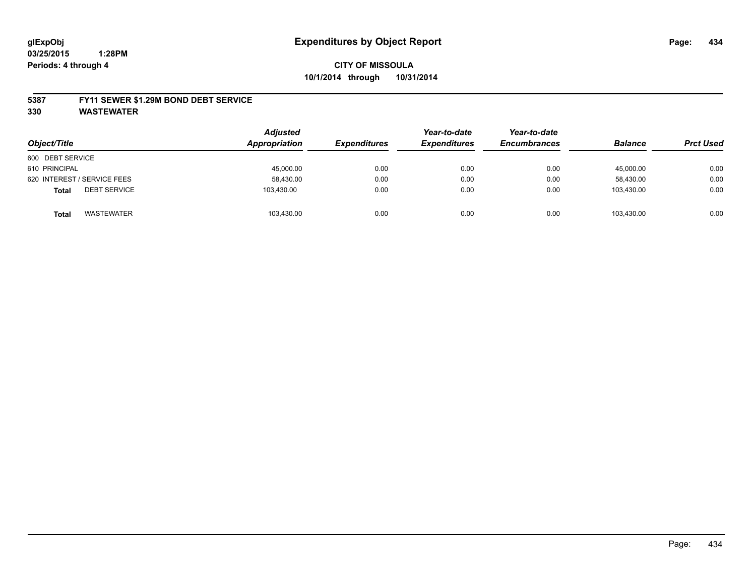#### **5387 FY11 SEWER \$1.29M BOND DEBT SERVICE**

**330 WASTEWATER**

| Object/Title                        | <b>Adjusted</b><br>Appropriation | <b>Expenditures</b> | Year-to-date<br><b>Expenditures</b> | Year-to-date<br><b>Encumbrances</b> | <b>Balance</b> | <b>Prct Used</b> |
|-------------------------------------|----------------------------------|---------------------|-------------------------------------|-------------------------------------|----------------|------------------|
| 600 DEBT SERVICE                    |                                  |                     |                                     |                                     |                |                  |
| 610 PRINCIPAL                       | 45,000.00                        | 0.00                | 0.00                                | 0.00                                | 45,000.00      | 0.00             |
| 620 INTEREST / SERVICE FEES         | 58,430.00                        | 0.00                | 0.00                                | 0.00                                | 58.430.00      | 0.00             |
| <b>DEBT SERVICE</b><br><b>Total</b> | 103.430.00                       | 0.00                | 0.00                                | 0.00                                | 103.430.00     | 0.00             |
| <b>WASTEWATER</b><br><b>Total</b>   | 103,430.00                       | 0.00                | 0.00                                | 0.00                                | 103.430.00     | 0.00             |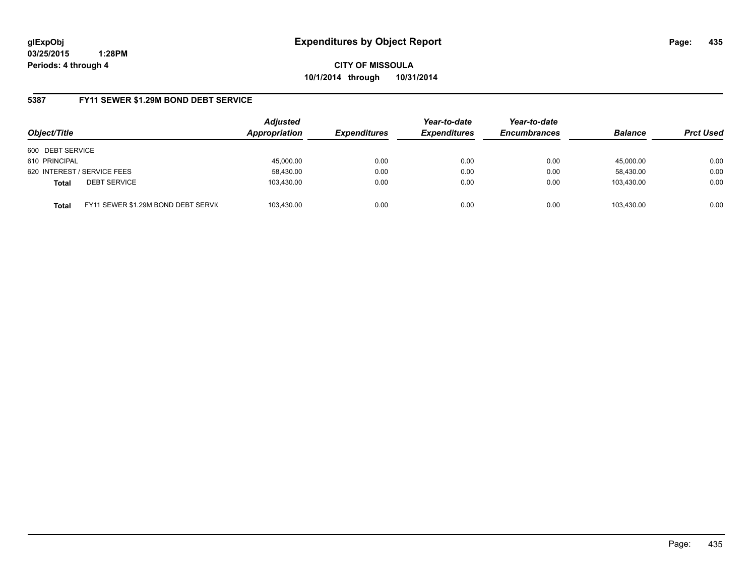**CITY OF MISSOULA 10/1/2014 through 10/31/2014**

### **5387 FY11 SEWER \$1.29M BOND DEBT SERVICE**

| Object/Title     |                                     | <b>Adjusted</b><br>Appropriation | <b>Expenditures</b> | Year-to-date<br><b>Expenditures</b> | Year-to-date<br><b>Encumbrances</b> | <b>Balance</b> | <b>Prct Used</b> |
|------------------|-------------------------------------|----------------------------------|---------------------|-------------------------------------|-------------------------------------|----------------|------------------|
| 600 DEBT SERVICE |                                     |                                  |                     |                                     |                                     |                |                  |
| 610 PRINCIPAL    |                                     | 45.000.00                        | 0.00                | 0.00                                | 0.00                                | 45.000.00      | 0.00             |
|                  | 620 INTEREST / SERVICE FEES         | 58,430.00                        | 0.00                | 0.00                                | 0.00                                | 58,430.00      | 0.00             |
| <b>Total</b>     | <b>DEBT SERVICE</b>                 | 103.430.00                       | 0.00                | 0.00                                | 0.00                                | 103.430.00     | 0.00             |
| Total            | FY11 SEWER \$1.29M BOND DEBT SERVIC | 103.430.00                       | 0.00                | 0.00                                | 0.00                                | 103.430.00     | 0.00             |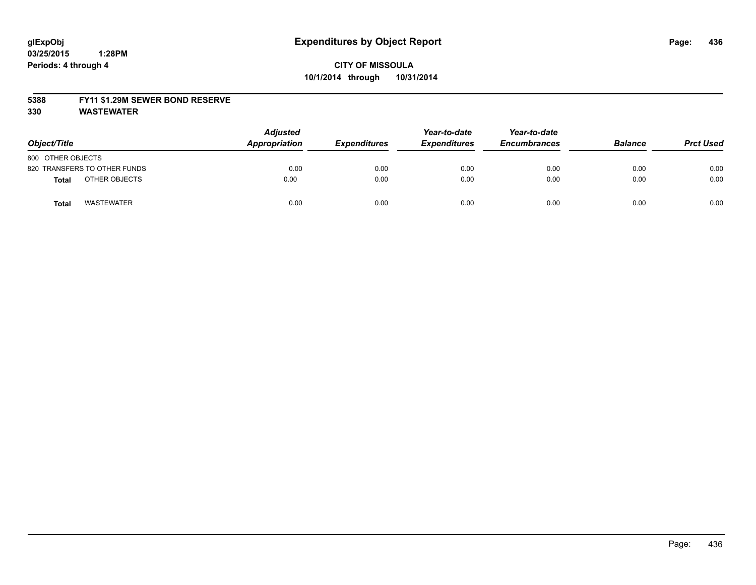## **CITY OF MISSOULA 10/1/2014 through 10/31/2014**

#### **5388 FY11 \$1.29M SEWER BOND RESERVE**

**330 WASTEWATER**

| Object/Title                 | <b>Adjusted</b><br>Appropriation | <b>Expenditures</b> | Year-to-date<br><b>Expenditures</b> | Year-to-date<br><b>Encumbrances</b> | <b>Balance</b> | <b>Prct Used</b> |
|------------------------------|----------------------------------|---------------------|-------------------------------------|-------------------------------------|----------------|------------------|
| 800 OTHER OBJECTS            |                                  |                     |                                     |                                     |                |                  |
| 820 TRANSFERS TO OTHER FUNDS | 0.00                             | 0.00                | 0.00                                | 0.00                                | 0.00           | 0.00             |
| OTHER OBJECTS<br>Total       | 0.00                             | 0.00                | 0.00                                | 0.00                                | 0.00           | 0.00             |
| <b>WASTEWATER</b><br>Total   | 0.00                             | 0.00                | 0.00                                | 0.00                                | 0.00           | 0.00             |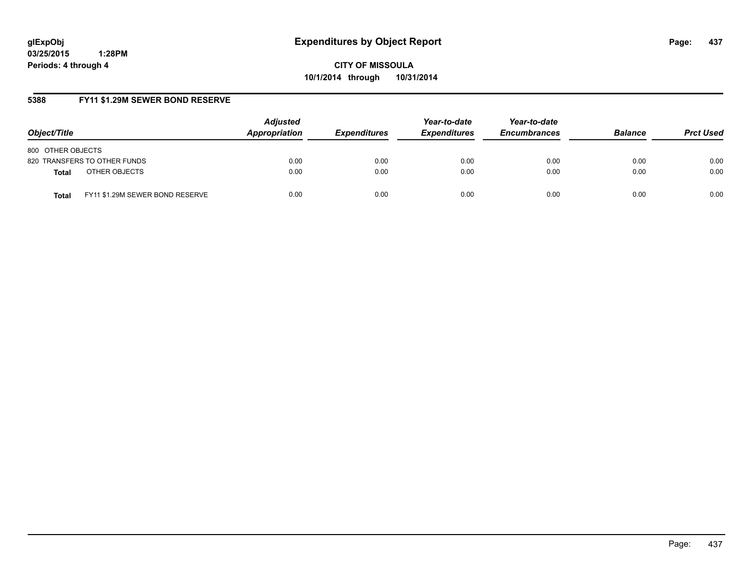**CITY OF MISSOULA 10/1/2014 through 10/31/2014**

## **5388 FY11 \$1.29M SEWER BOND RESERVE**

| Object/Title                                    | <b>Adjusted</b><br>Appropriation | <b>Expenditures</b> | Year-to-date<br><b>Expenditures</b> | Year-to-date<br><b>Encumbrances</b> | <b>Balance</b> | <b>Prct Used</b> |
|-------------------------------------------------|----------------------------------|---------------------|-------------------------------------|-------------------------------------|----------------|------------------|
| 800 OTHER OBJECTS                               |                                  |                     |                                     |                                     |                |                  |
| 820 TRANSFERS TO OTHER FUNDS                    | 0.00                             | 0.00                | 0.00                                | 0.00                                | 0.00           | 0.00             |
| OTHER OBJECTS<br><b>Total</b>                   | 0.00                             | 0.00                | 0.00                                | 0.00                                | 0.00           | 0.00             |
| FY11 \$1.29M SEWER BOND RESERVE<br><b>Total</b> | 0.00                             | 0.00                | 0.00                                | 0.00                                | 0.00           | 0.00             |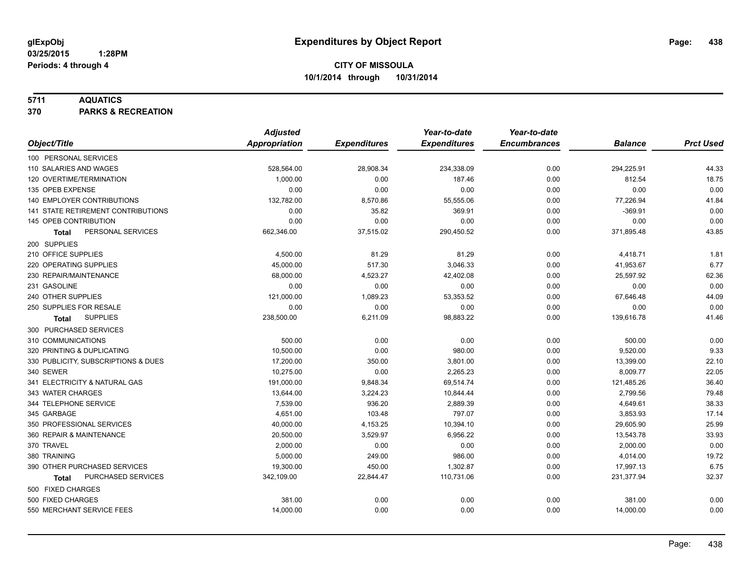### **5711 AQUATICS**

**370 PARKS & RECREATION**

|                                     | <b>Adjusted</b> |                     | Year-to-date        | Year-to-date        |                |                  |
|-------------------------------------|-----------------|---------------------|---------------------|---------------------|----------------|------------------|
| Object/Title                        | Appropriation   | <b>Expenditures</b> | <b>Expenditures</b> | <b>Encumbrances</b> | <b>Balance</b> | <b>Prct Used</b> |
| 100 PERSONAL SERVICES               |                 |                     |                     |                     |                |                  |
| 110 SALARIES AND WAGES              | 528,564.00      | 28,908.34           | 234,338.09          | 0.00                | 294,225.91     | 44.33            |
| 120 OVERTIME/TERMINATION            | 1,000.00        | 0.00                | 187.46              | 0.00                | 812.54         | 18.75            |
| 135 OPEB EXPENSE                    | 0.00            | 0.00                | 0.00                | 0.00                | 0.00           | 0.00             |
| 140 EMPLOYER CONTRIBUTIONS          | 132,782.00      | 8,570.86            | 55,555.06           | 0.00                | 77,226.94      | 41.84            |
| 141 STATE RETIREMENT CONTRIBUTIONS  | 0.00            | 35.82               | 369.91              | 0.00                | $-369.91$      | 0.00             |
| 145 OPEB CONTRIBUTION               | 0.00            | 0.00                | 0.00                | 0.00                | 0.00           | 0.00             |
| PERSONAL SERVICES<br><b>Total</b>   | 662,346.00      | 37,515.02           | 290,450.52          | 0.00                | 371,895.48     | 43.85            |
| 200 SUPPLIES                        |                 |                     |                     |                     |                |                  |
| 210 OFFICE SUPPLIES                 | 4,500.00        | 81.29               | 81.29               | 0.00                | 4,418.71       | 1.81             |
| 220 OPERATING SUPPLIES              | 45,000.00       | 517.30              | 3,046.33            | 0.00                | 41,953.67      | 6.77             |
| 230 REPAIR/MAINTENANCE              | 68,000.00       | 4,523.27            | 42,402.08           | 0.00                | 25,597.92      | 62.36            |
| 231 GASOLINE                        | 0.00            | 0.00                | 0.00                | 0.00                | 0.00           | 0.00             |
| 240 OTHER SUPPLIES                  | 121,000.00      | 1,089.23            | 53,353.52           | 0.00                | 67,646.48      | 44.09            |
| 250 SUPPLIES FOR RESALE             | 0.00            | 0.00                | 0.00                | 0.00                | 0.00           | 0.00             |
| <b>SUPPLIES</b><br>Total            | 238,500.00      | 6,211.09            | 98,883.22           | 0.00                | 139,616.78     | 41.46            |
| 300 PURCHASED SERVICES              |                 |                     |                     |                     |                |                  |
| 310 COMMUNICATIONS                  | 500.00          | 0.00                | 0.00                | 0.00                | 500.00         | 0.00             |
| 320 PRINTING & DUPLICATING          | 10,500.00       | 0.00                | 980.00              | 0.00                | 9,520.00       | 9.33             |
| 330 PUBLICITY, SUBSCRIPTIONS & DUES | 17,200.00       | 350.00              | 3,801.00            | 0.00                | 13,399.00      | 22.10            |
| 340 SEWER                           | 10.275.00       | 0.00                | 2.265.23            | 0.00                | 8,009.77       | 22.05            |
| 341 ELECTRICITY & NATURAL GAS       | 191,000.00      | 9,848.34            | 69,514.74           | 0.00                | 121,485.26     | 36.40            |
| 343 WATER CHARGES                   | 13,644.00       | 3,224.23            | 10,844.44           | 0.00                | 2,799.56       | 79.48            |
| 344 TELEPHONE SERVICE               | 7,539.00        | 936.20              | 2,889.39            | 0.00                | 4,649.61       | 38.33            |
| 345 GARBAGE                         | 4,651.00        | 103.48              | 797.07              | 0.00                | 3,853.93       | 17.14            |
| 350 PROFESSIONAL SERVICES           | 40,000.00       | 4,153.25            | 10,394.10           | 0.00                | 29,605.90      | 25.99            |
| 360 REPAIR & MAINTENANCE            | 20,500.00       | 3,529.97            | 6,956.22            | 0.00                | 13,543.78      | 33.93            |
| 370 TRAVEL                          | 2,000.00        | 0.00                | 0.00                | 0.00                | 2,000.00       | 0.00             |
| 380 TRAINING                        | 5,000.00        | 249.00              | 986.00              | 0.00                | 4,014.00       | 19.72            |
| 390 OTHER PURCHASED SERVICES        | 19,300.00       | 450.00              | 1,302.87            | 0.00                | 17,997.13      | 6.75             |
| PURCHASED SERVICES<br><b>Total</b>  | 342,109.00      | 22,844.47           | 110,731.06          | 0.00                | 231,377.94     | 32.37            |
| 500 FIXED CHARGES                   |                 |                     |                     |                     |                |                  |
| 500 FIXED CHARGES                   | 381.00          | 0.00                | 0.00                | 0.00                | 381.00         | 0.00             |
| 550 MERCHANT SERVICE FEES           | 14,000.00       | 0.00                | 0.00                | 0.00                | 14,000.00      | 0.00             |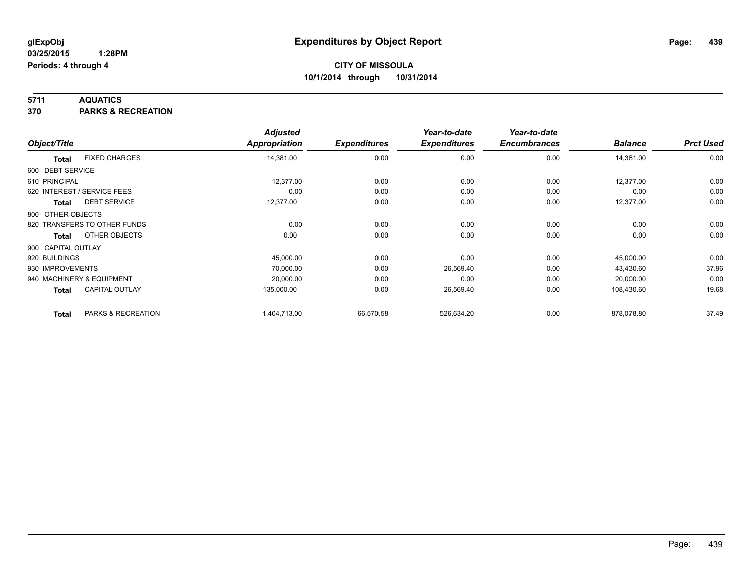### **5711 AQUATICS**

**370 PARKS & RECREATION**

|                    |                              | <b>Adjusted</b> |                     | Year-to-date        | Year-to-date        |                |                  |
|--------------------|------------------------------|-----------------|---------------------|---------------------|---------------------|----------------|------------------|
| Object/Title       |                              | Appropriation   | <b>Expenditures</b> | <b>Expenditures</b> | <b>Encumbrances</b> | <b>Balance</b> | <b>Prct Used</b> |
| <b>Total</b>       | <b>FIXED CHARGES</b>         | 14,381.00       | 0.00                | 0.00                | 0.00                | 14,381.00      | 0.00             |
| 600 DEBT SERVICE   |                              |                 |                     |                     |                     |                |                  |
| 610 PRINCIPAL      |                              | 12,377.00       | 0.00                | 0.00                | 0.00                | 12,377.00      | 0.00             |
|                    | 620 INTEREST / SERVICE FEES  | 0.00            | 0.00                | 0.00                | 0.00                | 0.00           | 0.00             |
| Total              | <b>DEBT SERVICE</b>          | 12,377.00       | 0.00                | 0.00                | 0.00                | 12,377.00      | 0.00             |
| 800 OTHER OBJECTS  |                              |                 |                     |                     |                     |                |                  |
|                    | 820 TRANSFERS TO OTHER FUNDS | 0.00            | 0.00                | 0.00                | 0.00                | 0.00           | 0.00             |
| <b>Total</b>       | OTHER OBJECTS                | 0.00            | 0.00                | 0.00                | 0.00                | 0.00           | 0.00             |
| 900 CAPITAL OUTLAY |                              |                 |                     |                     |                     |                |                  |
| 920 BUILDINGS      |                              | 45,000.00       | 0.00                | 0.00                | 0.00                | 45,000.00      | 0.00             |
| 930 IMPROVEMENTS   |                              | 70,000.00       | 0.00                | 26,569.40           | 0.00                | 43,430.60      | 37.96            |
|                    | 940 MACHINERY & EQUIPMENT    | 20,000.00       | 0.00                | 0.00                | 0.00                | 20,000.00      | 0.00             |
| <b>Total</b>       | <b>CAPITAL OUTLAY</b>        | 135,000.00      | 0.00                | 26,569.40           | 0.00                | 108,430.60     | 19.68            |
| <b>Total</b>       | PARKS & RECREATION           | 1,404,713.00    | 66,570.58           | 526,634.20          | 0.00                | 878,078.80     | 37.49            |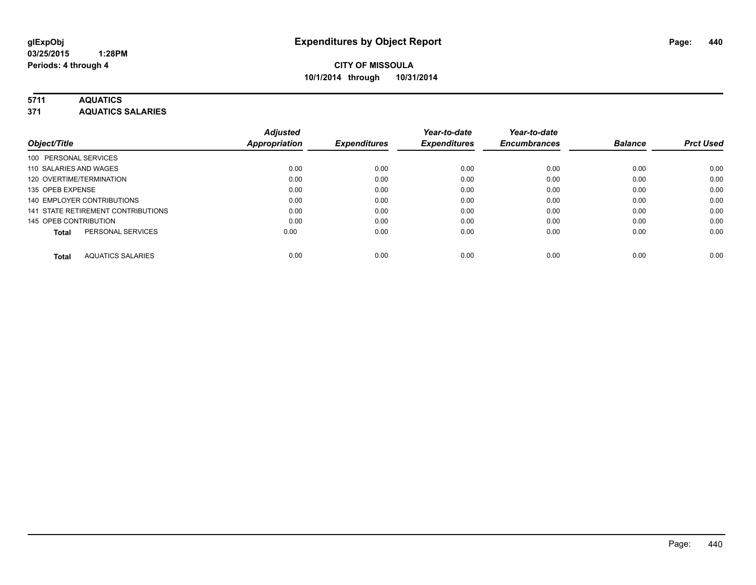# **5711 AQUATICS**

**371 AQUATICS SALARIES**

| Object/Title                             | <b>Adjusted</b><br><b>Appropriation</b> | <b>Expenditures</b> | Year-to-date<br><b>Expenditures</b> | Year-to-date<br><b>Encumbrances</b> | <b>Balance</b> | <b>Prct Used</b> |
|------------------------------------------|-----------------------------------------|---------------------|-------------------------------------|-------------------------------------|----------------|------------------|
| 100 PERSONAL SERVICES                    |                                         |                     |                                     |                                     |                |                  |
| 110 SALARIES AND WAGES                   | 0.00                                    | 0.00                | 0.00                                | 0.00                                | 0.00           | 0.00             |
| 120 OVERTIME/TERMINATION                 | 0.00                                    | 0.00                | 0.00                                | 0.00                                | 0.00           | 0.00             |
| 135 OPEB EXPENSE                         | 0.00                                    | 0.00                | 0.00                                | 0.00                                | 0.00           | 0.00             |
| 140 EMPLOYER CONTRIBUTIONS               | 0.00                                    | 0.00                | 0.00                                | 0.00                                | 0.00           | 0.00             |
| 141 STATE RETIREMENT CONTRIBUTIONS       | 0.00                                    | 0.00                | 0.00                                | 0.00                                | 0.00           | 0.00             |
| 145 OPEB CONTRIBUTION                    | 0.00                                    | 0.00                | 0.00                                | 0.00                                | 0.00           | 0.00             |
| PERSONAL SERVICES<br><b>Total</b>        | 0.00                                    | 0.00                | 0.00                                | 0.00                                | 0.00           | 0.00             |
| <b>AQUATICS SALARIES</b><br><b>Total</b> | 0.00                                    | 0.00                | 0.00                                | 0.00                                | 0.00           | 0.00             |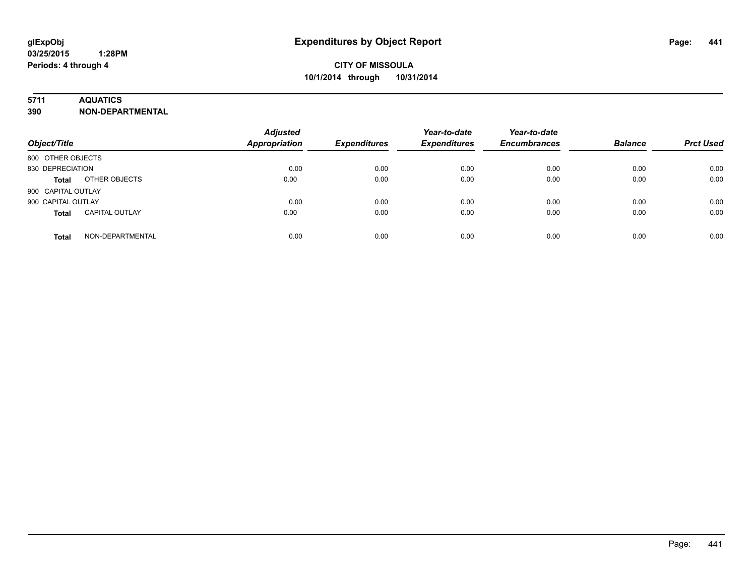## **5711 AQUATICS**

**390 NON-DEPARTMENTAL**

| Object/Title                          | <b>Adjusted</b><br><b>Appropriation</b> | <b>Expenditures</b> | Year-to-date<br><b>Expenditures</b> | Year-to-date<br><b>Encumbrances</b> | <b>Balance</b> | <b>Prct Used</b> |
|---------------------------------------|-----------------------------------------|---------------------|-------------------------------------|-------------------------------------|----------------|------------------|
| 800 OTHER OBJECTS                     |                                         |                     |                                     |                                     |                |                  |
| 830 DEPRECIATION                      | 0.00                                    | 0.00                | 0.00                                | 0.00                                | 0.00           | 0.00             |
| OTHER OBJECTS<br><b>Total</b>         | 0.00                                    | 0.00                | 0.00                                | 0.00                                | 0.00           | 0.00             |
| 900 CAPITAL OUTLAY                    |                                         |                     |                                     |                                     |                |                  |
| 900 CAPITAL OUTLAY                    | 0.00                                    | 0.00                | 0.00                                | 0.00                                | 0.00           | 0.00             |
| <b>CAPITAL OUTLAY</b><br><b>Total</b> | 0.00                                    | 0.00                | 0.00                                | 0.00                                | 0.00           | 0.00             |
| NON-DEPARTMENTAL<br><b>Total</b>      | 0.00                                    | 0.00                | 0.00                                | 0.00                                | 0.00           | 0.00             |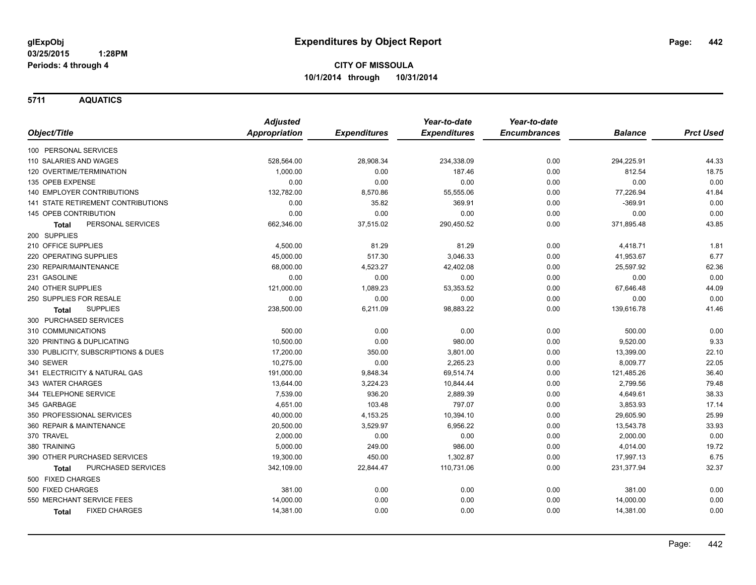**5711 AQUATICS**

|                                      | <b>Adjusted</b>      |                     | Year-to-date        | Year-to-date        |                |                  |
|--------------------------------------|----------------------|---------------------|---------------------|---------------------|----------------|------------------|
| Object/Title                         | <b>Appropriation</b> | <b>Expenditures</b> | <b>Expenditures</b> | <b>Encumbrances</b> | <b>Balance</b> | <b>Prct Used</b> |
| 100 PERSONAL SERVICES                |                      |                     |                     |                     |                |                  |
| 110 SALARIES AND WAGES               | 528,564.00           | 28,908.34           | 234,338.09          | 0.00                | 294,225.91     | 44.33            |
| 120 OVERTIME/TERMINATION             | 1,000.00             | 0.00                | 187.46              | 0.00                | 812.54         | 18.75            |
| 135 OPEB EXPENSE                     | 0.00                 | 0.00                | 0.00                | 0.00                | 0.00           | 0.00             |
| <b>140 EMPLOYER CONTRIBUTIONS</b>    | 132,782.00           | 8,570.86            | 55,555.06           | 0.00                | 77,226.94      | 41.84            |
| 141 STATE RETIREMENT CONTRIBUTIONS   | 0.00                 | 35.82               | 369.91              | 0.00                | $-369.91$      | 0.00             |
| 145 OPEB CONTRIBUTION                | 0.00                 | 0.00                | 0.00                | 0.00                | 0.00           | 0.00             |
| PERSONAL SERVICES<br>Total           | 662,346.00           | 37,515.02           | 290,450.52          | 0.00                | 371,895.48     | 43.85            |
| 200 SUPPLIES                         |                      |                     |                     |                     |                |                  |
| 210 OFFICE SUPPLIES                  | 4,500.00             | 81.29               | 81.29               | 0.00                | 4,418.71       | 1.81             |
| 220 OPERATING SUPPLIES               | 45,000.00            | 517.30              | 3,046.33            | 0.00                | 41,953.67      | 6.77             |
| 230 REPAIR/MAINTENANCE               | 68,000.00            | 4,523.27            | 42,402.08           | 0.00                | 25,597.92      | 62.36            |
| 231 GASOLINE                         | 0.00                 | 0.00                | 0.00                | 0.00                | 0.00           | 0.00             |
| 240 OTHER SUPPLIES                   | 121,000.00           | 1,089.23            | 53,353.52           | 0.00                | 67,646.48      | 44.09            |
| 250 SUPPLIES FOR RESALE              | 0.00                 | 0.00                | 0.00                | 0.00                | 0.00           | 0.00             |
| <b>SUPPLIES</b><br>Total             | 238,500.00           | 6,211.09            | 98,883.22           | 0.00                | 139,616.78     | 41.46            |
| 300 PURCHASED SERVICES               |                      |                     |                     |                     |                |                  |
| 310 COMMUNICATIONS                   | 500.00               | 0.00                | 0.00                | 0.00                | 500.00         | 0.00             |
| 320 PRINTING & DUPLICATING           | 10,500.00            | 0.00                | 980.00              | 0.00                | 9,520.00       | 9.33             |
| 330 PUBLICITY, SUBSCRIPTIONS & DUES  | 17,200.00            | 350.00              | 3,801.00            | 0.00                | 13,399.00      | 22.10            |
| 340 SEWER                            | 10,275.00            | 0.00                | 2,265.23            | 0.00                | 8,009.77       | 22.05            |
| 341 ELECTRICITY & NATURAL GAS        | 191,000.00           | 9,848.34            | 69,514.74           | 0.00                | 121,485.26     | 36.40            |
| 343 WATER CHARGES                    | 13,644.00            | 3,224.23            | 10,844.44           | 0.00                | 2,799.56       | 79.48            |
| 344 TELEPHONE SERVICE                | 7,539.00             | 936.20              | 2,889.39            | 0.00                | 4,649.61       | 38.33            |
| 345 GARBAGE                          | 4,651.00             | 103.48              | 797.07              | 0.00                | 3,853.93       | 17.14            |
| 350 PROFESSIONAL SERVICES            | 40,000.00            | 4,153.25            | 10,394.10           | 0.00                | 29,605.90      | 25.99            |
| 360 REPAIR & MAINTENANCE             | 20,500.00            | 3,529.97            | 6,956.22            | 0.00                | 13,543.78      | 33.93            |
| 370 TRAVEL                           | 2,000.00             | 0.00                | 0.00                | 0.00                | 2,000.00       | 0.00             |
| 380 TRAINING                         | 5,000.00             | 249.00              | 986.00              | 0.00                | 4,014.00       | 19.72            |
| 390 OTHER PURCHASED SERVICES         | 19,300.00            | 450.00              | 1,302.87            | 0.00                | 17,997.13      | 6.75             |
| PURCHASED SERVICES<br>Total          | 342,109.00           | 22,844.47           | 110,731.06          | 0.00                | 231,377.94     | 32.37            |
| 500 FIXED CHARGES                    |                      |                     |                     |                     |                |                  |
| 500 FIXED CHARGES                    | 381.00               | 0.00                | 0.00                | 0.00                | 381.00         | 0.00             |
| 550 MERCHANT SERVICE FEES            | 14,000.00            | 0.00                | 0.00                | 0.00                | 14,000.00      | 0.00             |
| <b>FIXED CHARGES</b><br><b>Total</b> | 14,381.00            | 0.00                | 0.00                | 0.00                | 14,381.00      | 0.00             |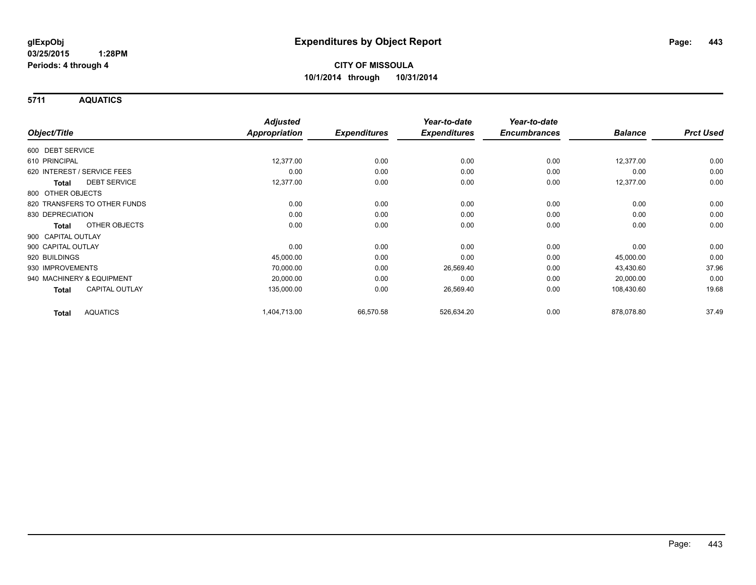**5711 AQUATICS**

|                                       | <b>Adjusted</b> | <b>Expenditures</b> | Year-to-date<br><b>Expenditures</b> | Year-to-date<br><b>Encumbrances</b> | <b>Balance</b> | <b>Prct Used</b> |
|---------------------------------------|-----------------|---------------------|-------------------------------------|-------------------------------------|----------------|------------------|
| Object/Title                          | Appropriation   |                     |                                     |                                     |                |                  |
| 600 DEBT SERVICE                      |                 |                     |                                     |                                     |                |                  |
| 610 PRINCIPAL                         | 12,377.00       | 0.00                | 0.00                                | 0.00                                | 12,377.00      | 0.00             |
| 620 INTEREST / SERVICE FEES           | 0.00            | 0.00                | 0.00                                | 0.00                                | 0.00           | 0.00             |
| <b>DEBT SERVICE</b><br><b>Total</b>   | 12,377.00       | 0.00                | 0.00                                | 0.00                                | 12,377.00      | 0.00             |
| 800 OTHER OBJECTS                     |                 |                     |                                     |                                     |                |                  |
| 820 TRANSFERS TO OTHER FUNDS          | 0.00            | 0.00                | 0.00                                | 0.00                                | 0.00           | 0.00             |
| 830 DEPRECIATION                      | 0.00            | 0.00                | 0.00                                | 0.00                                | 0.00           | 0.00             |
| OTHER OBJECTS<br><b>Total</b>         | 0.00            | 0.00                | 0.00                                | 0.00                                | 0.00           | 0.00             |
| 900 CAPITAL OUTLAY                    |                 |                     |                                     |                                     |                |                  |
| 900 CAPITAL OUTLAY                    | 0.00            | 0.00                | 0.00                                | 0.00                                | 0.00           | 0.00             |
| 920 BUILDINGS                         | 45,000.00       | 0.00                | 0.00                                | 0.00                                | 45,000.00      | 0.00             |
| 930 IMPROVEMENTS                      | 70,000.00       | 0.00                | 26,569.40                           | 0.00                                | 43,430.60      | 37.96            |
| 940 MACHINERY & EQUIPMENT             | 20,000.00       | 0.00                | 0.00                                | 0.00                                | 20,000.00      | 0.00             |
| <b>CAPITAL OUTLAY</b><br><b>Total</b> | 135,000.00      | 0.00                | 26,569.40                           | 0.00                                | 108,430.60     | 19.68            |
| <b>AQUATICS</b><br><b>Total</b>       | 1,404,713.00    | 66,570.58           | 526,634.20                          | 0.00                                | 878,078.80     | 37.49            |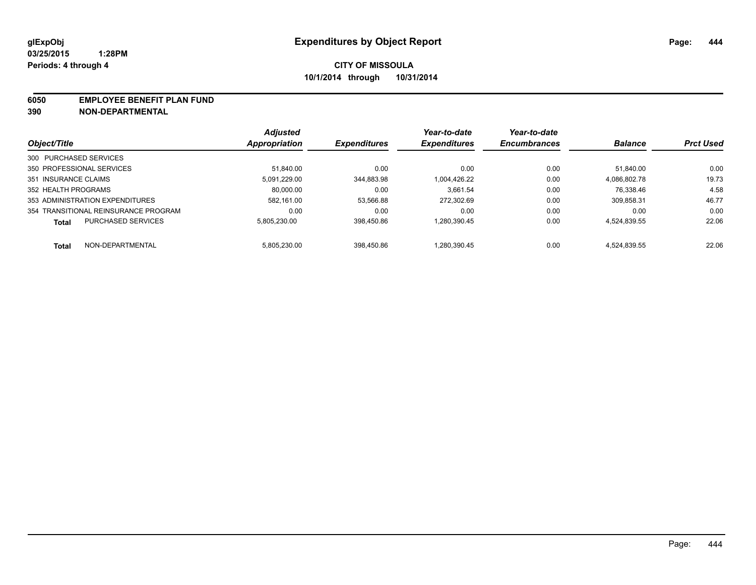#### **6050 EMPLOYEE BENEFIT PLAN FUND**

**390 NON-DEPARTMENTAL**

|                                           | <b>Adjusted</b> | <b>Expenditures</b> | Year-to-date<br><b>Expenditures</b> | Year-to-date<br><b>Encumbrances</b> | <b>Balance</b> | <b>Prct Used</b> |
|-------------------------------------------|-----------------|---------------------|-------------------------------------|-------------------------------------|----------------|------------------|
| Object/Title                              | Appropriation   |                     |                                     |                                     |                |                  |
| 300 PURCHASED SERVICES                    |                 |                     |                                     |                                     |                |                  |
| 350 PROFESSIONAL SERVICES                 | 51.840.00       | 0.00                | 0.00                                | 0.00                                | 51.840.00      | 0.00             |
| 351 INSURANCE CLAIMS                      | 5,091,229.00    | 344,883.98          | 1.004.426.22                        | 0.00                                | 4.086.802.78   | 19.73            |
| 352 HEALTH PROGRAMS                       | 80.000.00       | 0.00                | 3.661.54                            | 0.00                                | 76,338.46      | 4.58             |
| 353 ADMINISTRATION EXPENDITURES           | 582.161.00      | 53.566.88           | 272.302.69                          | 0.00                                | 309.858.31     | 46.77            |
| 354 TRANSITIONAL REINSURANCE PROGRAM      | 0.00            | 0.00                | 0.00                                | 0.00                                | 0.00           | 0.00             |
| <b>PURCHASED SERVICES</b><br><b>Total</b> | 5.805.230.00    | 398.450.86          | 1.280.390.45                        | 0.00                                | 4.524.839.55   | 22.06            |
| NON-DEPARTMENTAL<br><b>Total</b>          | 5.805.230.00    | 398.450.86          | 1.280.390.45                        | 0.00                                | 4.524.839.55   | 22.06            |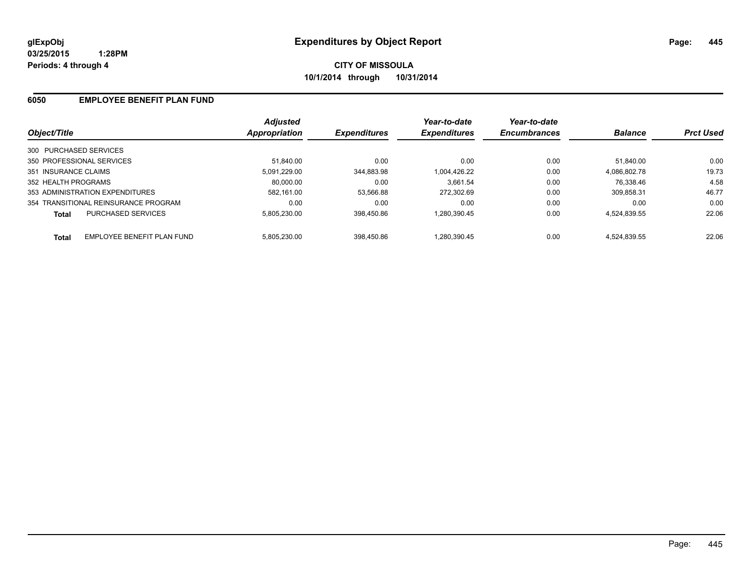**CITY OF MISSOULA 10/1/2014 through 10/31/2014**

### **6050 EMPLOYEE BENEFIT PLAN FUND**

| Object/Title                               | <b>Adjusted</b><br>Appropriation | <b>Expenditures</b> | Year-to-date<br><b>Expenditures</b> | Year-to-date<br><b>Encumbrances</b> | <b>Balance</b> | <b>Prct Used</b> |
|--------------------------------------------|----------------------------------|---------------------|-------------------------------------|-------------------------------------|----------------|------------------|
| 300 PURCHASED SERVICES                     |                                  |                     |                                     |                                     |                |                  |
| 350 PROFESSIONAL SERVICES                  | 51.840.00                        | 0.00                | 0.00                                | 0.00                                | 51.840.00      | 0.00             |
| 351 INSURANCE CLAIMS                       | 5,091,229.00                     | 344,883.98          | 1,004,426.22                        | 0.00                                | 4,086,802.78   | 19.73            |
| 352 HEALTH PROGRAMS                        | 80.000.00                        | 0.00                | 3.661.54                            | 0.00                                | 76.338.46      | 4.58             |
| 353 ADMINISTRATION EXPENDITURES            | 582.161.00                       | 53,566.88           | 272.302.69                          | 0.00                                | 309.858.31     | 46.77            |
| 354 TRANSITIONAL REINSURANCE PROGRAM       | 0.00                             | 0.00                | 0.00                                | 0.00                                | 0.00           | 0.00             |
| <b>PURCHASED SERVICES</b><br>Total         | 5.805.230.00                     | 398.450.86          | 1,280,390.45                        | 0.00                                | 4,524,839.55   | 22.06            |
| EMPLOYEE BENEFIT PLAN FUND<br><b>Total</b> | 5.805.230.00                     | 398.450.86          | 1.280.390.45                        | 0.00                                | 4.524.839.55   | 22.06            |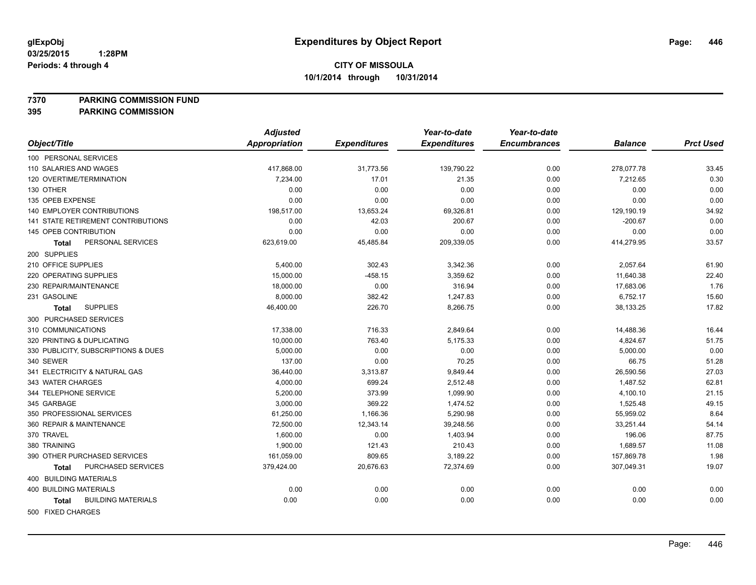**7370 PARKING COMMISSION FUND**

**395 PARKING COMMISSION**

|                                           | <b>Adjusted</b>      |                     | Year-to-date        | Year-to-date        |                |                  |
|-------------------------------------------|----------------------|---------------------|---------------------|---------------------|----------------|------------------|
| Object/Title                              | <b>Appropriation</b> | <b>Expenditures</b> | <b>Expenditures</b> | <b>Encumbrances</b> | <b>Balance</b> | <b>Prct Used</b> |
| 100 PERSONAL SERVICES                     |                      |                     |                     |                     |                |                  |
| 110 SALARIES AND WAGES                    | 417,868.00           | 31,773.56           | 139,790.22          | 0.00                | 278,077.78     | 33.45            |
| 120 OVERTIME/TERMINATION                  | 7.234.00             | 17.01               | 21.35               | 0.00                | 7,212.65       | 0.30             |
| 130 OTHER                                 | 0.00                 | 0.00                | 0.00                | 0.00                | 0.00           | 0.00             |
| 135 OPEB EXPENSE                          | 0.00                 | 0.00                | 0.00                | 0.00                | 0.00           | 0.00             |
| <b>140 EMPLOYER CONTRIBUTIONS</b>         | 198,517.00           | 13,653.24           | 69,326.81           | 0.00                | 129,190.19     | 34.92            |
| 141 STATE RETIREMENT CONTRIBUTIONS        | 0.00                 | 42.03               | 200.67              | 0.00                | $-200.67$      | 0.00             |
| 145 OPEB CONTRIBUTION                     | 0.00                 | 0.00                | 0.00                | 0.00                | 0.00           | 0.00             |
| PERSONAL SERVICES<br>Total                | 623,619.00           | 45,485.84           | 209,339.05          | 0.00                | 414,279.95     | 33.57            |
| 200 SUPPLIES                              |                      |                     |                     |                     |                |                  |
| 210 OFFICE SUPPLIES                       | 5,400.00             | 302.43              | 3,342.36            | 0.00                | 2,057.64       | 61.90            |
| 220 OPERATING SUPPLIES                    | 15,000.00            | $-458.15$           | 3,359.62            | 0.00                | 11,640.38      | 22.40            |
| 230 REPAIR/MAINTENANCE                    | 18,000.00            | 0.00                | 316.94              | 0.00                | 17,683.06      | 1.76             |
| 231 GASOLINE                              | 8,000.00             | 382.42              | 1,247.83            | 0.00                | 6,752.17       | 15.60            |
| <b>SUPPLIES</b><br><b>Total</b>           | 46,400.00            | 226.70              | 8,266.75            | 0.00                | 38,133.25      | 17.82            |
| 300 PURCHASED SERVICES                    |                      |                     |                     |                     |                |                  |
| 310 COMMUNICATIONS                        | 17,338.00            | 716.33              | 2,849.64            | 0.00                | 14,488.36      | 16.44            |
| 320 PRINTING & DUPLICATING                | 10,000.00            | 763.40              | 5,175.33            | 0.00                | 4,824.67       | 51.75            |
| 330 PUBLICITY, SUBSCRIPTIONS & DUES       | 5,000.00             | 0.00                | 0.00                | 0.00                | 5,000.00       | 0.00             |
| 340 SEWER                                 | 137.00               | 0.00                | 70.25               | 0.00                | 66.75          | 51.28            |
| 341 ELECTRICITY & NATURAL GAS             | 36,440.00            | 3,313.87            | 9,849.44            | 0.00                | 26,590.56      | 27.03            |
| 343 WATER CHARGES                         | 4,000.00             | 699.24              | 2,512.48            | 0.00                | 1,487.52       | 62.81            |
| 344 TELEPHONE SERVICE                     | 5,200.00             | 373.99              | 1,099.90            | 0.00                | 4,100.10       | 21.15            |
| 345 GARBAGE                               | 3,000.00             | 369.22              | 1,474.52            | 0.00                | 1,525.48       | 49.15            |
| 350 PROFESSIONAL SERVICES                 | 61,250.00            | 1,166.36            | 5,290.98            | 0.00                | 55,959.02      | 8.64             |
| 360 REPAIR & MAINTENANCE                  | 72,500.00            | 12,343.14           | 39,248.56           | 0.00                | 33,251.44      | 54.14            |
| 370 TRAVEL                                | 1,600.00             | 0.00                | 1,403.94            | 0.00                | 196.06         | 87.75            |
| 380 TRAINING                              | 1,900.00             | 121.43              | 210.43              | 0.00                | 1,689.57       | 11.08            |
| 390 OTHER PURCHASED SERVICES              | 161,059.00           | 809.65              | 3,189.22            | 0.00                | 157,869.78     | 1.98             |
| PURCHASED SERVICES<br><b>Total</b>        | 379,424.00           | 20,676.63           | 72,374.69           | 0.00                | 307,049.31     | 19.07            |
| <b>400 BUILDING MATERIALS</b>             |                      |                     |                     |                     |                |                  |
| 400 BUILDING MATERIALS                    | 0.00                 | 0.00                | 0.00                | 0.00                | 0.00           | 0.00             |
| <b>BUILDING MATERIALS</b><br><b>Total</b> | 0.00                 | 0.00                | 0.00                | 0.00                | 0.00           | 0.00             |
| FOR FIVED OUADOFO                         |                      |                     |                     |                     |                |                  |

500 FIXED CHARGES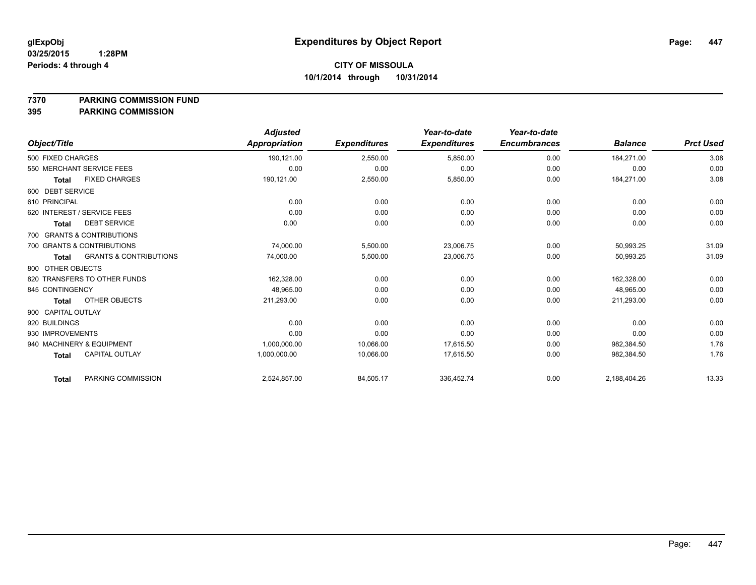**7370 PARKING COMMISSION FUND**

|                             |                                   | <b>Adjusted</b> |                     | Year-to-date        | Year-to-date        |                |                  |
|-----------------------------|-----------------------------------|-----------------|---------------------|---------------------|---------------------|----------------|------------------|
| Object/Title                |                                   | Appropriation   | <b>Expenditures</b> | <b>Expenditures</b> | <b>Encumbrances</b> | <b>Balance</b> | <b>Prct Used</b> |
| 500 FIXED CHARGES           |                                   | 190,121.00      | 2,550.00            | 5,850.00            | 0.00                | 184,271.00     | 3.08             |
| 550 MERCHANT SERVICE FEES   |                                   | 0.00            | 0.00                | 0.00                | 0.00                | 0.00           | 0.00             |
| <b>Total</b>                | <b>FIXED CHARGES</b>              | 190,121.00      | 2,550.00            | 5,850.00            | 0.00                | 184,271.00     | 3.08             |
| 600 DEBT SERVICE            |                                   |                 |                     |                     |                     |                |                  |
| 610 PRINCIPAL               |                                   | 0.00            | 0.00                | 0.00                | 0.00                | 0.00           | 0.00             |
| 620 INTEREST / SERVICE FEES |                                   | 0.00            | 0.00                | 0.00                | 0.00                | 0.00           | 0.00             |
| <b>Total</b>                | <b>DEBT SERVICE</b>               | 0.00            | 0.00                | 0.00                | 0.00                | 0.00           | 0.00             |
| 700 GRANTS & CONTRIBUTIONS  |                                   |                 |                     |                     |                     |                |                  |
| 700 GRANTS & CONTRIBUTIONS  |                                   | 74,000.00       | 5,500.00            | 23,006.75           | 0.00                | 50,993.25      | 31.09            |
| <b>Total</b>                | <b>GRANTS &amp; CONTRIBUTIONS</b> | 74,000.00       | 5,500.00            | 23,006.75           | 0.00                | 50,993.25      | 31.09            |
| 800 OTHER OBJECTS           |                                   |                 |                     |                     |                     |                |                  |
|                             | 820 TRANSFERS TO OTHER FUNDS      | 162,328.00      | 0.00                | 0.00                | 0.00                | 162,328.00     | 0.00             |
| 845 CONTINGENCY             |                                   | 48,965.00       | 0.00                | 0.00                | 0.00                | 48,965.00      | 0.00             |
| <b>Total</b>                | OTHER OBJECTS                     | 211,293.00      | 0.00                | 0.00                | 0.00                | 211,293.00     | 0.00             |
| 900 CAPITAL OUTLAY          |                                   |                 |                     |                     |                     |                |                  |
| 920 BUILDINGS               |                                   | 0.00            | 0.00                | 0.00                | 0.00                | 0.00           | 0.00             |
| 930 IMPROVEMENTS            |                                   | 0.00            | 0.00                | 0.00                | 0.00                | 0.00           | 0.00             |
| 940 MACHINERY & EQUIPMENT   |                                   | 1,000,000.00    | 10,066.00           | 17,615.50           | 0.00                | 982,384.50     | 1.76             |
| <b>Total</b>                | <b>CAPITAL OUTLAY</b>             | 1,000,000.00    | 10,066.00           | 17.615.50           | 0.00                | 982,384.50     | 1.76             |
| <b>Total</b>                | PARKING COMMISSION                | 2,524,857.00    | 84,505.17           | 336,452.74          | 0.00                | 2,188,404.26   | 13.33            |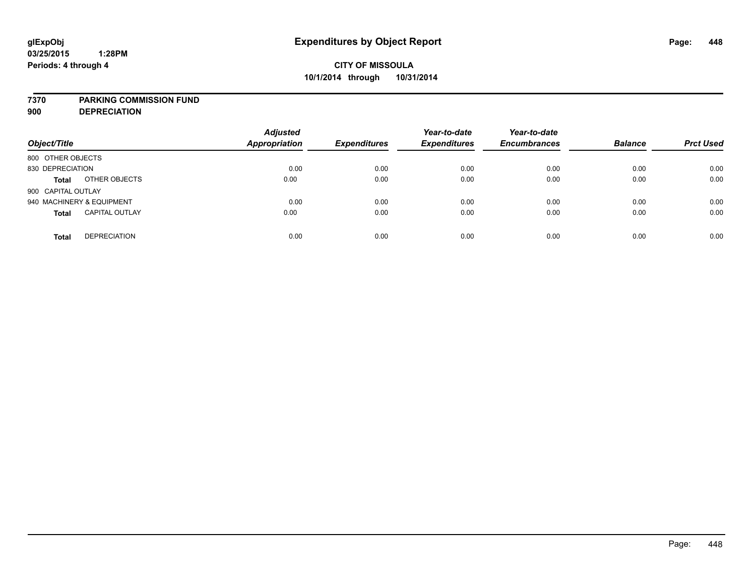#### **7370 PARKING COMMISSION FUND**

**900 DEPRECIATION**

| Object/Title                          | <b>Adjusted</b><br><b>Appropriation</b> | <b>Expenditures</b> | Year-to-date<br><b>Expenditures</b> | Year-to-date<br><b>Encumbrances</b> | <b>Balance</b> | <b>Prct Used</b> |
|---------------------------------------|-----------------------------------------|---------------------|-------------------------------------|-------------------------------------|----------------|------------------|
| 800 OTHER OBJECTS                     |                                         |                     |                                     |                                     |                |                  |
| 830 DEPRECIATION                      | 0.00                                    | 0.00                | 0.00                                | 0.00                                | 0.00           | 0.00             |
| OTHER OBJECTS<br><b>Total</b>         | 0.00                                    | 0.00                | 0.00                                | 0.00                                | 0.00           | 0.00             |
| 900 CAPITAL OUTLAY                    |                                         |                     |                                     |                                     |                |                  |
| 940 MACHINERY & EQUIPMENT             | 0.00                                    | 0.00                | 0.00                                | 0.00                                | 0.00           | 0.00             |
| <b>CAPITAL OUTLAY</b><br><b>Total</b> | 0.00                                    | 0.00                | 0.00                                | 0.00                                | 0.00           | 0.00             |
| <b>DEPRECIATION</b><br><b>Total</b>   | 0.00                                    | 0.00                | 0.00                                | 0.00                                | 0.00           | 0.00             |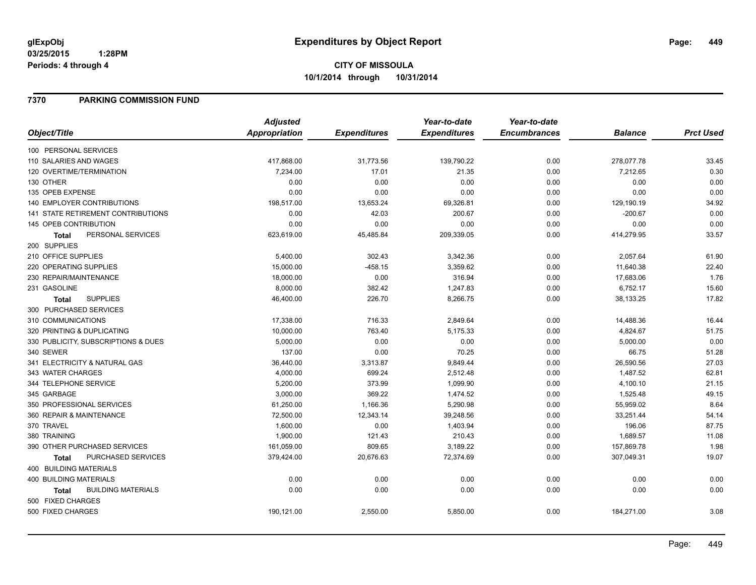### **7370 PARKING COMMISSION FUND**

|                                           | <b>Adjusted</b>      |                     | Year-to-date        | Year-to-date        |                |                  |
|-------------------------------------------|----------------------|---------------------|---------------------|---------------------|----------------|------------------|
| Object/Title                              | <b>Appropriation</b> | <b>Expenditures</b> | <b>Expenditures</b> | <b>Encumbrances</b> | <b>Balance</b> | <b>Prct Used</b> |
| 100 PERSONAL SERVICES                     |                      |                     |                     |                     |                |                  |
| 110 SALARIES AND WAGES                    | 417,868.00           | 31,773.56           | 139,790.22          | 0.00                | 278,077.78     | 33.45            |
| 120 OVERTIME/TERMINATION                  | 7,234.00             | 17.01               | 21.35               | 0.00                | 7,212.65       | 0.30             |
| 130 OTHER                                 | 0.00                 | 0.00                | 0.00                | 0.00                | 0.00           | 0.00             |
| 135 OPEB EXPENSE                          | 0.00                 | 0.00                | 0.00                | 0.00                | 0.00           | 0.00             |
| <b>140 EMPLOYER CONTRIBUTIONS</b>         | 198,517.00           | 13,653.24           | 69,326.81           | 0.00                | 129,190.19     | 34.92            |
| <b>141 STATE RETIREMENT CONTRIBUTIONS</b> | 0.00                 | 42.03               | 200.67              | 0.00                | $-200.67$      | 0.00             |
| 145 OPEB CONTRIBUTION                     | 0.00                 | 0.00                | 0.00                | 0.00                | 0.00           | 0.00             |
| PERSONAL SERVICES<br>Total                | 623,619.00           | 45,485.84           | 209,339.05          | 0.00                | 414,279.95     | 33.57            |
| 200 SUPPLIES                              |                      |                     |                     |                     |                |                  |
| 210 OFFICE SUPPLIES                       | 5,400.00             | 302.43              | 3,342.36            | 0.00                | 2,057.64       | 61.90            |
| 220 OPERATING SUPPLIES                    | 15,000.00            | $-458.15$           | 3,359.62            | 0.00                | 11,640.38      | 22.40            |
| 230 REPAIR/MAINTENANCE                    | 18,000.00            | 0.00                | 316.94              | 0.00                | 17,683.06      | 1.76             |
| 231 GASOLINE                              | 8,000.00             | 382.42              | 1,247.83            | 0.00                | 6,752.17       | 15.60            |
| <b>SUPPLIES</b><br><b>Total</b>           | 46,400.00            | 226.70              | 8,266.75            | 0.00                | 38,133.25      | 17.82            |
| 300 PURCHASED SERVICES                    |                      |                     |                     |                     |                |                  |
| 310 COMMUNICATIONS                        | 17,338.00            | 716.33              | 2,849.64            | 0.00                | 14,488.36      | 16.44            |
| 320 PRINTING & DUPLICATING                | 10,000.00            | 763.40              | 5,175.33            | 0.00                | 4,824.67       | 51.75            |
| 330 PUBLICITY, SUBSCRIPTIONS & DUES       | 5,000.00             | 0.00                | 0.00                | 0.00                | 5,000.00       | 0.00             |
| 340 SEWER                                 | 137.00               | 0.00                | 70.25               | 0.00                | 66.75          | 51.28            |
| 341 ELECTRICITY & NATURAL GAS             | 36,440.00            | 3,313.87            | 9,849.44            | 0.00                | 26,590.56      | 27.03            |
| 343 WATER CHARGES                         | 4,000.00             | 699.24              | 2,512.48            | 0.00                | 1,487.52       | 62.81            |
| 344 TELEPHONE SERVICE                     | 5,200.00             | 373.99              | 1,099.90            | 0.00                | 4,100.10       | 21.15            |
| 345 GARBAGE                               | 3,000.00             | 369.22              | 1,474.52            | 0.00                | 1,525.48       | 49.15            |
| 350 PROFESSIONAL SERVICES                 | 61,250.00            | 1,166.36            | 5,290.98            | 0.00                | 55,959.02      | 8.64             |
| 360 REPAIR & MAINTENANCE                  | 72,500.00            | 12,343.14           | 39,248.56           | 0.00                | 33,251.44      | 54.14            |
| 370 TRAVEL                                | 1,600.00             | 0.00                | 1,403.94            | 0.00                | 196.06         | 87.75            |
| 380 TRAINING                              | 1,900.00             | 121.43              | 210.43              | 0.00                | 1,689.57       | 11.08            |
| 390 OTHER PURCHASED SERVICES              | 161,059.00           | 809.65              | 3,189.22            | 0.00                | 157,869.78     | 1.98             |
| PURCHASED SERVICES<br><b>Total</b>        | 379,424.00           | 20,676.63           | 72,374.69           | 0.00                | 307,049.31     | 19.07            |
| 400 BUILDING MATERIALS                    |                      |                     |                     |                     |                |                  |
| <b>400 BUILDING MATERIALS</b>             | 0.00                 | 0.00                | 0.00                | 0.00                | 0.00           | 0.00             |
| <b>BUILDING MATERIALS</b><br><b>Total</b> | 0.00                 | 0.00                | 0.00                | 0.00                | 0.00           | 0.00             |
| 500 FIXED CHARGES                         |                      |                     |                     |                     |                |                  |
| 500 FIXED CHARGES                         | 190,121.00           | 2,550.00            | 5,850.00            | 0.00                | 184,271.00     | 3.08             |
|                                           |                      |                     |                     |                     |                |                  |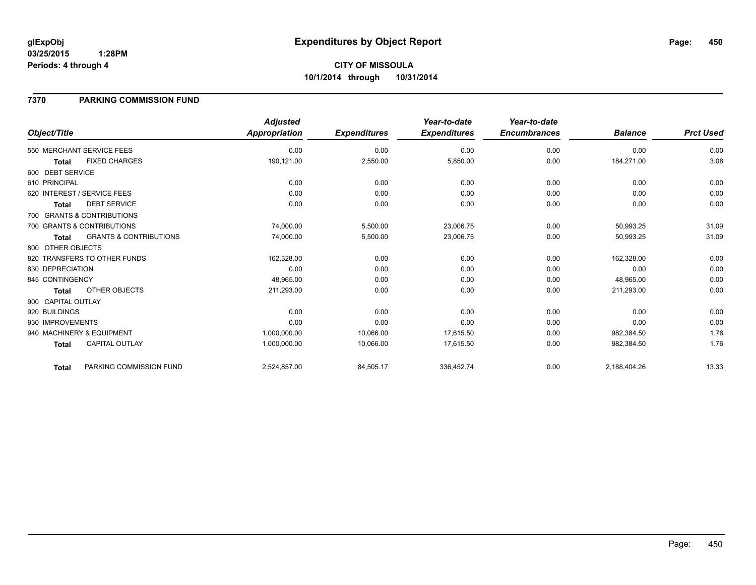### **7370 PARKING COMMISSION FUND**

|                    |                                   | <b>Adjusted</b> |                     | Year-to-date        | Year-to-date        |                |                  |
|--------------------|-----------------------------------|-----------------|---------------------|---------------------|---------------------|----------------|------------------|
| Object/Title       |                                   | Appropriation   | <b>Expenditures</b> | <b>Expenditures</b> | <b>Encumbrances</b> | <b>Balance</b> | <b>Prct Used</b> |
|                    | 550 MERCHANT SERVICE FEES         | 0.00            | 0.00                | 0.00                | 0.00                | 0.00           | 0.00             |
| <b>Total</b>       | <b>FIXED CHARGES</b>              | 190,121.00      | 2,550.00            | 5,850.00            | 0.00                | 184,271.00     | 3.08             |
| 600 DEBT SERVICE   |                                   |                 |                     |                     |                     |                |                  |
| 610 PRINCIPAL      |                                   | 0.00            | 0.00                | 0.00                | 0.00                | 0.00           | 0.00             |
|                    | 620 INTEREST / SERVICE FEES       | 0.00            | 0.00                | 0.00                | 0.00                | 0.00           | 0.00             |
| <b>Total</b>       | <b>DEBT SERVICE</b>               | 0.00            | 0.00                | 0.00                | 0.00                | 0.00           | 0.00             |
|                    | 700 GRANTS & CONTRIBUTIONS        |                 |                     |                     |                     |                |                  |
|                    | 700 GRANTS & CONTRIBUTIONS        | 74,000.00       | 5,500.00            | 23,006.75           | 0.00                | 50,993.25      | 31.09            |
| <b>Total</b>       | <b>GRANTS &amp; CONTRIBUTIONS</b> | 74,000.00       | 5,500.00            | 23,006.75           | 0.00                | 50,993.25      | 31.09            |
| 800 OTHER OBJECTS  |                                   |                 |                     |                     |                     |                |                  |
|                    | 820 TRANSFERS TO OTHER FUNDS      | 162,328.00      | 0.00                | 0.00                | 0.00                | 162,328.00     | 0.00             |
| 830 DEPRECIATION   |                                   | 0.00            | 0.00                | 0.00                | 0.00                | 0.00           | 0.00             |
| 845 CONTINGENCY    |                                   | 48,965.00       | 0.00                | 0.00                | 0.00                | 48,965.00      | 0.00             |
| Total              | OTHER OBJECTS                     | 211,293.00      | 0.00                | 0.00                | 0.00                | 211,293.00     | 0.00             |
| 900 CAPITAL OUTLAY |                                   |                 |                     |                     |                     |                |                  |
| 920 BUILDINGS      |                                   | 0.00            | 0.00                | 0.00                | 0.00                | 0.00           | 0.00             |
| 930 IMPROVEMENTS   |                                   | 0.00            | 0.00                | 0.00                | 0.00                | 0.00           | 0.00             |
|                    | 940 MACHINERY & EQUIPMENT         | 1,000,000.00    | 10,066.00           | 17,615.50           | 0.00                | 982,384.50     | 1.76             |
| <b>Total</b>       | <b>CAPITAL OUTLAY</b>             | 1,000,000.00    | 10,066.00           | 17,615.50           | 0.00                | 982,384.50     | 1.76             |
| Total              | PARKING COMMISSION FUND           | 2,524,857.00    | 84,505.17           | 336,452.74          | 0.00                | 2,188,404.26   | 13.33            |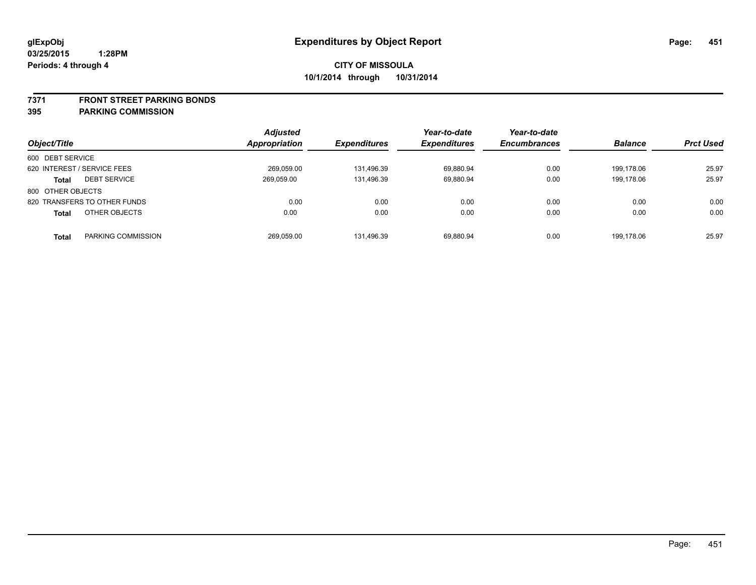#### **7371 FRONT STREET PARKING BONDS**

| Object/Title                 |                     | <b>Adjusted</b><br><b>Appropriation</b> | <i><b>Expenditures</b></i> | Year-to-date<br><b>Expenditures</b> | Year-to-date<br><b>Encumbrances</b> | <b>Balance</b> | <b>Prct Used</b> |
|------------------------------|---------------------|-----------------------------------------|----------------------------|-------------------------------------|-------------------------------------|----------------|------------------|
| 600 DEBT SERVICE             |                     |                                         |                            |                                     |                                     |                |                  |
| 620 INTEREST / SERVICE FEES  |                     | 269,059.00                              | 131.496.39                 | 69,880.94                           | 0.00                                | 199.178.06     | 25.97            |
| <b>Total</b>                 | <b>DEBT SERVICE</b> | 269.059.00                              | 131.496.39                 | 69.880.94                           | 0.00                                | 199.178.06     | 25.97            |
| 800 OTHER OBJECTS            |                     |                                         |                            |                                     |                                     |                |                  |
| 820 TRANSFERS TO OTHER FUNDS |                     | 0.00                                    | 0.00                       | 0.00                                | 0.00                                | 0.00           | 0.00             |
| <b>Total</b>                 | OTHER OBJECTS       | 0.00                                    | 0.00                       | 0.00                                | 0.00                                | 0.00           | 0.00             |
| <b>Total</b>                 | PARKING COMMISSION  | 269.059.00                              | 131.496.39                 | 69.880.94                           | 0.00                                | 199.178.06     | 25.97            |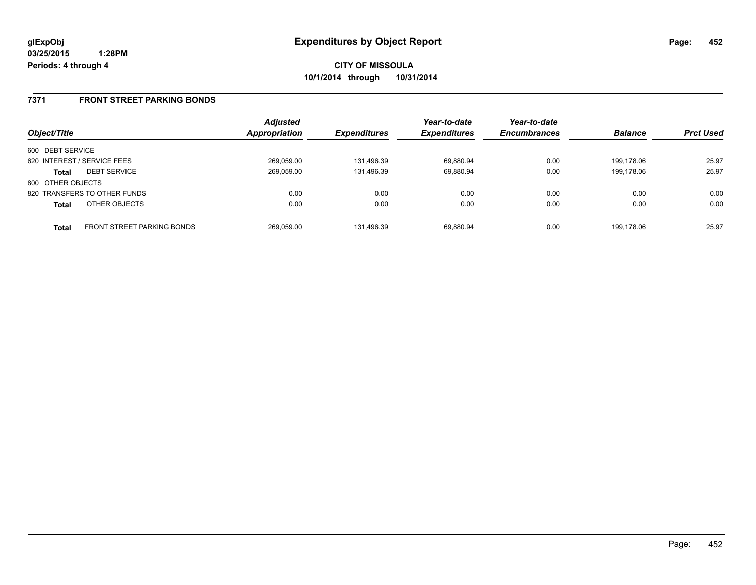**CITY OF MISSOULA 10/1/2014 through 10/31/2014**

### **7371 FRONT STREET PARKING BONDS**

| Object/Title      |                              | <b>Adjusted</b><br>Appropriation | <b>Expenditures</b> | Year-to-date<br><b>Expenditures</b> | Year-to-date<br><b>Encumbrances</b> | <b>Balance</b> | <b>Prct Used</b> |
|-------------------|------------------------------|----------------------------------|---------------------|-------------------------------------|-------------------------------------|----------------|------------------|
| 600 DEBT SERVICE  |                              |                                  |                     |                                     |                                     |                |                  |
|                   | 620 INTEREST / SERVICE FEES  | 269,059.00                       | 131,496.39          | 69,880.94                           | 0.00                                | 199.178.06     | 25.97            |
| Total             | <b>DEBT SERVICE</b>          | 269,059.00                       | 131.496.39          | 69,880.94                           | 0.00                                | 199.178.06     | 25.97            |
| 800 OTHER OBJECTS |                              |                                  |                     |                                     |                                     |                |                  |
|                   | 820 TRANSFERS TO OTHER FUNDS | 0.00                             | 0.00                | 0.00                                | 0.00                                | 0.00           | 0.00             |
| <b>Total</b>      | OTHER OBJECTS                | 0.00                             | 0.00                | 0.00                                | 0.00                                | 0.00           | 0.00             |
| <b>Total</b>      | FRONT STREET PARKING BONDS   | 269,059.00                       | 131.496.39          | 69.880.94                           | 0.00                                | 199.178.06     | 25.97            |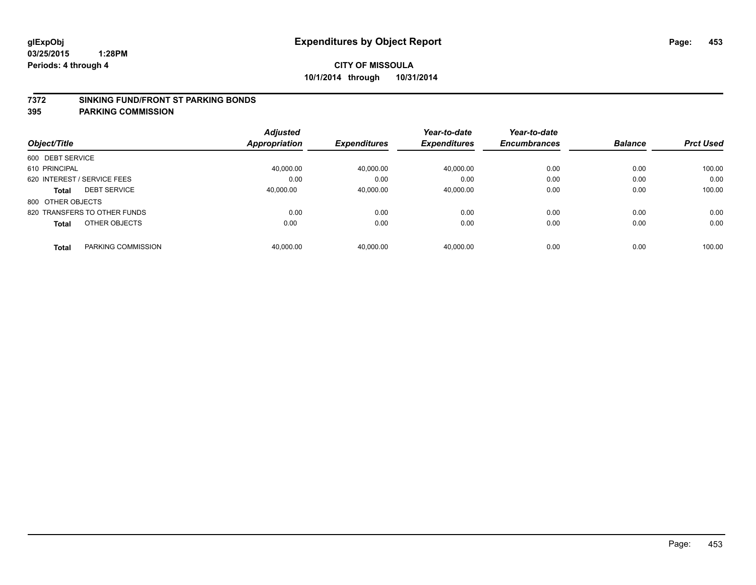#### **7372 SINKING FUND/FRONT ST PARKING BONDS**

|                                     | <b>Adjusted</b> |                     | Year-to-date        | Year-to-date        |                |                  |
|-------------------------------------|-----------------|---------------------|---------------------|---------------------|----------------|------------------|
| Object/Title                        | Appropriation   | <b>Expenditures</b> | <b>Expenditures</b> | <b>Encumbrances</b> | <b>Balance</b> | <b>Prct Used</b> |
| 600 DEBT SERVICE                    |                 |                     |                     |                     |                |                  |
| 610 PRINCIPAL                       | 40.000.00       | 40,000.00           | 40,000.00           | 0.00                | 0.00           | 100.00           |
| 620 INTEREST / SERVICE FEES         | 0.00            | 0.00                | 0.00                | 0.00                | 0.00           | 0.00             |
| <b>DEBT SERVICE</b><br><b>Total</b> | 40,000.00       | 40,000.00           | 40,000.00           | 0.00                | 0.00           | 100.00           |
| 800 OTHER OBJECTS                   |                 |                     |                     |                     |                |                  |
| 820 TRANSFERS TO OTHER FUNDS        | 0.00            | 0.00                | 0.00                | 0.00                | 0.00           | 0.00             |
| OTHER OBJECTS<br><b>Total</b>       | 0.00            | 0.00                | 0.00                | 0.00                | 0.00           | 0.00             |
| PARKING COMMISSION<br><b>Total</b>  | 40,000.00       | 40,000.00           | 40.000.00           | 0.00                | 0.00           | 100.00           |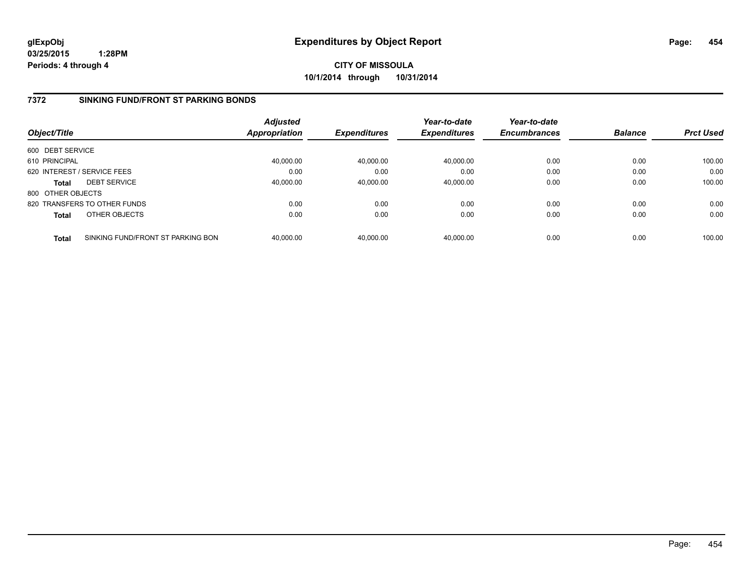**CITY OF MISSOULA 10/1/2014 through 10/31/2014**

### **7372 SINKING FUND/FRONT ST PARKING BONDS**

| Object/Title      |                                   | <b>Adjusted</b><br>Appropriation | <b>Expenditures</b> | Year-to-date<br><b>Expenditures</b> | Year-to-date<br><b>Encumbrances</b> | <b>Balance</b> | <b>Prct Used</b> |
|-------------------|-----------------------------------|----------------------------------|---------------------|-------------------------------------|-------------------------------------|----------------|------------------|
| 600 DEBT SERVICE  |                                   |                                  |                     |                                     |                                     |                |                  |
| 610 PRINCIPAL     |                                   | 40.000.00                        | 40,000.00           | 40,000.00                           | 0.00                                | 0.00           | 100.00           |
|                   | 620 INTEREST / SERVICE FEES       | 0.00                             | 0.00                | 0.00                                | 0.00                                | 0.00           | 0.00             |
| <b>Total</b>      | <b>DEBT SERVICE</b>               | 40,000.00                        | 40,000.00           | 40,000.00                           | 0.00                                | 0.00           | 100.00           |
| 800 OTHER OBJECTS |                                   |                                  |                     |                                     |                                     |                |                  |
|                   | 820 TRANSFERS TO OTHER FUNDS      | 0.00                             | 0.00                | 0.00                                | 0.00                                | 0.00           | 0.00             |
| <b>Total</b>      | OTHER OBJECTS                     | 0.00                             | 0.00                | 0.00                                | 0.00                                | 0.00           | 0.00             |
| <b>Total</b>      | SINKING FUND/FRONT ST PARKING BON | 40.000.00                        | 40.000.00           | 40.000.00                           | 0.00                                | 0.00           | 100.00           |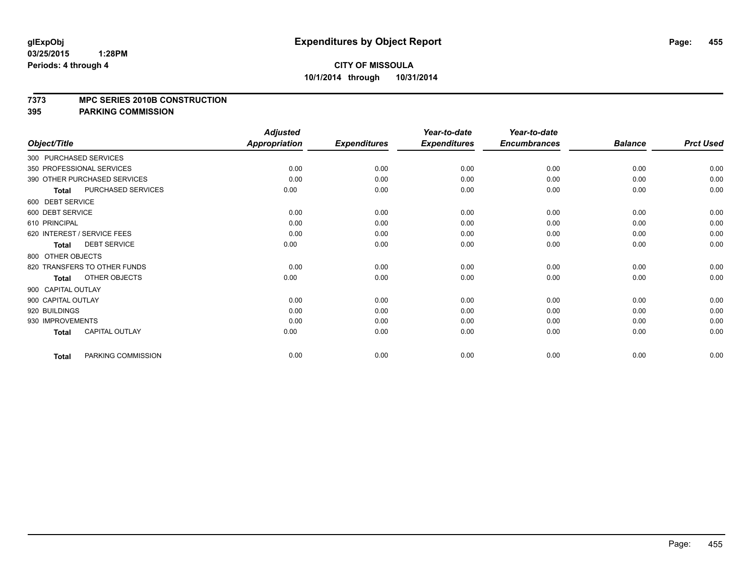#### **7373 MPC SERIES 2010B CONSTRUCTION**

|                    |                              | <b>Adjusted</b>      |                     | Year-to-date        | Year-to-date        |                |                  |
|--------------------|------------------------------|----------------------|---------------------|---------------------|---------------------|----------------|------------------|
| Object/Title       |                              | <b>Appropriation</b> | <b>Expenditures</b> | <b>Expenditures</b> | <b>Encumbrances</b> | <b>Balance</b> | <b>Prct Used</b> |
|                    | 300 PURCHASED SERVICES       |                      |                     |                     |                     |                |                  |
|                    | 350 PROFESSIONAL SERVICES    | 0.00                 | 0.00                | 0.00                | 0.00                | 0.00           | 0.00             |
|                    | 390 OTHER PURCHASED SERVICES | 0.00                 | 0.00                | 0.00                | 0.00                | 0.00           | 0.00             |
| <b>Total</b>       | PURCHASED SERVICES           | 0.00                 | 0.00                | 0.00                | 0.00                | 0.00           | 0.00             |
| 600 DEBT SERVICE   |                              |                      |                     |                     |                     |                |                  |
| 600 DEBT SERVICE   |                              | 0.00                 | 0.00                | 0.00                | 0.00                | 0.00           | 0.00             |
| 610 PRINCIPAL      |                              | 0.00                 | 0.00                | 0.00                | 0.00                | 0.00           | 0.00             |
|                    | 620 INTEREST / SERVICE FEES  | 0.00                 | 0.00                | 0.00                | 0.00                | 0.00           | 0.00             |
| <b>Total</b>       | <b>DEBT SERVICE</b>          | 0.00                 | 0.00                | 0.00                | 0.00                | 0.00           | 0.00             |
| 800 OTHER OBJECTS  |                              |                      |                     |                     |                     |                |                  |
|                    | 820 TRANSFERS TO OTHER FUNDS | 0.00                 | 0.00                | 0.00                | 0.00                | 0.00           | 0.00             |
| <b>Total</b>       | OTHER OBJECTS                | 0.00                 | 0.00                | 0.00                | 0.00                | 0.00           | 0.00             |
| 900 CAPITAL OUTLAY |                              |                      |                     |                     |                     |                |                  |
| 900 CAPITAL OUTLAY |                              | 0.00                 | 0.00                | 0.00                | 0.00                | 0.00           | 0.00             |
| 920 BUILDINGS      |                              | 0.00                 | 0.00                | 0.00                | 0.00                | 0.00           | 0.00             |
| 930 IMPROVEMENTS   |                              | 0.00                 | 0.00                | 0.00                | 0.00                | 0.00           | 0.00             |
| <b>Total</b>       | <b>CAPITAL OUTLAY</b>        | 0.00                 | 0.00                | 0.00                | 0.00                | 0.00           | 0.00             |
| <b>Total</b>       | PARKING COMMISSION           | 0.00                 | 0.00                | 0.00                | 0.00                | 0.00           | 0.00             |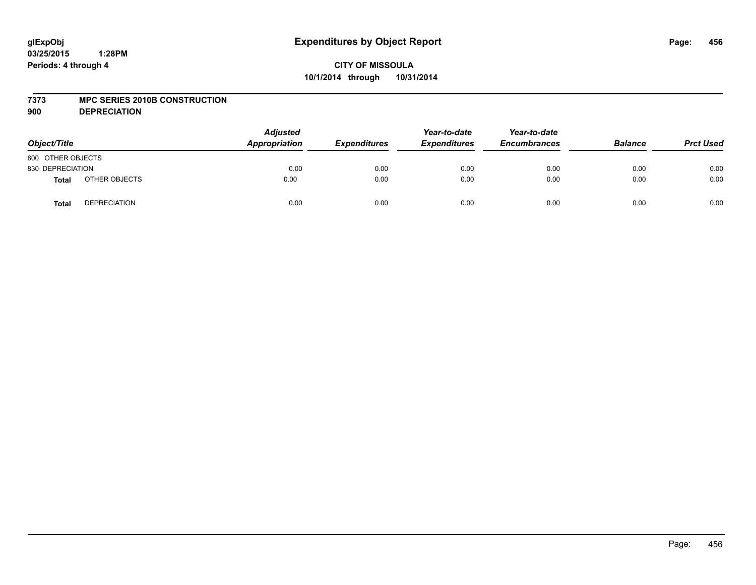#### **7373 MPC SERIES 2010B CONSTRUCTION**

**900 DEPRECIATION**

| Object/Title      |                     | <b>Adjusted</b><br>Appropriation | <b>Expenditures</b> | Year-to-date<br><b>Expenditures</b> | Year-to-date<br><b>Encumbrances</b> | <b>Balance</b> | <b>Prct Used</b> |
|-------------------|---------------------|----------------------------------|---------------------|-------------------------------------|-------------------------------------|----------------|------------------|
| 800 OTHER OBJECTS |                     |                                  |                     |                                     |                                     |                |                  |
| 830 DEPRECIATION  |                     | 0.00                             | 0.00                | 0.00                                | 0.00                                | 0.00           | 0.00             |
| <b>Total</b>      | OTHER OBJECTS       | 0.00                             | 0.00                | 0.00                                | 0.00                                | 0.00           | 0.00             |
| <b>Total</b>      | <b>DEPRECIATION</b> | 0.00                             | 0.00                | 0.00                                | 0.00                                | 0.00           | 0.00             |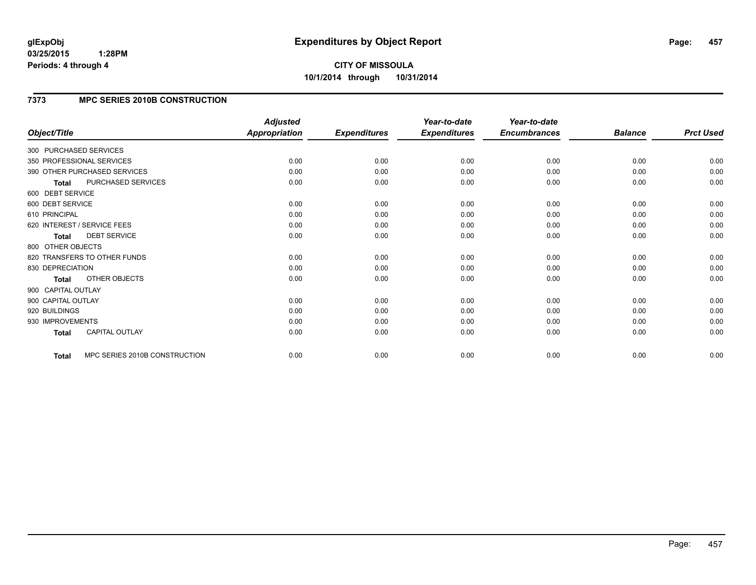# **CITY OF MISSOULA 10/1/2014 through 10/31/2014**

### **7373 MPC SERIES 2010B CONSTRUCTION**

| Object/Title           |                               | <b>Adjusted</b><br><b>Appropriation</b> | <b>Expenditures</b> | Year-to-date<br><b>Expenditures</b> | Year-to-date<br><b>Encumbrances</b> | <b>Balance</b> | <b>Prct Used</b> |
|------------------------|-------------------------------|-----------------------------------------|---------------------|-------------------------------------|-------------------------------------|----------------|------------------|
|                        |                               |                                         |                     |                                     |                                     |                |                  |
| 300 PURCHASED SERVICES |                               |                                         |                     |                                     |                                     |                |                  |
|                        | 350 PROFESSIONAL SERVICES     | 0.00                                    | 0.00                | 0.00                                | 0.00                                | 0.00           | 0.00             |
|                        | 390 OTHER PURCHASED SERVICES  | 0.00                                    | 0.00                | 0.00                                | 0.00                                | 0.00           | 0.00             |
| <b>Total</b>           | PURCHASED SERVICES            | 0.00                                    | 0.00                | 0.00                                | 0.00                                | 0.00           | 0.00             |
| 600 DEBT SERVICE       |                               |                                         |                     |                                     |                                     |                |                  |
| 600 DEBT SERVICE       |                               | 0.00                                    | 0.00                | 0.00                                | 0.00                                | 0.00           | 0.00             |
| 610 PRINCIPAL          |                               | 0.00                                    | 0.00                | 0.00                                | 0.00                                | 0.00           | 0.00             |
|                        | 620 INTEREST / SERVICE FEES   | 0.00                                    | 0.00                | 0.00                                | 0.00                                | 0.00           | 0.00             |
| <b>Total</b>           | <b>DEBT SERVICE</b>           | 0.00                                    | 0.00                | 0.00                                | 0.00                                | 0.00           | 0.00             |
| 800 OTHER OBJECTS      |                               |                                         |                     |                                     |                                     |                |                  |
|                        | 820 TRANSFERS TO OTHER FUNDS  | 0.00                                    | 0.00                | 0.00                                | 0.00                                | 0.00           | 0.00             |
| 830 DEPRECIATION       |                               | 0.00                                    | 0.00                | 0.00                                | 0.00                                | 0.00           | 0.00             |
| <b>Total</b>           | OTHER OBJECTS                 | 0.00                                    | 0.00                | 0.00                                | 0.00                                | 0.00           | 0.00             |
| 900 CAPITAL OUTLAY     |                               |                                         |                     |                                     |                                     |                |                  |
| 900 CAPITAL OUTLAY     |                               | 0.00                                    | 0.00                | 0.00                                | 0.00                                | 0.00           | 0.00             |
| 920 BUILDINGS          |                               | 0.00                                    | 0.00                | 0.00                                | 0.00                                | 0.00           | 0.00             |
| 930 IMPROVEMENTS       |                               | 0.00                                    | 0.00                | 0.00                                | 0.00                                | 0.00           | 0.00             |
| <b>Total</b>           | <b>CAPITAL OUTLAY</b>         | 0.00                                    | 0.00                | 0.00                                | 0.00                                | 0.00           | 0.00             |
| <b>Total</b>           | MPC SERIES 2010B CONSTRUCTION | 0.00                                    | 0.00                | 0.00                                | 0.00                                | 0.00           | 0.00             |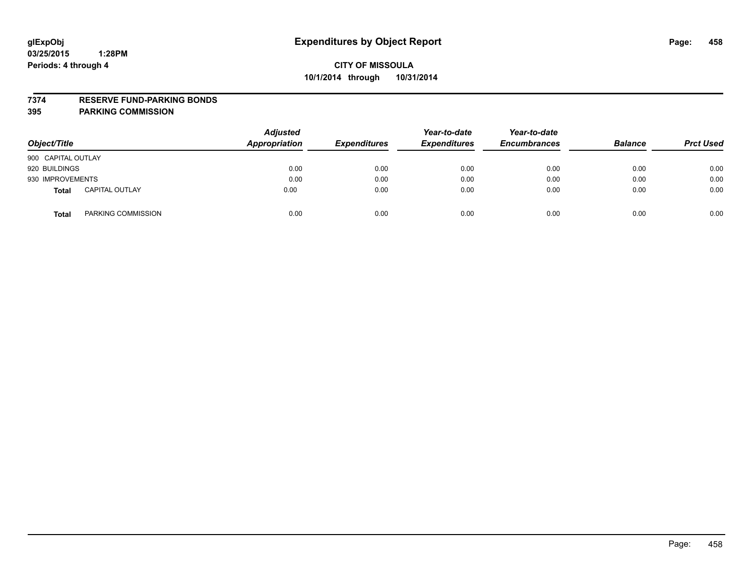#### **7374 RESERVE FUND-PARKING BONDS**

| Object/Title                          | <b>Adjusted</b><br><b>Appropriation</b> | <b>Expenditures</b> | Year-to-date<br><b>Expenditures</b> | Year-to-date<br><b>Encumbrances</b> | <b>Balance</b> | <b>Prct Used</b> |
|---------------------------------------|-----------------------------------------|---------------------|-------------------------------------|-------------------------------------|----------------|------------------|
| 900 CAPITAL OUTLAY                    |                                         |                     |                                     |                                     |                |                  |
| 920 BUILDINGS                         | 0.00                                    | 0.00                | 0.00                                | 0.00                                | 0.00           | 0.00             |
| 930 IMPROVEMENTS                      | 0.00                                    | 0.00                | 0.00                                | 0.00                                | 0.00           | 0.00             |
| <b>CAPITAL OUTLAY</b><br><b>Total</b> | 0.00                                    | 0.00                | 0.00                                | 0.00                                | 0.00           | 0.00             |
| PARKING COMMISSION<br><b>Total</b>    | 0.00                                    | 0.00                | 0.00                                | 0.00                                | 0.00           | 0.00             |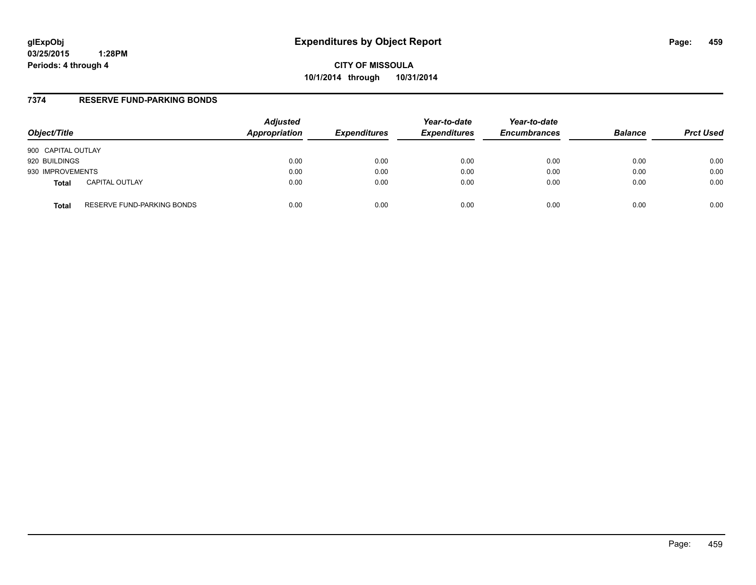**CITY OF MISSOULA 10/1/2014 through 10/31/2014**

### **7374 RESERVE FUND-PARKING BONDS**

| Object/Title       |                            | <b>Adjusted</b><br>Appropriation | <b>Expenditures</b> | Year-to-date<br><b>Expenditures</b> | Year-to-date<br><b>Encumbrances</b> | <b>Balance</b> | <b>Prct Used</b> |
|--------------------|----------------------------|----------------------------------|---------------------|-------------------------------------|-------------------------------------|----------------|------------------|
| 900 CAPITAL OUTLAY |                            |                                  |                     |                                     |                                     |                |                  |
| 920 BUILDINGS      |                            | 0.00                             | 0.00                | 0.00                                | 0.00                                | 0.00           | 0.00             |
| 930 IMPROVEMENTS   |                            | 0.00                             | 0.00                | 0.00                                | 0.00                                | 0.00           | 0.00             |
| <b>Total</b>       | <b>CAPITAL OUTLAY</b>      | 0.00                             | 0.00                | 0.00                                | 0.00                                | 0.00           | 0.00             |
| Total              | RESERVE FUND-PARKING BONDS | 0.00                             | 0.00                | 0.00                                | 0.00                                | 0.00           | 0.00             |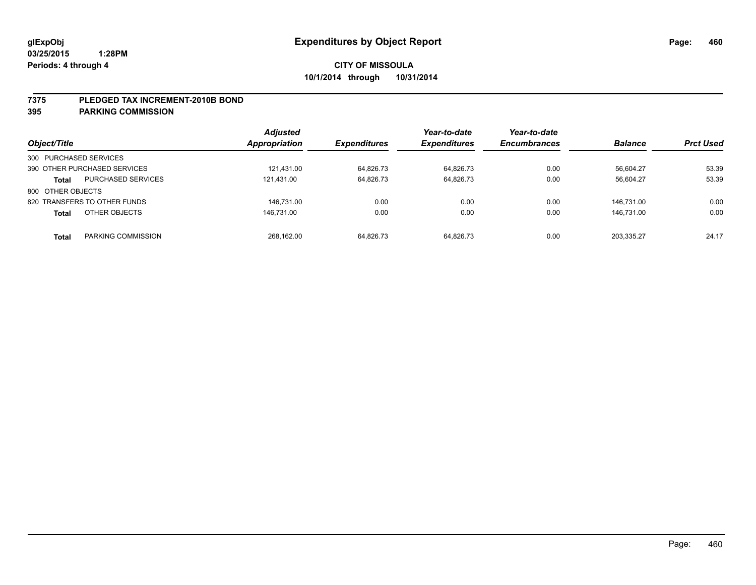#### **7375 PLEDGED TAX INCREMENT-2010B BOND**

| Object/Title                 |                           | <b>Adjusted</b><br>Appropriation | <b>Expenditures</b> | Year-to-date<br><b>Expenditures</b> | Year-to-date<br><b>Encumbrances</b> | <b>Balance</b> | <b>Prct Used</b> |
|------------------------------|---------------------------|----------------------------------|---------------------|-------------------------------------|-------------------------------------|----------------|------------------|
| 300 PURCHASED SERVICES       |                           |                                  |                     |                                     |                                     |                |                  |
| 390 OTHER PURCHASED SERVICES |                           | 121.431.00                       | 64,826.73           | 64.826.73                           | 0.00                                | 56.604.27      | 53.39            |
| <b>Total</b>                 | <b>PURCHASED SERVICES</b> | 121.431.00                       | 64,826.73           | 64,826.73                           | 0.00                                | 56,604.27      | 53.39            |
| 800 OTHER OBJECTS            |                           |                                  |                     |                                     |                                     |                |                  |
| 820 TRANSFERS TO OTHER FUNDS |                           | 146.731.00                       | 0.00                | 0.00                                | 0.00                                | 146.731.00     | 0.00             |
| <b>Total</b>                 | OTHER OBJECTS             | 146.731.00                       | 0.00                | 0.00                                | 0.00                                | 146.731.00     | 0.00             |
| <b>Total</b>                 | PARKING COMMISSION        | 268.162.00                       | 64.826.73           | 64.826.73                           | 0.00                                | 203.335.27     | 24.17            |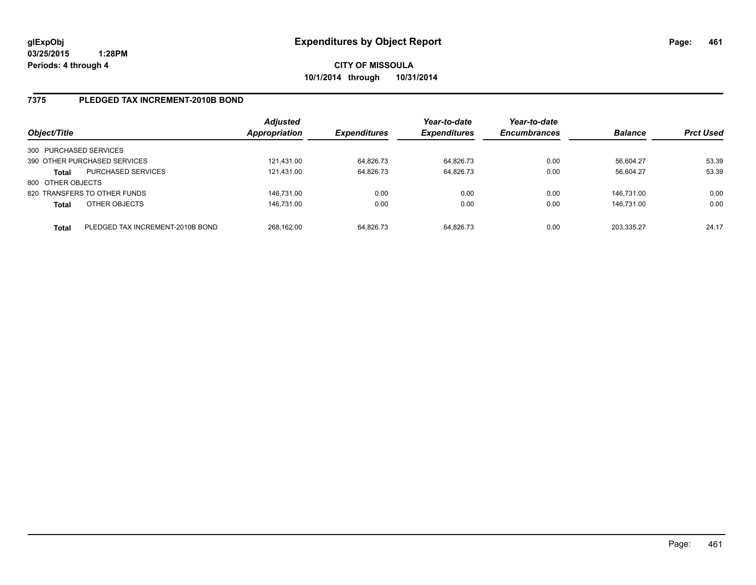### **7375 PLEDGED TAX INCREMENT-2010B BOND**

| Object/Title           |                                  | <b>Adjusted</b><br><b>Appropriation</b> | <b>Expenditures</b> | Year-to-date<br><b>Expenditures</b> | Year-to-date<br><b>Encumbrances</b> | <b>Balance</b> | <b>Prct Used</b> |
|------------------------|----------------------------------|-----------------------------------------|---------------------|-------------------------------------|-------------------------------------|----------------|------------------|
| 300 PURCHASED SERVICES |                                  |                                         |                     |                                     |                                     |                |                  |
|                        | 390 OTHER PURCHASED SERVICES     | 121,431.00                              | 64,826.73           | 64,826.73                           | 0.00                                | 56,604.27      | 53.39            |
| Total                  | <b>PURCHASED SERVICES</b>        | 121.431.00                              | 64,826.73           | 64.826.73                           | 0.00                                | 56.604.27      | 53.39            |
| 800 OTHER OBJECTS      |                                  |                                         |                     |                                     |                                     |                |                  |
|                        | 820 TRANSFERS TO OTHER FUNDS     | 146.731.00                              | 0.00                | 0.00                                | 0.00                                | 146.731.00     | 0.00             |
| <b>Total</b>           | OTHER OBJECTS                    | 146,731.00                              | 0.00                | 0.00                                | 0.00                                | 146.731.00     | 0.00             |
| Total                  | PLEDGED TAX INCREMENT-2010B BOND | 268.162.00                              | 64.826.73           | 64.826.73                           | 0.00                                | 203.335.27     | 24.17            |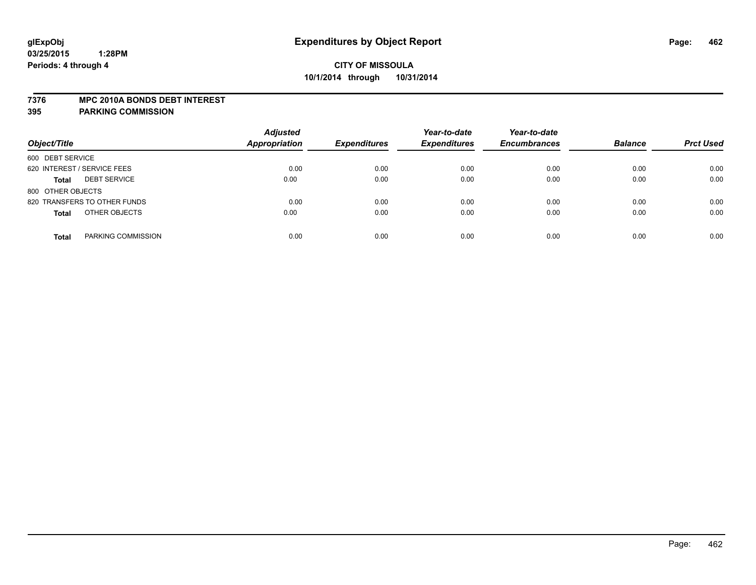#### **7376 MPC 2010A BONDS DEBT INTEREST**

| Object/Title                        | <b>Adjusted</b><br><b>Appropriation</b> | <b>Expenditures</b> | Year-to-date<br><b>Expenditures</b> | Year-to-date<br><b>Encumbrances</b> | <b>Balance</b> | <b>Prct Used</b> |
|-------------------------------------|-----------------------------------------|---------------------|-------------------------------------|-------------------------------------|----------------|------------------|
| 600 DEBT SERVICE                    |                                         |                     |                                     |                                     |                |                  |
| 620 INTEREST / SERVICE FEES         | 0.00                                    | 0.00                | 0.00                                | 0.00                                | 0.00           | 0.00             |
| <b>DEBT SERVICE</b><br><b>Total</b> | 0.00                                    | 0.00                | 0.00                                | 0.00                                | 0.00           | 0.00             |
| 800 OTHER OBJECTS                   |                                         |                     |                                     |                                     |                |                  |
| 820 TRANSFERS TO OTHER FUNDS        | 0.00                                    | 0.00                | 0.00                                | 0.00                                | 0.00           | 0.00             |
| OTHER OBJECTS<br><b>Total</b>       | 0.00                                    | 0.00                | 0.00                                | 0.00                                | 0.00           | 0.00             |
| PARKING COMMISSION<br><b>Total</b>  | 0.00                                    | 0.00                | 0.00                                | 0.00                                | 0.00           | 0.00             |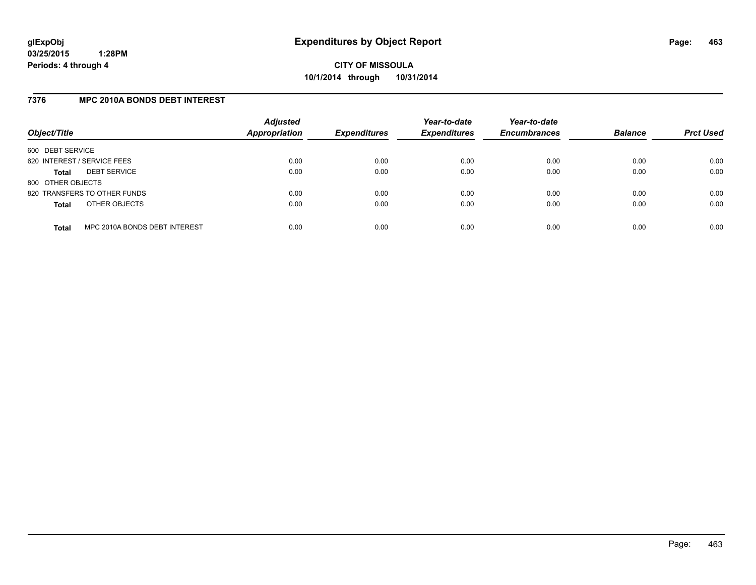### **7376 MPC 2010A BONDS DEBT INTEREST**

| Object/Title                |                               | <b>Adjusted</b><br>Appropriation | <b>Expenditures</b> | Year-to-date<br><b>Expenditures</b> | Year-to-date<br><b>Encumbrances</b> | <b>Balance</b> | <b>Prct Used</b> |
|-----------------------------|-------------------------------|----------------------------------|---------------------|-------------------------------------|-------------------------------------|----------------|------------------|
| 600 DEBT SERVICE            |                               |                                  |                     |                                     |                                     |                |                  |
| 620 INTEREST / SERVICE FEES |                               | 0.00                             | 0.00                | 0.00                                | 0.00                                | 0.00           | 0.00             |
| Total                       | <b>DEBT SERVICE</b>           | 0.00                             | 0.00                | 0.00                                | 0.00                                | 0.00           | 0.00             |
| 800 OTHER OBJECTS           |                               |                                  |                     |                                     |                                     |                |                  |
|                             | 820 TRANSFERS TO OTHER FUNDS  | 0.00                             | 0.00                | 0.00                                | 0.00                                | 0.00           | 0.00             |
| <b>Total</b>                | OTHER OBJECTS                 | 0.00                             | 0.00                | 0.00                                | 0.00                                | 0.00           | 0.00             |
| <b>Total</b>                | MPC 2010A BONDS DEBT INTEREST | 0.00                             | 0.00                | 0.00                                | 0.00                                | 0.00           | 0.00             |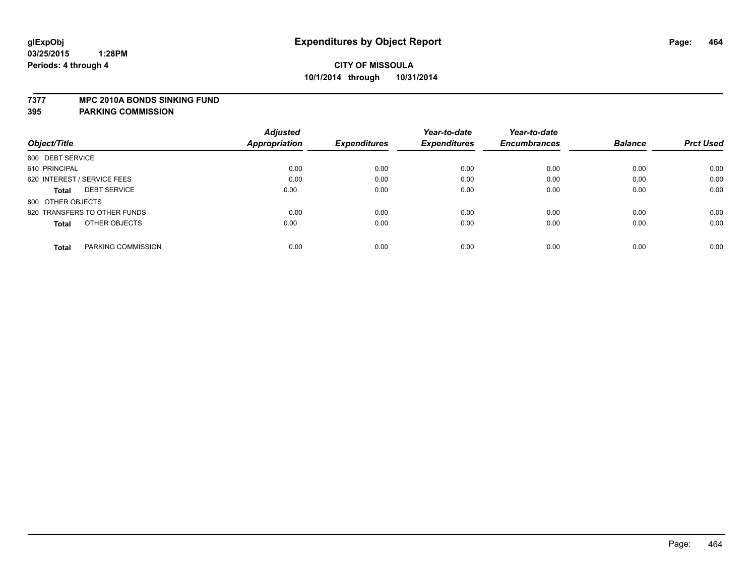#### **7377 MPC 2010A BONDS SINKING FUND**

|                                     | <b>Adjusted</b> |                     | Year-to-date        | Year-to-date        |                |                  |
|-------------------------------------|-----------------|---------------------|---------------------|---------------------|----------------|------------------|
| Object/Title                        | Appropriation   | <b>Expenditures</b> | <b>Expenditures</b> | <b>Encumbrances</b> | <b>Balance</b> | <b>Prct Used</b> |
| 600 DEBT SERVICE                    |                 |                     |                     |                     |                |                  |
| 610 PRINCIPAL                       | 0.00            | 0.00                | 0.00                | 0.00                | 0.00           | 0.00             |
| 620 INTEREST / SERVICE FEES         | 0.00            | 0.00                | 0.00                | 0.00                | 0.00           | 0.00             |
| <b>DEBT SERVICE</b><br><b>Total</b> | 0.00            | 0.00                | 0.00                | 0.00                | 0.00           | 0.00             |
| 800 OTHER OBJECTS                   |                 |                     |                     |                     |                |                  |
| 820 TRANSFERS TO OTHER FUNDS        | 0.00            | 0.00                | 0.00                | 0.00                | 0.00           | 0.00             |
| OTHER OBJECTS<br><b>Total</b>       | 0.00            | 0.00                | 0.00                | 0.00                | 0.00           | 0.00             |
| PARKING COMMISSION<br><b>Total</b>  | 0.00            | 0.00                | 0.00                | 0.00                | 0.00           | 0.00             |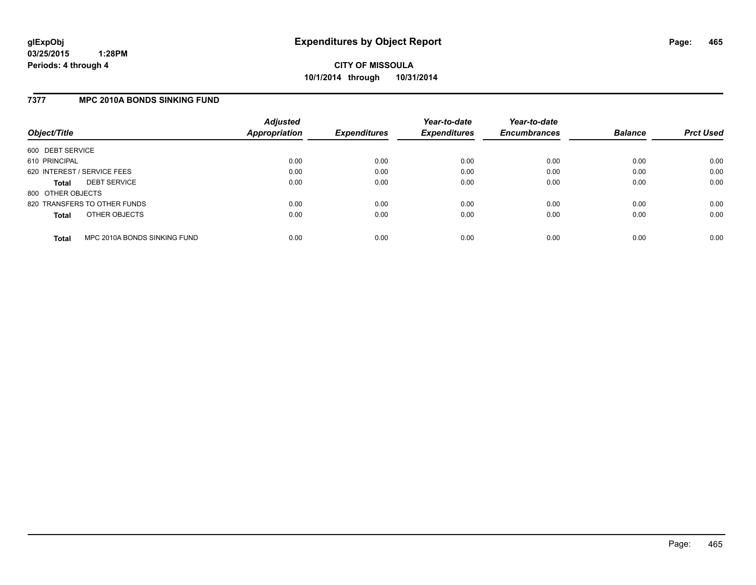### **7377 MPC 2010A BONDS SINKING FUND**

| Object/Title                |                              | <b>Adjusted</b><br><b>Appropriation</b> | <b>Expenditures</b> | Year-to-date<br><b>Expenditures</b> | Year-to-date<br><b>Encumbrances</b> | <b>Balance</b> | <b>Prct Used</b> |
|-----------------------------|------------------------------|-----------------------------------------|---------------------|-------------------------------------|-------------------------------------|----------------|------------------|
| 600 DEBT SERVICE            |                              |                                         |                     |                                     |                                     |                |                  |
| 610 PRINCIPAL               |                              | 0.00                                    | 0.00                | 0.00                                | 0.00                                | 0.00           | 0.00             |
| 620 INTEREST / SERVICE FEES |                              | 0.00                                    | 0.00                | 0.00                                | 0.00                                | 0.00           | 0.00             |
| <b>Total</b>                | <b>DEBT SERVICE</b>          | 0.00                                    | 0.00                | 0.00                                | 0.00                                | 0.00           | 0.00             |
| 800 OTHER OBJECTS           |                              |                                         |                     |                                     |                                     |                |                  |
|                             | 820 TRANSFERS TO OTHER FUNDS | 0.00                                    | 0.00                | 0.00                                | 0.00                                | 0.00           | 0.00             |
| <b>Total</b>                | OTHER OBJECTS                | 0.00                                    | 0.00                | 0.00                                | 0.00                                | 0.00           | 0.00             |
| <b>Total</b>                | MPC 2010A BONDS SINKING FUND | 0.00                                    | 0.00                | 0.00                                | 0.00                                | 0.00           | 0.00             |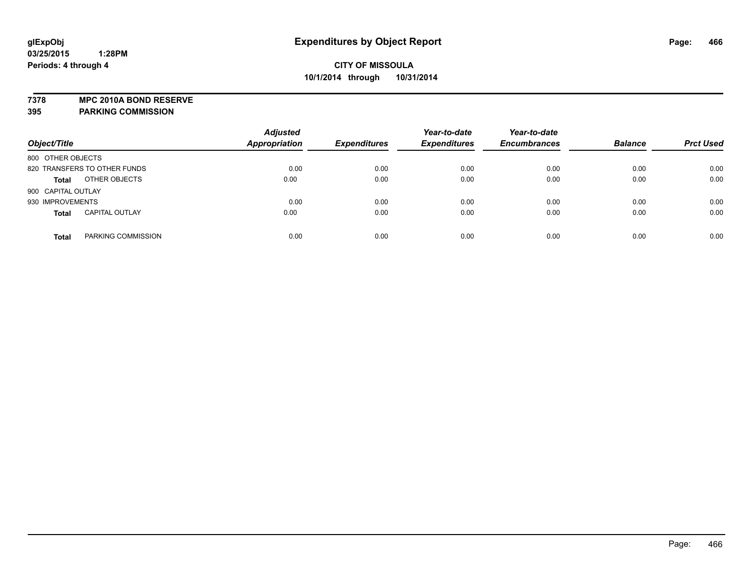**7378 MPC 2010A BOND RESERVE 395 PARKING COMMISSION**

| Object/Title                          | <b>Adjusted</b><br><b>Appropriation</b> | <b>Expenditures</b> | Year-to-date<br><b>Expenditures</b> | Year-to-date<br><b>Encumbrances</b> | <b>Balance</b> | <b>Prct Used</b> |
|---------------------------------------|-----------------------------------------|---------------------|-------------------------------------|-------------------------------------|----------------|------------------|
| 800 OTHER OBJECTS                     |                                         |                     |                                     |                                     |                |                  |
| 820 TRANSFERS TO OTHER FUNDS          | 0.00                                    | 0.00                | 0.00                                | 0.00                                | 0.00           | 0.00             |
| OTHER OBJECTS<br><b>Total</b>         | 0.00                                    | 0.00                | 0.00                                | 0.00                                | 0.00           | 0.00             |
| 900 CAPITAL OUTLAY                    |                                         |                     |                                     |                                     |                |                  |
| 930 IMPROVEMENTS                      | 0.00                                    | 0.00                | 0.00                                | 0.00                                | 0.00           | 0.00             |
| <b>CAPITAL OUTLAY</b><br><b>Total</b> | 0.00                                    | 0.00                | 0.00                                | 0.00                                | 0.00           | 0.00             |
| PARKING COMMISSION<br><b>Total</b>    | 0.00                                    | 0.00                | 0.00                                | 0.00                                | 0.00           | 0.00             |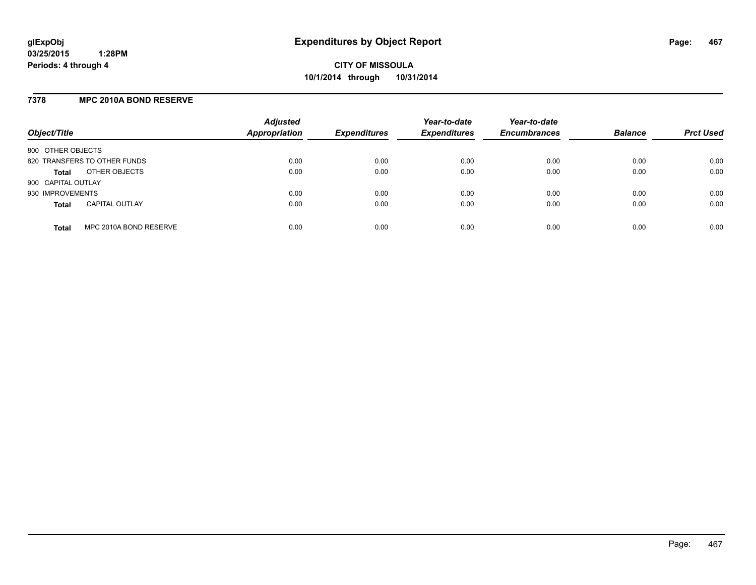## **7378 MPC 2010A BOND RESERVE**

| Object/Title                           | <b>Adjusted</b><br><b>Appropriation</b> | <b>Expenditures</b> | Year-to-date<br><b>Expenditures</b> | Year-to-date<br><b>Encumbrances</b> | <b>Balance</b> | <b>Prct Used</b> |
|----------------------------------------|-----------------------------------------|---------------------|-------------------------------------|-------------------------------------|----------------|------------------|
| 800 OTHER OBJECTS                      |                                         |                     |                                     |                                     |                |                  |
| 820 TRANSFERS TO OTHER FUNDS           | 0.00                                    | 0.00                | 0.00                                | 0.00                                | 0.00           | 0.00             |
| OTHER OBJECTS<br><b>Total</b>          | 0.00                                    | 0.00                | 0.00                                | 0.00                                | 0.00           | 0.00             |
| 900 CAPITAL OUTLAY                     |                                         |                     |                                     |                                     |                |                  |
| 930 IMPROVEMENTS                       | 0.00                                    | 0.00                | 0.00                                | 0.00                                | 0.00           | 0.00             |
| <b>CAPITAL OUTLAY</b><br><b>Total</b>  | 0.00                                    | 0.00                | 0.00                                | 0.00                                | 0.00           | 0.00             |
| MPC 2010A BOND RESERVE<br><b>Total</b> | 0.00                                    | 0.00                | 0.00                                | 0.00                                | 0.00           | 0.00             |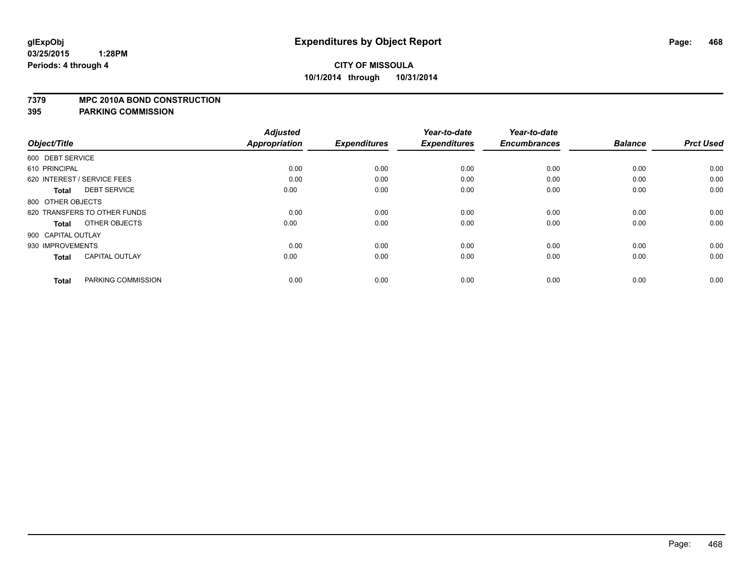#### **7379 MPC 2010A BOND CONSTRUCTION**

| Object/Title                          | <b>Adjusted</b><br><b>Appropriation</b> | <b>Expenditures</b> | Year-to-date<br><b>Expenditures</b> | Year-to-date<br><b>Encumbrances</b> | <b>Balance</b> | <b>Prct Used</b> |
|---------------------------------------|-----------------------------------------|---------------------|-------------------------------------|-------------------------------------|----------------|------------------|
|                                       |                                         |                     |                                     |                                     |                |                  |
| 600 DEBT SERVICE                      |                                         |                     |                                     |                                     |                |                  |
| 610 PRINCIPAL                         | 0.00                                    | 0.00                | 0.00                                | 0.00                                | 0.00           | 0.00             |
| 620 INTEREST / SERVICE FEES           | 0.00                                    | 0.00                | 0.00                                | 0.00                                | 0.00           | 0.00             |
| <b>DEBT SERVICE</b><br><b>Total</b>   | 0.00                                    | 0.00                | 0.00                                | 0.00                                | 0.00           | 0.00             |
| 800 OTHER OBJECTS                     |                                         |                     |                                     |                                     |                |                  |
| 820 TRANSFERS TO OTHER FUNDS          | 0.00                                    | 0.00                | 0.00                                | 0.00                                | 0.00           | 0.00             |
| OTHER OBJECTS<br><b>Total</b>         | 0.00                                    | 0.00                | 0.00                                | 0.00                                | 0.00           | 0.00             |
| 900 CAPITAL OUTLAY                    |                                         |                     |                                     |                                     |                |                  |
| 930 IMPROVEMENTS                      | 0.00                                    | 0.00                | 0.00                                | 0.00                                | 0.00           | 0.00             |
| <b>CAPITAL OUTLAY</b><br><b>Total</b> | 0.00                                    | 0.00                | 0.00                                | 0.00                                | 0.00           | 0.00             |
|                                       |                                         |                     |                                     |                                     |                |                  |
| PARKING COMMISSION<br><b>Total</b>    | 0.00                                    | 0.00                | 0.00                                | 0.00                                | 0.00           | 0.00             |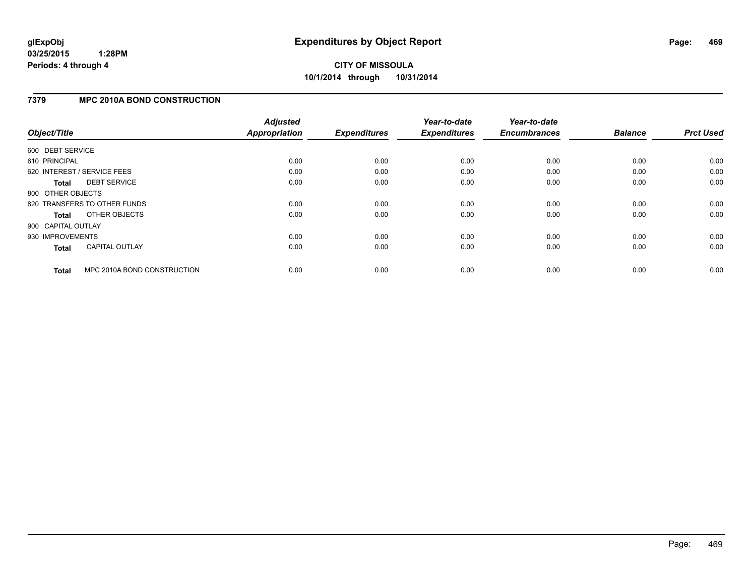## **7379 MPC 2010A BOND CONSTRUCTION**

| Object/Title       |                              | <b>Adjusted</b><br><b>Appropriation</b> | <b>Expenditures</b> | Year-to-date<br><b>Expenditures</b> | Year-to-date<br><b>Encumbrances</b> | <b>Balance</b> | <b>Prct Used</b> |
|--------------------|------------------------------|-----------------------------------------|---------------------|-------------------------------------|-------------------------------------|----------------|------------------|
| 600 DEBT SERVICE   |                              |                                         |                     |                                     |                                     |                |                  |
| 610 PRINCIPAL      |                              | 0.00                                    | 0.00                | 0.00                                | 0.00                                | 0.00           | 0.00             |
|                    | 620 INTEREST / SERVICE FEES  | 0.00                                    | 0.00                | 0.00                                | 0.00                                | 0.00           | 0.00             |
| <b>Total</b>       | <b>DEBT SERVICE</b>          | 0.00                                    | 0.00                | 0.00                                | 0.00                                | 0.00           | 0.00             |
| 800 OTHER OBJECTS  |                              |                                         |                     |                                     |                                     |                |                  |
|                    | 820 TRANSFERS TO OTHER FUNDS | 0.00                                    | 0.00                | 0.00                                | 0.00                                | 0.00           | 0.00             |
| Total              | OTHER OBJECTS                | 0.00                                    | 0.00                | 0.00                                | 0.00                                | 0.00           | 0.00             |
| 900 CAPITAL OUTLAY |                              |                                         |                     |                                     |                                     |                |                  |
| 930 IMPROVEMENTS   |                              | 0.00                                    | 0.00                | 0.00                                | 0.00                                | 0.00           | 0.00             |
| <b>Total</b>       | <b>CAPITAL OUTLAY</b>        | 0.00                                    | 0.00                | 0.00                                | 0.00                                | 0.00           | 0.00             |
| <b>Total</b>       | MPC 2010A BOND CONSTRUCTION  | 0.00                                    | 0.00                | 0.00                                | 0.00                                | 0.00           | 0.00             |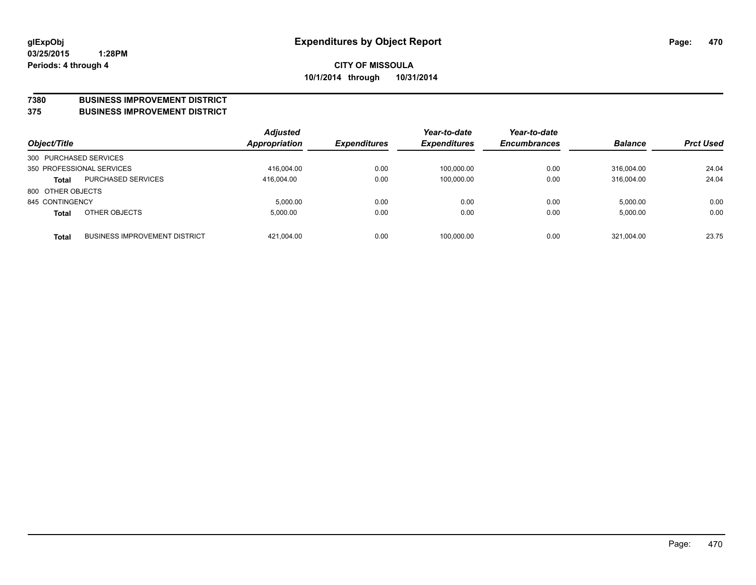#### **7380 BUSINESS IMPROVEMENT DISTRICT**

**375 BUSINESS IMPROVEMENT DISTRICT**

| Object/Title           |                                      | <b>Adjusted</b><br>Appropriation | <b>Expenditures</b> | Year-to-date<br><b>Expenditures</b> | Year-to-date<br><b>Encumbrances</b> | <b>Balance</b> | <b>Prct Used</b> |
|------------------------|--------------------------------------|----------------------------------|---------------------|-------------------------------------|-------------------------------------|----------------|------------------|
| 300 PURCHASED SERVICES |                                      |                                  |                     |                                     |                                     |                |                  |
|                        | 350 PROFESSIONAL SERVICES            | 416,004.00                       | 0.00                | 100,000.00                          | 0.00                                | 316.004.00     | 24.04            |
| <b>Total</b>           | <b>PURCHASED SERVICES</b>            | 416.004.00                       | 0.00                | 100,000.00                          | 0.00                                | 316.004.00     | 24.04            |
| 800 OTHER OBJECTS      |                                      |                                  |                     |                                     |                                     |                |                  |
| 845 CONTINGENCY        |                                      | 5,000.00                         | 0.00                | 0.00                                | 0.00                                | 5,000.00       | 0.00             |
| <b>Total</b>           | OTHER OBJECTS                        | 5,000.00                         | 0.00                | 0.00                                | 0.00                                | 5,000.00       | 0.00             |
| <b>Total</b>           | <b>BUSINESS IMPROVEMENT DISTRICT</b> | 421,004.00                       | 0.00                | 100,000.00                          | 0.00                                | 321,004.00     | 23.75            |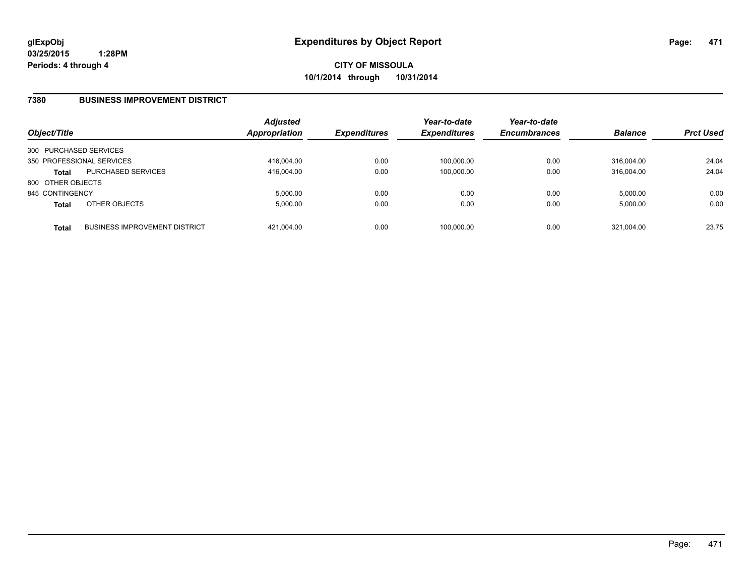#### **7380 BUSINESS IMPROVEMENT DISTRICT**

| Object/Title           |                                      | Adjusted<br>Appropriation | <b>Expenditures</b> | Year-to-date<br><b>Expenditures</b> | Year-to-date<br><b>Encumbrances</b> | <b>Balance</b> | <b>Prct Used</b> |
|------------------------|--------------------------------------|---------------------------|---------------------|-------------------------------------|-------------------------------------|----------------|------------------|
| 300 PURCHASED SERVICES |                                      |                           |                     |                                     |                                     |                |                  |
|                        | 350 PROFESSIONAL SERVICES            | 416,004.00                | 0.00                | 100.000.00                          | 0.00                                | 316.004.00     | 24.04            |
| <b>Total</b>           | <b>PURCHASED SERVICES</b>            | 416.004.00                | 0.00                | 100.000.00                          | 0.00                                | 316.004.00     | 24.04            |
| 800 OTHER OBJECTS      |                                      |                           |                     |                                     |                                     |                |                  |
| 845 CONTINGENCY        |                                      | 5.000.00                  | 0.00                | 0.00                                | 0.00                                | 5.000.00       | 0.00             |
| <b>Total</b>           | OTHER OBJECTS                        | 5,000.00                  | 0.00                | 0.00                                | 0.00                                | 5,000.00       | 0.00             |
| <b>Total</b>           | <b>BUSINESS IMPROVEMENT DISTRICT</b> | 421.004.00                | 0.00                | 100,000.00                          | 0.00                                | 321.004.00     | 23.75            |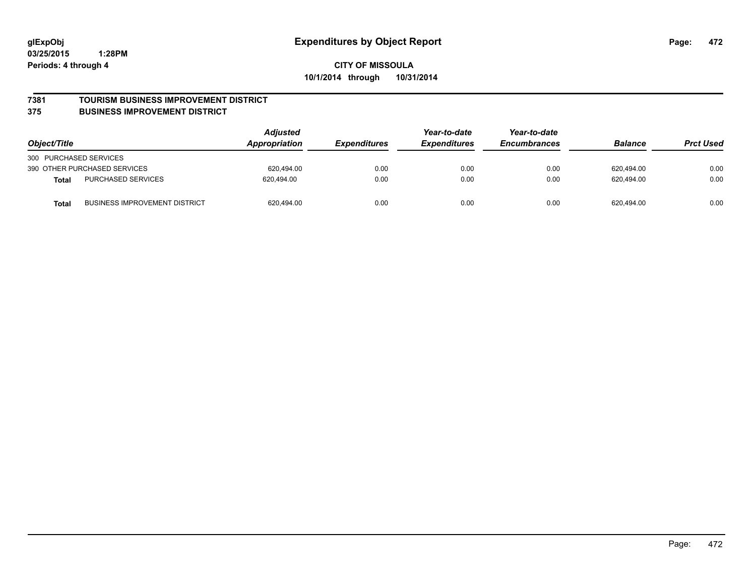#### **7381 TOURISM BUSINESS IMPROVEMENT DISTRICT**

#### **375 BUSINESS IMPROVEMENT DISTRICT**

| Object/Title                                         | <b>Adjusted</b><br>Appropriation | <i><b>Expenditures</b></i> | Year-to-date<br><b>Expenditures</b> | Year-to-date<br><b>Encumbrances</b> | <b>Balance</b> | <b>Prct Used</b> |
|------------------------------------------------------|----------------------------------|----------------------------|-------------------------------------|-------------------------------------|----------------|------------------|
| 300 PURCHASED SERVICES                               |                                  |                            |                                     |                                     |                |                  |
| 390 OTHER PURCHASED SERVICES                         | 620.494.00                       | 0.00                       | 0.00                                | 0.00                                | 620,494.00     | 0.00             |
| <b>PURCHASED SERVICES</b><br><b>Total</b>            | 620.494.00                       | 0.00                       | 0.00                                | 0.00                                | 620.494.00     | 0.00             |
| <b>BUSINESS IMPROVEMENT DISTRICT</b><br><b>Total</b> | 620,494.00                       | 0.00                       | 0.00                                | 0.00                                | 620,494.00     | 0.00             |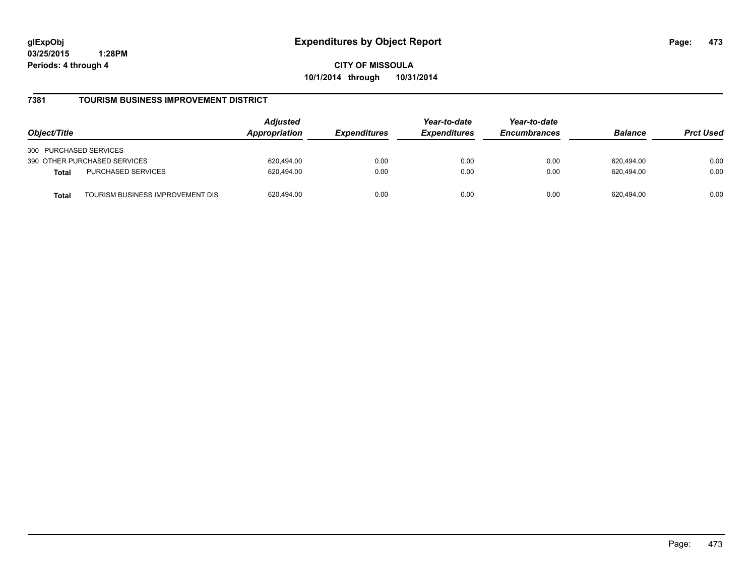**CITY OF MISSOULA 10/1/2014 through 10/31/2014**

## **7381 TOURISM BUSINESS IMPROVEMENT DISTRICT**

| Object/Title                                     | <b>Adjusted</b><br>Appropriation | <i><b>Expenditures</b></i> | Year-to-date<br><b>Expenditures</b> | Year-to-date<br><b>Encumbrances</b> | <b>Balance</b> | <b>Prct Used</b> |
|--------------------------------------------------|----------------------------------|----------------------------|-------------------------------------|-------------------------------------|----------------|------------------|
| 300 PURCHASED SERVICES                           |                                  |                            |                                     |                                     |                |                  |
| 390 OTHER PURCHASED SERVICES                     | 620.494.00                       | 0.00                       | 0.00                                | 0.00                                | 620.494.00     | 0.00             |
| PURCHASED SERVICES<br><b>Total</b>               | 620.494.00                       | 0.00                       | 0.00                                | 0.00                                | 620.494.00     | 0.00             |
| TOURISM BUSINESS IMPROVEMENT DIS<br><b>Total</b> | 620,494.00                       | 0.00                       | 0.00                                | 0.00                                | 620.494.00     | 0.00             |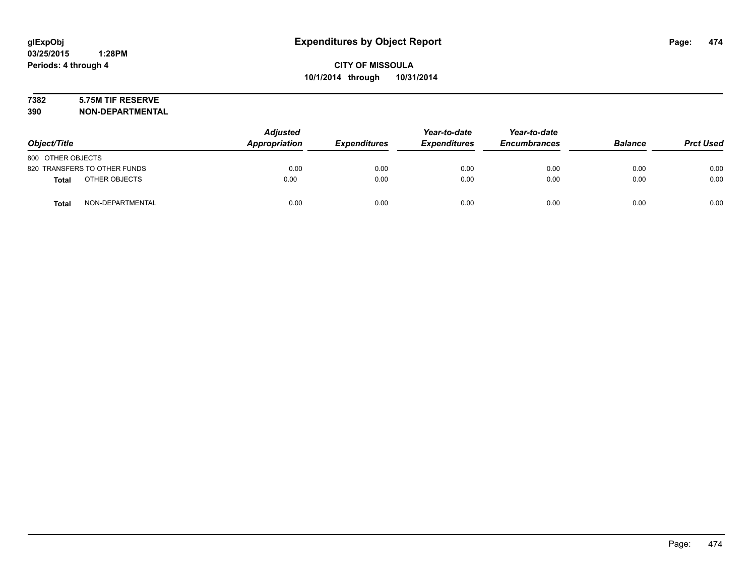# **7382 5.75M TIF RESERVE**

| Object/Title                     | <b>Adjusted</b><br>Appropriation | <b>Expenditures</b> | Year-to-date<br><b>Expenditures</b> | Year-to-date<br><b>Encumbrances</b> | <b>Balance</b> | <b>Prct Used</b> |
|----------------------------------|----------------------------------|---------------------|-------------------------------------|-------------------------------------|----------------|------------------|
| 800 OTHER OBJECTS                |                                  |                     |                                     |                                     |                |                  |
| 820 TRANSFERS TO OTHER FUNDS     | 0.00                             | 0.00                | 0.00                                | 0.00                                | 0.00           | 0.00             |
| OTHER OBJECTS<br><b>Total</b>    | 0.00                             | 0.00                | 0.00                                | 0.00                                | 0.00           | 0.00             |
| NON-DEPARTMENTAL<br><b>Total</b> | 0.00                             | 0.00                | 0.00                                | 0.00                                | 0.00           | 0.00             |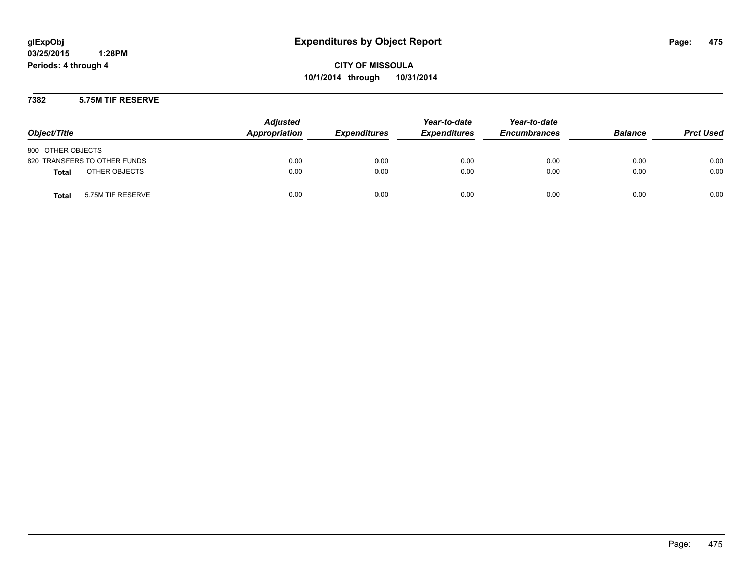**CITY OF MISSOULA 10/1/2014 through 10/31/2014**

## **7382 5.75M TIF RESERVE**

| Object/Title                      | <b>Adjusted</b><br>Appropriation | <b>Expenditures</b> | Year-to-date<br><b>Expenditures</b> | Year-to-date<br><b>Encumbrances</b> | <b>Balance</b> | <b>Prct Used</b> |
|-----------------------------------|----------------------------------|---------------------|-------------------------------------|-------------------------------------|----------------|------------------|
| 800 OTHER OBJECTS                 |                                  |                     |                                     |                                     |                |                  |
| 820 TRANSFERS TO OTHER FUNDS      | 0.00                             | 0.00                | 0.00                                | 0.00                                | 0.00           | 0.00             |
| OTHER OBJECTS<br><b>Total</b>     | 0.00                             | 0.00                | 0.00                                | 0.00                                | 0.00           | 0.00             |
| 5.75M TIF RESERVE<br><b>Total</b> | 0.00                             | 0.00                | 0.00                                | 0.00                                | 0.00           | 0.00             |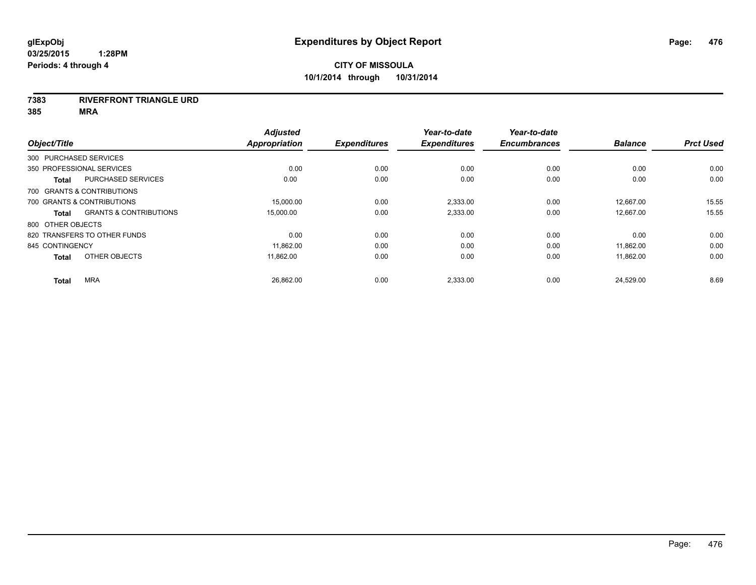#### **7383 RIVERFRONT TRIANGLE URD**

| Object/Title              |                                   | <b>Adjusted</b><br><b>Appropriation</b> | <b>Expenditures</b> | Year-to-date<br><b>Expenditures</b> | Year-to-date<br><b>Encumbrances</b> | <b>Balance</b> | <b>Prct Used</b> |
|---------------------------|-----------------------------------|-----------------------------------------|---------------------|-------------------------------------|-------------------------------------|----------------|------------------|
| 300 PURCHASED SERVICES    |                                   |                                         |                     |                                     |                                     |                |                  |
| 350 PROFESSIONAL SERVICES |                                   | 0.00                                    | 0.00                | 0.00                                | 0.00                                | 0.00           | 0.00             |
| <b>Total</b>              | <b>PURCHASED SERVICES</b>         | 0.00                                    | 0.00                | 0.00                                | 0.00                                | 0.00           | 0.00             |
|                           | 700 GRANTS & CONTRIBUTIONS        |                                         |                     |                                     |                                     |                |                  |
|                           | 700 GRANTS & CONTRIBUTIONS        | 15,000.00                               | 0.00                | 2,333.00                            | 0.00                                | 12,667.00      | 15.55            |
| Total                     | <b>GRANTS &amp; CONTRIBUTIONS</b> | 15,000.00                               | 0.00                | 2,333.00                            | 0.00                                | 12,667.00      | 15.55            |
| 800 OTHER OBJECTS         |                                   |                                         |                     |                                     |                                     |                |                  |
|                           | 820 TRANSFERS TO OTHER FUNDS      | 0.00                                    | 0.00                | 0.00                                | 0.00                                | 0.00           | 0.00             |
| 845 CONTINGENCY           |                                   | 11,862.00                               | 0.00                | 0.00                                | 0.00                                | 11,862.00      | 0.00             |
| <b>Total</b>              | OTHER OBJECTS                     | 11,862.00                               | 0.00                | 0.00                                | 0.00                                | 11,862.00      | 0.00             |
| <b>Total</b>              | <b>MRA</b>                        | 26,862.00                               | 0.00                | 2,333.00                            | 0.00                                | 24,529.00      | 8.69             |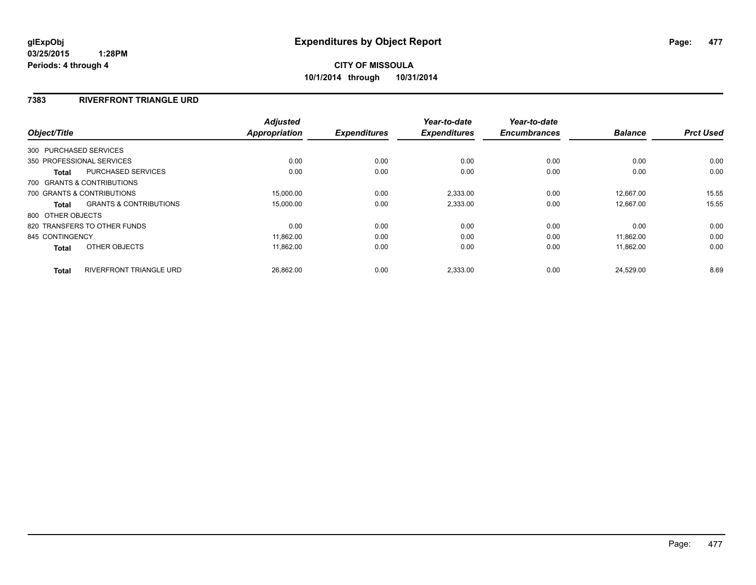# **7383 RIVERFRONT TRIANGLE URD**

|                   |                                   | <b>Adjusted</b>      |                     | Year-to-date        | Year-to-date        |                |                  |
|-------------------|-----------------------------------|----------------------|---------------------|---------------------|---------------------|----------------|------------------|
| Object/Title      |                                   | <b>Appropriation</b> | <b>Expenditures</b> | <b>Expenditures</b> | <b>Encumbrances</b> | <b>Balance</b> | <b>Prct Used</b> |
|                   | 300 PURCHASED SERVICES            |                      |                     |                     |                     |                |                  |
|                   | 350 PROFESSIONAL SERVICES         | 0.00                 | 0.00                | 0.00                | 0.00                | 0.00           | 0.00             |
| Total             | PURCHASED SERVICES                | 0.00                 | 0.00                | 0.00                | 0.00                | 0.00           | 0.00             |
|                   | 700 GRANTS & CONTRIBUTIONS        |                      |                     |                     |                     |                |                  |
|                   | 700 GRANTS & CONTRIBUTIONS        | 15,000.00            | 0.00                | 2,333.00            | 0.00                | 12.667.00      | 15.55            |
| Total             | <b>GRANTS &amp; CONTRIBUTIONS</b> | 15,000.00            | 0.00                | 2,333.00            | 0.00                | 12.667.00      | 15.55            |
| 800 OTHER OBJECTS |                                   |                      |                     |                     |                     |                |                  |
|                   | 820 TRANSFERS TO OTHER FUNDS      | 0.00                 | 0.00                | 0.00                | 0.00                | 0.00           | 0.00             |
| 845 CONTINGENCY   |                                   | 11,862.00            | 0.00                | 0.00                | 0.00                | 11.862.00      | 0.00             |
| <b>Total</b>      | OTHER OBJECTS                     | 11,862.00            | 0.00                | 0.00                | 0.00                | 11,862.00      | 0.00             |
| <b>Total</b>      | <b>RIVERFRONT TRIANGLE URD</b>    | 26,862.00            | 0.00                | 2,333.00            | 0.00                | 24,529.00      | 8.69             |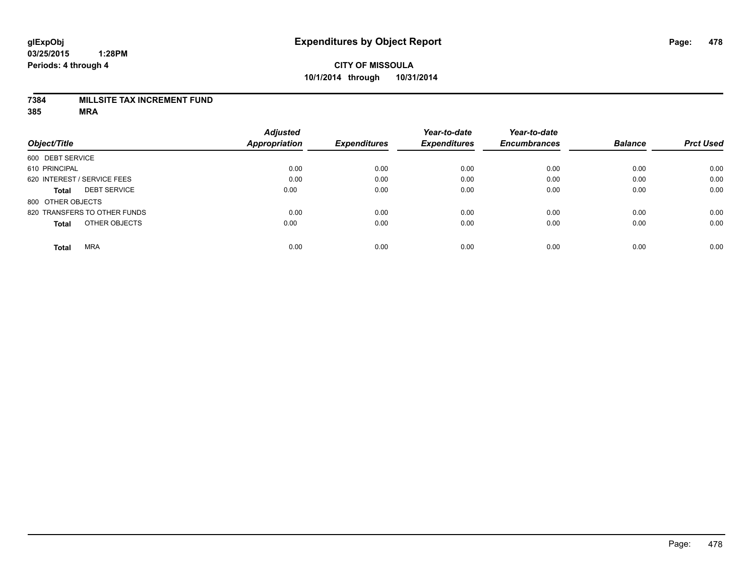## **7384 MILLSITE TAX INCREMENT FUND**

|                              |                     | <b>Adjusted</b>      |                     | Year-to-date        | Year-to-date        |                |                  |
|------------------------------|---------------------|----------------------|---------------------|---------------------|---------------------|----------------|------------------|
| Object/Title                 |                     | <b>Appropriation</b> | <b>Expenditures</b> | <b>Expenditures</b> | <b>Encumbrances</b> | <b>Balance</b> | <b>Prct Used</b> |
| 600 DEBT SERVICE             |                     |                      |                     |                     |                     |                |                  |
| 610 PRINCIPAL                |                     | 0.00                 | 0.00                | 0.00                | 0.00                | 0.00           | 0.00             |
| 620 INTEREST / SERVICE FEES  |                     | 0.00                 | 0.00                | 0.00                | 0.00                | 0.00           | 0.00             |
| <b>Total</b>                 | <b>DEBT SERVICE</b> | 0.00                 | 0.00                | 0.00                | 0.00                | 0.00           | 0.00             |
| 800 OTHER OBJECTS            |                     |                      |                     |                     |                     |                |                  |
| 820 TRANSFERS TO OTHER FUNDS |                     | 0.00                 | 0.00                | 0.00                | 0.00                | 0.00           | 0.00             |
| <b>Total</b>                 | OTHER OBJECTS       | 0.00                 | 0.00                | 0.00                | 0.00                | 0.00           | 0.00             |
| <b>MRA</b><br><b>Total</b>   |                     | 0.00                 | 0.00                | 0.00                | 0.00                | 0.00           | 0.00             |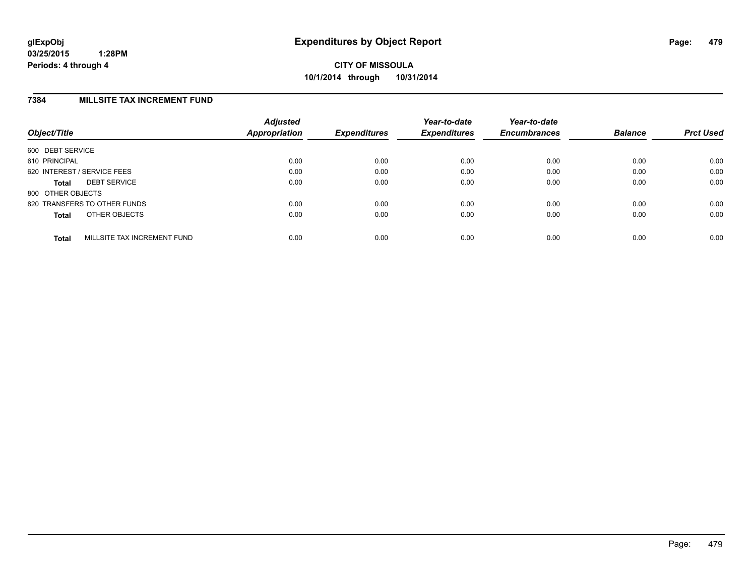## **7384 MILLSITE TAX INCREMENT FUND**

| Object/Title      |                              | <b>Adjusted</b><br>Appropriation | <b>Expenditures</b> | Year-to-date<br><b>Expenditures</b> | Year-to-date<br><b>Encumbrances</b> | <b>Balance</b> | <b>Prct Used</b> |
|-------------------|------------------------------|----------------------------------|---------------------|-------------------------------------|-------------------------------------|----------------|------------------|
| 600 DEBT SERVICE  |                              |                                  |                     |                                     |                                     |                |                  |
| 610 PRINCIPAL     |                              | 0.00                             | 0.00                | 0.00                                | 0.00                                | 0.00           | 0.00             |
|                   | 620 INTEREST / SERVICE FEES  | 0.00                             | 0.00                | 0.00                                | 0.00                                | 0.00           | 0.00             |
| <b>Total</b>      | <b>DEBT SERVICE</b>          | 0.00                             | 0.00                | 0.00                                | 0.00                                | 0.00           | 0.00             |
| 800 OTHER OBJECTS |                              |                                  |                     |                                     |                                     |                |                  |
|                   | 820 TRANSFERS TO OTHER FUNDS | 0.00                             | 0.00                | 0.00                                | 0.00                                | 0.00           | 0.00             |
| <b>Total</b>      | OTHER OBJECTS                | 0.00                             | 0.00                | 0.00                                | 0.00                                | 0.00           | 0.00             |
| <b>Total</b>      | MILLSITE TAX INCREMENT FUND  | 0.00                             | 0.00                | 0.00                                | 0.00                                | 0.00           | 0.00             |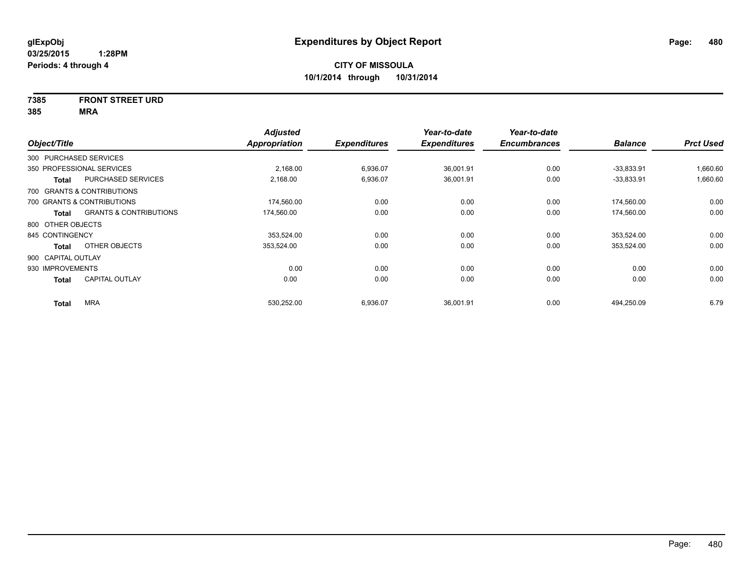# **7385 FRONT STREET URD**

| Object/Title           |                                   | <b>Adjusted</b><br>Appropriation | <b>Expenditures</b> | Year-to-date<br><b>Expenditures</b> | Year-to-date<br><b>Encumbrances</b> | <b>Balance</b> | <b>Prct Used</b> |
|------------------------|-----------------------------------|----------------------------------|---------------------|-------------------------------------|-------------------------------------|----------------|------------------|
| 300 PURCHASED SERVICES |                                   |                                  |                     |                                     |                                     |                |                  |
|                        | 350 PROFESSIONAL SERVICES         | 2,168.00                         | 6,936.07            | 36,001.91                           | 0.00                                | $-33,833.91$   | 1,660.60         |
| Total                  | PURCHASED SERVICES                | 2,168.00                         | 6,936.07            | 36,001.91                           | 0.00                                | $-33,833.91$   | 1,660.60         |
|                        | 700 GRANTS & CONTRIBUTIONS        |                                  |                     |                                     |                                     |                |                  |
|                        | 700 GRANTS & CONTRIBUTIONS        | 174,560.00                       | 0.00                | 0.00                                | 0.00                                | 174,560.00     | 0.00             |
| <b>Total</b>           | <b>GRANTS &amp; CONTRIBUTIONS</b> | 174,560.00                       | 0.00                | 0.00                                | 0.00                                | 174,560.00     | 0.00             |
| 800 OTHER OBJECTS      |                                   |                                  |                     |                                     |                                     |                |                  |
| 845 CONTINGENCY        |                                   | 353,524.00                       | 0.00                | 0.00                                | 0.00                                | 353,524.00     | 0.00             |
| <b>Total</b>           | OTHER OBJECTS                     | 353,524.00                       | 0.00                | 0.00                                | 0.00                                | 353,524.00     | 0.00             |
| 900 CAPITAL OUTLAY     |                                   |                                  |                     |                                     |                                     |                |                  |
| 930 IMPROVEMENTS       |                                   | 0.00                             | 0.00                | 0.00                                | 0.00                                | 0.00           | 0.00             |
| <b>Total</b>           | <b>CAPITAL OUTLAY</b>             | 0.00                             | 0.00                | 0.00                                | 0.00                                | 0.00           | 0.00             |
| <b>Total</b>           | <b>MRA</b>                        | 530,252.00                       | 6,936.07            | 36,001.91                           | 0.00                                | 494,250.09     | 6.79             |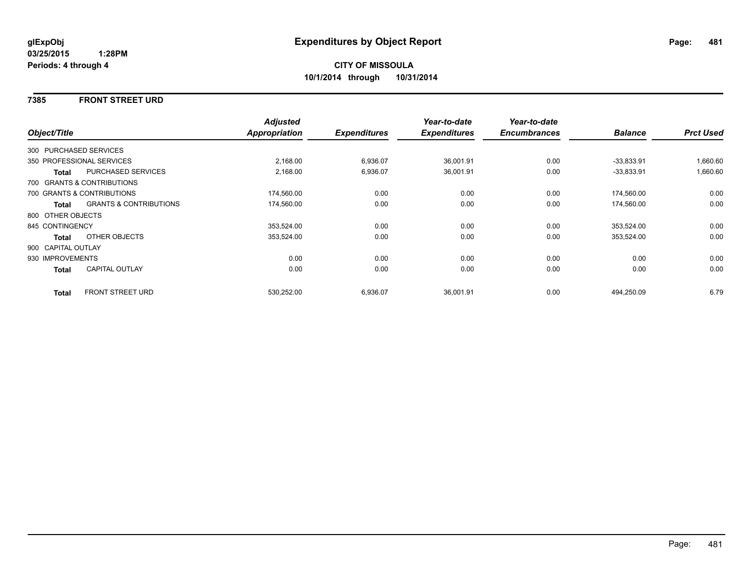## **7385 FRONT STREET URD**

|                    |                                   | <b>Adjusted</b> |                     | Year-to-date        | Year-to-date        |                |                  |
|--------------------|-----------------------------------|-----------------|---------------------|---------------------|---------------------|----------------|------------------|
| Object/Title       |                                   | Appropriation   | <b>Expenditures</b> | <b>Expenditures</b> | <b>Encumbrances</b> | <b>Balance</b> | <b>Prct Used</b> |
|                    | 300 PURCHASED SERVICES            |                 |                     |                     |                     |                |                  |
|                    | 350 PROFESSIONAL SERVICES         | 2,168.00        | 6,936.07            | 36,001.91           | 0.00                | $-33,833.91$   | 1,660.60         |
| <b>Total</b>       | <b>PURCHASED SERVICES</b>         | 2,168.00        | 6,936.07            | 36,001.91           | 0.00                | $-33,833.91$   | 1,660.60         |
|                    | 700 GRANTS & CONTRIBUTIONS        |                 |                     |                     |                     |                |                  |
|                    | 700 GRANTS & CONTRIBUTIONS        | 174,560.00      | 0.00                | 0.00                | 0.00                | 174,560.00     | 0.00             |
| Total              | <b>GRANTS &amp; CONTRIBUTIONS</b> | 174,560.00      | 0.00                | 0.00                | 0.00                | 174,560.00     | 0.00             |
| 800 OTHER OBJECTS  |                                   |                 |                     |                     |                     |                |                  |
| 845 CONTINGENCY    |                                   | 353,524.00      | 0.00                | 0.00                | 0.00                | 353,524.00     | 0.00             |
| Total              | OTHER OBJECTS                     | 353,524.00      | 0.00                | 0.00                | 0.00                | 353,524.00     | 0.00             |
| 900 CAPITAL OUTLAY |                                   |                 |                     |                     |                     |                |                  |
| 930 IMPROVEMENTS   |                                   | 0.00            | 0.00                | 0.00                | 0.00                | 0.00           | 0.00             |
| Total              | <b>CAPITAL OUTLAY</b>             | 0.00            | 0.00                | 0.00                | 0.00                | 0.00           | 0.00             |
| <b>Total</b>       | <b>FRONT STREET URD</b>           | 530,252.00      | 6,936.07            | 36,001.91           | 0.00                | 494,250.09     | 6.79             |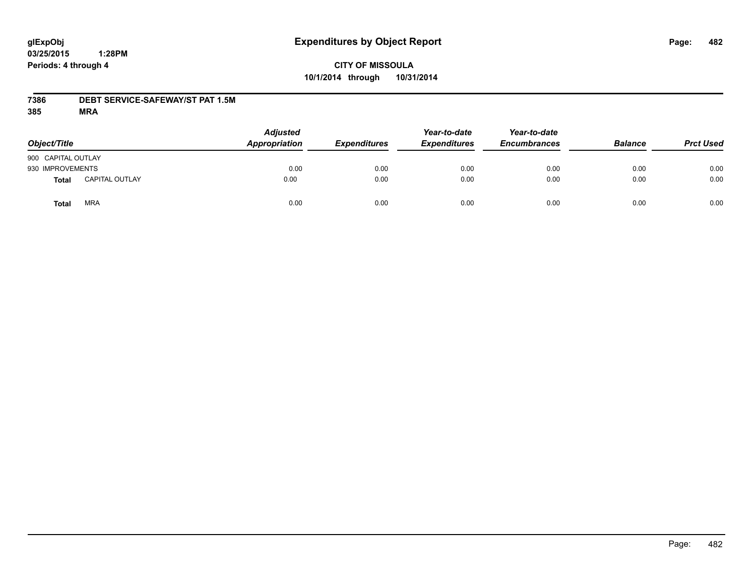# **CITY OF MISSOULA 10/1/2014 through 10/31/2014**

## **7386 DEBT SERVICE-SAFEWAY/ST PAT 1.5M**

| Object/Title       |                       | <b>Adjusted</b><br>Appropriation | <b>Expenditures</b> | Year-to-date<br><b>Expenditures</b> | Year-to-date<br><b>Encumbrances</b> | <b>Balance</b> | <b>Prct Used</b> |
|--------------------|-----------------------|----------------------------------|---------------------|-------------------------------------|-------------------------------------|----------------|------------------|
| 900 CAPITAL OUTLAY |                       |                                  |                     |                                     |                                     |                |                  |
| 930 IMPROVEMENTS   |                       | 0.00                             | 0.00                | 0.00                                | 0.00                                | 0.00           | 0.00             |
| <b>Total</b>       | <b>CAPITAL OUTLAY</b> | 0.00                             | 0.00                | 0.00                                | 0.00                                | 0.00           | 0.00             |
| Total              | MRA                   | 0.00                             | 0.00                | 0.00                                | 0.00                                | 0.00           | 0.00             |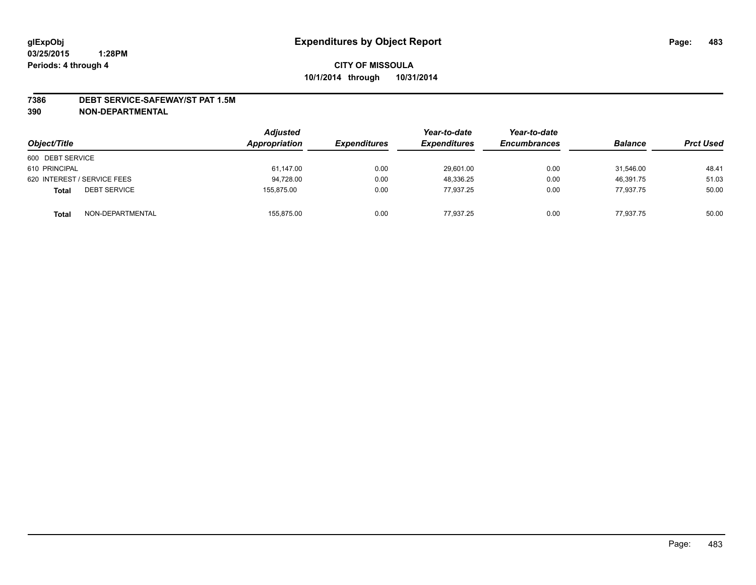#### **7386 DEBT SERVICE-SAFEWAY/ST PAT 1.5M**

| Object/Title                        | <b>Adjusted</b><br>Appropriation | <b>Expenditures</b> | Year-to-date<br><b>Expenditures</b> | Year-to-date<br><b>Encumbrances</b> | <b>Balance</b> | <b>Prct Used</b> |
|-------------------------------------|----------------------------------|---------------------|-------------------------------------|-------------------------------------|----------------|------------------|
| 600 DEBT SERVICE                    |                                  |                     |                                     |                                     |                |                  |
| 610 PRINCIPAL                       | 61,147.00                        | 0.00                | 29,601.00                           | 0.00                                | 31.546.00      | 48.41            |
| 620 INTEREST / SERVICE FEES         | 94,728.00                        | 0.00                | 48,336.25                           | 0.00                                | 46.391.75      | 51.03            |
| <b>DEBT SERVICE</b><br><b>Total</b> | 155.875.00                       | 0.00                | 77.937.25                           | 0.00                                | 77.937.75      | 50.00            |
| NON-DEPARTMENTAL<br><b>Total</b>    | 155,875.00                       | 0.00                | 77,937.25                           | 0.00                                | 77,937.75      | 50.00            |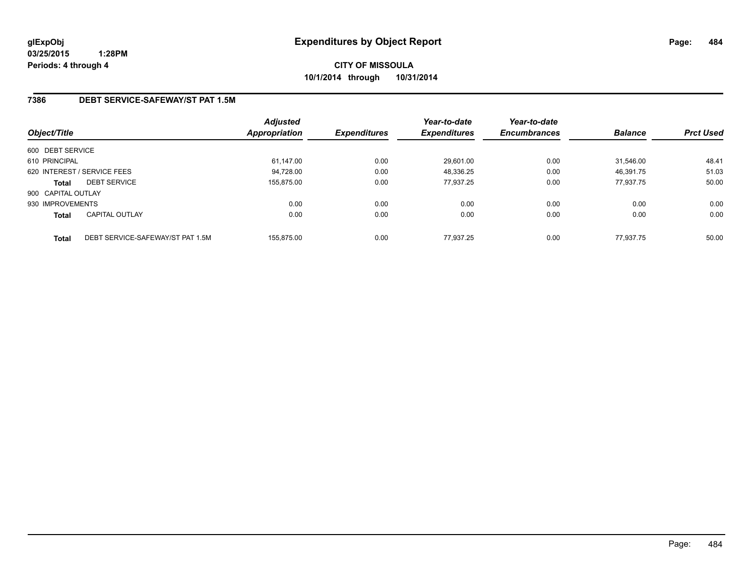**CITY OF MISSOULA 10/1/2014 through 10/31/2014**

## **7386 DEBT SERVICE-SAFEWAY/ST PAT 1.5M**

| Object/Title       |                                  | <b>Adjusted</b><br>Appropriation | <b>Expenditures</b> | Year-to-date<br><b>Expenditures</b> | Year-to-date<br><b>Encumbrances</b> | <b>Balance</b> | <b>Prct Used</b> |
|--------------------|----------------------------------|----------------------------------|---------------------|-------------------------------------|-------------------------------------|----------------|------------------|
| 600 DEBT SERVICE   |                                  |                                  |                     |                                     |                                     |                |                  |
| 610 PRINCIPAL      |                                  | 61,147.00                        | 0.00                | 29,601.00                           | 0.00                                | 31.546.00      | 48.41            |
|                    | 620 INTEREST / SERVICE FEES      | 94,728.00                        | 0.00                | 48,336.25                           | 0.00                                | 46,391.75      | 51.03            |
| <b>Total</b>       | <b>DEBT SERVICE</b>              | 155.875.00                       | 0.00                | 77.937.25                           | 0.00                                | 77.937.75      | 50.00            |
| 900 CAPITAL OUTLAY |                                  |                                  |                     |                                     |                                     |                |                  |
| 930 IMPROVEMENTS   |                                  | 0.00                             | 0.00                | 0.00                                | 0.00                                | 0.00           | 0.00             |
| <b>Total</b>       | <b>CAPITAL OUTLAY</b>            | 0.00                             | 0.00                | 0.00                                | 0.00                                | 0.00           | 0.00             |
| <b>Total</b>       | DEBT SERVICE-SAFEWAY/ST PAT 1.5M | 155.875.00                       | 0.00                | 77.937.25                           | 0.00                                | 77.937.75      | 50.00            |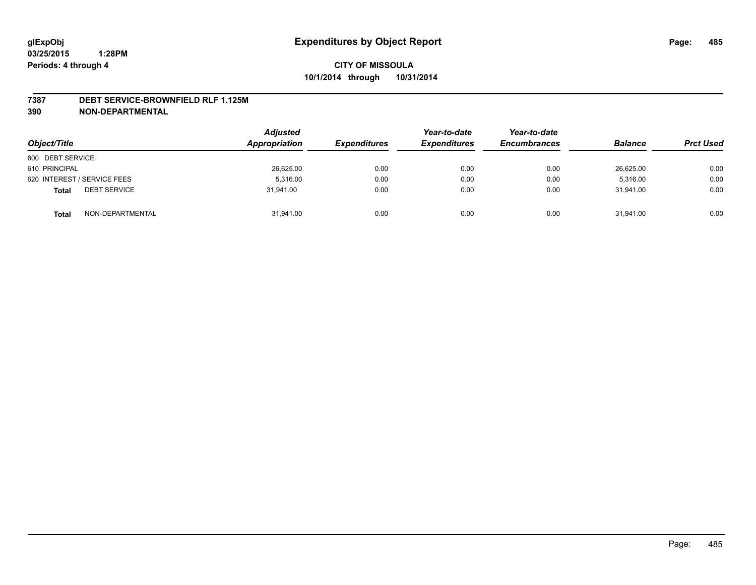#### **7387 DEBT SERVICE-BROWNFIELD RLF 1.125M**

| Object/Title                        | <b>Adjusted</b><br>Appropriation | <b>Expenditures</b> | Year-to-date<br><b>Expenditures</b> | Year-to-date<br><b>Encumbrances</b> | <b>Balance</b> | <b>Prct Used</b> |
|-------------------------------------|----------------------------------|---------------------|-------------------------------------|-------------------------------------|----------------|------------------|
| 600 DEBT SERVICE                    |                                  |                     |                                     |                                     |                |                  |
| 610 PRINCIPAL                       | 26,625.00                        | 0.00                | 0.00                                | 0.00                                | 26,625.00      | 0.00             |
| 620 INTEREST / SERVICE FEES         | 5.316.00                         | 0.00                | 0.00                                | 0.00                                | 5.316.00       | 0.00             |
| <b>DEBT SERVICE</b><br><b>Total</b> | 31.941.00                        | 0.00                | 0.00                                | 0.00                                | 31.941.00      | 0.00             |
| NON-DEPARTMENTAL<br><b>Total</b>    | 31,941.00                        | 0.00                | 0.00                                | 0.00                                | 31,941.00      | 0.00             |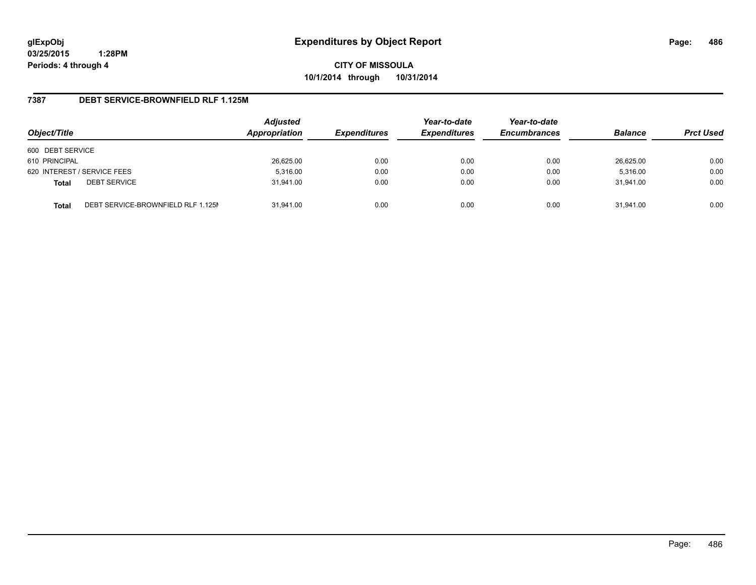**CITY OF MISSOULA 10/1/2014 through 10/31/2014**

## **7387 DEBT SERVICE-BROWNFIELD RLF 1.125M**

| Object/Title     |                                    | <b>Adjusted</b><br>Appropriation | <b>Expenditures</b> | Year-to-date<br><b>Expenditures</b> | Year-to-date<br><b>Encumbrances</b> | <b>Balance</b> | <b>Prct Used</b> |
|------------------|------------------------------------|----------------------------------|---------------------|-------------------------------------|-------------------------------------|----------------|------------------|
| 600 DEBT SERVICE |                                    |                                  |                     |                                     |                                     |                |                  |
| 610 PRINCIPAL    |                                    | 26,625.00                        | 0.00                | 0.00                                | 0.00                                | 26,625.00      | 0.00             |
|                  | 620 INTEREST / SERVICE FEES        | 5,316.00                         | 0.00                | 0.00                                | 0.00                                | 5,316.00       | 0.00             |
| <b>Total</b>     | <b>DEBT SERVICE</b>                | 31.941.00                        | 0.00                | 0.00                                | 0.00                                | 31.941.00      | 0.00             |
| <b>Total</b>     | DEBT SERVICE-BROWNFIELD RLF 1.125M | 31.941.00                        | 0.00                | 0.00                                | 0.00                                | 31.941.00      | 0.00             |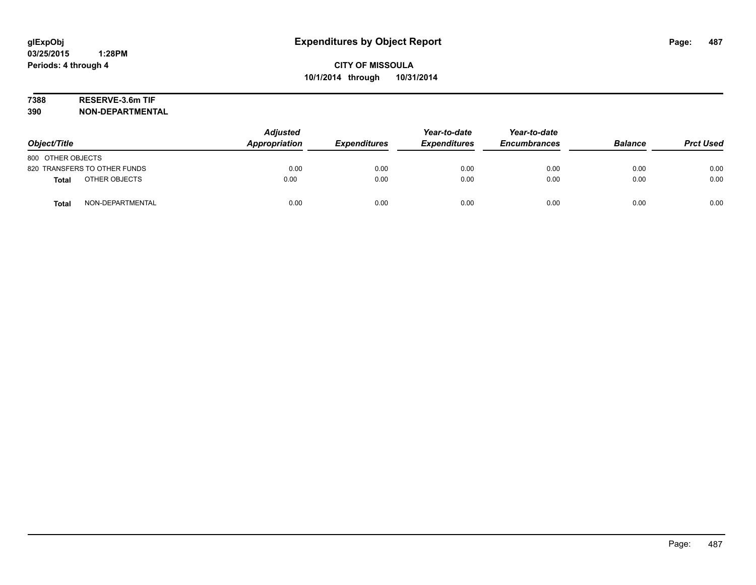# **7388 RESERVE-3.6m TIF**

| Object/Title                     | <b>Adjusted</b><br>Appropriation | <b>Expenditures</b> | Year-to-date<br><b>Expenditures</b> | Year-to-date<br><b>Encumbrances</b> | <b>Balance</b> | <b>Prct Used</b> |
|----------------------------------|----------------------------------|---------------------|-------------------------------------|-------------------------------------|----------------|------------------|
| 800 OTHER OBJECTS                |                                  |                     |                                     |                                     |                |                  |
| 820 TRANSFERS TO OTHER FUNDS     | 0.00                             | 0.00                | 0.00                                | 0.00                                | 0.00           | 0.00             |
| OTHER OBJECTS<br><b>Total</b>    | 0.00                             | 0.00                | 0.00                                | 0.00                                | 0.00           | 0.00             |
| NON-DEPARTMENTAL<br><b>Total</b> | 0.00                             | 0.00                | 0.00                                | 0.00                                | 0.00           | 0.00             |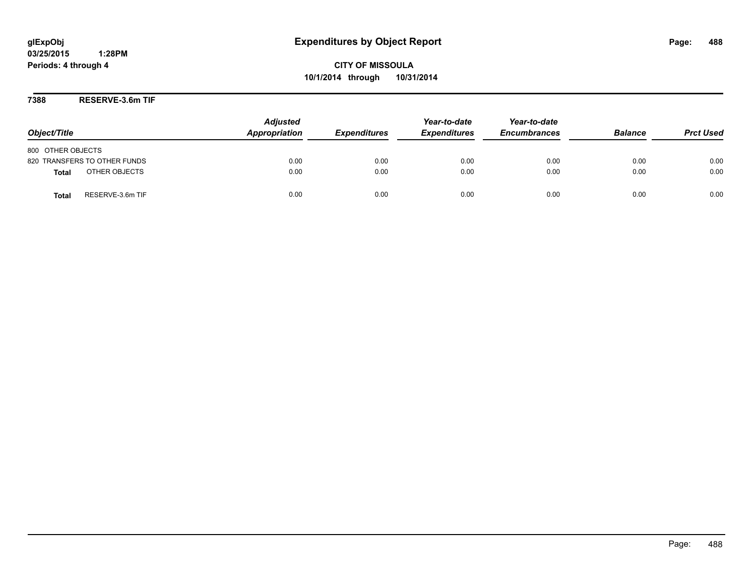**CITY OF MISSOULA 10/1/2014 through 10/31/2014**

**7388 RESERVE-3.6m TIF**

| Object/Title                     | <b>Adjusted</b><br>Appropriation | <b>Expenditures</b> | Year-to-date<br><b>Expenditures</b> | Year-to-date<br><b>Encumbrances</b> | <b>Balance</b> | <b>Prct Used</b> |
|----------------------------------|----------------------------------|---------------------|-------------------------------------|-------------------------------------|----------------|------------------|
| 800 OTHER OBJECTS                |                                  |                     |                                     |                                     |                |                  |
| 820 TRANSFERS TO OTHER FUNDS     | 0.00                             | 0.00                | 0.00                                | 0.00                                | 0.00           | 0.00             |
| OTHER OBJECTS<br>Total           | 0.00                             | 0.00                | 0.00                                | 0.00                                | 0.00           | 0.00             |
| RESERVE-3.6m TIF<br><b>Total</b> | 0.00                             | 0.00                | 0.00                                | 0.00                                | 0.00           | 0.00             |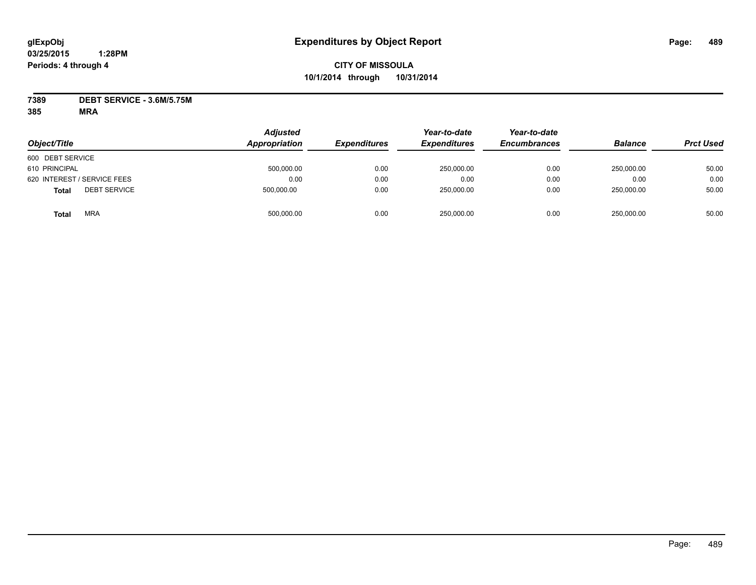# **CITY OF MISSOULA 10/1/2014 through 10/31/2014**

**7389 DEBT SERVICE - 3.6M/5.75M**

| Object/Title                        | <b>Adjusted</b><br>Appropriation | <b>Expenditures</b> | Year-to-date<br><b>Expenditures</b> | Year-to-date<br><b>Encumbrances</b> | <b>Balance</b> | <b>Prct Used</b> |
|-------------------------------------|----------------------------------|---------------------|-------------------------------------|-------------------------------------|----------------|------------------|
| 600 DEBT SERVICE                    |                                  |                     |                                     |                                     |                |                  |
| 610 PRINCIPAL                       | 500,000.00                       | 0.00                | 250,000.00                          | 0.00                                | 250.000.00     | 50.00            |
| 620 INTEREST / SERVICE FEES         | 0.00                             | 0.00                | 0.00                                | 0.00                                | 0.00           | 0.00             |
| <b>DEBT SERVICE</b><br><b>Total</b> | 500,000.00                       | 0.00                | 250,000.00                          | 0.00                                | 250,000.00     | 50.00            |
| <b>MRA</b><br>Total                 | 500,000.00                       | 0.00                | 250,000.00                          | 0.00                                | 250.000.00     | 50.00            |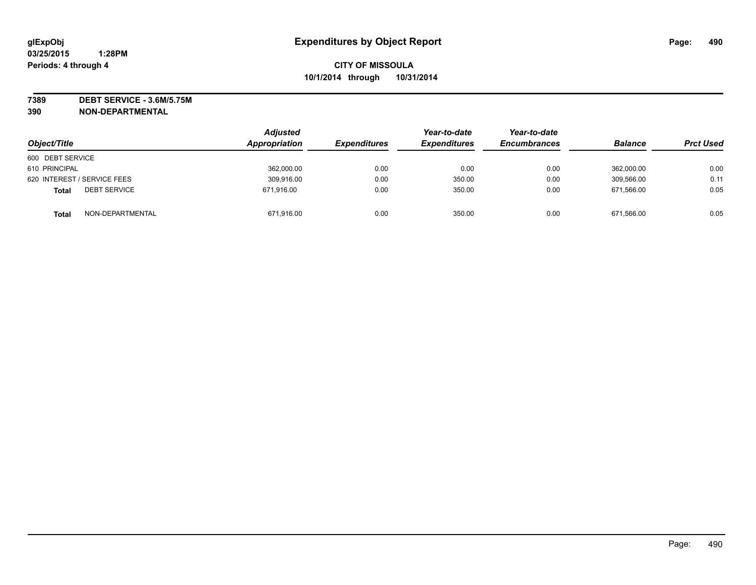**7389 DEBT SERVICE - 3.6M/5.75M**

|                                     | <b>Adjusted</b><br>Appropriation |                     | Year-to-date        | Year-to-date        | <b>Balance</b> |                  |
|-------------------------------------|----------------------------------|---------------------|---------------------|---------------------|----------------|------------------|
| Object/Title                        |                                  | <b>Expenditures</b> | <b>Expenditures</b> | <b>Encumbrances</b> |                | <b>Prct Used</b> |
| 600 DEBT SERVICE                    |                                  |                     |                     |                     |                |                  |
| 610 PRINCIPAL                       | 362,000.00                       | 0.00                | 0.00                | 0.00                | 362.000.00     | 0.00             |
| 620 INTEREST / SERVICE FEES         | 309,916.00                       | 0.00                | 350.00              | 0.00                | 309,566.00     | 0.11             |
| <b>DEBT SERVICE</b><br><b>Total</b> | 671,916.00                       | 0.00                | 350.00              | 0.00                | 671.566.00     | 0.05             |
| NON-DEPARTMENTAL<br><b>Total</b>    | 671,916.00                       | 0.00                | 350.00              | 0.00                | 671,566.00     | 0.05             |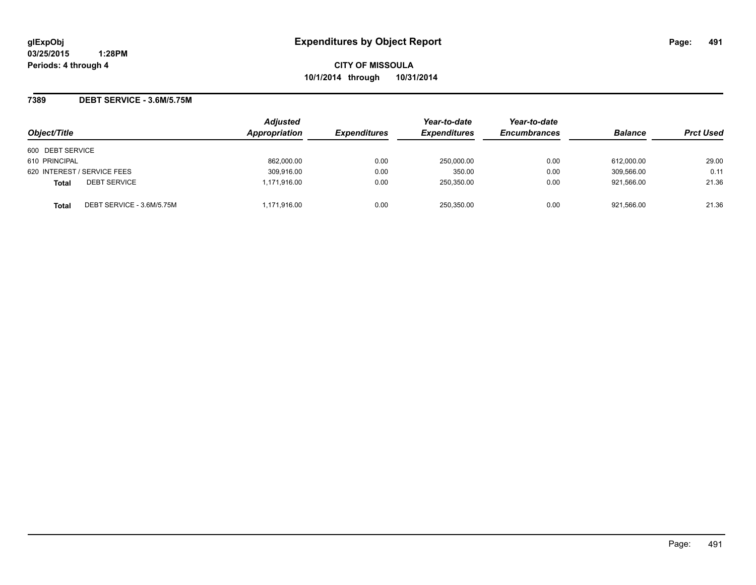**CITY OF MISSOULA 10/1/2014 through 10/31/2014**

## **7389 DEBT SERVICE - 3.6M/5.75M**

|                                           | <b>Adjusted</b> |                     | Year-to-date        | Year-to-date        |                |                  |
|-------------------------------------------|-----------------|---------------------|---------------------|---------------------|----------------|------------------|
| Object/Title                              | Appropriation   | <b>Expenditures</b> | <b>Expenditures</b> | <b>Encumbrances</b> | <b>Balance</b> | <b>Prct Used</b> |
| 600 DEBT SERVICE                          |                 |                     |                     |                     |                |                  |
| 610 PRINCIPAL                             | 862,000.00      | 0.00                | 250,000.00          | 0.00                | 612,000.00     | 29.00            |
| 620 INTEREST / SERVICE FEES               | 309,916.00      | 0.00                | 350.00              | 0.00                | 309,566.00     | 0.11             |
| <b>DEBT SERVICE</b><br><b>Total</b>       | 1.171.916.00    | 0.00                | 250,350.00          | 0.00                | 921.566.00     | 21.36            |
| DEBT SERVICE - 3.6M/5.75M<br><b>Total</b> | 1,171,916.00    | 0.00                | 250.350.00          | 0.00                | 921.566.00     | 21.36            |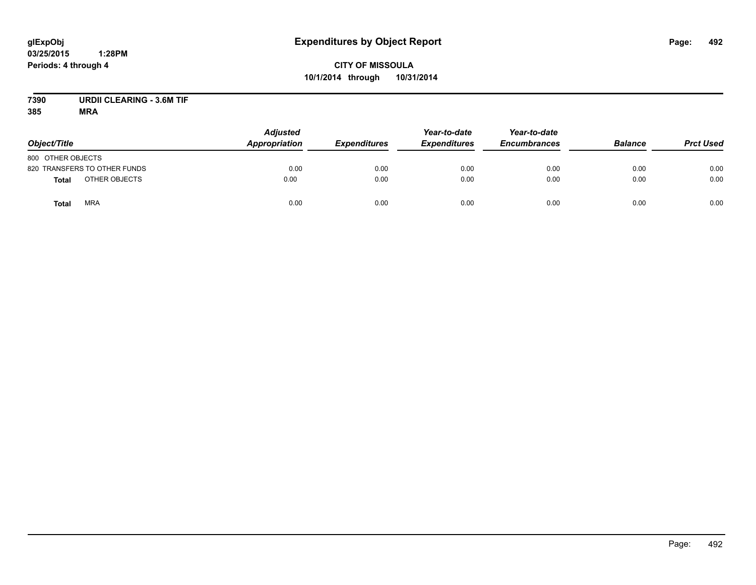# **CITY OF MISSOULA 10/1/2014 through 10/31/2014**

# **7390 URDII CLEARING - 3.6M TIF**

| Object/Title                  | <b>Adjusted</b><br><b>Appropriation</b> | <b>Expenditures</b> | Year-to-date<br><b>Expenditures</b> | Year-to-date<br><b>Encumbrances</b> | <b>Balance</b> | <b>Prct Used</b> |
|-------------------------------|-----------------------------------------|---------------------|-------------------------------------|-------------------------------------|----------------|------------------|
| 800 OTHER OBJECTS             |                                         |                     |                                     |                                     |                |                  |
| 820 TRANSFERS TO OTHER FUNDS  | 0.00                                    | 0.00                | 0.00                                | 0.00                                | 0.00           | 0.00             |
| OTHER OBJECTS<br><b>Total</b> | 0.00                                    | 0.00                | 0.00                                | 0.00                                | 0.00           | 0.00             |
| <b>MRA</b><br><b>Total</b>    | 0.00                                    | 0.00                | 0.00                                | 0.00                                | 0.00           | 0.00             |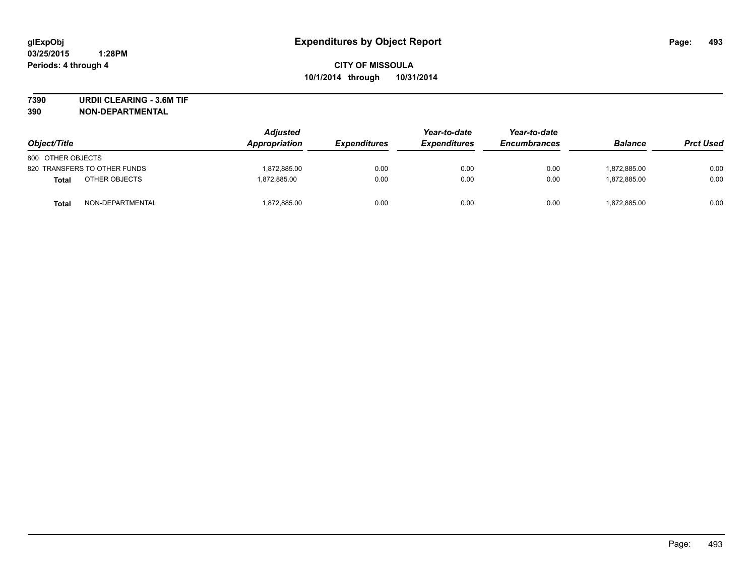**7390 URDII CLEARING - 3.6M TIF**

| Object/Title      |                              | <b>Adjusted</b><br>Appropriation | <b>Expenditures</b> | Year-to-date<br><b>Expenditures</b> | Year-to-date<br><b>Encumbrances</b> | <b>Balance</b> | <b>Prct Used</b> |
|-------------------|------------------------------|----------------------------------|---------------------|-------------------------------------|-------------------------------------|----------------|------------------|
| 800 OTHER OBJECTS |                              |                                  |                     |                                     |                                     |                |                  |
|                   | 820 TRANSFERS TO OTHER FUNDS | 1.872.885.00                     | 0.00                | 0.00                                | 0.00                                | 1,872,885.00   | 0.00             |
| Total             | OTHER OBJECTS                | 1.872.885.00                     | 0.00                | 0.00                                | 0.00                                | 1.872.885.00   | 0.00             |
| <b>Total</b>      | NON-DEPARTMENTAL             | 1,872,885.00                     | 0.00                | 0.00                                | 0.00                                | 1,872,885.00   | 0.00             |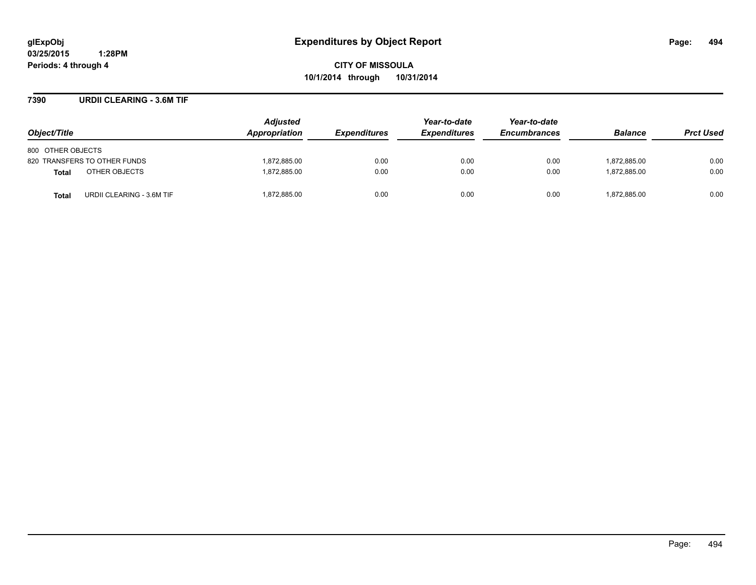**CITY OF MISSOULA 10/1/2014 through 10/31/2014**

## **7390 URDII CLEARING - 3.6M TIF**

| Object/Title                       | <b>Adjusted</b><br><b>Appropriation</b> | <i><b>Expenditures</b></i> | Year-to-date<br><b>Expenditures</b> | Year-to-date<br><b>Encumbrances</b> | <b>Balance</b> | <b>Prct Used</b> |
|------------------------------------|-----------------------------------------|----------------------------|-------------------------------------|-------------------------------------|----------------|------------------|
| 800 OTHER OBJECTS                  |                                         |                            |                                     |                                     |                |                  |
| 820 TRANSFERS TO OTHER FUNDS       | 1.872.885.00                            | 0.00                       | 0.00                                | 0.00                                | 1.872.885.00   | 0.00             |
| OTHER OBJECTS<br><b>Total</b>      | 1.872.885.00                            | 0.00                       | 0.00                                | 0.00                                | 1.872.885.00   | 0.00             |
| URDII CLEARING - 3.6M TIF<br>Total | 1,872,885.00                            | 0.00                       | 0.00                                | 0.00                                | 1,872,885.00   | 0.00             |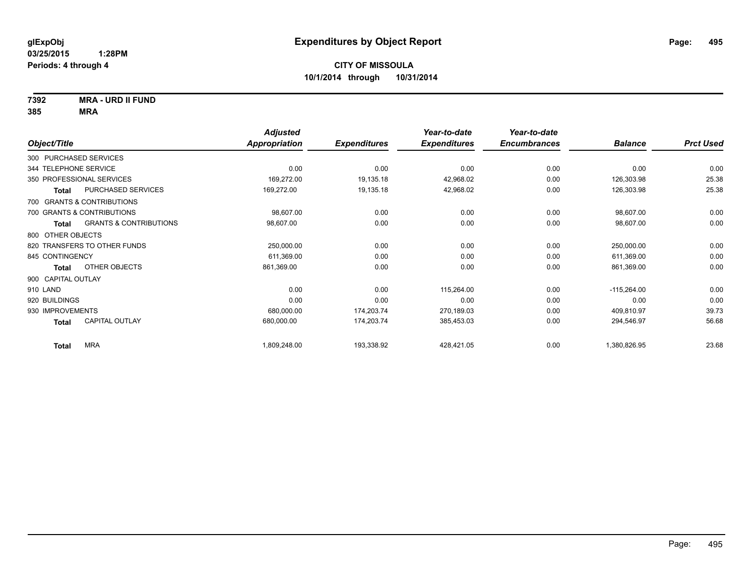**7392 MRA - URD II FUND**

|                                       |                                   | <b>Adjusted</b> |                     | Year-to-date        | Year-to-date        |                |                  |
|---------------------------------------|-----------------------------------|-----------------|---------------------|---------------------|---------------------|----------------|------------------|
| Object/Title                          |                                   | Appropriation   | <b>Expenditures</b> | <b>Expenditures</b> | <b>Encumbrances</b> | <b>Balance</b> | <b>Prct Used</b> |
| 300 PURCHASED SERVICES                |                                   |                 |                     |                     |                     |                |                  |
| 344 TELEPHONE SERVICE                 |                                   | 0.00            | 0.00                | 0.00                | 0.00                | 0.00           | 0.00             |
| 350 PROFESSIONAL SERVICES             |                                   | 169,272.00      | 19,135.18           | 42,968.02           | 0.00                | 126,303.98     | 25.38            |
| <b>Total</b>                          | PURCHASED SERVICES                | 169,272.00      | 19,135.18           | 42,968.02           | 0.00                | 126,303.98     | 25.38            |
| 700 GRANTS & CONTRIBUTIONS            |                                   |                 |                     |                     |                     |                |                  |
| 700 GRANTS & CONTRIBUTIONS            |                                   | 98,607.00       | 0.00                | 0.00                | 0.00                | 98,607.00      | 0.00             |
| <b>Total</b>                          | <b>GRANTS &amp; CONTRIBUTIONS</b> | 98,607.00       | 0.00                | 0.00                | 0.00                | 98,607.00      | 0.00             |
| 800 OTHER OBJECTS                     |                                   |                 |                     |                     |                     |                |                  |
| 820 TRANSFERS TO OTHER FUNDS          |                                   | 250,000.00      | 0.00                | 0.00                | 0.00                | 250,000.00     | 0.00             |
| 845 CONTINGENCY                       |                                   | 611,369.00      | 0.00                | 0.00                | 0.00                | 611,369.00     | 0.00             |
| OTHER OBJECTS<br><b>Total</b>         |                                   | 861,369.00      | 0.00                | 0.00                | 0.00                | 861,369.00     | 0.00             |
| 900 CAPITAL OUTLAY                    |                                   |                 |                     |                     |                     |                |                  |
| 910 LAND                              |                                   | 0.00            | 0.00                | 115,264.00          | 0.00                | $-115,264.00$  | 0.00             |
| 920 BUILDINGS                         |                                   | 0.00            | 0.00                | 0.00                | 0.00                | 0.00           | 0.00             |
| 930 IMPROVEMENTS                      |                                   | 680,000.00      | 174,203.74          | 270,189.03          | 0.00                | 409,810.97     | 39.73            |
| <b>CAPITAL OUTLAY</b><br><b>Total</b> |                                   | 680,000.00      | 174,203.74          | 385,453.03          | 0.00                | 294,546.97     | 56.68            |
| <b>MRA</b><br><b>Total</b>            |                                   | 1,809,248.00    | 193,338.92          | 428,421.05          | 0.00                | 1,380,826.95   | 23.68            |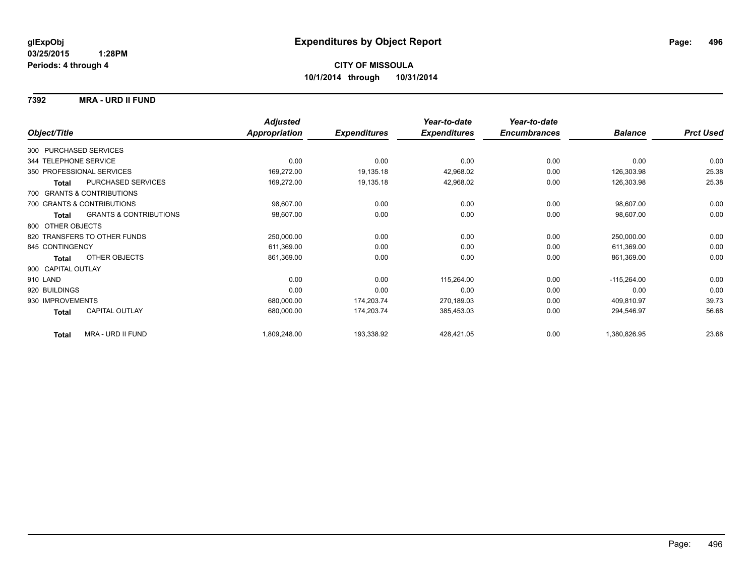## **7392 MRA - URD II FUND**

|                                            | <b>Adjusted</b>      |                     | Year-to-date        | Year-to-date        |                |                  |
|--------------------------------------------|----------------------|---------------------|---------------------|---------------------|----------------|------------------|
| Object/Title                               | <b>Appropriation</b> | <b>Expenditures</b> | <b>Expenditures</b> | <b>Encumbrances</b> | <b>Balance</b> | <b>Prct Used</b> |
| 300 PURCHASED SERVICES                     |                      |                     |                     |                     |                |                  |
| 344 TELEPHONE SERVICE                      | 0.00                 | 0.00                | 0.00                | 0.00                | 0.00           | 0.00             |
| 350 PROFESSIONAL SERVICES                  | 169,272.00           | 19,135.18           | 42,968.02           | 0.00                | 126,303.98     | 25.38            |
| PURCHASED SERVICES<br><b>Total</b>         | 169,272.00           | 19,135.18           | 42,968.02           | 0.00                | 126,303.98     | 25.38            |
| 700 GRANTS & CONTRIBUTIONS                 |                      |                     |                     |                     |                |                  |
| 700 GRANTS & CONTRIBUTIONS                 | 98,607.00            | 0.00                | 0.00                | 0.00                | 98,607.00      | 0.00             |
| <b>GRANTS &amp; CONTRIBUTIONS</b><br>Total | 98,607.00            | 0.00                | 0.00                | 0.00                | 98,607.00      | 0.00             |
| 800 OTHER OBJECTS                          |                      |                     |                     |                     |                |                  |
| 820 TRANSFERS TO OTHER FUNDS               | 250,000.00           | 0.00                | 0.00                | 0.00                | 250,000.00     | 0.00             |
| 845 CONTINGENCY                            | 611,369.00           | 0.00                | 0.00                | 0.00                | 611,369.00     | 0.00             |
| OTHER OBJECTS<br>Total                     | 861,369.00           | 0.00                | 0.00                | 0.00                | 861,369.00     | 0.00             |
| 900 CAPITAL OUTLAY                         |                      |                     |                     |                     |                |                  |
| 910 LAND                                   | 0.00                 | 0.00                | 115,264.00          | 0.00                | $-115,264.00$  | 0.00             |
| 920 BUILDINGS                              | 0.00                 | 0.00                | 0.00                | 0.00                | 0.00           | 0.00             |
| 930 IMPROVEMENTS                           | 680,000.00           | 174,203.74          | 270,189.03          | 0.00                | 409,810.97     | 39.73            |
| <b>CAPITAL OUTLAY</b><br>Total             | 680,000.00           | 174,203.74          | 385,453.03          | 0.00                | 294,546.97     | 56.68            |
| MRA - URD II FUND<br><b>Total</b>          | 1,809,248.00         | 193,338.92          | 428,421.05          | 0.00                | 1,380,826.95   | 23.68            |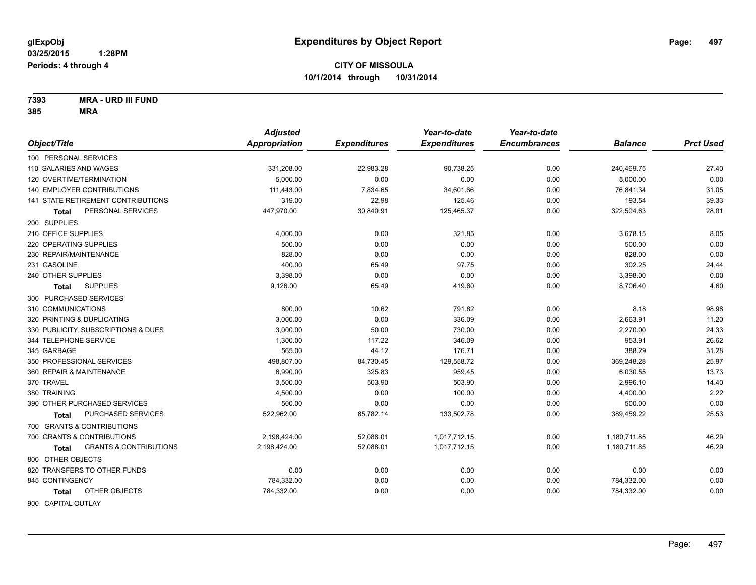**7393 MRA - URD III FUND**

|                                                   | <b>Adjusted</b> |                     | Year-to-date        | Year-to-date        |                |                  |
|---------------------------------------------------|-----------------|---------------------|---------------------|---------------------|----------------|------------------|
| Object/Title                                      | Appropriation   | <b>Expenditures</b> | <b>Expenditures</b> | <b>Encumbrances</b> | <b>Balance</b> | <b>Prct Used</b> |
| 100 PERSONAL SERVICES                             |                 |                     |                     |                     |                |                  |
| 110 SALARIES AND WAGES                            | 331,208.00      | 22,983.28           | 90,738.25           | 0.00                | 240,469.75     | 27.40            |
| 120 OVERTIME/TERMINATION                          | 5.000.00        | 0.00                | 0.00                | 0.00                | 5,000.00       | 0.00             |
| <b>140 EMPLOYER CONTRIBUTIONS</b>                 | 111,443.00      | 7,834.65            | 34,601.66           | 0.00                | 76,841.34      | 31.05            |
| <b>141 STATE RETIREMENT CONTRIBUTIONS</b>         | 319.00          | 22.98               | 125.46              | 0.00                | 193.54         | 39.33            |
| PERSONAL SERVICES<br>Total                        | 447,970.00      | 30,840.91           | 125,465.37          | 0.00                | 322,504.63     | 28.01            |
| 200 SUPPLIES                                      |                 |                     |                     |                     |                |                  |
| 210 OFFICE SUPPLIES                               | 4,000.00        | 0.00                | 321.85              | 0.00                | 3,678.15       | 8.05             |
| 220 OPERATING SUPPLIES                            | 500.00          | 0.00                | 0.00                | 0.00                | 500.00         | 0.00             |
| 230 REPAIR/MAINTENANCE                            | 828.00          | 0.00                | 0.00                | 0.00                | 828.00         | 0.00             |
| 231 GASOLINE                                      | 400.00          | 65.49               | 97.75               | 0.00                | 302.25         | 24.44            |
| 240 OTHER SUPPLIES                                | 3,398.00        | 0.00                | 0.00                | 0.00                | 3,398.00       | 0.00             |
| <b>SUPPLIES</b><br><b>Total</b>                   | 9,126.00        | 65.49               | 419.60              | 0.00                | 8,706.40       | 4.60             |
| 300 PURCHASED SERVICES                            |                 |                     |                     |                     |                |                  |
| 310 COMMUNICATIONS                                | 800.00          | 10.62               | 791.82              | 0.00                | 8.18           | 98.98            |
| 320 PRINTING & DUPLICATING                        | 3,000.00        | 0.00                | 336.09              | 0.00                | 2,663.91       | 11.20            |
| 330 PUBLICITY, SUBSCRIPTIONS & DUES               | 3,000.00        | 50.00               | 730.00              | 0.00                | 2,270.00       | 24.33            |
| 344 TELEPHONE SERVICE                             | 1,300.00        | 117.22              | 346.09              | 0.00                | 953.91         | 26.62            |
| 345 GARBAGE                                       | 565.00          | 44.12               | 176.71              | 0.00                | 388.29         | 31.28            |
| 350 PROFESSIONAL SERVICES                         | 498,807.00      | 84,730.45           | 129,558.72          | 0.00                | 369,248.28     | 25.97            |
| 360 REPAIR & MAINTENANCE                          | 6.990.00        | 325.83              | 959.45              | 0.00                | 6,030.55       | 13.73            |
| 370 TRAVEL                                        | 3,500.00        | 503.90              | 503.90              | 0.00                | 2,996.10       | 14.40            |
| 380 TRAINING                                      | 4,500.00        | 0.00                | 100.00              | 0.00                | 4,400.00       | 2.22             |
| 390 OTHER PURCHASED SERVICES                      | 500.00          | 0.00                | 0.00                | 0.00                | 500.00         | 0.00             |
| PURCHASED SERVICES<br><b>Total</b>                | 522,962.00      | 85,782.14           | 133,502.78          | 0.00                | 389,459.22     | 25.53            |
| 700 GRANTS & CONTRIBUTIONS                        |                 |                     |                     |                     |                |                  |
| 700 GRANTS & CONTRIBUTIONS                        | 2,198,424.00    | 52,088.01           | 1,017,712.15        | 0.00                | 1,180,711.85   | 46.29            |
| <b>GRANTS &amp; CONTRIBUTIONS</b><br><b>Total</b> | 2,198,424.00    | 52,088.01           | 1,017,712.15        | 0.00                | 1,180,711.85   | 46.29            |
| 800 OTHER OBJECTS                                 |                 |                     |                     |                     |                |                  |
| 820 TRANSFERS TO OTHER FUNDS                      | 0.00            | 0.00                | 0.00                | 0.00                | 0.00           | 0.00             |
| 845 CONTINGENCY                                   | 784,332.00      | 0.00                | 0.00                | 0.00                | 784,332.00     | 0.00             |
| OTHER OBJECTS<br>Total                            | 784,332.00      | 0.00                | 0.00                | 0.00                | 784,332.00     | 0.00             |
| 900 CAPITAL OUTLAY                                |                 |                     |                     |                     |                |                  |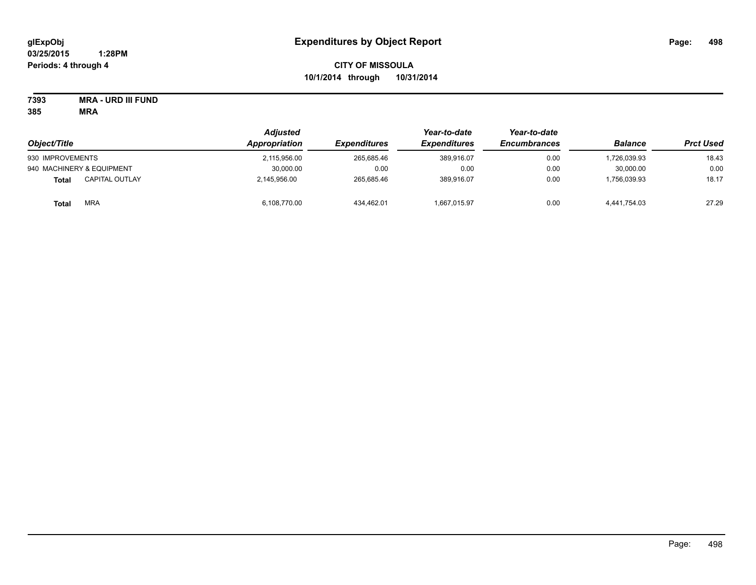# **CITY OF MISSOULA 10/1/2014 through 10/31/2014**

**7393 MRA - URD III FUND**

| Object/Title                          | Adjusted<br>Appropriation | <b>Expenditures</b> | Year-to-date<br><b>Expenditures</b> | Year-to-date<br><b>Encumbrances</b> | <b>Balance</b> | <b>Prct Used</b> |
|---------------------------------------|---------------------------|---------------------|-------------------------------------|-------------------------------------|----------------|------------------|
| 930 IMPROVEMENTS                      | 2,115,956.00              | 265.685.46          | 389.916.07                          | 0.00                                | ,726,039.93    | 18.43            |
| 940 MACHINERY & EQUIPMENT             | 30,000.00                 | 0.00                | 0.00                                | 0.00                                | 30.000.00      | 0.00             |
| <b>CAPITAL OUTLAY</b><br><b>Total</b> | 2,145,956.00              | 265.685.46          | 389.916.07                          | 0.00                                | 1,756,039.93   | 18.17            |
| MRA<br><b>Total</b>                   | 6,108,770.00              | 434.462.01          | 1,667,015.97                        | 0.00                                | 4.441.754.03   | 27.29            |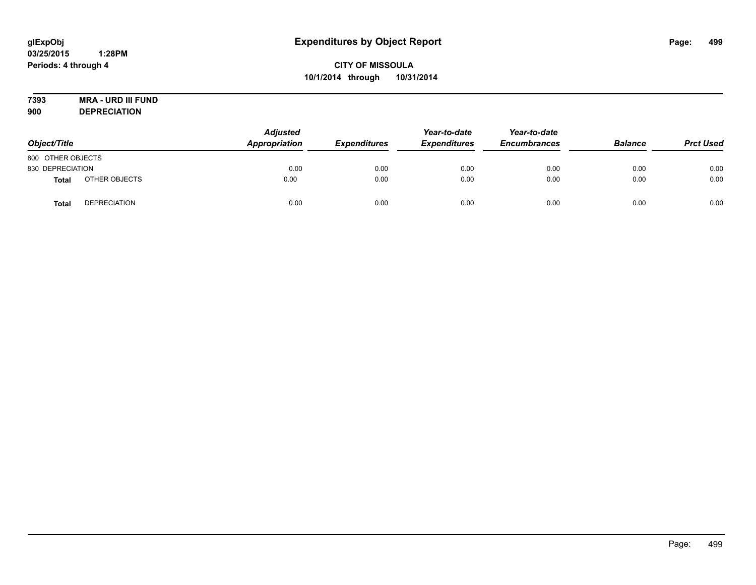# **7393 MRA - URD III FUND**

**900 DEPRECIATION**

| Object/Title      |                     | <b>Adjusted</b><br>Appropriation | <b>Expenditures</b> | Year-to-date<br><b>Expenditures</b> | Year-to-date<br><b>Encumbrances</b> | <b>Balance</b> | <b>Prct Used</b> |
|-------------------|---------------------|----------------------------------|---------------------|-------------------------------------|-------------------------------------|----------------|------------------|
| 800 OTHER OBJECTS |                     |                                  |                     |                                     |                                     |                |                  |
| 830 DEPRECIATION  |                     | 0.00                             | 0.00                | 0.00                                | 0.00                                | 0.00           | 0.00             |
| Total             | OTHER OBJECTS       | 0.00                             | 0.00                | 0.00                                | 0.00                                | 0.00           | 0.00             |
| Tota              | <b>DEPRECIATION</b> | 0.00                             | 0.00                | 0.00                                | 0.00                                | 0.00           | 0.00             |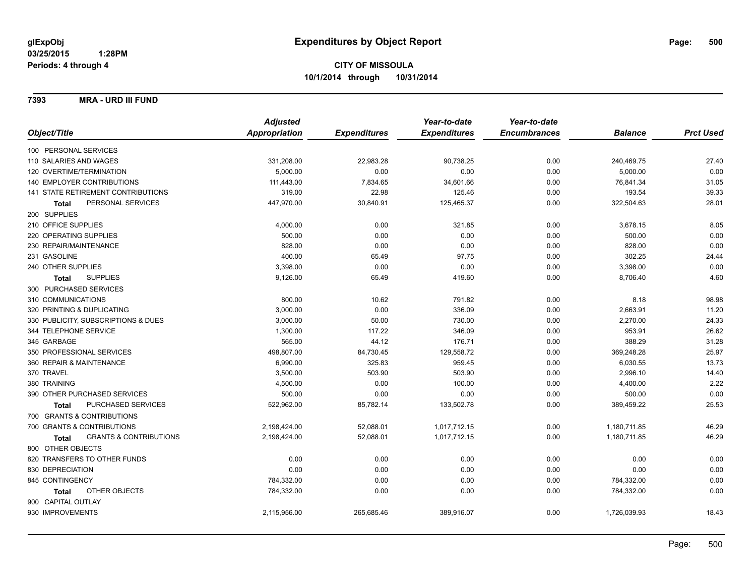**7393 MRA - URD III FUND**

|                                                   | <b>Adjusted</b>      |                     | Year-to-date        | Year-to-date        |                |                  |
|---------------------------------------------------|----------------------|---------------------|---------------------|---------------------|----------------|------------------|
| Object/Title                                      | <b>Appropriation</b> | <b>Expenditures</b> | <b>Expenditures</b> | <b>Encumbrances</b> | <b>Balance</b> | <b>Prct Used</b> |
| 100 PERSONAL SERVICES                             |                      |                     |                     |                     |                |                  |
| 110 SALARIES AND WAGES                            | 331,208.00           | 22,983.28           | 90,738.25           | 0.00                | 240,469.75     | 27.40            |
| 120 OVERTIME/TERMINATION                          | 5,000.00             | 0.00                | 0.00                | 0.00                | 5,000.00       | 0.00             |
| 140 EMPLOYER CONTRIBUTIONS                        | 111,443.00           | 7,834.65            | 34,601.66           | 0.00                | 76,841.34      | 31.05            |
| 141 STATE RETIREMENT CONTRIBUTIONS                | 319.00               | 22.98               | 125.46              | 0.00                | 193.54         | 39.33            |
| PERSONAL SERVICES<br><b>Total</b>                 | 447,970.00           | 30,840.91           | 125,465.37          | 0.00                | 322,504.63     | 28.01            |
| 200 SUPPLIES                                      |                      |                     |                     |                     |                |                  |
| 210 OFFICE SUPPLIES                               | 4,000.00             | 0.00                | 321.85              | 0.00                | 3,678.15       | 8.05             |
| 220 OPERATING SUPPLIES                            | 500.00               | 0.00                | 0.00                | 0.00                | 500.00         | 0.00             |
| 230 REPAIR/MAINTENANCE                            | 828.00               | 0.00                | 0.00                | 0.00                | 828.00         | 0.00             |
| 231 GASOLINE                                      | 400.00               | 65.49               | 97.75               | 0.00                | 302.25         | 24.44            |
| 240 OTHER SUPPLIES                                | 3,398.00             | 0.00                | 0.00                | 0.00                | 3,398.00       | 0.00             |
| <b>SUPPLIES</b><br>Total                          | 9,126.00             | 65.49               | 419.60              | 0.00                | 8,706.40       | 4.60             |
| 300 PURCHASED SERVICES                            |                      |                     |                     |                     |                |                  |
| 310 COMMUNICATIONS                                | 800.00               | 10.62               | 791.82              | 0.00                | 8.18           | 98.98            |
| 320 PRINTING & DUPLICATING                        | 3,000.00             | 0.00                | 336.09              | 0.00                | 2,663.91       | 11.20            |
| 330 PUBLICITY, SUBSCRIPTIONS & DUES               | 3.000.00             | 50.00               | 730.00              | 0.00                | 2,270.00       | 24.33            |
| 344 TELEPHONE SERVICE                             | 1,300.00             | 117.22              | 346.09              | 0.00                | 953.91         | 26.62            |
| 345 GARBAGE                                       | 565.00               | 44.12               | 176.71              | 0.00                | 388.29         | 31.28            |
| 350 PROFESSIONAL SERVICES                         | 498,807.00           | 84,730.45           | 129,558.72          | 0.00                | 369,248.28     | 25.97            |
| 360 REPAIR & MAINTENANCE                          | 6,990.00             | 325.83              | 959.45              | 0.00                | 6,030.55       | 13.73            |
| 370 TRAVEL                                        | 3,500.00             | 503.90              | 503.90              | 0.00                | 2,996.10       | 14.40            |
| 380 TRAINING                                      | 4,500.00             | 0.00                | 100.00              | 0.00                | 4,400.00       | 2.22             |
| 390 OTHER PURCHASED SERVICES                      | 500.00               | 0.00                | 0.00                | 0.00                | 500.00         | 0.00             |
| <b>PURCHASED SERVICES</b><br><b>Total</b>         | 522,962.00           | 85,782.14           | 133,502.78          | 0.00                | 389,459.22     | 25.53            |
| 700 GRANTS & CONTRIBUTIONS                        |                      |                     |                     |                     |                |                  |
| 700 GRANTS & CONTRIBUTIONS                        | 2,198,424.00         | 52,088.01           | 1,017,712.15        | 0.00                | 1,180,711.85   | 46.29            |
| <b>GRANTS &amp; CONTRIBUTIONS</b><br><b>Total</b> | 2,198,424.00         | 52,088.01           | 1,017,712.15        | 0.00                | 1,180,711.85   | 46.29            |
| 800 OTHER OBJECTS                                 |                      |                     |                     |                     |                |                  |
| 820 TRANSFERS TO OTHER FUNDS                      | 0.00                 | 0.00                | 0.00                | 0.00                | 0.00           | 0.00             |
| 830 DEPRECIATION                                  | 0.00                 | 0.00                | 0.00                | 0.00                | 0.00           | 0.00             |
| 845 CONTINGENCY                                   | 784,332.00           | 0.00                | 0.00                | 0.00                | 784,332.00     | 0.00             |
| OTHER OBJECTS<br>Total                            | 784,332.00           | 0.00                | 0.00                | 0.00                | 784,332.00     | 0.00             |
| 900 CAPITAL OUTLAY                                |                      |                     |                     |                     |                |                  |
| 930 IMPROVEMENTS                                  | 2,115,956.00         | 265,685.46          | 389,916.07          | 0.00                | 1,726,039.93   | 18.43            |
|                                                   |                      |                     |                     |                     |                |                  |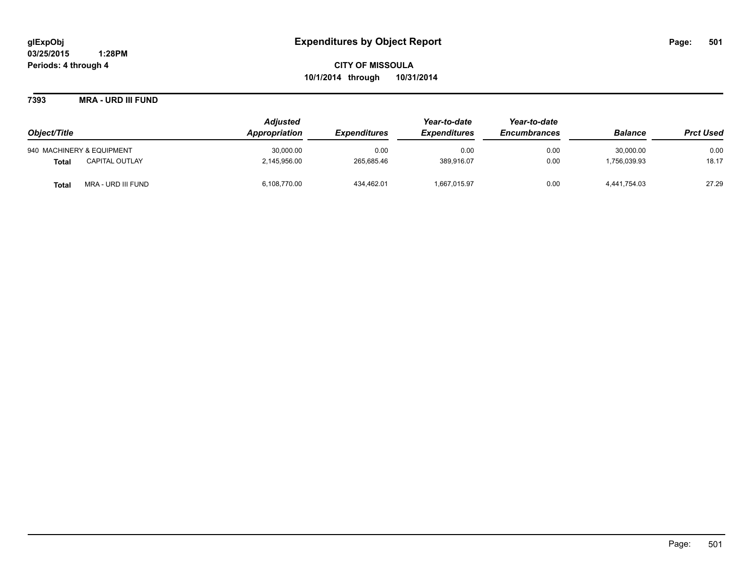**7393 MRA - URD III FUND**

| Object/Title              |                       | <b>Adjusted</b> |                     | Year-to-date        | Year-to-date        |                |                  |
|---------------------------|-----------------------|-----------------|---------------------|---------------------|---------------------|----------------|------------------|
|                           |                       | Appropriation   | <b>Expenditures</b> | <b>Expenditures</b> | <b>Encumbrances</b> | <b>Balance</b> | <b>Prct Used</b> |
| 940 MACHINERY & EQUIPMENT |                       | 30,000.00       | 0.00                | 0.00                | 0.00                | 30.000.00      | 0.00             |
| <b>Total</b>              | <b>CAPITAL OUTLAY</b> | 2,145,956.00    | 265.685.46          | 389,916.07          | 0.00                | 756,039.93     | 18.17            |
| <b>Total</b>              | MRA - URD III FUND    | 6,108,770.00    | 434,462.01          | 1,667,015.97        | 0.00                | 4,441,754.03   | 27.29            |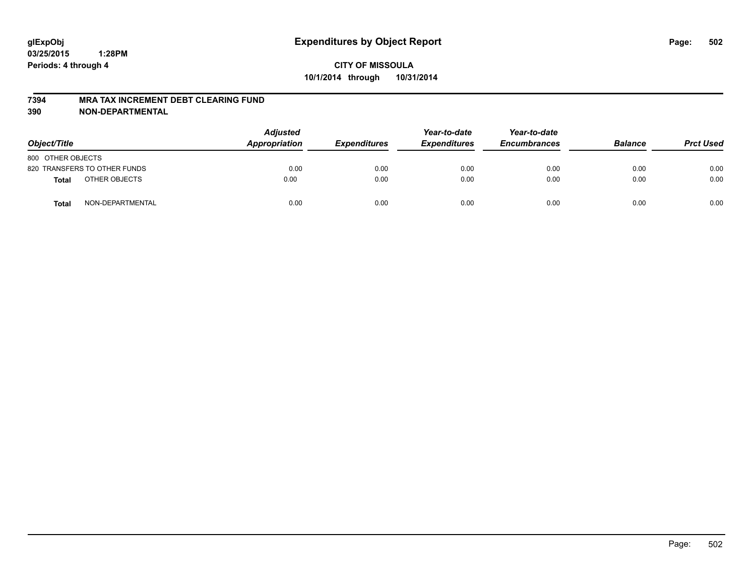#### **7394 MRA TAX INCREMENT DEBT CLEARING FUND**

| Object/Title      |                              | <b>Adjusted</b><br>Appropriation | <b>Expenditures</b> | Year-to-date<br><b>Expenditures</b> | Year-to-date<br><b>Encumbrances</b> | <b>Balance</b> | <b>Prct Used</b> |
|-------------------|------------------------------|----------------------------------|---------------------|-------------------------------------|-------------------------------------|----------------|------------------|
| 800 OTHER OBJECTS |                              |                                  |                     |                                     |                                     |                |                  |
|                   | 820 TRANSFERS TO OTHER FUNDS | 0.00                             | 0.00                | 0.00                                | 0.00                                | 0.00           | 0.00             |
| Total             | OTHER OBJECTS                | 0.00                             | 0.00                | 0.00                                | 0.00                                | 0.00           | 0.00             |
| <b>Total</b>      | NON-DEPARTMENTAL             | 0.00                             | 0.00                | 0.00                                | 0.00                                | 0.00           | 0.00             |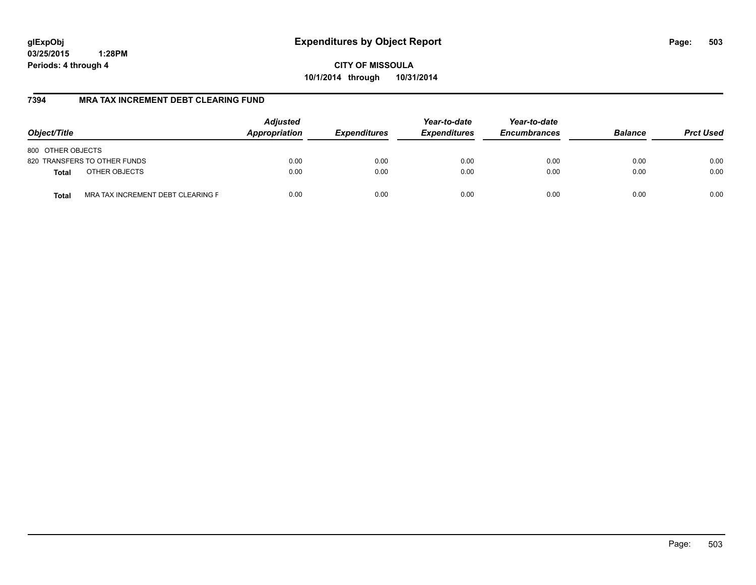**CITY OF MISSOULA 10/1/2014 through 10/31/2014**

## **7394 MRA TAX INCREMENT DEBT CLEARING FUND**

| Object/Title                               | <b>Adjusted</b><br>Appropriation | <b>Expenditures</b> | Year-to-date<br><b>Expenditures</b> | Year-to-date<br><b>Encumbrances</b> | <b>Balance</b> | <b>Prct Used</b> |
|--------------------------------------------|----------------------------------|---------------------|-------------------------------------|-------------------------------------|----------------|------------------|
| 800 OTHER OBJECTS                          |                                  |                     |                                     |                                     |                |                  |
| 820 TRANSFERS TO OTHER FUNDS               | 0.00                             | 0.00                | 0.00                                | 0.00                                | 0.00           | 0.00             |
| OTHER OBJECTS<br><b>Total</b>              | 0.00                             | 0.00                | 0.00                                | 0.00                                | 0.00           | 0.00             |
| MRA TAX INCREMENT DEBT CLEARING F<br>Total | 0.00                             | 0.00                | 0.00                                | 0.00                                | 0.00           | 0.00             |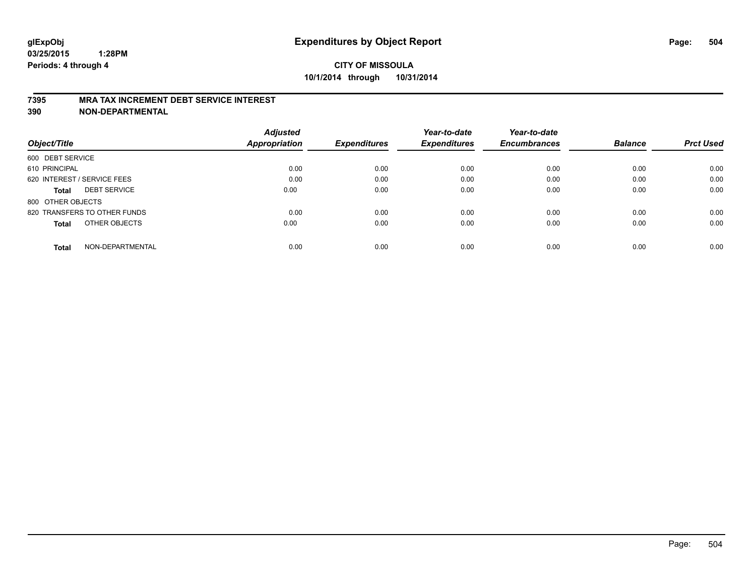#### **7395 MRA TAX INCREMENT DEBT SERVICE INTEREST**

| Object/Title                        | <b>Adjusted</b><br>Appropriation | <b>Expenditures</b> | Year-to-date<br><b>Expenditures</b> | Year-to-date<br><b>Encumbrances</b> | <b>Balance</b> | <b>Prct Used</b> |
|-------------------------------------|----------------------------------|---------------------|-------------------------------------|-------------------------------------|----------------|------------------|
| 600 DEBT SERVICE                    |                                  |                     |                                     |                                     |                |                  |
| 610 PRINCIPAL                       | 0.00                             | 0.00                | 0.00                                | 0.00                                | 0.00           | 0.00             |
| 620 INTEREST / SERVICE FEES         | 0.00                             | 0.00                | 0.00                                | 0.00                                | 0.00           | 0.00             |
| <b>DEBT SERVICE</b><br><b>Total</b> | 0.00                             | 0.00                | 0.00                                | 0.00                                | 0.00           | 0.00             |
| 800 OTHER OBJECTS                   |                                  |                     |                                     |                                     |                |                  |
| 820 TRANSFERS TO OTHER FUNDS        | 0.00                             | 0.00                | 0.00                                | 0.00                                | 0.00           | 0.00             |
| OTHER OBJECTS<br><b>Total</b>       | 0.00                             | 0.00                | 0.00                                | 0.00                                | 0.00           | 0.00             |
| NON-DEPARTMENTAL<br>Total           | 0.00                             | 0.00                | 0.00                                | 0.00                                | 0.00           | 0.00             |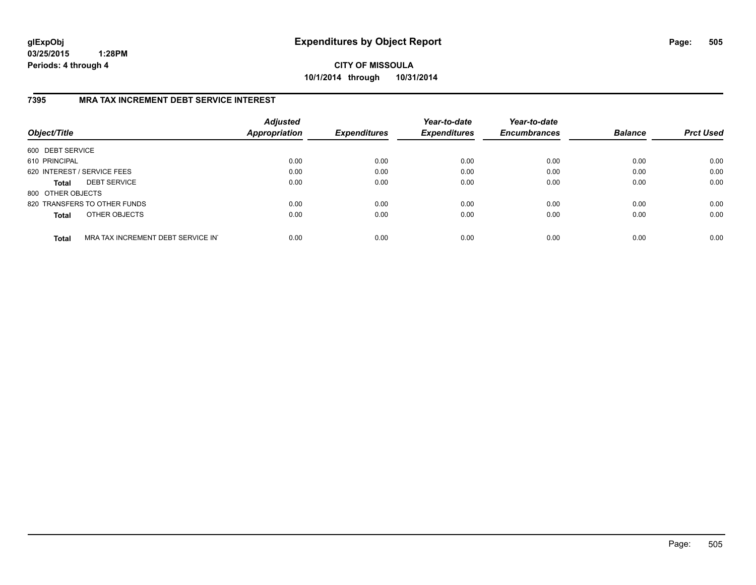**CITY OF MISSOULA 10/1/2014 through 10/31/2014**

## **7395 MRA TAX INCREMENT DEBT SERVICE INTEREST**

| Object/Title      |                                   | <b>Adjusted</b><br>Appropriation | <b>Expenditures</b> | Year-to-date<br><b>Expenditures</b> | Year-to-date<br><b>Encumbrances</b> | <b>Balance</b> | <b>Prct Used</b> |
|-------------------|-----------------------------------|----------------------------------|---------------------|-------------------------------------|-------------------------------------|----------------|------------------|
| 600 DEBT SERVICE  |                                   |                                  |                     |                                     |                                     |                |                  |
| 610 PRINCIPAL     |                                   | 0.00                             | 0.00                | 0.00                                | 0.00                                | 0.00           | 0.00             |
|                   | 620 INTEREST / SERVICE FEES       | 0.00                             | 0.00                | 0.00                                | 0.00                                | 0.00           | 0.00             |
| <b>Total</b>      | <b>DEBT SERVICE</b>               | 0.00                             | 0.00                | 0.00                                | 0.00                                | 0.00           | 0.00             |
| 800 OTHER OBJECTS |                                   |                                  |                     |                                     |                                     |                |                  |
|                   | 820 TRANSFERS TO OTHER FUNDS      | 0.00                             | 0.00                | 0.00                                | 0.00                                | 0.00           | 0.00             |
| <b>Total</b>      | OTHER OBJECTS                     | 0.00                             | 0.00                | 0.00                                | 0.00                                | 0.00           | 0.00             |
| <b>Total</b>      | MRA TAX INCREMENT DEBT SERVICE IN | 0.00                             | 0.00                | 0.00                                | 0.00                                | 0.00           | 0.00             |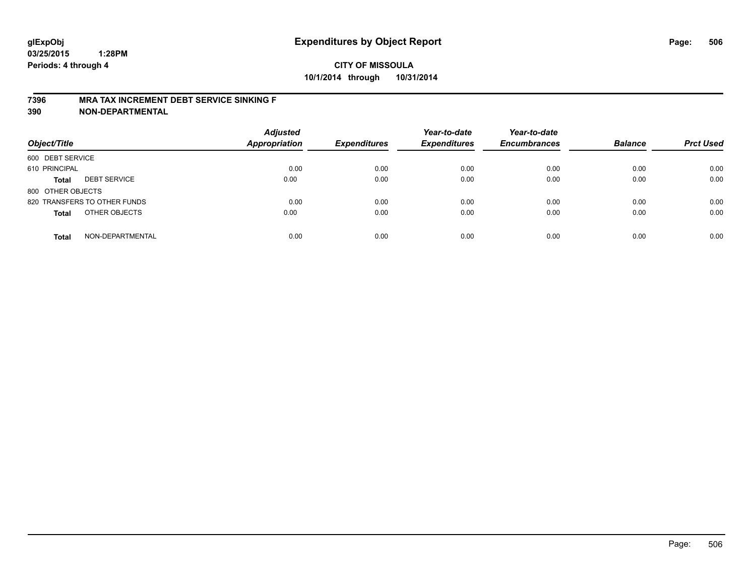#### **7396 MRA TAX INCREMENT DEBT SERVICE SINKING F**

**390 NON-DEPARTMENTAL**

| Object/Title      |                              | <b>Adjusted</b><br><b>Appropriation</b> | <b>Expenditures</b> | Year-to-date<br><b>Expenditures</b> | Year-to-date<br><b>Encumbrances</b> | <b>Balance</b> | <b>Prct Used</b> |
|-------------------|------------------------------|-----------------------------------------|---------------------|-------------------------------------|-------------------------------------|----------------|------------------|
| 600 DEBT SERVICE  |                              |                                         |                     |                                     |                                     |                |                  |
| 610 PRINCIPAL     |                              | 0.00                                    | 0.00                | 0.00                                | 0.00                                | 0.00           | 0.00             |
| <b>Total</b>      | <b>DEBT SERVICE</b>          | 0.00                                    | 0.00                | 0.00                                | 0.00                                | 0.00           | 0.00             |
| 800 OTHER OBJECTS |                              |                                         |                     |                                     |                                     |                |                  |
|                   | 820 TRANSFERS TO OTHER FUNDS | 0.00                                    | 0.00                | 0.00                                | 0.00                                | 0.00           | 0.00             |
| <b>Total</b>      | OTHER OBJECTS                | 0.00                                    | 0.00                | 0.00                                | 0.00                                | 0.00           | 0.00             |
| <b>Total</b>      | NON-DEPARTMENTAL             | 0.00                                    | 0.00                | 0.00                                | 0.00                                | 0.00           | 0.00             |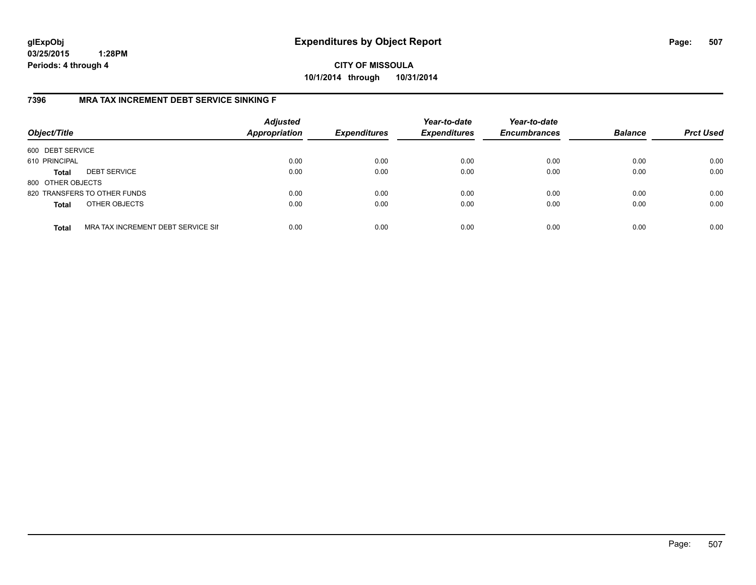**CITY OF MISSOULA 10/1/2014 through 10/31/2014**

## **7396 MRA TAX INCREMENT DEBT SERVICE SINKING F**

| Object/Title      |                                    | <b>Adjusted</b><br><b>Appropriation</b> | <b>Expenditures</b> | Year-to-date<br><b>Expenditures</b> | Year-to-date<br><b>Encumbrances</b> | <b>Balance</b> | <b>Prct Used</b> |
|-------------------|------------------------------------|-----------------------------------------|---------------------|-------------------------------------|-------------------------------------|----------------|------------------|
| 600 DEBT SERVICE  |                                    |                                         |                     |                                     |                                     |                |                  |
| 610 PRINCIPAL     |                                    | 0.00                                    | 0.00                | 0.00                                | 0.00                                | 0.00           | 0.00             |
| <b>Total</b>      | <b>DEBT SERVICE</b>                | 0.00                                    | 0.00                | 0.00                                | 0.00                                | 0.00           | 0.00             |
| 800 OTHER OBJECTS |                                    |                                         |                     |                                     |                                     |                |                  |
|                   | 820 TRANSFERS TO OTHER FUNDS       | 0.00                                    | 0.00                | 0.00                                | 0.00                                | 0.00           | 0.00             |
| <b>Total</b>      | OTHER OBJECTS                      | 0.00                                    | 0.00                | 0.00                                | 0.00                                | 0.00           | 0.00             |
| <b>Total</b>      | MRA TAX INCREMENT DEBT SERVICE SII | 0.00                                    | 0.00                | 0.00                                | 0.00                                | 0.00           | 0.00             |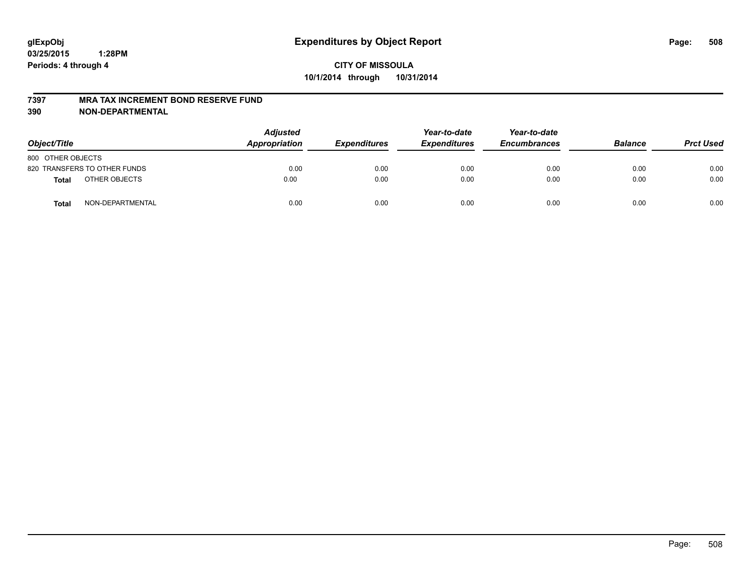#### **7397 MRA TAX INCREMENT BOND RESERVE FUND**

**390 NON-DEPARTMENTAL**

| Object/Title      |                              | <b>Adjusted</b><br>Appropriation | <b>Expenditures</b> | Year-to-date<br><b>Expenditures</b> | Year-to-date<br><b>Encumbrances</b> | <b>Balance</b> | <b>Prct Used</b> |
|-------------------|------------------------------|----------------------------------|---------------------|-------------------------------------|-------------------------------------|----------------|------------------|
| 800 OTHER OBJECTS |                              |                                  |                     |                                     |                                     |                |                  |
|                   | 820 TRANSFERS TO OTHER FUNDS | 0.00                             | 0.00                | 0.00                                | 0.00                                | 0.00           | 0.00             |
| Total             | OTHER OBJECTS                | 0.00                             | 0.00                | 0.00                                | 0.00                                | 0.00           | 0.00             |
| <b>Total</b>      | NON-DEPARTMENTAL             | 0.00                             | 0.00                | 0.00                                | 0.00                                | 0.00           | 0.00             |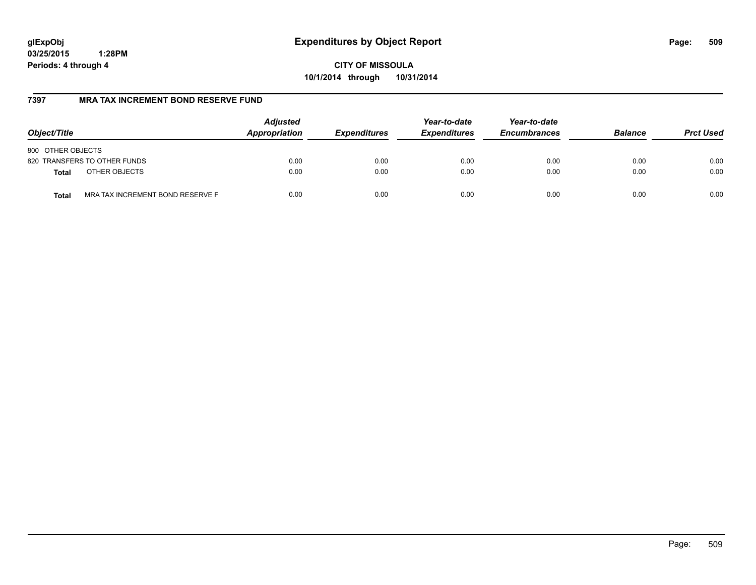**CITY OF MISSOULA 10/1/2014 through 10/31/2014**

## **7397 MRA TAX INCREMENT BOND RESERVE FUND**

| Object/Title                                     | <b>Adjusted</b><br>Appropriation | <b>Expenditures</b> | Year-to-date<br><b>Expenditures</b> | Year-to-date<br><b>Encumbrances</b> | <b>Balance</b> | <b>Prct Used</b> |
|--------------------------------------------------|----------------------------------|---------------------|-------------------------------------|-------------------------------------|----------------|------------------|
| 800 OTHER OBJECTS                                |                                  |                     |                                     |                                     |                |                  |
| 820 TRANSFERS TO OTHER FUNDS                     | 0.00                             | 0.00                | 0.00                                | 0.00                                | 0.00           | 0.00             |
| OTHER OBJECTS<br><b>Total</b>                    | 0.00                             | 0.00                | 0.00                                | 0.00                                | 0.00           | 0.00             |
| MRA TAX INCREMENT BOND RESERVE F<br><b>Total</b> | 0.00                             | 0.00                | 0.00                                | 0.00                                | 0.00           | 0.00             |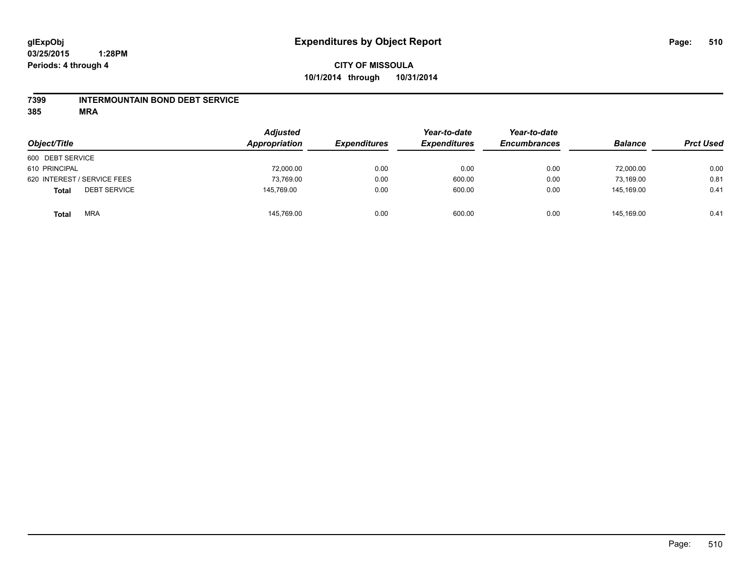#### **7399 INTERMOUNTAIN BOND DEBT SERVICE**

**385 MRA**

| Object/Title                        | <b>Adjusted</b><br>Appropriation | <b>Expenditures</b> | Year-to-date<br><b>Expenditures</b> | Year-to-date<br><b>Encumbrances</b> | <b>Balance</b> | <b>Prct Used</b> |
|-------------------------------------|----------------------------------|---------------------|-------------------------------------|-------------------------------------|----------------|------------------|
| 600 DEBT SERVICE                    |                                  |                     |                                     |                                     |                |                  |
| 610 PRINCIPAL                       | 72,000.00                        | 0.00                | 0.00                                | 0.00                                | 72,000.00      | 0.00             |
| 620 INTEREST / SERVICE FEES         | 73,769.00                        | 0.00                | 600.00                              | 0.00                                | 73.169.00      | 0.81             |
| <b>DEBT SERVICE</b><br><b>Total</b> | 145,769.00                       | 0.00                | 600.00                              | 0.00                                | 145.169.00     | 0.41             |
| <b>MRA</b><br><b>Total</b>          | 145,769.00                       | 0.00                | 600.00                              | 0.00                                | 145.169.00     | 0.41             |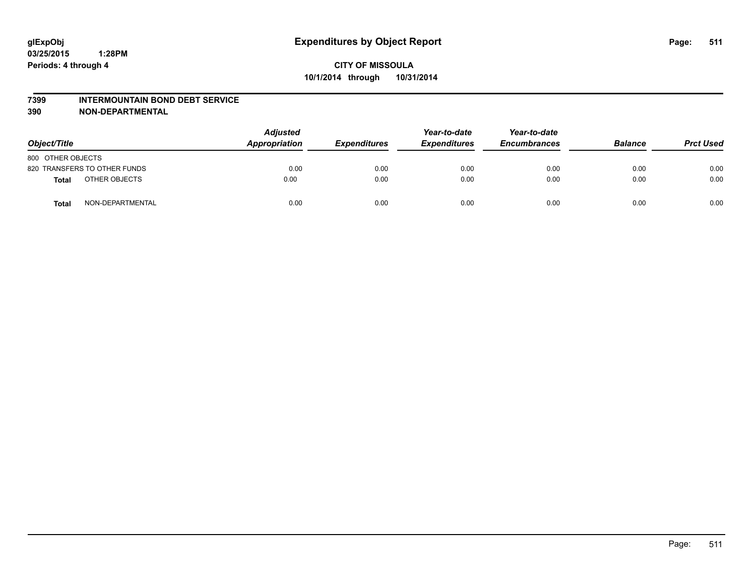#### **7399 INTERMOUNTAIN BOND DEBT SERVICE**

**390 NON-DEPARTMENTAL**

| Object/Title      |                              | <b>Adjusted</b><br>Appropriation | <b>Expenditures</b> | Year-to-date<br><b>Expenditures</b> | Year-to-date<br><b>Encumbrances</b> | <b>Balance</b> | <b>Prct Used</b> |
|-------------------|------------------------------|----------------------------------|---------------------|-------------------------------------|-------------------------------------|----------------|------------------|
| 800 OTHER OBJECTS |                              |                                  |                     |                                     |                                     |                |                  |
|                   | 820 TRANSFERS TO OTHER FUNDS | 0.00                             | 0.00                | 0.00                                | 0.00                                | 0.00           | 0.00             |
| Total             | OTHER OBJECTS                | 0.00                             | 0.00                | 0.00                                | 0.00                                | 0.00           | 0.00             |
| <b>Total</b>      | NON-DEPARTMENTAL             | 0.00                             | 0.00                | 0.00                                | 0.00                                | 0.00           | 0.00             |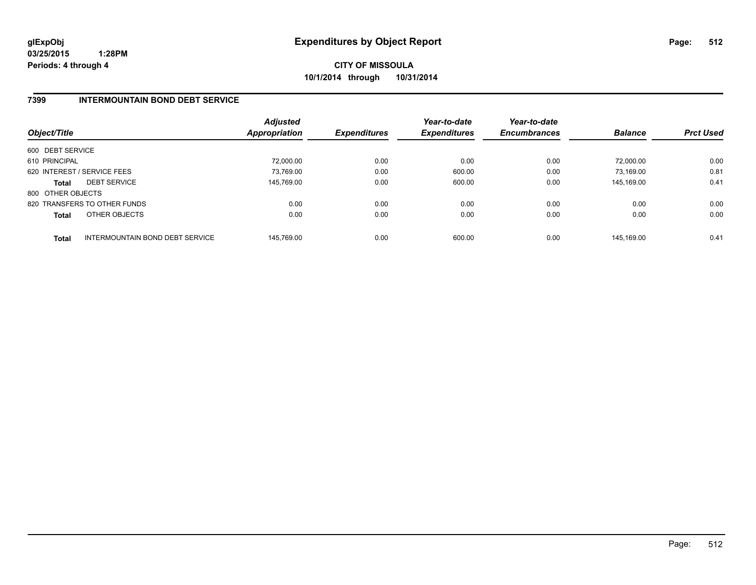**CITY OF MISSOULA 10/1/2014 through 10/31/2014**

## **7399 INTERMOUNTAIN BOND DEBT SERVICE**

| Object/Title      |                                 | <b>Adjusted</b><br>Appropriation | <b>Expenditures</b> | Year-to-date<br><b>Expenditures</b> | Year-to-date<br><b>Encumbrances</b> | <b>Balance</b> | <b>Prct Used</b> |
|-------------------|---------------------------------|----------------------------------|---------------------|-------------------------------------|-------------------------------------|----------------|------------------|
| 600 DEBT SERVICE  |                                 |                                  |                     |                                     |                                     |                |                  |
| 610 PRINCIPAL     |                                 | 72.000.00                        | 0.00                | 0.00                                | 0.00                                | 72.000.00      | 0.00             |
|                   | 620 INTEREST / SERVICE FEES     | 73.769.00                        | 0.00                | 600.00                              | 0.00                                | 73.169.00      | 0.81             |
| <b>Total</b>      | <b>DEBT SERVICE</b>             | 145.769.00                       | 0.00                | 600.00                              | 0.00                                | 145.169.00     | 0.41             |
| 800 OTHER OBJECTS |                                 |                                  |                     |                                     |                                     |                |                  |
|                   | 820 TRANSFERS TO OTHER FUNDS    | 0.00                             | 0.00                | 0.00                                | 0.00                                | 0.00           | 0.00             |
| <b>Total</b>      | OTHER OBJECTS                   | 0.00                             | 0.00                | 0.00                                | 0.00                                | 0.00           | 0.00             |
| <b>Total</b>      | INTERMOUNTAIN BOND DEBT SERVICE | 145.769.00                       | 0.00                | 600.00                              | 0.00                                | 145.169.00     | 0.41             |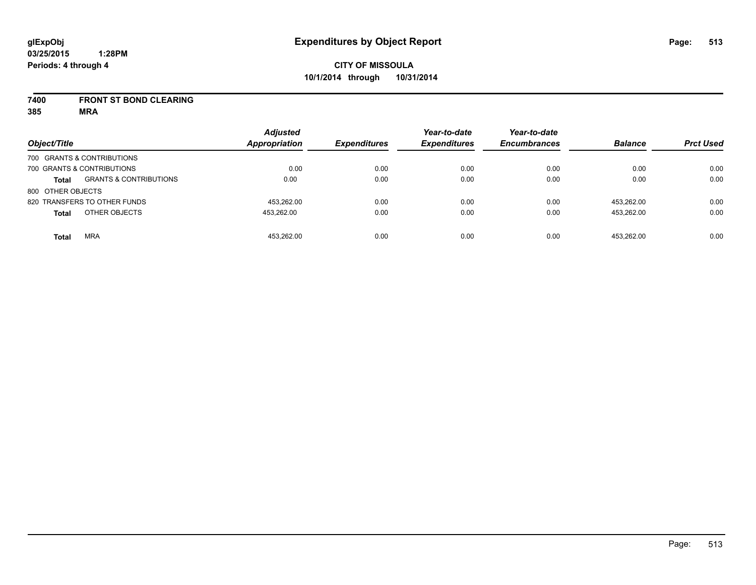#### **7400 FRONT ST BOND CLEARING**

**385 MRA**

| Object/Title      |                                   | <b>Adjusted</b><br><b>Appropriation</b> | <b>Expenditures</b> | Year-to-date<br><b>Expenditures</b> | Year-to-date<br><b>Encumbrances</b> | <b>Balance</b> | <b>Prct Used</b> |
|-------------------|-----------------------------------|-----------------------------------------|---------------------|-------------------------------------|-------------------------------------|----------------|------------------|
|                   | 700 GRANTS & CONTRIBUTIONS        |                                         |                     |                                     |                                     |                |                  |
|                   | 700 GRANTS & CONTRIBUTIONS        | 0.00                                    | 0.00                | 0.00                                | 0.00                                | 0.00           | 0.00             |
| <b>Total</b>      | <b>GRANTS &amp; CONTRIBUTIONS</b> | 0.00                                    | 0.00                | 0.00                                | 0.00                                | 0.00           | 0.00             |
| 800 OTHER OBJECTS |                                   |                                         |                     |                                     |                                     |                |                  |
|                   | 820 TRANSFERS TO OTHER FUNDS      | 453.262.00                              | 0.00                | 0.00                                | 0.00                                | 453.262.00     | 0.00             |
| <b>Total</b>      | OTHER OBJECTS                     | 453.262.00                              | 0.00                | 0.00                                | 0.00                                | 453.262.00     | 0.00             |
| <b>Total</b>      | <b>MRA</b>                        | 453.262.00                              | 0.00                | 0.00                                | 0.00                                | 453.262.00     | 0.00             |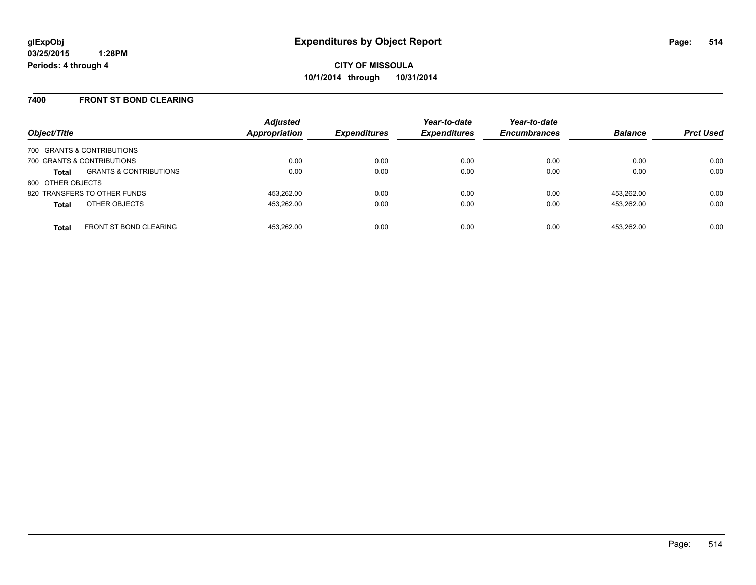#### **7400 FRONT ST BOND CLEARING**

| Object/Title      |                                   | <b>Adjusted</b><br>Appropriation | <b>Expenditures</b> | Year-to-date<br><b>Expenditures</b> | Year-to-date<br><b>Encumbrances</b> | <b>Balance</b> | <b>Prct Used</b> |
|-------------------|-----------------------------------|----------------------------------|---------------------|-------------------------------------|-------------------------------------|----------------|------------------|
|                   | 700 GRANTS & CONTRIBUTIONS        |                                  |                     |                                     |                                     |                |                  |
|                   | 700 GRANTS & CONTRIBUTIONS        | 0.00                             | 0.00                | 0.00                                | 0.00                                | 0.00           | 0.00             |
| <b>Total</b>      | <b>GRANTS &amp; CONTRIBUTIONS</b> | 0.00                             | 0.00                | 0.00                                | 0.00                                | 0.00           | 0.00             |
| 800 OTHER OBJECTS |                                   |                                  |                     |                                     |                                     |                |                  |
|                   | 820 TRANSFERS TO OTHER FUNDS      | 453.262.00                       | 0.00                | 0.00                                | 0.00                                | 453.262.00     | 0.00             |
| <b>Total</b>      | OTHER OBJECTS                     | 453.262.00                       | 0.00                | 0.00                                | 0.00                                | 453.262.00     | 0.00             |
| <b>Total</b>      | <b>FRONT ST BOND CLEARING</b>     | 453.262.00                       | 0.00                | 0.00                                | 0.00                                | 453.262.00     | 0.00             |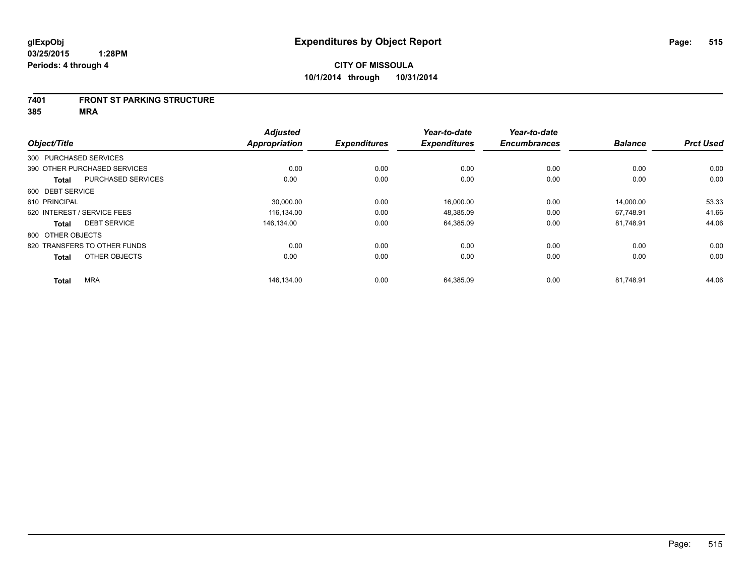#### **7401 FRONT ST PARKING STRUCTURE**

**385 MRA**

| Object/Title      |                              | <b>Adjusted</b><br><b>Appropriation</b> | <b>Expenditures</b> | Year-to-date<br><b>Expenditures</b> | Year-to-date<br><b>Encumbrances</b> | <b>Balance</b> | <b>Prct Used</b> |
|-------------------|------------------------------|-----------------------------------------|---------------------|-------------------------------------|-------------------------------------|----------------|------------------|
|                   |                              |                                         |                     |                                     |                                     |                |                  |
|                   | 300 PURCHASED SERVICES       |                                         |                     |                                     |                                     |                |                  |
|                   | 390 OTHER PURCHASED SERVICES | 0.00                                    | 0.00                | 0.00                                | 0.00                                | 0.00           | 0.00             |
| <b>Total</b>      | <b>PURCHASED SERVICES</b>    | 0.00                                    | 0.00                | 0.00                                | 0.00                                | 0.00           | 0.00             |
| 600 DEBT SERVICE  |                              |                                         |                     |                                     |                                     |                |                  |
| 610 PRINCIPAL     |                              | 30,000.00                               | 0.00                | 16,000.00                           | 0.00                                | 14,000.00      | 53.33            |
|                   | 620 INTEREST / SERVICE FEES  | 116.134.00                              | 0.00                | 48.385.09                           | 0.00                                | 67.748.91      | 41.66            |
| <b>Total</b>      | <b>DEBT SERVICE</b>          | 146.134.00                              | 0.00                | 64,385.09                           | 0.00                                | 81,748.91      | 44.06            |
| 800 OTHER OBJECTS |                              |                                         |                     |                                     |                                     |                |                  |
|                   | 820 TRANSFERS TO OTHER FUNDS | 0.00                                    | 0.00                | 0.00                                | 0.00                                | 0.00           | 0.00             |
| <b>Total</b>      | OTHER OBJECTS                | 0.00                                    | 0.00                | 0.00                                | 0.00                                | 0.00           | 0.00             |
| <b>Total</b>      | <b>MRA</b>                   | 146,134.00                              | 0.00                | 64,385.09                           | 0.00                                | 81,748.91      | 44.06            |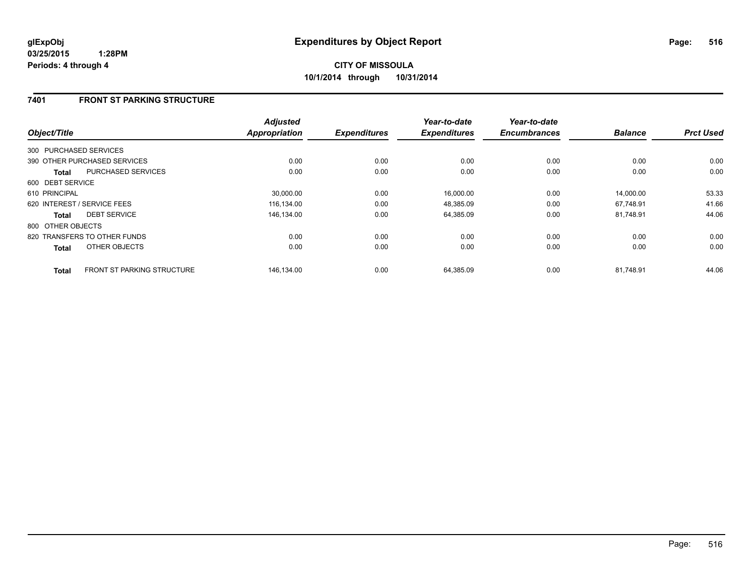## **7401 FRONT ST PARKING STRUCTURE**

| Object/Title                                      | <b>Adjusted</b><br><b>Appropriation</b> | <b>Expenditures</b> | Year-to-date<br><b>Expenditures</b> | Year-to-date<br><b>Encumbrances</b> | <b>Balance</b> | <b>Prct Used</b> |
|---------------------------------------------------|-----------------------------------------|---------------------|-------------------------------------|-------------------------------------|----------------|------------------|
| 300 PURCHASED SERVICES                            |                                         |                     |                                     |                                     |                |                  |
| 390 OTHER PURCHASED SERVICES                      | 0.00                                    | 0.00                | 0.00                                | 0.00                                | 0.00           | 0.00             |
| <b>PURCHASED SERVICES</b><br>Total                | 0.00                                    | 0.00                | 0.00                                | 0.00                                | 0.00           | 0.00             |
| 600 DEBT SERVICE                                  |                                         |                     |                                     |                                     |                |                  |
| 610 PRINCIPAL                                     | 30,000.00                               | 0.00                | 16,000.00                           | 0.00                                | 14,000.00      | 53.33            |
| 620 INTEREST / SERVICE FEES                       | 116.134.00                              | 0.00                | 48,385.09                           | 0.00                                | 67.748.91      | 41.66            |
| <b>DEBT SERVICE</b><br>Total                      | 146.134.00                              | 0.00                | 64,385.09                           | 0.00                                | 81.748.91      | 44.06            |
| 800 OTHER OBJECTS                                 |                                         |                     |                                     |                                     |                |                  |
| 820 TRANSFERS TO OTHER FUNDS                      | 0.00                                    | 0.00                | 0.00                                | 0.00                                | 0.00           | 0.00             |
| OTHER OBJECTS<br><b>Total</b>                     | 0.00                                    | 0.00                | 0.00                                | 0.00                                | 0.00           | 0.00             |
| <b>FRONT ST PARKING STRUCTURE</b><br><b>Total</b> | 146,134.00                              | 0.00                | 64,385.09                           | 0.00                                | 81,748.91      | 44.06            |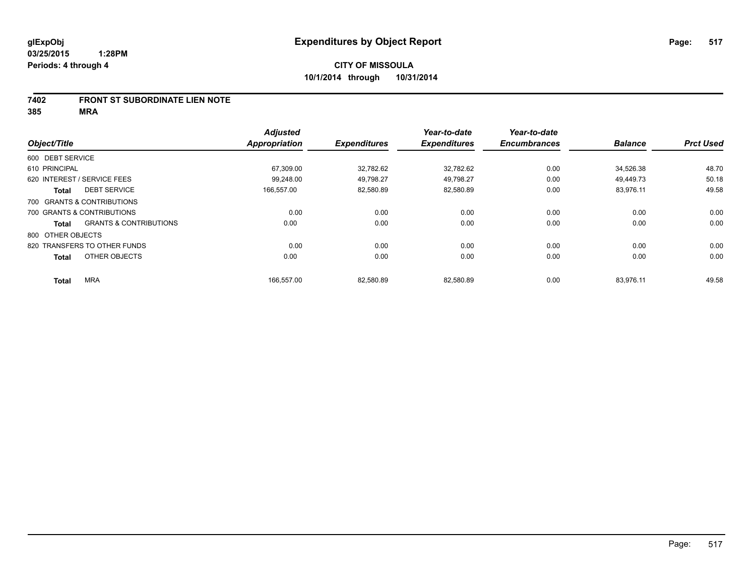#### **7402 FRONT ST SUBORDINATE LIEN NOTE**

**385 MRA**

|                                                   | <b>Adjusted</b> |                     | Year-to-date        | Year-to-date        |                |                  |
|---------------------------------------------------|-----------------|---------------------|---------------------|---------------------|----------------|------------------|
| Object/Title                                      | Appropriation   | <b>Expenditures</b> | <b>Expenditures</b> | <b>Encumbrances</b> | <b>Balance</b> | <b>Prct Used</b> |
| 600 DEBT SERVICE                                  |                 |                     |                     |                     |                |                  |
| 610 PRINCIPAL                                     | 67,309.00       | 32,782.62           | 32,782.62           | 0.00                | 34,526.38      | 48.70            |
| 620 INTEREST / SERVICE FEES                       | 99.248.00       | 49,798.27           | 49.798.27           | 0.00                | 49.449.73      | 50.18            |
| <b>DEBT SERVICE</b><br><b>Total</b>               | 166,557.00      | 82,580.89           | 82,580.89           | 0.00                | 83,976.11      | 49.58            |
| 700 GRANTS & CONTRIBUTIONS                        |                 |                     |                     |                     |                |                  |
| 700 GRANTS & CONTRIBUTIONS                        | 0.00            | 0.00                | 0.00                | 0.00                | 0.00           | 0.00             |
| <b>GRANTS &amp; CONTRIBUTIONS</b><br><b>Total</b> | 0.00            | 0.00                | 0.00                | 0.00                | 0.00           | 0.00             |
| 800 OTHER OBJECTS                                 |                 |                     |                     |                     |                |                  |
| 820 TRANSFERS TO OTHER FUNDS                      | 0.00            | 0.00                | 0.00                | 0.00                | 0.00           | 0.00             |
| OTHER OBJECTS<br><b>Total</b>                     | 0.00            | 0.00                | 0.00                | 0.00                | 0.00           | 0.00             |
| <b>MRA</b><br>Total                               | 166,557.00      | 82,580.89           | 82,580.89           | 0.00                | 83,976.11      | 49.58            |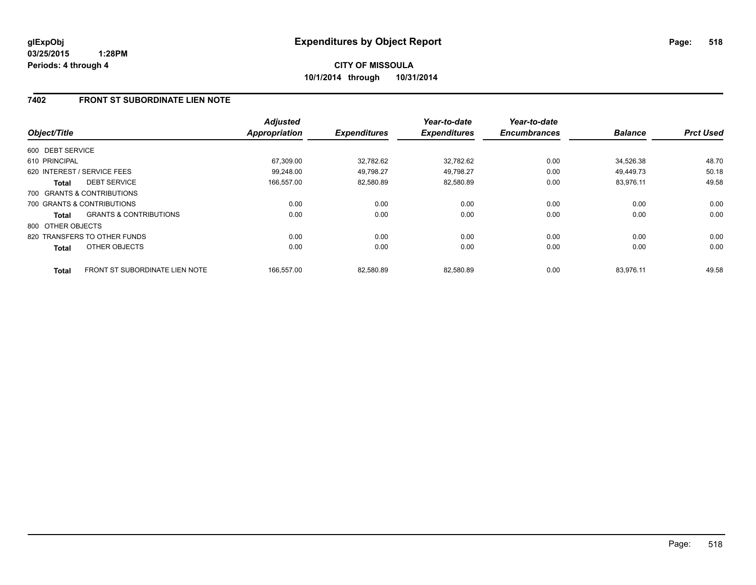## **7402 FRONT ST SUBORDINATE LIEN NOTE**

| Object/Title      |                                       | <b>Adjusted</b><br><b>Appropriation</b> | <b>Expenditures</b> | Year-to-date<br><b>Expenditures</b> | Year-to-date<br><b>Encumbrances</b> | <b>Balance</b> | <b>Prct Used</b> |
|-------------------|---------------------------------------|-----------------------------------------|---------------------|-------------------------------------|-------------------------------------|----------------|------------------|
|                   |                                       |                                         |                     |                                     |                                     |                |                  |
| 600 DEBT SERVICE  |                                       |                                         |                     |                                     |                                     |                |                  |
| 610 PRINCIPAL     |                                       | 67.309.00                               | 32,782.62           | 32,782.62                           | 0.00                                | 34.526.38      | 48.70            |
|                   | 620 INTEREST / SERVICE FEES           | 99.248.00                               | 49.798.27           | 49.798.27                           | 0.00                                | 49.449.73      | 50.18            |
| Total             | <b>DEBT SERVICE</b>                   | 166,557.00                              | 82,580.89           | 82,580.89                           | 0.00                                | 83,976.11      | 49.58            |
|                   | 700 GRANTS & CONTRIBUTIONS            |                                         |                     |                                     |                                     |                |                  |
|                   | 700 GRANTS & CONTRIBUTIONS            | 0.00                                    | 0.00                | 0.00                                | 0.00                                | 0.00           | 0.00             |
| Total             | <b>GRANTS &amp; CONTRIBUTIONS</b>     | 0.00                                    | 0.00                | 0.00                                | 0.00                                | 0.00           | 0.00             |
| 800 OTHER OBJECTS |                                       |                                         |                     |                                     |                                     |                |                  |
|                   | 820 TRANSFERS TO OTHER FUNDS          | 0.00                                    | 0.00                | 0.00                                | 0.00                                | 0.00           | 0.00             |
| <b>Total</b>      | OTHER OBJECTS                         | 0.00                                    | 0.00                | 0.00                                | 0.00                                | 0.00           | 0.00             |
| <b>Total</b>      | <b>FRONT ST SUBORDINATE LIEN NOTE</b> | 166.557.00                              | 82.580.89           | 82.580.89                           | 0.00                                | 83.976.11      | 49.58            |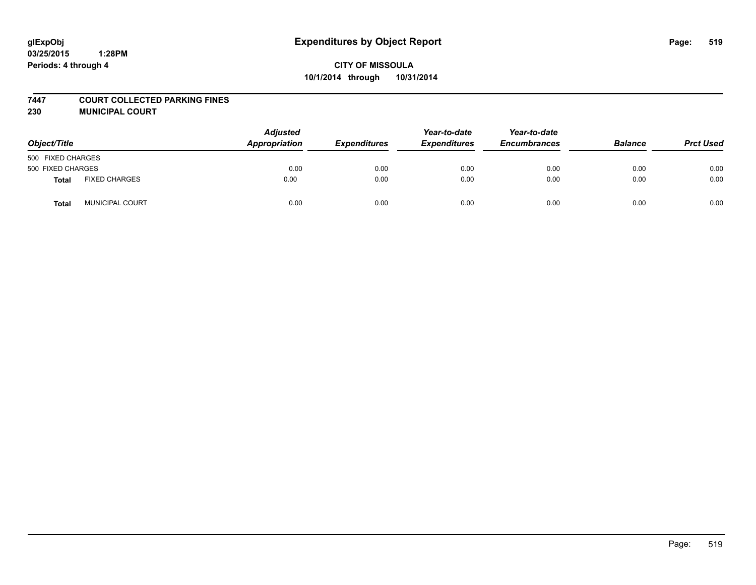# **CITY OF MISSOULA 10/1/2014 through 10/31/2014**

#### **7447 COURT COLLECTED PARKING FINES**

**230 MUNICIPAL COURT**

| Object/Title      |                      | <b>Adjusted</b><br>Appropriation | <b>Expenditures</b> | Year-to-date<br><b>Expenditures</b> | Year-to-date<br><b>Encumbrances</b> | <b>Balance</b> | <b>Prct Used</b> |
|-------------------|----------------------|----------------------------------|---------------------|-------------------------------------|-------------------------------------|----------------|------------------|
| 500 FIXED CHARGES |                      |                                  |                     |                                     |                                     |                |                  |
| 500 FIXED CHARGES |                      | 0.00                             | 0.00                | 0.00                                | 0.00                                | 0.00           | 0.00             |
| Total             | <b>FIXED CHARGES</b> | 0.00                             | 0.00                | 0.00                                | 0.00                                | 0.00           | 0.00             |
| <b>Total</b>      | MUNICIPAL COURT      | 0.00                             | 0.00                | 0.00                                | 0.00                                | 0.00           | 0.00             |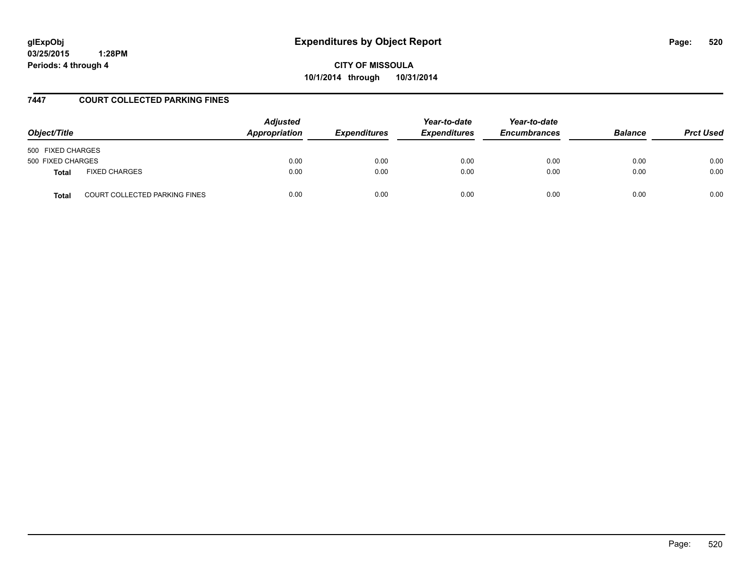**CITY OF MISSOULA 10/1/2014 through 10/31/2014**

## **7447 COURT COLLECTED PARKING FINES**

| Object/Title                                         | <b>Adjusted</b><br><b>Appropriation</b> | <b>Expenditures</b> | Year-to-date<br><b>Expenditures</b> | Year-to-date<br><b>Encumbrances</b> | <b>Balance</b> | <b>Prct Used</b> |
|------------------------------------------------------|-----------------------------------------|---------------------|-------------------------------------|-------------------------------------|----------------|------------------|
| 500 FIXED CHARGES                                    |                                         |                     |                                     |                                     |                |                  |
| 500 FIXED CHARGES                                    | 0.00                                    | 0.00                | 0.00                                | 0.00                                | 0.00           | 0.00             |
| <b>FIXED CHARGES</b><br><b>Total</b>                 | 0.00                                    | 0.00                | 0.00                                | 0.00                                | 0.00           | 0.00             |
| <b>COURT COLLECTED PARKING FINES</b><br><b>Total</b> | 0.00                                    | 0.00                | 0.00                                | 0.00                                | 0.00           | 0.00             |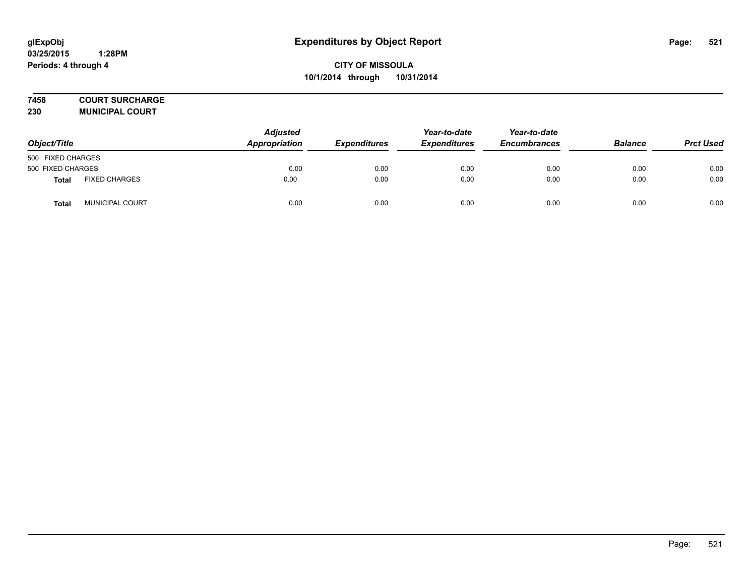# **7458 COURT SURCHARGE**

**230 MUNICIPAL COURT**

| Object/Title      |                      | <b>Adjusted</b><br>Appropriation | <b>Expenditures</b> | Year-to-date<br><b>Expenditures</b> | Year-to-date<br><b>Encumbrances</b> | <b>Balance</b> | <b>Prct Used</b> |
|-------------------|----------------------|----------------------------------|---------------------|-------------------------------------|-------------------------------------|----------------|------------------|
| 500 FIXED CHARGES |                      |                                  |                     |                                     |                                     |                |                  |
| 500 FIXED CHARGES |                      | 0.00                             | 0.00                | 0.00                                | 0.00                                | 0.00           | 0.00             |
| Total             | <b>FIXED CHARGES</b> | 0.00                             | 0.00                | 0.00                                | 0.00                                | 0.00           | 0.00             |
| Total             | MUNICIPAL COURT      | 0.00                             | 0.00                | 0.00                                | 0.00                                | 0.00           | 0.00             |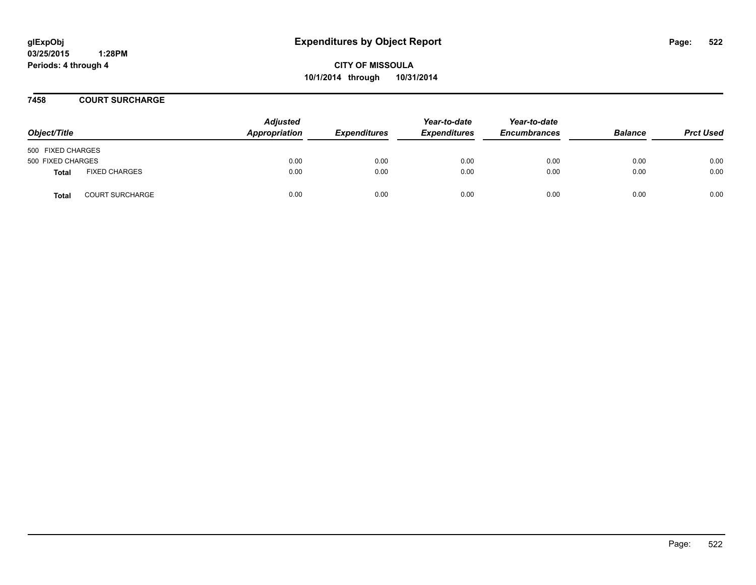**CITY OF MISSOULA 10/1/2014 through 10/31/2014**

**7458 COURT SURCHARGE**

| Object/Title      |                        | <b>Adjusted</b><br>Appropriation | <b>Expenditures</b> | Year-to-date<br><b>Expenditures</b> | Year-to-date<br><b>Encumbrances</b> | <b>Balance</b> | <b>Prct Used</b> |
|-------------------|------------------------|----------------------------------|---------------------|-------------------------------------|-------------------------------------|----------------|------------------|
| 500 FIXED CHARGES |                        |                                  |                     |                                     |                                     |                |                  |
| 500 FIXED CHARGES |                        | 0.00                             | 0.00                | 0.00                                | 0.00                                | 0.00           | 0.00             |
| Total             | <b>FIXED CHARGES</b>   | 0.00                             | 0.00                | 0.00                                | 0.00                                | 0.00           | 0.00             |
| <b>Total</b>      | <b>COURT SURCHARGE</b> | 0.00                             | 0.00                | 0.00                                | 0.00                                | 0.00           | 0.00             |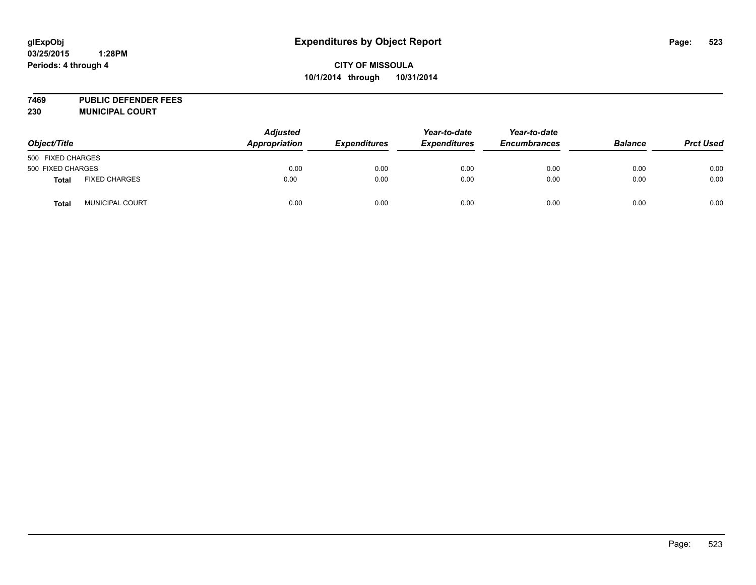**7469 PUBLIC DEFENDER FEES 230 MUNICIPAL COURT**

| Object/Title      |                        | <b>Adjusted</b><br>Appropriation | <b>Expenditures</b> | Year-to-date<br><b>Expenditures</b> | Year-to-date<br><b>Encumbrances</b> | <b>Balance</b> | <b>Prct Used</b> |
|-------------------|------------------------|----------------------------------|---------------------|-------------------------------------|-------------------------------------|----------------|------------------|
| 500 FIXED CHARGES |                        |                                  |                     |                                     |                                     |                |                  |
| 500 FIXED CHARGES |                        | 0.00                             | 0.00                | 0.00                                | 0.00                                | 0.00           | 0.00             |
| Total             | <b>FIXED CHARGES</b>   | 0.00                             | 0.00                | 0.00                                | 0.00                                | 0.00           | 0.00             |
| <b>Total</b>      | <b>MUNICIPAL COURT</b> | 0.00                             | 0.00                | 0.00                                | 0.00                                | 0.00           | 0.00             |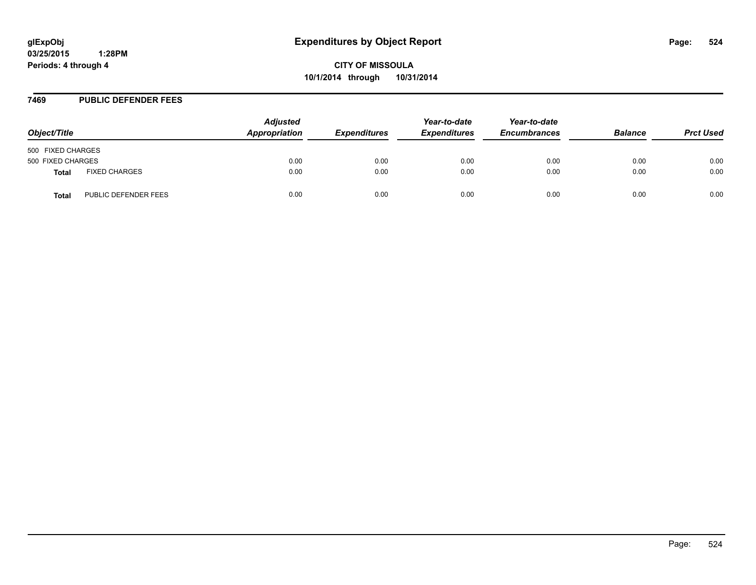**CITY OF MISSOULA 10/1/2014 through 10/31/2014**

#### **7469 PUBLIC DEFENDER FEES**

| Object/Title                                | <b>Adjusted</b><br>Appropriation | <b>Expenditures</b> | Year-to-date<br><b>Expenditures</b> | Year-to-date<br><b>Encumbrances</b> | <b>Balance</b> | <b>Prct Used</b> |
|---------------------------------------------|----------------------------------|---------------------|-------------------------------------|-------------------------------------|----------------|------------------|
| 500 FIXED CHARGES                           |                                  |                     |                                     |                                     |                |                  |
| 500 FIXED CHARGES                           | 0.00                             | 0.00                | 0.00                                | 0.00                                | 0.00           | 0.00             |
| <b>FIXED CHARGES</b><br><b>Total</b>        | 0.00                             | 0.00                | 0.00                                | 0.00                                | 0.00           | 0.00             |
| <b>PUBLIC DEFENDER FEES</b><br><b>Total</b> | 0.00                             | 0.00                | 0.00                                | 0.00                                | 0.00           | 0.00             |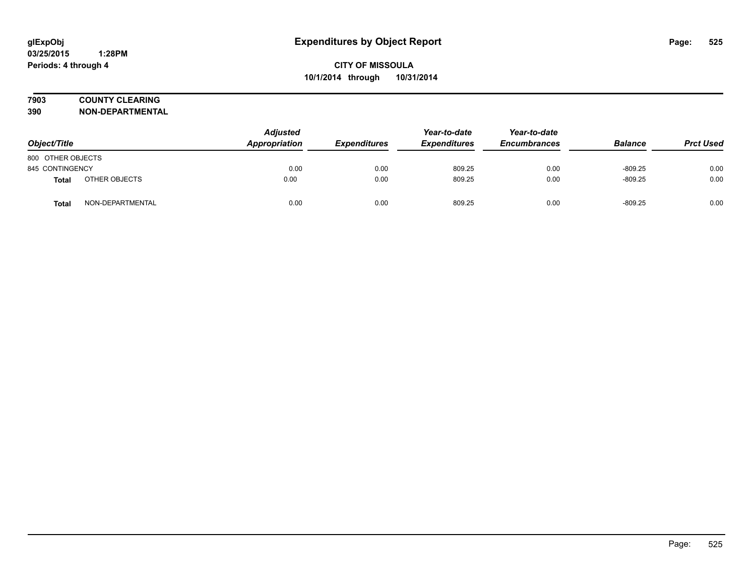# **7903 COUNTY CLEARING**

**390 NON-DEPARTMENTAL**

| Object/Title      |                  | <b>Adjusted</b><br>Appropriation | <b>Expenditures</b> | Year-to-date<br><b>Expenditures</b> | Year-to-date<br><b>Encumbrances</b> | <b>Balance</b> | <b>Prct Used</b> |
|-------------------|------------------|----------------------------------|---------------------|-------------------------------------|-------------------------------------|----------------|------------------|
| 800 OTHER OBJECTS |                  |                                  |                     |                                     |                                     |                |                  |
| 845 CONTINGENCY   |                  | 0.00                             | 0.00                | 809.25                              | 0.00                                | $-809.25$      | 0.00             |
| Total             | OTHER OBJECTS    | 0.00                             | 0.00                | 809.25                              | 0.00                                | $-809.25$      | 0.00             |
| <b>Total</b>      | NON-DEPARTMENTAL | 0.00                             | 0.00                | 809.25                              | 0.00                                | $-809.25$      | 0.00             |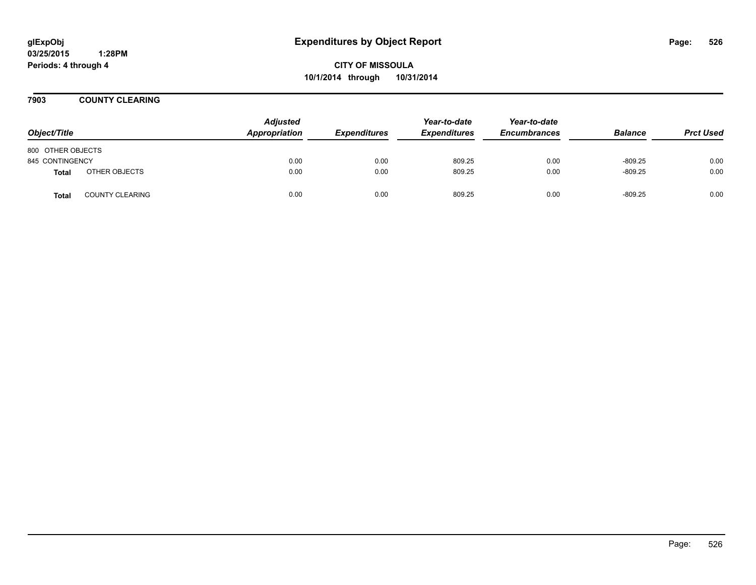**CITY OF MISSOULA 10/1/2014 through 10/31/2014**

**7903 COUNTY CLEARING**

| Object/Title      |                        | <b>Adjusted</b><br>Appropriation | <b>Expenditures</b> | Year-to-date<br><b>Expenditures</b> | Year-to-date<br><b>Encumbrances</b> | <b>Balance</b> | <b>Prct Used</b> |
|-------------------|------------------------|----------------------------------|---------------------|-------------------------------------|-------------------------------------|----------------|------------------|
| 800 OTHER OBJECTS |                        |                                  |                     |                                     |                                     |                |                  |
| 845 CONTINGENCY   |                        | 0.00                             | 0.00                | 809.25                              | 0.00                                | $-809.25$      | 0.00             |
| <b>Total</b>      | OTHER OBJECTS          | 0.00                             | 0.00                | 809.25                              | 0.00                                | $-809.25$      | 0.00             |
| <b>Total</b>      | <b>COUNTY CLEARING</b> | 0.00                             | 0.00                | 809.25                              | 0.00                                | $-809.25$      | 0.00             |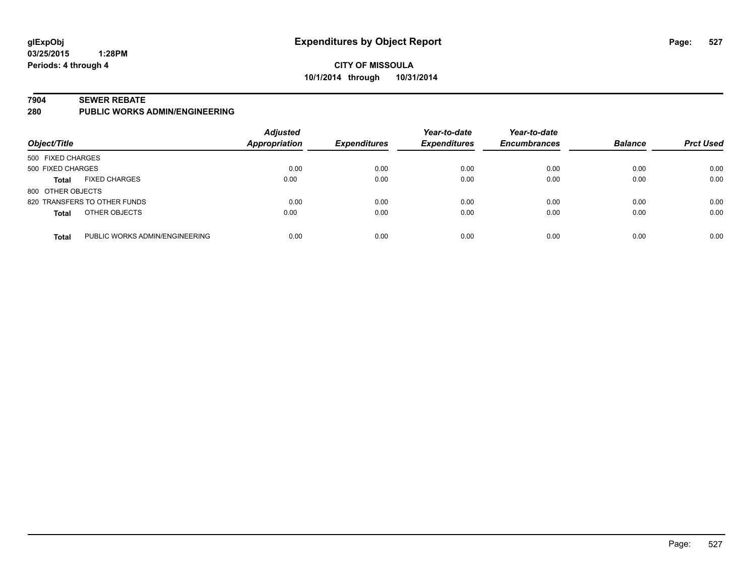## **CITY OF MISSOULA 10/1/2014 through 10/31/2014**

#### **7904 SEWER REBATE**

**280 PUBLIC WORKS ADMIN/ENGINEERING**

| Object/Title      |                                | <b>Adjusted</b><br>Appropriation | <b>Expenditures</b> | Year-to-date<br><b>Expenditures</b> | Year-to-date<br><b>Encumbrances</b> | <b>Balance</b> | <b>Prct Used</b> |
|-------------------|--------------------------------|----------------------------------|---------------------|-------------------------------------|-------------------------------------|----------------|------------------|
| 500 FIXED CHARGES |                                |                                  |                     |                                     |                                     |                |                  |
| 500 FIXED CHARGES |                                | 0.00                             | 0.00                | 0.00                                | 0.00                                | 0.00           | 0.00             |
| <b>Total</b>      | <b>FIXED CHARGES</b>           | 0.00                             | 0.00                | 0.00                                | 0.00                                | 0.00           | 0.00             |
| 800 OTHER OBJECTS |                                |                                  |                     |                                     |                                     |                |                  |
|                   | 820 TRANSFERS TO OTHER FUNDS   | 0.00                             | 0.00                | 0.00                                | 0.00                                | 0.00           | 0.00             |
| <b>Total</b>      | OTHER OBJECTS                  | 0.00                             | 0.00                | 0.00                                | 0.00                                | 0.00           | 0.00             |
| <b>Total</b>      | PUBLIC WORKS ADMIN/ENGINEERING | 0.00                             | 0.00                | 0.00                                | 0.00                                | 0.00           | 0.00             |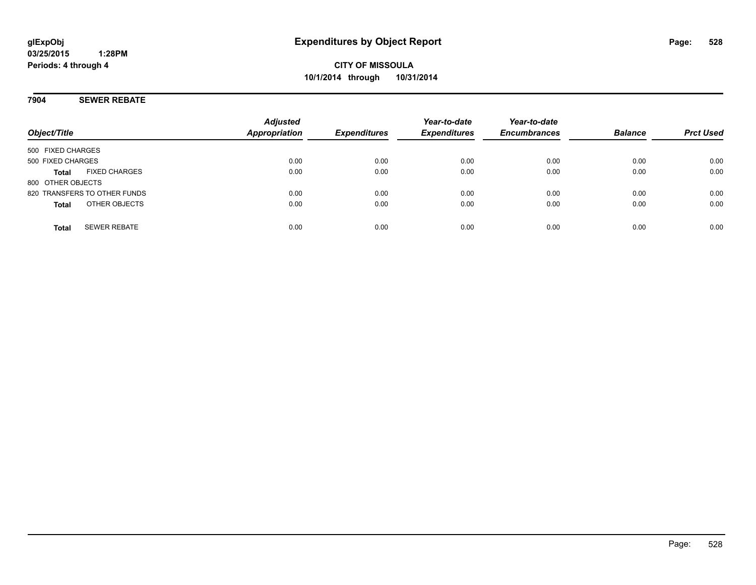## **7904 SEWER REBATE**

| Object/Title                 |                      | <b>Adjusted</b><br><b>Appropriation</b> | <b>Expenditures</b> | Year-to-date<br><b>Expenditures</b> | Year-to-date<br><b>Encumbrances</b> | <b>Balance</b> | <b>Prct Used</b> |
|------------------------------|----------------------|-----------------------------------------|---------------------|-------------------------------------|-------------------------------------|----------------|------------------|
| 500 FIXED CHARGES            |                      |                                         |                     |                                     |                                     |                |                  |
| 500 FIXED CHARGES            |                      | 0.00                                    | 0.00                | 0.00                                | 0.00                                | 0.00           | 0.00             |
| Total                        | <b>FIXED CHARGES</b> | 0.00                                    | 0.00                | 0.00                                | 0.00                                | 0.00           | 0.00             |
| 800 OTHER OBJECTS            |                      |                                         |                     |                                     |                                     |                |                  |
| 820 TRANSFERS TO OTHER FUNDS |                      | 0.00                                    | 0.00                | 0.00                                | 0.00                                | 0.00           | 0.00             |
| <b>Total</b>                 | OTHER OBJECTS        | 0.00                                    | 0.00                | 0.00                                | 0.00                                | 0.00           | 0.00             |
| <b>Total</b>                 | <b>SEWER REBATE</b>  | 0.00                                    | 0.00                | 0.00                                | 0.00                                | 0.00           | 0.00             |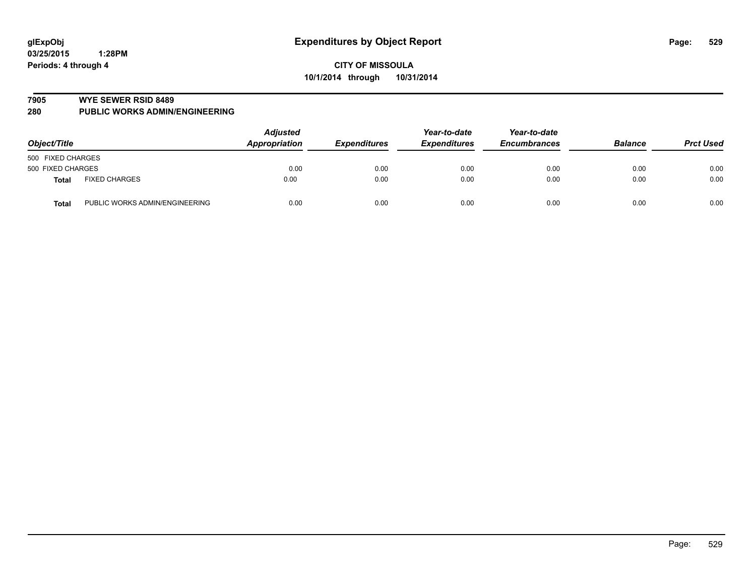#### **7905 WYE SEWER RSID 8489**

**280 PUBLIC WORKS ADMIN/ENGINEERING**

| Object/Title                            | <b>Adjusted</b><br>Appropriation | <b>Expenditures</b> | Year-to-date<br><b>Expenditures</b> | Year-to-date<br><b>Encumbrances</b> | <b>Balance</b> | <b>Prct Used</b> |
|-----------------------------------------|----------------------------------|---------------------|-------------------------------------|-------------------------------------|----------------|------------------|
| 500 FIXED CHARGES                       |                                  |                     |                                     |                                     |                |                  |
| 500 FIXED CHARGES                       | 0.00                             | 0.00                | 0.00                                | 0.00                                | 0.00           | 0.00             |
| <b>FIXED CHARGES</b><br>Total           | 0.00                             | 0.00                | 0.00                                | 0.00                                | 0.00           | 0.00             |
| PUBLIC WORKS ADMIN/ENGINEERING<br>Total | 0.00                             | 0.00                | 0.00                                | 0.00                                | 0.00           | 0.00             |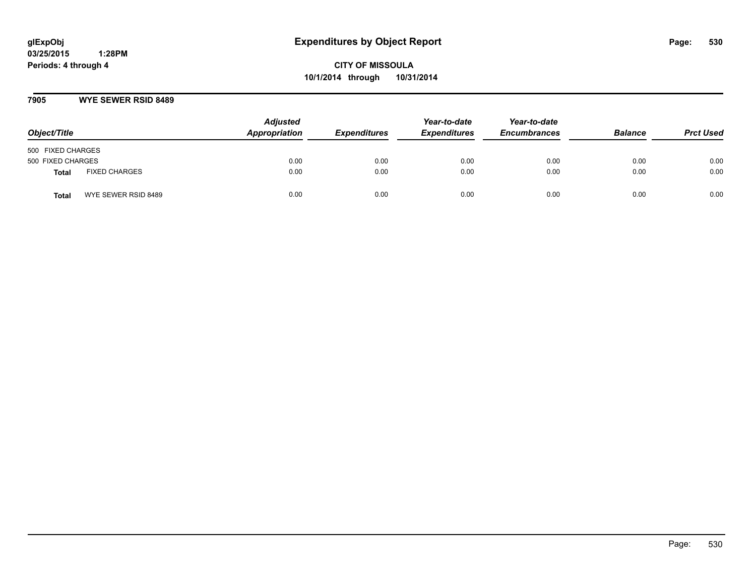**CITY OF MISSOULA 10/1/2014 through 10/31/2014**

#### **7905 WYE SEWER RSID 8489**

| Object/Title      |                      | <b>Adjusted</b><br>Appropriation | <b>Expenditures</b> | Year-to-date<br><b>Expenditures</b> | Year-to-date<br><b>Encumbrances</b> | <b>Balance</b> | <b>Prct Used</b> |
|-------------------|----------------------|----------------------------------|---------------------|-------------------------------------|-------------------------------------|----------------|------------------|
| 500 FIXED CHARGES |                      |                                  |                     |                                     |                                     |                |                  |
| 500 FIXED CHARGES |                      | 0.00                             | 0.00                | 0.00                                | 0.00                                | 0.00           | 0.00             |
| <b>Total</b>      | <b>FIXED CHARGES</b> | 0.00                             | 0.00                | 0.00                                | 0.00                                | 0.00           | 0.00             |
| Total             | WYE SEWER RSID 8489  | 0.00                             | 0.00                | 0.00                                | 0.00                                | 0.00           | 0.00             |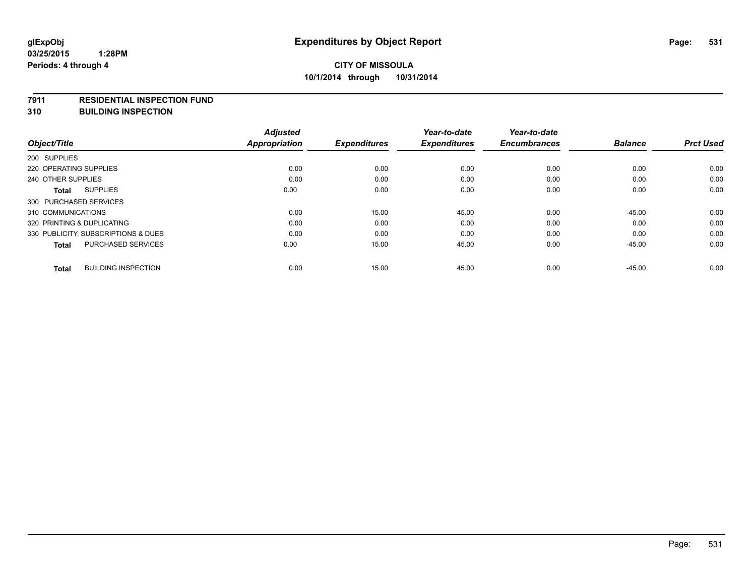#### **7911 RESIDENTIAL INSPECTION FUND**

**310 BUILDING INSPECTION**

|                                            | <b>Adjusted</b>      |                     | Year-to-date        | Year-to-date        |                |                  |
|--------------------------------------------|----------------------|---------------------|---------------------|---------------------|----------------|------------------|
| Object/Title                               | <b>Appropriation</b> | <b>Expenditures</b> | <b>Expenditures</b> | <b>Encumbrances</b> | <b>Balance</b> | <b>Prct Used</b> |
| 200 SUPPLIES                               |                      |                     |                     |                     |                |                  |
| 220 OPERATING SUPPLIES                     | 0.00                 | 0.00                | 0.00                | 0.00                | 0.00           | 0.00             |
| 240 OTHER SUPPLIES                         | 0.00                 | 0.00                | 0.00                | 0.00                | 0.00           | 0.00             |
| <b>SUPPLIES</b><br><b>Total</b>            | 0.00                 | 0.00                | 0.00                | 0.00                | 0.00           | 0.00             |
| 300 PURCHASED SERVICES                     |                      |                     |                     |                     |                |                  |
| 310 COMMUNICATIONS                         | 0.00                 | 15.00               | 45.00               | 0.00                | $-45.00$       | 0.00             |
| 320 PRINTING & DUPLICATING                 | 0.00                 | 0.00                | 0.00                | 0.00                | 0.00           | 0.00             |
| 330 PUBLICITY, SUBSCRIPTIONS & DUES        | 0.00                 | 0.00                | 0.00                | 0.00                | 0.00           | 0.00             |
| <b>PURCHASED SERVICES</b><br>Total         | 0.00                 | 15.00               | 45.00               | 0.00                | $-45.00$       | 0.00             |
| <b>BUILDING INSPECTION</b><br><b>Total</b> | 0.00                 | 15.00               | 45.00               | 0.00                | $-45.00$       | 0.00             |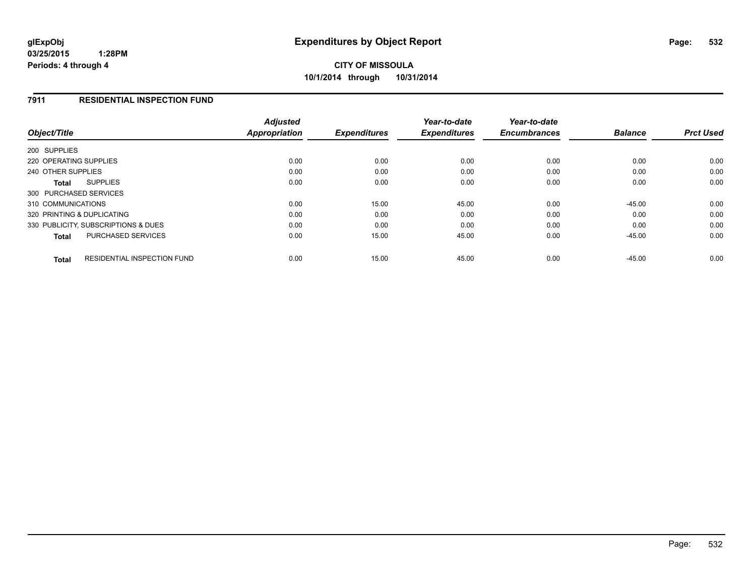## **7911 RESIDENTIAL INSPECTION FUND**

| Object/Title                                       | <b>Adjusted</b><br><b>Appropriation</b> | <b>Expenditures</b> | Year-to-date<br><b>Expenditures</b> | Year-to-date<br><b>Encumbrances</b> | <b>Balance</b> | <b>Prct Used</b> |
|----------------------------------------------------|-----------------------------------------|---------------------|-------------------------------------|-------------------------------------|----------------|------------------|
| 200 SUPPLIES                                       |                                         |                     |                                     |                                     |                |                  |
| 220 OPERATING SUPPLIES                             | 0.00                                    | 0.00                | 0.00                                | 0.00                                | 0.00           | 0.00             |
| 240 OTHER SUPPLIES                                 | 0.00                                    | 0.00                | 0.00                                | 0.00                                | 0.00           | 0.00             |
| <b>SUPPLIES</b><br><b>Total</b>                    | 0.00                                    | 0.00                | 0.00                                | 0.00                                | 0.00           | 0.00             |
| 300 PURCHASED SERVICES                             |                                         |                     |                                     |                                     |                |                  |
| 310 COMMUNICATIONS                                 | 0.00                                    | 15.00               | 45.00                               | 0.00                                | $-45.00$       | 0.00             |
| 320 PRINTING & DUPLICATING                         | 0.00                                    | 0.00                | 0.00                                | 0.00                                | 0.00           | 0.00             |
| 330 PUBLICITY, SUBSCRIPTIONS & DUES                | 0.00                                    | 0.00                | 0.00                                | 0.00                                | 0.00           | 0.00             |
| PURCHASED SERVICES<br>Total                        | 0.00                                    | 15.00               | 45.00                               | 0.00                                | $-45.00$       | 0.00             |
| <b>RESIDENTIAL INSPECTION FUND</b><br><b>Total</b> | 0.00                                    | 15.00               | 45.00                               | 0.00                                | $-45.00$       | 0.00             |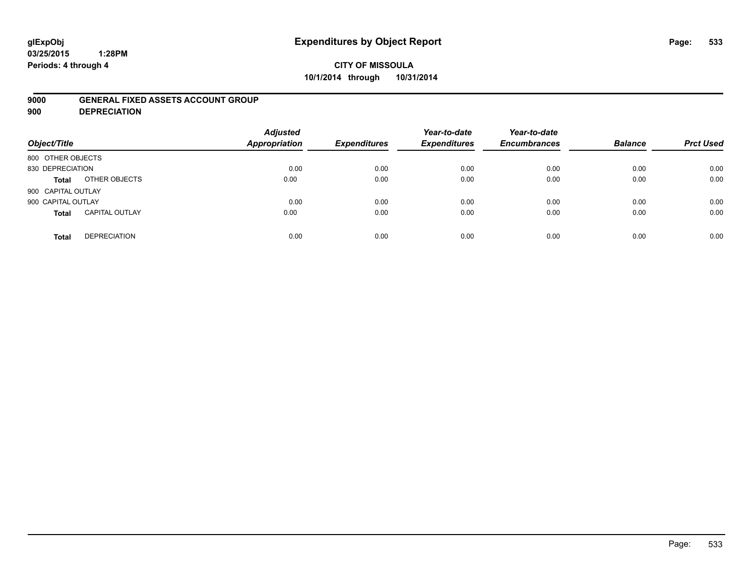# **glExpObj Expenditures by Object Report Page: 533**

#### **03/25/2015 1:28PM Periods: 4 through 4**

# **CITY OF MISSOULA 10/1/2014 through 10/31/2014**

#### **9000 GENERAL FIXED ASSETS ACCOUNT GROUP**

**900 DEPRECIATION**

| Object/Title                          | <b>Adjusted</b><br><b>Appropriation</b> | <b>Expenditures</b> | Year-to-date<br><b>Expenditures</b> | Year-to-date<br><b>Encumbrances</b> | <b>Balance</b> | <b>Prct Used</b> |
|---------------------------------------|-----------------------------------------|---------------------|-------------------------------------|-------------------------------------|----------------|------------------|
| 800 OTHER OBJECTS                     |                                         |                     |                                     |                                     |                |                  |
| 830 DEPRECIATION                      | 0.00                                    | 0.00                | 0.00                                | 0.00                                | 0.00           | 0.00             |
| OTHER OBJECTS<br>Total                | 0.00                                    | 0.00                | 0.00                                | 0.00                                | 0.00           | 0.00             |
| 900 CAPITAL OUTLAY                    |                                         |                     |                                     |                                     |                |                  |
| 900 CAPITAL OUTLAY                    | 0.00                                    | 0.00                | 0.00                                | 0.00                                | 0.00           | 0.00             |
| <b>CAPITAL OUTLAY</b><br><b>Total</b> | 0.00                                    | 0.00                | 0.00                                | 0.00                                | 0.00           | 0.00             |
| <b>DEPRECIATION</b><br><b>Total</b>   | 0.00                                    | 0.00                | 0.00                                | 0.00                                | 0.00           | 0.00             |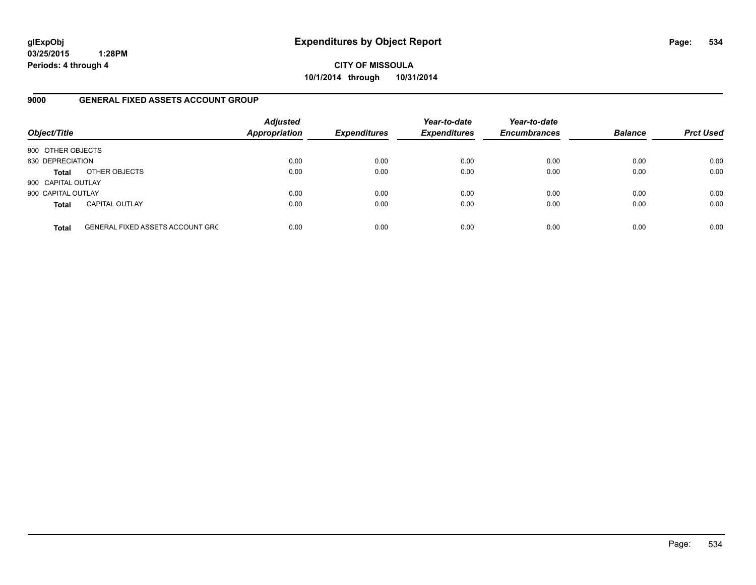**CITY OF MISSOULA 10/1/2014 through 10/31/2014**

#### **9000 GENERAL FIXED ASSETS ACCOUNT GROUP**

| Object/Title       |                                         | <b>Adjusted</b><br><b>Appropriation</b> | <b>Expenditures</b> | Year-to-date<br><b>Expenditures</b> | Year-to-date<br><b>Encumbrances</b> | <b>Balance</b> | <b>Prct Used</b> |
|--------------------|-----------------------------------------|-----------------------------------------|---------------------|-------------------------------------|-------------------------------------|----------------|------------------|
| 800 OTHER OBJECTS  |                                         |                                         |                     |                                     |                                     |                |                  |
| 830 DEPRECIATION   |                                         | 0.00                                    | 0.00                | 0.00                                | 0.00                                | 0.00           | 0.00             |
| <b>Total</b>       | OTHER OBJECTS                           | 0.00                                    | 0.00                | 0.00                                | 0.00                                | 0.00           | 0.00             |
| 900 CAPITAL OUTLAY |                                         |                                         |                     |                                     |                                     |                |                  |
| 900 CAPITAL OUTLAY |                                         | 0.00                                    | 0.00                | 0.00                                | 0.00                                | 0.00           | 0.00             |
| <b>Total</b>       | <b>CAPITAL OUTLAY</b>                   | 0.00                                    | 0.00                | 0.00                                | 0.00                                | 0.00           | 0.00             |
| <b>Total</b>       | <b>GENERAL FIXED ASSETS ACCOUNT GRC</b> | 0.00                                    | 0.00                | 0.00                                | 0.00                                | 0.00           | 0.00             |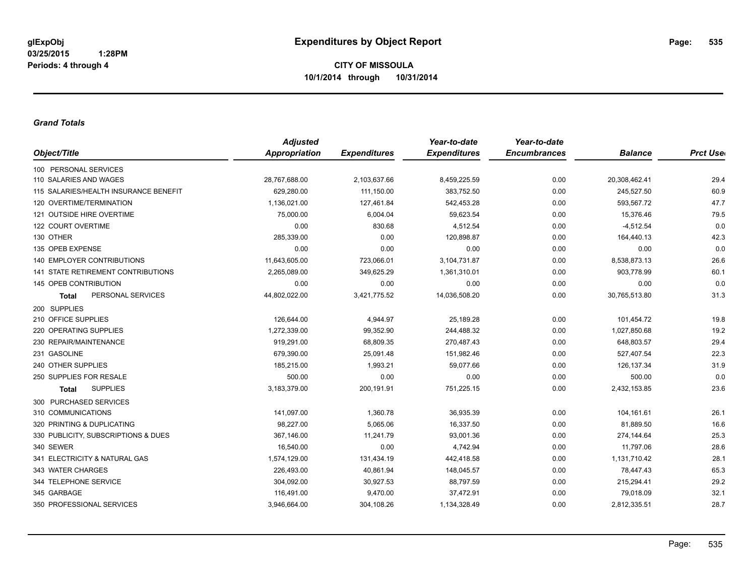#### *Grand Totals*

|                                       | <b>Adjusted</b>      |                     | Year-to-date        | Year-to-date        |                |                  |
|---------------------------------------|----------------------|---------------------|---------------------|---------------------|----------------|------------------|
| Object/Title                          | <b>Appropriation</b> | <b>Expenditures</b> | <b>Expenditures</b> | <b>Encumbrances</b> | <b>Balance</b> | <b>Prct User</b> |
| 100 PERSONAL SERVICES                 |                      |                     |                     |                     |                |                  |
| 110 SALARIES AND WAGES                | 28,767,688.00        | 2,103,637.66        | 8,459,225.59        | 0.00                | 20,308,462.41  | 29.4             |
| 115 SALARIES/HEALTH INSURANCE BENEFIT | 629,280.00           | 111,150.00          | 383,752.50          | 0.00                | 245,527.50     | 60.9             |
| 120 OVERTIME/TERMINATION              | 1,136,021.00         | 127,461.84          | 542,453.28          | 0.00                | 593,567.72     | 47.7             |
| 121 OUTSIDE HIRE OVERTIME             | 75,000.00            | 6,004.04            | 59,623.54           | 0.00                | 15,376.46      | 79.5             |
| 122 COURT OVERTIME                    | 0.00                 | 830.68              | 4,512.54            | 0.00                | $-4,512.54$    | 0.0              |
| 130 OTHER                             | 285,339.00           | 0.00                | 120,898.87          | 0.00                | 164,440.13     | 42.3             |
| 135 OPEB EXPENSE                      | 0.00                 | 0.00                | 0.00                | 0.00                | 0.00           | 0.0              |
| 140 EMPLOYER CONTRIBUTIONS            | 11,643,605.00        | 723,066.01          | 3,104,731.87        | 0.00                | 8,538,873.13   | 26.6             |
| 141 STATE RETIREMENT CONTRIBUTIONS    | 2,265,089.00         | 349,625.29          | 1,361,310.01        | 0.00                | 903,778.99     | 60.1             |
| 145 OPEB CONTRIBUTION                 | 0.00                 | 0.00                | 0.00                | 0.00                | 0.00           | 0.0              |
| PERSONAL SERVICES<br><b>Total</b>     | 44,802,022.00        | 3,421,775.52        | 14,036,508.20       | 0.00                | 30,765,513.80  | 31.3             |
| 200 SUPPLIES                          |                      |                     |                     |                     |                |                  |
| 210 OFFICE SUPPLIES                   | 126,644.00           | 4,944.97            | 25,189.28           | 0.00                | 101,454.72     | 19.8             |
| 220 OPERATING SUPPLIES                | 1,272,339.00         | 99,352.90           | 244,488.32          | 0.00                | 1,027,850.68   | 19.2             |
| 230 REPAIR/MAINTENANCE                | 919,291.00           | 68,809.35           | 270,487.43          | 0.00                | 648,803.57     | 29.4             |
| 231 GASOLINE                          | 679,390.00           | 25,091.48           | 151,982.46          | 0.00                | 527,407.54     | 22.3             |
| 240 OTHER SUPPLIES                    | 185,215.00           | 1,993.21            | 59,077.66           | 0.00                | 126, 137.34    | 31.9             |
| 250 SUPPLIES FOR RESALE               | 500.00               | 0.00                | 0.00                | 0.00                | 500.00         | 0.0              |
| <b>SUPPLIES</b><br><b>Total</b>       | 3,183,379.00         | 200,191.91          | 751,225.15          | 0.00                | 2,432,153.85   | 23.6             |
| 300 PURCHASED SERVICES                |                      |                     |                     |                     |                |                  |
| 310 COMMUNICATIONS                    | 141,097.00           | 1,360.78            | 36,935.39           | 0.00                | 104,161.61     | 26.1             |
| 320 PRINTING & DUPLICATING            | 98,227.00            | 5,065.06            | 16,337.50           | 0.00                | 81,889.50      | 16.6             |
| 330 PUBLICITY, SUBSCRIPTIONS & DUES   | 367,146.00           | 11,241.79           | 93,001.36           | 0.00                | 274,144.64     | 25.3             |
| 340 SEWER                             | 16,540.00            | 0.00                | 4,742.94            | 0.00                | 11,797.06      | 28.6             |
| 341 ELECTRICITY & NATURAL GAS         | 1,574,129.00         | 131,434.19          | 442,418.58          | 0.00                | 1,131,710.42   | 28.1             |
| 343 WATER CHARGES                     | 226,493.00           | 40,861.94           | 148,045.57          | 0.00                | 78,447.43      | 65.3             |
| 344 TELEPHONE SERVICE                 | 304,092.00           | 30,927.53           | 88,797.59           | 0.00                | 215,294.41     | 29.2             |
| 345 GARBAGE                           | 116,491.00           | 9,470.00            | 37,472.91           | 0.00                | 79,018.09      | 32.1             |
| 350 PROFESSIONAL SERVICES             | 3,946,664.00         | 304,108.26          | 1,134,328.49        | 0.00                | 2,812,335.51   | 28.7             |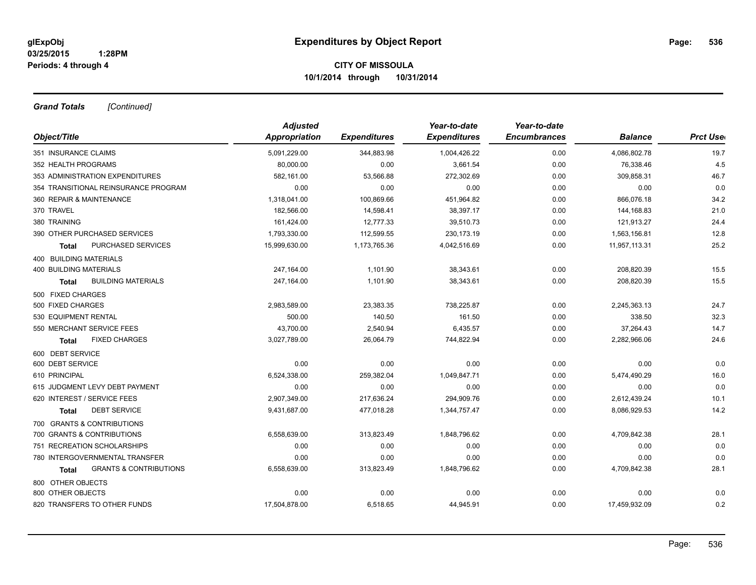*Grand Totals [Continued]*

| <b>Adjusted</b> |                     |                     | Year-to-date        |                |                 |
|-----------------|---------------------|---------------------|---------------------|----------------|-----------------|
| Appropriation   | <b>Expenditures</b> | <b>Expenditures</b> | <b>Encumbrances</b> | <b>Balance</b> | <b>Prct Use</b> |
| 5,091,229.00    | 344,883.98          | 1,004,426.22        | 0.00                | 4,086,802.78   | 19.7            |
| 80,000.00       | 0.00                | 3,661.54            | 0.00                | 76,338.46      | 4.5             |
| 582,161.00      | 53,566.88           | 272,302.69          | 0.00                | 309,858.31     | 46.7            |
| 0.00            | 0.00                | 0.00                | 0.00                | 0.00           | 0.0             |
| 1,318,041.00    | 100,869.66          | 451,964.82          | 0.00                | 866,076.18     | 34.2            |
| 182,566.00      | 14,598.41           | 38,397.17           | 0.00                | 144,168.83     | 21.0            |
| 161,424.00      | 12,777.33           | 39,510.73           | 0.00                | 121,913.27     | 24.4            |
| 1,793,330.00    | 112,599.55          | 230,173.19          | 0.00                | 1,563,156.81   | 12.8            |
| 15,999,630.00   | 1,173,765.36        | 4,042,516.69        | 0.00                | 11,957,113.31  | 25.2            |
|                 |                     |                     |                     |                |                 |
| 247,164.00      | 1,101.90            | 38,343.61           | 0.00                | 208,820.39     | 15.5            |
| 247,164.00      | 1,101.90            | 38,343.61           | 0.00                | 208,820.39     | 15.5            |
|                 |                     |                     |                     |                |                 |
| 2,983,589.00    | 23,383.35           | 738,225.87          | 0.00                | 2,245,363.13   | 24.7            |
| 500.00          | 140.50              | 161.50              | 0.00                | 338.50         | 32.3            |
| 43,700.00       | 2,540.94            | 6,435.57            | 0.00                | 37,264.43      | 14.7            |
| 3,027,789.00    | 26.064.79           | 744,822.94          | 0.00                | 2,282,966.06   | 24.6            |
|                 |                     |                     |                     |                |                 |
| 0.00            | 0.00                | 0.00                | 0.00                | 0.00           | 0.0             |
| 6,524,338.00    | 259,382.04          | 1,049,847.71        | 0.00                | 5,474,490.29   | 16.0            |
| 0.00            | 0.00                | 0.00                | 0.00                | 0.00           | 0.0             |
| 2,907,349.00    | 217,636.24          | 294,909.76          | 0.00                | 2,612,439.24   | 10.1            |
| 9,431,687.00    | 477,018.28          | 1,344,757.47        | 0.00                | 8,086,929.53   | 14.2            |
|                 |                     |                     |                     |                |                 |
| 6,558,639.00    | 313,823.49          | 1,848,796.62        | 0.00                | 4,709,842.38   | 28.1            |
| 0.00            | 0.00                | 0.00                | 0.00                | 0.00           | 0.0             |
| 0.00            | 0.00                | 0.00                | 0.00                | 0.00           | 0.0             |
| 6,558,639.00    | 313,823.49          | 1,848,796.62        | 0.00                | 4,709,842.38   | 28.1            |
|                 |                     |                     |                     |                |                 |
| 0.00            | 0.00                | 0.00                | 0.00                | 0.00           | 0.0             |
| 17,504,878.00   | 6,518.65            | 44,945.91           | 0.00                | 17,459,932.09  | 0.2             |
|                 |                     |                     | Year-to-date        |                |                 |